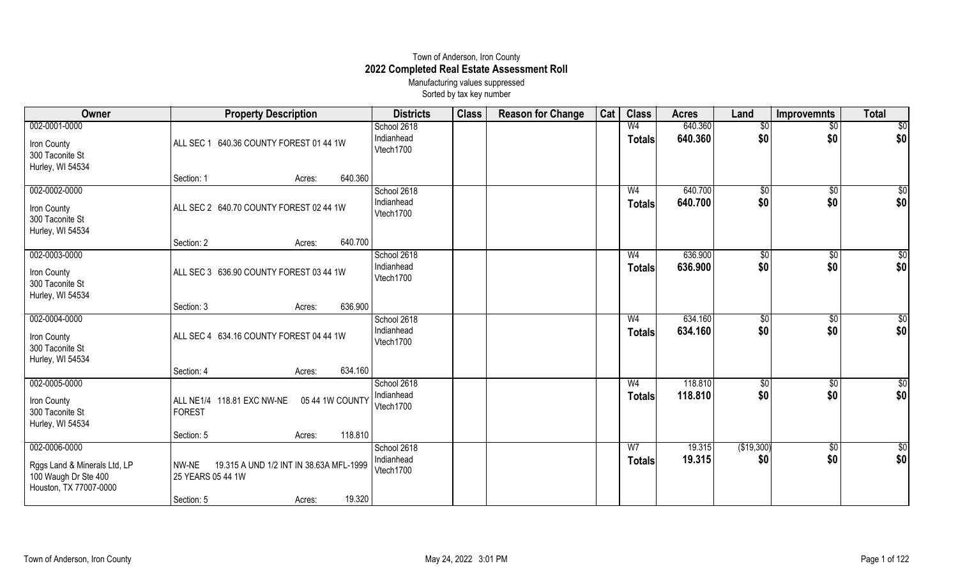## Town of Anderson, Iron County **2022 Completed Real Estate Assessment Roll** Manufacturing values suppressed

Sorted by tax key number

| Owner                                                                                           | <b>Property Description</b>                 |                                                             | <b>Districts</b>                       | <b>Class</b> | <b>Reason for Change</b> | Cat | <b>Class</b>                    | <b>Acres</b>       | Land               | <b>Improvemnts</b>     | <b>Total</b>           |
|-------------------------------------------------------------------------------------------------|---------------------------------------------|-------------------------------------------------------------|----------------------------------------|--------------|--------------------------|-----|---------------------------------|--------------------|--------------------|------------------------|------------------------|
| 002-0001-0000<br>Iron County                                                                    | ALL SEC 1 640.36 COUNTY FOREST 01 44 1W     |                                                             | School 2618<br>Indianhead<br>Vtech1700 |              |                          |     | W <sub>4</sub><br><b>Totals</b> | 640.360<br>640.360 | $\sqrt{$0}$<br>\$0 | $\overline{60}$<br>\$0 | $\overline{30}$<br>\$0 |
| 300 Taconite St<br>Hurley, WI 54534                                                             |                                             |                                                             |                                        |              |                          |     |                                 |                    |                    |                        |                        |
|                                                                                                 | Section: 1                                  | 640.360<br>Acres:                                           |                                        |              |                          |     |                                 |                    |                    |                        |                        |
| 002-0002-0000<br>Iron County<br>300 Taconite St<br>Hurley, WI 54534                             | ALL SEC 2 640.70 COUNTY FOREST 02 44 1W     |                                                             | School 2618<br>Indianhead<br>Vtech1700 |              |                          |     | W <sub>4</sub><br><b>Totals</b> | 640.700<br>640.700 | $\sqrt{$0}$<br>\$0 | $\overline{60}$<br>\$0 | $\overline{50}$<br>\$0 |
|                                                                                                 | Section: 2                                  | 640.700<br>Acres:                                           |                                        |              |                          |     |                                 |                    |                    |                        |                        |
| 002-0003-0000                                                                                   | ALL SEC 3 636.90 COUNTY FOREST 03 44 1W     |                                                             | School 2618<br>Indianhead              |              |                          |     | W <sub>4</sub><br><b>Totals</b> | 636.900<br>636.900 | $\sqrt{$0}$<br>\$0 | $\sqrt{6}$<br>\$0      | $\overline{50}$<br>\$0 |
| Iron County<br>300 Taconite St<br>Hurley, WI 54534                                              |                                             |                                                             | Vtech1700                              |              |                          |     |                                 |                    |                    |                        |                        |
|                                                                                                 | Section: 3                                  | 636.900<br>Acres:                                           |                                        |              |                          |     |                                 |                    |                    |                        |                        |
| 002-0004-0000<br>Iron County<br>300 Taconite St<br>Hurley, WI 54534                             | ALL SEC 4 634.16 COUNTY FOREST 04 44 1W     |                                                             | School 2618<br>Indianhead<br>Vtech1700 |              |                          |     | W <sub>4</sub><br><b>Totals</b> | 634.160<br>634.160 | \$0<br>\$0         | $\sqrt{6}$<br>\$0      | $\overline{50}$<br>\$0 |
|                                                                                                 | Section: 4                                  | 634.160<br>Acres:                                           |                                        |              |                          |     |                                 |                    |                    |                        |                        |
| 002-0005-0000<br>Iron County<br>300 Taconite St<br>Hurley, WI 54534                             | ALL NE1/4 118.81 EXC NW-NE<br><b>FOREST</b> | 05 44 1W COUNTY                                             | School 2618<br>Indianhead<br>Vtech1700 |              |                          |     | W <sub>4</sub><br><b>Totals</b> | 118.810<br>118.810 | \$0<br>\$0         | \$0<br>\$0             | $\sqrt{6}$<br>\$0      |
|                                                                                                 | Section: 5                                  | 118.810<br>Acres:                                           |                                        |              |                          |     |                                 |                    |                    |                        |                        |
| 002-0006-0000<br>Rggs Land & Minerals Ltd, LP<br>100 Waugh Dr Ste 400<br>Houston, TX 77007-0000 | NW-NE<br>25 YEARS 05 44 1W<br>Section: 5    | 19.315 A UND 1/2 INT IN 38.63A MFL-1999<br>19.320<br>Acres: | School 2618<br>Indianhead<br>Vtech1700 |              |                          |     | W <sub>7</sub><br><b>Totals</b> | 19.315<br>19.315   | (\$19,300)<br>\$0  | $\sqrt[6]{3}$<br>\$0   | \$0<br>\$0             |
|                                                                                                 |                                             |                                                             |                                        |              |                          |     |                                 |                    |                    |                        |                        |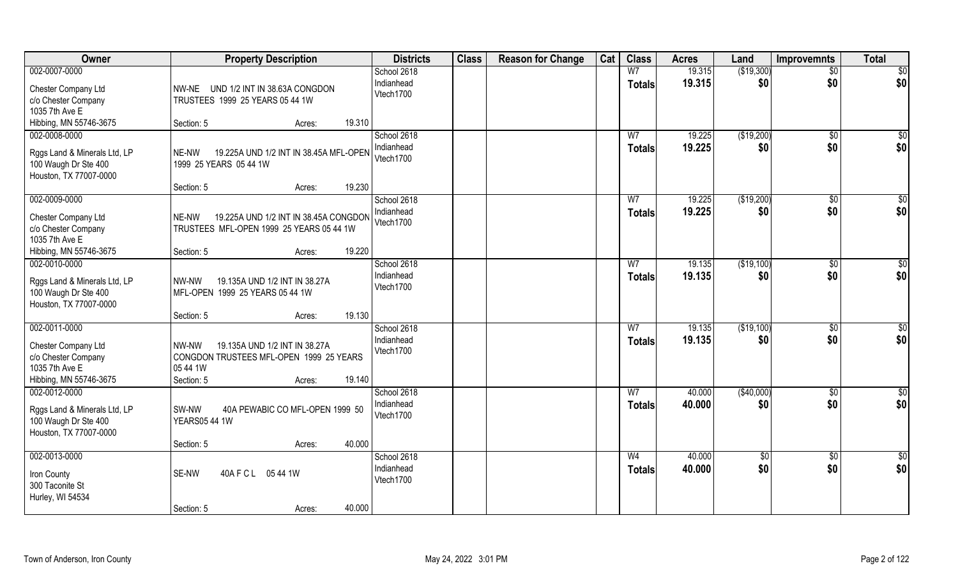| <b>Owner</b>                                                                                                  | <b>Property Description</b>                                                                                                     | <b>Districts</b>                       | <b>Class</b> | <b>Reason for Change</b> | Cat | <b>Class</b>                    | <b>Acres</b>     | Land              | <b>Improvemnts</b>    | <b>Total</b>           |
|---------------------------------------------------------------------------------------------------------------|---------------------------------------------------------------------------------------------------------------------------------|----------------------------------------|--------------|--------------------------|-----|---------------------------------|------------------|-------------------|-----------------------|------------------------|
| 002-0007-0000                                                                                                 |                                                                                                                                 | School 2618                            |              |                          |     | W <sub>7</sub>                  | 19.315           | (\$19,300)        | $\overline{50}$       | $\overline{50}$        |
| Chester Company Ltd<br>c/o Chester Company<br>1035 7th Ave E                                                  | NW-NE UND 1/2 INT IN 38.63A CONGDON<br>TRUSTEES 1999 25 YEARS 05 44 1W                                                          | Indianhead<br>Vtech1700                |              |                          |     | <b>Totals</b>                   | 19.315           | \$0               | \$0                   | \$0                    |
| Hibbing, MN 55746-3675                                                                                        | 19.310<br>Section: 5<br>Acres:                                                                                                  |                                        |              |                          |     |                                 |                  |                   |                       |                        |
| 002-0008-0000<br>Rggs Land & Minerals Ltd, LP<br>100 Waugh Dr Ste 400<br>Houston, TX 77007-0000               | 19.225A UND 1/2 INT IN 38.45A MFL-OPEN<br>NE-NW<br>1999 25 YEARS 05 44 1W                                                       | School 2618<br>Indianhead<br>Vtech1700 |              |                          |     | W <sub>7</sub><br><b>Totals</b> | 19.225<br>19.225 | (\$19,200)<br>\$0 | $\sqrt{$0}$<br>\$0    | \$0<br>\$0             |
|                                                                                                               | 19.230<br>Section: 5<br>Acres:                                                                                                  |                                        |              |                          |     |                                 |                  |                   |                       |                        |
| 002-0009-0000<br>Chester Company Ltd<br>c/o Chester Company<br>1035 7th Ave E                                 | NE-NW<br>19.225A UND 1/2 INT IN 38.45A CONGDON<br>TRUSTEES MFL-OPEN 1999 25 YEARS 05 44 1W                                      | School 2618<br>Indianhead<br>Vtech1700 |              |                          |     | W <sub>7</sub><br><b>Totals</b> | 19.225<br>19.225 | (\$19,200)<br>\$0 | $\sqrt[6]{30}$<br>\$0 | \$0<br>\$0             |
| Hibbing, MN 55746-3675                                                                                        | 19.220<br>Section: 5<br>Acres:                                                                                                  |                                        |              |                          |     |                                 |                  |                   |                       |                        |
| 002-0010-0000<br>Rggs Land & Minerals Ltd, LP<br>100 Waugh Dr Ste 400<br>Houston, TX 77007-0000               | 19.135A UND 1/2 INT IN 38.27A<br>NW-NW<br>MFL-OPEN 1999 25 YEARS 05 44 1W                                                       | School 2618<br>Indianhead<br>Vtech1700 |              |                          |     | W7<br><b>Totals</b>             | 19.135<br>19.135 | (\$19,100)<br>\$0 | $\sqrt[6]{3}$<br>\$0  | \$0<br>\$0             |
|                                                                                                               | 19.130<br>Section: 5<br>Acres:                                                                                                  |                                        |              |                          |     |                                 |                  |                   |                       |                        |
| $002 - 0011 - 0000$<br>Chester Company Ltd<br>c/o Chester Company<br>1035 7th Ave E<br>Hibbing, MN 55746-3675 | 19.135A UND 1/2 INT IN 38.27A<br>NW-NW<br>CONGDON TRUSTEES MFL-OPEN 1999 25 YEARS<br>05 44 1W<br>19.140<br>Section: 5<br>Acres: | School 2618<br>Indianhead<br>Vtech1700 |              |                          |     | $\overline{W}$<br><b>Totals</b> | 19.135<br>19.135 | (\$19,100)<br>\$0 | $\sqrt[6]{30}$<br>\$0 | \$0<br>\$0             |
| 002-0012-0000                                                                                                 |                                                                                                                                 | School 2618                            |              |                          |     | W <sub>7</sub>                  | 40.000           | (\$40,000)        | \$0                   | $\frac{6}{3}$          |
| Rggs Land & Minerals Ltd, LP<br>100 Waugh Dr Ste 400<br>Houston, TX 77007-0000                                | 40A PEWABIC CO MFL-OPEN 1999 50<br>SW-NW<br><b>YEARS05 44 1W</b>                                                                | Indianhead<br>Vtech1700                |              |                          |     | <b>Totals</b>                   | 40.000           | \$0               | \$0                   | \$0                    |
|                                                                                                               | 40.000<br>Section: 5<br>Acres:                                                                                                  |                                        |              |                          |     |                                 |                  |                   |                       |                        |
| 002-0013-0000<br>Iron County<br>300 Taconite St<br>Hurley, WI 54534                                           | SE-NW<br>40A F C L 05 44 1W<br>40.000<br>Section: 5<br>Acres:                                                                   | School 2618<br>Indianhead<br>Vtech1700 |              |                          |     | W <sub>4</sub><br><b>Totals</b> | 40.000<br>40.000 | $\sqrt{6}$<br>\$0 | $\sqrt{$0}$<br>\$0    | $\overline{50}$<br>\$0 |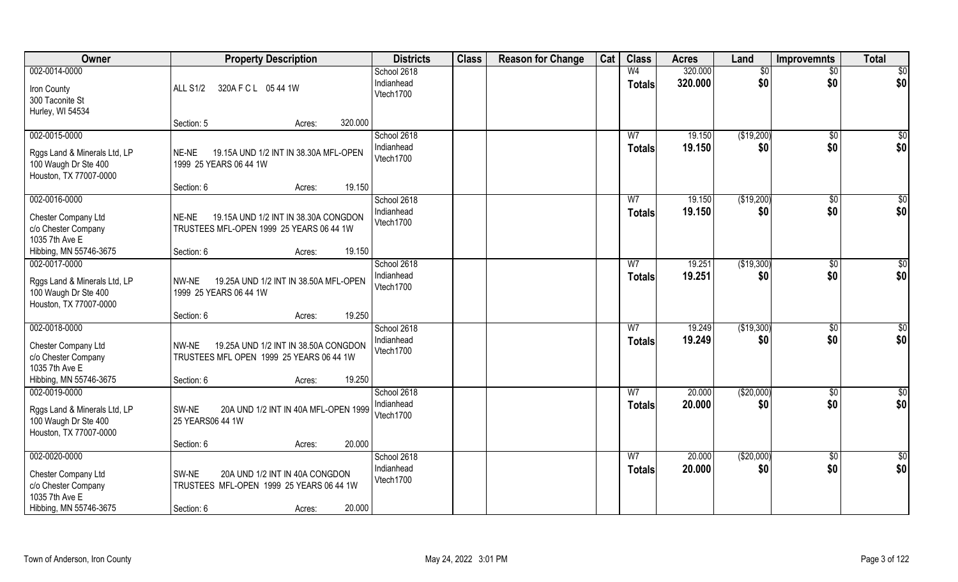| Owner                                                                                                   | <b>Property Description</b>                                                                                                 | <b>Districts</b>                       | <b>Class</b> | <b>Reason for Change</b> | Cat | <b>Class</b>                    | <b>Acres</b>     | Land               | Improvemnts          | <b>Total</b>           |
|---------------------------------------------------------------------------------------------------------|-----------------------------------------------------------------------------------------------------------------------------|----------------------------------------|--------------|--------------------------|-----|---------------------------------|------------------|--------------------|----------------------|------------------------|
| 002-0014-0000                                                                                           |                                                                                                                             | School 2618                            |              |                          |     | W <sub>4</sub>                  | 320.000          | \$0                | $\overline{50}$      | \$0                    |
| Iron County<br>300 Taconite St<br>Hurley, WI 54534                                                      | 320A F C L 05 44 1W<br><b>ALL S1/2</b>                                                                                      | Indianhead<br>Vtech1700                |              |                          |     | <b>Totals</b>                   | 320.000          | \$0                | \$0                  | \$0                    |
|                                                                                                         | 320.000<br>Section: 5<br>Acres:                                                                                             |                                        |              |                          |     |                                 |                  |                    |                      |                        |
| 002-0015-0000<br>Rggs Land & Minerals Ltd, LP<br>100 Waugh Dr Ste 400<br>Houston, TX 77007-0000         | 19.15A UND 1/2 INT IN 38.30A MFL-OPEN<br>NE-NE<br>1999 25 YEARS 06 44 1W                                                    | School 2618<br>Indianhead<br>Vtech1700 |              |                          |     | W <sub>7</sub><br>Totals        | 19.150<br>19.150 | (\$19,200)<br>\$0  | \$0<br>\$0           | \$0<br>\$0             |
|                                                                                                         | 19.150<br>Section: 6<br>Acres:                                                                                              |                                        |              |                          |     |                                 |                  |                    |                      |                        |
| 002-0016-0000<br>Chester Company Ltd<br>c/o Chester Company<br>1035 7th Ave E                           | 19.15A UND 1/2 INT IN 38.30A CONGDON<br>NE-NE<br>TRUSTEES MFL-OPEN 1999 25 YEARS 06 44 1W                                   | School 2618<br>Indianhead<br>Vtech1700 |              |                          |     | W7<br><b>Totals</b>             | 19.150<br>19.150 | (\$19,200)<br>\$0  | \$0<br>\$0           | \$0<br>\$0             |
| Hibbing, MN 55746-3675                                                                                  | 19.150<br>Section: 6<br>Acres:                                                                                              |                                        |              |                          |     |                                 |                  |                    |                      |                        |
| 002-0017-0000<br>Rggs Land & Minerals Ltd, LP<br>100 Waugh Dr Ste 400<br>Houston, TX 77007-0000         | 19.25A UND 1/2 INT IN 38.50A MFL-OPEN<br>NW-NE<br>1999 25 YEARS 06 44 1W                                                    | School 2618<br>Indianhead<br>Vtech1700 |              |                          |     | W7<br><b>Totals</b>             | 19.251<br>19.251 | (\$19,300)<br>\$0  | $\sqrt[6]{3}$<br>\$0 | \$0<br>\$0             |
|                                                                                                         | 19.250<br>Section: 6<br>Acres:                                                                                              |                                        |              |                          |     |                                 |                  |                    |                      |                        |
| 002-0018-0000<br>Chester Company Ltd<br>c/o Chester Company<br>1035 7th Ave E<br>Hibbing, MN 55746-3675 | 19.25A UND 1/2 INT IN 38.50A CONGDON<br>NW-NE<br>TRUSTEES MFL OPEN 1999 25 YEARS 06 44 1W<br>19.250<br>Section: 6<br>Acres: | School 2618<br>Indianhead<br>Vtech1700 |              |                          |     | $\overline{W}$<br><b>Totals</b> | 19.249<br>19.249 | (\$19,300)<br>\$0  | \$0<br>\$0           | $\overline{50}$<br>\$0 |
| 002-0019-0000                                                                                           |                                                                                                                             | School 2618<br>Indianhead              |              |                          |     | W <sub>7</sub>                  | 20.000<br>20.000 | (\$20,000)<br>\$0  | \$0<br>\$0           | $\frac{6}{3}$<br>\$0   |
| Rggs Land & Minerals Ltd, LP<br>100 Waugh Dr Ste 400<br>Houston, TX 77007-0000                          | SW-NE<br>20A UND 1/2 INT IN 40A MFL-OPEN 1999<br>25 YEARS06 44 1W                                                           | Vtech1700                              |              |                          |     | <b>Totals</b>                   |                  |                    |                      |                        |
|                                                                                                         | 20.000<br>Section: 6<br>Acres:                                                                                              |                                        |              |                          |     |                                 |                  |                    |                      |                        |
| 002-0020-0000<br>Chester Company Ltd<br>c/o Chester Company<br>1035 7th Ave E<br>Hibbing, MN 55746-3675 | 20A UND 1/2 INT IN 40A CONGDON<br>SW-NE<br>TRUSTEES MFL-OPEN 1999 25 YEARS 06 44 1W<br>20.000<br>Section: 6<br>Acres:       | School 2618<br>Indianhead<br>Vtech1700 |              |                          |     | W <sub>7</sub><br><b>Totals</b> | 20.000<br>20.000 | ( \$20,000)<br>\$0 | $\sqrt{$0}$<br>\$0   | \$0<br>\$0             |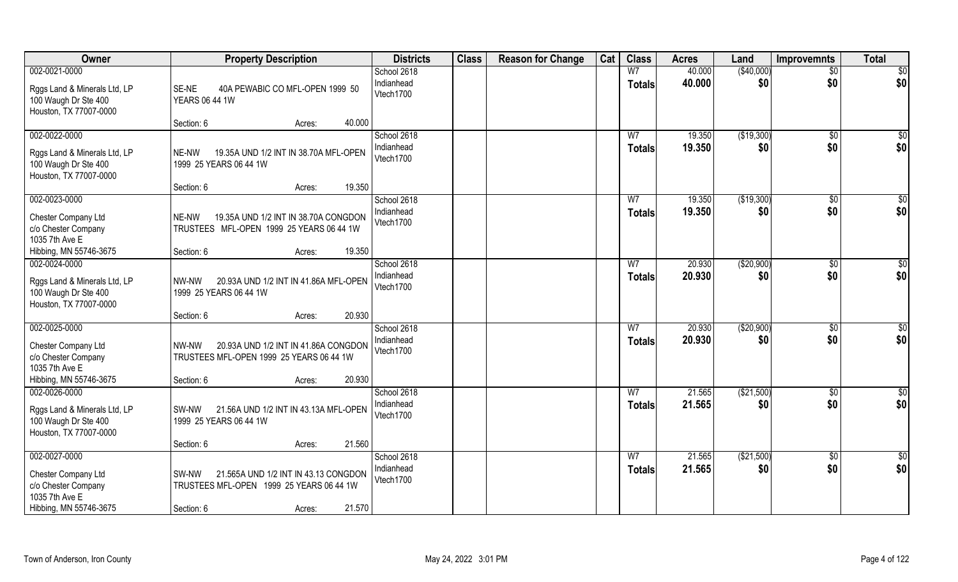| <b>Owner</b>                                                                                            | <b>Property Description</b>                                                                                                 | <b>Districts</b>                       | <b>Class</b> | <b>Reason for Change</b> | Cat | <b>Class</b>                    | <b>Acres</b>     | Land               | <b>Improvemnts</b>     | <b>Total</b>    |
|---------------------------------------------------------------------------------------------------------|-----------------------------------------------------------------------------------------------------------------------------|----------------------------------------|--------------|--------------------------|-----|---------------------------------|------------------|--------------------|------------------------|-----------------|
| 002-0021-0000                                                                                           |                                                                                                                             | School 2618                            |              |                          |     | W <sub>7</sub>                  | 40.000           | (\$40,000)         | $\overline{50}$        | $\overline{50}$ |
| Rggs Land & Minerals Ltd, LP<br>100 Waugh Dr Ste 400<br>Houston, TX 77007-0000                          | SE-NE<br>40A PEWABIC CO MFL-OPEN 1999 50<br><b>YEARS 06 44 1W</b>                                                           | Indianhead<br>Vtech1700                |              |                          |     | <b>Totals</b>                   | 40.000           | \$0                | \$0                    | \$0             |
|                                                                                                         | 40.000<br>Section: 6<br>Acres:                                                                                              |                                        |              |                          |     |                                 |                  |                    |                        |                 |
| 002-0022-0000<br>Rggs Land & Minerals Ltd, LP<br>100 Waugh Dr Ste 400<br>Houston, TX 77007-0000         | 19.35A UND 1/2 INT IN 38.70A MFL-OPEN<br>NE-NW<br>1999 25 YEARS 06 44 1W                                                    | School 2618<br>Indianhead<br>Vtech1700 |              |                          |     | W <sub>7</sub><br>Totals        | 19.350<br>19.350 | (\$19,300)<br>\$0  | \$0<br>\$0             | \$0<br>\$0      |
|                                                                                                         | 19.350<br>Section: 6<br>Acres:                                                                                              |                                        |              |                          |     |                                 |                  |                    |                        |                 |
| 002-0023-0000<br>Chester Company Ltd<br>c/o Chester Company<br>1035 7th Ave E                           | 19.35A UND 1/2 INT IN 38.70A CONGDON<br>NE-NW<br>TRUSTEES MFL-OPEN 1999 25 YEARS 06 44 1W                                   | School 2618<br>Indianhead<br>Vtech1700 |              |                          |     | W <sub>7</sub><br><b>Totals</b> | 19.350<br>19.350 | (\$19,300)<br>\$0  | $\sqrt[6]{3}$<br>\$0   | \$0<br>\$0      |
| Hibbing, MN 55746-3675                                                                                  | 19.350<br>Section: 6<br>Acres:                                                                                              |                                        |              |                          |     |                                 |                  |                    |                        |                 |
| 002-0024-0000<br>Rggs Land & Minerals Ltd, LP<br>100 Waugh Dr Ste 400<br>Houston, TX 77007-0000         | 20.93A UND 1/2 INT IN 41.86A MFL-OPEN<br>NW-NW<br>1999 25 YEARS 06 44 1W                                                    | School 2618<br>Indianhead<br>Vtech1700 |              |                          |     | W7<br><b>Totals</b>             | 20.930<br>20.930 | ( \$20,900)<br>\$0 | \$0<br>\$0             | \$0<br>\$0      |
|                                                                                                         | 20.930<br>Section: 6<br>Acres:                                                                                              |                                        |              |                          |     |                                 |                  |                    |                        |                 |
| 002-0025-0000<br>Chester Company Ltd<br>c/o Chester Company<br>1035 7th Ave E<br>Hibbing, MN 55746-3675 | 20.93A UND 1/2 INT IN 41.86A CONGDON<br>NW-NW<br>TRUSTEES MFL-OPEN 1999 25 YEARS 06 44 1W<br>20.930<br>Section: 6<br>Acres: | School 2618<br>Indianhead<br>Vtech1700 |              |                          |     | W <sub>7</sub><br><b>Totals</b> | 20.930<br>20.930 | (\$20,900)<br>\$0  | \$0<br>\$0             | \$0<br>\$0      |
| 002-0026-0000                                                                                           |                                                                                                                             | School 2618                            |              |                          |     | W <sub>7</sub>                  | 21.565           | (\$21,500)         | $\sqrt{$0}$            | \$0             |
| Rggs Land & Minerals Ltd, LP<br>100 Waugh Dr Ste 400<br>Houston, TX 77007-0000                          | SW-NW<br>21.56A UND 1/2 INT IN 43.13A MFL-OPEN<br>1999 25 YEARS 06 44 1W                                                    | Indianhead<br>Vtech1700                |              |                          |     | <b>Totals</b>                   | 21.565           | \$0                | \$0                    | \$0             |
|                                                                                                         | 21.560<br>Section: 6<br>Acres:                                                                                              |                                        |              |                          |     |                                 |                  |                    |                        |                 |
| 002-0027-0000<br>Chester Company Ltd<br>c/o Chester Company<br>1035 7th Ave E                           | 21.565A UND 1/2 INT IN 43.13 CONGDON<br>SW-NW<br>TRUSTEES MFL-OPEN 1999 25 YEARS 06 44 1W                                   | School 2618<br>Indianhead<br>Vtech1700 |              |                          |     | W <sub>7</sub><br><b>Totals</b> | 21.565<br>21.565 | (\$21,500)<br>\$0  | $\overline{50}$<br>\$0 | \$0<br>\$0      |
| Hibbing, MN 55746-3675                                                                                  | 21.570<br>Section: 6<br>Acres:                                                                                              |                                        |              |                          |     |                                 |                  |                    |                        |                 |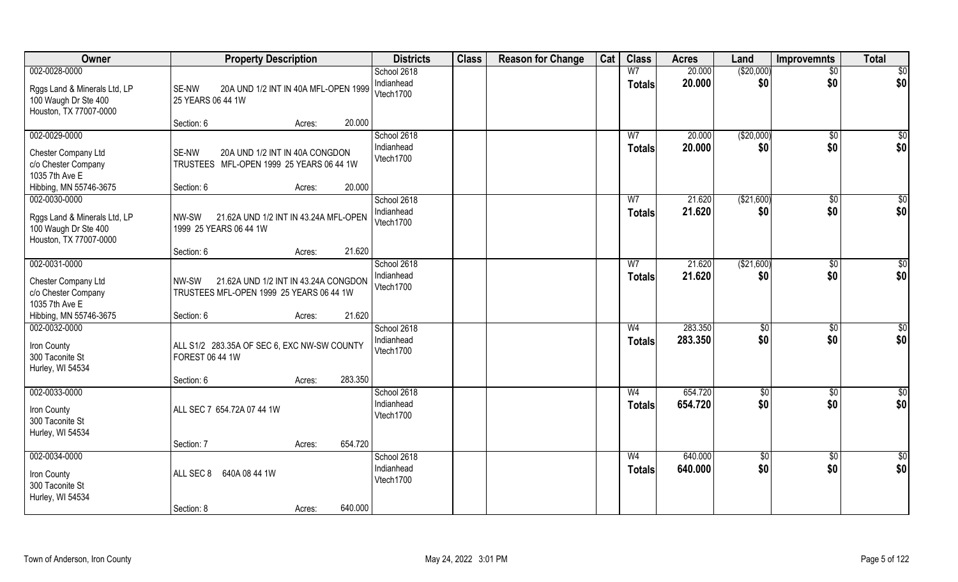| Owner                                                                          | <b>Property Description</b>                                                               |         | <b>Districts</b>                       | <b>Class</b> | <b>Reason for Change</b> | Cat | <b>Class</b>                    | <b>Acres</b>       | Land                 | <b>Improvemnts</b>   | <b>Total</b>           |
|--------------------------------------------------------------------------------|-------------------------------------------------------------------------------------------|---------|----------------------------------------|--------------|--------------------------|-----|---------------------------------|--------------------|----------------------|----------------------|------------------------|
| 002-0028-0000                                                                  |                                                                                           |         | School 2618                            |              |                          |     | W <sub>7</sub>                  | 20.000             | (\$20,000)           | $\overline{50}$      | $\overline{50}$        |
| Rggs Land & Minerals Ltd, LP<br>100 Waugh Dr Ste 400<br>Houston, TX 77007-0000 | SE-NW<br>20A UND 1/2 INT IN 40A MFL-OPEN 1999<br>25 YEARS 06 44 1W                        |         | Indianhead<br>Vtech1700                |              |                          |     | <b>Totals</b>                   | 20.000             | \$0                  | \$0                  | \$0                    |
|                                                                                | Section: 6<br>Acres:                                                                      | 20.000  |                                        |              |                          |     |                                 |                    |                      |                      |                        |
| 002-0029-0000                                                                  |                                                                                           |         | School 2618                            |              |                          |     | W <sub>7</sub>                  | 20.000             | (\$20,000)           | $\sqrt{$0}$          | $\sqrt{50}$            |
| Chester Company Ltd<br>c/o Chester Company<br>1035 7th Ave E                   | 20A UND 1/2 INT IN 40A CONGDON<br>SE-NW<br>TRUSTEES MFL-OPEN 1999 25 YEARS 06 44 1W       |         | Indianhead<br>Vtech1700                |              |                          |     | Totals                          | 20.000             | \$0                  | \$0                  | \$0                    |
| Hibbing, MN 55746-3675                                                         | Section: 6<br>Acres:                                                                      | 20.000  |                                        |              |                          |     |                                 |                    |                      |                      |                        |
| 002-0030-0000                                                                  |                                                                                           |         | School 2618                            |              |                          |     | W <sub>7</sub>                  | 21.620             | ( \$21,600)          | $\sqrt[6]{30}$       | \$0                    |
| Rggs Land & Minerals Ltd, LP<br>100 Waugh Dr Ste 400<br>Houston, TX 77007-0000 | 21.62A UND 1/2 INT IN 43.24A MFL-OPEN<br>NW-SW<br>1999 25 YEARS 06 44 1W                  |         | Indianhead<br>Vtech1700                |              |                          |     | <b>Totals</b>                   | 21.620             | \$0                  | \$0                  | \$0                    |
|                                                                                | Section: 6<br>Acres:                                                                      | 21.620  |                                        |              |                          |     |                                 |                    |                      |                      |                        |
| 002-0031-0000                                                                  |                                                                                           |         | School 2618                            |              |                          |     | W7                              | 21.620             | ( \$21,600)          | $\sqrt[6]{3}$        | \$0                    |
| Chester Company Ltd<br>c/o Chester Company<br>1035 7th Ave E                   | 21.62A UND 1/2 INT IN 43.24A CONGDON<br>NW-SW<br>TRUSTEES MFL-OPEN 1999 25 YEARS 06 44 1W |         | Indianhead<br>Vtech1700                |              |                          |     | <b>Totals</b>                   | 21.620             | \$0                  | \$0                  | \$0                    |
| Hibbing, MN 55746-3675                                                         | Section: 6<br>Acres:                                                                      | 21.620  |                                        |              |                          |     |                                 |                    |                      |                      |                        |
| 002-0032-0000<br>Iron County<br>300 Taconite St<br>Hurley, WI 54534            | ALL S1/2 283.35A OF SEC 6, EXC NW-SW COUNTY<br>FOREST 06 44 1W                            |         | School 2618<br>Indianhead<br>Vtech1700 |              |                          |     | W <sub>4</sub><br><b>Totals</b> | 283.350<br>283.350 | $\sqrt[6]{3}$<br>\$0 | $\sqrt[6]{3}$<br>\$0 | \$0<br>\$0             |
|                                                                                | Section: 6<br>Acres:                                                                      | 283.350 |                                        |              |                          |     |                                 |                    |                      |                      |                        |
| 002-0033-0000<br>Iron County<br>300 Taconite St<br>Hurley, WI 54534            | ALL SEC 7 654.72A 07 44 1W                                                                |         | School 2618<br>Indianhead<br>Vtech1700 |              |                          |     | W <sub>4</sub><br><b>Totals</b> | 654.720<br>654.720 | \$0<br>\$0           | \$0<br>\$0           | $\frac{6}{3}$<br>\$0   |
|                                                                                | Section: 7<br>Acres:                                                                      | 654.720 |                                        |              |                          |     |                                 |                    |                      |                      |                        |
| $002 - 0034 - 0000$<br>Iron County                                             | ALL SEC 8<br>640A 08 44 1W                                                                |         | School 2618<br>Indianhead<br>Vtech1700 |              |                          |     | W <sub>4</sub><br><b>Totals</b> | 640.000<br>640.000 | $\sqrt{6}$<br>\$0    | $\sqrt{$0}$<br>\$0   | $\overline{50}$<br>\$0 |
| 300 Taconite St<br>Hurley, WI 54534                                            | Section: 8<br>Acres:                                                                      | 640.000 |                                        |              |                          |     |                                 |                    |                      |                      |                        |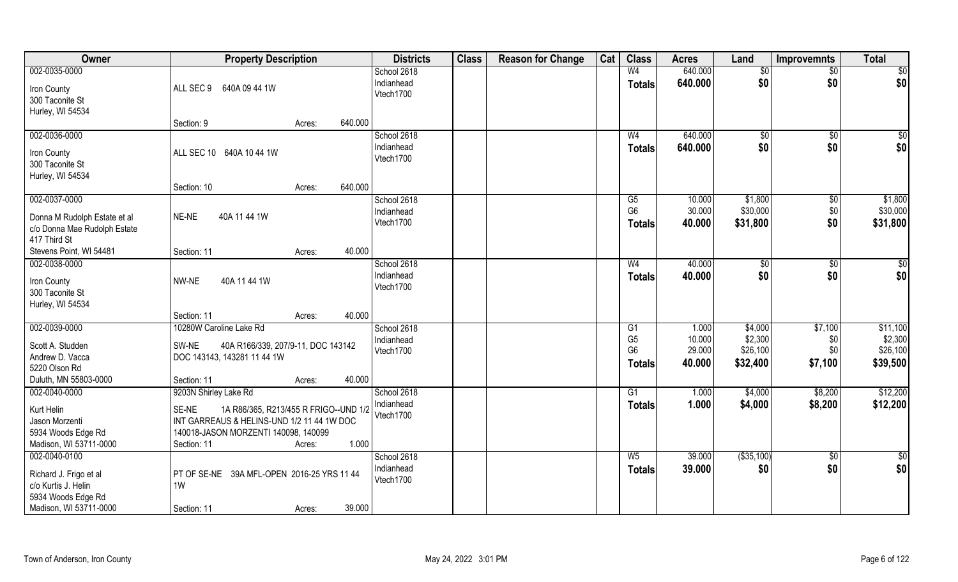| Owner                                         | <b>Property Description</b>                                                        | <b>Districts</b>        | <b>Class</b> | <b>Reason for Change</b> | Cat | <b>Class</b>         | <b>Acres</b>     | Land                | <b>Improvemnts</b> | <b>Total</b>        |
|-----------------------------------------------|------------------------------------------------------------------------------------|-------------------------|--------------|--------------------------|-----|----------------------|------------------|---------------------|--------------------|---------------------|
| 002-0035-0000                                 |                                                                                    | School 2618             |              |                          |     | W <sub>4</sub>       | 640.000          | \$0                 | $\frac{1}{30}$     | \$0                 |
| Iron County                                   | ALL SEC 9 640A 09 44 1W                                                            | Indianhead<br>Vtech1700 |              |                          |     | <b>Totals</b>        | 640.000          | \$0                 | \$0                | \$0                 |
| 300 Taconite St                               |                                                                                    |                         |              |                          |     |                      |                  |                     |                    |                     |
| Hurley, WI 54534                              | 640.000                                                                            |                         |              |                          |     |                      |                  |                     |                    |                     |
| 002-0036-0000                                 | Section: 9<br>Acres:                                                               | School 2618             |              |                          |     | W <sub>4</sub>       | 640.000          | $\sqrt{50}$         | $\frac{1}{2}$      | \$0                 |
|                                               |                                                                                    | Indianhead              |              |                          |     | Totals               | 640.000          | \$0                 | \$0                | \$0                 |
| Iron County                                   | ALL SEC 10 640A 10 44 1W                                                           | Vtech1700               |              |                          |     |                      |                  |                     |                    |                     |
| 300 Taconite St<br>Hurley, WI 54534           |                                                                                    |                         |              |                          |     |                      |                  |                     |                    |                     |
|                                               | 640.000<br>Section: 10<br>Acres:                                                   |                         |              |                          |     |                      |                  |                     |                    |                     |
| 002-0037-0000                                 |                                                                                    | School 2618             |              |                          |     | G5                   | 10.000           | \$1,800             | $\overline{50}$    | \$1,800             |
| Donna M Rudolph Estate et al                  | NE-NE<br>40A 11 44 1W                                                              | Indianhead              |              |                          |     | G <sub>6</sub>       | 30.000           | \$30,000            | \$0                | \$30,000            |
| c/o Donna Mae Rudolph Estate                  |                                                                                    | Vtech1700               |              |                          |     | Totals               | 40.000           | \$31,800            | \$0                | \$31,800            |
| 417 Third St                                  |                                                                                    |                         |              |                          |     |                      |                  |                     |                    |                     |
| Stevens Point, WI 54481                       | 40.000<br>Section: 11<br>Acres:                                                    |                         |              |                          |     |                      |                  |                     |                    |                     |
| 002-0038-0000                                 |                                                                                    | School 2618             |              |                          |     | W <sub>4</sub>       | 40.000           | \$0                 | \$0                | \$0                 |
| Iron County                                   | NW-NE<br>40A 11 44 1W                                                              | Indianhead              |              |                          |     | <b>Totals</b>        | 40.000           | \$0                 | \$0                | \$0                 |
| 300 Taconite St                               |                                                                                    | Vtech1700               |              |                          |     |                      |                  |                     |                    |                     |
| Hurley, WI 54534                              |                                                                                    |                         |              |                          |     |                      |                  |                     |                    |                     |
|                                               | 40.000<br>Section: 11<br>Acres:                                                    |                         |              |                          |     |                      |                  |                     |                    |                     |
| 002-0039-0000                                 | 10280W Caroline Lake Rd                                                            | School 2618             |              |                          |     | G1<br>G <sub>5</sub> | 1.000            | \$4,000             | \$7,100            | \$11,100<br>\$2,300 |
| Scott A. Studden                              | SW-NE<br>40A R166/339, 207/9-11, DOC 143142                                        | Indianhead<br>Vtech1700 |              |                          |     | G <sub>6</sub>       | 10.000<br>29.000 | \$2,300<br>\$26,100 | \$0<br>\$0         | \$26,100            |
| Andrew D. Vacca                               | DOC 143143, 143281 11 44 1W                                                        |                         |              |                          |     | <b>Totals</b>        | 40.000           | \$32,400            | \$7,100            | \$39,500            |
| 5220 Olson Rd                                 |                                                                                    |                         |              |                          |     |                      |                  |                     |                    |                     |
| Duluth, MN 55803-0000<br>002-0040-0000        | 40.000<br>Section: 11<br>Acres:<br>9203N Shirley Lake Rd                           | School 2618             |              |                          |     | G1                   | 1.000            | \$4,000             | \$8,200            | \$12,200            |
|                                               |                                                                                    | Indianhead              |              |                          |     | <b>Totals</b>        | 1.000            | \$4,000             | \$8,200            | \$12,200            |
| Kurt Helin                                    | SE-NE<br>1A R86/365, R213/455 R FRIGO--UND 1/2                                     | Vtech1700               |              |                          |     |                      |                  |                     |                    |                     |
| Jason Morzenti<br>5934 Woods Edge Rd          | INT GARREAUS & HELINS-UND 1/2 11 44 1W DOC<br>140018-JASON MORZENTI 140098, 140099 |                         |              |                          |     |                      |                  |                     |                    |                     |
| Madison, WI 53711-0000                        | 1.000<br>Section: 11<br>Acres:                                                     |                         |              |                          |     |                      |                  |                     |                    |                     |
| 002-0040-0100                                 |                                                                                    | School 2618             |              |                          |     | $W_5$                | 39.000           | ( \$35, 100)        | \$0                | $\frac{1}{6}$       |
|                                               | PT OF SE-NE 39A MFL-OPEN 2016-25 YRS 11 44                                         | Indianhead              |              |                          |     | <b>Totals</b>        | 39.000           | \$0                 | \$0                | \$0                 |
| Richard J. Frigo et al<br>c/o Kurtis J. Helin | 1W                                                                                 | Vtech1700               |              |                          |     |                      |                  |                     |                    |                     |
| 5934 Woods Edge Rd                            |                                                                                    |                         |              |                          |     |                      |                  |                     |                    |                     |
| Madison, WI 53711-0000                        | 39.000<br>Section: 11<br>Acres:                                                    |                         |              |                          |     |                      |                  |                     |                    |                     |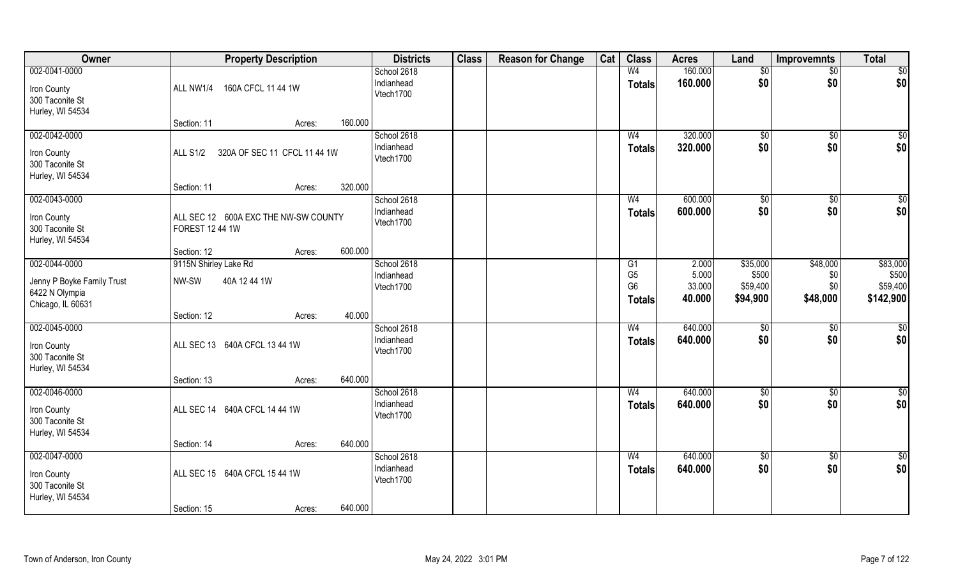| Owner                               | <b>Property Description</b>                     |                           | <b>Class</b><br><b>Districts</b> | <b>Reason for Change</b> | Cat | <b>Class</b>                    | <b>Acres</b>       | Land                 | Improvemnts        | <b>Total</b>           |
|-------------------------------------|-------------------------------------------------|---------------------------|----------------------------------|--------------------------|-----|---------------------------------|--------------------|----------------------|--------------------|------------------------|
| 002-0041-0000                       |                                                 | School 2618               |                                  |                          |     | W <sub>4</sub>                  | 160.000            | $\sqrt[6]{}$         | $\sqrt{$0}$        | \$0                    |
| Iron County                         | ALL NW1/4<br>160A CFCL 11 44 1W                 | Indianhead<br>Vtech1700   |                                  |                          |     | <b>Totals</b>                   | 160.000            | \$0                  | \$0                | \$0                    |
| 300 Taconite St<br>Hurley, WI 54534 |                                                 |                           |                                  |                          |     |                                 |                    |                      |                    |                        |
|                                     | Section: 11<br>Acres:                           | 160.000                   |                                  |                          |     |                                 |                    |                      |                    |                        |
| 002-0042-0000                       |                                                 | School 2618               |                                  |                          |     | W <sub>4</sub>                  | 320.000            | \$0                  | \$0                | \$0                    |
| Iron County                         | 320A OF SEC 11 CFCL 11 44 1W<br><b>ALL S1/2</b> | Indianhead<br>Vtech1700   |                                  |                          |     | <b>Totals</b>                   | 320.000            | \$0                  | \$0                | \$0                    |
| 300 Taconite St                     |                                                 |                           |                                  |                          |     |                                 |                    |                      |                    |                        |
| Hurley, WI 54534                    | Section: 11<br>Acres:                           | 320.000                   |                                  |                          |     |                                 |                    |                      |                    |                        |
| 002-0043-0000                       |                                                 | School 2618               |                                  |                          |     | W <sub>4</sub>                  | 600.000            | $\sqrt[6]{2}$        | $\sqrt[6]{3}$      | \$0                    |
| Iron County                         | ALL SEC 12 600A EXC THE NW-SW COUNTY            | Indianhead                |                                  |                          |     | <b>Totals</b>                   | 600.000            | \$0                  | \$0                | \$0                    |
| 300 Taconite St                     | FOREST 12 44 1W                                 | Vtech1700                 |                                  |                          |     |                                 |                    |                      |                    |                        |
| Hurley, WI 54534                    | Section: 12<br>Acres:                           | 600.000                   |                                  |                          |     |                                 |                    |                      |                    |                        |
| 002-0044-0000                       | 9115N Shirley Lake Rd                           | School 2618               |                                  |                          |     | G1                              | 2.000              | \$35,000             | \$48,000           | \$83,000               |
| Jenny P Boyke Family Trust          | NW-SW<br>40A 12 44 1W                           | Indianhead                |                                  |                          |     | G <sub>5</sub>                  | 5.000              | \$500                | \$0                | \$500                  |
| 6422 N Olympia                      |                                                 | Vtech1700                 |                                  |                          |     | G <sub>6</sub><br><b>Totals</b> | 33.000<br>40.000   | \$59,400<br>\$94,900 | \$0<br>\$48,000    | \$59,400<br>\$142,900  |
| Chicago, IL 60631                   |                                                 | 40.000                    |                                  |                          |     |                                 |                    |                      |                    |                        |
| 002-0045-0000                       | Section: 12<br>Acres:                           | School 2618               |                                  |                          |     | W <sub>4</sub>                  | 640.000            | \$0                  | \$0                | \$0                    |
| Iron County                         | ALL SEC 13 640A CFCL 13 44 1W                   | Indianhead                |                                  |                          |     | <b>Totals</b>                   | 640.000            | \$0                  | \$0                | \$0                    |
| 300 Taconite St                     |                                                 | Vtech1700                 |                                  |                          |     |                                 |                    |                      |                    |                        |
| Hurley, WI 54534                    |                                                 |                           |                                  |                          |     |                                 |                    |                      |                    |                        |
| 002-0046-0000                       | Section: 13<br>Acres:                           | 640.000<br>School 2618    |                                  |                          |     | W <sub>4</sub>                  | 640.000            | \$0                  | \$0                | $\overline{50}$        |
|                                     |                                                 | Indianhead                |                                  |                          |     | <b>Totals</b>                   | 640.000            | \$0                  | \$0                | \$0                    |
| Iron County<br>300 Taconite St      | ALL SEC 14 640A CFCL 14 44 1W                   | Vtech1700                 |                                  |                          |     |                                 |                    |                      |                    |                        |
| Hurley, WI 54534                    |                                                 |                           |                                  |                          |     |                                 |                    |                      |                    |                        |
|                                     | Section: 14<br>Acres:                           | 640.000                   |                                  |                          |     |                                 |                    |                      |                    |                        |
| 002-0047-0000                       |                                                 | School 2618<br>Indianhead |                                  |                          |     | W <sub>4</sub><br><b>Totals</b> | 640.000<br>640.000 | $\sqrt{6}$<br>\$0    | $\sqrt{$0}$<br>\$0 | $\overline{50}$<br>\$0 |
| Iron County<br>300 Taconite St      | ALL SEC 15 640A CFCL 15 44 1W                   | Vtech1700                 |                                  |                          |     |                                 |                    |                      |                    |                        |
| Hurley, WI 54534                    |                                                 |                           |                                  |                          |     |                                 |                    |                      |                    |                        |
|                                     | Section: 15<br>Acres:                           | 640.000                   |                                  |                          |     |                                 |                    |                      |                    |                        |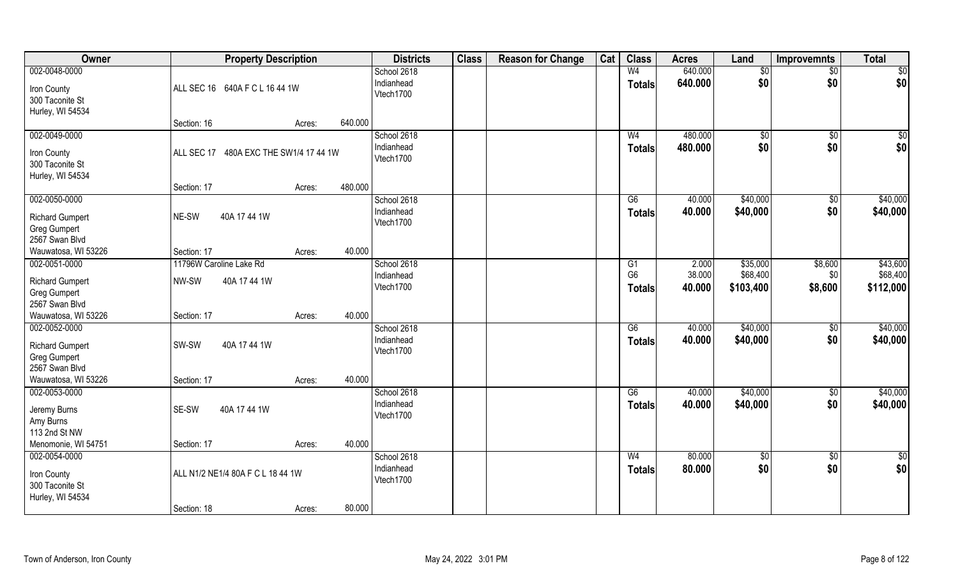| Owner                                                                                            | <b>Property Description</b>                      |                   | <b>Districts</b>                       | <b>Class</b> | <b>Reason for Change</b> | Cat | <b>Class</b>                          | <b>Acres</b>              | Land                              | <b>Improvemnts</b>        | <b>Total</b>                      |
|--------------------------------------------------------------------------------------------------|--------------------------------------------------|-------------------|----------------------------------------|--------------|--------------------------|-----|---------------------------------------|---------------------------|-----------------------------------|---------------------------|-----------------------------------|
| 002-0048-0000<br>Iron County<br>300 Taconite St                                                  | ALL SEC 16 640A F C L 16 44 1W                   |                   | School 2618<br>Indianhead<br>Vtech1700 |              |                          |     | W <sub>4</sub><br><b>Totals</b>       | 640.000<br>640.000        | \$0<br>\$0                        | \$0<br>\$0                | \$0<br>\$0                        |
| Hurley, WI 54534                                                                                 | Section: 16                                      | 640.000<br>Acres: |                                        |              |                          |     |                                       |                           |                                   |                           |                                   |
| 002-0049-0000<br>Iron County<br>300 Taconite St<br>Hurley, WI 54534                              | 480A EXC THE SW1/4 17 44 1W<br>ALL SEC 17        |                   | School 2618<br>Indianhead<br>Vtech1700 |              |                          |     | W <sub>4</sub><br><b>Totals</b>       | 480.000<br>480.000        | \$0<br>\$0                        | $\overline{50}$<br>\$0    | \$0<br>\$0                        |
| 002-0050-0000                                                                                    | Section: 17                                      | 480.000<br>Acres: | School 2618                            |              |                          |     | G6                                    | 40.000                    | \$40,000                          | \$0                       | \$40,000                          |
| <b>Richard Gumpert</b><br>Greg Gumpert<br>2567 Swan Blvd                                         | NE-SW<br>40A 17 44 1W                            |                   | Indianhead<br>Vtech1700                |              |                          |     | <b>Totals</b>                         | 40.000                    | \$40,000                          | \$0                       | \$40,000                          |
| Wauwatosa, WI 53226                                                                              | Section: 17                                      | 40.000<br>Acres:  |                                        |              |                          |     |                                       |                           |                                   |                           |                                   |
| 002-0051-0000<br><b>Richard Gumpert</b><br>Greg Gumpert<br>2567 Swan Blvd                        | 11796W Caroline Lake Rd<br>NW-SW<br>40A 17 44 1W |                   | School 2618<br>Indianhead<br>Vtech1700 |              |                          |     | G1<br>G <sub>6</sub><br><b>Totals</b> | 2.000<br>38.000<br>40.000 | \$35,000<br>\$68,400<br>\$103,400 | \$8,600<br>\$0<br>\$8,600 | \$43,600<br>\$68,400<br>\$112,000 |
| Wauwatosa, WI 53226                                                                              | Section: 17                                      | 40.000<br>Acres:  |                                        |              |                          |     |                                       |                           |                                   |                           |                                   |
| 002-0052-0000<br><b>Richard Gumpert</b><br>Greg Gumpert<br>2567 Swan Blvd<br>Wauwatosa, WI 53226 | SW-SW<br>40A 17 44 1W<br>Section: 17             | 40.000<br>Acres:  | School 2618<br>Indianhead<br>Vtech1700 |              |                          |     | $\overline{G6}$<br><b>Totals</b>      | 40.000<br>40.000          | \$40,000<br>\$40,000              | $\overline{50}$<br>\$0    | \$40,000<br>\$40,000              |
| 002-0053-0000                                                                                    |                                                  |                   | School 2618                            |              |                          |     | G6                                    | 40.000                    | \$40,000                          | \$0                       | \$40,000                          |
| Jeremy Burns<br>Amy Burns<br>113 2nd St NW                                                       | SE-SW<br>40A 17 44 1W                            |                   | Indianhead<br>Vtech1700                |              |                          |     | <b>Totals</b>                         | 40.000                    | \$40,000                          | \$0                       | \$40,000                          |
| Menomonie, WI 54751                                                                              | Section: 17                                      | 40.000<br>Acres:  |                                        |              |                          |     |                                       |                           |                                   |                           |                                   |
| 002-0054-0000<br>Iron County<br>300 Taconite St<br>Hurley, WI 54534                              | ALL N1/2 NE1/4 80A F C L 18 44 1W                |                   | School 2618<br>Indianhead<br>Vtech1700 |              |                          |     | W <sub>4</sub><br><b>Totals</b>       | 80.000<br>80.000          | $\sqrt{$0}$<br>\$0                | $\overline{50}$<br>\$0    | $\frac{1}{6}$<br>\$0              |
|                                                                                                  | Section: 18                                      | 80.000<br>Acres:  |                                        |              |                          |     |                                       |                           |                                   |                           |                                   |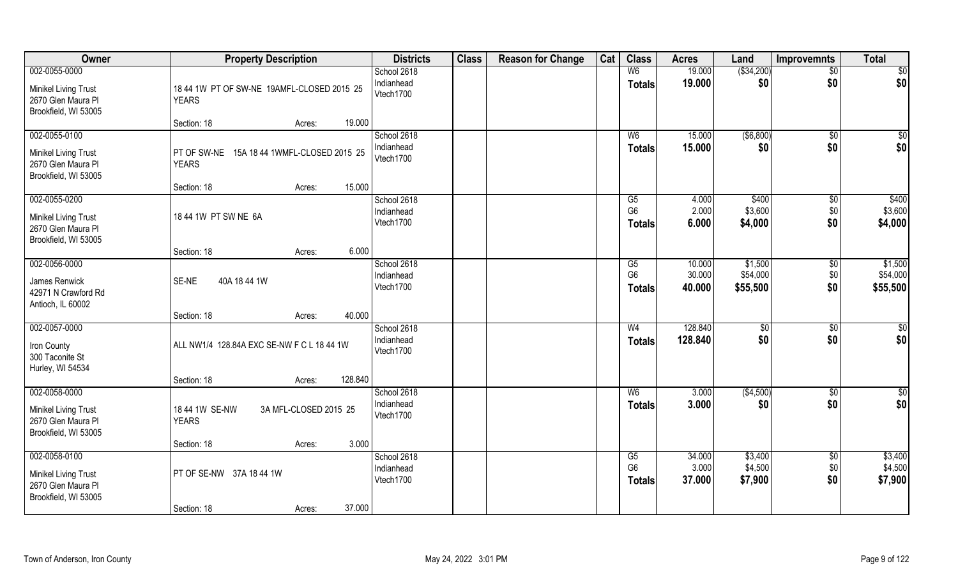| Owner                                                                                      | <b>Property Description</b>                                | <b>Districts</b>                       | <b>Class</b> | <b>Reason for Change</b> | Cat | <b>Class</b>                          | <b>Acres</b>               | Land                            | Improvemnts               | <b>Total</b>                    |
|--------------------------------------------------------------------------------------------|------------------------------------------------------------|----------------------------------------|--------------|--------------------------|-----|---------------------------------------|----------------------------|---------------------------------|---------------------------|---------------------------------|
| 002-0055-0000<br><b>Minikel Living Trust</b><br>2670 Glen Maura Pl                         | 18 44 1W PT OF SW-NE 19AMFL-CLOSED 2015 25<br><b>YEARS</b> | School 2618<br>Indianhead<br>Vtech1700 |              |                          |     | W <sub>6</sub><br><b>Totals</b>       | 19.000<br>19.000           | ( \$34,200)<br>\$0              | $\overline{50}$<br>\$0    | \$0<br>\$0                      |
| Brookfield, WI 53005                                                                       | 19.000<br>Section: 18<br>Acres:                            |                                        |              |                          |     |                                       |                            |                                 |                           |                                 |
| 002-0055-0100<br><b>Minikel Living Trust</b><br>2670 Glen Maura Pl<br>Brookfield, WI 53005 | PT OF SW-NE 15A 18 44 1WMFL-CLOSED 2015 25<br><b>YEARS</b> | School 2618<br>Indianhead<br>Vtech1700 |              |                          |     | W <sub>6</sub><br>Totals              | 15.000<br>15.000           | ( \$6, 800)<br>\$0              | \$0<br>\$0                | \$0<br>\$0                      |
| 002-0055-0200                                                                              | 15.000<br>Section: 18<br>Acres:                            | School 2618                            |              |                          |     | G5                                    | 4.000                      | \$400                           | $\sqrt[6]{3}$             | \$400                           |
| <b>Minikel Living Trust</b><br>2670 Glen Maura Pl<br>Brookfield, WI 53005                  | 18 44 1W PT SW NE 6A                                       | Indianhead<br>Vtech1700                |              |                          |     | G <sub>6</sub><br><b>Totals</b>       | 2.000<br>6.000             | \$3,600<br>\$4,000              | \$0<br>\$0                | \$3,600<br>\$4,000              |
|                                                                                            | 6.000<br>Section: 18<br>Acres:                             |                                        |              |                          |     |                                       |                            |                                 |                           |                                 |
| 002-0056-0000<br>James Renwick<br>42971 N Crawford Rd<br>Antioch, IL 60002                 | SE-NE<br>40A 18 44 1W                                      | School 2618<br>Indianhead<br>Vtech1700 |              |                          |     | G5<br>G <sub>6</sub><br><b>Totals</b> | 10.000<br>30.000<br>40.000 | \$1,500<br>\$54,000<br>\$55,500 | \$0<br>\$0<br>\$0         | \$1,500<br>\$54,000<br>\$55,500 |
|                                                                                            | 40.000<br>Section: 18<br>Acres:                            |                                        |              |                          |     |                                       |                            |                                 |                           |                                 |
| 002-0057-0000<br>Iron County<br>300 Taconite St<br>Hurley, WI 54534                        | ALL NW1/4 128.84A EXC SE-NW F C L 18 44 1W                 | School 2618<br>Indianhead<br>Vtech1700 |              |                          |     | W <sub>4</sub><br><b>Totals</b>       | 128.840<br>128.840         | \$0<br>\$0                      | \$0<br>\$0                | $\overline{50}$<br>\$0          |
|                                                                                            | 128.840<br>Section: 18<br>Acres:                           |                                        |              |                          |     |                                       |                            |                                 |                           |                                 |
| 002-0058-0000<br>Minikel Living Trust<br>2670 Glen Maura Pl<br>Brookfield, WI 53005        | 18 44 1W SE-NW<br>3A MFL-CLOSED 2015 25<br><b>YEARS</b>    | School 2618<br>Indianhead<br>Vtech1700 |              |                          |     | W <sub>6</sub><br><b>Totals</b>       | 3.000<br>3.000             | (\$4,500)<br>\$0                | \$0<br>\$0                | \$0<br>\$0                      |
|                                                                                            | 3.000<br>Section: 18<br>Acres:                             |                                        |              |                          |     |                                       |                            |                                 |                           |                                 |
| 002-0058-0100<br><b>Minikel Living Trust</b><br>2670 Glen Maura Pl<br>Brookfield, WI 53005 | PT OF SE-NW 37A 18 44 1W<br>37.000<br>Section: 18          | School 2618<br>Indianhead<br>Vtech1700 |              |                          |     | G5<br>G <sub>6</sub><br><b>Totals</b> | 34.000<br>3.000<br>37.000  | \$3,400<br>\$4,500<br>\$7,900   | $\sqrt{$0}$<br>\$0<br>\$0 | \$3,400<br>\$4,500<br>\$7,900   |
|                                                                                            | Acres:                                                     |                                        |              |                          |     |                                       |                            |                                 |                           |                                 |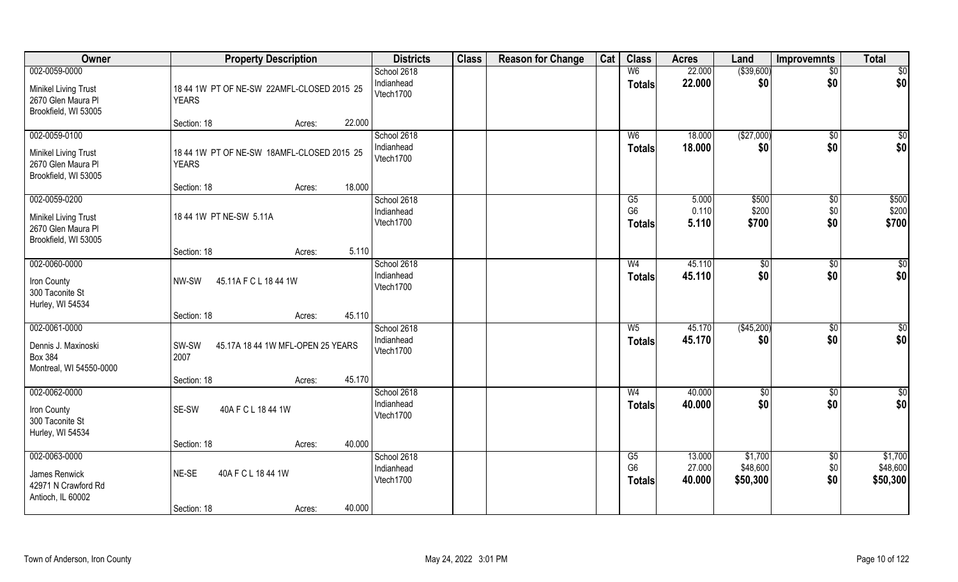| Owner                                                                                      | <b>Property Description</b>                                                                   | <b>Districts</b>                       | <b>Class</b> | <b>Reason for Change</b> | Cat | <b>Class</b>                          | <b>Acres</b>               | Land                            | Improvemnts                 | <b>Total</b>                    |
|--------------------------------------------------------------------------------------------|-----------------------------------------------------------------------------------------------|----------------------------------------|--------------|--------------------------|-----|---------------------------------------|----------------------------|---------------------------------|-----------------------------|---------------------------------|
| 002-0059-0000<br><b>Minikel Living Trust</b><br>2670 Glen Maura Pl<br>Brookfield, WI 53005 | 18 44 1W PT OF NE-SW 22AMFL-CLOSED 2015 25<br><b>YEARS</b>                                    | School 2618<br>Indianhead<br>Vtech1700 |              |                          |     | W <sub>6</sub><br><b>Totals</b>       | 22.000<br>22.000           | ( \$39,600)<br>\$0              | $\overline{50}$<br>\$0      | \$0<br>\$0                      |
|                                                                                            | 22.000<br>Section: 18<br>Acres:                                                               |                                        |              |                          |     |                                       |                            |                                 |                             |                                 |
| 002-0059-0100<br><b>Minikel Living Trust</b><br>2670 Glen Maura Pl<br>Brookfield, WI 53005 | 18 44 1W PT OF NE-SW 18AMFL-CLOSED 2015 25<br><b>YEARS</b><br>18.000<br>Section: 18<br>Acres: | School 2618<br>Indianhead<br>Vtech1700 |              |                          |     | W <sub>6</sub><br><b>Totals</b>       | 18.000<br>18.000           | (\$27,000)<br>\$0               | \$0<br>\$0                  | $\sqrt{50}$<br>\$0              |
| 002-0059-0200<br>Minikel Living Trust<br>2670 Glen Maura Pl<br>Brookfield, WI 53005        | 18 44 1W PT NE-SW 5.11A<br>5.110<br>Section: 18<br>Acres:                                     | School 2618<br>Indianhead<br>Vtech1700 |              |                          |     | G5<br>G <sub>6</sub><br><b>Totals</b> | 5.000<br>0.110<br>5.110    | \$500<br>\$200<br>\$700         | $\sqrt[6]{3}$<br>\$0<br>\$0 | \$500<br>\$200<br>\$700         |
| 002-0060-0000<br>Iron County<br>300 Taconite St<br>Hurley, WI 54534                        | 45.11A F C L 18 44 1W<br>NW-SW<br>45.110<br>Section: 18<br>Acres:                             | School 2618<br>Indianhead<br>Vtech1700 |              |                          |     | W <sub>4</sub><br><b>Totals</b>       | 45.110<br>45.110           | $\sqrt[6]{3}$<br>\$0            | \$0<br>\$0                  | $\overline{50}$<br>\$0          |
| 002-0061-0000<br>Dennis J. Maxinoski<br><b>Box 384</b><br>Montreal, WI 54550-0000          | SW-SW<br>45.17A 18 44 1W MFL-OPEN 25 YEARS<br>2007<br>45.170<br>Section: 18<br>Acres:         | School 2618<br>Indianhead<br>Vtech1700 |              |                          |     | $W_5$<br><b>Totals</b>                | 45.170<br>45.170           | (\$45,200)<br>\$0               | \$0<br>\$0                  | $\overline{50}$<br>\$0          |
| 002-0062-0000<br>Iron County<br>300 Taconite St<br>Hurley, WI 54534                        | 40A F C L 18 44 1W<br>SE-SW<br>40.000<br>Section: 18<br>Acres:                                | School 2618<br>Indianhead<br>Vtech1700 |              |                          |     | W <sub>4</sub><br><b>Totals</b>       | 40.000<br>40.000           | \$0<br>\$0                      | \$0<br>\$0                  | \$0<br>\$0                      |
| 002-0063-0000<br>James Renwick<br>42971 N Crawford Rd<br>Antioch, IL 60002                 | 40A F C L 18 44 1W<br>NE-SE<br>40.000<br>Section: 18<br>Acres:                                | School 2618<br>Indianhead<br>Vtech1700 |              |                          |     | G5<br>G <sub>6</sub><br><b>Totals</b> | 13.000<br>27.000<br>40.000 | \$1,700<br>\$48,600<br>\$50,300 | $\sqrt{$0}$<br>\$0<br>\$0   | \$1,700<br>\$48,600<br>\$50,300 |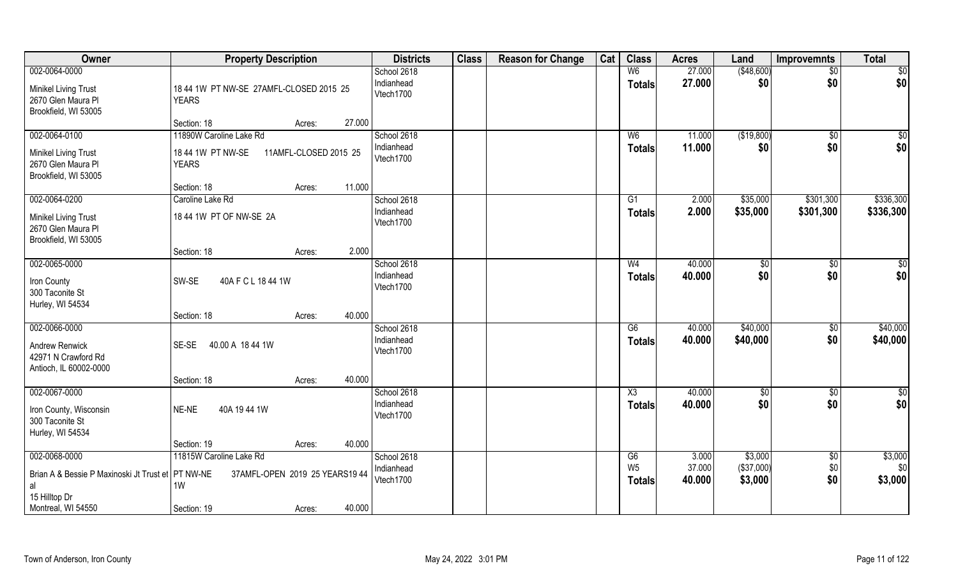| Owner                                                                                                           | <b>Property Description</b>                                                                        | <b>Districts</b>                       | <b>Class</b> | <b>Reason for Change</b> | Cat | <b>Class</b>                          | <b>Acres</b>              | Land                             | <b>Improvemnts</b>     | <b>Total</b>              |
|-----------------------------------------------------------------------------------------------------------------|----------------------------------------------------------------------------------------------------|----------------------------------------|--------------|--------------------------|-----|---------------------------------------|---------------------------|----------------------------------|------------------------|---------------------------|
| 002-0064-0000<br><b>Minikel Living Trust</b><br>2670 Glen Maura Pl<br>Brookfield, WI 53005                      | 18 44 1W PT NW-SE 27AMFL-CLOSED 2015 25<br><b>YEARS</b>                                            | School 2618<br>Indianhead<br>Vtech1700 |              |                          |     | W <sub>6</sub><br><b>Totals</b>       | 27.000<br>27.000          | (\$48,600)<br>\$0                | \$0<br>\$0             | \$0<br>\$0                |
|                                                                                                                 | 27.000<br>Section: 18<br>Acres:                                                                    |                                        |              |                          |     |                                       |                           |                                  |                        |                           |
| 002-0064-0100                                                                                                   | 11890W Caroline Lake Rd                                                                            | School 2618                            |              |                          |     | W <sub>6</sub>                        | 11.000                    | (\$19,800)                       | $\overline{50}$        | \$0                       |
| <b>Minikel Living Trust</b><br>2670 Glen Maura Pl<br>Brookfield, WI 53005                                       | 18 44 1W PT NW-SE<br>11AMFL-CLOSED 2015 25<br><b>YEARS</b>                                         | Indianhead<br>Vtech1700                |              |                          |     | <b>Totals</b>                         | 11.000                    | \$0                              | \$0                    | \$0                       |
|                                                                                                                 | 11.000<br>Section: 18<br>Acres:                                                                    |                                        |              |                          |     |                                       |                           |                                  |                        |                           |
| 002-0064-0200<br><b>Minikel Living Trust</b><br>2670 Glen Maura Pl<br>Brookfield, WI 53005                      | Caroline Lake Rd<br>18 44 1W PT OF NW-SE 2A                                                        | School 2618<br>Indianhead<br>Vtech1700 |              |                          |     | G1<br><b>Totals</b>                   | 2.000<br>2.000            | \$35,000<br>\$35,000             | \$301,300<br>\$301,300 | \$336,300<br>\$336,300    |
|                                                                                                                 | 2.000<br>Section: 18<br>Acres:                                                                     |                                        |              |                          |     |                                       |                           |                                  |                        |                           |
| 002-0065-0000<br>Iron County<br>300 Taconite St                                                                 | SW-SE<br>40A F C L 18 44 1W                                                                        | School 2618<br>Indianhead<br>Vtech1700 |              |                          |     | W <sub>4</sub><br><b>Totals</b>       | 40.000<br>40.000          | \$0<br>\$0                       | \$0<br>\$0             | \$0<br>\$0                |
| Hurley, WI 54534                                                                                                | 40.000<br>Section: 18<br>Acres:                                                                    |                                        |              |                          |     |                                       |                           |                                  |                        |                           |
| 002-0066-0000<br><b>Andrew Renwick</b><br>42971 N Crawford Rd<br>Antioch, IL 60002-0000                         | SE-SE 40.00 A 18 44 1W                                                                             | School 2618<br>Indianhead<br>Vtech1700 |              |                          |     | $\overline{G6}$<br><b>Totals</b>      | 40.000<br>40.000          | \$40,000<br>\$40,000             | $\overline{50}$<br>\$0 | \$40,000<br>\$40,000      |
|                                                                                                                 | 40.000<br>Section: 18<br>Acres:                                                                    |                                        |              |                          |     |                                       |                           |                                  |                        |                           |
| 002-0067-0000<br>Iron County, Wisconsin<br>300 Taconite St<br>Hurley, WI 54534                                  | 40A 1944 1W<br>NE-NE                                                                               | School 2618<br>Indianhead<br>Vtech1700 |              |                          |     | X3<br><b>Totals</b>                   | 40.000<br>40.000          | \$0<br>\$0                       | $\overline{50}$<br>\$0 | $\frac{6}{3}$<br>\$0      |
|                                                                                                                 | 40.000<br>Section: 19<br>Acres:                                                                    |                                        |              |                          |     |                                       |                           |                                  |                        |                           |
| 002-0068-0000<br>Brian A & Bessie P Maxinoski Jt Trust et PT NW-NE<br>al<br>15 Hilltop Dr<br>Montreal, WI 54550 | 11815W Caroline Lake Rd<br>37AMFL-OPEN 2019 25 YEARS19 44<br>1W<br>40.000<br>Section: 19<br>Acres: | School 2618<br>Indianhead<br>Vtech1700 |              |                          |     | G6<br>W <sub>5</sub><br><b>Totals</b> | 3.000<br>37.000<br>40.000 | \$3,000<br>(\$37,000)<br>\$3,000 | \$0<br>$$0$$<br>\$0    | \$3,000<br>\$0<br>\$3,000 |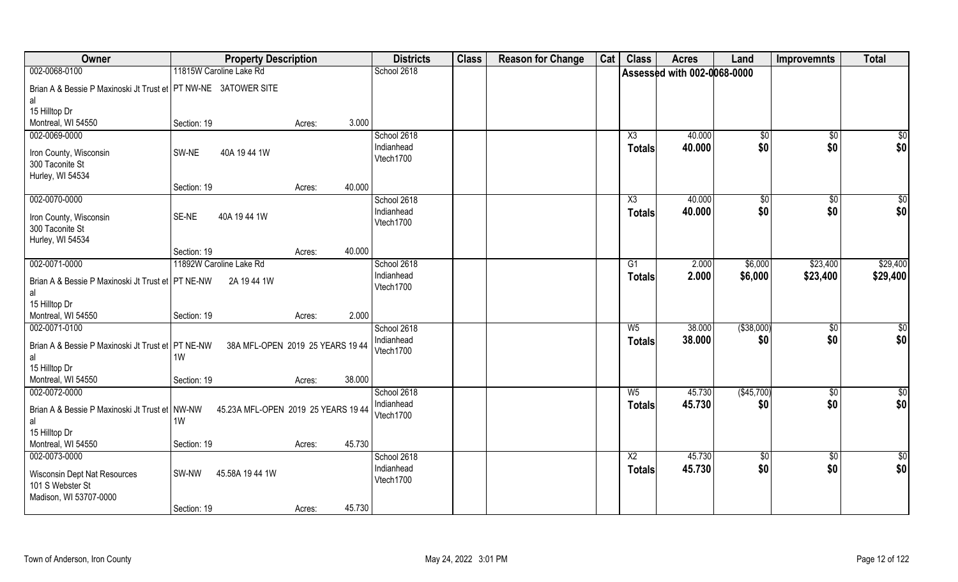| Owner                                                          | <b>Property Description</b> |                                     | <b>Districts</b>          | <b>Class</b> | <b>Reason for Change</b> | Cat | <b>Class</b>  | <b>Acres</b>                | Land                   | <b>Improvemnts</b> | <b>Total</b>           |
|----------------------------------------------------------------|-----------------------------|-------------------------------------|---------------------------|--------------|--------------------------|-----|---------------|-----------------------------|------------------------|--------------------|------------------------|
| 002-0068-0100                                                  | 11815W Caroline Lake Rd     |                                     | School 2618               |              |                          |     |               | Assessed with 002-0068-0000 |                        |                    |                        |
| Brian A & Bessie P Maxinoski Jt Trust et PT NW-NE 3ATOWER SITE |                             |                                     |                           |              |                          |     |               |                             |                        |                    |                        |
| al                                                             |                             |                                     |                           |              |                          |     |               |                             |                        |                    |                        |
| 15 Hilltop Dr                                                  |                             |                                     |                           |              |                          |     |               |                             |                        |                    |                        |
| Montreal, WI 54550                                             | Section: 19                 | 3.000<br>Acres:                     |                           |              |                          |     |               |                             |                        |                    |                        |
| 002-0069-0000                                                  |                             |                                     | School 2618               |              |                          |     | X3            | 40.000                      | \$0                    | $\sqrt{$0}$        | \$0                    |
| Iron County, Wisconsin                                         | 40A 1944 1W<br>SW-NE        |                                     | Indianhead                |              |                          |     | <b>Totals</b> | 40.000                      | \$0                    | \$0                | \$0                    |
| 300 Taconite St                                                |                             |                                     | Vtech1700                 |              |                          |     |               |                             |                        |                    |                        |
| Hurley, WI 54534                                               |                             |                                     |                           |              |                          |     |               |                             |                        |                    |                        |
|                                                                | Section: 19                 | 40.000<br>Acres:                    |                           |              |                          |     |               |                             |                        |                    |                        |
| 002-0070-0000                                                  |                             |                                     | School 2618               |              |                          |     | X3            | 40.000                      | $\sqrt[6]{3}$          | $\sqrt[6]{3}$      | \$0                    |
| Iron County, Wisconsin                                         | SE-NE<br>40A 1944 1W        |                                     | Indianhead<br>Vtech1700   |              |                          |     | <b>Totals</b> | 40.000                      | \$0                    | \$0                | \$0                    |
| 300 Taconite St                                                |                             |                                     |                           |              |                          |     |               |                             |                        |                    |                        |
| Hurley, WI 54534                                               |                             |                                     |                           |              |                          |     |               |                             |                        |                    |                        |
|                                                                | Section: 19                 | 40.000<br>Acres:                    |                           |              |                          |     |               |                             |                        |                    |                        |
| 002-0071-0000                                                  | 11892W Caroline Lake Rd     |                                     | School 2618               |              |                          |     | G1            | 2.000                       | \$6,000                | \$23,400           | \$29,400               |
| Brian A & Bessie P Maxinoski Jt Trust et PT NE-NW              | 2A 19 44 1W                 |                                     | Indianhead<br>Vtech1700   |              |                          |     | <b>Totals</b> | 2.000                       | \$6,000                | \$23,400           | \$29,400               |
| al                                                             |                             |                                     |                           |              |                          |     |               |                             |                        |                    |                        |
| 15 Hilltop Dr                                                  |                             |                                     |                           |              |                          |     |               |                             |                        |                    |                        |
| Montreal, WI 54550                                             | Section: 19                 | 2.000<br>Acres:                     |                           |              |                          |     |               |                             |                        |                    |                        |
| 002-0071-0100                                                  |                             |                                     | School 2618               |              |                          |     | $W_5$         | 38.000                      | ( \$38,000)            | \$0                | \$0                    |
| Brian A & Bessie P Maxinoski Jt Trust et PT NE-NW              |                             | 38A MFL-OPEN 2019 25 YEARS 19 44    | Indianhead<br>Vtech1700   |              |                          |     | <b>Totals</b> | 38.000                      | \$0                    | \$0                | \$0                    |
| al                                                             | 1W                          |                                     |                           |              |                          |     |               |                             |                        |                    |                        |
| 15 Hilltop Dr                                                  |                             |                                     |                           |              |                          |     |               |                             |                        |                    |                        |
| Montreal, WI 54550                                             | Section: 19                 | 38.000<br>Acres:                    |                           |              |                          |     |               |                             |                        |                    |                        |
| 002-0072-0000                                                  |                             |                                     | School 2618               |              |                          |     | $W_5$         | 45.730                      | (\$45,700)             | \$0                | \$0                    |
| Brian A & Bessie P Maxinoski Jt Trust et NW-NW                 |                             | 45.23A MFL-OPEN 2019 25 YEARS 19 44 | Indianhead<br>Vtech1700   |              |                          |     | <b>Totals</b> | 45.730                      | \$0                    | \$0                | \$0                    |
| al                                                             | 1W                          |                                     |                           |              |                          |     |               |                             |                        |                    |                        |
| 15 Hilltop Dr                                                  |                             |                                     |                           |              |                          |     |               |                             |                        |                    |                        |
| Montreal, WI 54550                                             | Section: 19                 | 45.730<br>Acres:                    |                           |              |                          |     |               | 45.730                      |                        |                    |                        |
| 002-0073-0000                                                  |                             |                                     | School 2618<br>Indianhead |              |                          |     | X2            | 45.730                      | $\overline{50}$<br>\$0 | $\sqrt{$0}$<br>\$0 | $\overline{50}$<br>\$0 |
| <b>Wisconsin Dept Nat Resources</b>                            | SW-NW<br>45.58A 19 44 1W    |                                     | Vtech1700                 |              |                          |     | <b>Totals</b> |                             |                        |                    |                        |
| 101 S Webster St                                               |                             |                                     |                           |              |                          |     |               |                             |                        |                    |                        |
| Madison, WI 53707-0000                                         |                             |                                     |                           |              |                          |     |               |                             |                        |                    |                        |
|                                                                | Section: 19                 | 45.730<br>Acres:                    |                           |              |                          |     |               |                             |                        |                    |                        |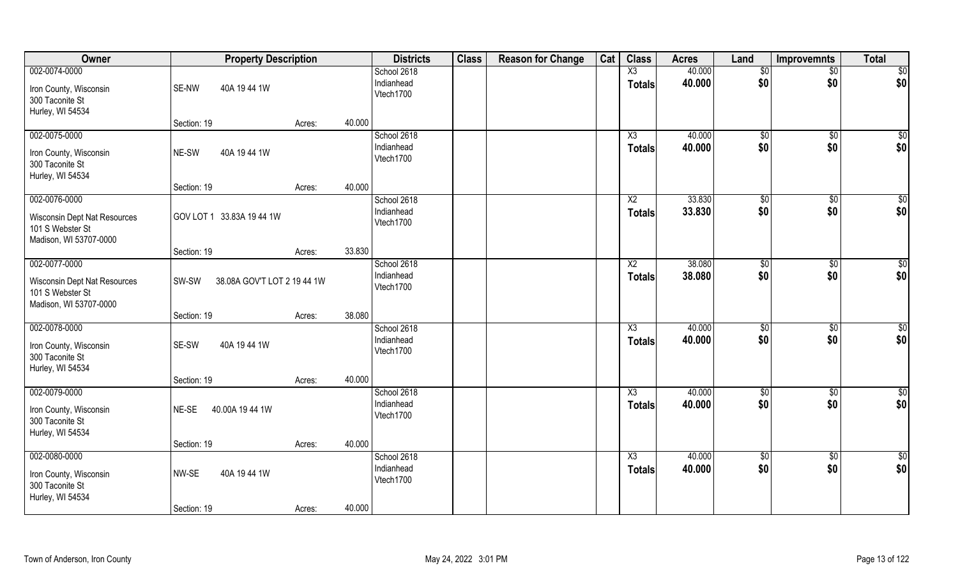| Owner                                                                                       | <b>Property Description</b>          |        | <b>Districts</b>                                 | <b>Class</b> | <b>Reason for Change</b> | Cat | <b>Class</b>                            | <b>Acres</b>     | Land                  | <b>Improvemnts</b>     | <b>Total</b>           |
|---------------------------------------------------------------------------------------------|--------------------------------------|--------|--------------------------------------------------|--------------|--------------------------|-----|-----------------------------------------|------------------|-----------------------|------------------------|------------------------|
| 002-0074-0000<br>Iron County, Wisconsin<br>300 Taconite St<br>Hurley, WI 54534              | SE-NW<br>40A 1944 1W                 |        | School 2618<br>Indianhead<br>Vtech1700           |              |                          |     | X3<br><b>Totals</b>                     | 40.000<br>40.000 | $\sqrt[6]{}$<br>\$0   | $\overline{50}$<br>\$0 | \$0<br>\$0             |
|                                                                                             | Section: 19                          | Acres: | 40.000                                           |              |                          |     |                                         |                  |                       |                        |                        |
| 002-0075-0000<br>Iron County, Wisconsin<br>300 Taconite St<br>Hurley, WI 54534              | 40A 19 44 1W<br>NE-SW                |        | School 2618<br>Indianhead<br>Vtech1700           |              |                          |     | X3<br><b>Totals</b>                     | 40.000<br>40.000 | \$0<br>\$0            | \$0<br>\$0             | $\sqrt{50}$<br>\$0     |
| 002-0076-0000                                                                               | Section: 19                          | Acres: | 40.000<br>School 2618                            |              |                          |     | X <sub>2</sub>                          | 33.830           | \$0                   | \$0                    | \$0                    |
| <b>Wisconsin Dept Nat Resources</b><br>101 S Webster St<br>Madison, WI 53707-0000           | GOV LOT 1 33.83A 19 44 1W            |        | Indianhead<br>Vtech1700                          |              |                          |     | <b>Totals</b>                           | 33.830           | \$0                   | \$0                    | \$0                    |
|                                                                                             | Section: 19                          | Acres: | 33.830                                           |              |                          |     |                                         |                  |                       |                        |                        |
| 002-0077-0000<br>Wisconsin Dept Nat Resources<br>101 S Webster St<br>Madison, WI 53707-0000 | SW-SW<br>38.08A GOV'T LOT 2 19 44 1W |        | School 2618<br>Indianhead<br>Vtech1700           |              |                          |     | X <sub>2</sub><br><b>Totals</b>         | 38.080<br>38.080 | $\frac{1}{20}$<br>\$0 | \$0<br>\$0             | \$0<br>\$0             |
|                                                                                             | Section: 19                          | Acres: | 38.080                                           |              |                          |     |                                         |                  |                       |                        |                        |
| 002-0078-0000<br>Iron County, Wisconsin<br>300 Taconite St<br>Hurley, WI 54534              | 40A 19 44 1W<br>SE-SW                |        | School 2618<br>Indianhead<br>Vtech1700           |              |                          |     | $\overline{\text{X3}}$<br><b>Totals</b> | 40.000<br>40.000 | \$0<br>\$0            | $\overline{50}$<br>\$0 | \$0<br>\$0             |
|                                                                                             | Section: 19                          | Acres: | 40.000                                           |              |                          |     |                                         |                  |                       |                        |                        |
| 002-0079-0000<br>Iron County, Wisconsin<br>300 Taconite St<br>Hurley, WI 54534              | NE-SE<br>40.00A 19 44 1W             |        | School 2618<br>Indianhead<br>Vtech1700           |              |                          |     | X3<br><b>Totals</b>                     | 40.000<br>40.000 | $\sqrt{6}$<br>\$0     | \$0<br>\$0             | $\overline{50}$<br>\$0 |
|                                                                                             | Section: 19                          | Acres: | 40.000                                           |              |                          |     |                                         |                  |                       |                        |                        |
| 002-0080-0000<br>Iron County, Wisconsin<br>300 Taconite St<br>Hurley, WI 54534              | NW-SE<br>40A 1944 1W<br>Section: 19  | Acres: | School 2618<br>Indianhead<br>Vtech1700<br>40.000 |              |                          |     | $\overline{\text{X3}}$<br><b>Totals</b> | 40.000<br>40.000 | $\sqrt{6}$<br>\$0     | $\sqrt{$0}$<br>\$0     | \$0<br>\$0             |
|                                                                                             |                                      |        |                                                  |              |                          |     |                                         |                  |                       |                        |                        |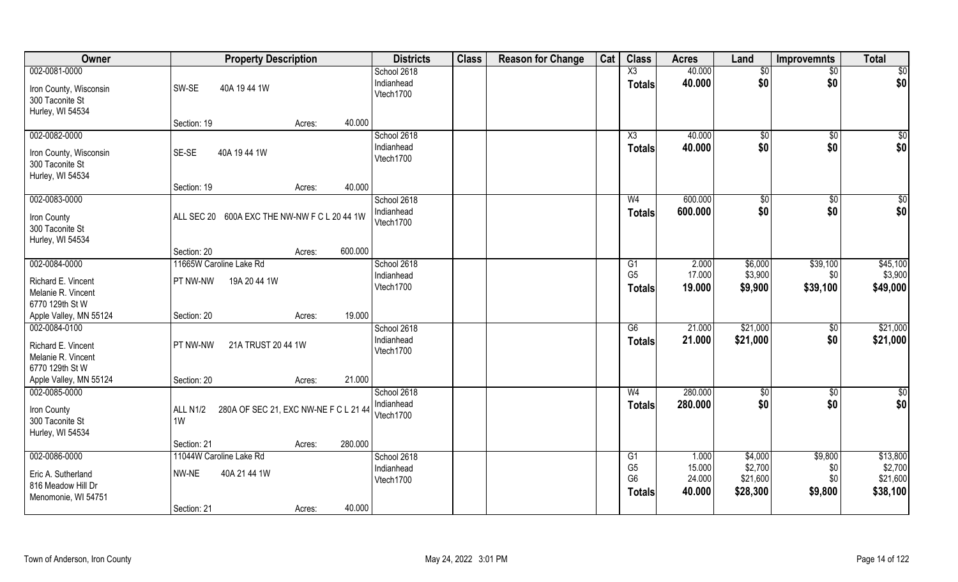| Owner                                     | <b>Property Description</b>                       | <b>Districts</b>        | <b>Class</b> | <b>Reason for Change</b> | Cat | <b>Class</b>                     | <b>Acres</b>     | Land                | Improvemnts    | <b>Total</b>        |
|-------------------------------------------|---------------------------------------------------|-------------------------|--------------|--------------------------|-----|----------------------------------|------------------|---------------------|----------------|---------------------|
| 002-0081-0000                             |                                                   | School 2618             |              |                          |     | X3                               | 40.000           | $\sqrt[6]{}$        | \$0            | $\sqrt{50}$         |
| Iron County, Wisconsin<br>300 Taconite St | SW-SE<br>40A 1944 1W                              | Indianhead<br>Vtech1700 |              |                          |     | <b>Totals</b>                    | 40.000           | \$0                 | \$0            | \$0                 |
| Hurley, WI 54534                          |                                                   |                         |              |                          |     |                                  |                  |                     |                |                     |
|                                           | 40.000<br>Section: 19<br>Acres:                   |                         |              |                          |     |                                  |                  |                     |                |                     |
| 002-0082-0000                             |                                                   | School 2618             |              |                          |     | X3                               | 40.000           | $\sqrt[6]{3}$       | $\sqrt[6]{}$   | $\sqrt{50}$         |
| Iron County, Wisconsin                    | SE-SE<br>40A 1944 1W                              | Indianhead              |              |                          |     | <b>Totals</b>                    | 40.000           | \$0                 | \$0            | \$0                 |
| 300 Taconite St                           |                                                   | Vtech1700               |              |                          |     |                                  |                  |                     |                |                     |
| Hurley, WI 54534                          |                                                   |                         |              |                          |     |                                  |                  |                     |                |                     |
|                                           | 40.000<br>Section: 19<br>Acres:                   |                         |              |                          |     |                                  |                  |                     |                |                     |
| 002-0083-0000                             |                                                   | School 2618             |              |                          |     | W <sub>4</sub>                   | 600.000          | $\sqrt[6]{3}$       | $\sqrt[6]{30}$ | $\overline{50}$     |
| Iron County                               | 600A EXC THE NW-NW F C L 20 44 1W<br>ALL SEC 20   | Indianhead              |              |                          |     | <b>Totals</b>                    | 600.000          | \$0                 | \$0            | \$0                 |
| 300 Taconite St                           |                                                   | Vtech1700               |              |                          |     |                                  |                  |                     |                |                     |
| Hurley, WI 54534                          |                                                   |                         |              |                          |     |                                  |                  |                     |                |                     |
|                                           | 600.000<br>Section: 20<br>Acres:                  |                         |              |                          |     |                                  |                  |                     |                |                     |
| 002-0084-0000                             | 11665W Caroline Lake Rd                           | School 2618             |              |                          |     | G <sub>1</sub>                   | 2.000            | \$6,000             | \$39,100       | \$45,100            |
| Richard E. Vincent                        | PT NW-NW<br>19A 20 44 1W                          | Indianhead              |              |                          |     | G <sub>5</sub>                   | 17.000           | \$3,900             | \$0            | \$3,900             |
| Melanie R. Vincent                        |                                                   | Vtech1700               |              |                          |     | <b>Totals</b>                    | 19.000           | \$9,900             | \$39,100       | \$49,000            |
| 6770 129th St W                           |                                                   |                         |              |                          |     |                                  |                  |                     |                |                     |
| Apple Valley, MN 55124                    | 19.000<br>Section: 20<br>Acres:                   |                         |              |                          |     |                                  |                  |                     |                |                     |
| 002-0084-0100                             |                                                   | School 2618             |              |                          |     | $\overline{G6}$                  | 21.000           | \$21,000            | $\sqrt[6]{30}$ | \$21,000            |
| Richard E. Vincent                        | 21A TRUST 20 44 1W<br>PT NW-NW                    | Indianhead              |              |                          |     | <b>Totals</b>                    | 21.000           | \$21,000            | \$0            | \$21,000            |
| Melanie R. Vincent                        |                                                   | Vtech1700               |              |                          |     |                                  |                  |                     |                |                     |
| 6770 129th St W                           |                                                   |                         |              |                          |     |                                  |                  |                     |                |                     |
| Apple Valley, MN 55124                    | 21.000<br>Section: 20<br>Acres:                   |                         |              |                          |     |                                  |                  |                     |                |                     |
| 002-0085-0000                             |                                                   | School 2618             |              |                          |     | W <sub>4</sub>                   | 280.000          | \$0                 | \$0            | $\frac{6}{3}$       |
| Iron County                               | 280A OF SEC 21, EXC NW-NE F C L 21 44<br>ALL N1/2 | Indianhead              |              |                          |     | <b>Totals</b>                    | 280.000          | \$0                 | \$0            | \$0                 |
| 300 Taconite St                           | 1W                                                | Vtech1700               |              |                          |     |                                  |                  |                     |                |                     |
| Hurley, WI 54534                          |                                                   |                         |              |                          |     |                                  |                  |                     |                |                     |
|                                           | 280.000<br>Section: 21<br>Acres:                  |                         |              |                          |     |                                  |                  |                     |                |                     |
| 002-0086-0000                             | 11044W Caroline Lake Rd                           | School 2618             |              |                          |     | G1                               | 1.000            | \$4,000             | \$9,800        | \$13,800            |
| Eric A. Sutherland                        | 40A 21 44 1W<br>NW-NE                             | Indianhead              |              |                          |     | G <sub>5</sub><br>G <sub>6</sub> | 15.000<br>24.000 | \$2,700<br>\$21,600 | \$0<br>\$0     | \$2,700<br>\$21,600 |
| 816 Meadow Hill Dr                        |                                                   | Vtech1700               |              |                          |     |                                  | 40.000           | \$28,300            | \$9,800        | \$38,100            |
| Menomonie, WI 54751                       |                                                   |                         |              |                          |     | <b>Totals</b>                    |                  |                     |                |                     |
|                                           | 40.000<br>Section: 21<br>Acres:                   |                         |              |                          |     |                                  |                  |                     |                |                     |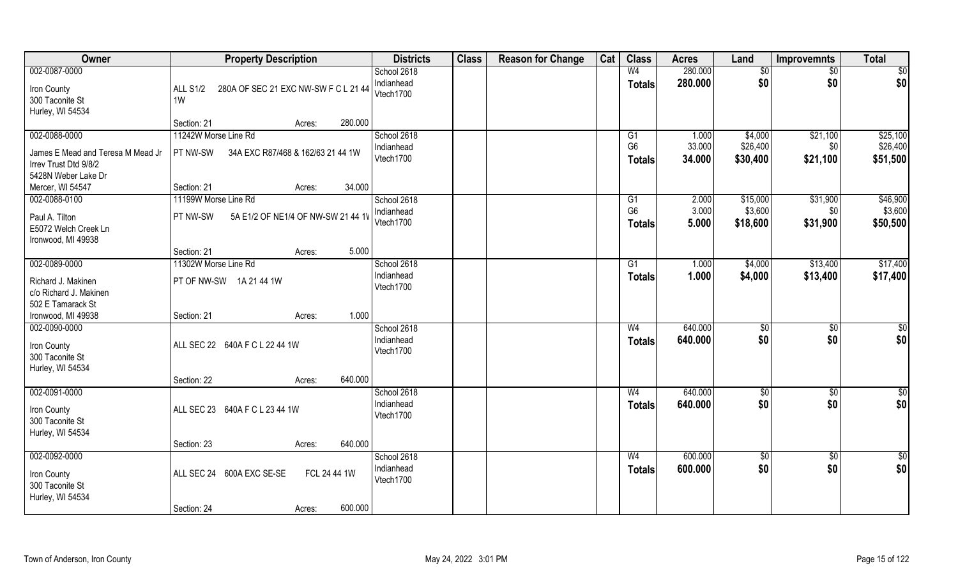| Owner                             | <b>Property Description</b>                             | <b>Districts</b>        | <b>Class</b> | <b>Reason for Change</b> | Cat | <b>Class</b>   | <b>Acres</b> | Land            | <b>Improvemnts</b> | <b>Total</b>    |
|-----------------------------------|---------------------------------------------------------|-------------------------|--------------|--------------------------|-----|----------------|--------------|-----------------|--------------------|-----------------|
| 002-0087-0000                     |                                                         | School 2618             |              |                          |     | W <sub>4</sub> | 280.000      | $\overline{50}$ | \$0                | \$0             |
| Iron County                       | <b>ALL S1/2</b><br>280A OF SEC 21 EXC NW-SW F C L 21 44 | Indianhead              |              |                          |     | <b>Totals</b>  | 280.000      | \$0             | \$0                | \$0             |
| 300 Taconite St                   | 1W                                                      | Vtech1700               |              |                          |     |                |              |                 |                    |                 |
| Hurley, WI 54534                  |                                                         |                         |              |                          |     |                |              |                 |                    |                 |
|                                   | 280.000<br>Section: 21<br>Acres:                        |                         |              |                          |     |                |              |                 |                    |                 |
| 002-0088-0000                     | 11242W Morse Line Rd                                    | School 2618             |              |                          |     | G1             | 1.000        | \$4,000         | \$21,100           | \$25,100        |
| James E Mead and Teresa M Mead Jr | 34A EXC R87/468 & 162/63 21 44 1W<br>PT NW-SW           | Indianhead              |              |                          |     | G <sub>6</sub> | 33.000       | \$26,400        | \$0\$              | \$26,400        |
| Irrev Trust Dtd 9/8/2             |                                                         | Vtech1700               |              |                          |     | <b>Totals</b>  | 34.000       | \$30,400        | \$21,100           | \$51,500        |
| 5428N Weber Lake Dr               |                                                         |                         |              |                          |     |                |              |                 |                    |                 |
| Mercer, WI 54547                  | 34.000<br>Section: 21<br>Acres:                         |                         |              |                          |     |                |              |                 |                    |                 |
| 002-0088-0100                     | 11199W Morse Line Rd                                    | School 2618             |              |                          |     | G1             | 2.000        | \$15,000        | \$31,900           | \$46,900        |
|                                   |                                                         | Indianhead              |              |                          |     | G <sub>6</sub> | 3.000        | \$3,600         | \$0                | \$3,600         |
| Paul A. Tilton                    | <b>PT NW-SW</b><br>5A E1/2 OF NE1/4 OF NW-SW 21 44 1V   | Vtech1700               |              |                          |     | <b>Totals</b>  | 5.000        | \$18,600        | \$31,900           | \$50,500        |
| E5072 Welch Creek Ln              |                                                         |                         |              |                          |     |                |              |                 |                    |                 |
| Ironwood, MI 49938                |                                                         |                         |              |                          |     |                |              |                 |                    |                 |
|                                   | 5.000<br>Section: 21<br>Acres:                          |                         |              |                          |     |                |              |                 |                    |                 |
| 002-0089-0000                     | 11302W Morse Line Rd                                    | School 2618             |              |                          |     | G1             | 1.000        | \$4,000         | \$13,400           | \$17,400        |
| Richard J. Makinen                | PT OF NW-SW 1A 21 44 1W                                 | Indianhead<br>Vtech1700 |              |                          |     | <b>Totals</b>  | 1.000        | \$4,000         | \$13,400           | \$17,400        |
| c/o Richard J. Makinen            |                                                         |                         |              |                          |     |                |              |                 |                    |                 |
| 502 E Tamarack St                 |                                                         |                         |              |                          |     |                |              |                 |                    |                 |
| Ironwood, MI 49938                | 1.000<br>Section: 21<br>Acres:                          |                         |              |                          |     |                |              |                 |                    |                 |
| 002-0090-0000                     |                                                         | School 2618             |              |                          |     | W <sub>4</sub> | 640.000      | \$0             | $\sqrt[6]{30}$     | $\overline{50}$ |
| Iron County                       | ALL SEC 22 640A F C L 22 44 1W                          | Indianhead              |              |                          |     | <b>Totals</b>  | 640.000      | \$0             | \$0                | \$0             |
| 300 Taconite St                   |                                                         | Vtech1700               |              |                          |     |                |              |                 |                    |                 |
| Hurley, WI 54534                  |                                                         |                         |              |                          |     |                |              |                 |                    |                 |
|                                   | 640.000<br>Section: 22<br>Acres:                        |                         |              |                          |     |                |              |                 |                    |                 |
| 002-0091-0000                     |                                                         | School 2618             |              |                          |     | W <sub>4</sub> | 640.000      | \$0             | \$0                | \$0             |
|                                   | ALL SEC 23 640A F C L 23 44 1W                          | Indianhead              |              |                          |     | <b>Totals</b>  | 640.000      | \$0             | \$0                | \$0             |
| Iron County<br>300 Taconite St    |                                                         | Vtech1700               |              |                          |     |                |              |                 |                    |                 |
| Hurley, WI 54534                  |                                                         |                         |              |                          |     |                |              |                 |                    |                 |
|                                   | 640.000<br>Section: 23<br>Acres:                        |                         |              |                          |     |                |              |                 |                    |                 |
| 002-0092-0000                     |                                                         | School 2618             |              |                          |     | W <sub>4</sub> | 600.000      | $\frac{1}{6}$   | $\sqrt{$0}$        | $\overline{50}$ |
|                                   |                                                         | Indianhead              |              |                          |     | <b>Totals</b>  | 600.000      | \$0             | \$0                | \$0             |
| Iron County                       | ALL SEC 24 600A EXC SE-SE<br>FCL 24 44 1W               | Vtech1700               |              |                          |     |                |              |                 |                    |                 |
| 300 Taconite St                   |                                                         |                         |              |                          |     |                |              |                 |                    |                 |
| Hurley, WI 54534                  | 600.000<br>Section: 24                                  |                         |              |                          |     |                |              |                 |                    |                 |
|                                   | Acres:                                                  |                         |              |                          |     |                |              |                 |                    |                 |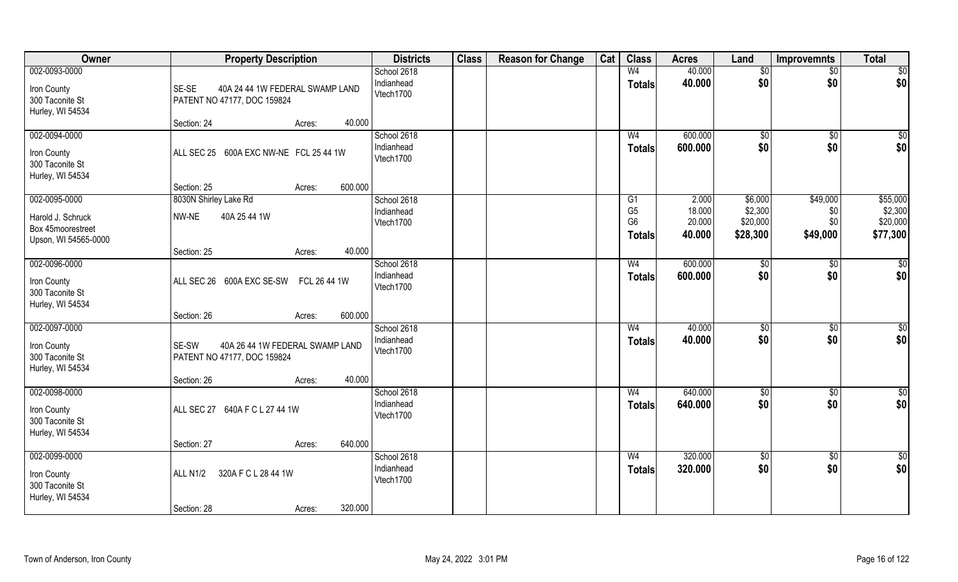| Owner                                                                           | <b>Property Description</b>                                                                                | <b>Districts</b>                       | <b>Class</b> | <b>Reason for Change</b> | Cat | <b>Class</b>                                                        | <b>Acres</b>                        | Land                                       | Improvemnts                        | <b>Total</b>                                |
|---------------------------------------------------------------------------------|------------------------------------------------------------------------------------------------------------|----------------------------------------|--------------|--------------------------|-----|---------------------------------------------------------------------|-------------------------------------|--------------------------------------------|------------------------------------|---------------------------------------------|
| 002-0093-0000                                                                   |                                                                                                            | School 2618                            |              |                          |     | W <sub>4</sub>                                                      | 40.000                              | $\sqrt[6]{}$                               | $\overline{50}$                    | \$0                                         |
| Iron County<br>300 Taconite St<br>Hurley, WI 54534                              | SE-SE<br>40A 24 44 1W FEDERAL SWAMP LAND<br>PATENT NO 47177, DOC 159824                                    | Indianhead<br>Vtech1700                |              |                          |     | <b>Totals</b>                                                       | 40.000                              | \$0                                        | \$0                                | \$0                                         |
|                                                                                 | 40.000<br>Section: 24<br>Acres:                                                                            |                                        |              |                          |     |                                                                     |                                     |                                            |                                    |                                             |
| 002-0094-0000<br>Iron County<br>300 Taconite St<br>Hurley, WI 54534             | ALL SEC 25 600A EXC NW-NE FCL 25 44 1W                                                                     | School 2618<br>Indianhead<br>Vtech1700 |              |                          |     | W <sub>4</sub><br><b>Totals</b>                                     | 600.000<br>600.000                  | \$0<br>\$0                                 | \$0<br>\$0                         | \$0<br>\$0                                  |
|                                                                                 | 600.000<br>Section: 25<br>Acres:                                                                           |                                        |              |                          |     |                                                                     |                                     |                                            |                                    |                                             |
| 002-0095-0000<br>Harold J. Schruck<br>Box 45moorestreet<br>Upson, WI 54565-0000 | 8030N Shirley Lake Rd<br>40A 25 44 1W<br>NW-NE                                                             | School 2618<br>Indianhead<br>Vtech1700 |              |                          |     | G <sub>1</sub><br>G <sub>5</sub><br>G <sub>6</sub><br><b>Totals</b> | 2.000<br>18.000<br>20.000<br>40.000 | \$6,000<br>\$2,300<br>\$20,000<br>\$28,300 | \$49,000<br>\$0<br>\$0<br>\$49,000 | \$55,000<br>\$2,300<br>\$20,000<br>\$77,300 |
|                                                                                 | 40.000<br>Section: 25<br>Acres:                                                                            |                                        |              |                          |     |                                                                     |                                     |                                            |                                    |                                             |
| 002-0096-0000<br>Iron County<br>300 Taconite St<br>Hurley, WI 54534             | ALL SEC 26 600A EXC SE-SW FCL 26 44 1W                                                                     | School 2618<br>Indianhead<br>Vtech1700 |              |                          |     | W <sub>4</sub><br><b>Totals</b>                                     | 600.000<br>600.000                  | \$0<br>\$0                                 | \$0<br>\$0                         | \$0<br>\$0                                  |
|                                                                                 | 600.000<br>Section: 26<br>Acres:                                                                           |                                        |              |                          |     |                                                                     |                                     |                                            |                                    |                                             |
| 002-0097-0000<br>Iron County<br>300 Taconite St<br>Hurley, WI 54534             | SE-SW<br>40A 26 44 1W FEDERAL SWAMP LAND<br>PATENT NO 47177, DOC 159824<br>40.000<br>Section: 26<br>Acres: | School 2618<br>Indianhead<br>Vtech1700 |              |                          |     | W <sub>4</sub><br><b>Totals</b>                                     | 40.000<br>40.000                    | \$0<br>\$0                                 | $\overline{50}$<br>\$0             | \$0<br>\$0                                  |
| 002-0098-0000                                                                   |                                                                                                            | School 2618                            |              |                          |     | W <sub>4</sub>                                                      | 640.000                             | \$0                                        | \$0                                | \$0                                         |
| Iron County<br>300 Taconite St<br>Hurley, WI 54534                              | ALL SEC 27 640A F C L 27 44 1W                                                                             | Indianhead<br>Vtech1700                |              |                          |     | <b>Totals</b>                                                       | 640.000                             | \$0                                        | \$0                                | \$0                                         |
|                                                                                 | 640.000<br>Section: 27<br>Acres:                                                                           |                                        |              |                          |     |                                                                     |                                     |                                            |                                    |                                             |
| 002-0099-0000<br>Iron County<br>300 Taconite St<br>Hurley, WI 54534             | ALL N1/2<br>320A F C L 28 44 1W                                                                            | School 2618<br>Indianhead<br>Vtech1700 |              |                          |     | W <sub>4</sub><br><b>Totals</b>                                     | 320.000<br>320.000                  | $\sqrt{6}$<br>\$0                          | $\sqrt{$0}$<br>\$0                 | $\overline{50}$<br>\$0                      |
|                                                                                 | 320.000<br>Section: 28<br>Acres:                                                                           |                                        |              |                          |     |                                                                     |                                     |                                            |                                    |                                             |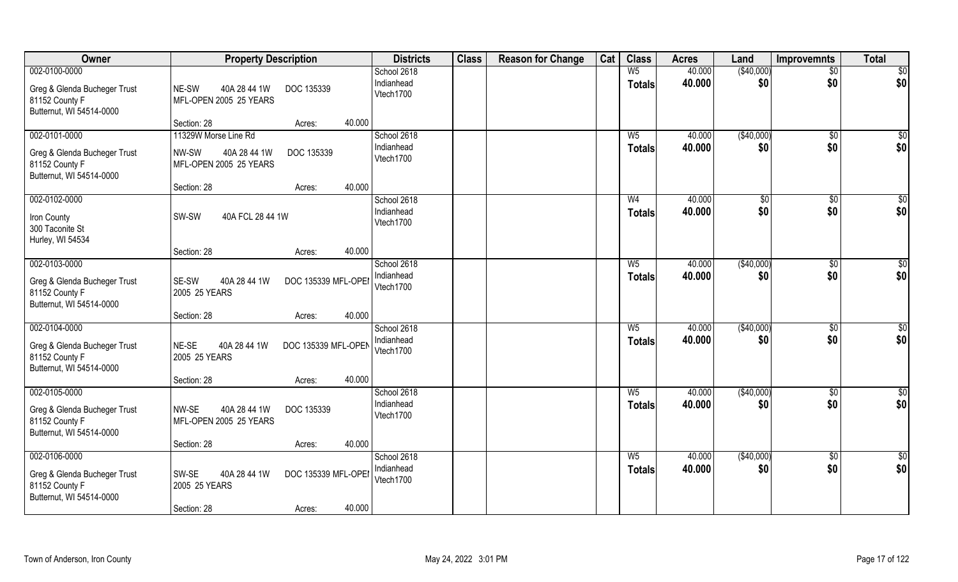| Owner                                                                                       | <b>Property Description</b>                                                                      | <b>Districts</b>                       | <b>Class</b> | <b>Reason for Change</b> | Cat | <b>Class</b>                    | <b>Acres</b>     | Land              | <b>Improvemnts</b>     | <b>Total</b>           |
|---------------------------------------------------------------------------------------------|--------------------------------------------------------------------------------------------------|----------------------------------------|--------------|--------------------------|-----|---------------------------------|------------------|-------------------|------------------------|------------------------|
| 002-0100-0000<br>Greg & Glenda Bucheger Trust<br>81152 County F<br>Butternut, WI 54514-0000 | 40A 28 44 1W<br>DOC 135339<br>NE-SW<br>MFL-OPEN 2005 25 YEARS                                    | School 2618<br>Indianhead<br>Vtech1700 |              |                          |     | W <sub>5</sub><br><b>Totals</b> | 40.000<br>40.000 | (\$40,000)<br>\$0 | $\overline{50}$<br>\$0 | $\overline{50}$<br>\$0 |
|                                                                                             | 40.000<br>Section: 28<br>Acres:                                                                  |                                        |              |                          |     |                                 |                  |                   |                        |                        |
| 002-0101-0000<br>Greg & Glenda Bucheger Trust<br>81152 County F<br>Butternut, WI 54514-0000 | 11329W Morse Line Rd<br>DOC 135339<br>NW-SW<br>40A 28 44 1W<br>MFL-OPEN 2005 25 YEARS            | School 2618<br>Indianhead<br>Vtech1700 |              |                          |     | $W_5$<br><b>Totals</b>          | 40.000<br>40.000 | (\$40,000)<br>\$0 | \$0<br>\$0             | \$0<br>\$0             |
| 002-0102-0000                                                                               | 40.000<br>Section: 28<br>Acres:                                                                  | School 2618                            |              |                          |     | W <sub>4</sub>                  | 40.000           | $\sqrt[6]{3}$     | $\sqrt[6]{3}$          | \$0                    |
| Iron County<br>300 Taconite St<br>Hurley, WI 54534                                          | SW-SW<br>40A FCL 28 44 1W                                                                        | Indianhead<br>Vtech1700                |              |                          |     | <b>Totals</b>                   | 40.000           | \$0               | \$0                    | \$0                    |
|                                                                                             | 40.000<br>Section: 28<br>Acres:                                                                  |                                        |              |                          |     |                                 |                  |                   |                        |                        |
| 002-0103-0000<br>Greg & Glenda Bucheger Trust<br>81152 County F<br>Butternut, WI 54514-0000 | SE-SW<br>40A 28 44 1W<br>DOC 135339 MFL-OPEI<br>2005 25 YEARS                                    | School 2618<br>Indianhead<br>Vtech1700 |              |                          |     | $W_5$<br><b>Totals</b>          | 40.000<br>40.000 | (\$40,000)<br>\$0 | \$0<br>\$0             | \$0<br>\$0             |
|                                                                                             | 40.000<br>Section: 28<br>Acres:                                                                  |                                        |              |                          |     |                                 |                  |                   |                        |                        |
| 002-0104-0000<br>Greg & Glenda Bucheger Trust<br>81152 County F<br>Butternut, WI 54514-0000 | NE-SE<br>40A 28 44 1W<br>DOC 135339 MFL-OPEN<br>2005 25 YEARS<br>40.000<br>Section: 28<br>Acres: | School 2618<br>Indianhead<br>Vtech1700 |              |                          |     | W <sub>5</sub><br><b>Totals</b> | 40.000<br>40.000 | (\$40,000)<br>\$0 | $\sqrt[6]{30}$<br>\$0  | \$0<br>\$0             |
| 002-0105-0000                                                                               |                                                                                                  | School 2618                            |              |                          |     | $W_5$                           | 40.000           | (\$40,000)        | $\sqrt{$0}$            | \$0                    |
| Greg & Glenda Bucheger Trust<br>81152 County F<br>Butternut, WI 54514-0000                  | NW-SE<br>40A 28 44 1W<br>DOC 135339<br>MFL-OPEN 2005 25 YEARS                                    | Indianhead<br>Vtech1700                |              |                          |     | <b>Totals</b>                   | 40.000           | \$0               | \$0                    | \$0                    |
|                                                                                             | 40.000<br>Section: 28<br>Acres:                                                                  |                                        |              |                          |     |                                 |                  |                   |                        |                        |
| 002-0106-0000<br>Greg & Glenda Bucheger Trust<br>81152 County F<br>Butternut, WI 54514-0000 | SW-SE<br>40A 28 44 1W<br>DOC 135339 MFL-OPEI<br>2005 25 YEARS<br>40.000<br>Section: 28<br>Acres: | School 2618<br>Indianhead<br>Vtech1700 |              |                          |     | W <sub>5</sub><br><b>Totals</b> | 40.000<br>40.000 | (\$40,000)<br>\$0 | \$0<br>\$0             | \$0<br>\$0             |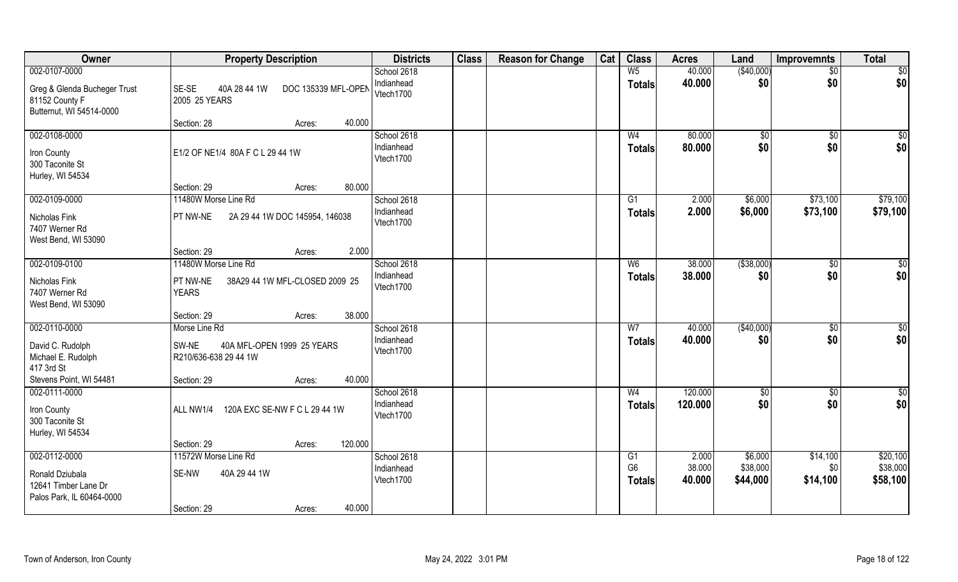| Owner                                                                                            | <b>Property Description</b>                                                                                      | <b>Districts</b>                       | <b>Class</b> | <b>Reason for Change</b> | Cat | <b>Class</b>                    | <b>Acres</b>     | Land                 | Improvemnts            | <b>Total</b>           |
|--------------------------------------------------------------------------------------------------|------------------------------------------------------------------------------------------------------------------|----------------------------------------|--------------|--------------------------|-----|---------------------------------|------------------|----------------------|------------------------|------------------------|
| 002-0107-0000<br>Greg & Glenda Bucheger Trust<br>81152 County F<br>Butternut, WI 54514-0000      | SE-SE<br>40A 28 44 1W<br>DOC 135339 MFL-OPEN<br>2005 25 YEARS                                                    | School 2618<br>Indianhead<br>Vtech1700 |              |                          |     | W <sub>5</sub><br><b>Totals</b> | 40.000<br>40.000 | (\$40,000)<br>\$0    | $\overline{50}$<br>\$0 | \$0<br>\$0             |
|                                                                                                  | 40.000<br>Section: 28<br>Acres:                                                                                  |                                        |              |                          |     |                                 |                  |                      |                        |                        |
| 002-0108-0000<br>Iron County<br>300 Taconite St<br>Hurley, WI 54534                              | E1/2 OF NE1/4 80A F C L 29 44 1W                                                                                 | School 2618<br>Indianhead<br>Vtech1700 |              |                          |     | W <sub>4</sub><br><b>Totals</b> | 80.000<br>80.000 | \$0<br>\$0           | \$0<br>\$0             | $\sqrt{50}$<br>\$0     |
|                                                                                                  | 80.000<br>Section: 29<br>Acres:                                                                                  |                                        |              |                          |     |                                 |                  |                      |                        |                        |
| 002-0109-0000<br>Nicholas Fink<br>7407 Werner Rd<br>West Bend, WI 53090                          | 11480W Morse Line Rd<br>2A 29 44 1W DOC 145954, 146038<br><b>PT NW-NE</b>                                        | School 2618<br>Indianhead<br>Vtech1700 |              |                          |     | G1<br><b>Totals</b>             | 2.000<br>2.000   | \$6,000<br>\$6,000   | \$73,100<br>\$73,100   | \$79,100<br>\$79,100   |
|                                                                                                  | 2.000<br>Section: 29<br>Acres:                                                                                   |                                        |              |                          |     |                                 |                  |                      |                        |                        |
| 002-0109-0100<br>Nicholas Fink<br>7407 Werner Rd<br>West Bend, WI 53090                          | 11480W Morse Line Rd<br>PT NW-NE<br>38A29 44 1W MFL-CLOSED 2009 25<br><b>YEARS</b>                               | School 2618<br>Indianhead<br>Vtech1700 |              |                          |     | W <sub>6</sub><br><b>Totals</b> | 38.000<br>38,000 | ( \$38,000)<br>\$0   | $\sqrt[6]{3}$<br>\$0   | \$0<br>\$0             |
|                                                                                                  | 38.000<br>Section: 29<br>Acres:                                                                                  |                                        |              |                          |     |                                 |                  |                      |                        |                        |
| 002-0110-0000<br>David C. Rudolph<br>Michael E. Rudolph<br>417 3rd St<br>Stevens Point, WI 54481 | Morse Line Rd<br>SW-NE<br>40A MFL-OPEN 1999 25 YEARS<br>R210/636-638 29 44 1W<br>40.000<br>Section: 29<br>Acres: | School 2618<br>Indianhead<br>Vtech1700 |              |                          |     | $\overline{W}$<br><b>Totals</b> | 40.000<br>40.000 | (\$40,000)<br>\$0    | \$0<br>\$0             | $\overline{50}$<br>\$0 |
| 002-0111-0000                                                                                    |                                                                                                                  | School 2618                            |              |                          |     | W <sub>4</sub>                  | 120.000          | \$0                  | \$0                    | \$0                    |
| Iron County<br>300 Taconite St<br>Hurley, WI 54534                                               | 120A EXC SE-NW F C L 29 44 1W<br>ALL NW1/4<br>120.000<br>Section: 29                                             | Indianhead<br>Vtech1700                |              |                          |     | <b>Totals</b>                   | 120.000          | \$0                  | \$0                    | \$0                    |
| 002-0112-0000                                                                                    | Acres:<br>11572W Morse Line Rd                                                                                   | School 2618                            |              |                          |     | G1                              | 2.000            | \$6,000              | \$14,100               | \$20,100               |
| Ronald Dziubala<br>12641 Timber Lane Dr<br>Palos Park, IL 60464-0000                             | SE-NW<br>40A 29 44 1W<br>40.000<br>Section: 29<br>Acres:                                                         | Indianhead<br>Vtech1700                |              |                          |     | G <sub>6</sub><br><b>Totals</b> | 38.000<br>40.000 | \$38,000<br>\$44,000 | \$0<br>\$14,100        | \$38,000<br>\$58,100   |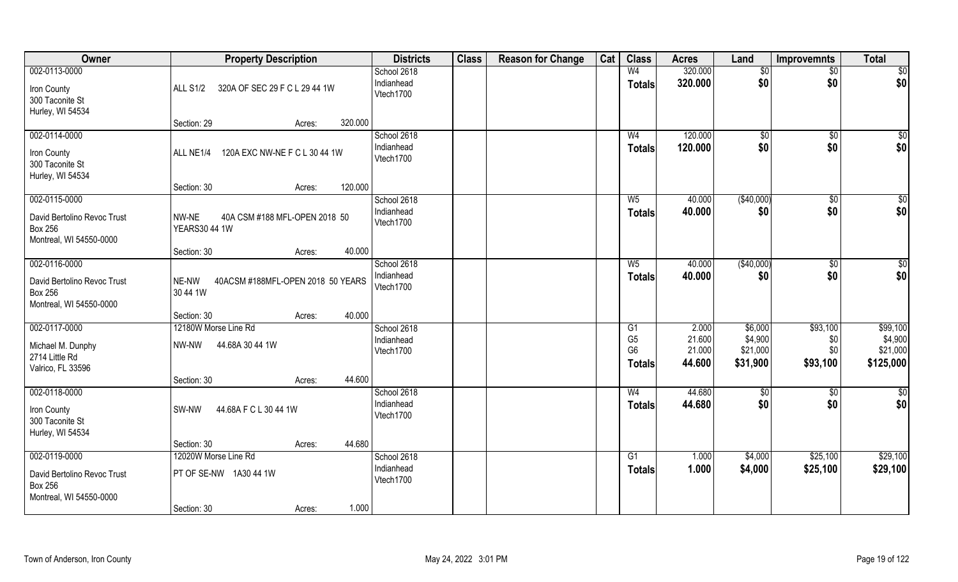| Owner                                                                                     | <b>Property Description</b>                                                      | <b>Districts</b>                       | <b>Class</b> | <b>Reason for Change</b> | Cat | <b>Class</b>                                                         | <b>Acres</b>                        | Land                                       | <b>Improvemnts</b>                 | <b>Total</b>                                 |
|-------------------------------------------------------------------------------------------|----------------------------------------------------------------------------------|----------------------------------------|--------------|--------------------------|-----|----------------------------------------------------------------------|-------------------------------------|--------------------------------------------|------------------------------------|----------------------------------------------|
| 002-0113-0000<br>Iron County<br>300 Taconite St<br>Hurley, WI 54534                       | 320A OF SEC 29 F C L 29 44 1W<br><b>ALL S1/2</b>                                 | School 2618<br>Indianhead<br>Vtech1700 |              |                          |     | W <sub>4</sub><br><b>Totals</b>                                      | 320.000<br>320.000                  | $\sqrt[6]{}$<br>\$0                        | $\frac{1}{2}$<br>\$0               | \$0<br>\$0                                   |
|                                                                                           | 320.000<br>Section: 29<br>Acres:                                                 |                                        |              |                          |     |                                                                      |                                     |                                            |                                    |                                              |
| 002-0114-0000<br>Iron County<br>300 Taconite St<br>Hurley, WI 54534                       | 120A EXC NW-NE F C L 30 44 1W<br>ALL NE1/4<br>120.000<br>Section: 30             | School 2618<br>Indianhead<br>Vtech1700 |              |                          |     | W <sub>4</sub><br><b>Totals</b>                                      | 120.000<br>120.000                  | \$0<br>\$0                                 | $\overline{50}$<br>\$0             | \$0<br>\$0                                   |
| 002-0115-0000                                                                             | Acres:                                                                           | School 2618                            |              |                          |     | W <sub>5</sub>                                                       | 40.000                              | (\$40,000)                                 | $\overline{50}$                    | \$0                                          |
| David Bertolino Revoc Trust<br><b>Box 256</b><br>Montreal, WI 54550-0000                  | NW-NE<br>40A CSM #188 MFL-OPEN 2018 50<br><b>YEARS30 44 1W</b>                   | Indianhead<br>Vtech1700                |              |                          |     | <b>Totals</b>                                                        | 40.000                              | \$0                                        | \$0                                | \$0                                          |
|                                                                                           | 40.000<br>Section: 30<br>Acres:                                                  |                                        |              |                          |     |                                                                      |                                     |                                            |                                    |                                              |
| 002-0116-0000<br>David Bertolino Revoc Trust<br><b>Box 256</b><br>Montreal, WI 54550-0000 | 40ACSM #188MFL-OPEN 2018 50 YEARS<br>NE-NW<br>30 44 1W                           | School 2618<br>Indianhead<br>Vtech1700 |              |                          |     | $W_5$<br><b>Totals</b>                                               | 40.000<br>40.000                    | (\$40,000)<br>\$0                          | $\overline{50}$<br>\$0             | \$0<br>\$0                                   |
|                                                                                           | 40.000<br>Section: 30<br>Acres:                                                  |                                        |              |                          |     |                                                                      |                                     |                                            |                                    |                                              |
| 002-0117-0000<br>Michael M. Dunphy<br>2714 Little Rd<br>Valrico, FL 33596                 | 12180W Morse Line Rd<br>44.68A 30 44 1W<br>NW-NW                                 | School 2618<br>Indianhead<br>Vtech1700 |              |                          |     | $\overline{G1}$<br>G <sub>5</sub><br>G <sub>6</sub><br><b>Totals</b> | 2.000<br>21.600<br>21.000<br>44.600 | \$6,000<br>\$4,900<br>\$21,000<br>\$31,900 | \$93,100<br>\$0<br>\$0<br>\$93,100 | \$99,100<br>\$4,900<br>\$21,000<br>\$125,000 |
| 002-0118-0000                                                                             | 44.600<br>Section: 30<br>Acres:                                                  | School 2618                            |              |                          |     | W <sub>4</sub>                                                       | 44.680                              | \$0                                        | $\frac{6}{3}$                      | \$0                                          |
| Iron County<br>300 Taconite St<br>Hurley, WI 54534                                        | 44.68A F C L 30 44 1W<br>SW-NW                                                   | Indianhead<br>Vtech1700                |              |                          |     | <b>Totals</b>                                                        | 44.680                              | \$0                                        | \$0                                | \$0                                          |
|                                                                                           | 44.680<br>Section: 30<br>Acres:                                                  |                                        |              |                          |     |                                                                      |                                     |                                            |                                    |                                              |
| 002-0119-0000<br>David Bertolino Revoc Trust<br><b>Box 256</b><br>Montreal, WI 54550-0000 | 12020W Morse Line Rd<br>PT OF SE-NW 1A30 44 1W<br>1.000<br>Section: 30<br>Acres: | School 2618<br>Indianhead<br>Vtech1700 |              |                          |     | G1<br><b>Totals</b>                                                  | 1.000<br>1.000                      | \$4,000<br>\$4,000                         | \$25,100<br>\$25,100               | \$29,100<br>\$29,100                         |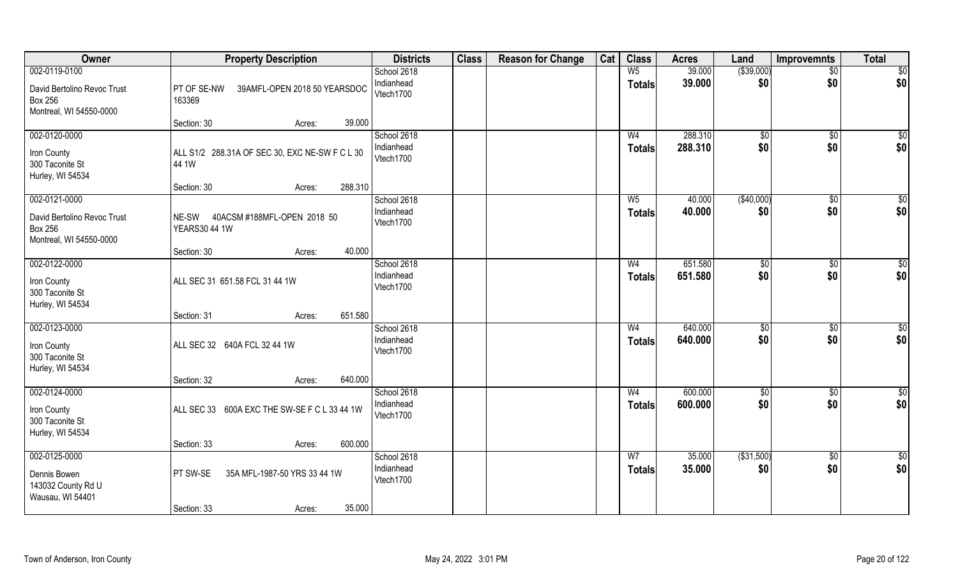| Owner                                                                                     | <b>Property Description</b>                                                 | <b>Districts</b>                       | <b>Class</b> | <b>Reason for Change</b> | Cat | <b>Class</b>                    | <b>Acres</b>       | Land               | <b>Improvemnts</b>     | <b>Total</b>       |
|-------------------------------------------------------------------------------------------|-----------------------------------------------------------------------------|----------------------------------------|--------------|--------------------------|-----|---------------------------------|--------------------|--------------------|------------------------|--------------------|
| 002-0119-0100<br>David Bertolino Revoc Trust<br><b>Box 256</b><br>Montreal, WI 54550-0000 | PT OF SE-NW<br>39AMFL-OPEN 2018 50 YEARSDOC<br>163369                       | School 2618<br>Indianhead<br>Vtech1700 |              |                          |     | W <sub>5</sub><br><b>Totals</b> | 39.000<br>39.000   | ( \$39,000)<br>\$0 | $\sqrt{6}$<br>\$0      | \$0<br> \$0        |
|                                                                                           | 39.000<br>Section: 30<br>Acres:                                             |                                        |              |                          |     |                                 |                    |                    |                        |                    |
| 002-0120-0000<br>Iron County<br>300 Taconite St<br>Hurley, WI 54534                       | ALL S1/2 288.31A OF SEC 30, EXC NE-SW F C L 30<br>44 1W                     | School 2618<br>Indianhead<br>Vtech1700 |              |                          |     | W <sub>4</sub><br>Totals        | 288.310<br>288.310 | \$0<br>\$0         | $\sqrt[6]{}$<br>\$0    | \$0<br>\$0         |
|                                                                                           | 288.310<br>Section: 30<br>Acres:                                            |                                        |              |                          |     |                                 |                    |                    |                        |                    |
| 002-0121-0000<br>David Bertolino Revoc Trust<br><b>Box 256</b><br>Montreal, WI 54550-0000 | NE-SW 40ACSM #188MFL-OPEN 2018 50<br><b>YEARS30 44 1W</b>                   | School 2618<br>Indianhead<br>Vtech1700 |              |                          |     | $W_5$<br><b>Totals</b>          | 40.000<br>40.000   | ( \$40,000)<br>\$0 | $\overline{30}$<br>\$0 | $\sqrt{50}$<br>\$0 |
|                                                                                           | 40.000<br>Section: 30<br>Acres:                                             |                                        |              |                          |     |                                 |                    |                    |                        |                    |
| 002-0122-0000<br>Iron County<br>300 Taconite St<br>Hurley, WI 54534                       | ALL SEC 31 651.58 FCL 31 44 1W                                              | School 2618<br>Indianhead<br>Vtech1700 |              |                          |     | W <sub>4</sub><br><b>Totals</b> | 651.580<br>651.580 | \$0<br>\$0         | $\sqrt[6]{3}$<br>\$0   | $\sqrt{50}$<br>\$0 |
|                                                                                           | 651.580<br>Section: 31<br>Acres:                                            |                                        |              |                          |     |                                 |                    |                    |                        |                    |
| 002-0123-0000<br>Iron County<br>300 Taconite St<br>Hurley, WI 54534                       | ALL SEC 32 640A FCL 32 44 1W                                                | School 2618<br>Indianhead<br>Vtech1700 |              |                          |     | W <sub>4</sub><br><b>Totals</b> | 640.000<br>640.000 | \$0<br>\$0         | $\overline{50}$<br>\$0 | $\sqrt{50}$<br>\$0 |
|                                                                                           | 640.000<br>Section: 32<br>Acres:                                            |                                        |              |                          |     |                                 |                    |                    |                        |                    |
| $002 - 0124 - 0000$<br>Iron County<br>300 Taconite St<br>Hurley, WI 54534                 | ALL SEC 33 600A EXC THE SW-SE F C L 33 44 1W                                | School 2618<br>Indianhead<br>Vtech1700 |              |                          |     | W <sub>4</sub><br><b>Totals</b> | 600.000<br>600.000 | \$0<br>\$0         | $\sqrt{$0}$<br>\$0     | \$0<br>\$0         |
|                                                                                           | 600.000<br>Section: 33<br>Acres:                                            |                                        |              |                          |     |                                 |                    |                    |                        |                    |
| 002-0125-0000<br>Dennis Bowen<br>143032 County Rd U<br>Wausau, WI 54401                   | 35A MFL-1987-50 YRS 33 44 1W<br>PT SW-SE<br>35.000<br>Section: 33<br>Acres: | School 2618<br>Indianhead<br>Vtech1700 |              |                          |     | W <sub>7</sub><br>Totals        | 35.000<br>35.000   | ( \$31,500)<br>\$0 | $\overline{60}$<br>\$0 | \$0<br>\$0         |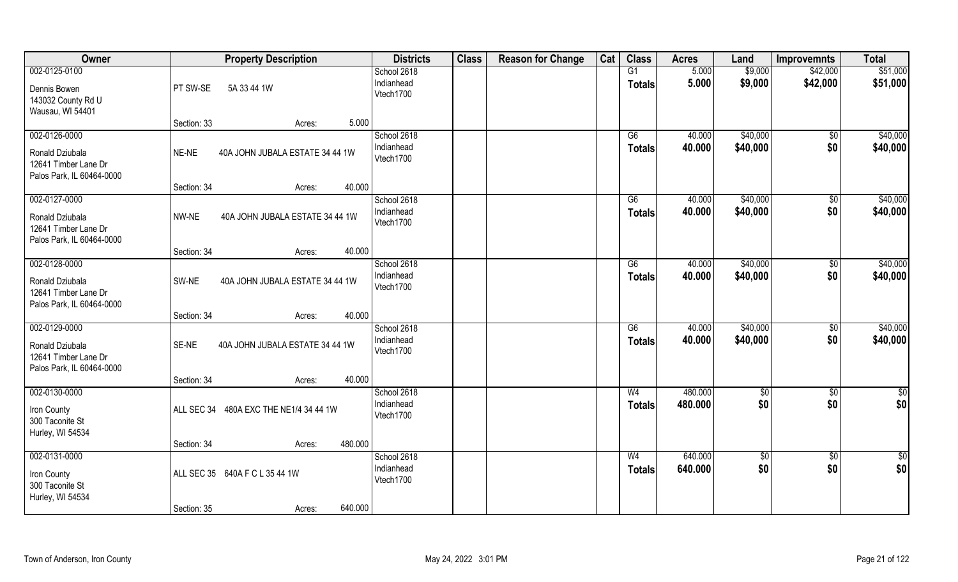| Owner                                                                                       |             | <b>Property Description</b>     | <b>Districts</b>                       | <b>Class</b> | <b>Reason for Change</b> | Cat | <b>Class</b>                     | <b>Acres</b>       | Land                 | <b>Improvemnts</b>     | <b>Total</b>           |
|---------------------------------------------------------------------------------------------|-------------|---------------------------------|----------------------------------------|--------------|--------------------------|-----|----------------------------------|--------------------|----------------------|------------------------|------------------------|
| 002-0125-0100<br>Dennis Bowen<br>143032 County Rd U<br>Wausau, WI 54401                     | PT SW-SE    | 5A 33 44 1W                     | School 2618<br>Indianhead<br>Vtech1700 |              |                          |     | G1<br><b>Totals</b>              | 5.000<br>5.000     | \$9,000<br>\$9,000   | \$42,000<br>\$42,000   | \$51,000<br>\$51,000   |
|                                                                                             | Section: 33 | 5.000<br>Acres:                 |                                        |              |                          |     |                                  |                    |                      |                        |                        |
| 002-0126-0000<br>Ronald Dziubala<br>12641 Timber Lane Dr<br>Palos Park, IL 60464-0000       | NE-NE       | 40A JOHN JUBALA ESTATE 34 44 1W | School 2618<br>Indianhead<br>Vtech1700 |              |                          |     | $\overline{G6}$<br>Totals        | 40.000<br>40.000   | \$40,000<br>\$40,000 | \$0<br>\$0             | \$40,000<br>\$40,000   |
|                                                                                             | Section: 34 | 40.000<br>Acres:                |                                        |              |                          |     |                                  |                    |                      |                        |                        |
| 002-0127-0000<br>Ronald Dziubala<br>12641 Timber Lane Dr<br>Palos Park, IL 60464-0000       | NW-NE       | 40A JOHN JUBALA ESTATE 34 44 1W | School 2618<br>Indianhead<br>Vtech1700 |              |                          |     | G6<br><b>Totals</b>              | 40.000<br>40.000   | \$40,000<br>\$40,000 | \$0<br>\$0             | \$40,000<br>\$40,000   |
|                                                                                             | Section: 34 | 40.000<br>Acres:                |                                        |              |                          |     |                                  |                    |                      |                        |                        |
| 002-0128-0000<br>Ronald Dziubala<br>12641 Timber Lane Dr<br>Palos Park, IL 60464-0000       | SW-NE       | 40A JOHN JUBALA ESTATE 34 44 1W | School 2618<br>Indianhead<br>Vtech1700 |              |                          |     | G6<br>Totals                     | 40.000<br>40.000   | \$40,000<br>\$40,000 | \$0<br>\$0             | \$40,000<br>\$40,000   |
|                                                                                             | Section: 34 | 40.000<br>Acres:                |                                        |              |                          |     |                                  |                    |                      |                        |                        |
| $002 - 0129 - 0000$<br>Ronald Dziubala<br>12641 Timber Lane Dr<br>Palos Park, IL 60464-0000 | SE-NE       | 40A JOHN JUBALA ESTATE 34 44 1W | School 2618<br>Indianhead<br>Vtech1700 |              |                          |     | $\overline{G6}$<br><b>Totals</b> | 40.000<br>40.000   | \$40,000<br>\$40,000 | $\overline{50}$<br>\$0 | \$40,000<br>\$40,000   |
|                                                                                             | Section: 34 | 40.000<br>Acres:                |                                        |              |                          |     |                                  |                    |                      |                        |                        |
| 002-0130-0000<br>Iron County<br>300 Taconite St<br>Hurley, WI 54534                         | ALL SEC 34  | 480A EXC THE NE1/4 34 44 1W     | School 2618<br>Indianhead<br>Vtech1700 |              |                          |     | W <sub>4</sub><br><b>Totals</b>  | 480.000<br>480.000 | \$0<br>\$0           | $\sqrt{$0}$<br>\$0     | \$0<br>\$0             |
|                                                                                             | Section: 34 | 480.000<br>Acres:               |                                        |              |                          |     |                                  |                    |                      |                        |                        |
| 002-0131-0000<br>Iron County<br>300 Taconite St<br>Hurley, WI 54534                         |             | ALL SEC 35 640A F C L 35 44 1W  | School 2618<br>Indianhead<br>Vtech1700 |              |                          |     | W <sub>4</sub><br><b>Totals</b>  | 640.000<br>640.000 | $\sqrt{50}$<br>\$0   | $\sqrt{$0}$<br>\$0     | $\overline{50}$<br>\$0 |
|                                                                                             | Section: 35 | 640.000<br>Acres:               |                                        |              |                          |     |                                  |                    |                      |                        |                        |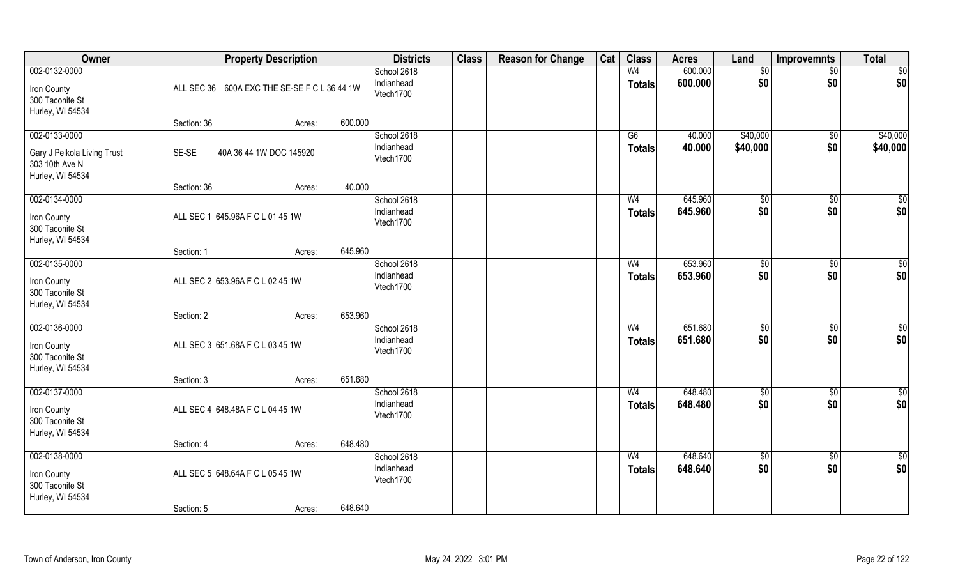| Owner                                                                              |                                  | <b>Property Description</b>                  |         | <b>Districts</b>                       | <b>Class</b> | <b>Reason for Change</b> | Cat | <b>Class</b>                    | <b>Acres</b>       | Land                 | <b>Improvemnts</b>     | <b>Total</b>            |
|------------------------------------------------------------------------------------|----------------------------------|----------------------------------------------|---------|----------------------------------------|--------------|--------------------------|-----|---------------------------------|--------------------|----------------------|------------------------|-------------------------|
| 002-0132-0000<br>Iron County<br>300 Taconite St<br>Hurley, WI 54534                |                                  | ALL SEC 36 600A EXC THE SE-SE F C L 36 44 1W |         | School 2618<br>Indianhead<br>Vtech1700 |              |                          |     | W <sub>4</sub><br><b>Totals</b> | 600.000<br>600.000 | \$0<br>\$0           | \$0<br>\$0             | $\overline{50}$<br> \$0 |
|                                                                                    | Section: 36                      | Acres:                                       | 600.000 |                                        |              |                          |     |                                 |                    |                      |                        |                         |
| 002-0133-0000<br>Gary J Pelkola Living Trust<br>303 10th Ave N<br>Hurley, WI 54534 | SE-SE                            | 40A 36 44 1W DOC 145920                      |         | School 2618<br>Indianhead<br>Vtech1700 |              |                          |     | $\overline{G6}$<br>Totals       | 40.000<br>40.000   | \$40,000<br>\$40,000 | \$0<br>\$0             | \$40,000<br>\$40,000    |
|                                                                                    | Section: 36                      | Acres:                                       | 40.000  |                                        |              |                          |     |                                 |                    |                      |                        |                         |
| 002-0134-0000<br>Iron County<br>300 Taconite St<br>Hurley, WI 54534                | ALL SEC 1 645.96A F C L 01 45 1W |                                              |         | School 2618<br>Indianhead<br>Vtech1700 |              |                          |     | W <sub>4</sub><br><b>Totals</b> | 645.960<br>645.960 | \$0<br>\$0           | \$0<br>\$0             | \$0<br>\$0              |
|                                                                                    | Section: 1                       | Acres:                                       | 645.960 |                                        |              |                          |     |                                 |                    |                      |                        |                         |
| 002-0135-0000<br>Iron County<br>300 Taconite St<br>Hurley, WI 54534                | ALL SEC 2 653.96A F C L 02 45 1W |                                              |         | School 2618<br>Indianhead<br>Vtech1700 |              |                          |     | W <sub>4</sub><br><b>Totals</b> | 653.960<br>653.960 | \$0<br>\$0           | $\sqrt[6]{3}$<br>\$0   | $\sqrt{50}$<br>\$0      |
|                                                                                    | Section: 2                       | Acres:                                       | 653.960 |                                        |              |                          |     |                                 |                    |                      |                        |                         |
| 002-0136-0000<br>Iron County<br>300 Taconite St<br>Hurley, WI 54534                | ALL SEC 3 651.68A F C L 03 45 1W |                                              |         | School 2618<br>Indianhead<br>Vtech1700 |              |                          |     | W <sub>4</sub><br><b>Totals</b> | 651.680<br>651.680 | $\sqrt{50}$<br>\$0   | $\overline{50}$<br>\$0 | $\sqrt{50}$<br>\$0      |
|                                                                                    | Section: 3                       | Acres:                                       | 651.680 |                                        |              |                          |     |                                 |                    |                      |                        |                         |
| 002-0137-0000<br>Iron County<br>300 Taconite St<br>Hurley, WI 54534                | ALL SEC 4 648.48A F C L 04 45 1W |                                              |         | School 2618<br>Indianhead<br>Vtech1700 |              |                          |     | W <sub>4</sub><br><b>Totals</b> | 648.480<br>648.480 | \$0<br>\$0           | $\sqrt{$0}$<br>\$0     | \$0<br>\$0              |
|                                                                                    | Section: 4                       | Acres:                                       | 648.480 |                                        |              |                          |     |                                 |                    |                      |                        |                         |
| 002-0138-0000<br>Iron County<br>300 Taconite St<br>Hurley, WI 54534                | ALL SEC 5 648.64A F C L 05 45 1W |                                              |         | School 2618<br>Indianhead<br>Vtech1700 |              |                          |     | W <sub>4</sub><br><b>Totals</b> | 648.640<br>648.640 | $\sqrt{50}$<br>\$0   | $\overline{60}$<br>\$0 | $\overline{50}$<br>\$0  |
|                                                                                    | Section: 5                       | Acres:                                       | 648.640 |                                        |              |                          |     |                                 |                    |                      |                        |                         |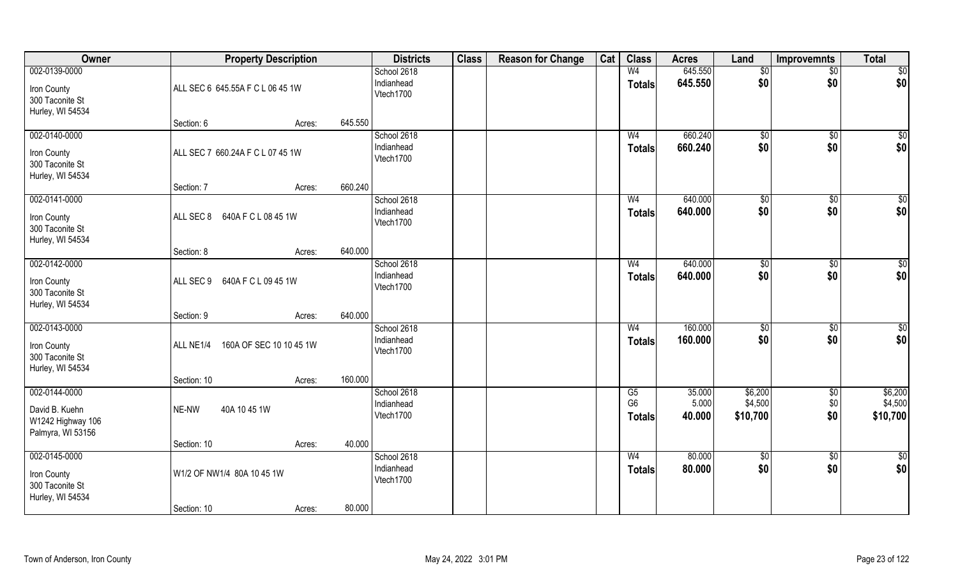| Owner                                                                     |                                           | <b>Property Description</b> |         | <b>Districts</b>                       | <b>Class</b> | <b>Reason for Change</b> | Cat | <b>Class</b>                    | <b>Acres</b>              | Land                           | <b>Improvemnts</b>        | <b>Total</b>                   |
|---------------------------------------------------------------------------|-------------------------------------------|-----------------------------|---------|----------------------------------------|--------------|--------------------------|-----|---------------------------------|---------------------------|--------------------------------|---------------------------|--------------------------------|
| 002-0139-0000<br>Iron County<br>300 Taconite St<br>Hurley, WI 54534       | ALL SEC 6 645.55A F C L 06 45 1W          |                             |         | School 2618<br>Indianhead<br>Vtech1700 |              |                          |     | W <sub>4</sub><br><b>Totals</b> | 645.550<br>645.550        | \$0<br>\$0                     | \$0<br>\$0                | $\overline{50}$<br> \$0        |
|                                                                           | Section: 6                                | Acres:                      | 645.550 |                                        |              |                          |     |                                 |                           |                                |                           |                                |
| 002-0140-0000<br>Iron County<br>300 Taconite St<br>Hurley, WI 54534       | ALL SEC 7 660.24A F C L 07 45 1W          |                             |         | School 2618<br>Indianhead<br>Vtech1700 |              |                          |     | W <sub>4</sub><br><b>Totals</b> | 660.240<br>660.240        | $\sqrt{60}$<br>\$0             | \$0<br>\$0                | $\sqrt{50}$<br>\$0             |
|                                                                           | Section: 7                                | Acres:                      | 660.240 |                                        |              |                          |     |                                 |                           |                                |                           |                                |
| 002-0141-0000<br>Iron County<br>300 Taconite St<br>Hurley, WI 54534       | ALL SEC 8<br>640A F C L 08 45 1W          |                             |         | School 2618<br>Indianhead<br>Vtech1700 |              |                          |     | W <sub>4</sub><br><b>Totals</b> | 640.000<br>640.000        | \$0<br>\$0                     | $\frac{1}{2}$<br>\$0      | \$0<br>\$0                     |
|                                                                           | Section: 8                                | Acres:                      | 640.000 |                                        |              |                          |     |                                 |                           |                                |                           |                                |
| 002-0142-0000<br>Iron County<br>300 Taconite St<br>Hurley, WI 54534       | 640A F C L 09 45 1W<br>ALL SEC 9          |                             |         | School 2618<br>Indianhead<br>Vtech1700 |              |                          |     | W <sub>4</sub><br><b>Totals</b> | 640.000<br>640.000        | \$0<br>\$0                     | $\sqrt[6]{3}$<br>\$0      | $\sqrt{50}$<br>\$0             |
|                                                                           | Section: 9                                | Acres:                      | 640.000 |                                        |              |                          |     |                                 |                           |                                |                           |                                |
| 002-0143-0000<br>Iron County<br>300 Taconite St<br>Hurley, WI 54534       | ALL NE1/4                                 | 160A OF SEC 10 10 45 1W     |         | School 2618<br>Indianhead<br>Vtech1700 |              |                          |     | W <sub>4</sub><br><b>Totals</b> | 160.000<br>160.000        | $\sqrt{50}$<br>\$0             | $\overline{50}$<br>\$0    | $\sqrt{50}$<br>\$0             |
|                                                                           | Section: 10                               | Acres:                      | 160.000 |                                        |              |                          |     |                                 |                           |                                |                           |                                |
| 002-0144-0000<br>David B. Kuehn<br>W1242 Highway 106<br>Palmyra, WI 53156 | NE-NW<br>40A 10 45 1W                     |                             |         | School 2618<br>Indianhead<br>Vtech1700 |              |                          |     | G5<br>G <sub>6</sub><br>Totals  | 35.000<br>5.000<br>40.000 | \$6,200<br>\$4,500<br>\$10,700 | $\sqrt{$0}$<br>\$0<br>\$0 | \$6,200<br>\$4,500<br>\$10,700 |
|                                                                           | Section: 10                               | Acres:                      | 40.000  |                                        |              |                          |     |                                 |                           |                                |                           |                                |
| 002-0145-0000<br>Iron County<br>300 Taconite St<br>Hurley, WI 54534       | W1/2 OF NW1/4 80A 10 45 1W<br>Section: 10 | Acres:                      | 80.000  | School 2618<br>Indianhead<br>Vtech1700 |              |                          |     | W <sub>4</sub><br><b>Totals</b> | 80.000<br>80.000          | $\sqrt{50}$<br>\$0             | $\overline{30}$<br>\$0    | \$0<br>\$0                     |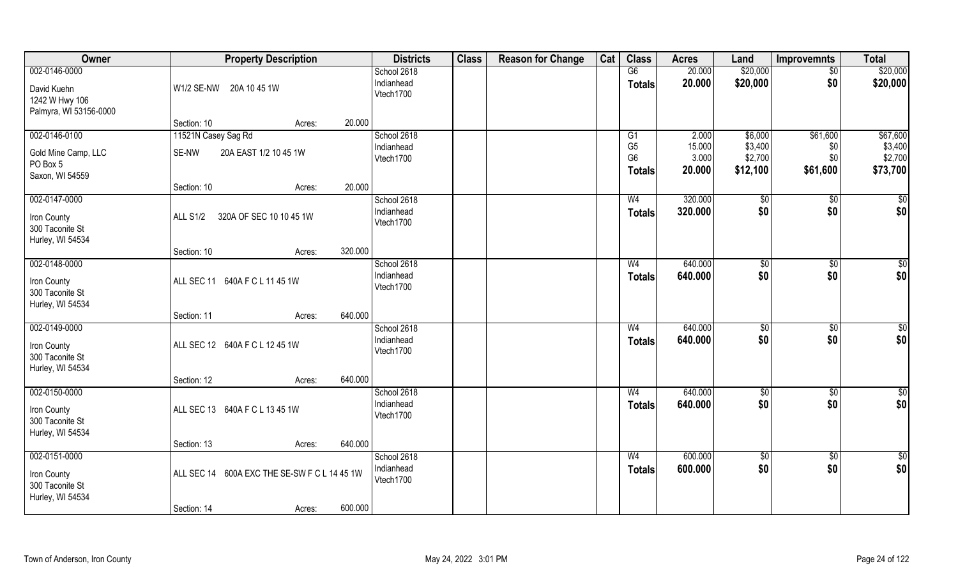| Owner                                                   | <b>Property Description</b>                  |         | <b>Districts</b>                       | <b>Class</b> | <b>Reason for Change</b> | Cat | <b>Class</b>                                      | <b>Acres</b>              | Land                           | <b>Improvemnts</b>     | <b>Total</b>                   |
|---------------------------------------------------------|----------------------------------------------|---------|----------------------------------------|--------------|--------------------------|-----|---------------------------------------------------|---------------------------|--------------------------------|------------------------|--------------------------------|
| 002-0146-0000                                           |                                              |         | School 2618                            |              |                          |     | G6                                                | 20.000                    | \$20,000                       | $\sqrt{$0}$            | \$20,000                       |
| David Kuehn<br>1242 W Hwy 106<br>Palmyra, WI 53156-0000 | W1/2 SE-NW 20A 10 45 1W                      |         | Indianhead<br>Vtech1700                |              |                          |     | <b>Totals</b>                                     | 20.000                    | \$20,000                       | \$0                    | \$20,000                       |
|                                                         | Section: 10<br>Acres:                        | 20.000  |                                        |              |                          |     |                                                   |                           |                                |                        |                                |
| 002-0146-0100                                           | 11521N Casey Sag Rd                          |         | School 2618                            |              |                          |     | G1                                                | 2.000                     | \$6,000                        | \$61,600               | \$67,600                       |
| Gold Mine Camp, LLC<br>PO Box 5<br>Saxon, WI 54559      | SE-NW<br>20A EAST 1/2 10 45 1W               |         | Indianhead<br>Vtech1700                |              |                          |     | G <sub>5</sub><br>G <sub>6</sub><br><b>Totals</b> | 15.000<br>3.000<br>20.000 | \$3,400<br>\$2,700<br>\$12,100 | \$0<br>\$0<br>\$61,600 | \$3,400<br>\$2,700<br>\$73,700 |
|                                                         | Section: 10<br>Acres:                        | 20.000  |                                        |              |                          |     |                                                   |                           |                                |                        |                                |
| 002-0147-0000                                           |                                              |         | School 2618                            |              |                          |     | W <sub>4</sub>                                    | 320.000                   | \$0                            | $\sqrt[6]{3}$          | $\sqrt{50}$                    |
| Iron County<br>300 Taconite St<br>Hurley, WI 54534      | <b>ALL S1/2</b><br>320A OF SEC 10 10 45 1W   |         | Indianhead<br>Vtech1700                |              |                          |     | <b>Totals</b>                                     | 320.000                   | \$0                            | \$0                    | \$0                            |
|                                                         | Section: 10<br>Acres:                        | 320.000 |                                        |              |                          |     |                                                   |                           |                                |                        |                                |
| 002-0148-0000                                           |                                              |         | School 2618                            |              |                          |     | W <sub>4</sub>                                    | 640.000                   | $\sqrt[6]{3}$                  | $\sqrt[6]{3}$          | $\overline{50}$                |
| Iron County<br>300 Taconite St<br>Hurley, WI 54534      | ALL SEC 11 640A F C L 11 45 1W               |         | Indianhead<br>Vtech1700                |              |                          |     | <b>Totals</b>                                     | 640.000                   | \$0                            | \$0                    | \$0                            |
|                                                         | Section: 11<br>Acres:                        | 640.000 |                                        |              |                          |     |                                                   |                           |                                |                        |                                |
| 002-0149-0000<br>Iron County<br>300 Taconite St         | ALL SEC 12 640A F C L 12 45 1W               |         | School 2618<br>Indianhead<br>Vtech1700 |              |                          |     | W <sub>4</sub><br><b>Totals</b>                   | 640.000<br>640.000        | \$0<br>\$0                     | \$0<br>\$0             | \$0<br>\$0                     |
| Hurley, WI 54534                                        |                                              |         |                                        |              |                          |     |                                                   |                           |                                |                        |                                |
|                                                         | Section: 12<br>Acres:                        | 640.000 |                                        |              |                          |     |                                                   |                           |                                |                        |                                |
| 002-0150-0000<br>Iron County<br>300 Taconite St         | ALL SEC 13 640A F C L 13 45 1W               |         | School 2618<br>Indianhead<br>Vtech1700 |              |                          |     | W <sub>4</sub><br><b>Totals</b>                   | 640.000<br>640.000        | \$0<br>\$0                     | \$0<br>\$0             | \$0<br>\$0                     |
| Hurley, WI 54534                                        | Section: 13<br>Acres:                        | 640.000 |                                        |              |                          |     |                                                   |                           |                                |                        |                                |
| 002-0151-0000                                           |                                              |         | School 2618<br>Indianhead              |              |                          |     | W <sub>4</sub>                                    | 600.000<br>600.000        | $\sqrt{$0}$<br>\$0             | $\sqrt{$0}$<br>\$0     | $\overline{50}$<br>\$0         |
| Iron County<br>300 Taconite St<br>Hurley, WI 54534      | ALL SEC 14 600A EXC THE SE-SW F C L 14 45 1W |         | Vtech1700                              |              |                          |     | <b>Totals</b>                                     |                           |                                |                        |                                |
|                                                         | Section: 14<br>Acres:                        | 600.000 |                                        |              |                          |     |                                                   |                           |                                |                        |                                |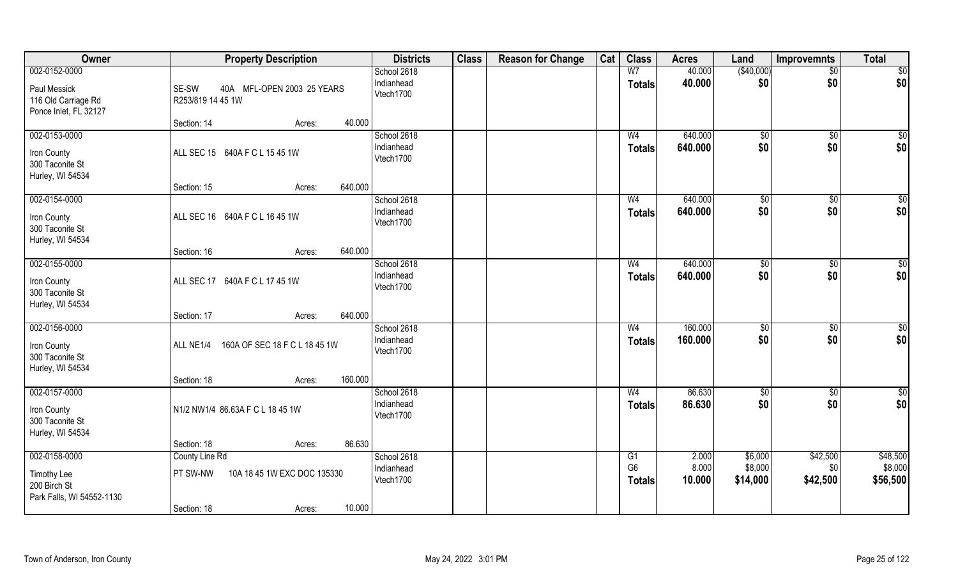| Owner                                                                         | <b>Property Description</b>                                                                  | <b>Districts</b>                       | <b>Class</b> | <b>Reason for Change</b> | Cat | <b>Class</b>                          | <b>Acres</b>             | Land                           | Improvemnts                 | <b>Total</b>                    |
|-------------------------------------------------------------------------------|----------------------------------------------------------------------------------------------|----------------------------------------|--------------|--------------------------|-----|---------------------------------------|--------------------------|--------------------------------|-----------------------------|---------------------------------|
| 002-0152-0000<br>Paul Messick<br>116 Old Carriage Rd<br>Ponce Inlet, FL 32127 | SE-SW<br>40A MFL-OPEN 2003 25 YEARS<br>R253/819 14 45 1W                                     | School 2618<br>Indianhead<br>Vtech1700 |              |                          |     | W <sub>7</sub><br><b>Totals</b>       | 40.000<br>40.000         | (\$40,000)<br>\$0              | $\sqrt{$0}$<br>\$0          | \$0<br>\$0                      |
|                                                                               | 40.000<br>Section: 14<br>Acres:                                                              |                                        |              |                          |     |                                       |                          |                                |                             |                                 |
| 002-0153-0000<br>Iron County<br>300 Taconite St<br>Hurley, WI 54534           | ALL SEC 15 640A F C L 15 45 1W                                                               | School 2618<br>Indianhead<br>Vtech1700 |              |                          |     | W <sub>4</sub><br>Totals              | 640.000<br>640.000       | \$0<br>\$0                     | \$0<br>\$0                  | $\sqrt{50}$<br>\$0              |
| 002-0154-0000                                                                 | 640.000<br>Section: 15<br>Acres:                                                             | School 2618                            |              |                          |     | W <sub>4</sub>                        | 640.000                  |                                |                             | \$0                             |
| Iron County<br>300 Taconite St<br>Hurley, WI 54534                            | ALL SEC 16 640A F C L 16 45 1W                                                               | Indianhead<br>Vtech1700                |              |                          |     | <b>Totals</b>                         | 640.000                  | $\sqrt[6]{2}$<br>\$0           | $\sqrt[6]{3}$<br>\$0        | \$0                             |
|                                                                               | 640.000<br>Section: 16<br>Acres:                                                             |                                        |              |                          |     |                                       |                          |                                |                             |                                 |
| 002-0155-0000<br>Iron County<br>300 Taconite St<br>Hurley, WI 54534           | ALL SEC 17 640A F C L 17 45 1W                                                               | School 2618<br>Indianhead<br>Vtech1700 |              |                          |     | W <sub>4</sub><br><b>Totals</b>       | 640.000<br>640.000       | \$0<br>\$0                     | \$0<br>\$0                  | \$0<br>\$0                      |
|                                                                               | 640.000<br>Section: 17<br>Acres:                                                             |                                        |              |                          |     |                                       |                          |                                |                             |                                 |
| 002-0156-0000<br>Iron County<br>300 Taconite St<br>Hurley, WI 54534           | 160A OF SEC 18 F C L 18 45 1W<br>ALL NE1/4                                                   | School 2618<br>Indianhead<br>Vtech1700 |              |                          |     | W <sub>4</sub><br><b>Totals</b>       | 160.000<br>160.000       | \$0<br>\$0                     | \$0<br>\$0                  | $\overline{50}$<br>\$0          |
| 002-0157-0000                                                                 | 160.000<br>Section: 18<br>Acres:                                                             | School 2618                            |              |                          |     | W <sub>4</sub>                        | 86.630                   | \$0                            | \$0                         | $\overline{50}$                 |
| Iron County<br>300 Taconite St<br>Hurley, WI 54534                            | N1/2 NW1/4 86.63A F C L 18 45 1W                                                             | Indianhead<br>Vtech1700                |              |                          |     | <b>Totals</b>                         | 86.630                   | \$0                            | \$0                         | \$0                             |
|                                                                               | 86.630<br>Section: 18<br>Acres:                                                              |                                        |              |                          |     |                                       |                          |                                |                             |                                 |
| 002-0158-0000<br>Timothy Lee<br>200 Birch St<br>Park Falls, WI 54552-1130     | County Line Rd<br>10A 18 45 1W EXC DOC 135330<br>PT SW-NW<br>10.000<br>Section: 18<br>Acres: | School 2618<br>Indianhead<br>Vtech1700 |              |                          |     | G1<br>G <sub>6</sub><br><b>Totals</b> | 2.000<br>8.000<br>10.000 | \$6,000<br>\$8,000<br>\$14,000 | \$42,500<br>\$0<br>\$42,500 | \$48,500<br>\$8,000<br>\$56,500 |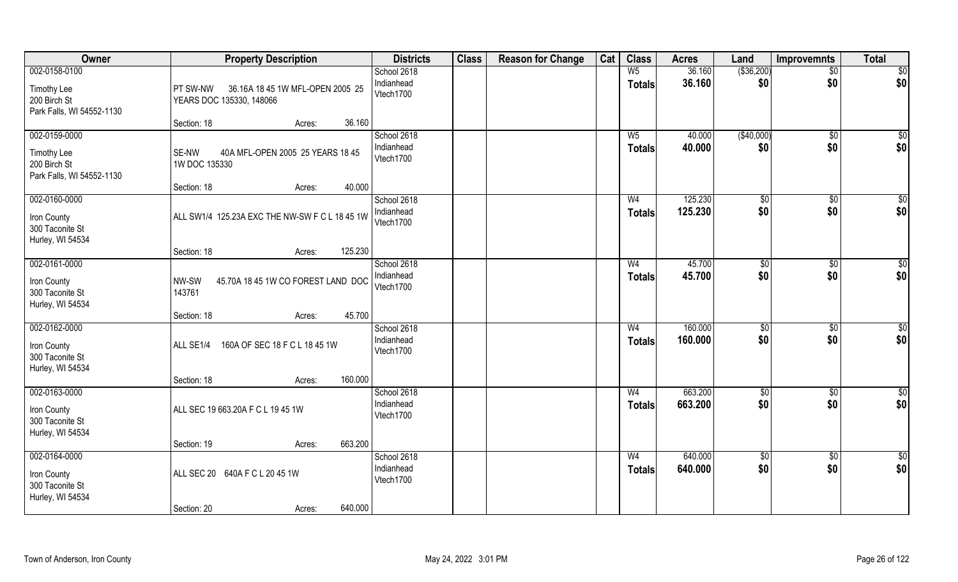| Owner                                                                     | <b>Property Description</b>                                                     | <b>Districts</b>                       | <b>Class</b> | <b>Reason for Change</b> | Cat | <b>Class</b>                    | <b>Acres</b>       | Land                 | <b>Improvemnts</b>   | <b>Total</b>           |
|---------------------------------------------------------------------------|---------------------------------------------------------------------------------|----------------------------------------|--------------|--------------------------|-----|---------------------------------|--------------------|----------------------|----------------------|------------------------|
| 002-0158-0100<br>Timothy Lee<br>200 Birch St<br>Park Falls, WI 54552-1130 | <b>PT SW-NW</b><br>36.16A 18 45 1W MFL-OPEN 2005 25<br>YEARS DOC 135330, 148066 | School 2618<br>Indianhead<br>Vtech1700 |              |                          |     | W <sub>5</sub><br><b>Totals</b> | 36.160<br>36.160   | ( \$36,200)<br>\$0   | $\sqrt{$0}$<br>\$0   | $\frac{1}{6}$<br>\$0   |
|                                                                           | Section: 18<br>36.160<br>Acres:                                                 |                                        |              |                          |     |                                 |                    |                      |                      |                        |
| 002-0159-0000<br>Timothy Lee<br>200 Birch St<br>Park Falls, WI 54552-1130 | 40A MFL-OPEN 2005 25 YEARS 18 45<br>SE-NW<br>1W DOC 135330                      | School 2618<br>Indianhead<br>Vtech1700 |              |                          |     | $W_5$<br><b>Totals</b>          | 40.000<br>40.000   | (\$40,000)<br>\$0    | $\sqrt{$0}$<br>\$0   | $\sqrt{50}$<br>\$0     |
| 002-0160-0000                                                             | 40.000<br>Section: 18<br>Acres:                                                 | School 2618                            |              |                          |     | W <sub>4</sub>                  | 125.230            | \$0                  | $\sqrt[6]{3}$        | \$0                    |
| Iron County<br>300 Taconite St<br>Hurley, WI 54534                        | ALL SW1/4 125.23A EXC THE NW-SW F C L 18 45 1W                                  | Indianhead<br>Vtech1700                |              |                          |     | <b>Totals</b>                   | 125.230            | \$0                  | \$0                  | \$0                    |
|                                                                           | 125.230<br>Section: 18<br>Acres:                                                |                                        |              |                          |     |                                 |                    |                      |                      |                        |
| 002-0161-0000<br>Iron County<br>300 Taconite St<br>Hurley, WI 54534       | NW-SW<br>45.70A 18 45 1W CO FOREST LAND DOC<br>143761                           | School 2618<br>Indianhead<br>Vtech1700 |              |                          |     | W <sub>4</sub><br><b>Totals</b> | 45.700<br>45.700   | $\sqrt[6]{3}$<br>\$0 | $\sqrt[6]{3}$<br>\$0 | $\overline{50}$<br>\$0 |
|                                                                           | 45.700<br>Section: 18<br>Acres:                                                 |                                        |              |                          |     |                                 |                    |                      |                      |                        |
| 002-0162-0000<br>Iron County<br>300 Taconite St<br>Hurley, WI 54534       | 160A OF SEC 18 F C L 18 45 1W<br>ALL SE1/4<br>160.000<br>Section: 18<br>Acres:  | School 2618<br>Indianhead<br>Vtech1700 |              |                          |     | W <sub>4</sub><br><b>Totals</b> | 160.000<br>160.000 | \$0<br>\$0           | $\sqrt[6]{3}$<br>\$0 | \$0<br>\$0             |
| 002-0163-0000                                                             |                                                                                 | School 2618                            |              |                          |     | W <sub>4</sub>                  | 663.200            | \$0                  | \$0                  | \$0                    |
| Iron County<br>300 Taconite St<br>Hurley, WI 54534                        | ALL SEC 19 663.20A F C L 19 45 1W                                               | Indianhead<br>Vtech1700                |              |                          |     | <b>Totals</b>                   | 663.200            | \$0                  | \$0                  | \$0                    |
|                                                                           | 663.200<br>Section: 19<br>Acres:                                                |                                        |              |                          |     |                                 |                    |                      |                      |                        |
| 002-0164-0000<br>Iron County<br>300 Taconite St<br>Hurley, WI 54534       | ALL SEC 20 640A F C L 20 45 1W                                                  | School 2618<br>Indianhead<br>Vtech1700 |              |                          |     | W <sub>4</sub><br><b>Totals</b> | 640.000<br>640.000 | $\sqrt{$0}$<br>\$0   | $\sqrt{$0}$<br>\$0   | $\overline{50}$<br>\$0 |
|                                                                           | 640.000<br>Section: 20<br>Acres:                                                |                                        |              |                          |     |                                 |                    |                      |                      |                        |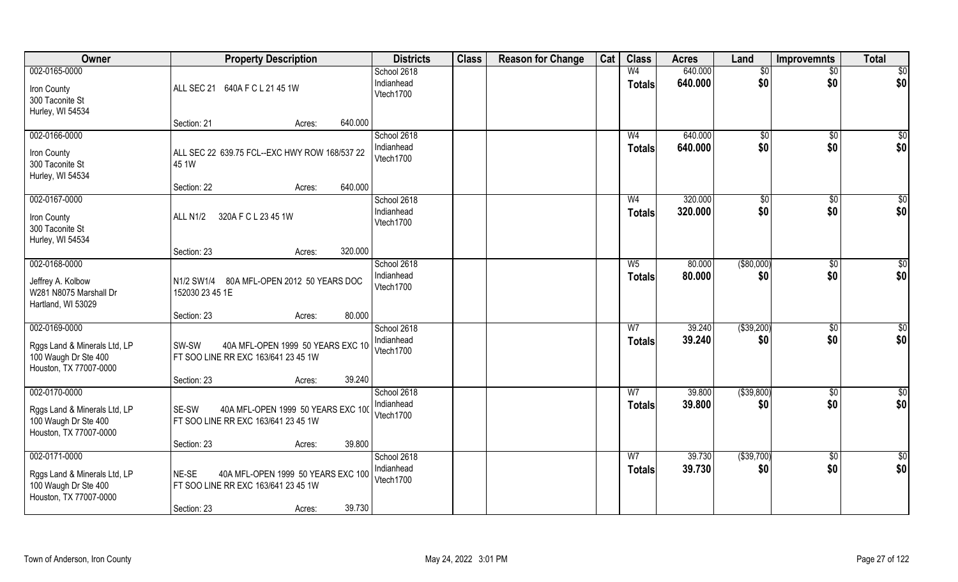| 002-0165-0000                                                                                   |                                                                                                                       | School 2618                            |  |                                 |                    |                          |                        |                     |
|-------------------------------------------------------------------------------------------------|-----------------------------------------------------------------------------------------------------------------------|----------------------------------------|--|---------------------------------|--------------------|--------------------------|------------------------|---------------------|
| Iron County<br>300 Taconite St<br>Hurley, WI 54534                                              | ALL SEC 21<br>640A F C L 21 45 1W                                                                                     | Indianhead<br>Vtech1700                |  | W <sub>4</sub><br><b>Totals</b> | 640.000<br>640.000 | \$0<br>\$0               | $\sqrt{$0}$<br>\$0     | $\sqrt{50}$<br> \$0 |
|                                                                                                 | 640.000<br>Section: 21<br>Acres:                                                                                      |                                        |  |                                 |                    |                          |                        |                     |
| 002-0166-0000<br>Iron County<br>300 Taconite St<br>Hurley, WI 54534                             | ALL SEC 22 639.75 FCL--EXC HWY ROW 168/537 22<br>45 1W<br>640.000<br>Section: 22                                      | School 2618<br>Indianhead<br>Vtech1700 |  | W <sub>4</sub><br><b>Totals</b> | 640.000<br>640.000 | \$0<br>\$0               | $\overline{60}$<br>\$0 | $\sqrt{50}$<br>\$0  |
| 002-0167-0000                                                                                   | Acres:                                                                                                                | School 2618                            |  | W <sub>4</sub>                  | 320.000            | $\sqrt{50}$              | \$0                    | $\sqrt{50}$         |
| Iron County<br>300 Taconite St<br>Hurley, WI 54534                                              | ALL N1/2<br>320A F C L 23 45 1W                                                                                       | Indianhead<br>Vtech1700                |  | <b>Totals</b>                   | 320.000            | \$0                      | \$0                    | \$0                 |
|                                                                                                 | 320.000<br>Section: 23<br>Acres:                                                                                      |                                        |  |                                 |                    |                          |                        |                     |
| 002-0168-0000<br>Jeffrey A. Kolbow<br>W281 N8075 Marshall Dr<br>Hartland, WI 53029              | N1/2 SW1/4 80A MFL-OPEN 2012 50 YEARS DOC<br>152030 23 45 1E                                                          | School 2618<br>Indianhead<br>Vtech1700 |  | $W_5$<br><b>Totals</b>          | 80.000<br>80.000   | ( \$80,000)<br>\$0       | $\overline{50}$<br>\$0 | $\sqrt{50}$<br>\$0  |
| 002-0169-0000                                                                                   | 80.000<br>Section: 23<br>Acres:                                                                                       |                                        |  | W <sub>7</sub>                  | 39.240             |                          |                        |                     |
| Rggs Land & Minerals Ltd, LP<br>100 Waugh Dr Ste 400<br>Houston, TX 77007-0000                  | 40A MFL-OPEN 1999 50 YEARS EXC 10<br>SW-SW<br>FT SOO LINE RR EXC 163/641 23 45 1W                                     | School 2618<br>Indianhead<br>Vtech1700 |  | <b>Totals</b>                   | 39.240             | $($ \$39,200) $ $<br>\$0 | $\overline{50}$<br>\$0 | $\sqrt{50}$<br>\$0  |
| 002-0170-0000                                                                                   | 39.240<br>Section: 23<br>Acres:                                                                                       | School 2618                            |  | W <sub>7</sub>                  | 39.800             | $($ \$39,800) $ $        | $\overline{30}$        | \$0                 |
| Rggs Land & Minerals Ltd, LP<br>100 Waugh Dr Ste 400<br>Houston, TX 77007-0000                  | 40A MFL-OPEN 1999 50 YEARS EXC 100<br>SE-SW<br>FT SOO LINE RR EXC 163/641 23 45 1W                                    | Indianhead<br>Vtech1700                |  | <b>Totals</b>                   | 39.800             | \$0                      | \$0                    | \$0                 |
|                                                                                                 | 39.800<br>Section: 23<br>Acres:                                                                                       |                                        |  |                                 |                    |                          |                        |                     |
| 002-0171-0000<br>Rggs Land & Minerals Ltd, LP<br>100 Waugh Dr Ste 400<br>Houston, TX 77007-0000 | NE-SE<br>40A MFL-OPEN 1999 50 YEARS EXC 100<br>FT SOO LINE RR EXC 163/641 23 45 1W<br>39.730<br>Section: 23<br>Acres: | School 2618<br>Indianhead<br>Vtech1700 |  | W <sub>7</sub><br><b>Totals</b> | 39.730<br>39.730   | ( \$39,700)<br>\$0       | $\sqrt{$0}$<br>\$0     | \$0<br>\$0          |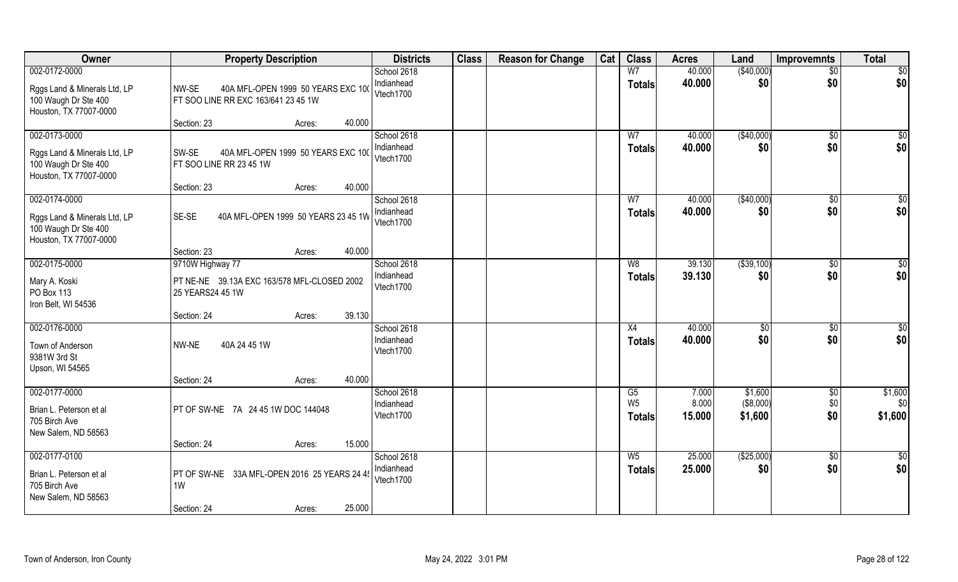| Owner                                                                                           | <b>Property Description</b>                                                           | <b>Districts</b>                       | <b>Class</b> | <b>Reason for Change</b> | Cat | <b>Class</b>                    | <b>Acres</b>     | Land                 | <b>Improvemnts</b>        | <b>Total</b>       |
|-------------------------------------------------------------------------------------------------|---------------------------------------------------------------------------------------|----------------------------------------|--------------|--------------------------|-----|---------------------------------|------------------|----------------------|---------------------------|--------------------|
| 002-0172-0000                                                                                   |                                                                                       | School 2618                            |              |                          |     | W <sub>7</sub>                  | 40.000           | (\$40,000)           | $\overline{50}$           | $\overline{50}$    |
| Rggs Land & Minerals Ltd, LP<br>100 Waugh Dr Ste 400<br>Houston, TX 77007-0000                  | NW-SE<br>40A MFL-OPEN 1999 50 YEARS EXC 100<br>FT SOO LINE RR EXC 163/641 23 45 1W    | Indianhead<br>Vtech1700                |              |                          |     | <b>Totals</b>                   | 40.000           | \$0                  | \$0                       | \$0                |
|                                                                                                 | 40.000<br>Section: 23<br>Acres:                                                       |                                        |              |                          |     |                                 |                  |                      |                           |                    |
| 002-0173-0000<br>Rggs Land & Minerals Ltd, LP<br>100 Waugh Dr Ste 400<br>Houston, TX 77007-0000 | 40A MFL-OPEN 1999 50 YEARS EXC 100<br>SW-SE<br>FT SOO LINE RR 23 45 1W                | School 2618<br>Indianhead<br>Vtech1700 |              |                          |     | W <sub>7</sub><br><b>Totals</b> | 40.000<br>40.000 | (\$40,000)<br>\$0    | \$0<br>\$0                | $\sqrt{50}$<br>\$0 |
| 002-0174-0000                                                                                   | 40.000<br>Section: 23<br>Acres:                                                       | School 2618                            |              |                          |     | W <sub>7</sub>                  | 40.000           | ( \$40,000)          | $\sqrt[6]{3}$             | \$0                |
| Rggs Land & Minerals Ltd, LP<br>100 Waugh Dr Ste 400<br>Houston, TX 77007-0000                  | SE-SE<br>40A MFL-OPEN 1999 50 YEARS 23 45 1W                                          | Indianhead<br>Vtech1700                |              |                          |     | <b>Totals</b>                   | 40.000           | \$0                  | \$0                       | \$0                |
|                                                                                                 | 40.000<br>Section: 23<br>Acres:                                                       |                                        |              |                          |     |                                 |                  |                      |                           |                    |
| 002-0175-0000<br>Mary A. Koski<br>PO Box 113<br>Iron Belt, WI 54536                             | 9710W Highway 77<br>PT NE-NE 39.13A EXC 163/578 MFL-CLOSED 2002<br>25 YEARS24 45 1W   | School 2618<br>Indianhead<br>Vtech1700 |              |                          |     | W8<br><b>Totals</b>             | 39.130<br>39.130 | ( \$39, 100)<br>\$0  | \$0<br>\$0                | \$0<br>\$0         |
|                                                                                                 | 39.130<br>Section: 24<br>Acres:                                                       |                                        |              |                          |     |                                 |                  |                      |                           |                    |
| 002-0176-0000<br>Town of Anderson<br>9381W 3rd St<br>Upson, WI 54565                            | 40A 24 45 1W<br>NW-NE                                                                 | School 2618<br>Indianhead<br>Vtech1700 |              |                          |     | X4<br><b>Totals</b>             | 40.000<br>40.000 | $\sqrt[6]{3}$<br>\$0 | $\sqrt[6]{30}$<br>\$0     | \$0<br>\$0         |
| 002-0177-0000                                                                                   | 40.000<br>Section: 24<br>Acres:                                                       | School 2618                            |              |                          |     | G5                              | 7.000            | \$1,600              |                           | \$1,600            |
| Brian L. Peterson et al<br>705 Birch Ave<br>New Salem, ND 58563                                 | PT OF SW-NE 7A 24 45 1W DOC 144048                                                    | Indianhead<br>Vtech1700                |              |                          |     | W <sub>5</sub><br><b>Totals</b> | 8.000<br>15.000  | (\$8,000)<br>\$1,600 | $\sqrt{$0}$<br>\$0<br>\$0 | \$0<br>\$1,600     |
|                                                                                                 | 15.000<br>Section: 24<br>Acres:                                                       |                                        |              |                          |     |                                 |                  |                      |                           |                    |
| 002-0177-0100<br>Brian L. Peterson et al<br>705 Birch Ave<br>New Salem, ND 58563                | PT OF SW-NE 33A MFL-OPEN 2016 25 YEARS 24 45<br>1W<br>25.000<br>Section: 24<br>Acres: | School 2618<br>Indianhead<br>Vtech1700 |              |                          |     | $W_5$<br><b>Totals</b>          | 25.000<br>25.000 | ( \$25,000)<br>\$0   | \$0<br>\$0                | \$0<br>\$0         |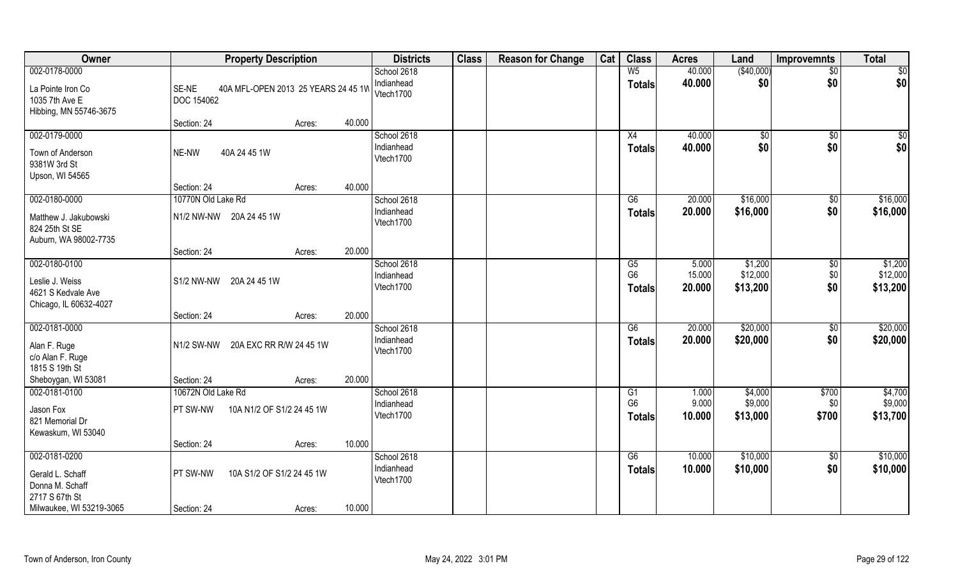| Owner                                                                | <b>Property Description</b>                  |        | <b>Districts</b>                       | <b>Class</b> | <b>Reason for Change</b> | Cat | <b>Class</b>                     | <b>Acres</b>     | Land                 | Improvemnts            | <b>Total</b>         |
|----------------------------------------------------------------------|----------------------------------------------|--------|----------------------------------------|--------------|--------------------------|-----|----------------------------------|------------------|----------------------|------------------------|----------------------|
| 002-0178-0000<br>La Pointe Iron Co                                   | SE-NE<br>40A MFL-OPEN 2013 25 YEARS 24 45 1W |        | School 2618<br>Indianhead              |              |                          |     | W <sub>5</sub><br><b>Totals</b>  | 40.000<br>40.000 | (\$40,000)<br>\$0    | $\overline{50}$<br>\$0 | \$0<br>\$0           |
| 1035 7th Ave E<br>Hibbing, MN 55746-3675                             | <b>DOC 154062</b>                            |        | Vtech1700                              |              |                          |     |                                  |                  |                      |                        |                      |
|                                                                      | Section: 24<br>Acres:                        | 40.000 |                                        |              |                          |     |                                  |                  |                      |                        |                      |
| 002-0179-0000<br>Town of Anderson<br>9381W 3rd St<br>Upson, WI 54565 | 40A 24 45 1W<br>NE-NW                        |        | School 2618<br>Indianhead<br>Vtech1700 |              |                          |     | X4<br>Totals                     | 40.000<br>40.000 | \$0<br>\$0           | \$0<br>\$0             | $\sqrt{50}$<br>\$0   |
|                                                                      | Section: 24<br>Acres:                        | 40.000 |                                        |              |                          |     |                                  |                  |                      |                        |                      |
| 002-0180-0000                                                        | 10770N Old Lake Rd                           |        | School 2618                            |              |                          |     | G6                               | 20.000           | \$16,000             | \$0                    | \$16,000             |
| Matthew J. Jakubowski<br>824 25th St SE<br>Auburn, WA 98002-7735     | N1/2 NW-NW 20A 24 45 1W                      |        | Indianhead<br>Vtech1700                |              |                          |     | <b>Totals</b>                    | 20.000           | \$16,000             | \$0                    | \$16,000             |
|                                                                      | Section: 24<br>Acres:                        | 20.000 |                                        |              |                          |     |                                  |                  |                      |                        |                      |
| 002-0180-0100                                                        |                                              |        | School 2618                            |              |                          |     | G <sub>5</sub>                   | 5.000            | \$1,200              | \$0                    | \$1,200              |
| Leslie J. Weiss<br>4621 S Kedvale Ave<br>Chicago, IL 60632-4027      | S1/2 NW-NW 20A 24 45 1W                      |        | Indianhead<br>Vtech1700                |              |                          |     | G <sub>6</sub><br><b>Totals</b>  | 15.000<br>20.000 | \$12,000<br>\$13,200 | \$0<br>\$0             | \$12,000<br>\$13,200 |
|                                                                      | Section: 24<br>Acres:                        | 20.000 |                                        |              |                          |     |                                  |                  |                      |                        |                      |
| 002-0181-0000<br>Alan F. Ruge<br>c/o Alan F. Ruge<br>1815 S 19th St  | N1/2 SW-NW 20A EXC RR R/W 24 45 1W           |        | School 2618<br>Indianhead<br>Vtech1700 |              |                          |     | $\overline{G6}$<br><b>Totals</b> | 20.000<br>20.000 | \$20,000<br>\$20,000 | \$0<br>\$0             | \$20,000<br>\$20,000 |
| Sheboygan, WI 53081                                                  | Section: 24<br>Acres:                        | 20.000 |                                        |              |                          |     |                                  |                  |                      |                        |                      |
| 002-0181-0100                                                        | 10672N Old Lake Rd                           |        | School 2618                            |              |                          |     | G1                               | 1.000            | \$4,000              | \$700                  | \$4,700              |
| Jason Fox<br>821 Memorial Dr<br>Kewaskum, WI 53040                   | 10A N1/2 OF S1/2 24 45 1W<br>PT SW-NW        |        | Indianhead<br>Vtech1700                |              |                          |     | G <sub>6</sub><br><b>Totals</b>  | 9.000<br>10.000  | \$9,000<br>\$13,000  | \$0<br>\$700           | \$9,000<br>\$13,700  |
|                                                                      | Section: 24<br>Acres:                        | 10.000 |                                        |              |                          |     |                                  |                  |                      |                        |                      |
| 002-0181-0200<br>Gerald L. Schaff<br>Donna M. Schaff                 | PT SW-NW<br>10A S1/2 OF S1/2 24 45 1W        |        | School 2618<br>Indianhead<br>Vtech1700 |              |                          |     | G6<br><b>Totals</b>              | 10.000<br>10.000 | \$10,000<br>\$10,000 | $\sqrt{$0}$<br>\$0     | \$10,000<br>\$10,000 |
| 2717 S 67th St<br>Milwaukee, WI 53219-3065                           | Section: 24<br>Acres:                        | 10.000 |                                        |              |                          |     |                                  |                  |                      |                        |                      |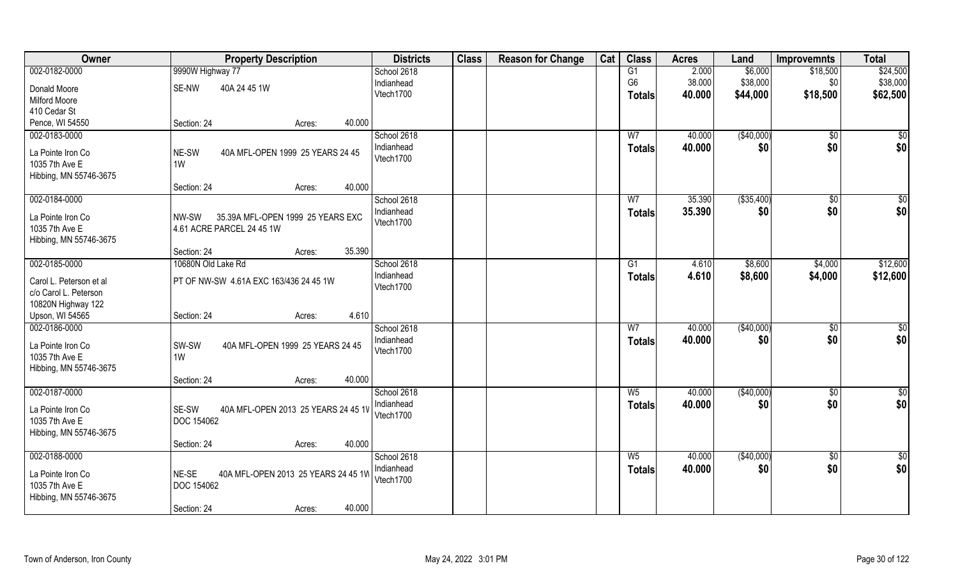| Owner                               | <b>Property Description</b>                              | <b>Districts</b> | <b>Class</b> | <b>Reason for Change</b> | Cat | <b>Class</b>   | <b>Acres</b> | Land        | <b>Improvemnts</b> | <b>Total</b>    |
|-------------------------------------|----------------------------------------------------------|------------------|--------------|--------------------------|-----|----------------|--------------|-------------|--------------------|-----------------|
| 002-0182-0000                       | 9990W Highway 77                                         | School 2618      |              |                          |     | G1             | 2.000        | \$6,000     | \$18,500           | \$24,500        |
| Donald Moore                        | SE-NW<br>40A 24 45 1W                                    | Indianhead       |              |                          |     | G <sub>6</sub> | 38.000       | \$38,000    | \$0                | \$38,000        |
| <b>Milford Moore</b>                |                                                          | Vtech1700        |              |                          |     | <b>Totals</b>  | 40.000       | \$44,000    | \$18,500           | \$62,500        |
| 410 Cedar St                        |                                                          |                  |              |                          |     |                |              |             |                    |                 |
| Pence, WI 54550                     | 40.000<br>Section: 24<br>Acres:                          |                  |              |                          |     |                |              |             |                    |                 |
| 002-0183-0000                       |                                                          | School 2618      |              |                          |     | W <sub>7</sub> | 40.000       | (\$40,000)  | \$0                | \$0             |
|                                     |                                                          | Indianhead       |              |                          |     | Totals         | 40.000       | \$0         | \$0                | \$0             |
| La Pointe Iron Co                   | 40A MFL-OPEN 1999 25 YEARS 24 45<br>NE-SW                | Vtech1700        |              |                          |     |                |              |             |                    |                 |
| 1035 7th Ave E                      | 1W                                                       |                  |              |                          |     |                |              |             |                    |                 |
| Hibbing, MN 55746-3675              |                                                          |                  |              |                          |     |                |              |             |                    |                 |
|                                     | 40.000<br>Section: 24<br>Acres:                          |                  |              |                          |     |                |              |             |                    |                 |
| 002-0184-0000                       |                                                          | School 2618      |              |                          |     | W7             | 35.390       | ( \$35,400) | $\sqrt[6]{30}$     | \$0             |
| La Pointe Iron Co                   | 35.39A MFL-OPEN 1999 25 YEARS EXC<br>NW-SW               | Indianhead       |              |                          |     | <b>Totals</b>  | 35.390       | \$0         | \$0                | \$0             |
| 1035 7th Ave E                      | 4.61 ACRE PARCEL 24 45 1W                                | Vtech1700        |              |                          |     |                |              |             |                    |                 |
| Hibbing, MN 55746-3675              |                                                          |                  |              |                          |     |                |              |             |                    |                 |
|                                     | 35.390<br>Section: 24<br>Acres:                          |                  |              |                          |     |                |              |             |                    |                 |
| 002-0185-0000                       | 10680N Old Lake Rd                                       | School 2618      |              |                          |     | G <sub>1</sub> | 4.610        | \$8,600     | \$4,000            | \$12,600        |
|                                     |                                                          | Indianhead       |              |                          |     | <b>Totals</b>  | 4.610        | \$8,600     | \$4,000            | \$12,600        |
| Carol L. Peterson et al             | PT OF NW-SW 4.61A EXC 163/436 24 45 1W                   | Vtech1700        |              |                          |     |                |              |             |                    |                 |
| c/o Carol L. Peterson               |                                                          |                  |              |                          |     |                |              |             |                    |                 |
| 10820N Highway 122                  |                                                          |                  |              |                          |     |                |              |             |                    |                 |
| Upson, WI 54565                     | 4.610<br>Section: 24<br>Acres:                           |                  |              |                          |     |                |              |             |                    |                 |
| 002-0186-0000                       |                                                          | School 2618      |              |                          |     | $\overline{W}$ | 40.000       | (\$40,000)  | $\sqrt[6]{30}$     | $\overline{50}$ |
| La Pointe Iron Co                   | SW-SW<br>40A MFL-OPEN 1999 25 YEARS 24 45                | Indianhead       |              |                          |     | <b>Totals</b>  | 40.000       | \$0         | \$0                | \$0             |
| 1035 7th Ave E                      | 1W                                                       | Vtech1700        |              |                          |     |                |              |             |                    |                 |
| Hibbing, MN 55746-3675              |                                                          |                  |              |                          |     |                |              |             |                    |                 |
|                                     | 40.000<br>Section: 24<br>Acres:                          |                  |              |                          |     |                |              |             |                    |                 |
| 002-0187-0000                       |                                                          | School 2618      |              |                          |     | W <sub>5</sub> | 40.000       | (\$40,000)  | \$0                | \$0             |
|                                     | SE-SW                                                    | Indianhead       |              |                          |     | <b>Totals</b>  | 40.000       | \$0         | \$0                | \$0             |
| La Pointe Iron Co<br>1035 7th Ave E | 40A MFL-OPEN 2013 25 YEARS 24 45 1V<br><b>DOC 154062</b> | Vtech1700        |              |                          |     |                |              |             |                    |                 |
|                                     |                                                          |                  |              |                          |     |                |              |             |                    |                 |
| Hibbing, MN 55746-3675              | 40.000<br>Section: 24<br>Acres:                          |                  |              |                          |     |                |              |             |                    |                 |
| 002-0188-0000                       |                                                          | School 2618      |              |                          |     | $W_5$          | 40.000       | (\$40,000)  | $\sqrt{$0}$        | \$0             |
|                                     |                                                          | Indianhead       |              |                          |     |                | 40.000       |             | \$0                | \$0             |
| La Pointe Iron Co                   | NE-SE<br>40A MFL-OPEN 2013 25 YEARS 24 45 1W             | Vtech1700        |              |                          |     | <b>Totals</b>  |              | \$0         |                    |                 |
| 1035 7th Ave E                      | <b>DOC 154062</b>                                        |                  |              |                          |     |                |              |             |                    |                 |
| Hibbing, MN 55746-3675              |                                                          |                  |              |                          |     |                |              |             |                    |                 |
|                                     | 40.000<br>Section: 24<br>Acres:                          |                  |              |                          |     |                |              |             |                    |                 |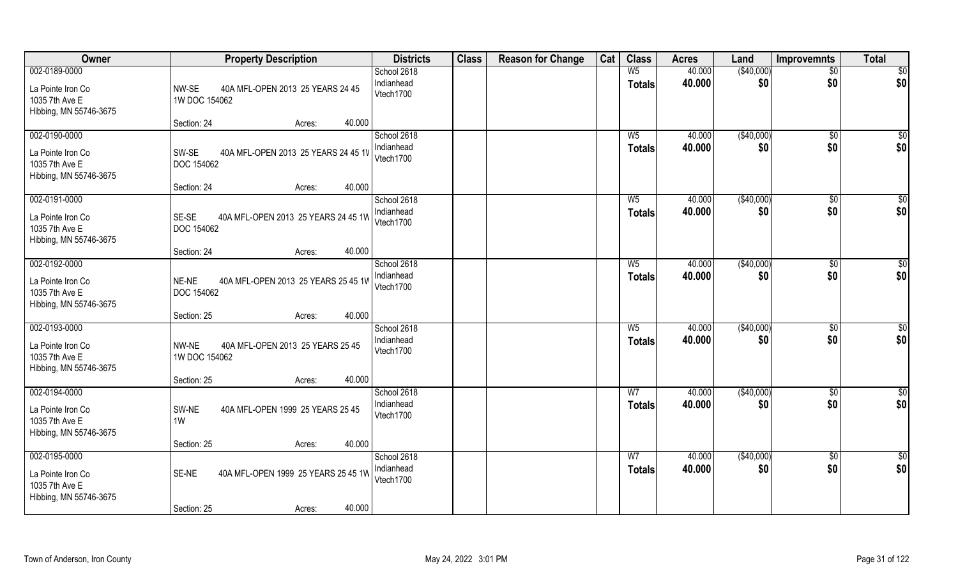| Owner                                                                          | <b>Property Description</b>                                                     | <b>Districts</b>                       | <b>Class</b> | <b>Reason for Change</b> | Cat | <b>Class</b>                    | <b>Acres</b>     | Land               | <b>Improvemnts</b>     | <b>Total</b>           |
|--------------------------------------------------------------------------------|---------------------------------------------------------------------------------|----------------------------------------|--------------|--------------------------|-----|---------------------------------|------------------|--------------------|------------------------|------------------------|
| 002-0189-0000<br>La Pointe Iron Co<br>1035 7th Ave E<br>Hibbing, MN 55746-3675 | NW-SE<br>40A MFL-OPEN 2013 25 YEARS 24 45<br>1W DOC 154062                      | School 2618<br>Indianhead<br>Vtech1700 |              |                          |     | W <sub>5</sub><br><b>Totals</b> | 40.000<br>40.000 | (\$40,000)<br>\$0  | $\overline{50}$<br>\$0 | \$0<br>\$0             |
|                                                                                | 40.000<br>Section: 24<br>Acres:                                                 |                                        |              |                          |     |                                 |                  |                    |                        |                        |
| 002-0190-0000<br>La Pointe Iron Co<br>1035 7th Ave E<br>Hibbing, MN 55746-3675 | SW-SE<br>40A MFL-OPEN 2013 25 YEARS 24 45 1V<br>DOC 154062                      | School 2618<br>Indianhead<br>Vtech1700 |              |                          |     | $W_5$<br>Totals                 | 40.000<br>40.000 | (\$40,000)<br>\$0  | \$0<br>\$0             | $\sqrt{50}$<br>\$0     |
| 002-0191-0000                                                                  | 40.000<br>Section: 24<br>Acres:                                                 | School 2618                            |              |                          |     | $W_5$                           | 40.000           | ( \$40,000)        |                        | \$0                    |
| La Pointe Iron Co<br>1035 7th Ave E<br>Hibbing, MN 55746-3675                  | SE-SE<br>40A MFL-OPEN 2013 25 YEARS 24 45 1W<br>DOC 154062                      | Indianhead<br>Vtech1700                |              |                          |     | <b>Totals</b>                   | 40.000           | \$0                | $\sqrt[6]{3}$<br>\$0   | \$0                    |
|                                                                                | 40.000<br>Section: 24<br>Acres:                                                 |                                        |              |                          |     |                                 |                  |                    |                        |                        |
| 002-0192-0000<br>La Pointe Iron Co<br>1035 7th Ave E<br>Hibbing, MN 55746-3675 | NE-NE<br>40A MFL-OPEN 2013 25 YEARS 25 45 1W<br>DOC 154062                      | School 2618<br>Indianhead<br>Vtech1700 |              |                          |     | $W_5$<br><b>Totals</b>          | 40.000<br>40.000 | ( \$40,000)<br>\$0 | \$0<br>\$0             | \$0<br>\$0             |
|                                                                                | 40.000<br>Section: 25<br>Acres:                                                 |                                        |              |                          |     |                                 |                  |                    |                        |                        |
| 002-0193-0000<br>La Pointe Iron Co<br>1035 7th Ave E<br>Hibbing, MN 55746-3675 | NW-NE<br>40A MFL-OPEN 2013 25 YEARS 25 45<br>1W DOC 154062                      | School 2618<br>Indianhead<br>Vtech1700 |              |                          |     | $W_5$<br><b>Totals</b>          | 40.000<br>40.000 | (\$40,000)<br>\$0  | \$0<br>\$0             | \$0<br>\$0             |
|                                                                                | 40.000<br>Section: 25<br>Acres:                                                 |                                        |              |                          |     |                                 |                  |                    |                        |                        |
| 002-0194-0000<br>La Pointe Iron Co<br>1035 7th Ave E<br>Hibbing, MN 55746-3675 | SW-NE<br>40A MFL-OPEN 1999 25 YEARS 25 45<br>1W                                 | School 2618<br>Indianhead<br>Vtech1700 |              |                          |     | W <sub>7</sub><br><b>Totals</b> | 40.000<br>40.000 | (\$40,000)<br>\$0  | \$0<br>\$0             | \$0<br>\$0             |
|                                                                                | 40.000<br>Section: 25<br>Acres:                                                 |                                        |              |                          |     |                                 |                  |                    |                        |                        |
| 002-0195-0000<br>La Pointe Iron Co<br>1035 7th Ave E<br>Hibbing, MN 55746-3675 | 40A MFL-OPEN 1999 25 YEARS 25 45 1W<br>SE-NE<br>40.000<br>Section: 25<br>Acres: | School 2618<br>Indianhead<br>Vtech1700 |              |                          |     | W <sub>7</sub><br><b>Totals</b> | 40.000<br>40.000 | (\$40,000)<br>\$0  | $\sqrt{$0}$<br>\$0     | $\overline{50}$<br>\$0 |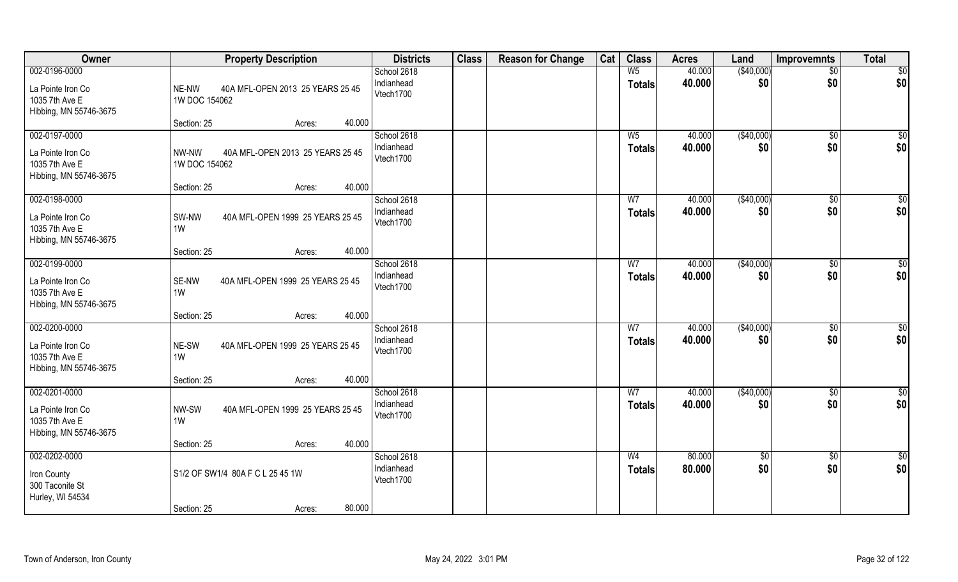| Owner                                                                          | <b>Property Description</b>                                         | <b>Districts</b>                       | <b>Class</b> | <b>Reason for Change</b> | Cat | <b>Class</b>                    | <b>Acres</b>     | Land               | Improvemnts            | <b>Total</b>           |
|--------------------------------------------------------------------------------|---------------------------------------------------------------------|----------------------------------------|--------------|--------------------------|-----|---------------------------------|------------------|--------------------|------------------------|------------------------|
| 002-0196-0000<br>La Pointe Iron Co<br>1035 7th Ave E<br>Hibbing, MN 55746-3675 | NE-NW<br>40A MFL-OPEN 2013 25 YEARS 25 45<br>1W DOC 154062          | School 2618<br>Indianhead<br>Vtech1700 |              |                          |     | W <sub>5</sub><br><b>Totals</b> | 40.000<br>40.000 | (\$40,000)<br>\$0  | $\overline{50}$<br>\$0 | \$0<br>\$0             |
|                                                                                | 40.000<br>Section: 25<br>Acres:                                     |                                        |              |                          |     |                                 |                  |                    |                        |                        |
| 002-0197-0000<br>La Pointe Iron Co<br>1035 7th Ave E<br>Hibbing, MN 55746-3675 | NW-NW<br>40A MFL-OPEN 2013 25 YEARS 25 45<br>1W DOC 154062          | School 2618<br>Indianhead<br>Vtech1700 |              |                          |     | $W_5$<br>Totals                 | 40.000<br>40.000 | (\$40,000)<br>\$0  | \$0<br>\$0             | $\sqrt{50}$<br>\$0     |
| 002-0198-0000                                                                  | 40.000<br>Section: 25<br>Acres:                                     | School 2618                            |              |                          |     | W7                              | 40.000           |                    |                        |                        |
| La Pointe Iron Co<br>1035 7th Ave E<br>Hibbing, MN 55746-3675                  | SW-NW<br>40A MFL-OPEN 1999 25 YEARS 25 45<br>1W                     | Indianhead<br>Vtech1700                |              |                          |     | <b>Totals</b>                   | 40.000           | ( \$40,000)<br>\$0 | $\sqrt[6]{3}$<br>\$0   | \$0<br>\$0             |
|                                                                                | 40.000<br>Section: 25<br>Acres:                                     |                                        |              |                          |     |                                 |                  |                    |                        |                        |
| 002-0199-0000<br>La Pointe Iron Co<br>1035 7th Ave E<br>Hibbing, MN 55746-3675 | SE-NW<br>40A MFL-OPEN 1999 25 YEARS 25 45<br>1W                     | School 2618<br>Indianhead<br>Vtech1700 |              |                          |     | W <sub>7</sub><br><b>Totals</b> | 40.000<br>40.000 | (\$40,000)<br>\$0  | \$0<br>\$0             | \$0<br>\$0             |
|                                                                                | 40.000<br>Section: 25<br>Acres:                                     |                                        |              |                          |     |                                 |                  |                    |                        |                        |
| 002-0200-0000<br>La Pointe Iron Co<br>1035 7th Ave E<br>Hibbing, MN 55746-3675 | NE-SW<br>40A MFL-OPEN 1999 25 YEARS 25 45<br>1W                     | School 2618<br>Indianhead<br>Vtech1700 |              |                          |     | $\overline{W}$<br><b>Totals</b> | 40.000<br>40.000 | (\$40,000)<br>\$0  | \$0<br>\$0             | \$0<br>\$0             |
| 002-0201-0000                                                                  | 40.000<br>Section: 25<br>Acres:                                     | School 2618                            |              |                          |     | W <sub>7</sub>                  | 40.000           | (\$40,000)         | \$0                    | \$0                    |
| La Pointe Iron Co<br>1035 7th Ave E<br>Hibbing, MN 55746-3675                  | NW-SW<br>40A MFL-OPEN 1999 25 YEARS 25 45<br>1W                     | Indianhead<br>Vtech1700                |              |                          |     | <b>Totals</b>                   | 40.000           | \$0                | \$0                    | \$0                    |
|                                                                                | 40.000<br>Section: 25<br>Acres:                                     |                                        |              |                          |     |                                 |                  |                    |                        |                        |
| 002-0202-0000<br>Iron County<br>300 Taconite St<br>Hurley, WI 54534            | S1/2 OF SW1/4 80A F C L 25 45 1W<br>80.000<br>Section: 25<br>Acres: | School 2618<br>Indianhead<br>Vtech1700 |              |                          |     | W <sub>4</sub><br><b>Totals</b> | 80.000<br>80.000 | $\sqrt{$0}$<br>\$0 | $\sqrt{$0}$<br>\$0     | $\overline{50}$<br>\$0 |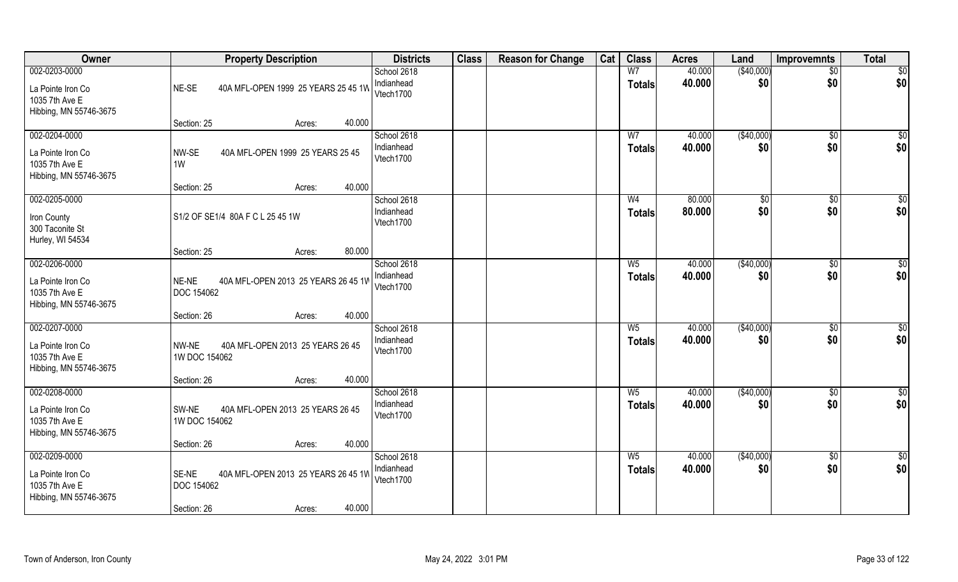| <b>Owner</b>                                                                   | <b>Property Description</b>                                                                          | <b>Districts</b>                       | <b>Class</b> | <b>Reason for Change</b> | Cat | <b>Class</b>                    | <b>Acres</b>     | Land              | <b>Improvemnts</b>    | <b>Total</b>         |
|--------------------------------------------------------------------------------|------------------------------------------------------------------------------------------------------|----------------------------------------|--------------|--------------------------|-----|---------------------------------|------------------|-------------------|-----------------------|----------------------|
| 002-0203-0000<br>La Pointe Iron Co<br>1035 7th Ave E<br>Hibbing, MN 55746-3675 | NE-SE<br>40A MFL-OPEN 1999 25 YEARS 25 45 1W                                                         | School 2618<br>Indianhead<br>Vtech1700 |              |                          |     | W <sub>7</sub><br><b>Totals</b> | 40.000<br>40.000 | (\$40,000)<br>\$0 | $\sqrt{$0}$<br>\$0    | \$0<br>\$0           |
|                                                                                | 40.000<br>Section: 25<br>Acres:                                                                      |                                        |              |                          |     |                                 |                  |                   |                       |                      |
| 002-0204-0000<br>La Pointe Iron Co<br>1035 7th Ave E<br>Hibbing, MN 55746-3675 | NW-SE<br>40A MFL-OPEN 1999 25 YEARS 25 45<br>1W                                                      | School 2618<br>Indianhead<br>Vtech1700 |              |                          |     | W <sub>7</sub><br><b>Totals</b> | 40.000<br>40.000 | (\$40,000)<br>\$0 | \$0<br>\$0            | $\sqrt{50}$<br>\$0   |
| 002-0205-0000                                                                  | 40.000<br>Section: 25<br>Acres:                                                                      | School 2618                            |              |                          |     | W <sub>4</sub>                  | 80.000           | $\sqrt[6]{2}$     | $\sqrt[6]{3}$         | \$0                  |
| Iron County<br>300 Taconite St<br>Hurley, WI 54534                             | S1/2 OF SE1/4 80A F C L 25 45 1W                                                                     | Indianhead<br>Vtech1700                |              |                          |     | <b>Totals</b>                   | 80.000           | \$0               | \$0                   | \$0                  |
|                                                                                | 80.000<br>Section: 25<br>Acres:                                                                      |                                        |              |                          |     |                                 |                  |                   |                       |                      |
| 002-0206-0000<br>La Pointe Iron Co<br>1035 7th Ave E<br>Hibbing, MN 55746-3675 | NE-NE<br>40A MFL-OPEN 2013 25 YEARS 26 45 1W<br><b>DOC 154062</b>                                    | School 2618<br>Indianhead<br>Vtech1700 |              |                          |     | W <sub>5</sub><br><b>Totals</b> | 40.000<br>40.000 | (\$40,000)<br>\$0 | $\sqrt[6]{3}$<br>\$0  | \$0<br>\$0           |
|                                                                                | 40.000<br>Section: 26<br>Acres:                                                                      |                                        |              |                          |     |                                 |                  |                   |                       |                      |
| 002-0207-0000<br>La Pointe Iron Co<br>1035 7th Ave E<br>Hibbing, MN 55746-3675 | NW-NE<br>40A MFL-OPEN 2013 25 YEARS 26 45<br>1W DOC 154062                                           | School 2618<br>Indianhead<br>Vtech1700 |              |                          |     | W <sub>5</sub><br><b>Totals</b> | 40.000<br>40.000 | (\$40,000)<br>\$0 | $\sqrt[6]{30}$<br>\$0 | \$0<br>\$0           |
| 002-0208-0000                                                                  | 40.000<br>Section: 26<br>Acres:                                                                      | School 2618                            |              |                          |     | W <sub>5</sub>                  | 40.000           | (\$40,000)        | $\sqrt{$0}$           | \$0                  |
| La Pointe Iron Co<br>1035 7th Ave E<br>Hibbing, MN 55746-3675                  | SW-NE<br>40A MFL-OPEN 2013 25 YEARS 26 45<br>1W DOC 154062                                           | Indianhead<br>Vtech1700                |              |                          |     | <b>Totals</b>                   | 40.000           | \$0               | \$0                   | \$0                  |
|                                                                                | 40.000<br>Section: 26<br>Acres:                                                                      |                                        |              |                          |     |                                 |                  |                   |                       |                      |
| 002-0209-0000<br>La Pointe Iron Co<br>1035 7th Ave E<br>Hibbing, MN 55746-3675 | SE-NE<br>40A MFL-OPEN 2013 25 YEARS 26 45 1W<br><b>DOC 154062</b><br>40.000<br>Section: 26<br>Acres: | School 2618<br>Indianhead<br>Vtech1700 |              |                          |     | W <sub>5</sub><br><b>Totals</b> | 40.000<br>40.000 | (\$40,000)<br>\$0 | \$0<br>\$0            | $\frac{6}{3}$<br>\$0 |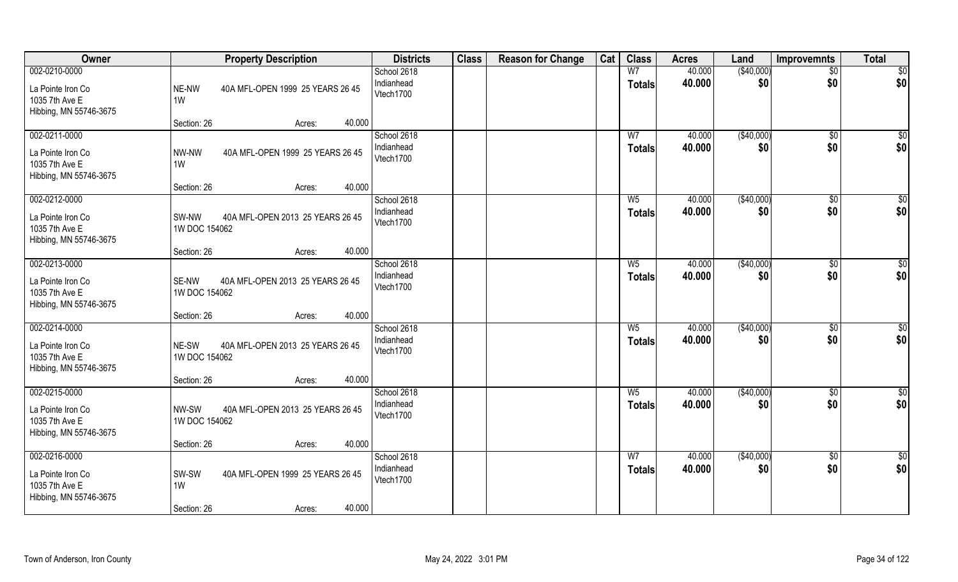| Owner                                                                          | <b>Property Description</b>                                                        | <b>Districts</b>                       | <b>Class</b> | <b>Reason for Change</b> | Cat | <b>Class</b>                    | <b>Acres</b>     | Land              | Improvemnts            | <b>Total</b>           |
|--------------------------------------------------------------------------------|------------------------------------------------------------------------------------|----------------------------------------|--------------|--------------------------|-----|---------------------------------|------------------|-------------------|------------------------|------------------------|
| 002-0210-0000<br>La Pointe Iron Co<br>1035 7th Ave E<br>Hibbing, MN 55746-3675 | NE-NW<br>40A MFL-OPEN 1999 25 YEARS 26 45<br>1W                                    | School 2618<br>Indianhead<br>Vtech1700 |              |                          |     | W <sub>7</sub><br><b>Totals</b> | 40.000<br>40.000 | (\$40,000)<br>\$0 | $\overline{50}$<br>\$0 | \$0<br>\$0             |
|                                                                                | 40.000<br>Section: 26<br>Acres:                                                    |                                        |              |                          |     |                                 |                  |                   |                        |                        |
| 002-0211-0000<br>La Pointe Iron Co<br>1035 7th Ave E<br>Hibbing, MN 55746-3675 | 40A MFL-OPEN 1999 25 YEARS 26 45<br>NW-NW<br>1W<br>40.000<br>Section: 26           | School 2618<br>Indianhead<br>Vtech1700 |              |                          |     | W <sub>7</sub><br>Totals        | 40.000<br>40.000 | (\$40,000)<br>\$0 | \$0<br>\$0             | \$0<br>\$0             |
| 002-0212-0000                                                                  | Acres:                                                                             | School 2618                            |              |                          |     | W <sub>5</sub>                  | 40.000           | ( \$40,000)       | $\sqrt[6]{3}$          | \$0                    |
| La Pointe Iron Co<br>1035 7th Ave E<br>Hibbing, MN 55746-3675                  | SW-NW<br>40A MFL-OPEN 2013 25 YEARS 26 45<br>1W DOC 154062                         | Indianhead<br>Vtech1700                |              |                          |     | <b>Totals</b>                   | 40.000           | \$0               | \$0                    | \$0                    |
|                                                                                | 40.000<br>Section: 26<br>Acres:                                                    |                                        |              |                          |     |                                 |                  |                   |                        |                        |
| 002-0213-0000<br>La Pointe Iron Co<br>1035 7th Ave E<br>Hibbing, MN 55746-3675 | SE-NW<br>40A MFL-OPEN 2013 25 YEARS 26 45<br>1W DOC 154062                         | School 2618<br>Indianhead<br>Vtech1700 |              |                          |     | $W_5$<br><b>Totals</b>          | 40.000<br>40.000 | (\$40,000)<br>\$0 | $\sqrt[6]{3}$<br>\$0   | \$0<br>\$0             |
|                                                                                | 40.000<br>Section: 26<br>Acres:                                                    |                                        |              |                          |     |                                 |                  |                   |                        |                        |
| 002-0214-0000<br>La Pointe Iron Co<br>1035 7th Ave E<br>Hibbing, MN 55746-3675 | NE-SW<br>40A MFL-OPEN 2013 25 YEARS 26 45<br>1W DOC 154062                         | School 2618<br>Indianhead<br>Vtech1700 |              |                          |     | W <sub>5</sub><br><b>Totals</b> | 40.000<br>40.000 | (\$40,000)<br>\$0 | $\sqrt[6]{30}$<br>\$0  | $\overline{50}$<br>\$0 |
| 002-0215-0000                                                                  | 40.000<br>Section: 26<br>Acres:                                                    | School 2618                            |              |                          |     | W <sub>5</sub>                  | 40.000           | (\$40,000)        | \$0                    | \$0                    |
| La Pointe Iron Co<br>1035 7th Ave E<br>Hibbing, MN 55746-3675                  | NW-SW<br>40A MFL-OPEN 2013 25 YEARS 26 45<br>1W DOC 154062                         | Indianhead<br>Vtech1700                |              |                          |     | <b>Totals</b>                   | 40.000           | \$0               | \$0                    | \$0                    |
|                                                                                | 40.000<br>Section: 26<br>Acres:                                                    |                                        |              |                          |     |                                 |                  |                   |                        |                        |
| 002-0216-0000<br>La Pointe Iron Co<br>1035 7th Ave E<br>Hibbing, MN 55746-3675 | SW-SW<br>40A MFL-OPEN 1999 25 YEARS 26 45<br>1W<br>40.000<br>Section: 26<br>Acres: | School 2618<br>Indianhead<br>Vtech1700 |              |                          |     | W <sub>7</sub><br>Totals        | 40.000<br>40.000 | (\$40,000)<br>\$0 | $\sqrt{$0}$<br>\$0     | \$0<br>\$0             |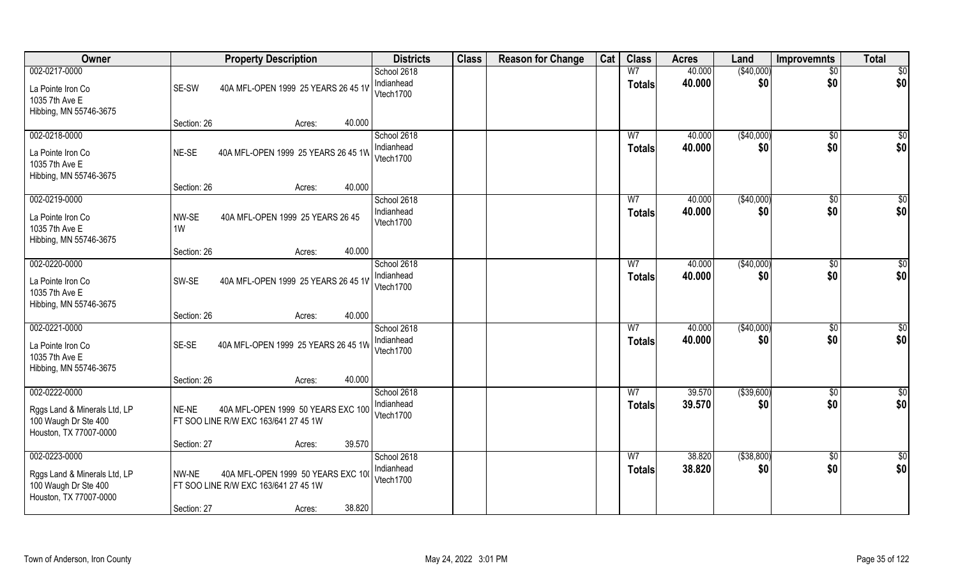| Owner                                                                                           | <b>Property Description</b>                                                                                            | <b>Districts</b>                       | <b>Class</b> | <b>Reason for Change</b> | Cat | <b>Class</b>                    | <b>Acres</b>     | Land                | <b>Improvemnts</b>     | <b>Total</b>           |
|-------------------------------------------------------------------------------------------------|------------------------------------------------------------------------------------------------------------------------|----------------------------------------|--------------|--------------------------|-----|---------------------------------|------------------|---------------------|------------------------|------------------------|
| 002-0217-0000<br>La Pointe Iron Co<br>1035 7th Ave E<br>Hibbing, MN 55746-3675                  | SE-SW<br>40A MFL-OPEN 1999 25 YEARS 26 45 1V                                                                           | School 2618<br>Indianhead<br>Vtech1700 |              |                          |     | W <sub>7</sub><br><b>Totals</b> | 40.000<br>40.000 | (\$40,000)<br>\$0   | $\overline{50}$<br>\$0 | $\overline{50}$<br>\$0 |
|                                                                                                 | 40.000<br>Section: 26<br>Acres:                                                                                        |                                        |              |                          |     |                                 |                  |                     |                        |                        |
| 002-0218-0000<br>La Pointe Iron Co<br>1035 7th Ave E<br>Hibbing, MN 55746-3675                  | NE-SE<br>40A MFL-OPEN 1999 25 YEARS 26 45 1W<br>40.000<br>Section: 26<br>Acres:                                        | School 2618<br>Indianhead<br>Vtech1700 |              |                          |     | W <sub>7</sub><br><b>Totals</b> | 40.000<br>40.000 | (\$40,000)<br>\$0   | \$0<br>\$0             | \$0<br>\$0             |
| 002-0219-0000                                                                                   |                                                                                                                        | School 2618                            |              |                          |     | W7                              | 40.000           | ( \$40,000)         | $\sqrt[6]{3}$          | \$0                    |
| La Pointe Iron Co<br>1035 7th Ave E<br>Hibbing, MN 55746-3675                                   | NW-SE<br>40A MFL-OPEN 1999 25 YEARS 26 45<br>1W                                                                        | Indianhead<br>Vtech1700                |              |                          |     | <b>Totals</b>                   | 40.000           | \$0                 | \$0                    | \$0                    |
|                                                                                                 | 40.000<br>Section: 26<br>Acres:                                                                                        |                                        |              |                          |     |                                 |                  |                     |                        |                        |
| 002-0220-0000<br>La Pointe Iron Co<br>1035 7th Ave E<br>Hibbing, MN 55746-3675                  | SW-SE<br>40A MFL-OPEN 1999 25 YEARS 26 45 1V                                                                           | School 2618<br>Indianhead<br>Vtech1700 |              |                          |     | W7<br><b>Totals</b>             | 40.000<br>40.000 | (\$40,000)<br>\$0   | \$0<br>\$0             | \$0<br>\$0             |
|                                                                                                 | 40.000<br>Section: 26<br>Acres:                                                                                        |                                        |              |                          |     |                                 |                  |                     |                        |                        |
| 002-0221-0000<br>La Pointe Iron Co<br>1035 7th Ave E<br>Hibbing, MN 55746-3675                  | SE-SE<br>40A MFL-OPEN 1999 25 YEARS 26 45 1W                                                                           | School 2618<br>Indianhead<br>Vtech1700 |              |                          |     | W <sub>7</sub><br><b>Totals</b> | 40.000<br>40.000 | (\$40,000)<br>\$0   | $\sqrt[6]{30}$<br>\$0  | $\overline{50}$<br>\$0 |
|                                                                                                 | 40.000<br>Section: 26<br>Acres:                                                                                        |                                        |              |                          |     |                                 |                  |                     |                        |                        |
| 002-0222-0000<br>Rggs Land & Minerals Ltd, LP<br>100 Waugh Dr Ste 400<br>Houston, TX 77007-0000 | NE-NE<br>40A MFL-OPEN 1999 50 YEARS EXC 100<br>FT SOO LINE R/W EXC 163/641 27 45 1W                                    | School 2618<br>Indianhead<br>Vtech1700 |              |                          |     | W7<br><b>Totals</b>             | 39.570<br>39.570 | ( \$39,600)<br>\$0  | \$0<br>\$0             | $\frac{6}{3}$<br>\$0   |
|                                                                                                 | 39.570<br>Section: 27<br>Acres:                                                                                        |                                        |              |                          |     |                                 |                  |                     |                        |                        |
| 002-0223-0000<br>Rggs Land & Minerals Ltd, LP<br>100 Waugh Dr Ste 400<br>Houston, TX 77007-0000 | NW-NE<br>40A MFL-OPEN 1999 50 YEARS EXC 100<br>FT SOO LINE R/W EXC 163/641 27 45 1W<br>38.820<br>Section: 27<br>Acres: | School 2618<br>Indianhead<br>Vtech1700 |              |                          |     | W <sub>7</sub><br><b>Totals</b> | 38.820<br>38.820 | ( \$38, 800)<br>\$0 | \$0<br>\$0             | \$0<br>\$0             |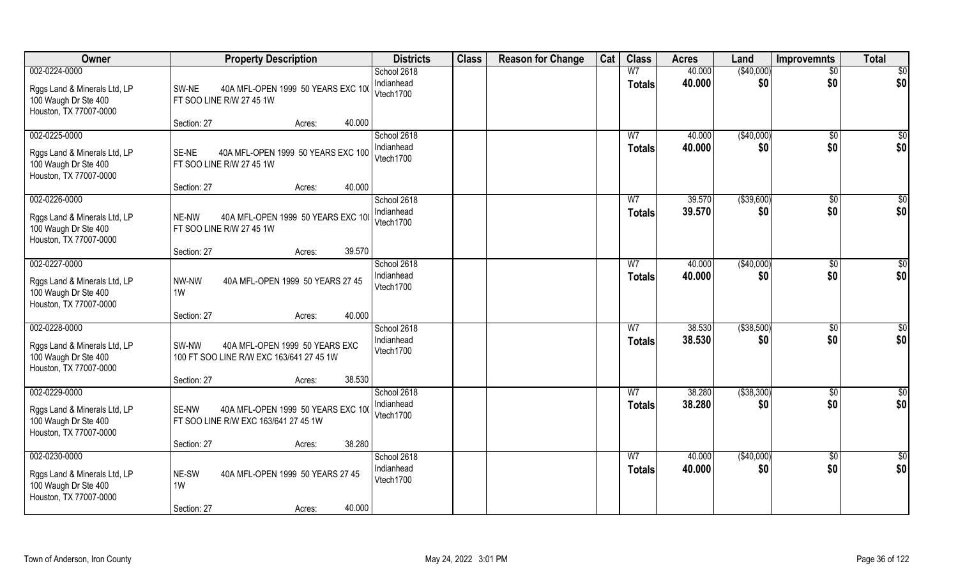| Owner                                                                                           | <b>Property Description</b>                                                         | <b>Districts</b>                       | <b>Class</b> | <b>Reason for Change</b> | Cat | <b>Class</b>                    | <b>Acres</b>     | Land               | <b>Improvemnts</b>     | <b>Total</b>           |
|-------------------------------------------------------------------------------------------------|-------------------------------------------------------------------------------------|----------------------------------------|--------------|--------------------------|-----|---------------------------------|------------------|--------------------|------------------------|------------------------|
| 002-0224-0000<br>Rggs Land & Minerals Ltd, LP<br>100 Waugh Dr Ste 400<br>Houston, TX 77007-0000 | SW-NE<br>40A MFL-OPEN 1999 50 YEARS EXC 100<br>FT SOO LINE R/W 27 45 1W             | School 2618<br>Indianhead<br>Vtech1700 |              |                          |     | W <sub>7</sub><br><b>Totals</b> | 40.000<br>40.000 | (\$40,000)<br>\$0  | $\overline{50}$<br>\$0 | $\overline{50}$<br>\$0 |
|                                                                                                 | 40.000<br>Section: 27<br>Acres:                                                     |                                        |              |                          |     |                                 |                  |                    |                        |                        |
| 002-0225-0000<br>Rggs Land & Minerals Ltd, LP<br>100 Waugh Dr Ste 400<br>Houston, TX 77007-0000 | 40A MFL-OPEN 1999 50 YEARS EXC 100<br>SE-NE<br>FT SOO LINE R/W 27 45 1W             | School 2618<br>Indianhead<br>Vtech1700 |              |                          |     | W <sub>7</sub><br><b>Totals</b> | 40.000<br>40.000 | (\$40,000)<br>\$0  | \$0<br>\$0             | \$0<br>\$0             |
|                                                                                                 | 40.000<br>Section: 27<br>Acres:                                                     |                                        |              |                          |     |                                 |                  |                    |                        |                        |
| 002-0226-0000<br>Rggs Land & Minerals Ltd, LP<br>100 Waugh Dr Ste 400<br>Houston, TX 77007-0000 | 40A MFL-OPEN 1999 50 YEARS EXC 100<br>NE-NW<br>FT SOO LINE R/W 27 45 1W             | School 2618<br>Indianhead<br>Vtech1700 |              |                          |     | W <sub>7</sub><br><b>Totals</b> | 39.570<br>39.570 | ( \$39,600)<br>\$0 | \$0<br>\$0             | \$0<br>\$0             |
|                                                                                                 | 39.570<br>Section: 27<br>Acres:                                                     |                                        |              |                          |     |                                 |                  |                    |                        |                        |
| 002-0227-0000<br>Rggs Land & Minerals Ltd, LP<br>100 Waugh Dr Ste 400<br>Houston, TX 77007-0000 | NW-NW<br>40A MFL-OPEN 1999 50 YEARS 27 45<br>1W                                     | School 2618<br>Indianhead<br>Vtech1700 |              |                          |     | W7<br><b>Totals</b>             | 40.000<br>40.000 | (\$40,000)<br>\$0  | \$0<br>\$0             | \$<br>\$0              |
|                                                                                                 | 40.000<br>Section: 27<br>Acres:                                                     |                                        |              |                          |     |                                 |                  |                    |                        |                        |
| 002-0228-0000<br>Rggs Land & Minerals Ltd, LP<br>100 Waugh Dr Ste 400<br>Houston, TX 77007-0000 | SW-NW<br>40A MFL-OPEN 1999 50 YEARS EXC<br>100 FT SOO LINE R/W EXC 163/641 27 45 1W | School 2618<br>Indianhead<br>Vtech1700 |              |                          |     | W <sub>7</sub><br><b>Totals</b> | 38.530<br>38.530 | ( \$38,500)<br>\$0 | \$0<br>\$0             | $\overline{50}$<br>\$0 |
| 002-0229-0000                                                                                   | 38.530<br>Section: 27<br>Acres:                                                     | School 2618                            |              |                          |     | W <sub>7</sub>                  | 38.280           | ( \$38, 300)       |                        | \$0                    |
| Rggs Land & Minerals Ltd, LP<br>100 Waugh Dr Ste 400<br>Houston, TX 77007-0000                  | 40A MFL-OPEN 1999 50 YEARS EXC 100<br>SE-NW<br>FT SOO LINE R/W EXC 163/641 27 45 1W | Indianhead<br>Vtech1700                |              |                          |     | <b>Totals</b>                   | 38.280           | \$0                | \$0<br>\$0             | \$0                    |
|                                                                                                 | 38.280<br>Section: 27<br>Acres:                                                     |                                        |              |                          |     |                                 |                  |                    |                        |                        |
| 002-0230-0000<br>Rggs Land & Minerals Ltd, LP<br>100 Waugh Dr Ste 400<br>Houston, TX 77007-0000 | NE-SW<br>40A MFL-OPEN 1999 50 YEARS 27 45<br>1W                                     | School 2618<br>Indianhead<br>Vtech1700 |              |                          |     | W <sub>7</sub><br>Totals        | 40.000<br>40.000 | (\$40,000)<br>\$0  | \$0<br>\$0             | \$0<br>\$0             |
|                                                                                                 | 40.000<br>Section: 27<br>Acres:                                                     |                                        |              |                          |     |                                 |                  |                    |                        |                        |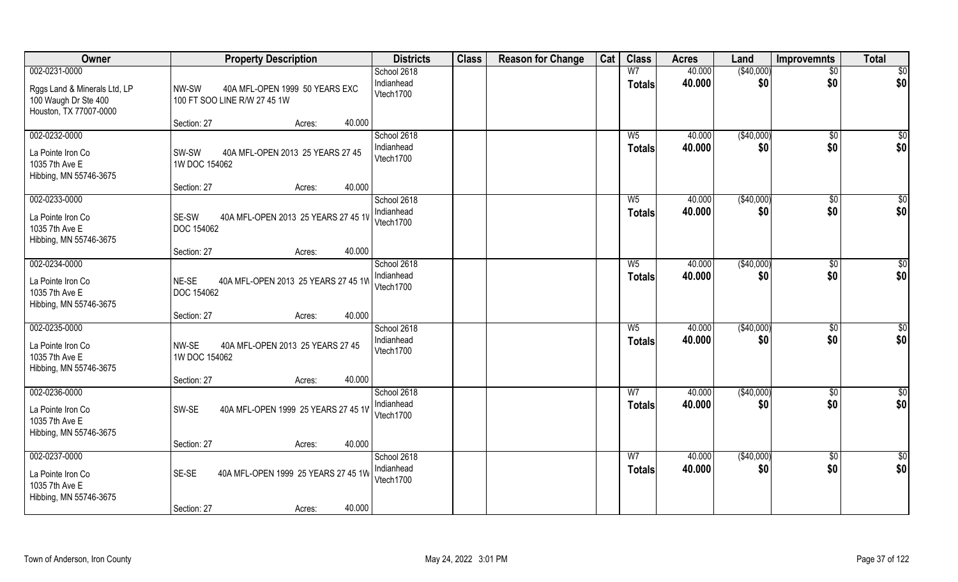| Owner                                                                          | <b>Property Description</b>                                             | <b>Districts</b>                       | <b>Class</b> | <b>Reason for Change</b> | Cat | <b>Class</b>                    | <b>Acres</b>     | Land              | <b>Improvemnts</b>   | <b>Total</b>         |
|--------------------------------------------------------------------------------|-------------------------------------------------------------------------|----------------------------------------|--------------|--------------------------|-----|---------------------------------|------------------|-------------------|----------------------|----------------------|
| 002-0231-0000                                                                  |                                                                         | School 2618                            |              |                          |     | W <sub>7</sub>                  | 40.000           | (\$40,000)        | $\sqrt{$0}$          | $\overline{50}$      |
| Rggs Land & Minerals Ltd, LP<br>100 Waugh Dr Ste 400<br>Houston, TX 77007-0000 | NW-SW<br>40A MFL-OPEN 1999 50 YEARS EXC<br>100 FT SOO LINE R/W 27 45 1W | Indianhead<br>Vtech1700                |              |                          |     | <b>Totals</b>                   | 40.000           | \$0               | \$0                  | \$0                  |
|                                                                                | 40.000<br>Section: 27<br>Acres:                                         |                                        |              |                          |     |                                 |                  |                   |                      |                      |
| 002-0232-0000                                                                  |                                                                         | School 2618                            |              |                          |     | $W_5$                           | 40.000           | (\$40,000)        | $\sqrt{6}$           | $\sqrt{50}$          |
| La Pointe Iron Co<br>1035 7th Ave E<br>Hibbing, MN 55746-3675                  | 40A MFL-OPEN 2013 25 YEARS 27 45<br>SW-SW<br>1W DOC 154062              | Indianhead<br>Vtech1700                |              |                          |     | <b>Totals</b>                   | 40.000           | \$0               | \$0                  | \$0                  |
|                                                                                | 40.000<br>Section: 27<br>Acres:                                         |                                        |              |                          |     |                                 |                  |                   |                      |                      |
| 002-0233-0000                                                                  |                                                                         | School 2618                            |              |                          |     | W <sub>5</sub>                  | 40.000           | ( \$40,000)       | $\sqrt[6]{30}$       | \$0                  |
| La Pointe Iron Co<br>1035 7th Ave E<br>Hibbing, MN 55746-3675                  | SE-SW<br>40A MFL-OPEN 2013 25 YEARS 27 45 1V<br>DOC 154062              | Indianhead<br>Vtech1700                |              |                          |     | <b>Totals</b>                   | 40.000           | \$0               | \$0                  | \$0                  |
|                                                                                | 40.000<br>Section: 27<br>Acres:                                         |                                        |              |                          |     |                                 |                  |                   |                      |                      |
| 002-0234-0000                                                                  |                                                                         | School 2618                            |              |                          |     | W <sub>5</sub>                  | 40.000           | (\$40,000)        | $\sqrt[6]{3}$        | \$0                  |
| La Pointe Iron Co<br>1035 7th Ave E<br>Hibbing, MN 55746-3675                  | NE-SE<br>40A MFL-OPEN 2013 25 YEARS 27 45 1W<br>DOC 154062              | Indianhead<br>Vtech1700                |              |                          |     | <b>Totals</b>                   | 40.000           | \$0               | \$0                  | \$0                  |
|                                                                                | 40.000<br>Section: 27<br>Acres:                                         |                                        |              |                          |     |                                 |                  |                   |                      |                      |
| 002-0235-0000<br>La Pointe Iron Co<br>1035 7th Ave E<br>Hibbing, MN 55746-3675 | NW-SE<br>40A MFL-OPEN 2013 25 YEARS 27 45<br>1W DOC 154062              | School 2618<br>Indianhead<br>Vtech1700 |              |                          |     | $W_5$<br><b>Totals</b>          | 40.000<br>40.000 | (\$40,000)<br>\$0 | $\sqrt[6]{3}$<br>\$0 | \$0<br>\$0           |
|                                                                                | 40.000<br>Section: 27<br>Acres:                                         |                                        |              |                          |     |                                 |                  |                   |                      |                      |
| 002-0236-0000<br>La Pointe Iron Co<br>1035 7th Ave E                           | SW-SE<br>40A MFL-OPEN 1999 25 YEARS 27 45 1V                            | School 2618<br>Indianhead<br>Vtech1700 |              |                          |     | W <sub>7</sub><br><b>Totals</b> | 40.000<br>40.000 | (\$40,000)<br>\$0 | \$0<br>\$0           | $\frac{6}{3}$<br>\$0 |
| Hibbing, MN 55746-3675                                                         | 40.000<br>Section: 27<br>Acres:                                         |                                        |              |                          |     |                                 |                  |                   |                      |                      |
| 002-0237-0000                                                                  |                                                                         | School 2618                            |              |                          |     | W <sub>7</sub>                  | 40.000           | (\$40,000)        | $\sqrt{$0}$          | $\overline{50}$      |
| La Pointe Iron Co<br>1035 7th Ave E<br>Hibbing, MN 55746-3675                  | SE-SE<br>40A MFL-OPEN 1999 25 YEARS 27 45 1W                            | Indianhead<br>Vtech1700                |              |                          |     | <b>Totals</b>                   | 40.000           | \$0               | \$0                  | \$0                  |
|                                                                                | 40.000<br>Section: 27<br>Acres:                                         |                                        |              |                          |     |                                 |                  |                   |                      |                      |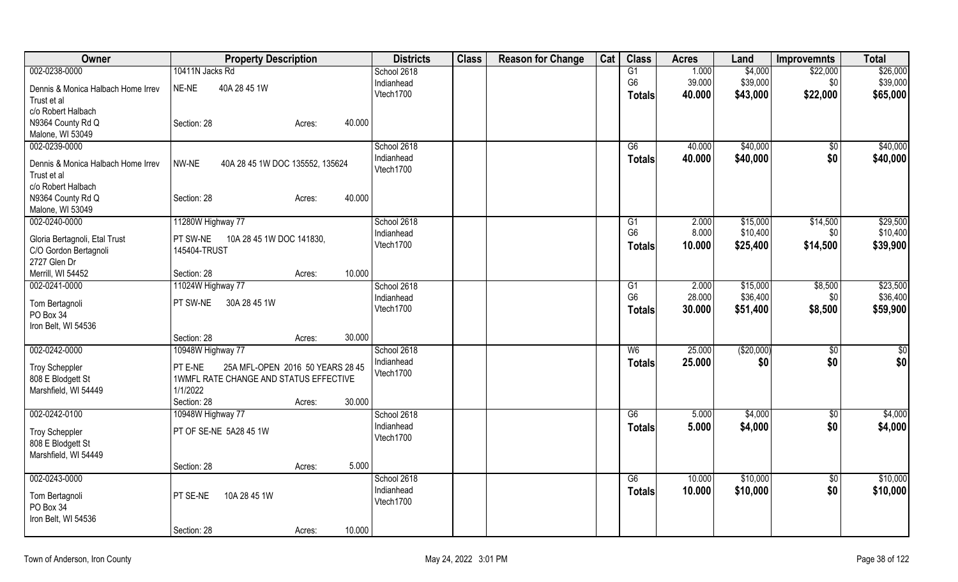| Owner                                   | <b>Property Description</b>                        | <b>Districts</b> | <b>Class</b> | <b>Reason for Change</b> | Cat | <b>Class</b>   | <b>Acres</b> | Land       | <b>Improvemnts</b> | <b>Total</b> |
|-----------------------------------------|----------------------------------------------------|------------------|--------------|--------------------------|-----|----------------|--------------|------------|--------------------|--------------|
| 002-0238-0000                           | 10411N Jacks Rd                                    | School 2618      |              |                          |     | G1             | 1.000        | \$4,000    | \$22,000           | \$26,000     |
| Dennis & Monica Halbach Home Irrev      | 40A 28 45 1W<br>NE-NE                              | Indianhead       |              |                          |     | G <sub>6</sub> | 39.000       | \$39,000   | \$0                | \$39,000     |
| Trust et al                             |                                                    | Vtech1700        |              |                          |     | Totals         | 40.000       | \$43,000   | \$22,000           | \$65,000     |
| c/o Robert Halbach                      |                                                    |                  |              |                          |     |                |              |            |                    |              |
| N9364 County Rd Q                       | 40.000<br>Section: 28<br>Acres:                    |                  |              |                          |     |                |              |            |                    |              |
| Malone, WI 53049                        |                                                    |                  |              |                          |     |                |              |            |                    |              |
| 002-0239-0000                           |                                                    | School 2618      |              |                          |     | G6             | 40.000       | \$40,000   | $\sqrt{$0}$        | \$40,000     |
|                                         |                                                    | Indianhead       |              |                          |     | <b>Totals</b>  | 40.000       | \$40,000   | \$0                | \$40,000     |
| Dennis & Monica Halbach Home Irrev      | NW-NE<br>40A 28 45 1W DOC 135552, 135624           | Vtech1700        |              |                          |     |                |              |            |                    |              |
| Trust et al                             |                                                    |                  |              |                          |     |                |              |            |                    |              |
| c/o Robert Halbach<br>N9364 County Rd Q | 40.000                                             |                  |              |                          |     |                |              |            |                    |              |
| Malone, WI 53049                        | Section: 28<br>Acres:                              |                  |              |                          |     |                |              |            |                    |              |
| 002-0240-0000                           | 11280W Highway 77                                  | School 2618      |              |                          |     | G1             | 2.000        | \$15,000   | \$14,500           | \$29,500     |
|                                         |                                                    | Indianhead       |              |                          |     | G <sub>6</sub> | 8.000        | \$10,400   | \$0                | \$10,400     |
| Gloria Bertagnoli, Etal Trust           | PT SW-NE<br>10A 28 45 1W DOC 141830,               | Vtech1700        |              |                          |     | <b>Totals</b>  | 10.000       | \$25,400   | \$14,500           | \$39,900     |
| C/O Gordon Bertagnoli                   | 145404-TRUST                                       |                  |              |                          |     |                |              |            |                    |              |
| 2727 Glen Dr                            |                                                    |                  |              |                          |     |                |              |            |                    |              |
| Merrill, WI 54452                       | 10.000<br>Section: 28<br>Acres:                    |                  |              |                          |     |                |              |            |                    |              |
| 002-0241-0000                           | 11024W Highway 77                                  | School 2618      |              |                          |     | G1             | 2.000        | \$15,000   | \$8,500            | \$23,500     |
| Tom Bertagnoli                          | PT SW-NE<br>30A 28 45 1W                           | Indianhead       |              |                          |     | G <sub>6</sub> | 28.000       | \$36,400   | \$0                | \$36,400     |
| PO Box 34                               |                                                    | Vtech1700        |              |                          |     | <b>Totals</b>  | 30.000       | \$51,400   | \$8,500            | \$59,900     |
| Iron Belt, WI 54536                     |                                                    |                  |              |                          |     |                |              |            |                    |              |
|                                         | Section: 28<br>30.000<br>Acres:                    |                  |              |                          |     |                |              |            |                    |              |
| 002-0242-0000                           | 10948W Highway 77                                  | School 2618      |              |                          |     | W <sub>6</sub> | 25.000       | (\$20,000) | \$0                | \$0          |
|                                         |                                                    | Indianhead       |              |                          |     | <b>Totals</b>  | 25.000       | \$0        | \$0                | \$0          |
| <b>Troy Scheppler</b>                   | 25A MFL-OPEN 2016 50 YEARS 28 45<br>PT E-NE        | Vtech1700        |              |                          |     |                |              |            |                    |              |
| 808 E Blodgett St                       | 1WMFL RATE CHANGE AND STATUS EFFECTIVE<br>1/1/2022 |                  |              |                          |     |                |              |            |                    |              |
| Marshfield, WI 54449                    | 30.000<br>Section: 28                              |                  |              |                          |     |                |              |            |                    |              |
| 002-0242-0100                           | Acres:<br>10948W Highway 77                        | School 2618      |              |                          |     | G6             | 5.000        | \$4,000    | \$0                | \$4,000      |
|                                         |                                                    | Indianhead       |              |                          |     |                | 5.000        | \$4,000    | \$0                | \$4,000      |
| <b>Troy Scheppler</b>                   | PT OF SE-NE 5A28 45 1W                             | Vtech1700        |              |                          |     | <b>Totals</b>  |              |            |                    |              |
| 808 E Blodgett St                       |                                                    |                  |              |                          |     |                |              |            |                    |              |
| Marshfield, WI 54449                    |                                                    |                  |              |                          |     |                |              |            |                    |              |
|                                         | Section: 28<br>5.000<br>Acres:                     |                  |              |                          |     |                |              |            |                    |              |
| 002-0243-0000                           |                                                    | School 2618      |              |                          |     | G6             | 10.000       | \$10,000   | \$0                | \$10,000     |
| Tom Bertagnoli                          | PT SE-NE<br>10A 28 45 1W                           | Indianhead       |              |                          |     | <b>Totals</b>  | 10.000       | \$10,000   | \$0                | \$10,000     |
| PO Box 34                               |                                                    | Vtech1700        |              |                          |     |                |              |            |                    |              |
| Iron Belt, WI 54536                     |                                                    |                  |              |                          |     |                |              |            |                    |              |
|                                         | 10.000<br>Section: 28<br>Acres:                    |                  |              |                          |     |                |              |            |                    |              |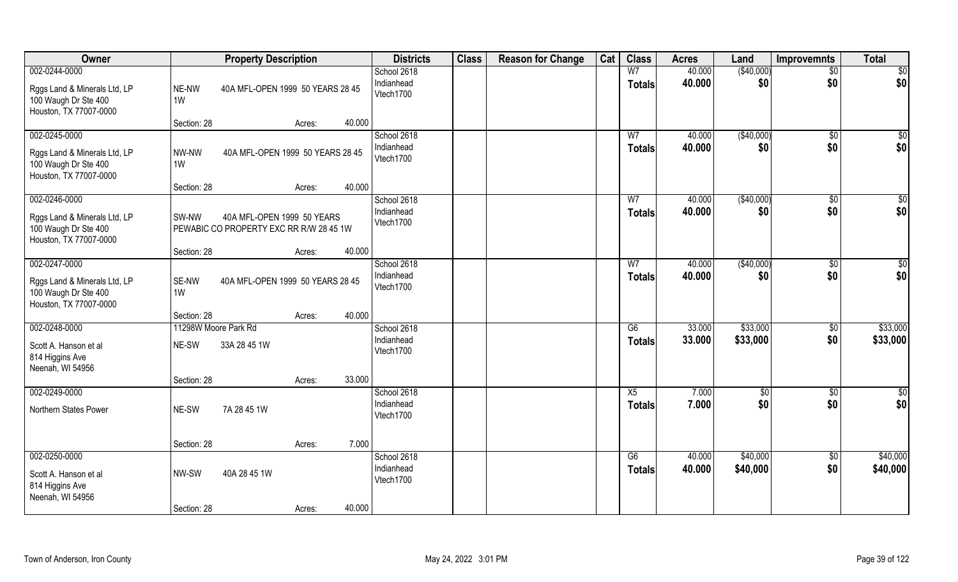| Owner                                                                                           |                      | <b>Property Description</b>                                           |        |        | <b>Districts</b>                       | <b>Class</b> | <b>Reason for Change</b> | Cat | <b>Class</b>                     | <b>Acres</b>     | Land                 | <b>Improvemnts</b>     | <b>Total</b>           |
|-------------------------------------------------------------------------------------------------|----------------------|-----------------------------------------------------------------------|--------|--------|----------------------------------------|--------------|--------------------------|-----|----------------------------------|------------------|----------------------|------------------------|------------------------|
| 002-0244-0000<br>Rggs Land & Minerals Ltd, LP<br>100 Waugh Dr Ste 400<br>Houston, TX 77007-0000 | NE-NW<br>1W          | 40A MFL-OPEN 1999 50 YEARS 28 45                                      |        |        | School 2618<br>Indianhead<br>Vtech1700 |              |                          |     | W7<br><b>Totals</b>              | 40.000<br>40.000 | (\$40,000)<br>\$0    | $\overline{50}$<br>\$0 | $\overline{50}$<br>\$0 |
|                                                                                                 | Section: 28          |                                                                       | Acres: | 40.000 |                                        |              |                          |     |                                  |                  |                      |                        |                        |
| 002-0245-0000<br>Rggs Land & Minerals Ltd, LP<br>100 Waugh Dr Ste 400<br>Houston, TX 77007-0000 | NW-NW<br>1W          | 40A MFL-OPEN 1999 50 YEARS 28 45                                      |        |        | School 2618<br>Indianhead<br>Vtech1700 |              |                          |     | W <sub>7</sub><br><b>Totals</b>  | 40.000<br>40.000 | (\$40,000)<br>\$0    | \$0<br>\$0             | $\sqrt{50}$<br>\$0     |
| 002-0246-0000                                                                                   | Section: 28          |                                                                       | Acres: | 40.000 | School 2618                            |              |                          |     | W <sub>7</sub>                   | 40.000           | ( \$40,000)          | \$0                    | \$0                    |
| Rggs Land & Minerals Ltd, LP<br>100 Waugh Dr Ste 400<br>Houston, TX 77007-0000                  | SW-NW                | 40A MFL-OPEN 1999 50 YEARS<br>PEWABIC CO PROPERTY EXC RR R/W 28 45 1W |        |        | Indianhead<br>Vtech1700                |              |                          |     | <b>Totals</b>                    | 40.000           | \$0                  | \$0                    | \$0                    |
|                                                                                                 | Section: 28          |                                                                       | Acres: | 40.000 |                                        |              |                          |     |                                  |                  |                      |                        |                        |
| 002-0247-0000<br>Rggs Land & Minerals Ltd, LP<br>100 Waugh Dr Ste 400<br>Houston, TX 77007-0000 | SE-NW<br>1W          | 40A MFL-OPEN 1999 50 YEARS 28 45                                      |        |        | School 2618<br>Indianhead<br>Vtech1700 |              |                          |     | W7<br><b>Totals</b>              | 40.000<br>40.000 | (\$40,000)<br>\$0    | \$0<br>\$0             | \$0<br>\$0             |
|                                                                                                 | Section: 28          |                                                                       | Acres: | 40.000 |                                        |              |                          |     |                                  |                  |                      |                        |                        |
| 002-0248-0000<br>Scott A. Hanson et al<br>814 Higgins Ave<br>Neenah, WI 54956                   | NE-SW<br>Section: 28 | 11298W Moore Park Rd<br>33A 28 45 1W                                  | Acres: | 33.000 | School 2618<br>Indianhead<br>Vtech1700 |              |                          |     | $\overline{G6}$<br><b>Totals</b> | 33.000<br>33.000 | \$33,000<br>\$33,000 | $\sqrt[6]{30}$<br>\$0  | \$33,000<br>\$33,000   |
| 002-0249-0000                                                                                   |                      |                                                                       |        |        | School 2618                            |              |                          |     | X5                               | 7.000            | $\sqrt{6}$           | \$0                    | \$0                    |
| Northern States Power                                                                           | NE-SW                | 7A 28 45 1W                                                           |        |        | Indianhead<br>Vtech1700                |              |                          |     | <b>Totals</b>                    | 7.000            | \$0                  | \$0                    | \$0                    |
|                                                                                                 | Section: 28          |                                                                       | Acres: | 7.000  |                                        |              |                          |     |                                  |                  |                      |                        |                        |
| 002-0250-0000<br>Scott A. Hanson et al<br>814 Higgins Ave<br>Neenah, WI 54956                   | NW-SW                | 40A 28 45 1W                                                          |        |        | School 2618<br>Indianhead<br>Vtech1700 |              |                          |     | G6<br><b>Totals</b>              | 40.000<br>40.000 | \$40,000<br>\$40,000 | \$0<br>\$0             | \$40,000<br>\$40,000   |
|                                                                                                 | Section: 28          |                                                                       | Acres: | 40.000 |                                        |              |                          |     |                                  |                  |                      |                        |                        |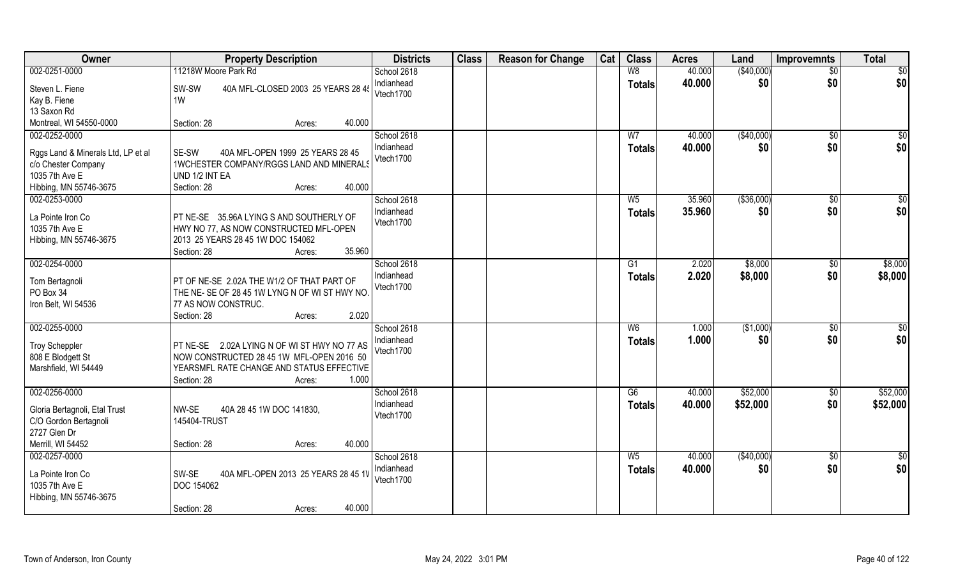| Owner                                 | <b>Property Description</b>                                | <b>Districts</b>        | <b>Class</b> | <b>Reason for Change</b> | Cat | <b>Class</b>   | <b>Acres</b> | Land        | <b>Improvemnts</b> | <b>Total</b> |
|---------------------------------------|------------------------------------------------------------|-------------------------|--------------|--------------------------|-----|----------------|--------------|-------------|--------------------|--------------|
| 002-0251-0000                         | 11218W Moore Park Rd                                       | School 2618             |              |                          |     | W8             | 40.000       | ( \$40,000) | $\sqrt{$0}$        | \$0          |
| Steven L. Fiene                       | SW-SW<br>40A MFL-CLOSED 2003 25 YEARS 28 45                | Indianhead              |              |                          |     | <b>Totals</b>  | 40.000       | \$0         | \$0                | \$0          |
| Kay B. Fiene                          | 1W                                                         | Vtech1700               |              |                          |     |                |              |             |                    |              |
| 13 Saxon Rd                           |                                                            |                         |              |                          |     |                |              |             |                    |              |
| Montreal, WI 54550-0000               | 40.000<br>Section: 28<br>Acres:                            |                         |              |                          |     |                |              |             |                    |              |
| 002-0252-0000                         |                                                            | School 2618             |              |                          |     | W <sub>7</sub> | 40.000       | (\$40,000)  | \$0                | \$0          |
|                                       |                                                            | Indianhead              |              |                          |     | Totals         | 40.000       | \$0         | \$0                | \$0          |
| Rggs Land & Minerals Ltd, LP et al    | 40A MFL-OPEN 1999 25 YEARS 28 45<br>SE-SW                  | Vtech1700               |              |                          |     |                |              |             |                    |              |
| c/o Chester Company<br>1035 7th Ave E | 1WCHESTER COMPANY/RGGS LAND AND MINERALS<br>UND 1/2 INT EA |                         |              |                          |     |                |              |             |                    |              |
| Hibbing, MN 55746-3675                | 40.000<br>Section: 28<br>Acres:                            |                         |              |                          |     |                |              |             |                    |              |
| 002-0253-0000                         |                                                            | School 2618             |              |                          |     | W <sub>5</sub> | 35.960       | ( \$36,000) | \$0                | $\sqrt{50}$  |
|                                       |                                                            | Indianhead              |              |                          |     |                | 35.960       | \$0         | \$0                | \$0          |
| La Pointe Iron Co                     | PT NE-SE 35.96A LYING S AND SOUTHERLY OF                   | Vtech1700               |              |                          |     | <b>Totals</b>  |              |             |                    |              |
| 1035 7th Ave E                        | HWY NO 77, AS NOW CONSTRUCTED MFL-OPEN                     |                         |              |                          |     |                |              |             |                    |              |
| Hibbing, MN 55746-3675                | 2013 25 YEARS 28 45 1W DOC 154062                          |                         |              |                          |     |                |              |             |                    |              |
|                                       | 35.960<br>Section: 28<br>Acres:                            |                         |              |                          |     |                |              |             |                    |              |
| 002-0254-0000                         |                                                            | School 2618             |              |                          |     | G1             | 2.020        | \$8,000     | $\sqrt[6]{3}$      | \$8,000      |
| Tom Bertagnoli                        | PT OF NE-SE 2.02A THE W1/2 OF THAT PART OF                 | Indianhead              |              |                          |     | <b>Totals</b>  | 2.020        | \$8,000     | \$0                | \$8,000      |
| PO Box 34                             | THE NE-SE OF 28 45 1W LYNG N OF WIST HWY NO.               | Vtech1700               |              |                          |     |                |              |             |                    |              |
| Iron Belt, WI 54536                   | 77 AS NOW CONSTRUC.                                        |                         |              |                          |     |                |              |             |                    |              |
|                                       | 2.020<br>Section: 28<br>Acres:                             |                         |              |                          |     |                |              |             |                    |              |
| 002-0255-0000                         |                                                            | School 2618             |              |                          |     | W <sub>6</sub> | 1.000        | (\$1,000)   | \$0                | \$0          |
|                                       |                                                            | Indianhead              |              |                          |     | <b>Totals</b>  | 1.000        | \$0         | \$0                | \$0          |
| <b>Troy Scheppler</b>                 | PT NE-SE 2.02A LYING N OF WIST HWY NO 77 AS                | Vtech1700               |              |                          |     |                |              |             |                    |              |
| 808 E Blodgett St                     | NOW CONSTRUCTED 28 45 1W MFL-OPEN 2016 50                  |                         |              |                          |     |                |              |             |                    |              |
| Marshfield, WI 54449                  | YEARSMFL RATE CHANGE AND STATUS EFFECTIVE                  |                         |              |                          |     |                |              |             |                    |              |
|                                       | Section: 28<br>1.000<br>Acres:                             |                         |              |                          |     |                |              |             |                    |              |
| 002-0256-0000                         |                                                            | School 2618             |              |                          |     | G6             | 40.000       | \$52,000    | $\overline{30}$    | \$52,000     |
| Gloria Bertagnoli, Etal Trust         | NW-SE<br>40A 28 45 1W DOC 141830,                          | Indianhead<br>Vtech1700 |              |                          |     | <b>Totals</b>  | 40.000       | \$52,000    | \$0                | \$52,000     |
| C/O Gordon Bertagnoli                 | 145404-TRUST                                               |                         |              |                          |     |                |              |             |                    |              |
| 2727 Glen Dr                          |                                                            |                         |              |                          |     |                |              |             |                    |              |
| Merrill, WI 54452                     | 40.000<br>Section: 28<br>Acres:                            |                         |              |                          |     |                |              |             |                    |              |
| 002-0257-0000                         |                                                            | School 2618             |              |                          |     | $W_5$          | 40.000       | (\$40,000)  | $\overline{50}$    | \$0          |
| La Pointe Iron Co                     | SW-SE<br>40A MFL-OPEN 2013 25 YEARS 28 45 1V               | Indianhead              |              |                          |     | Totals         | 40.000       | \$0         | \$0                | \$0          |
| 1035 7th Ave E                        | DOC 154062                                                 | Vtech1700               |              |                          |     |                |              |             |                    |              |
| Hibbing, MN 55746-3675                |                                                            |                         |              |                          |     |                |              |             |                    |              |
|                                       | 40.000<br>Section: 28<br>Acres:                            |                         |              |                          |     |                |              |             |                    |              |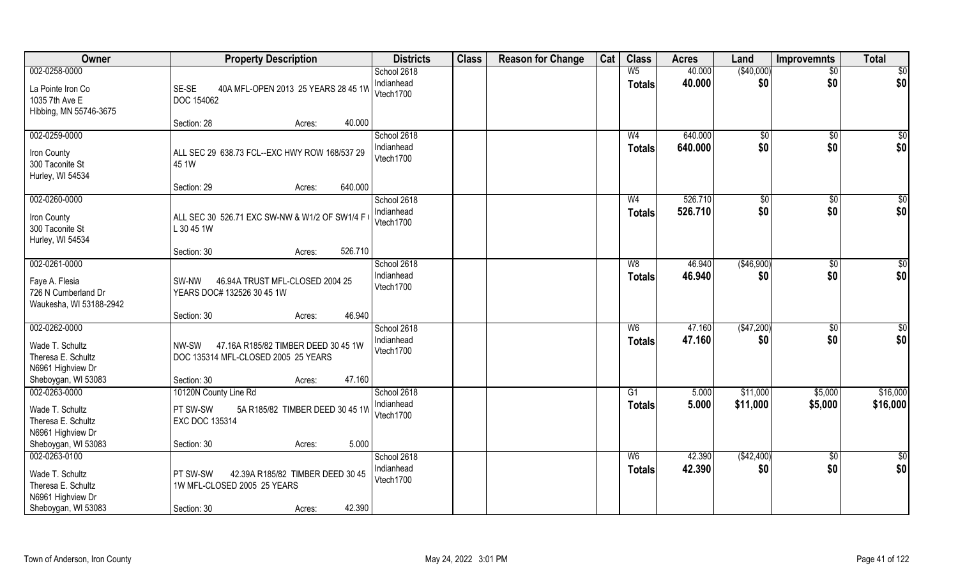| Owner                                                                       | <b>Property Description</b>                                                         | <b>Districts</b>                       | <b>Class</b> | <b>Reason for Change</b> | Cat | <b>Class</b>        | <b>Acres</b>     | Land               | Improvemnts        | <b>Total</b>           |
|-----------------------------------------------------------------------------|-------------------------------------------------------------------------------------|----------------------------------------|--------------|--------------------------|-----|---------------------|------------------|--------------------|--------------------|------------------------|
| 002-0258-0000                                                               |                                                                                     | School 2618                            |              |                          |     | W <sub>5</sub>      | 40.000           | (\$40,000)         | $\overline{50}$    | \$0                    |
| La Pointe Iron Co<br>1035 7th Ave E                                         | SE-SE<br>40A MFL-OPEN 2013 25 YEARS 28 45 1W<br><b>DOC 154062</b>                   | Indianhead<br>Vtech1700                |              |                          |     | <b>Totals</b>       | 40.000           | \$0                | \$0                | \$0                    |
| Hibbing, MN 55746-3675                                                      | 40.000<br>Section: 28<br>Acres:                                                     |                                        |              |                          |     |                     |                  |                    |                    |                        |
| 002-0259-0000                                                               |                                                                                     | School 2618                            |              |                          |     | W <sub>4</sub>      | 640.000          | \$0                | \$0                | \$0                    |
| Iron County<br>300 Taconite St<br>Hurley, WI 54534                          | ALL SEC 29 638.73 FCL--EXC HWY ROW 168/537 29<br>45 1W                              | Indianhead<br>Vtech1700                |              |                          |     | <b>Totals</b>       | 640.000          | \$0                | \$0                | \$0                    |
|                                                                             | 640.000<br>Section: 29<br>Acres:                                                    |                                        |              |                          |     |                     |                  |                    |                    |                        |
| 002-0260-0000                                                               |                                                                                     | School 2618                            |              |                          |     | W <sub>4</sub>      | 526.710          | \$0                | \$0                | $\overline{50}$        |
| Iron County<br>300 Taconite St<br>Hurley, WI 54534                          | ALL SEC 30 526.71 EXC SW-NW & W1/2 OF SW1/4 F<br>L 30 45 1W                         | Indianhead<br>Vtech1700                |              |                          |     | <b>Totals</b>       | 526.710          | \$0                | \$0                | \$0                    |
|                                                                             | 526.710<br>Section: 30<br>Acres:                                                    |                                        |              |                          |     |                     |                  |                    |                    |                        |
| 002-0261-0000                                                               |                                                                                     | School 2618                            |              |                          |     | W <sub>8</sub>      | 46.940           | (\$46,900)         | $\sqrt[6]{3}$      | \$0                    |
| Faye A. Flesia<br>726 N Cumberland Dr<br>Waukesha, WI 53188-2942            | 46.94A TRUST MFL-CLOSED 2004 25<br>SW-NW<br>YEARS DOC# 132526 30 45 1W              | Indianhead<br>Vtech1700                |              |                          |     | <b>Totals</b>       | 46.940           | \$0                | \$0                | \$0                    |
|                                                                             | 46.940<br>Section: 30<br>Acres:                                                     |                                        |              |                          |     |                     |                  |                    |                    |                        |
| 002-0262-0000<br>Wade T. Schultz<br>Theresa E. Schultz<br>N6961 Highview Dr | 47.16A R185/82 TIMBER DEED 30 45 1W<br>NW-SW<br>DOC 135314 MFL-CLOSED 2005 25 YEARS | School 2618<br>Indianhead<br>Vtech1700 |              |                          |     | W6<br><b>Totals</b> | 47.160<br>47.160 | (\$47,200)<br>\$0  | \$0<br>\$0         | $\overline{50}$<br>\$0 |
| Sheboygan, WI 53083                                                         | 47.160<br>Section: 30<br>Acres:                                                     |                                        |              |                          |     |                     |                  |                    |                    |                        |
| 002-0263-0000                                                               | 10120N County Line Rd                                                               | School 2618                            |              |                          |     | G1                  | 5.000            | \$11,000           | \$5,000            | \$16,000               |
| Wade T. Schultz<br>Theresa E. Schultz<br>N6961 Highview Dr                  | PT SW-SW<br>5A R185/82 TIMBER DEED 30 45 1W<br><b>EXC DOC 135314</b>                | Indianhead<br>Vtech1700                |              |                          |     | <b>Totals</b>       | 5.000            | \$11,000           | \$5,000            | \$16,000               |
| Sheboygan, WI 53083                                                         | 5.000<br>Section: 30<br>Acres:                                                      |                                        |              |                          |     |                     |                  |                    |                    |                        |
| 002-0263-0100<br>Wade T. Schultz<br>Theresa E. Schultz<br>N6961 Highview Dr | 42.39A R185/82 TIMBER DEED 30 45<br>PT SW-SW<br>1W MFL-CLOSED 2005 25 YEARS         | School 2618<br>Indianhead<br>Vtech1700 |              |                          |     | W6<br><b>Totals</b> | 42.390<br>42.390 | ( \$42,400)<br>\$0 | $\sqrt{$0}$<br>\$0 | \$0<br>\$0             |
| Sheboygan, WI 53083                                                         | 42.390<br>Section: 30<br>Acres:                                                     |                                        |              |                          |     |                     |                  |                    |                    |                        |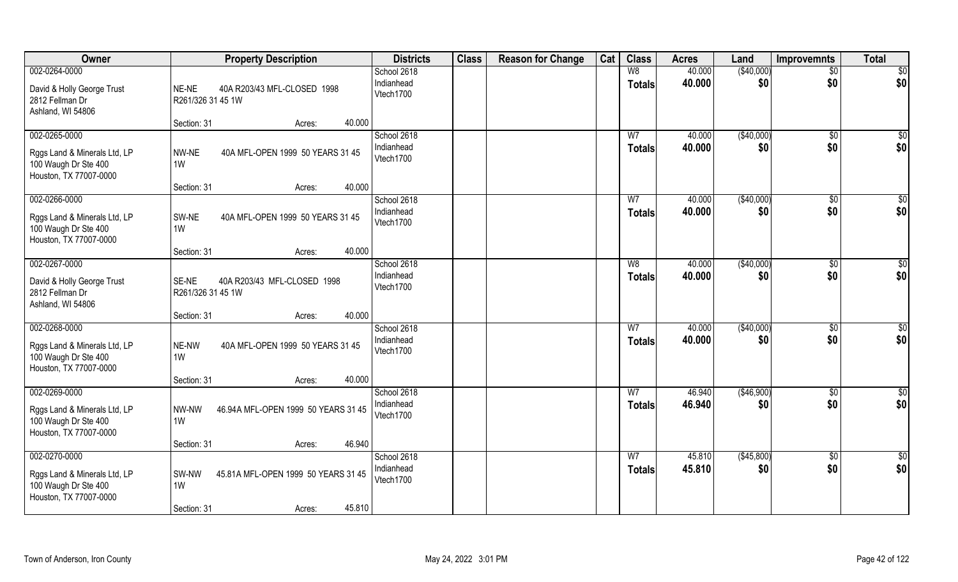| Owner                                                                                           | <b>Property Description</b>                                                           | <b>Districts</b>                       | <b>Class</b> | <b>Reason for Change</b> | Cat | <b>Class</b>                    | <b>Acres</b>     | Land              | <b>Improvemnts</b>     | <b>Total</b>           |
|-------------------------------------------------------------------------------------------------|---------------------------------------------------------------------------------------|----------------------------------------|--------------|--------------------------|-----|---------------------------------|------------------|-------------------|------------------------|------------------------|
| 002-0264-0000<br>David & Holly George Trust<br>2812 Fellman Dr<br>Ashland, WI 54806             | NE-NE<br>40A R203/43 MFL-CLOSED 1998<br>R261/326 31 45 1W                             | School 2618<br>Indianhead<br>Vtech1700 |              |                          |     | W8<br>Totals                    | 40.000<br>40.000 | (\$40,000)<br>\$0 | $\overline{50}$<br>\$0 | $\overline{50}$<br>\$0 |
|                                                                                                 | Section: 31<br>40.000<br>Acres:                                                       |                                        |              |                          |     |                                 |                  |                   |                        |                        |
| 002-0265-0000<br>Rggs Land & Minerals Ltd, LP<br>100 Waugh Dr Ste 400<br>Houston, TX 77007-0000 | NW-NE<br>40A MFL-OPEN 1999 50 YEARS 31 45<br>1W                                       | School 2618<br>Indianhead<br>Vtech1700 |              |                          |     | W <sub>7</sub><br>Totals        | 40.000<br>40.000 | (\$40,000)<br>\$0 | \$0<br>\$0             | $\sqrt{50}$<br>\$0     |
| 002-0266-0000                                                                                   | 40.000<br>Section: 31<br>Acres:                                                       | School 2618                            |              |                          |     | W <sub>7</sub>                  | 40.000           | ( \$40,000)       |                        | \$0                    |
| Rggs Land & Minerals Ltd, LP<br>100 Waugh Dr Ste 400<br>Houston, TX 77007-0000                  | SW-NE<br>40A MFL-OPEN 1999 50 YEARS 31 45<br>1W                                       | Indianhead<br>Vtech1700                |              |                          |     | <b>Totals</b>                   | 40.000           | \$0               | \$0<br>\$0             | \$0                    |
|                                                                                                 | 40.000<br>Section: 31<br>Acres:                                                       |                                        |              |                          |     |                                 |                  |                   |                        |                        |
| 002-0267-0000<br>David & Holly George Trust<br>2812 Fellman Dr<br>Ashland, WI 54806             | SE-NE<br>40A R203/43 MFL-CLOSED 1998<br>R261/326 31 45 1W                             | School 2618<br>Indianhead<br>Vtech1700 |              |                          |     | W8<br><b>Totals</b>             | 40.000<br>40.000 | (\$40,000)<br>\$0 | \$0<br>\$0             | \$<br>\$0              |
|                                                                                                 | 40.000<br>Section: 31<br>Acres:                                                       |                                        |              |                          |     |                                 |                  |                   |                        |                        |
| 002-0268-0000<br>Rggs Land & Minerals Ltd, LP<br>100 Waugh Dr Ste 400<br>Houston, TX 77007-0000 | 40A MFL-OPEN 1999 50 YEARS 31 45<br>NE-NW<br>1W                                       | School 2618<br>Indianhead<br>Vtech1700 |              |                          |     | W <sub>7</sub><br><b>Totals</b> | 40.000<br>40.000 | (\$40,000)<br>\$0 | \$0<br>\$0             | $\overline{50}$<br>\$0 |
|                                                                                                 | 40.000<br>Section: 31<br>Acres:                                                       |                                        |              |                          |     |                                 |                  |                   |                        |                        |
| 002-0269-0000<br>Rggs Land & Minerals Ltd, LP<br>100 Waugh Dr Ste 400<br>Houston, TX 77007-0000 | 46.94A MFL-OPEN 1999 50 YEARS 31 45<br>NW-NW<br>1W                                    | School 2618<br>Indianhead<br>Vtech1700 |              |                          |     | W <sub>7</sub><br><b>Totals</b> | 46.940<br>46.940 | (\$46,900)<br>\$0 | \$0<br>\$0             | \$0<br>\$0             |
|                                                                                                 | 46.940<br>Section: 31<br>Acres:                                                       |                                        |              |                          |     |                                 |                  |                   |                        |                        |
| 002-0270-0000<br>Rggs Land & Minerals Ltd, LP<br>100 Waugh Dr Ste 400<br>Houston, TX 77007-0000 | SW-NW<br>45.81A MFL-OPEN 1999 50 YEARS 31 45<br>1W<br>45.810<br>Section: 31<br>Acres: | School 2618<br>Indianhead<br>Vtech1700 |              |                          |     | W <sub>7</sub><br>Totals        | 45.810<br>45.810 | (\$45,800)<br>\$0 | \$0<br>\$0             | \$0<br>\$0             |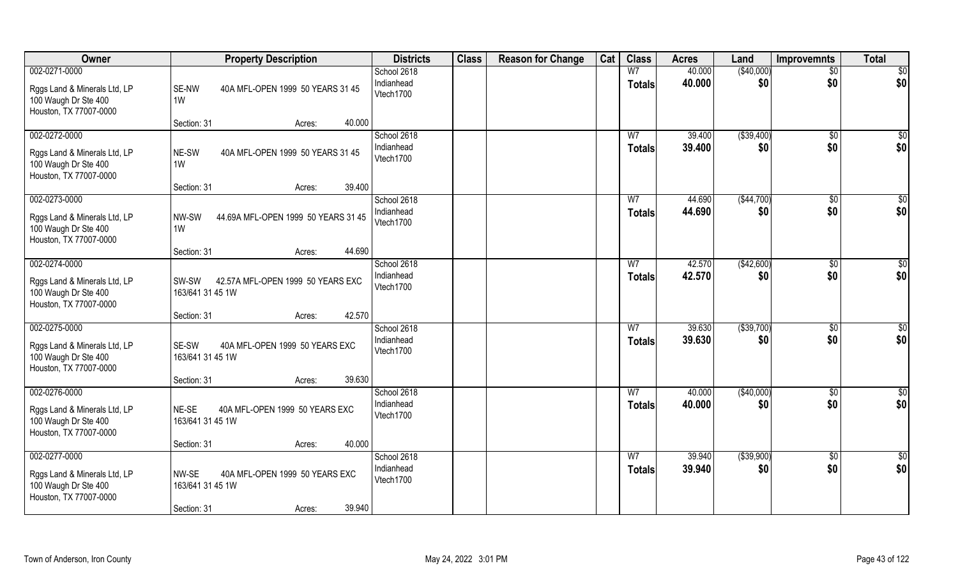| Owner                                                                                           | <b>Property Description</b>                                                                    | <b>Districts</b>                       | <b>Class</b> | <b>Reason for Change</b> | Cat | <b>Class</b>                    | <b>Acres</b>     | Land               | <b>Improvemnts</b>     | <b>Total</b>           |
|-------------------------------------------------------------------------------------------------|------------------------------------------------------------------------------------------------|----------------------------------------|--------------|--------------------------|-----|---------------------------------|------------------|--------------------|------------------------|------------------------|
| 002-0271-0000<br>Rggs Land & Minerals Ltd, LP<br>100 Waugh Dr Ste 400<br>Houston, TX 77007-0000 | SE-NW<br>40A MFL-OPEN 1999 50 YEARS 31 45<br>1W                                                | School 2618<br>Indianhead<br>Vtech1700 |              |                          |     | W <sub>7</sub><br><b>Totals</b> | 40.000<br>40.000 | (\$40,000)<br>\$0  | $\overline{50}$<br>\$0 | $\overline{50}$<br>\$0 |
|                                                                                                 | 40.000<br>Section: 31<br>Acres:                                                                |                                        |              |                          |     |                                 |                  |                    |                        |                        |
| 002-0272-0000<br>Rggs Land & Minerals Ltd, LP<br>100 Waugh Dr Ste 400<br>Houston, TX 77007-0000 | 40A MFL-OPEN 1999 50 YEARS 31 45<br>NE-SW<br>1W                                                | School 2618<br>Indianhead<br>Vtech1700 |              |                          |     | W <sub>7</sub><br><b>Totals</b> | 39.400<br>39.400 | ( \$39,400)<br>\$0 | \$0<br>\$0             | \$0<br>\$0             |
|                                                                                                 | 39.400<br>Section: 31<br>Acres:                                                                |                                        |              |                          |     |                                 |                  |                    |                        |                        |
| 002-0273-0000<br>Rggs Land & Minerals Ltd, LP<br>100 Waugh Dr Ste 400<br>Houston, TX 77007-0000 | 44.69A MFL-OPEN 1999 50 YEARS 31 45<br>NW-SW<br>1W                                             | School 2618<br>Indianhead<br>Vtech1700 |              |                          |     | W <sub>7</sub><br><b>Totals</b> | 44.690<br>44.690 | ( \$44,700)<br>\$0 | \$0<br>\$0             | \$0<br>\$0             |
|                                                                                                 | 44.690<br>Section: 31<br>Acres:                                                                |                                        |              |                          |     |                                 |                  |                    |                        |                        |
| 002-0274-0000<br>Rggs Land & Minerals Ltd, LP<br>100 Waugh Dr Ste 400<br>Houston, TX 77007-0000 | 42.57A MFL-OPEN 1999 50 YEARS EXC<br>SW-SW<br>163/641 31 45 1W                                 | School 2618<br>Indianhead<br>Vtech1700 |              |                          |     | W <sub>7</sub><br><b>Totals</b> | 42.570<br>42.570 | (\$42,600)<br>\$0  | $\sqrt[6]{3}$<br>\$0   | \$0<br>\$0             |
|                                                                                                 | 42.570<br>Section: 31<br>Acres:                                                                |                                        |              |                          |     |                                 |                  |                    |                        |                        |
| 002-0275-0000<br>Rggs Land & Minerals Ltd, LP<br>100 Waugh Dr Ste 400<br>Houston, TX 77007-0000 | 40A MFL-OPEN 1999 50 YEARS EXC<br>SE-SW<br>163/641 31 45 1W                                    | School 2618<br>Indianhead<br>Vtech1700 |              |                          |     | W <sub>7</sub><br><b>Totals</b> | 39.630<br>39.630 | ( \$39,700)<br>\$0 | $\sqrt[6]{30}$<br>\$0  | $\overline{50}$<br>\$0 |
|                                                                                                 | 39.630<br>Section: 31<br>Acres:                                                                |                                        |              |                          |     |                                 |                  |                    |                        |                        |
| 002-0276-0000<br>Rggs Land & Minerals Ltd, LP<br>100 Waugh Dr Ste 400<br>Houston, TX 77007-0000 | NE-SE<br>40A MFL-OPEN 1999 50 YEARS EXC<br>163/641 31 45 1W                                    | School 2618<br>Indianhead<br>Vtech1700 |              |                          |     | W <sub>7</sub><br><b>Totals</b> | 40.000<br>40.000 | (\$40,000)<br>\$0  | \$0<br>\$0             | $\frac{6}{3}$<br>\$0   |
|                                                                                                 | 40.000<br>Section: 31<br>Acres:                                                                |                                        |              |                          |     |                                 |                  |                    |                        |                        |
| 002-0277-0000<br>Rggs Land & Minerals Ltd, LP<br>100 Waugh Dr Ste 400<br>Houston, TX 77007-0000 | NW-SE<br>40A MFL-OPEN 1999 50 YEARS EXC<br>163/641 31 45 1W<br>39.940<br>Section: 31<br>Acres: | School 2618<br>Indianhead<br>Vtech1700 |              |                          |     | W <sub>7</sub><br>Totals        | 39.940<br>39.940 | ( \$39,900)<br>\$0 | \$0<br>\$0             | \$0<br>\$0             |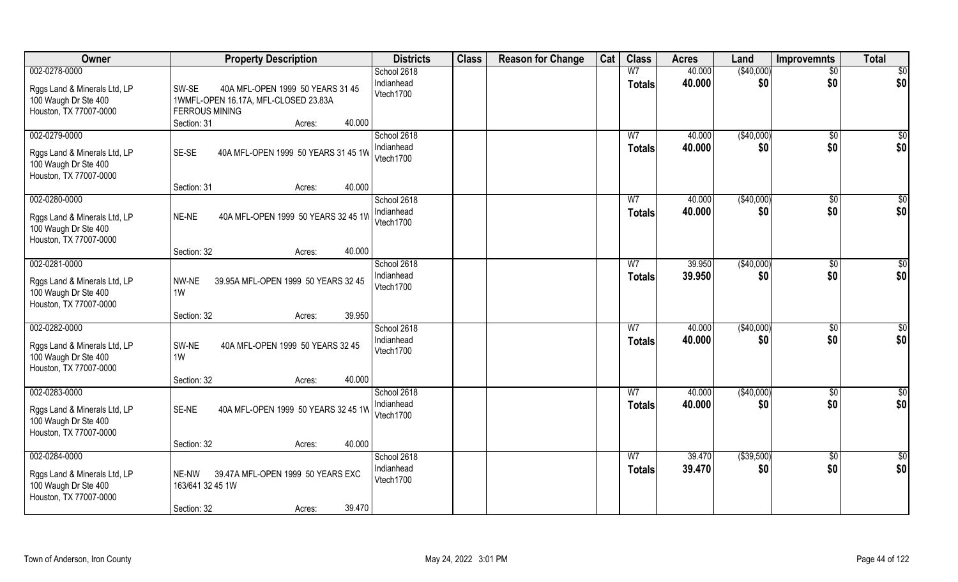| Owner                                          | <b>Property Description</b>                  | <b>Districts</b> | <b>Class</b> | <b>Reason for Change</b> | Cat | <b>Class</b>   | <b>Acres</b> | Land        | <b>Improvemnts</b> | <b>Total</b>    |
|------------------------------------------------|----------------------------------------------|------------------|--------------|--------------------------|-----|----------------|--------------|-------------|--------------------|-----------------|
| 002-0278-0000                                  |                                              | School 2618      |              |                          |     | W <sub>7</sub> | 40.000       | (\$40,000)  | $\overline{50}$    | $\overline{50}$ |
| Rggs Land & Minerals Ltd, LP                   | SW-SE<br>40A MFL-OPEN 1999 50 YEARS 31 45    | Indianhead       |              |                          |     | <b>Totals</b>  | 40.000       | \$0         | \$0                | \$0             |
| 100 Waugh Dr Ste 400                           | 1WMFL-OPEN 16.17A, MFL-CLOSED 23.83A         | Vtech1700        |              |                          |     |                |              |             |                    |                 |
| Houston, TX 77007-0000                         | <b>FERROUS MINING</b>                        |                  |              |                          |     |                |              |             |                    |                 |
|                                                | 40.000<br>Section: 31<br>Acres:              |                  |              |                          |     |                |              |             |                    |                 |
| 002-0279-0000                                  |                                              | School 2618      |              |                          |     | W <sub>7</sub> | 40.000       | (\$40,000)  | \$0                | \$0             |
|                                                |                                              | Indianhead       |              |                          |     |                |              |             |                    |                 |
| Rggs Land & Minerals Ltd, LP                   | SE-SE<br>40A MFL-OPEN 1999 50 YEARS 31 45 1W | Vtech1700        |              |                          |     | <b>Totals</b>  | 40.000       | \$0         | \$0                | \$0             |
| 100 Waugh Dr Ste 400                           |                                              |                  |              |                          |     |                |              |             |                    |                 |
| Houston, TX 77007-0000                         |                                              |                  |              |                          |     |                |              |             |                    |                 |
|                                                | 40.000<br>Section: 31<br>Acres:              |                  |              |                          |     |                |              |             |                    |                 |
| 002-0280-0000                                  |                                              | School 2618      |              |                          |     | W <sub>7</sub> | 40.000       | (\$40,000)  | $\sqrt[6]{30}$     | \$0             |
|                                                | NE-NE<br>40A MFL-OPEN 1999 50 YEARS 32 45 1W | Indianhead       |              |                          |     | <b>Totals</b>  | 40.000       | \$0         | \$0                | \$0             |
| Rggs Land & Minerals Ltd, LP                   |                                              | Vtech1700        |              |                          |     |                |              |             |                    |                 |
| 100 Waugh Dr Ste 400<br>Houston, TX 77007-0000 |                                              |                  |              |                          |     |                |              |             |                    |                 |
|                                                | 40.000<br>Section: 32<br>Acres:              |                  |              |                          |     |                |              |             |                    |                 |
| 002-0281-0000                                  |                                              | School 2618      |              |                          |     | W <sub>7</sub> | 39.950       | (\$40,000)  |                    | \$0             |
|                                                |                                              | Indianhead       |              |                          |     |                |              |             | $\sqrt[6]{3}$      |                 |
| Rggs Land & Minerals Ltd, LP                   | 39.95A MFL-OPEN 1999 50 YEARS 32 45<br>NW-NE | Vtech1700        |              |                          |     | <b>Totals</b>  | 39.950       | \$0         | \$0                | \$0             |
| 100 Waugh Dr Ste 400                           | 1W                                           |                  |              |                          |     |                |              |             |                    |                 |
| Houston, TX 77007-0000                         |                                              |                  |              |                          |     |                |              |             |                    |                 |
|                                                | 39.950<br>Section: 32<br>Acres:              |                  |              |                          |     |                |              |             |                    |                 |
| 002-0282-0000                                  |                                              | School 2618      |              |                          |     | $\overline{W}$ | 40.000       | (\$40,000)  | \$0                | $\overline{50}$ |
| Rggs Land & Minerals Ltd, LP                   | 40A MFL-OPEN 1999 50 YEARS 32 45<br>SW-NE    | Indianhead       |              |                          |     | <b>Totals</b>  | 40.000       | \$0         | \$0                | \$0             |
| 100 Waugh Dr Ste 400                           | 1W                                           | Vtech1700        |              |                          |     |                |              |             |                    |                 |
| Houston, TX 77007-0000                         |                                              |                  |              |                          |     |                |              |             |                    |                 |
|                                                | 40.000<br>Section: 32<br>Acres:              |                  |              |                          |     |                |              |             |                    |                 |
| 002-0283-0000                                  |                                              | School 2618      |              |                          |     | W <sub>7</sub> | 40.000       | (\$40,000)  | \$0                | $\frac{6}{3}$   |
|                                                |                                              | Indianhead       |              |                          |     |                | 40.000       | \$0         | \$0                | \$0             |
| Rggs Land & Minerals Ltd, LP                   | SE-NE<br>40A MFL-OPEN 1999 50 YEARS 32 45 1W | Vtech1700        |              |                          |     | <b>Totals</b>  |              |             |                    |                 |
| 100 Waugh Dr Ste 400                           |                                              |                  |              |                          |     |                |              |             |                    |                 |
| Houston, TX 77007-0000                         |                                              |                  |              |                          |     |                |              |             |                    |                 |
|                                                | 40.000<br>Section: 32<br>Acres:              |                  |              |                          |     |                |              |             |                    |                 |
| 002-0284-0000                                  |                                              | School 2618      |              |                          |     | W <sub>7</sub> | 39.470       | ( \$39,500) | $\sqrt{$0}$        | \$0             |
| Rggs Land & Minerals Ltd, LP                   | NE-NW<br>39.47A MFL-OPEN 1999 50 YEARS EXC   | Indianhead       |              |                          |     | <b>Totals</b>  | 39.470       | \$0         | \$0                | \$0             |
| 100 Waugh Dr Ste 400                           | 163/641 32 45 1W                             | Vtech1700        |              |                          |     |                |              |             |                    |                 |
| Houston, TX 77007-0000                         |                                              |                  |              |                          |     |                |              |             |                    |                 |
|                                                | 39.470<br>Section: 32<br>Acres:              |                  |              |                          |     |                |              |             |                    |                 |
|                                                |                                              |                  |              |                          |     |                |              |             |                    |                 |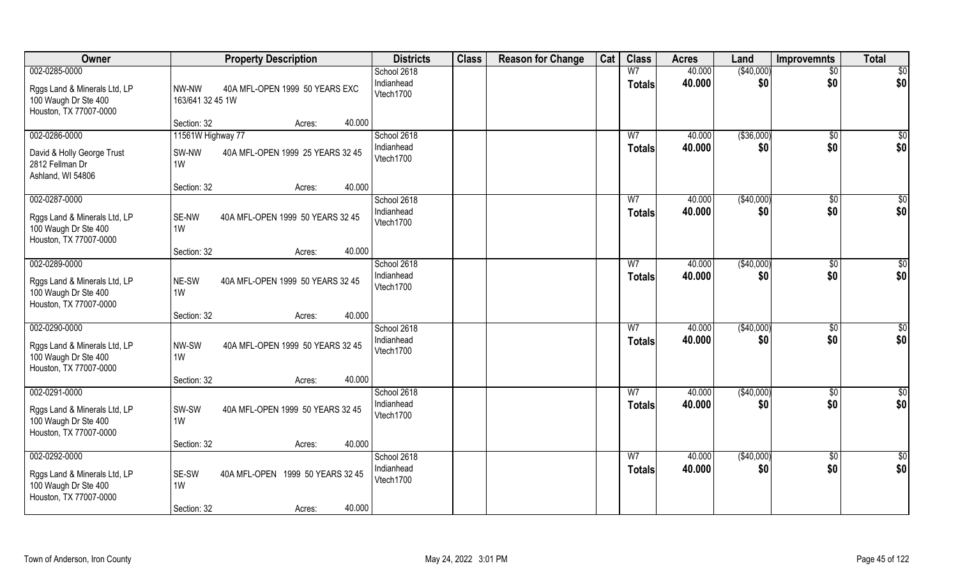| Owner                                                | <b>Property Description</b>                     | <b>Districts</b>          | <b>Class</b> | <b>Reason for Change</b> | Cat | <b>Class</b>   | <b>Acres</b>     | Land              | <b>Improvemnts</b> | <b>Total</b>    |
|------------------------------------------------------|-------------------------------------------------|---------------------------|--------------|--------------------------|-----|----------------|------------------|-------------------|--------------------|-----------------|
| 002-0285-0000                                        |                                                 | School 2618               |              |                          |     | W <sub>7</sub> | 40.000           | (\$40,000)        | $\overline{50}$    | $\overline{50}$ |
| Rggs Land & Minerals Ltd, LP                         | NW-NW<br>40A MFL-OPEN 1999 50 YEARS EXC         | Indianhead<br>Vtech1700   |              |                          |     | <b>Totals</b>  | 40.000           | \$0               | \$0                | \$0             |
| 100 Waugh Dr Ste 400<br>Houston, TX 77007-0000       | 163/641 32 45 1W                                |                           |              |                          |     |                |                  |                   |                    |                 |
|                                                      | 40.000<br>Section: 32<br>Acres:                 |                           |              |                          |     |                |                  |                   |                    |                 |
| 002-0286-0000                                        | 11561W Highway 77                               | School 2618               |              |                          |     | W <sub>7</sub> | 40.000           | ( \$36,000)       | \$0                | \$0             |
| David & Holly George Trust                           | SW-NW<br>40A MFL-OPEN 1999 25 YEARS 32 45       | Indianhead<br>Vtech1700   |              |                          |     | <b>Totals</b>  | 40.000           | \$0               | \$0                | \$0             |
| 2812 Fellman Dr                                      | 1W                                              |                           |              |                          |     |                |                  |                   |                    |                 |
| Ashland, WI 54806                                    | 40.000<br>Section: 32<br>Acres:                 |                           |              |                          |     |                |                  |                   |                    |                 |
| 002-0287-0000                                        |                                                 | School 2618               |              |                          |     | W <sub>7</sub> | 40.000           | ( \$40,000)       | $\sqrt[6]{3}$      | \$0             |
| Rggs Land & Minerals Ltd, LP                         | SE-NW<br>40A MFL-OPEN 1999 50 YEARS 32 45       | Indianhead                |              |                          |     | <b>Totals</b>  | 40.000           | \$0               | \$0                | \$0             |
| 100 Waugh Dr Ste 400                                 | 1W                                              | Vtech1700                 |              |                          |     |                |                  |                   |                    |                 |
| Houston, TX 77007-0000                               | 40.000<br>Section: 32<br>Acres:                 |                           |              |                          |     |                |                  |                   |                    |                 |
| 002-0289-0000                                        |                                                 | School 2618               |              |                          |     | W7             | 40.000           | (\$40,000)        | \$0                | \$0             |
| Rggs Land & Minerals Ltd, LP                         | NE-SW<br>40A MFL-OPEN 1999 50 YEARS 32 45       | Indianhead                |              |                          |     | <b>Totals</b>  | 40.000           | \$0               | \$0                | \$0             |
| 100 Waugh Dr Ste 400                                 | 1W                                              | Vtech1700                 |              |                          |     |                |                  |                   |                    |                 |
| Houston, TX 77007-0000                               |                                                 |                           |              |                          |     |                |                  |                   |                    |                 |
| 002-0290-0000                                        | 40.000<br>Section: 32<br>Acres:                 | School 2618               |              |                          |     | W <sub>7</sub> | 40.000           | (\$40,000)        | $\sqrt[6]{30}$     | \$0             |
|                                                      |                                                 | Indianhead                |              |                          |     | <b>Totals</b>  | 40.000           | \$0               | \$0                | \$0             |
| Rggs Land & Minerals Ltd, LP<br>100 Waugh Dr Ste 400 | NW-SW<br>40A MFL-OPEN 1999 50 YEARS 32 45<br>1W | Vtech1700                 |              |                          |     |                |                  |                   |                    |                 |
| Houston, TX 77007-0000                               |                                                 |                           |              |                          |     |                |                  |                   |                    |                 |
|                                                      | 40.000<br>Section: 32<br>Acres:                 |                           |              |                          |     |                |                  |                   |                    |                 |
| 002-0291-0000                                        |                                                 | School 2618<br>Indianhead |              |                          |     | W <sub>7</sub> | 40.000<br>40.000 | (\$40,000)<br>\$0 | $\sqrt{$0}$<br>\$0 | \$0<br>\$0      |
| Rggs Land & Minerals Ltd, LP                         | SW-SW<br>40A MFL-OPEN 1999 50 YEARS 32 45       | Vtech1700                 |              |                          |     | <b>Totals</b>  |                  |                   |                    |                 |
| 100 Waugh Dr Ste 400<br>Houston, TX 77007-0000       | 1W                                              |                           |              |                          |     |                |                  |                   |                    |                 |
|                                                      | 40.000<br>Section: 32<br>Acres:                 |                           |              |                          |     |                |                  |                   |                    |                 |
| 002-0292-0000                                        |                                                 | School 2618               |              |                          |     | W <sub>7</sub> | 40.000           | (\$40,000)        | \$0                | \$0             |
| Rggs Land & Minerals Ltd, LP                         | SE-SW<br>40A MFL-OPEN 1999 50 YEARS 32 45       | Indianhead<br>Vtech1700   |              |                          |     | <b>Totals</b>  | 40.000           | \$0               | \$0                | \$0             |
| 100 Waugh Dr Ste 400                                 | 1W                                              |                           |              |                          |     |                |                  |                   |                    |                 |
| Houston, TX 77007-0000                               | 40.000<br>Section: 32<br>Acres:                 |                           |              |                          |     |                |                  |                   |                    |                 |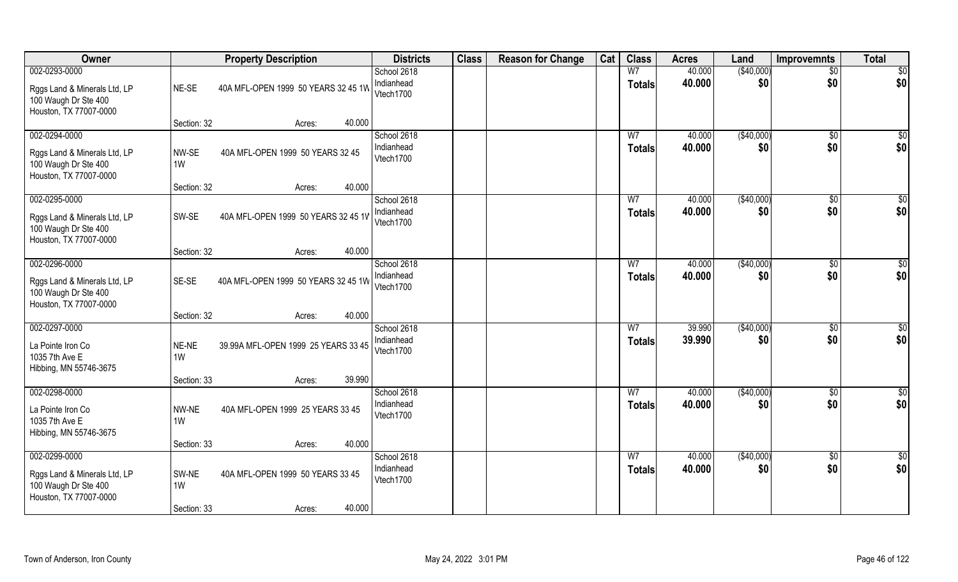| Owner                                                                                           |                            | <b>Property Description</b>                          | <b>Districts</b>                       | <b>Class</b> | <b>Reason for Change</b> | Cat | <b>Class</b>                    | <b>Acres</b>     | Land              | <b>Improvemnts</b>     | <b>Total</b>           |
|-------------------------------------------------------------------------------------------------|----------------------------|------------------------------------------------------|----------------------------------------|--------------|--------------------------|-----|---------------------------------|------------------|-------------------|------------------------|------------------------|
| 002-0293-0000<br>Rggs Land & Minerals Ltd, LP<br>100 Waugh Dr Ste 400<br>Houston, TX 77007-0000 | NE-SE                      | 40A MFL-OPEN 1999 50 YEARS 32 45 1W                  | School 2618<br>Indianhead<br>Vtech1700 |              |                          |     | W <sub>7</sub><br><b>Totals</b> | 40.000<br>40.000 | (\$40,000)<br>\$0 | $\overline{50}$<br>\$0 | $\overline{50}$<br>\$0 |
|                                                                                                 | Section: 32                | 40.000<br>Acres:                                     |                                        |              |                          |     |                                 |                  |                   |                        |                        |
| 002-0294-0000<br>Rggs Land & Minerals Ltd, LP<br>100 Waugh Dr Ste 400<br>Houston, TX 77007-0000 | NW-SE<br>1W                | 40A MFL-OPEN 1999 50 YEARS 32 45                     | School 2618<br>Indianhead<br>Vtech1700 |              |                          |     | W <sub>7</sub><br><b>Totals</b> | 40.000<br>40.000 | (\$40,000)<br>\$0 | \$0<br>\$0             | \$0<br>\$0             |
| 002-0295-0000                                                                                   | Section: 32                | 40.000<br>Acres:                                     | School 2618                            |              |                          |     | W <sub>7</sub>                  | 40.000           | ( \$40,000)       | $\sqrt[6]{3}$          | \$0                    |
| Rggs Land & Minerals Ltd, LP<br>100 Waugh Dr Ste 400<br>Houston, TX 77007-0000                  | SW-SE                      | 40A MFL-OPEN 1999 50 YEARS 32 45 1V                  | Indianhead<br>Vtech1700                |              |                          |     | <b>Totals</b>                   | 40.000           | \$0               | \$0                    | \$0                    |
|                                                                                                 | Section: 32                | 40.000<br>Acres:                                     |                                        |              |                          |     |                                 |                  |                   |                        |                        |
| 002-0296-0000<br>Rggs Land & Minerals Ltd, LP<br>100 Waugh Dr Ste 400<br>Houston, TX 77007-0000 | SE-SE                      | 40A MFL-OPEN 1999 50 YEARS 32 45 1W                  | School 2618<br>Indianhead<br>Vtech1700 |              |                          |     | W7<br><b>Totals</b>             | 40.000<br>40.000 | (\$40,000)<br>\$0 | \$0<br>\$0             | \$0<br>\$0             |
|                                                                                                 | Section: 32                | 40.000<br>Acres:                                     |                                        |              |                          |     |                                 |                  |                   |                        |                        |
| 002-0297-0000<br>La Pointe Iron Co<br>1035 7th Ave E<br>Hibbing, MN 55746-3675                  | NE-NE<br>1W                | 39.99A MFL-OPEN 1999 25 YEARS 33 45                  | School 2618<br>Indianhead<br>Vtech1700 |              |                          |     | W <sub>7</sub><br><b>Totals</b> | 39.990<br>39.990 | (\$40,000)<br>\$0 | $\sqrt[6]{30}$<br>\$0  | \$0<br>\$0             |
|                                                                                                 | Section: 33                | 39.990<br>Acres:                                     |                                        |              |                          |     |                                 |                  |                   |                        |                        |
| 002-0298-0000<br>La Pointe Iron Co<br>1035 7th Ave E<br>Hibbing, MN 55746-3675                  | NW-NE<br>1W                | 40A MFL-OPEN 1999 25 YEARS 33 45                     | School 2618<br>Indianhead<br>Vtech1700 |              |                          |     | W <sub>7</sub><br><b>Totals</b> | 40.000<br>40.000 | (\$40,000)<br>\$0 | $\sqrt{$0}$<br>\$0     | \$0<br>\$0             |
|                                                                                                 | Section: 33                | 40.000<br>Acres:                                     |                                        |              |                          |     |                                 |                  |                   |                        |                        |
| 002-0299-0000<br>Rggs Land & Minerals Ltd, LP<br>100 Waugh Dr Ste 400<br>Houston, TX 77007-0000 | SW-NE<br>1W<br>Section: 33 | 40A MFL-OPEN 1999 50 YEARS 33 45<br>40.000<br>Acres: | School 2618<br>Indianhead<br>Vtech1700 |              |                          |     | W <sub>7</sub><br><b>Totals</b> | 40.000<br>40.000 | (\$40,000)<br>\$0 | \$0<br>\$0             | \$0<br>\$0             |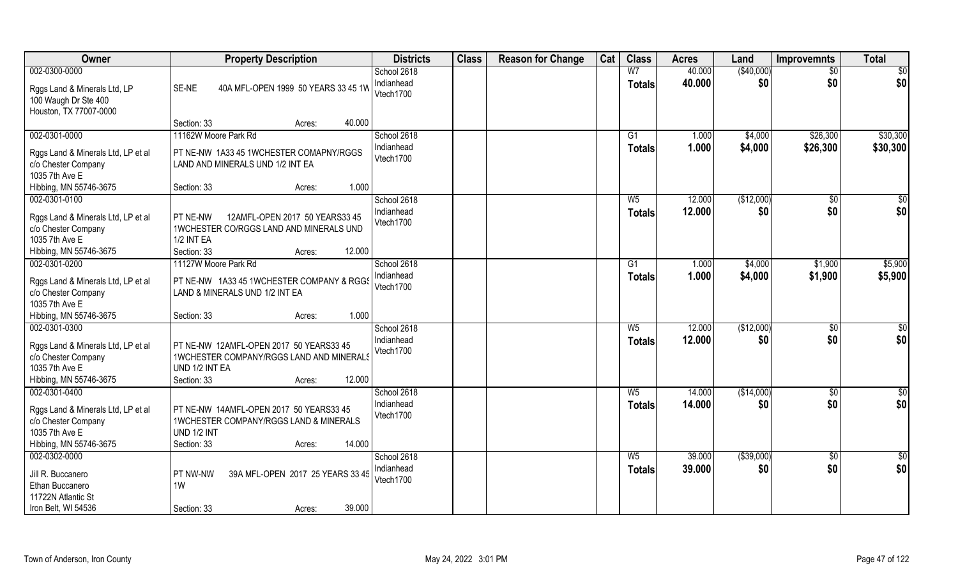| Owner                                                     | <b>Property Description</b>                             | <b>Districts</b>          | <b>Class</b> | <b>Reason for Change</b> | Cat | <b>Class</b>                    | <b>Acres</b>   | Land               | <b>Improvemnts</b> | <b>Total</b>  |
|-----------------------------------------------------------|---------------------------------------------------------|---------------------------|--------------|--------------------------|-----|---------------------------------|----------------|--------------------|--------------------|---------------|
| 002-0300-0000                                             |                                                         | School 2618<br>Indianhead |              |                          |     | W <sub>7</sub>                  | 40.000         | (\$40,000)<br>\$0  | \$0<br>\$0         | \$0           |
| Rggs Land & Minerals Ltd, LP                              | SE-NE<br>40A MFL-OPEN 1999 50 YEARS 33 45 1W            | Vtech1700                 |              |                          |     | <b>Totals</b>                   | 40.000         |                    |                    | \$0           |
| 100 Waugh Dr Ste 400                                      |                                                         |                           |              |                          |     |                                 |                |                    |                    |               |
| Houston, TX 77007-0000                                    | 40.000<br>Section: 33<br>Acres:                         |                           |              |                          |     |                                 |                |                    |                    |               |
| 002-0301-0000                                             | 11162W Moore Park Rd                                    | School 2618               |              |                          |     | G1                              | 1.000          | \$4,000            | \$26,300           | \$30,300      |
|                                                           | PT NE-NW 1A33 45 1WCHESTER COMAPNY/RGGS                 | Indianhead                |              |                          |     | <b>Totals</b>                   | 1.000          | \$4,000            | \$26,300           | \$30,300      |
| Rggs Land & Minerals Ltd, LP et al<br>c/o Chester Company | LAND AND MINERALS UND 1/2 INT EA                        | Vtech1700                 |              |                          |     |                                 |                |                    |                    |               |
| 1035 7th Ave E                                            |                                                         |                           |              |                          |     |                                 |                |                    |                    |               |
| Hibbing, MN 55746-3675                                    | 1.000<br>Section: 33<br>Acres:                          |                           |              |                          |     |                                 |                |                    |                    |               |
| 002-0301-0100                                             |                                                         | School 2618               |              |                          |     | $W_5$                           | 12.000         | (\$12,000)         | \$0                | \$0           |
| Rggs Land & Minerals Ltd, LP et al                        | PT NE-NW<br>12AMFL-OPEN 2017 50 YEARS33 45              | Indianhead                |              |                          |     | <b>Totals</b>                   | 12.000         | \$0                | \$0                | \$0           |
| c/o Chester Company                                       | 1WCHESTER CO/RGGS LAND AND MINERALS UND                 | Vtech1700                 |              |                          |     |                                 |                |                    |                    |               |
| 1035 7th Ave E                                            | <b>1/2 INT EA</b>                                       |                           |              |                          |     |                                 |                |                    |                    |               |
| Hibbing, MN 55746-3675<br>002-0301-0200                   | Section: 33<br>12.000<br>Acres:<br>11127W Moore Park Rd | School 2618               |              |                          |     |                                 |                |                    |                    | \$5,900       |
|                                                           |                                                         | Indianhead                |              |                          |     | G <sub>1</sub><br><b>Totals</b> | 1.000<br>1.000 | \$4,000<br>\$4,000 | \$1,900<br>\$1,900 | \$5,900       |
| Rggs Land & Minerals Ltd, LP et al                        | PT NE-NW 1A33 45 1WCHESTER COMPANY & RGGS               | Vtech1700                 |              |                          |     |                                 |                |                    |                    |               |
| c/o Chester Company<br>1035 7th Ave E                     | LAND & MINERALS UND 1/2 INT EA                          |                           |              |                          |     |                                 |                |                    |                    |               |
| Hibbing, MN 55746-3675                                    | 1.000<br>Section: 33<br>Acres:                          |                           |              |                          |     |                                 |                |                    |                    |               |
| 002-0301-0300                                             |                                                         | School 2618               |              |                          |     | $W_5$                           | 12.000         | (\$12,000)         | $\overline{50}$    | \$0           |
| Rggs Land & Minerals Ltd, LP et al                        | PT NE-NW 12AMFL-OPEN 2017 50 YEARS33 45                 | Indianhead                |              |                          |     | <b>Totals</b>                   | 12.000         | \$0                | \$0                | \$0           |
| c/o Chester Company                                       | 1WCHESTER COMPANY/RGGS LAND AND MINERALS                | Vtech1700                 |              |                          |     |                                 |                |                    |                    |               |
| 1035 7th Ave E                                            | UND 1/2 INT EA                                          |                           |              |                          |     |                                 |                |                    |                    |               |
| Hibbing, MN 55746-3675                                    | 12.000<br>Section: 33<br>Acres:                         |                           |              |                          |     |                                 |                |                    |                    |               |
| 002-0301-0400                                             |                                                         | School 2618               |              |                          |     | $W_5$                           | 14.000         | (\$14,000)         | \$0                | $\frac{1}{2}$ |
| Rggs Land & Minerals Ltd, LP et al                        | PT NE-NW 14AMFL-OPEN 2017 50 YEARS33 45                 | Indianhead<br>Vtech1700   |              |                          |     | <b>Totals</b>                   | 14.000         | \$0                | \$0                | \$0           |
| c/o Chester Company                                       | 1WCHESTER COMPANY/RGGS LAND & MINERALS                  |                           |              |                          |     |                                 |                |                    |                    |               |
| 1035 7th Ave E                                            | <b>UND 1/2 INT</b>                                      |                           |              |                          |     |                                 |                |                    |                    |               |
| Hibbing, MN 55746-3675<br>002-0302-0000                   | Section: 33<br>14.000<br>Acres:                         | School 2618               |              |                          |     | $W_5$                           | 39.000         | ( \$39,000)        | $\overline{50}$    | $rac{1}{2}$   |
|                                                           |                                                         | Indianhead                |              |                          |     | <b>Totals</b>                   | 39.000         | \$0                | \$0                | \$0           |
| Jill R. Buccanero<br>Ethan Buccanero                      | PT NW-NW<br>39A MFL-OPEN 2017 25 YEARS 33 45<br>1W      | Vtech1700                 |              |                          |     |                                 |                |                    |                    |               |
| 11722N Atlantic St                                        |                                                         |                           |              |                          |     |                                 |                |                    |                    |               |
| Iron Belt, WI 54536                                       | 39.000<br>Section: 33<br>Acres:                         |                           |              |                          |     |                                 |                |                    |                    |               |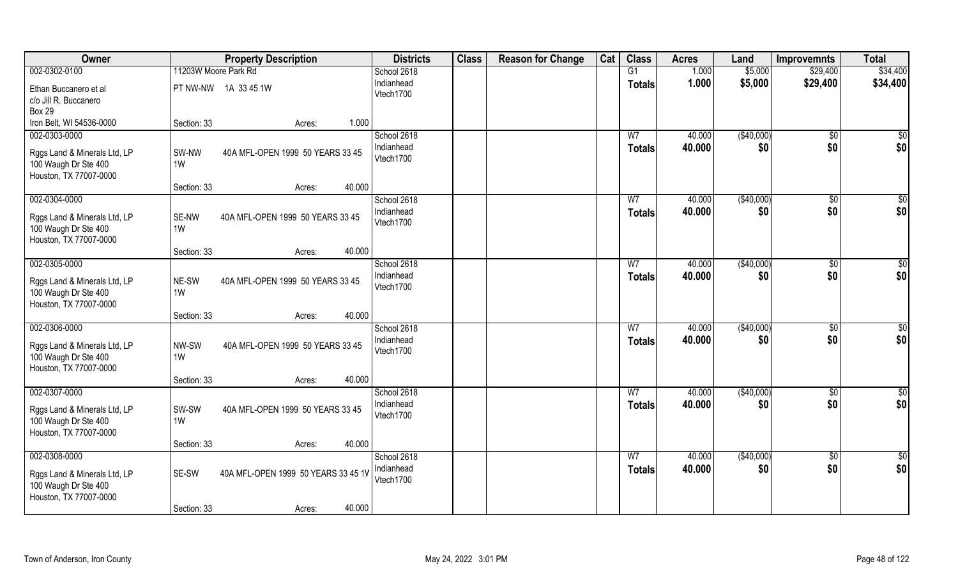| 11203W Moore Park Rd<br>\$34,400<br>002-0302-0100<br>1.000<br>\$5,000<br>School 2618<br>G1<br>\$29,400<br>Indianhead<br>1.000<br>\$5,000<br>\$29,400<br>\$34,400<br><b>Totals</b><br>PT NW-NW 1A 33 45 1W<br>Ethan Buccanero et al<br>Vtech1700<br>c/o Jill R. Buccanero<br><b>Box 29</b><br>Iron Belt, WI 54536-0000<br>Section: 33<br>1.000<br>Acres:<br>002-0303-0000<br>(\$40,000)<br>School 2618<br>40.000<br>W <sub>7</sub><br>\$0<br>\$0<br>\$0<br>Indianhead<br>40.000<br>\$0<br><b>Totals</b><br>SW-NW<br>40A MFL-OPEN 1999 50 YEARS 33 45<br>Rggs Land & Minerals Ltd, LP<br>Vtech1700<br>100 Waugh Dr Ste 400<br>1W<br>Houston, TX 77007-0000<br>40.000<br>Section: 33<br>Acres:<br>002-0304-0000<br>School 2618<br>W7<br>40.000<br>( \$40,000)<br>\$0<br>\$0<br>\$0<br>\$0<br>Indianhead<br>\$0<br>40.000<br><b>Totals</b><br>SE-NW<br>40A MFL-OPEN 1999 50 YEARS 33 45<br>Rggs Land & Minerals Ltd, LP<br>Vtech1700<br>100 Waugh Dr Ste 400<br>1W<br>Houston, TX 77007-0000<br>40.000<br>Section: 33<br>Acres:<br>002-0305-0000<br>(\$40,000)<br>\$0<br>School 2618<br>40.000<br>W7<br>\$0<br>\$0<br>\$0<br>Indianhead<br>40.000<br>\$0<br><b>Totals</b><br>NE-SW<br>40A MFL-OPEN 1999 50 YEARS 33 45<br>Rggs Land & Minerals Ltd, LP<br>Vtech1700<br>1W<br>100 Waugh Dr Ste 400<br>Houston, TX 77007-0000<br>40.000<br>Section: 33<br>Acres: |
|------------------------------------------------------------------------------------------------------------------------------------------------------------------------------------------------------------------------------------------------------------------------------------------------------------------------------------------------------------------------------------------------------------------------------------------------------------------------------------------------------------------------------------------------------------------------------------------------------------------------------------------------------------------------------------------------------------------------------------------------------------------------------------------------------------------------------------------------------------------------------------------------------------------------------------------------------------------------------------------------------------------------------------------------------------------------------------------------------------------------------------------------------------------------------------------------------------------------------------------------------------------------------------------------------------------------------------------------------------|
| $\overline{\$0}$                                                                                                                                                                                                                                                                                                                                                                                                                                                                                                                                                                                                                                                                                                                                                                                                                                                                                                                                                                                                                                                                                                                                                                                                                                                                                                                                           |
|                                                                                                                                                                                                                                                                                                                                                                                                                                                                                                                                                                                                                                                                                                                                                                                                                                                                                                                                                                                                                                                                                                                                                                                                                                                                                                                                                            |
|                                                                                                                                                                                                                                                                                                                                                                                                                                                                                                                                                                                                                                                                                                                                                                                                                                                                                                                                                                                                                                                                                                                                                                                                                                                                                                                                                            |
|                                                                                                                                                                                                                                                                                                                                                                                                                                                                                                                                                                                                                                                                                                                                                                                                                                                                                                                                                                                                                                                                                                                                                                                                                                                                                                                                                            |
|                                                                                                                                                                                                                                                                                                                                                                                                                                                                                                                                                                                                                                                                                                                                                                                                                                                                                                                                                                                                                                                                                                                                                                                                                                                                                                                                                            |
|                                                                                                                                                                                                                                                                                                                                                                                                                                                                                                                                                                                                                                                                                                                                                                                                                                                                                                                                                                                                                                                                                                                                                                                                                                                                                                                                                            |
|                                                                                                                                                                                                                                                                                                                                                                                                                                                                                                                                                                                                                                                                                                                                                                                                                                                                                                                                                                                                                                                                                                                                                                                                                                                                                                                                                            |
|                                                                                                                                                                                                                                                                                                                                                                                                                                                                                                                                                                                                                                                                                                                                                                                                                                                                                                                                                                                                                                                                                                                                                                                                                                                                                                                                                            |
|                                                                                                                                                                                                                                                                                                                                                                                                                                                                                                                                                                                                                                                                                                                                                                                                                                                                                                                                                                                                                                                                                                                                                                                                                                                                                                                                                            |
|                                                                                                                                                                                                                                                                                                                                                                                                                                                                                                                                                                                                                                                                                                                                                                                                                                                                                                                                                                                                                                                                                                                                                                                                                                                                                                                                                            |
|                                                                                                                                                                                                                                                                                                                                                                                                                                                                                                                                                                                                                                                                                                                                                                                                                                                                                                                                                                                                                                                                                                                                                                                                                                                                                                                                                            |
|                                                                                                                                                                                                                                                                                                                                                                                                                                                                                                                                                                                                                                                                                                                                                                                                                                                                                                                                                                                                                                                                                                                                                                                                                                                                                                                                                            |
|                                                                                                                                                                                                                                                                                                                                                                                                                                                                                                                                                                                                                                                                                                                                                                                                                                                                                                                                                                                                                                                                                                                                                                                                                                                                                                                                                            |
|                                                                                                                                                                                                                                                                                                                                                                                                                                                                                                                                                                                                                                                                                                                                                                                                                                                                                                                                                                                                                                                                                                                                                                                                                                                                                                                                                            |
|                                                                                                                                                                                                                                                                                                                                                                                                                                                                                                                                                                                                                                                                                                                                                                                                                                                                                                                                                                                                                                                                                                                                                                                                                                                                                                                                                            |
|                                                                                                                                                                                                                                                                                                                                                                                                                                                                                                                                                                                                                                                                                                                                                                                                                                                                                                                                                                                                                                                                                                                                                                                                                                                                                                                                                            |
|                                                                                                                                                                                                                                                                                                                                                                                                                                                                                                                                                                                                                                                                                                                                                                                                                                                                                                                                                                                                                                                                                                                                                                                                                                                                                                                                                            |
|                                                                                                                                                                                                                                                                                                                                                                                                                                                                                                                                                                                                                                                                                                                                                                                                                                                                                                                                                                                                                                                                                                                                                                                                                                                                                                                                                            |
|                                                                                                                                                                                                                                                                                                                                                                                                                                                                                                                                                                                                                                                                                                                                                                                                                                                                                                                                                                                                                                                                                                                                                                                                                                                                                                                                                            |
|                                                                                                                                                                                                                                                                                                                                                                                                                                                                                                                                                                                                                                                                                                                                                                                                                                                                                                                                                                                                                                                                                                                                                                                                                                                                                                                                                            |
| 002-0306-0000<br>(\$40,000)<br>W <sub>7</sub><br>40.000<br>\$0<br>$\overline{50}$<br>School 2618                                                                                                                                                                                                                                                                                                                                                                                                                                                                                                                                                                                                                                                                                                                                                                                                                                                                                                                                                                                                                                                                                                                                                                                                                                                           |
| \$0<br>Indianhead<br>\$0<br>\$0<br>40.000<br><b>Totals</b><br>40A MFL-OPEN 1999 50 YEARS 33 45<br>Rggs Land & Minerals Ltd, LP<br>NW-SW                                                                                                                                                                                                                                                                                                                                                                                                                                                                                                                                                                                                                                                                                                                                                                                                                                                                                                                                                                                                                                                                                                                                                                                                                    |
| Vtech1700<br>100 Waugh Dr Ste 400<br>1W                                                                                                                                                                                                                                                                                                                                                                                                                                                                                                                                                                                                                                                                                                                                                                                                                                                                                                                                                                                                                                                                                                                                                                                                                                                                                                                    |
| Houston, TX 77007-0000                                                                                                                                                                                                                                                                                                                                                                                                                                                                                                                                                                                                                                                                                                                                                                                                                                                                                                                                                                                                                                                                                                                                                                                                                                                                                                                                     |
| 40.000<br>Section: 33<br>Acres:                                                                                                                                                                                                                                                                                                                                                                                                                                                                                                                                                                                                                                                                                                                                                                                                                                                                                                                                                                                                                                                                                                                                                                                                                                                                                                                            |
| (\$40,000)<br>\$0<br>002-0307-0000<br>School 2618<br>W <sub>7</sub><br>40.000<br>\$0                                                                                                                                                                                                                                                                                                                                                                                                                                                                                                                                                                                                                                                                                                                                                                                                                                                                                                                                                                                                                                                                                                                                                                                                                                                                       |
| \$0<br>\$0<br>Indianhead<br>40.000<br>\$0<br><b>Totals</b>                                                                                                                                                                                                                                                                                                                                                                                                                                                                                                                                                                                                                                                                                                                                                                                                                                                                                                                                                                                                                                                                                                                                                                                                                                                                                                 |
| 40A MFL-OPEN 1999 50 YEARS 33 45<br>Rggs Land & Minerals Ltd, LP<br>SW-SW<br>Vtech1700<br>100 Waugh Dr Ste 400<br>1W                                                                                                                                                                                                                                                                                                                                                                                                                                                                                                                                                                                                                                                                                                                                                                                                                                                                                                                                                                                                                                                                                                                                                                                                                                       |
| Houston, TX 77007-0000                                                                                                                                                                                                                                                                                                                                                                                                                                                                                                                                                                                                                                                                                                                                                                                                                                                                                                                                                                                                                                                                                                                                                                                                                                                                                                                                     |
| 40.000<br>Section: 33<br>Acres:                                                                                                                                                                                                                                                                                                                                                                                                                                                                                                                                                                                                                                                                                                                                                                                                                                                                                                                                                                                                                                                                                                                                                                                                                                                                                                                            |
| 002-0308-0000<br>(\$40,000)<br>School 2618<br>W <sub>7</sub><br>40.000<br>\$0<br>\$0                                                                                                                                                                                                                                                                                                                                                                                                                                                                                                                                                                                                                                                                                                                                                                                                                                                                                                                                                                                                                                                                                                                                                                                                                                                                       |
| \$0<br>\$0<br>Indianhead<br>40.000<br>\$0<br>Totals                                                                                                                                                                                                                                                                                                                                                                                                                                                                                                                                                                                                                                                                                                                                                                                                                                                                                                                                                                                                                                                                                                                                                                                                                                                                                                        |
| SE-SW<br>40A MFL-OPEN 1999 50 YEARS 33 45 1V<br>Rggs Land & Minerals Ltd, LP<br>Vtech1700                                                                                                                                                                                                                                                                                                                                                                                                                                                                                                                                                                                                                                                                                                                                                                                                                                                                                                                                                                                                                                                                                                                                                                                                                                                                  |
| 100 Waugh Dr Ste 400<br>Houston, TX 77007-0000                                                                                                                                                                                                                                                                                                                                                                                                                                                                                                                                                                                                                                                                                                                                                                                                                                                                                                                                                                                                                                                                                                                                                                                                                                                                                                             |
| 40.000<br>Section: 33<br>Acres:                                                                                                                                                                                                                                                                                                                                                                                                                                                                                                                                                                                                                                                                                                                                                                                                                                                                                                                                                                                                                                                                                                                                                                                                                                                                                                                            |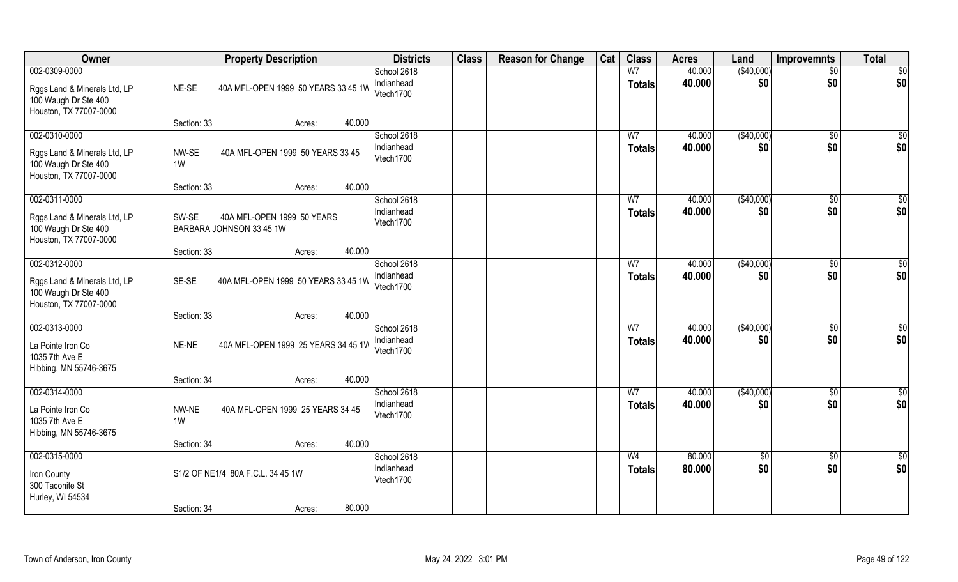| Owner                                                                                           |             | <b>Property Description</b>                            |        |        | <b>Districts</b>                       | <b>Class</b> | <b>Reason for Change</b> | Cat | <b>Class</b>                    | <b>Acres</b>     | Land                   | <b>Improvemnts</b>     | <b>Total</b>            |
|-------------------------------------------------------------------------------------------------|-------------|--------------------------------------------------------|--------|--------|----------------------------------------|--------------|--------------------------|-----|---------------------------------|------------------|------------------------|------------------------|-------------------------|
| 002-0309-0000<br>Rggs Land & Minerals Ltd, LP<br>100 Waugh Dr Ste 400<br>Houston, TX 77007-0000 | NE-SE       | 40A MFL-OPEN 1999 50 YEARS 33 45 1W                    |        |        | School 2618<br>Indianhead<br>Vtech1700 |              |                          |     | W <sub>7</sub><br><b>Totals</b> | 40.000<br>40.000 | (\$40,000)<br>\$0      | $\overline{50}$<br>\$0 | \$0<br>\$0              |
|                                                                                                 | Section: 33 |                                                        | Acres: | 40.000 |                                        |              |                          |     |                                 |                  |                        |                        |                         |
| 002-0310-0000<br>Rggs Land & Minerals Ltd, LP<br>100 Waugh Dr Ste 400<br>Houston, TX 77007-0000 | NW-SE<br>1W | 40A MFL-OPEN 1999 50 YEARS 33 45                       |        |        | School 2618<br>Indianhead<br>Vtech1700 |              |                          |     | W <sub>7</sub><br><b>Totals</b> | 40.000<br>40.000 | (\$40,000)<br>\$0      | \$0<br>\$0             | $\overline{\$0}$<br>\$0 |
|                                                                                                 | Section: 33 |                                                        | Acres: | 40.000 |                                        |              |                          |     |                                 | 40.000           |                        |                        |                         |
| 002-0311-0000<br>Rggs Land & Minerals Ltd, LP<br>100 Waugh Dr Ste 400<br>Houston, TX 77007-0000 | SW-SE       | 40A MFL-OPEN 1999 50 YEARS<br>BARBARA JOHNSON 33 45 1W |        |        | School 2618<br>Indianhead<br>Vtech1700 |              |                          |     | W <sub>7</sub><br><b>Totals</b> | 40.000           | ( \$40,000)<br>\$0     | \$0<br>\$0             | \$0<br>\$0              |
|                                                                                                 | Section: 33 |                                                        | Acres: | 40.000 |                                        |              |                          |     |                                 |                  |                        |                        |                         |
| 002-0312-0000<br>Rggs Land & Minerals Ltd, LP<br>100 Waugh Dr Ste 400<br>Houston, TX 77007-0000 | SE-SE       | 40A MFL-OPEN 1999 50 YEARS 33 45 1W                    |        |        | School 2618<br>Indianhead<br>Vtech1700 |              |                          |     | W <sub>7</sub><br><b>Totals</b> | 40.000<br>40.000 | (\$40,000)<br>\$0      | \$0<br>\$0             | \$0<br>\$0              |
|                                                                                                 | Section: 33 |                                                        | Acres: | 40.000 |                                        |              |                          |     |                                 |                  |                        |                        |                         |
| 002-0313-0000<br>La Pointe Iron Co<br>1035 7th Ave E<br>Hibbing, MN 55746-3675                  | NE-NE       | 40A MFL-OPEN 1999 25 YEARS 34 45 1W                    |        |        | School 2618<br>Indianhead<br>Vtech1700 |              |                          |     | W <sub>7</sub><br><b>Totals</b> | 40.000<br>40.000 | (\$40,000)<br>\$0      | \$0<br>\$0             | \$0<br>\$0              |
| 002-0314-0000                                                                                   | Section: 34 |                                                        | Acres: | 40.000 | School 2618                            |              |                          |     | W <sub>7</sub>                  | 40.000           | (\$40,000)             |                        |                         |
| La Pointe Iron Co<br>1035 7th Ave E<br>Hibbing, MN 55746-3675                                   | NW-NE<br>1W | 40A MFL-OPEN 1999 25 YEARS 34 45                       |        |        | Indianhead<br>Vtech1700                |              |                          |     | <b>Totals</b>                   | 40.000           | \$0                    | \$0<br>\$0             | \$0<br>\$0              |
|                                                                                                 | Section: 34 |                                                        | Acres: | 40.000 |                                        |              |                          |     |                                 |                  |                        |                        |                         |
| 002-0315-0000<br>Iron County<br>300 Taconite St<br>Hurley, WI 54534                             | Section: 34 | S1/2 OF NE1/4 80A F.C.L. 34 45 1W                      | Acres: | 80.000 | School 2618<br>Indianhead<br>Vtech1700 |              |                          |     | W <sub>4</sub><br><b>Totals</b> | 80.000<br>80.000 | $\overline{50}$<br>\$0 | $\sqrt{6}$<br>\$0      | $\overline{50}$<br>\$0  |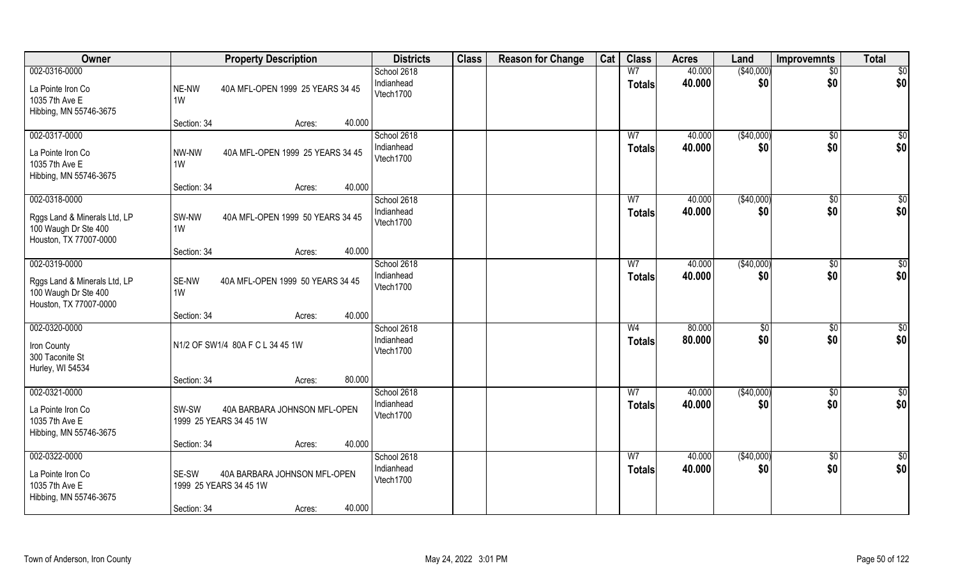| Owner                                                                                           | <b>Property Description</b>                                                                        | <b>Districts</b>                       | <b>Class</b> | <b>Reason for Change</b> | Cat | <b>Class</b>                    | <b>Acres</b>     | Land                 | <b>Improvemnts</b>     | <b>Total</b>            |
|-------------------------------------------------------------------------------------------------|----------------------------------------------------------------------------------------------------|----------------------------------------|--------------|--------------------------|-----|---------------------------------|------------------|----------------------|------------------------|-------------------------|
| 002-0316-0000<br>La Pointe Iron Co<br>1035 7th Ave E<br>Hibbing, MN 55746-3675                  | NE-NW<br>40A MFL-OPEN 1999 25 YEARS 34 45<br>1W                                                    | School 2618<br>Indianhead<br>Vtech1700 |              |                          |     | W <sub>7</sub><br><b>Totals</b> | 40.000<br>40.000 | (\$40,000)<br>\$0    | $\overline{50}$<br>\$0 | \$0<br>\$0              |
|                                                                                                 | 40.000<br>Section: 34<br>Acres:                                                                    |                                        |              |                          |     |                                 |                  |                      |                        |                         |
| 002-0317-0000<br>La Pointe Iron Co<br>1035 7th Ave E<br>Hibbing, MN 55746-3675                  | 40A MFL-OPEN 1999 25 YEARS 34 45<br>NW-NW<br>1W<br>40.000<br>Section: 34<br>Acres:                 | School 2618<br>Indianhead<br>Vtech1700 |              |                          |     | W <sub>7</sub><br><b>Totals</b> | 40.000<br>40.000 | (\$40,000)<br>\$0    | \$0<br>\$0             | $\overline{\$0}$<br>\$0 |
| 002-0318-0000                                                                                   |                                                                                                    | School 2618                            |              |                          |     | W7                              | 40.000           | ( \$40,000)          | $\sqrt[6]{3}$          | \$0                     |
| Rggs Land & Minerals Ltd, LP<br>100 Waugh Dr Ste 400<br>Houston, TX 77007-0000                  | SW-NW<br>40A MFL-OPEN 1999 50 YEARS 34 45<br>1W                                                    | Indianhead<br>Vtech1700                |              |                          |     | <b>Totals</b>                   | 40.000           | \$0                  | \$0                    | \$0                     |
|                                                                                                 | 40.000<br>Section: 34<br>Acres:                                                                    |                                        |              |                          |     |                                 |                  |                      |                        |                         |
| 002-0319-0000<br>Rggs Land & Minerals Ltd, LP<br>100 Waugh Dr Ste 400<br>Houston, TX 77007-0000 | SE-NW<br>40A MFL-OPEN 1999 50 YEARS 34 45<br>1W                                                    | School 2618<br>Indianhead<br>Vtech1700 |              |                          |     | W <sub>7</sub><br><b>Totals</b> | 40.000<br>40.000 | (\$40,000)<br>\$0    | \$0<br>\$0             | \$0<br>\$0              |
|                                                                                                 | 40.000<br>Section: 34<br>Acres:                                                                    |                                        |              |                          |     |                                 |                  |                      |                        |                         |
| 002-0320-0000<br>Iron County<br>300 Taconite St<br>Hurley, WI 54534                             | N1/2 OF SW1/4 80A F C L 34 45 1W                                                                   | School 2618<br>Indianhead<br>Vtech1700 |              |                          |     | W <sub>4</sub><br><b>Totals</b> | 80.000<br>80.000 | $\sqrt[6]{3}$<br>\$0 | $\sqrt[6]{30}$<br>\$0  | $\overline{50}$<br>\$0  |
|                                                                                                 | 80.000<br>Section: 34<br>Acres:                                                                    |                                        |              |                          |     |                                 |                  |                      |                        |                         |
| 002-0321-0000<br>La Pointe Iron Co<br>1035 7th Ave E<br>Hibbing, MN 55746-3675                  | SW-SW<br>40A BARBARA JOHNSON MFL-OPEN<br>1999 25 YEARS 34 45 1W                                    | School 2618<br>Indianhead<br>Vtech1700 |              |                          |     | W7<br><b>Totals</b>             | 40.000<br>40.000 | (\$40,000)<br>\$0    | \$0<br>\$0             | \$0<br>\$0              |
|                                                                                                 | 40.000<br>Section: 34<br>Acres:                                                                    |                                        |              |                          |     |                                 |                  |                      |                        |                         |
| 002-0322-0000<br>La Pointe Iron Co<br>1035 7th Ave E<br>Hibbing, MN 55746-3675                  | SE-SW<br>40A BARBARA JOHNSON MFL-OPEN<br>1999 25 YEARS 34 45 1W<br>40.000<br>Section: 34<br>Acres: | School 2618<br>Indianhead<br>Vtech1700 |              |                          |     | W <sub>7</sub><br><b>Totals</b> | 40.000<br>40.000 | (\$40,000)<br>\$0    | $\sqrt{$0}$<br>\$0     | \$0<br>\$0              |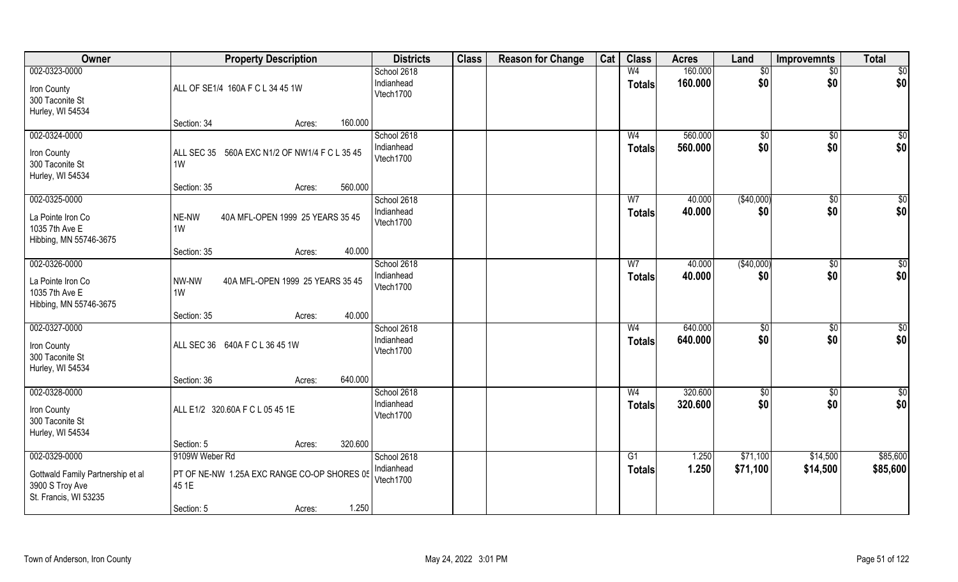| Owner                                                                                          | <b>Property Description</b>                                                                             | <b>Districts</b>                       | <b>Class</b> | <b>Reason for Change</b> | Cat | <b>Class</b>                    | <b>Acres</b>       | Land                 | <b>Improvemnts</b>     | <b>Total</b>            |
|------------------------------------------------------------------------------------------------|---------------------------------------------------------------------------------------------------------|----------------------------------------|--------------|--------------------------|-----|---------------------------------|--------------------|----------------------|------------------------|-------------------------|
| 002-0323-0000<br>Iron County<br>300 Taconite St<br>Hurley, WI 54534                            | ALL OF SE1/4 160A F C L 34 45 1W                                                                        | School 2618<br>Indianhead<br>Vtech1700 |              |                          |     | W <sub>4</sub><br><b>Totals</b> | 160.000<br>160.000 | \$0<br>\$0           | $\sqrt{$0}$<br>\$0     | $\overline{50}$<br> \$0 |
|                                                                                                | 160.000<br>Section: 34<br>Acres:                                                                        |                                        |              |                          |     |                                 |                    |                      |                        |                         |
| 002-0324-0000<br>Iron County<br>300 Taconite St<br>Hurley, WI 54534                            | ALL SEC 35 560A EXC N1/2 OF NW1/4 F C L 35 45<br>1W                                                     | School 2618<br>Indianhead<br>Vtech1700 |              |                          |     | W <sub>4</sub><br><b>Totals</b> | 560.000<br>560.000 | $\sqrt{50}$<br>\$0   | $\overline{60}$<br>\$0 | \$0<br>\$0              |
| 002-0325-0000                                                                                  | 560.000<br>Section: 35<br>Acres:                                                                        | School 2618                            |              |                          |     | W <sub>7</sub>                  | 40.000             | (\$40,000)           |                        |                         |
| La Pointe Iron Co<br>1035 7th Ave E<br>Hibbing, MN 55746-3675                                  | NE-NW<br>40A MFL-OPEN 1999 25 YEARS 35 45<br>1W                                                         | Indianhead<br>Vtech1700                |              |                          |     | <b>Totals</b>                   | 40.000             | \$0                  | \$0<br>\$0             | $\sqrt{50}$<br>\$0      |
|                                                                                                | 40.000<br>Section: 35<br>Acres:                                                                         |                                        |              |                          |     |                                 |                    |                      |                        |                         |
| 002-0326-0000<br>La Pointe Iron Co<br>1035 7th Ave E<br>Hibbing, MN 55746-3675                 | NW-NW<br>40A MFL-OPEN 1999 25 YEARS 35 45<br>1W                                                         | School 2618<br>Indianhead<br>Vtech1700 |              |                          |     | W <sub>7</sub><br><b>Totals</b> | 40.000<br>40.000   | (\$40,000)<br>\$0    | $\overline{30}$<br>\$0 | $\sqrt{50}$<br> \$0     |
|                                                                                                | 40.000<br>Section: 35<br>Acres:                                                                         |                                        |              |                          |     |                                 |                    |                      |                        |                         |
| 002-0327-0000<br>Iron County<br>300 Taconite St<br>Hurley, WI 54534                            | ALL SEC 36 640A F C L 36 45 1W<br>640.000<br>Section: 36<br>Acres:                                      | School 2618<br>Indianhead<br>Vtech1700 |              |                          |     | W <sub>4</sub><br><b>Totals</b> | 640.000<br>640.000 | $\sqrt{50}$<br>\$0   | $\overline{50}$<br>\$0 | $\overline{50}$<br>\$0  |
| 002-0328-0000                                                                                  |                                                                                                         | School 2618                            |              |                          |     | W <sub>4</sub>                  | 320.600            | \$0                  | $\overline{60}$        | \$0                     |
| Iron County<br>300 Taconite St<br>Hurley, WI 54534                                             | ALL E1/2 320.60A F C L 05 45 1E                                                                         | Indianhead<br>Vtech1700                |              |                          |     | <b>Totals</b>                   | 320.600            | \$0                  | \$0                    | \$0                     |
|                                                                                                | 320.600<br>Section: 5<br>Acres:                                                                         |                                        |              |                          |     |                                 |                    |                      |                        |                         |
| 002-0329-0000<br>Gottwald Family Partnership et al<br>3900 S Troy Ave<br>St. Francis, WI 53235 | 9109W Weber Rd<br>PT OF NE-NW 1.25A EXC RANGE CO-OP SHORES 05<br>45 1E<br>1.250<br>Section: 5<br>Acres: | School 2618<br>Indianhead<br>Vtech1700 |              |                          |     | G1<br><b>Totals</b>             | 1.250<br>1.250     | \$71,100<br>\$71,100 | \$14,500<br>\$14,500   | \$85,600<br>\$85,600    |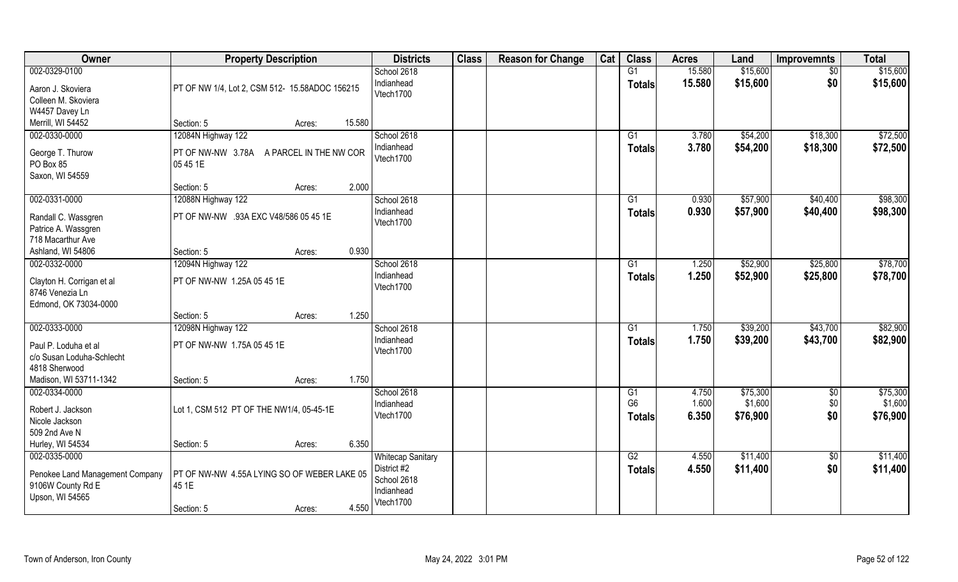| Owner                           | <b>Property Description</b>                    | <b>Districts</b>                        | <b>Class</b> | <b>Reason for Change</b> | Cat | <b>Class</b>    | <b>Acres</b>   | Land     | <b>Improvemnts</b> | <b>Total</b> |
|---------------------------------|------------------------------------------------|-----------------------------------------|--------------|--------------------------|-----|-----------------|----------------|----------|--------------------|--------------|
| 002-0329-0100                   |                                                | School 2618                             |              |                          |     | G1              | 15.580         | \$15,600 | $\sqrt{$0}$        | \$15,600     |
| Aaron J. Skoviera               | PT OF NW 1/4, Lot 2, CSM 512- 15.58ADOC 156215 | Indianhead<br>Vtech1700                 |              |                          |     | <b>Totals</b>   | 15.580         | \$15,600 | \$0                | \$15,600     |
| Colleen M. Skoviera             |                                                |                                         |              |                          |     |                 |                |          |                    |              |
| W4457 Davey Ln                  |                                                |                                         |              |                          |     |                 |                |          |                    |              |
| Merrill, WI 54452               | 15.580<br>Section: 5<br>Acres:                 |                                         |              |                          |     |                 |                |          |                    |              |
| 002-0330-0000                   | 12084N Highway 122                             | School 2618                             |              |                          |     | $\overline{G1}$ | 3.780          | \$54,200 | \$18,300           | \$72,500     |
| George T. Thurow                | PT OF NW-NW 3.78A A PARCEL IN THE NW COR       | Indianhead<br>Vtech1700                 |              |                          |     | <b>Totals</b>   | 3.780          | \$54,200 | \$18,300           | \$72,500     |
| PO Box 85                       | 05 45 1E                                       |                                         |              |                          |     |                 |                |          |                    |              |
| Saxon, WI 54559                 |                                                |                                         |              |                          |     |                 |                |          |                    |              |
|                                 | 2.000<br>Section: 5<br>Acres:                  |                                         |              |                          |     |                 |                |          |                    |              |
| 002-0331-0000                   | 12088N Highway 122                             | School 2618                             |              |                          |     | G1              | 0.930          | \$57,900 | \$40,400           | \$98,300     |
| Randall C. Wassgren             | PT OF NW-NW .93A EXC V48/586 05 45 1E          | Indianhead                              |              |                          |     | <b>Totals</b>   | 0.930          | \$57,900 | \$40,400           | \$98,300     |
| Patrice A. Wassgren             |                                                | Vtech1700                               |              |                          |     |                 |                |          |                    |              |
| 718 Macarthur Ave               |                                                |                                         |              |                          |     |                 |                |          |                    |              |
| Ashland, WI 54806               | 0.930<br>Section: 5<br>Acres:                  |                                         |              |                          |     |                 |                |          |                    |              |
| 002-0332-0000                   | 12094N Highway 122                             | School 2618                             |              |                          |     | G1              | 1.250          | \$52,900 | \$25,800           | \$78,700     |
|                                 |                                                | Indianhead                              |              |                          |     | <b>Totals</b>   | 1.250          | \$52,900 | \$25,800           | \$78,700     |
| Clayton H. Corrigan et al       | PT OF NW-NW 1.25A 05 45 1E                     | Vtech1700                               |              |                          |     |                 |                |          |                    |              |
| 8746 Venezia Ln                 |                                                |                                         |              |                          |     |                 |                |          |                    |              |
| Edmond, OK 73034-0000           |                                                |                                         |              |                          |     |                 |                |          |                    |              |
|                                 | 1.250<br>Section: 5<br>Acres:                  |                                         |              |                          |     |                 |                |          |                    |              |
| 002-0333-0000                   | 12098N Highway 122                             | School 2618                             |              |                          |     | $\overline{G1}$ | 1.750          | \$39,200 | \$43,700           | \$82,900     |
| Paul P. Loduha et al            | PT OF NW-NW 1.75A 05 45 1E                     | Indianhead                              |              |                          |     | <b>Totals</b>   | 1.750          | \$39,200 | \$43,700           | \$82,900     |
| c/o Susan Loduha-Schlecht       |                                                | Vtech1700                               |              |                          |     |                 |                |          |                    |              |
| 4818 Sherwood                   |                                                |                                         |              |                          |     |                 |                |          |                    |              |
| Madison, WI 53711-1342          | Section: 5<br>1.750<br>Acres:                  |                                         |              |                          |     |                 |                |          |                    |              |
| 002-0334-0000                   |                                                | School 2618                             |              |                          |     | G1              | 4.750          | \$75,300 | \$0                | \$75,300     |
|                                 |                                                | Indianhead                              |              |                          |     | G <sub>6</sub>  | 1.600          | \$1,600  | \$0                | \$1,600      |
| Robert J. Jackson               | Lot 1, CSM 512 PT OF THE NW1/4, 05-45-1E       | Vtech1700                               |              |                          |     | <b>Totals</b>   | 6.350          | \$76,900 | \$0                | \$76,900     |
| Nicole Jackson<br>509 2nd Ave N |                                                |                                         |              |                          |     |                 |                |          |                    |              |
| Hurley, WI 54534                | 6.350                                          |                                         |              |                          |     |                 |                |          |                    |              |
|                                 | Section: 5<br>Acres:                           |                                         |              |                          |     | G2              |                |          |                    |              |
| 002-0335-0000                   |                                                | <b>Whitecap Sanitary</b><br>District #2 |              |                          |     |                 | 4.550<br>4.550 | \$11,400 | $\sqrt{6}$         | \$11,400     |
| Penokee Land Management Company | PT OF NW-NW 4.55A LYING SO OF WEBER LAKE 05    | School 2618                             |              |                          |     | <b>Totals</b>   |                | \$11,400 | \$0                | \$11,400     |
| 9106W County Rd E               | 45 1E                                          | Indianhead                              |              |                          |     |                 |                |          |                    |              |
| Upson, WI 54565                 |                                                | Vtech1700                               |              |                          |     |                 |                |          |                    |              |
|                                 | 4.550<br>Section: 5<br>Acres:                  |                                         |              |                          |     |                 |                |          |                    |              |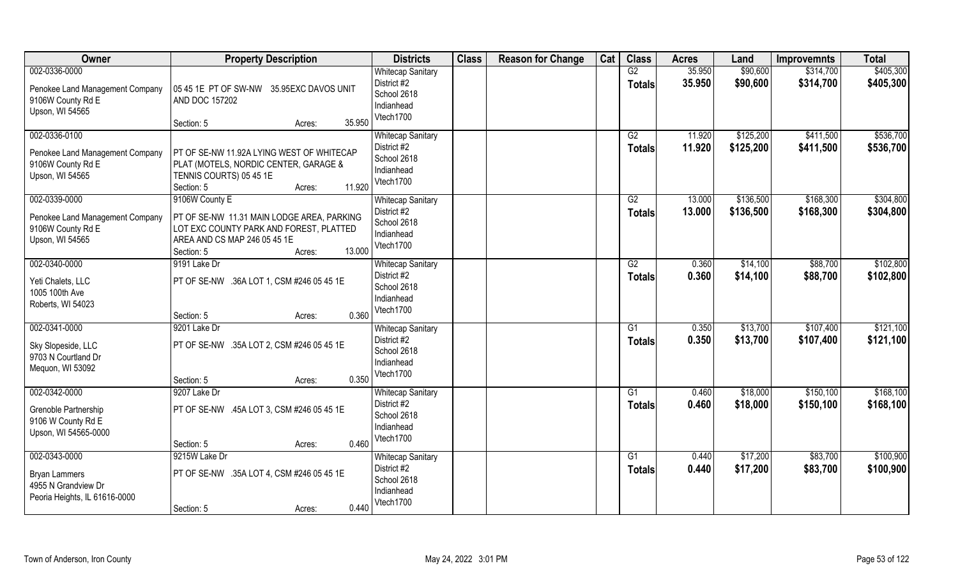| Owner                                                                                         | <b>Property Description</b>                                                                                                                                               | <b>Districts</b>                                                                  | <b>Class</b> | <b>Reason for Change</b> | Cat | <b>Class</b>        | <b>Acres</b>     | Land                   | <b>Improvemnts</b>     | <b>Total</b>           |
|-----------------------------------------------------------------------------------------------|---------------------------------------------------------------------------------------------------------------------------------------------------------------------------|-----------------------------------------------------------------------------------|--------------|--------------------------|-----|---------------------|------------------|------------------------|------------------------|------------------------|
| 002-0336-0000<br>Penokee Land Management Company<br>9106W County Rd E<br>Upson, WI 54565      | 05 45 1E PT OF SW-NW 35.95EXC DAVOS UNIT<br>AND DOC 157202<br>35.950<br>Section: 5<br>Acres:                                                                              | <b>Whitecap Sanitary</b><br>District #2<br>School 2618<br>Indianhead<br>Vtech1700 |              |                          |     | G2<br><b>Totals</b> | 35.950<br>35.950 | \$90,600<br>\$90,600   | \$314,700<br>\$314,700 | \$405,300<br>\$405,300 |
| 002-0336-0100<br>Penokee Land Management Company<br>9106W County Rd E<br>Upson, WI 54565      | PT OF SE-NW 11.92A LYING WEST OF WHITECAP<br>PLAT (MOTELS, NORDIC CENTER, GARAGE &<br>TENNIS COURTS) 05 45 1E<br>11.920<br>Section: 5<br>Acres:                           | <b>Whitecap Sanitary</b><br>District #2<br>School 2618<br>Indianhead<br>Vtech1700 |              |                          |     | G2<br><b>Totals</b> | 11.920<br>11.920 | \$125,200<br>\$125,200 | \$411,500<br>\$411,500 | \$536,700<br>\$536,700 |
| 002-0339-0000<br>Penokee Land Management Company<br>9106W County Rd E<br>Upson, WI 54565      | 9106W County E<br>PT OF SE-NW 11.31 MAIN LODGE AREA, PARKING<br>LOT EXC COUNTY PARK AND FOREST, PLATTED<br>AREA AND CS MAP 246 05 45 1E<br>13.000<br>Section: 5<br>Acres: | <b>Whitecap Sanitary</b><br>District #2<br>School 2618<br>Indianhead<br>Vtech1700 |              |                          |     | G2<br><b>Totals</b> | 13.000<br>13.000 | \$136,500<br>\$136,500 | \$168,300<br>\$168,300 | \$304,800<br>\$304,800 |
| 002-0340-0000<br>Yeti Chalets, LLC<br>1005 100th Ave<br>Roberts, WI 54023                     | 9191 Lake Dr<br>PT OF SE-NW .36A LOT 1, CSM #246 05 45 1E<br>0.360<br>Section: 5<br>Acres:                                                                                | <b>Whitecap Sanitary</b><br>District #2<br>School 2618<br>Indianhead<br>Vtech1700 |              |                          |     | G2<br><b>Totals</b> | 0.360<br>0.360   | \$14,100<br>\$14,100   | \$88,700<br>\$88,700   | \$102,800<br>\$102,800 |
| 002-0341-0000<br>Sky Slopeside, LLC<br>9703 N Courtland Dr<br>Mequon, WI 53092                | 9201 Lake Dr<br>PT OF SE-NW .35A LOT 2, CSM #246 05 45 1E<br>0.350<br>Section: 5<br>Acres:                                                                                | <b>Whitecap Sanitary</b><br>District #2<br>School 2618<br>Indianhead<br>Vtech1700 |              |                          |     | G1<br><b>Totals</b> | 0.350<br>0.350   | \$13,700<br>\$13,700   | \$107,400<br>\$107,400 | \$121,100<br>\$121,100 |
| 002-0342-0000<br>Grenoble Partnership<br>9106 W County Rd E<br>Upson, WI 54565-0000           | 9207 Lake Dr<br>PT OF SE-NW .45A LOT 3, CSM #246 05 45 1E<br>0.460<br>Section: 5<br>Acres:                                                                                | <b>Whitecap Sanitary</b><br>District #2<br>School 2618<br>Indianhead<br>Vtech1700 |              |                          |     | G1<br><b>Totals</b> | 0.460<br>0.460   | \$18,000<br>\$18,000   | \$150,100<br>\$150,100 | \$168,100<br>\$168,100 |
| 002-0343-0000<br><b>Bryan Lammers</b><br>4955 N Grandview Dr<br>Peoria Heights, IL 61616-0000 | 9215W Lake Dr<br>PT OF SE-NW .35A LOT 4, CSM #246 05 45 1E<br>0.440<br>Section: 5<br>Acres:                                                                               | <b>Whitecap Sanitary</b><br>District #2<br>School 2618<br>Indianhead<br>Vtech1700 |              |                          |     | G1<br><b>Totals</b> | 0.440<br>0.440   | \$17,200<br>\$17,200   | \$83,700<br>\$83,700   | \$100,900<br>\$100,900 |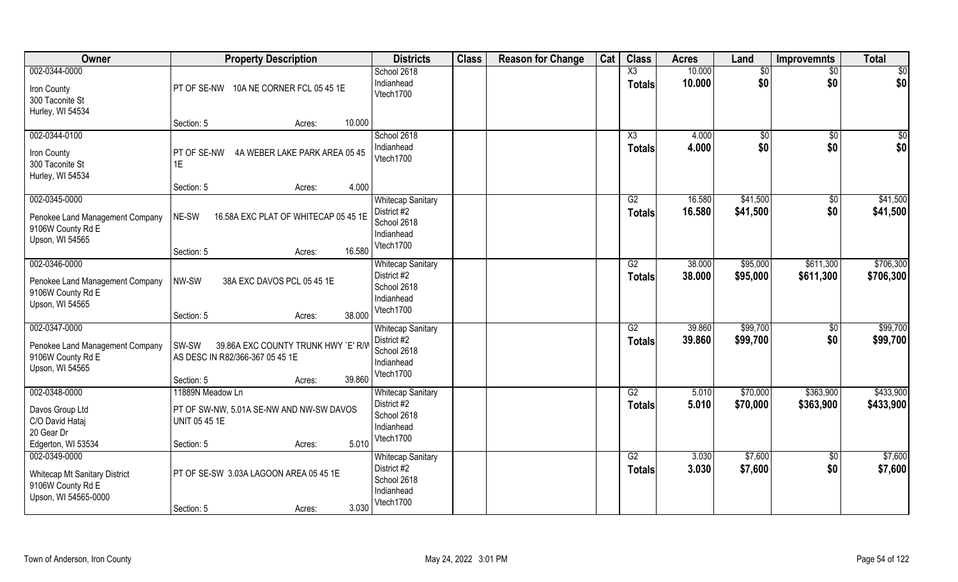| Owner                                                                                    | <b>Property Description</b>                                                                                       | <b>Districts</b>                                                                  | <b>Class</b> | <b>Reason for Change</b> | Cat | <b>Class</b>                     | <b>Acres</b>     | Land                 | <b>Improvemnts</b>     | <b>Total</b>           |
|------------------------------------------------------------------------------------------|-------------------------------------------------------------------------------------------------------------------|-----------------------------------------------------------------------------------|--------------|--------------------------|-----|----------------------------------|------------------|----------------------|------------------------|------------------------|
| 002-0344-0000<br>Iron County<br>300 Taconite St<br>Hurley, WI 54534                      | PT OF SE-NW 10A NE CORNER FCL 05 45 1E                                                                            | School 2618<br>Indianhead<br>Vtech1700                                            |              |                          |     | X3<br><b>Totals</b>              | 10.000<br>10.000 | \$0<br>\$0           | $\sqrt{6}$<br>\$0      | \$0<br>\$0             |
|                                                                                          | 10.000<br>Section: 5<br>Acres:                                                                                    |                                                                                   |              |                          |     |                                  |                  |                      |                        |                        |
| 002-0344-0100<br>Iron County<br>300 Taconite St<br>Hurley, WI 54534                      | PT OF SE-NW<br>4A WEBER LAKE PARK AREA 05 45<br>1E                                                                | School 2618<br>Indianhead<br>Vtech1700                                            |              |                          |     | $\overline{\text{X3}}$<br>Totals | 4.000<br>4.000   | $\sqrt{$0}$<br>\$0   | $\overline{50}$<br>\$0 | \$0<br>\$0             |
| 002-0345-0000                                                                            | 4.000<br>Section: 5<br>Acres:                                                                                     | <b>Whitecap Sanitary</b>                                                          |              |                          |     | G2                               | 16.580           | \$41,500             | $\sqrt[6]{}$           | \$41,500               |
| Penokee Land Management Company<br>9106W County Rd E<br>Upson, WI 54565                  | NE-SW<br>16.58A EXC PLAT OF WHITECAP 05 45 1E                                                                     | District #2<br>School 2618<br>Indianhead                                          |              |                          |     | <b>Totals</b>                    | 16.580           | \$41,500             | \$0                    | \$41,500               |
|                                                                                          | 16.580<br>Section: 5<br>Acres:                                                                                    | Vtech1700                                                                         |              |                          |     |                                  |                  |                      |                        |                        |
| 002-0346-0000<br>Penokee Land Management Company<br>9106W County Rd E<br>Upson, WI 54565 | NW-SW<br>38A EXC DAVOS PCL 05 45 1E<br>38,000<br>Section: 5<br>Acres:                                             | <b>Whitecap Sanitary</b><br>District #2<br>School 2618<br>Indianhead<br>Vtech1700 |              |                          |     | G2<br><b>Totals</b>              | 38.000<br>38.000 | \$95,000<br>\$95,000 | \$611,300<br>\$611,300 | \$706,300<br>\$706,300 |
| 002-0347-0000<br>Penokee Land Management Company<br>9106W County Rd E<br>Upson, WI 54565 | 39.86A EXC COUNTY TRUNK HWY `E' R/W<br>SW-SW<br>AS DESC IN R82/366-367 05 45 1E<br>39.860<br>Section: 5<br>Acres: | <b>Whitecap Sanitary</b><br>District #2<br>School 2618<br>Indianhead<br>Vtech1700 |              |                          |     | $\overline{G2}$<br><b>Totals</b> | 39.860<br>39.860 | \$99,700<br>\$99,700 | $\overline{50}$<br>\$0 | \$99,700<br>\$99,700   |
| 002-0348-0000<br>Davos Group Ltd<br>C/O David Hataj<br>20 Gear Dr                        | 11889N Meadow Ln<br>PT OF SW-NW, 5.01A SE-NW AND NW-SW DAVOS<br>UNIT 05 45 1E                                     | <b>Whitecap Sanitary</b><br>District #2<br>School 2618<br>Indianhead<br>Vtech1700 |              |                          |     | G2<br><b>Totals</b>              | 5.010<br>5.010   | \$70,000<br>\$70,000 | \$363,900<br>\$363,900 | \$433,900<br>\$433,900 |
| Edgerton, WI 53534<br>002-0349-0000                                                      | 5.010<br>Section: 5<br>Acres:                                                                                     | <b>Whitecap Sanitary</b>                                                          |              |                          |     | G2                               | 3.030            | \$7,600              | $\sqrt{6}$             | \$7,600                |
| <b>Whitecap Mt Sanitary District</b><br>9106W County Rd E<br>Upson, WI 54565-0000        | PT OF SE-SW 3.03A LAGOON AREA 05 45 1E<br>3.030<br>Section: 5<br>Acres:                                           | District #2<br>School 2618<br>Indianhead<br>Vtech1700                             |              |                          |     | Totals                           | 3.030            | \$7,600              | \$0                    | \$7,600                |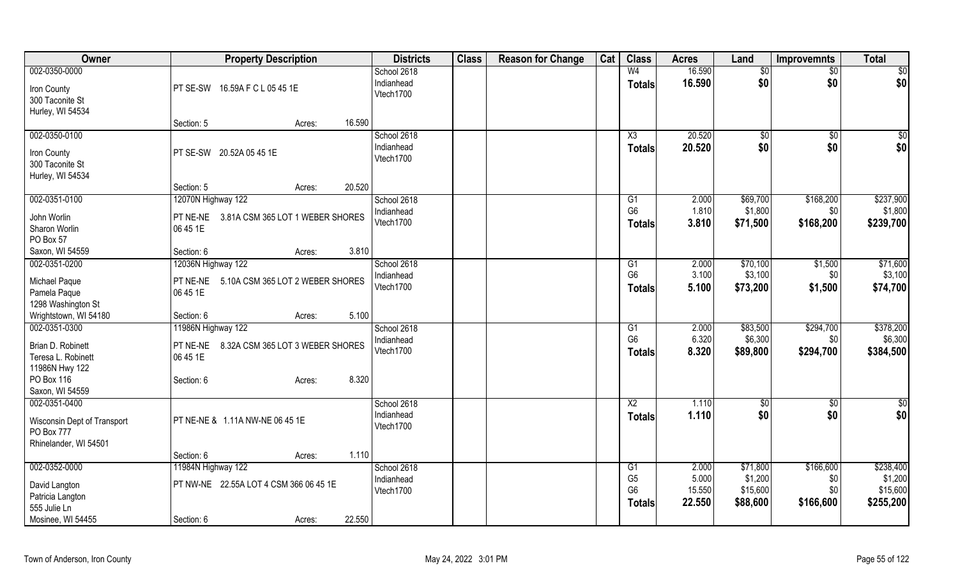| Owner                       | <b>Property Description</b>               | <b>Districts</b>        | <b>Class</b> | <b>Reason for Change</b> | Cat | <b>Class</b>                     | <b>Acres</b>    | Land                | Improvemnts     | <b>Total</b>        |
|-----------------------------|-------------------------------------------|-------------------------|--------------|--------------------------|-----|----------------------------------|-----------------|---------------------|-----------------|---------------------|
| 002-0350-0000               |                                           | School 2618             |              |                          |     | W <sub>4</sub>                   | 16.590          | $\overline{50}$     | $\overline{50}$ | \$0                 |
| Iron County                 | PT SE-SW 16.59A F C L 05 45 1E            | Indianhead              |              |                          |     | <b>Totals</b>                    | 16.590          | \$0                 | \$0             | \$0                 |
| 300 Taconite St             |                                           | Vtech1700               |              |                          |     |                                  |                 |                     |                 |                     |
| Hurley, WI 54534            |                                           |                         |              |                          |     |                                  |                 |                     |                 |                     |
|                             | 16.590<br>Section: 5<br>Acres:            |                         |              |                          |     |                                  |                 |                     |                 |                     |
| 002-0350-0100               |                                           | School 2618             |              |                          |     | X3                               | 20.520          | $\sqrt[6]{}$        | $\sqrt{$0}$     | $\frac{6}{3}$       |
| Iron County                 | PT SE-SW 20.52A 05 45 1E                  | Indianhead              |              |                          |     | <b>Totals</b>                    | 20.520          | \$0                 | \$0             | \$0                 |
| 300 Taconite St             |                                           | Vtech1700               |              |                          |     |                                  |                 |                     |                 |                     |
| Hurley, WI 54534            |                                           |                         |              |                          |     |                                  |                 |                     |                 |                     |
|                             | 20.520<br>Section: 5<br>Acres:            |                         |              |                          |     |                                  |                 |                     |                 |                     |
| 002-0351-0100               | 12070N Highway 122                        | School 2618             |              |                          |     | G <sub>1</sub>                   | 2.000           | \$69,700            | \$168,200       | \$237,900           |
| John Worlin                 | PT NE-NE 3.81A CSM 365 LOT 1 WEBER SHORES | Indianhead              |              |                          |     | G <sub>6</sub>                   | 1.810           | \$1,800             | \$0             | \$1,800             |
| Sharon Worlin               | 06 45 1E                                  | Vtech1700               |              |                          |     | <b>Totals</b>                    | 3.810           | \$71,500            | \$168,200       | \$239,700           |
| PO Box 57                   |                                           |                         |              |                          |     |                                  |                 |                     |                 |                     |
| Saxon, WI 54559             | 3.810<br>Section: 6<br>Acres:             |                         |              |                          |     |                                  |                 |                     |                 |                     |
| 002-0351-0200               | 12036N Highway 122                        | School 2618             |              |                          |     | G1                               | 2.000           | \$70,100            | \$1,500         | \$71,600            |
| Michael Paque               | PT NE-NE 5.10A CSM 365 LOT 2 WEBER SHORES | Indianhead              |              |                          |     | G <sub>6</sub>                   | 3.100           | \$3,100             | \$0             | \$3,100             |
| Pamela Paque                | 06 45 1E                                  | Vtech1700               |              |                          |     | <b>Totals</b>                    | 5.100           | \$73,200            | \$1,500         | \$74,700            |
| 1298 Washington St          |                                           |                         |              |                          |     |                                  |                 |                     |                 |                     |
| Wrightstown, WI 54180       | Section: 6<br>5.100<br>Acres:             |                         |              |                          |     |                                  |                 |                     |                 |                     |
| 002-0351-0300               | 11986N Highway 122                        | School 2618             |              |                          |     | G1                               | 2.000           | \$83,500            | \$294,700       | \$378,200           |
| Brian D. Robinett           | PT NE-NE 8.32A CSM 365 LOT 3 WEBER SHORES | Indianhead              |              |                          |     | G <sub>6</sub>                   | 6.320           | \$6,300             | \$0             | \$6,300             |
| Teresa L. Robinett          | 06 45 1E                                  | Vtech1700               |              |                          |     | <b>Totals</b>                    | 8.320           | \$89,800            | \$294,700       | \$384,500           |
| 11986N Hwy 122              |                                           |                         |              |                          |     |                                  |                 |                     |                 |                     |
| PO Box 116                  | 8.320<br>Section: 6<br>Acres:             |                         |              |                          |     |                                  |                 |                     |                 |                     |
| Saxon, WI 54559             |                                           |                         |              |                          |     |                                  |                 |                     |                 |                     |
| 002-0351-0400               |                                           | School 2618             |              |                          |     | X2                               | 1.110           | \$0                 | \$0             | \$0                 |
| Wisconsin Dept of Transport | PT NE-NE & 1.11A NW-NE 06 45 1E           | Indianhead<br>Vtech1700 |              |                          |     | <b>Totals</b>                    | 1.110           | \$0                 | \$0             | \$0                 |
| PO Box 777                  |                                           |                         |              |                          |     |                                  |                 |                     |                 |                     |
| Rhinelander, WI 54501       |                                           |                         |              |                          |     |                                  |                 |                     |                 |                     |
|                             | 1.110<br>Section: 6<br>Acres:             |                         |              |                          |     |                                  |                 |                     |                 |                     |
| 002-0352-0000               | 11984N Highway 122                        | School 2618             |              |                          |     | G1                               | 2.000           | \$71,800            | \$166,600       | \$238,400           |
| David Langton               | PT NW-NE 22.55A LOT 4 CSM 366 06 45 1E    | Indianhead<br>Vtech1700 |              |                          |     | G <sub>5</sub><br>G <sub>6</sub> | 5.000<br>15.550 | \$1,200<br>\$15,600 | \$0<br>\$0      | \$1,200<br>\$15,600 |
| Patricia Langton            |                                           |                         |              |                          |     | <b>Totals</b>                    | 22.550          | \$88,600            | \$166,600       | \$255,200           |
| 555 Julie Ln                |                                           |                         |              |                          |     |                                  |                 |                     |                 |                     |
| Mosinee, WI 54455           | 22.550<br>Section: 6<br>Acres:            |                         |              |                          |     |                                  |                 |                     |                 |                     |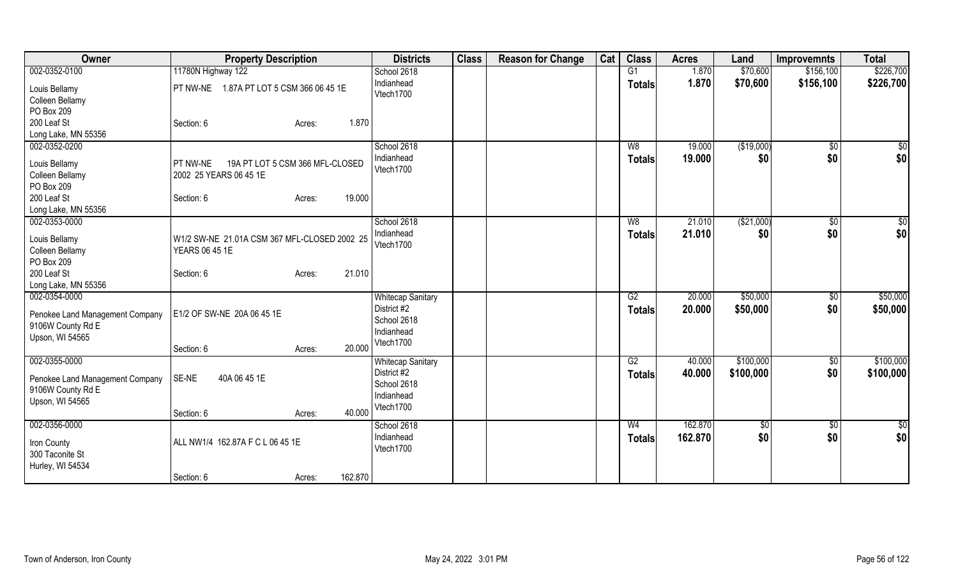| Owner                                                                                    | <b>Property Description</b>                                           | <b>Districts</b>                                                                  | <b>Class</b> | <b>Reason for Change</b> | Cat | <b>Class</b>                    | <b>Acres</b>       | Land                   | <b>Improvemnts</b>    | <b>Total</b>           |
|------------------------------------------------------------------------------------------|-----------------------------------------------------------------------|-----------------------------------------------------------------------------------|--------------|--------------------------|-----|---------------------------------|--------------------|------------------------|-----------------------|------------------------|
| 002-0352-0100                                                                            | 11780N Highway 122                                                    | School 2618                                                                       |              |                          |     | G1                              | 1.870              | \$70,600               | \$156,100             | \$226,700              |
| Louis Bellamy<br>Colleen Bellamy<br>PO Box 209                                           | 1.87A PT LOT 5 CSM 366 06 45 1E<br>$\overline{\phantom{a}}$ PT NW-NE  | Indianhead<br>Vtech1700                                                           |              |                          |     | <b>Totals</b>                   | 1.870              | \$70,600               | \$156,100             | \$226,700              |
| 200 Leaf St<br>Long Lake, MN 55356                                                       | 1.870<br>Section: 6<br>Acres:                                         |                                                                                   |              |                          |     |                                 |                    |                        |                       |                        |
| 002-0352-0200<br>Louis Bellamy                                                           | 19A PT LOT 5 CSM 366 MFL-CLOSED<br><b>PT NW-NE</b>                    | School 2618<br>Indianhead                                                         |              |                          |     | W8<br><b>Totals</b>             | 19.000<br>19.000   | (\$19,000)<br>\$0      | $\sqrt{$0}$<br>\$0    | \$0<br>\$0             |
| Colleen Bellamy<br>PO Box 209                                                            | 2002 25 YEARS 06 45 1E                                                | Vtech1700                                                                         |              |                          |     |                                 |                    |                        |                       |                        |
| 200 Leaf St<br>Long Lake, MN 55356                                                       | 19.000<br>Section: 6<br>Acres:                                        |                                                                                   |              |                          |     |                                 |                    |                        |                       |                        |
| 002-0353-0000                                                                            |                                                                       | School 2618                                                                       |              |                          |     | W8                              | 21.010             | ( \$21,000)            | $\sqrt{$0}$           | \$0                    |
| Louis Bellamy<br>Colleen Bellamy<br>PO Box 209                                           | W1/2 SW-NE 21.01A CSM 367 MFL-CLOSED 2002 25<br><b>YEARS 06 45 1E</b> | Indianhead<br>Vtech1700                                                           |              |                          |     | <b>Totals</b>                   | 21.010             | \$0                    | \$0                   | \$0                    |
| 200 Leaf St<br>Long Lake, MN 55356                                                       | 21.010<br>Section: 6<br>Acres:                                        |                                                                                   |              |                          |     |                                 |                    |                        |                       |                        |
| 002-0354-0000<br>Penokee Land Management Company<br>9106W County Rd E<br>Upson, WI 54565 | E1/2 OF SW-NE 20A 06 45 1E<br>20.000<br>Section: 6<br>Acres:          | <b>Whitecap Sanitary</b><br>District #2<br>School 2618<br>Indianhead<br>Vtech1700 |              |                          |     | G2<br><b>Totals</b>             | 20.000<br>20.000   | \$50,000<br>\$50,000   | $\sqrt[6]{}$<br>\$0   | \$50,000<br>\$50,000   |
| 002-0355-0000<br>Penokee Land Management Company<br>9106W County Rd E<br>Upson, WI 54565 | SE-NE<br>40A 06 45 1E<br>40.000<br>Section: 6<br>Acres:               | <b>Whitecap Sanitary</b><br>District #2<br>School 2618<br>Indianhead<br>Vtech1700 |              |                          |     | G2<br>Totals                    | 40.000<br>40.000   | \$100,000<br>\$100,000 | $\frac{1}{20}$<br>\$0 | \$100,000<br>\$100,000 |
| 002-0356-0000<br>Iron County<br>300 Taconite St<br>Hurley, WI 54534                      | ALL NW1/4 162.87A F C L 06 45 1E<br>162.870<br>Section: 6<br>Acres:   | School 2618<br>Indianhead<br>Vtech1700                                            |              |                          |     | W <sub>4</sub><br><b>Totals</b> | 162.870<br>162.870 | $\sqrt[6]{3}$<br>\$0   | $\frac{6}{3}$<br>\$0  | $\overline{50}$<br>\$0 |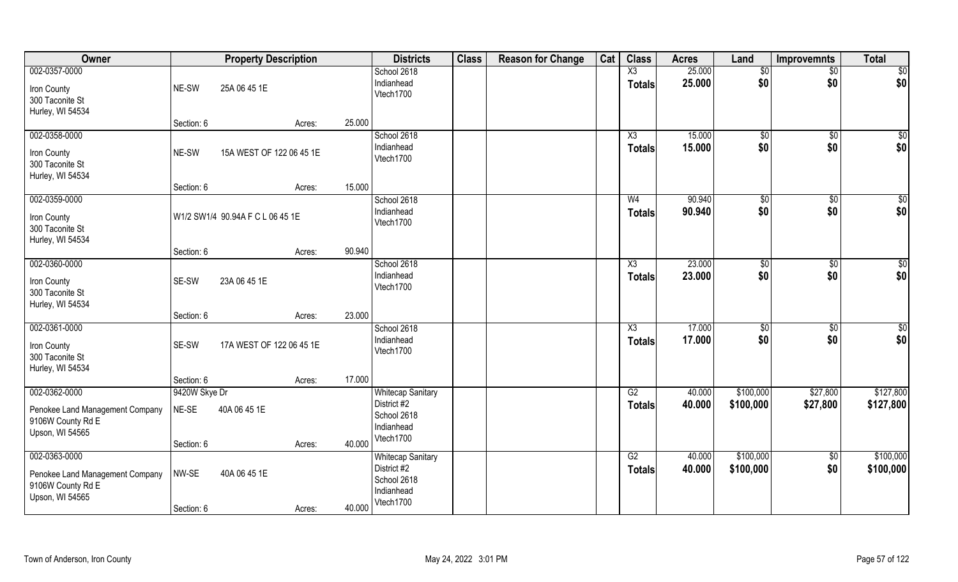| Owner                                                                                    |                        | <b>Property Description</b>      |        | <b>Districts</b>                                                                  | <b>Class</b> | <b>Reason for Change</b> | Cat | <b>Class</b>                    | <b>Acres</b>     | Land                   | <b>Improvemnts</b>     | <b>Total</b>            |
|------------------------------------------------------------------------------------------|------------------------|----------------------------------|--------|-----------------------------------------------------------------------------------|--------------|--------------------------|-----|---------------------------------|------------------|------------------------|------------------------|-------------------------|
| 002-0357-0000<br>Iron County<br>300 Taconite St<br>Hurley, WI 54534                      | NE-SW                  | 25A 06 45 1E                     |        | School 2618<br>Indianhead<br>Vtech1700                                            |              |                          |     | X3<br><b>Totals</b>             | 25.000<br>25.000 | \$0<br>\$0             | \$0<br>\$0             | $\overline{50}$<br> \$0 |
|                                                                                          | Section: 6             | Acres:                           | 25.000 |                                                                                   |              |                          |     |                                 |                  |                        |                        |                         |
| 002-0358-0000<br>Iron County<br>300 Taconite St<br>Hurley, WI 54534                      | NE-SW                  | 15A WEST OF 122 06 45 1E         |        | School 2618<br>Indianhead<br>Vtech1700                                            |              |                          |     | X3<br>Totals                    | 15.000<br>15.000 | $\sqrt{50}$<br>\$0     | $\overline{60}$<br>\$0 | $\sqrt{50}$<br>\$0      |
|                                                                                          | Section: 6             | Acres:                           | 15.000 |                                                                                   |              |                          |     |                                 |                  |                        |                        |                         |
| 002-0359-0000<br>Iron County<br>300 Taconite St<br>Hurley, WI 54534                      |                        | W1/2 SW1/4 90.94A F C L 06 45 1E |        | School 2618<br>Indianhead<br>Vtech1700                                            |              |                          |     | W <sub>4</sub><br><b>Totals</b> | 90.940<br>90.940 | $\sqrt{50}$<br>\$0     | $\overline{50}$<br>\$0 | $\sqrt{50}$<br>\$0      |
|                                                                                          | Section: 6             | Acres:                           | 90.940 |                                                                                   |              |                          |     |                                 |                  |                        |                        |                         |
| 002-0360-0000<br>Iron County<br>300 Taconite St<br>Hurley, WI 54534                      | SE-SW                  | 23A 06 45 1E                     |        | School 2618<br>Indianhead<br>Vtech1700                                            |              |                          |     | X3<br>Totals                    | 23.000<br>23.000 | \$0<br>\$0             | \$0<br>\$0             | \$0<br>\$0              |
|                                                                                          | Section: 6             | Acres:                           | 23.000 |                                                                                   |              |                          |     |                                 |                  |                        |                        |                         |
| 002-0361-0000<br>Iron County<br>300 Taconite St<br>Hurley, WI 54534                      | SE-SW                  | 17A WEST OF 122 06 45 1E         |        | School 2618<br>Indianhead<br>Vtech1700                                            |              |                          |     | X3<br><b>Totals</b>             | 17.000<br>17.000 | \$0<br>\$0             | $\overline{50}$<br>\$0 | \$0<br> \$0             |
|                                                                                          | Section: 6             | Acres:                           | 17.000 |                                                                                   |              |                          |     |                                 |                  |                        |                        |                         |
| 002-0362-0000<br>Penokee Land Management Company<br>9106W County Rd E<br>Upson, WI 54565 | 9420W Skye Dr<br>NE-SE | 40A 06 45 1E                     |        | <b>Whitecap Sanitary</b><br>District #2<br>School 2618<br>Indianhead              |              |                          |     | G2<br><b>Totals</b>             | 40.000<br>40.000 | \$100,000<br>\$100,000 | \$27,800<br>\$27,800   | \$127,800<br>\$127,800  |
|                                                                                          | Section: 6             | Acres:                           | 40.000 | Vtech1700                                                                         |              |                          |     |                                 |                  |                        |                        |                         |
| 002-0363-0000<br>Penokee Land Management Company<br>9106W County Rd E<br>Upson, WI 54565 | NW-SE<br>Section: 6    | 40A 06 45 1E<br>Acres:           | 40.000 | <b>Whitecap Sanitary</b><br>District #2<br>School 2618<br>Indianhead<br>Vtech1700 |              |                          |     | G2<br><b>Totals</b>             | 40.000<br>40.000 | \$100,000<br>\$100,000 | \$0<br>\$0             | \$100,000<br>\$100,000  |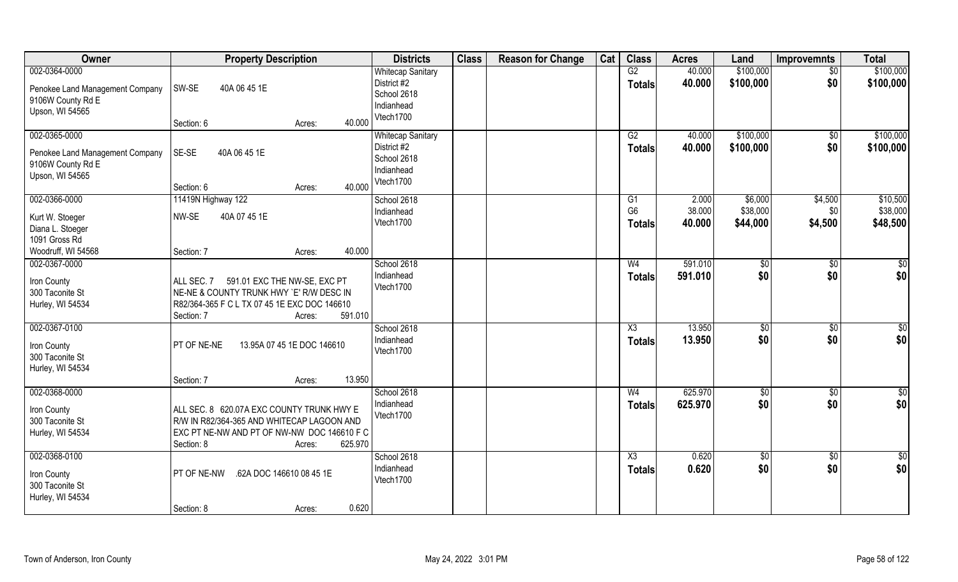| Owner                                                                                       | <b>Property Description</b>                                                                                                                                               | <b>Districts</b>                                                                  | <b>Class</b> | <b>Reason for Change</b> | Cat | <b>Class</b>                            | <b>Acres</b>              | Land                            | <b>Improvemnts</b>        | <b>Total</b>                     |
|---------------------------------------------------------------------------------------------|---------------------------------------------------------------------------------------------------------------------------------------------------------------------------|-----------------------------------------------------------------------------------|--------------|--------------------------|-----|-----------------------------------------|---------------------------|---------------------------------|---------------------------|----------------------------------|
| 002-0364-0000<br>Penokee Land Management Company<br>9106W County Rd E<br>Upson, WI 54565    | SW-SE<br>40A 06 45 1E                                                                                                                                                     | <b>Whitecap Sanitary</b><br>District #2<br>School 2618<br>Indianhead<br>Vtech1700 |              |                          |     | G2<br><b>Totals</b>                     | 40.000<br>40.000          | \$100,000<br>\$100,000          | $\sqrt{6}$<br>\$0         | \$100,000<br>\$100,000           |
| 002-0365-0000<br>Penokee Land Management Company<br>9106W County Rd E<br>Upson, WI 54565    | 40.000<br>Section: 6<br>Acres:<br>SE-SE<br>40A 06 45 1E<br>40.000<br>Section: 6<br>Acres:                                                                                 | <b>Whitecap Sanitary</b><br>District #2<br>School 2618<br>Indianhead<br>Vtech1700 |              |                          |     | G2<br><b>Totals</b>                     | 40.000<br>40.000          | \$100,000<br>\$100,000          | \$0<br>\$0                | \$100,000<br>\$100,000           |
| 002-0366-0000<br>Kurt W. Stoeger<br>Diana L. Stoeger<br>1091 Gross Rd<br>Woodruff, WI 54568 | 11419N Highway 122<br>NW-SE<br>40A 07 45 1E<br>40.000<br>Section: 7<br>Acres:                                                                                             | School 2618<br>Indianhead<br>Vtech1700                                            |              |                          |     | G1<br>G <sub>6</sub><br><b>Totals</b>   | 2.000<br>38.000<br>40.000 | \$6,000<br>\$38,000<br>\$44,000 | \$4,500<br>\$0<br>\$4,500 | \$10,500<br>\$38,000<br>\$48,500 |
| 002-0367-0000<br>Iron County<br>300 Taconite St<br>Hurley, WI 54534                         | ALL SEC. 7 591.01 EXC THE NW-SE, EXC PT<br>NE-NE & COUNTY TRUNK HWY 'E' R/W DESC IN<br>R82/364-365 F C L TX 07 45 1E EXC DOC 146610<br>591.010<br>Section: 7<br>Acres:    | School 2618<br>Indianhead<br>Vtech1700                                            |              |                          |     | W <sub>4</sub><br><b>Totals</b>         | 591.010<br>591.010        | \$0<br>\$0                      | $\sqrt{50}$<br>\$0        | \$0<br>\$0                       |
| 002-0367-0100<br>Iron County<br>300 Taconite St<br>Hurley, WI 54534                         | PT OF NE-NE<br>13.95A 07 45 1E DOC 146610<br>13.950<br>Section: 7<br>Acres:                                                                                               | School 2618<br>Indianhead<br>Vtech1700                                            |              |                          |     | $\overline{\text{X3}}$<br><b>Totals</b> | 13.950<br>13.950          | \$0<br>\$0                      | $\overline{50}$<br>\$0    | \$0<br>\$0                       |
| 002-0368-0000<br>Iron County<br>300 Taconite St<br>Hurley, WI 54534                         | ALL SEC. 8 620.07A EXC COUNTY TRUNK HWY E<br>R/W IN R82/364-365 AND WHITECAP LAGOON AND<br>EXC PT NE-NW AND PT OF NW-NW DOC 146610 F C<br>Section: 8<br>625.970<br>Acres: | School 2618<br>Indianhead<br>Vtech1700                                            |              |                          |     | W <sub>4</sub><br><b>Totals</b>         | 625.970<br>625.970        | \$0<br>\$0                      | $\sqrt{6}$<br>\$0         | $\frac{1}{2}$<br>\$0             |
| 002-0368-0100<br>Iron County<br>300 Taconite St<br>Hurley, WI 54534                         | PT OF NE-NW<br>.62A DOC 146610 08 45 1E<br>0.620<br>Section: 8<br>Acres:                                                                                                  | School 2618<br>Indianhead<br>Vtech1700                                            |              |                          |     | $\overline{\text{X3}}$<br><b>Totals</b> | 0.620<br>0.620            | $\sqrt{6}$<br>\$0               | $\overline{50}$<br>\$0    | $rac{1}{2}$<br>\$0               |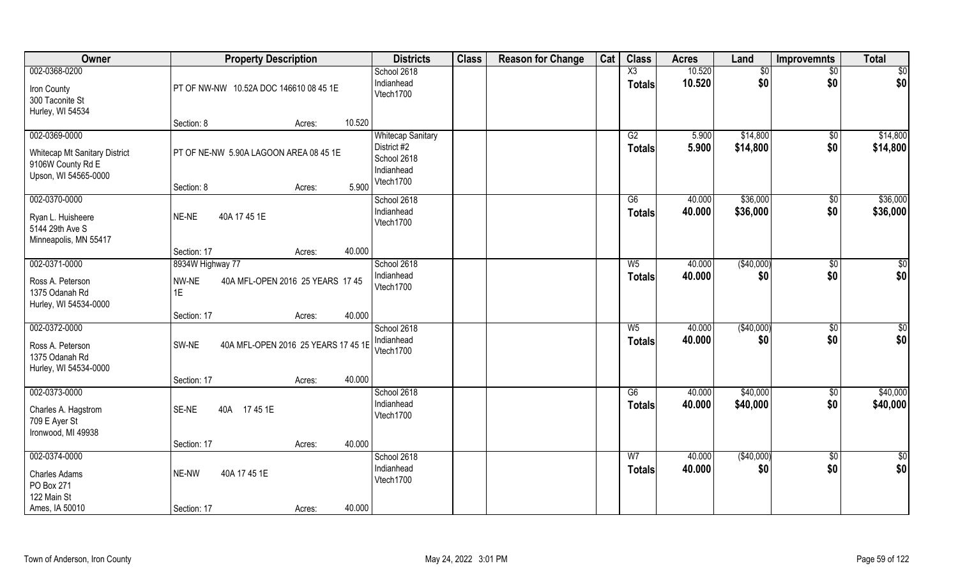| Owner                                                                                       | <b>Property Description</b>                                             | <b>Districts</b>                                                                  | <b>Class</b> | <b>Reason for Change</b> | Cat | <b>Class</b>                    | <b>Acres</b>     | Land                 | <b>Improvemnts</b>     | <b>Total</b>         |
|---------------------------------------------------------------------------------------------|-------------------------------------------------------------------------|-----------------------------------------------------------------------------------|--------------|--------------------------|-----|---------------------------------|------------------|----------------------|------------------------|----------------------|
| 002-0368-0200<br>Iron County<br>300 Taconite St<br>Hurley, WI 54534                         | PT OF NW-NW 10.52A DOC 146610 08 45 1E                                  | School 2618<br>Indianhead<br>Vtech1700                                            |              |                          |     | X3<br><b>Totals</b>             | 10.520<br>10.520 | \$0<br>\$0           | \$0<br>\$0             | \$0<br>\$0           |
|                                                                                             | 10.520<br>Section: 8<br>Acres:                                          |                                                                                   |              |                          |     |                                 |                  |                      |                        |                      |
| 002-0369-0000<br>Whitecap Mt Sanitary District<br>9106W County Rd E<br>Upson, WI 54565-0000 | PT OF NE-NW 5.90A LAGOON AREA 08 45 1E<br>5.900<br>Section: 8<br>Acres: | <b>Whitecap Sanitary</b><br>District #2<br>School 2618<br>Indianhead<br>Vtech1700 |              |                          |     | G2<br>Totals                    | 5.900<br>5.900   | \$14,800<br>\$14,800 | $\overline{50}$<br>\$0 | \$14,800<br>\$14,800 |
| 002-0370-0000                                                                               |                                                                         | School 2618                                                                       |              |                          |     | G6                              | 40.000           | \$36,000             | $\overline{50}$        | \$36,000             |
| Ryan L. Huisheere<br>5144 29th Ave S<br>Minneapolis, MN 55417                               | NE-NE<br>40A 17 45 1E                                                   | Indianhead<br>Vtech1700                                                           |              |                          |     | <b>Totals</b>                   | 40.000           | \$36,000             | \$0                    | \$36,000             |
|                                                                                             | 40.000<br>Section: 17<br>Acres:                                         |                                                                                   |              |                          |     |                                 |                  |                      |                        |                      |
| 002-0371-0000                                                                               | 8934W Highway 77                                                        | School 2618                                                                       |              |                          |     | W <sub>5</sub>                  | 40.000           | (\$40,000)           | \$0                    | \$0                  |
| Ross A. Peterson<br>1375 Odanah Rd<br>Hurley, WI 54534-0000                                 | NW-NE<br>40A MFL-OPEN 2016 25 YEARS 17 45<br>1E                         | Indianhead<br>Vtech1700                                                           |              |                          |     | <b>Totals</b>                   | 40.000           | \$0                  | \$0                    | \$0                  |
|                                                                                             | 40.000<br>Section: 17<br>Acres:                                         |                                                                                   |              |                          |     |                                 |                  |                      |                        |                      |
| 002-0372-0000<br>Ross A. Peterson<br>1375 Odanah Rd<br>Hurley, WI 54534-0000                | SW-NE<br>40A MFL-OPEN 2016 25 YEARS 17 45 1E                            | School 2618<br>Indianhead<br>Vtech1700                                            |              |                          |     | $W_5$<br><b>Totals</b>          | 40.000<br>40.000 | (\$40,000)<br>\$0    | \$0<br>\$0             | \$0<br>\$0           |
|                                                                                             | 40.000<br>Section: 17<br>Acres:                                         |                                                                                   |              |                          |     |                                 |                  |                      |                        |                      |
| 002-0373-0000<br>Charles A. Hagstrom<br>709 E Ayer St<br>Ironwood, MI 49938                 | SE-NE<br>40A 1745 1E                                                    | School 2618<br>Indianhead<br>Vtech1700                                            |              |                          |     | G6<br><b>Totals</b>             | 40.000<br>40.000 | \$40,000<br>\$40,000 | $\sqrt{6}$<br>\$0      | \$40,000<br>\$40,000 |
|                                                                                             | 40.000<br>Section: 17<br>Acres:                                         |                                                                                   |              |                          |     |                                 |                  |                      |                        |                      |
| 002-0374-0000<br><b>Charles Adams</b><br>PO Box 271<br>122 Main St<br>Ames, IA 50010        | 40A 17 45 1E<br>NE-NW<br>40.000<br>Section: 17<br>Acres:                | School 2618<br>Indianhead<br>Vtech1700                                            |              |                          |     | W <sub>7</sub><br><b>Totals</b> | 40.000<br>40.000 | (\$40,000)<br>\$0    | $\overline{50}$<br>\$0 | $\frac{1}{2}$<br>\$0 |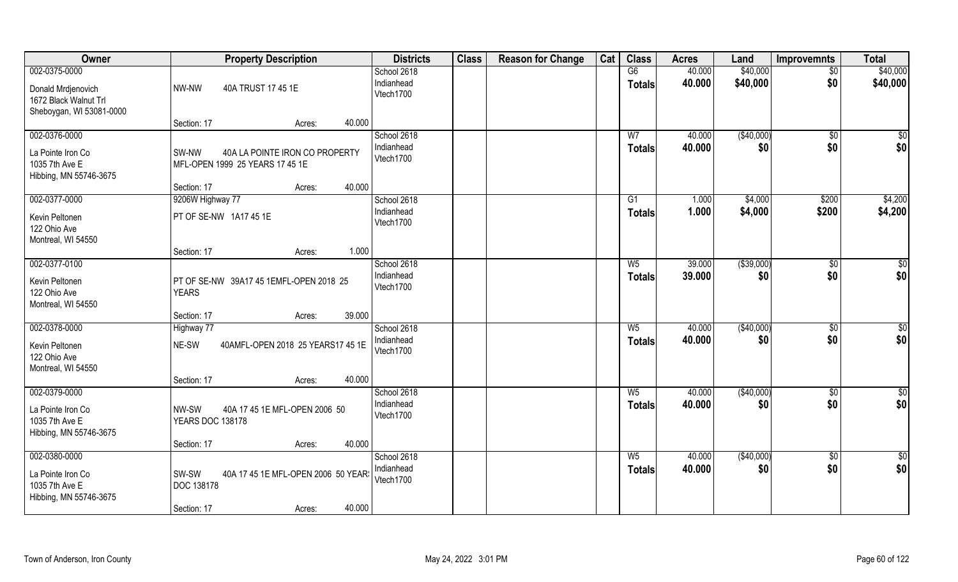| Owner                                                                          | <b>Property Description</b>                                                                  | <b>Districts</b>                       | <b>Class</b> | <b>Reason for Change</b> | Cat | <b>Class</b>           | <b>Acres</b>     | Land              | <b>Improvemnts</b> | <b>Total</b>         |
|--------------------------------------------------------------------------------|----------------------------------------------------------------------------------------------|----------------------------------------|--------------|--------------------------|-----|------------------------|------------------|-------------------|--------------------|----------------------|
| 002-0375-0000                                                                  |                                                                                              | School 2618                            |              |                          |     | G6                     | 40.000           | \$40,000          | $\overline{50}$    | \$40,000             |
| Donald Mrdjenovich<br>1672 Black Walnut Trl<br>Sheboygan, WI 53081-0000        | NW-NW<br>40A TRUST 17 45 1E                                                                  | Indianhead<br>Vtech1700                |              |                          |     | <b>Totals</b>          | 40.000           | \$40,000          | \$0                | \$40,000             |
|                                                                                | 40.000<br>Section: 17<br>Acres:                                                              |                                        |              |                          |     |                        |                  |                   |                    |                      |
| 002-0376-0000                                                                  |                                                                                              | School 2618                            |              |                          |     | W <sub>7</sub>         | 40.000           | (\$40,000)        | \$0                | $\overline{\$0}$     |
| La Pointe Iron Co<br>1035 7th Ave E<br>Hibbing, MN 55746-3675                  | 40A LA POINTE IRON CO PROPERTY<br>SW-NW<br>MFL-OPEN 1999 25 YEARS 17 45 1E                   | Indianhead<br>Vtech1700                |              |                          |     | <b>Totals</b>          | 40.000           | \$0               | \$0                | \$0                  |
|                                                                                | 40.000<br>Section: 17<br>Acres:                                                              |                                        |              |                          |     |                        |                  |                   |                    |                      |
| 002-0377-0000                                                                  | 9206W Highway 77                                                                             | School 2618                            |              |                          |     | G1                     | 1.000            | \$4,000           | \$200              | \$4,200              |
| Kevin Peltonen<br>122 Ohio Ave<br>Montreal, WI 54550                           | PT OF SE-NW 1A17 45 1E                                                                       | Indianhead<br>Vtech1700                |              |                          |     | <b>Totals</b>          | 1.000            | \$4,000           | \$200              | \$4,200              |
|                                                                                | 1.000<br>Section: 17<br>Acres:                                                               |                                        |              |                          |     |                        |                  |                   |                    |                      |
| 002-0377-0100                                                                  |                                                                                              | School 2618                            |              |                          |     | $W_5$                  | 39.000           | ( \$39,000)       | $\sqrt[6]{3}$      | \$0                  |
| Kevin Peltonen<br>122 Ohio Ave<br>Montreal, WI 54550                           | PT OF SE-NW 39A17 45 1EMFL-OPEN 2018 25<br><b>YEARS</b>                                      | Indianhead<br>Vtech1700                |              |                          |     | <b>Totals</b>          | 39.000           | \$0               | \$0                | \$0                  |
|                                                                                | 39.000<br>Section: 17<br>Acres:                                                              |                                        |              |                          |     |                        |                  |                   |                    |                      |
| 002-0378-0000                                                                  | Highway 77                                                                                   | School 2618                            |              |                          |     | $W_5$                  | 40.000           | (\$40,000)        | $\sqrt[6]{30}$     | \$0                  |
| Kevin Peltonen<br>122 Ohio Ave<br>Montreal, WI 54550                           | 40AMFL-OPEN 2018 25 YEARS17 45 1E<br>NE-SW                                                   | Indianhead<br>Vtech1700                |              |                          |     | <b>Totals</b>          | 40.000           | \$0               | \$0                | \$0                  |
|                                                                                | 40.000<br>Section: 17<br>Acres:                                                              |                                        |              |                          |     |                        |                  |                   |                    |                      |
| 002-0379-0000                                                                  |                                                                                              | School 2618                            |              |                          |     | $W_5$                  | 40.000           | (\$40,000)        | $\sqrt{$0}$        | \$0                  |
| La Pointe Iron Co<br>1035 7th Ave E<br>Hibbing, MN 55746-3675                  | NW-SW<br>40A 17 45 1E MFL-OPEN 2006 50<br><b>YEARS DOC 138178</b>                            | Indianhead<br>Vtech1700                |              |                          |     | <b>Totals</b>          | 40.000           | \$0               | \$0                | \$0                  |
|                                                                                | 40.000<br>Section: 17<br>Acres:                                                              |                                        |              |                          |     |                        |                  |                   |                    |                      |
| 002-0380-0000<br>La Pointe Iron Co<br>1035 7th Ave E<br>Hibbing, MN 55746-3675 | SW-SW<br>40A 17 45 1E MFL-OPEN 2006 50 YEAR<br>DOC 138178<br>40.000<br>Section: 17<br>Acres: | School 2618<br>Indianhead<br>Vtech1700 |              |                          |     | $W_5$<br><b>Totals</b> | 40.000<br>40.000 | (\$40,000)<br>\$0 | \$0<br>\$0         | $\frac{6}{3}$<br>\$0 |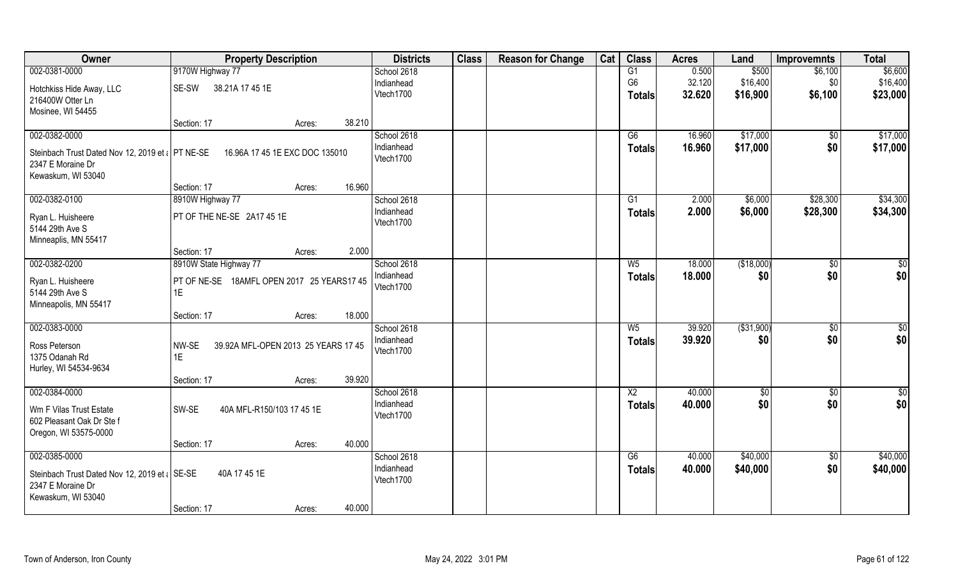| Owner                                                                         | <b>Property Description</b>                         |        |        | <b>Districts</b>        | <b>Class</b> | <b>Reason for Change</b> | Cat | <b>Class</b>                    | <b>Acres</b>     | Land                 | <b>Improvemnts</b> | <b>Total</b>         |
|-------------------------------------------------------------------------------|-----------------------------------------------------|--------|--------|-------------------------|--------------|--------------------------|-----|---------------------------------|------------------|----------------------|--------------------|----------------------|
| 002-0381-0000                                                                 | 9170W Highway 77                                    |        |        | School 2618             |              |                          |     | $\overline{G1}$                 | 0.500            | \$500                | \$6,100            | \$6,600              |
| Hotchkiss Hide Away, LLC<br>216400W Otter Ln                                  | 38.21A 17 45 1E<br>SE-SW                            |        |        | Indianhead<br>Vtech1700 |              |                          |     | G <sub>6</sub><br><b>Totals</b> | 32.120<br>32.620 | \$16,400<br>\$16,900 | \$0<br>\$6,100     | \$16,400<br>\$23,000 |
| Mosinee, WI 54455                                                             |                                                     |        |        |                         |              |                          |     |                                 |                  |                      |                    |                      |
|                                                                               | Section: 17                                         | Acres: | 38.210 |                         |              |                          |     |                                 |                  |                      |                    |                      |
| 002-0382-0000                                                                 |                                                     |        |        | School 2618             |              |                          |     | G6                              | 16.960           | \$17,000             | $\sqrt{$0}$        | \$17,000             |
| Steinbach Trust Dated Nov 12, 2019 et a PT NE-SE<br>2347 E Moraine Dr         | 16.96A 17 45 1E EXC DOC 135010                      |        |        | Indianhead<br>Vtech1700 |              |                          |     | Totals                          | 16.960           | \$17,000             | \$0                | \$17,000             |
| Kewaskum, WI 53040                                                            | Section: 17                                         |        | 16.960 |                         |              |                          |     |                                 |                  |                      |                    |                      |
| 002-0382-0100                                                                 | 8910W Highway 77                                    | Acres: |        | School 2618             |              |                          |     | G1                              | 2.000            | \$6,000              | \$28,300           | \$34,300             |
| Ryan L. Huisheere                                                             | PT OF THE NE-SE 2A17 45 1E                          |        |        | Indianhead              |              |                          |     | <b>Totals</b>                   | 2.000            | \$6,000              | \$28,300           | \$34,300             |
| 5144 29th Ave S                                                               |                                                     |        |        | Vtech1700               |              |                          |     |                                 |                  |                      |                    |                      |
| Minneaplis, MN 55417                                                          |                                                     |        |        |                         |              |                          |     |                                 |                  |                      |                    |                      |
|                                                                               | Section: 17                                         | Acres: | 2.000  |                         |              |                          |     |                                 |                  |                      |                    |                      |
| 002-0382-0200                                                                 | 8910W State Highway 77                              |        |        | School 2618             |              |                          |     | $W_5$                           | 18.000           | (\$18,000)           | \$0                | \$0                  |
| Ryan L. Huisheere<br>5144 29th Ave S<br>Minneapolis, MN 55417                 | PT OF NE-SE 18AMFL OPEN 2017 25 YEARS17 45<br>1E.   |        |        | Indianhead<br>Vtech1700 |              |                          |     | <b>Totals</b>                   | 18.000           | \$0                  | \$0                | \$0                  |
|                                                                               | Section: 17                                         | Acres: | 18.000 |                         |              |                          |     |                                 |                  |                      |                    |                      |
| 002-0383-0000                                                                 |                                                     |        |        | School 2618             |              |                          |     | $W_5$                           | 39.920           | ( \$31,900)          | $\overline{50}$    | $\overline{50}$      |
| Ross Peterson<br>1375 Odanah Rd<br>Hurley, WI 54534-9634                      | NW-SE<br>39.92A MFL-OPEN 2013 25 YEARS 17 45<br>1E. |        |        | Indianhead<br>Vtech1700 |              |                          |     | <b>Totals</b>                   | 39.920           | \$0                  | \$0                | \$0                  |
|                                                                               | Section: 17                                         | Acres: | 39.920 |                         |              |                          |     |                                 |                  |                      |                    |                      |
| 002-0384-0000                                                                 |                                                     |        |        | School 2618             |              |                          |     | $\overline{X2}$                 | 40.000           | $\sqrt{50}$          | $\sqrt{$0}$        | \$0                  |
| Wm F Vilas Trust Estate<br>602 Pleasant Oak Dr Ste f<br>Oregon, WI 53575-0000 | SW-SE<br>40A MFL-R150/103 17 45 1E                  |        |        | Indianhead<br>Vtech1700 |              |                          |     | <b>Totals</b>                   | 40.000           | \$0                  | \$0                | \$0                  |
|                                                                               | Section: 17                                         | Acres: | 40.000 |                         |              |                          |     |                                 |                  |                      |                    |                      |
| 002-0385-0000                                                                 |                                                     |        |        | School 2618             |              |                          |     | G6                              | 40.000           | \$40,000             | $\sqrt{$0}$        | \$40,000             |
| Steinbach Trust Dated Nov 12, 2019 et a SE-SE<br>2347 E Moraine Dr            | 40A 17 45 1E                                        |        |        | Indianhead<br>Vtech1700 |              |                          |     | <b>Totals</b>                   | 40.000           | \$40,000             | \$0                | \$40,000             |
| Kewaskum, WI 53040                                                            | Section: 17                                         | Acres: | 40.000 |                         |              |                          |     |                                 |                  |                      |                    |                      |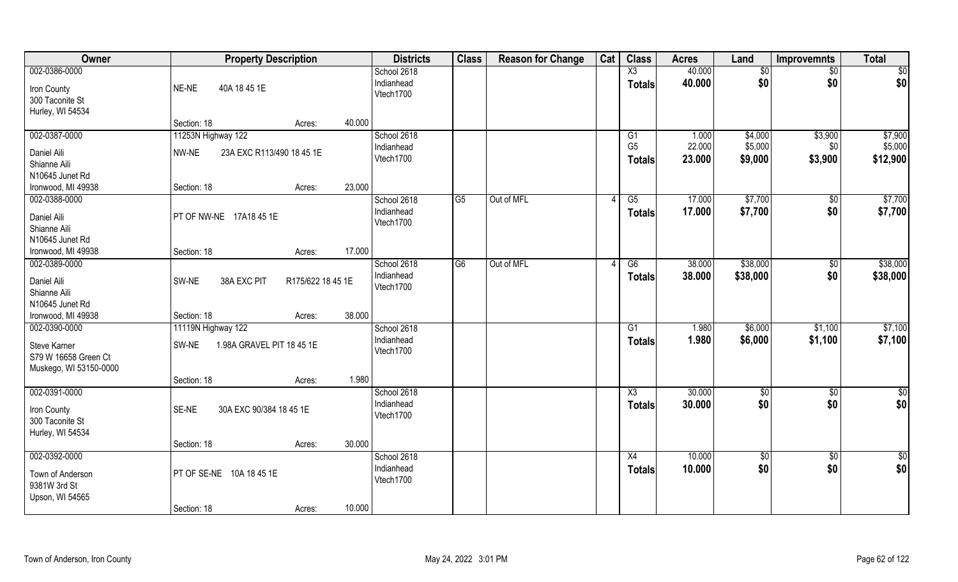| Owner                  | <b>Property Description</b>               | <b>Districts</b>          | <b>Class</b>   | <b>Reason for Change</b> | Cat | <b>Class</b>    | <b>Acres</b>     | Land               | <b>Improvemnts</b>   | <b>Total</b>  |
|------------------------|-------------------------------------------|---------------------------|----------------|--------------------------|-----|-----------------|------------------|--------------------|----------------------|---------------|
| 002-0386-0000          |                                           | School 2618               |                |                          |     | $\overline{X3}$ | 40.000           | \$0                | $\frac{1}{2}$        | \$0           |
| Iron County            | NE-NE<br>40A 18 45 1E                     | Indianhead                |                |                          |     | <b>Totals</b>   | 40.000           | \$0                | \$0                  | \$0           |
| 300 Taconite St        |                                           | Vtech1700                 |                |                          |     |                 |                  |                    |                      |               |
| Hurley, WI 54534       |                                           |                           |                |                          |     |                 |                  |                    |                      |               |
|                        | 40.000<br>Section: 18<br>Acres:           |                           |                |                          |     |                 |                  |                    |                      |               |
| 002-0387-0000          | 11253N Highway 122                        | School 2618               |                |                          |     | G1              | 1.000            | \$4,000            | \$3,900              | \$7,900       |
| Daniel Aili            | NW-NE<br>23A EXC R113/490 18 45 1E        | Indianhead<br>Vtech1700   |                |                          |     | G <sub>5</sub>  | 22.000           | \$5,000            | \$0                  | \$5,000       |
| Shianne Aili           |                                           |                           |                |                          |     | <b>Totals</b>   | 23.000           | \$9,000            | \$3,900              | \$12,900      |
| N10645 Junet Rd        |                                           |                           |                |                          |     |                 |                  |                    |                      |               |
| Ironwood, MI 49938     | 23.000<br>Section: 18<br>Acres:           |                           |                |                          |     |                 |                  |                    |                      |               |
| 002-0388-0000          |                                           | School 2618               | G <sub>5</sub> | Out of MFL               |     | $\overline{G5}$ | 17.000           | \$7,700            | $\overline{50}$      | \$7,700       |
| Daniel Aili            | PT OF NW-NE 17A18 45 1E                   | Indianhead<br>Vtech1700   |                |                          |     | <b>Totals</b>   | 17.000           | \$7,700            | \$0                  | \$7,700       |
| Shianne Aili           |                                           |                           |                |                          |     |                 |                  |                    |                      |               |
| N10645 Junet Rd        |                                           |                           |                |                          |     |                 |                  |                    |                      |               |
| Ironwood, MI 49938     | 17.000<br>Section: 18<br>Acres:           |                           |                |                          |     |                 |                  |                    |                      |               |
| 002-0389-0000          |                                           | School 2618               | G <sub>6</sub> | Out of MFL               |     | G6              | 38.000           | \$38,000           | \$0                  | \$38,000      |
| Daniel Aili            | SW-NE<br>38A EXC PIT<br>R175/622 18 45 1E | Indianhead<br>Vtech1700   |                |                          |     | <b>Totals</b>   | 38.000           | \$38,000           | \$0                  | \$38,000      |
| Shianne Aili           |                                           |                           |                |                          |     |                 |                  |                    |                      |               |
| N10645 Junet Rd        |                                           |                           |                |                          |     |                 |                  |                    |                      |               |
| Ironwood, MI 49938     | 38.000<br>Section: 18<br>Acres:           |                           |                |                          |     |                 |                  |                    |                      |               |
| 002-0390-0000          | 11119N Highway 122                        | School 2618               |                |                          |     | G1              | 1.980            | \$6,000            | \$1,100              | \$7,100       |
| Steve Karner           | 1.98A GRAVEL PIT 18 45 1E<br>SW-NE        | Indianhead<br>Vtech1700   |                |                          |     | <b>Totals</b>   | 1.980            | \$6,000            | \$1,100              | \$7,100       |
| S79 W 16658 Green Ct   |                                           |                           |                |                          |     |                 |                  |                    |                      |               |
| Muskego, WI 53150-0000 |                                           |                           |                |                          |     |                 |                  |                    |                      |               |
|                        | 1.980<br>Section: 18<br>Acres:            |                           |                |                          |     |                 |                  |                    |                      |               |
| 002-0391-0000          |                                           | School 2618<br>Indianhead |                |                          |     | X3              | 30.000           | \$0<br>\$0         | $\frac{6}{5}$<br>\$0 | $\frac{1}{2}$ |
| Iron County            | SE-NE<br>30A EXC 90/384 18 45 1E          | Vtech1700                 |                |                          |     | <b>Totals</b>   | 30.000           |                    |                      | \$0           |
| 300 Taconite St        |                                           |                           |                |                          |     |                 |                  |                    |                      |               |
| Hurley, WI 54534       |                                           |                           |                |                          |     |                 |                  |                    |                      |               |
|                        | 30.000<br>Section: 18<br>Acres:           |                           |                |                          |     |                 |                  |                    |                      |               |
| 002-0392-0000          |                                           | School 2618<br>Indianhead |                |                          |     | X4              | 10.000<br>10.000 | $\sqrt{$0}$<br>\$0 | \$0<br>\$0           | $\frac{1}{2}$ |
| Town of Anderson       | PT OF SE-NE 10A 18 45 1E                  | Vtech1700                 |                |                          |     | <b>Totals</b>   |                  |                    |                      | \$0           |
| 9381W 3rd St           |                                           |                           |                |                          |     |                 |                  |                    |                      |               |
| Upson, WI 54565        |                                           |                           |                |                          |     |                 |                  |                    |                      |               |
|                        | 10.000<br>Section: 18<br>Acres:           |                           |                |                          |     |                 |                  |                    |                      |               |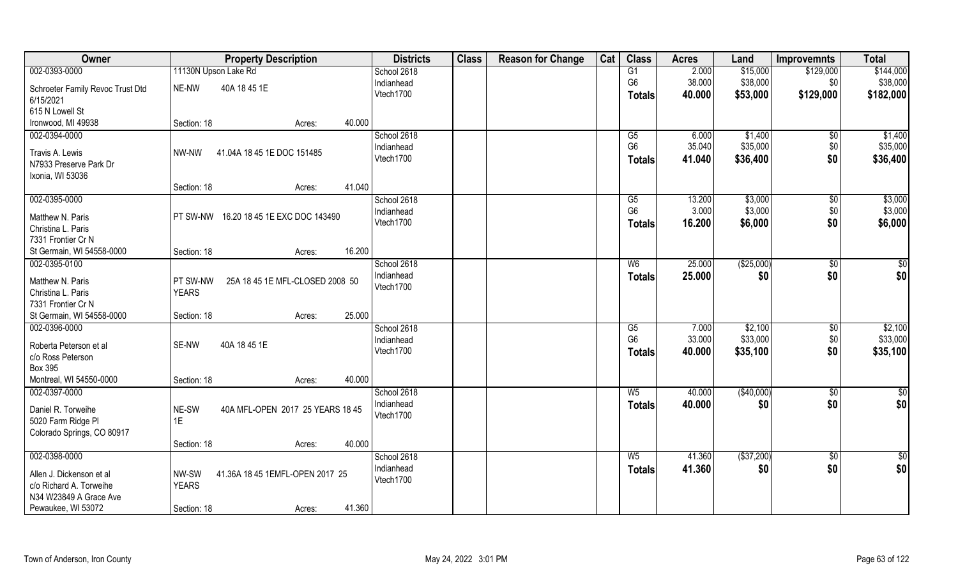| Owner                                               | <b>Property Description</b>                              | <b>Districts</b> | <b>Class</b> | <b>Reason for Change</b> | Cat | <b>Class</b>   | <b>Acres</b> | Land        | <b>Improvemnts</b> | <b>Total</b> |
|-----------------------------------------------------|----------------------------------------------------------|------------------|--------------|--------------------------|-----|----------------|--------------|-------------|--------------------|--------------|
| 002-0393-0000                                       | 11130N Upson Lake Rd                                     | School 2618      |              |                          |     | G1             | 2.000        | \$15,000    | \$129,000          | \$144,000    |
| Schroeter Family Revoc Trust Dtd                    | 40A 18 45 1E<br>NE-NW                                    | Indianhead       |              |                          |     | G <sub>6</sub> | 38.000       | \$38,000    | \$0                | \$38,000     |
| 6/15/2021                                           |                                                          | Vtech1700        |              |                          |     | <b>Totals</b>  | 40.000       | \$53,000    | \$129,000          | \$182,000    |
| 615 N Lowell St                                     |                                                          |                  |              |                          |     |                |              |             |                    |              |
| Ironwood, MI 49938                                  | 40.000<br>Section: 18<br>Acres:                          |                  |              |                          |     |                |              |             |                    |              |
| 002-0394-0000                                       |                                                          | School 2618      |              |                          |     | G5             | 6.000        | \$1,400     | \$0                | \$1,400      |
| Travis A. Lewis                                     | 41.04A 18 45 1E DOC 151485<br>NW-NW                      | Indianhead       |              |                          |     | G <sub>6</sub> | 35.040       | \$35,000    | \$0                | \$35,000     |
| N7933 Preserve Park Dr                              |                                                          | Vtech1700        |              |                          |     | <b>Totals</b>  | 41.040       | \$36,400    | \$0                | \$36,400     |
| Ixonia, WI 53036                                    |                                                          |                  |              |                          |     |                |              |             |                    |              |
|                                                     | 41.040<br>Section: 18<br>Acres:                          |                  |              |                          |     |                |              |             |                    |              |
| 002-0395-0000                                       |                                                          | School 2618      |              |                          |     | G5             | 13.200       | \$3,000     | $\sqrt[6]{3}$      | \$3,000      |
| Matthew N. Paris                                    | 16.20 18 45 1E EXC DOC 143490<br>PT SW-NW                | Indianhead       |              |                          |     | G <sub>6</sub> | 3.000        | \$3,000     | \$0                | \$3,000      |
| Christina L. Paris                                  |                                                          | Vtech1700        |              |                          |     | <b>Totals</b>  | 16.200       | \$6,000     | \$0                | \$6,000      |
| 7331 Frontier Cr N                                  |                                                          |                  |              |                          |     |                |              |             |                    |              |
| St Germain, WI 54558-0000                           | 16.200<br>Section: 18<br>Acres:                          |                  |              |                          |     |                |              |             |                    |              |
| 002-0395-0100                                       |                                                          | School 2618      |              |                          |     | W <sub>6</sub> | 25.000       | (\$25,000)  | $\sqrt[6]{3}$      | \$0          |
| Matthew N. Paris                                    | PT SW-NW<br>25A 18 45 1E MFL-CLOSED 2008 50              | Indianhead       |              |                          |     | <b>Totals</b>  | 25.000       | \$0         | \$0                | \$0          |
| Christina L. Paris                                  | <b>YEARS</b>                                             | Vtech1700        |              |                          |     |                |              |             |                    |              |
| 7331 Frontier Cr N                                  |                                                          |                  |              |                          |     |                |              |             |                    |              |
| St Germain, WI 54558-0000                           | 25.000<br>Section: 18<br>Acres:                          |                  |              |                          |     |                |              |             |                    |              |
| 002-0396-0000                                       |                                                          | School 2618      |              |                          |     | G5             | 7.000        | \$2,100     | $\sqrt[6]{30}$     | \$2,100      |
| Roberta Peterson et al                              | 40A 18 45 1E<br>SE-NW                                    | Indianhead       |              |                          |     | G <sub>6</sub> | 33.000       | \$33,000    | \$0                | \$33,000     |
| c/o Ross Peterson                                   |                                                          | Vtech1700        |              |                          |     | <b>Totals</b>  | 40.000       | \$35,100    | \$0                | \$35,100     |
| <b>Box 395</b>                                      |                                                          |                  |              |                          |     |                |              |             |                    |              |
| Montreal, WI 54550-0000                             | 40.000<br>Section: 18<br>Acres:                          |                  |              |                          |     |                |              |             |                    |              |
| 002-0397-0000                                       |                                                          | School 2618      |              |                          |     | $W_5$          | 40.000       | (\$40,000)  | \$0                | \$0          |
|                                                     |                                                          | Indianhead       |              |                          |     | <b>Totals</b>  | 40.000       | \$0         | \$0                | \$0          |
| Daniel R. Torweihe<br>5020 Farm Ridge PI            | NE-SW<br>40A MFL-OPEN 2017 25 YEARS 18 45<br>1E          | Vtech1700        |              |                          |     |                |              |             |                    |              |
| Colorado Springs, CO 80917                          |                                                          |                  |              |                          |     |                |              |             |                    |              |
|                                                     | 40.000<br>Section: 18<br>Acres:                          |                  |              |                          |     |                |              |             |                    |              |
| 002-0398-0000                                       |                                                          | School 2618      |              |                          |     | $W_5$          | 41.360       | ( \$37,200) | $\sqrt{6}$         | \$0          |
|                                                     |                                                          | Indianhead       |              |                          |     | <b>Totals</b>  | 41.360       | \$0         | \$0                | \$0          |
| Allen J. Dickenson et al<br>c/o Richard A. Torweihe | NW-SW<br>41.36A 18 45 1EMFL-OPEN 2017 25<br><b>YEARS</b> | Vtech1700        |              |                          |     |                |              |             |                    |              |
| N34 W23849 A Grace Ave                              |                                                          |                  |              |                          |     |                |              |             |                    |              |
| Pewaukee, WI 53072                                  | 41.360<br>Section: 18<br>Acres:                          |                  |              |                          |     |                |              |             |                    |              |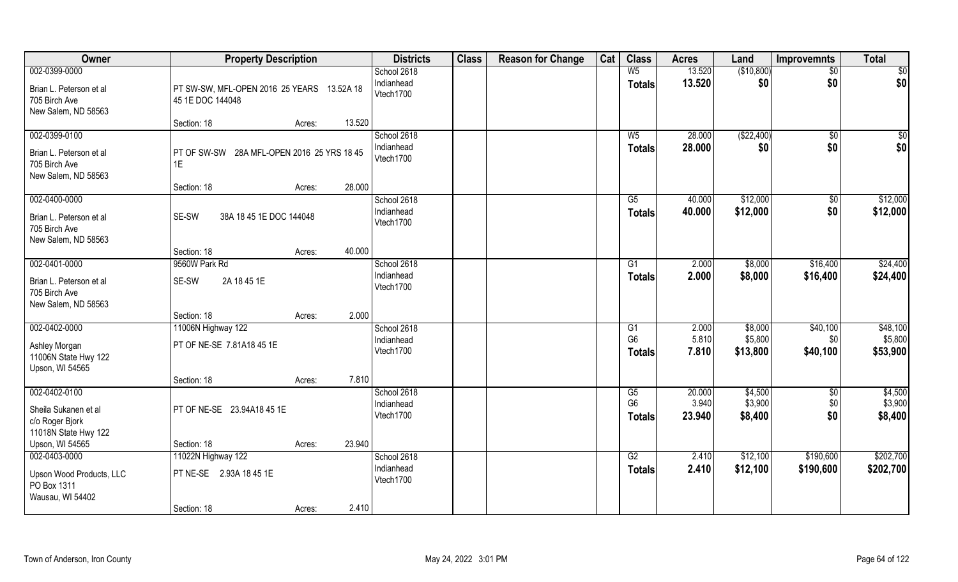| Owner                                                                            | <b>Property Description</b>                                                     | <b>Districts</b>                       | <b>Class</b> | <b>Reason for Change</b> | Cat | <b>Class</b>                                       | <b>Acres</b>              | Land                           | <b>Improvemnts</b>          | <b>Total</b>                    |
|----------------------------------------------------------------------------------|---------------------------------------------------------------------------------|----------------------------------------|--------------|--------------------------|-----|----------------------------------------------------|---------------------------|--------------------------------|-----------------------------|---------------------------------|
| 002-0399-0000<br>Brian L. Peterson et al<br>705 Birch Ave                        | PT SW-SW, MFL-OPEN 2016 25 YEARS 13.52A 18<br>45 1E DOC 144048                  | School 2618<br>Indianhead<br>Vtech1700 |              |                          |     | $W_5$<br><b>Totals</b>                             | 13.520<br>13.520          | (\$10,800)<br>\$0              | $\sqrt{$0}$<br>\$0          | $\sqrt{50}$<br> \$0             |
| New Salem, ND 58563                                                              | 13.520<br>Section: 18<br>Acres:                                                 |                                        |              |                          |     |                                                    |                           |                                |                             |                                 |
| 002-0399-0100<br>Brian L. Peterson et al<br>705 Birch Ave<br>New Salem, ND 58563 | PT OF SW-SW 28A MFL-OPEN 2016 25 YRS 18 45<br>1E                                | School 2618<br>Indianhead<br>Vtech1700 |              |                          |     | $W_5$<br><b>Totals</b>                             | 28.000<br>28.000          | (\$22,400)<br>\$0              | $\overline{60}$<br>\$0      | $\sqrt{50}$<br>\$0              |
|                                                                                  | 28.000<br>Section: 18<br>Acres:                                                 |                                        |              |                          |     |                                                    |                           |                                |                             |                                 |
| 002-0400-0000<br>Brian L. Peterson et al<br>705 Birch Ave<br>New Salem, ND 58563 | SE-SW<br>38A 18 45 1E DOC 144048                                                | School 2618<br>Indianhead<br>Vtech1700 |              |                          |     | $\overline{\text{G5}}$<br>Totals                   | 40.000<br>40.000          | \$12,000<br>\$12,000           | \$0<br>\$0                  | \$12,000<br>\$12,000            |
|                                                                                  | 40.000<br>Section: 18<br>Acres:                                                 |                                        |              |                          |     |                                                    |                           |                                |                             |                                 |
| 002-0401-0000<br>Brian L. Peterson et al<br>705 Birch Ave                        | 9560W Park Rd<br>SE-SW<br>2A 18 45 1E                                           | School 2618<br>Indianhead<br>Vtech1700 |              |                          |     | G1<br><b>Totals</b>                                | 2.000<br>2.000            | \$8,000<br>\$8,000             | \$16,400<br>\$16,400        | \$24,400<br>\$24,400            |
| New Salem, ND 58563                                                              | 2.000<br>Section: 18<br>Acres:                                                  |                                        |              |                          |     |                                                    |                           |                                |                             |                                 |
| 002-0402-0000<br>Ashley Morgan<br>11006N State Hwy 122                           | 11006N Highway 122<br>PT OF NE-SE 7.81A18 45 1E                                 | School 2618<br>Indianhead<br>Vtech1700 |              |                          |     | $\overline{G1}$<br>G <sub>6</sub><br><b>Totals</b> | 2.000<br>5.810<br>7.810   | \$8,000<br>\$5,800<br>\$13,800 | \$40,100<br>\$0<br>\$40,100 | \$48,100<br>\$5,800<br>\$53,900 |
| Upson, WI 54565                                                                  | 7.810<br>Section: 18<br>Acres:                                                  |                                        |              |                          |     |                                                    |                           |                                |                             |                                 |
| 002-0402-0100<br>Sheila Sukanen et al<br>c/o Roger Bjork<br>11018N State Hwy 122 | PT OF NE-SE 23.94A18 45 1E                                                      | School 2618<br>Indianhead<br>Vtech1700 |              |                          |     | G5<br>G <sub>6</sub><br><b>Totals</b>              | 20.000<br>3.940<br>23.940 | \$4,500<br>\$3,900<br>\$8,400  | \$0<br>\$0<br>\$0           | \$4,500<br>\$3,900<br>\$8,400   |
| Upson, WI 54565                                                                  | 23.940<br>Section: 18<br>Acres:                                                 |                                        |              |                          |     |                                                    |                           |                                |                             |                                 |
| 002-0403-0000<br>Upson Wood Products, LLC<br>PO Box 1311<br>Wausau, WI 54402     | 11022N Highway 122<br>PT NE-SE 2.93A 18 45 1E<br>2.410<br>Section: 18<br>Acres: | School 2618<br>Indianhead<br>Vtech1700 |              |                          |     | G2<br><b>Totals</b>                                | 2.410<br>2.410            | \$12,100<br>\$12,100           | \$190,600<br>\$190,600      | \$202,700<br>\$202,700          |
|                                                                                  |                                                                                 |                                        |              |                          |     |                                                    |                           |                                |                             |                                 |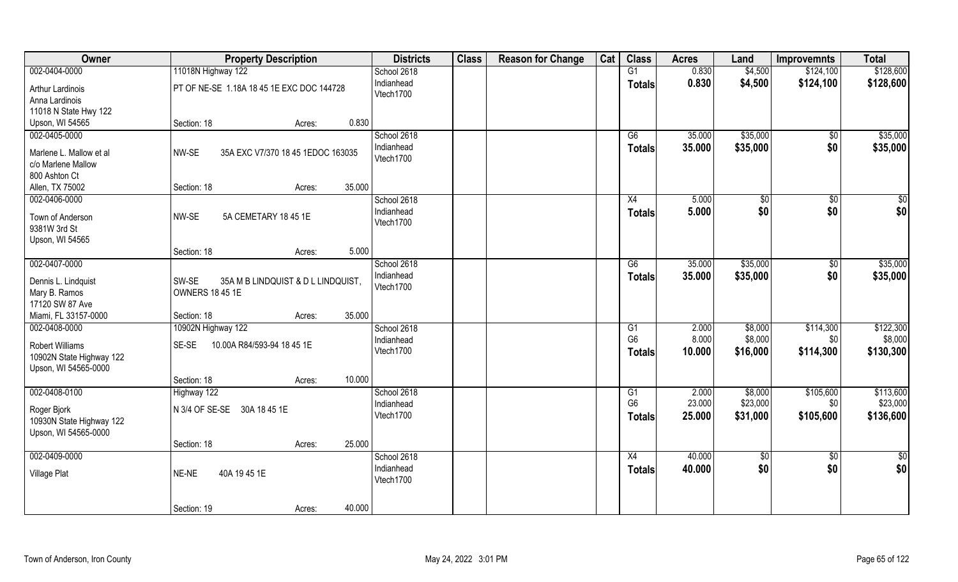| Owner                                            | <b>Property Description</b>                 | <b>Districts</b>        | <b>Class</b> | <b>Reason for Change</b> | Cat | <b>Class</b>    | <b>Acres</b> | Land          | <b>Improvemnts</b>     | <b>Total</b>    |
|--------------------------------------------------|---------------------------------------------|-------------------------|--------------|--------------------------|-----|-----------------|--------------|---------------|------------------------|-----------------|
| 002-0404-0000                                    | 11018N Highway 122                          | School 2618             |              |                          |     | G1              | 0.830        | \$4,500       | \$124,100              | \$128,600       |
| Arthur Lardinois<br>Anna Lardinois               | PT OF NE-SE 1.18A 18 45 1E EXC DOC 144728   | Indianhead<br>Vtech1700 |              |                          |     | <b>Totals</b>   | 0.830        | \$4,500       | \$124,100              | \$128,600       |
| 11018 N State Hwy 122                            |                                             |                         |              |                          |     |                 |              |               |                        |                 |
| Upson, WI 54565                                  | 0.830<br>Section: 18<br>Acres:              |                         |              |                          |     |                 |              |               |                        |                 |
| 002-0405-0000                                    |                                             | School 2618             |              |                          |     | G6              | 35.000       | \$35,000      | $\overline{50}$        | \$35,000        |
| Marlene L. Mallow et al                          | NW-SE<br>35A EXC V7/370 18 45 1EDOC 163035  | Indianhead<br>Vtech1700 |              |                          |     | <b>Totals</b>   | 35.000       | \$35,000      | \$0                    | \$35,000        |
| c/o Marlene Mallow                               |                                             |                         |              |                          |     |                 |              |               |                        |                 |
| 800 Ashton Ct                                    | 35.000                                      |                         |              |                          |     |                 |              |               |                        |                 |
| Allen, TX 75002                                  | Section: 18<br>Acres:                       | School 2618             |              |                          |     |                 | 5.000        |               |                        | $\overline{50}$ |
| 002-0406-0000                                    |                                             | Indianhead              |              |                          |     | X4              |              | \$0           | $\overline{50}$<br>\$0 |                 |
| Town of Anderson                                 | NW-SE<br>5A CEMETARY 18 45 1E               | Vtech1700               |              |                          |     | <b>Totals</b>   | 5.000        | \$0           |                        | \$0             |
| 9381W 3rd St                                     |                                             |                         |              |                          |     |                 |              |               |                        |                 |
| Upson, WI 54565                                  |                                             |                         |              |                          |     |                 |              |               |                        |                 |
|                                                  | 5.000<br>Section: 18<br>Acres:              |                         |              |                          |     |                 |              |               |                        |                 |
| 002-0407-0000                                    |                                             | School 2618             |              |                          |     | G6              | 35.000       | \$35,000      | \$0                    | \$35,000        |
| Dennis L. Lindquist                              | SW-SE<br>35A M B LINDQUIST & D L LINDQUIST, | Indianhead              |              |                          |     | Totals          | 35.000       | \$35,000      | \$0                    | \$35,000        |
| Mary B. Ramos                                    | <b>OWNERS 18 45 1E</b>                      | Vtech1700               |              |                          |     |                 |              |               |                        |                 |
| 17120 SW 87 Ave                                  |                                             |                         |              |                          |     |                 |              |               |                        |                 |
| Miami, FL 33157-0000                             | 35.000<br>Section: 18<br>Acres:             |                         |              |                          |     |                 |              |               |                        |                 |
| 002-0408-0000                                    | 10902N Highway 122                          | School 2618             |              |                          |     | $\overline{G1}$ | 2.000        | \$8,000       | \$114,300              | \$122,300       |
| <b>Robert Williams</b>                           | SE-SE<br>10.00A R84/593-94 18 45 1E         | Indianhead              |              |                          |     | G <sub>6</sub>  | 8.000        | \$8,000       | \$0                    | \$8,000         |
| 10902N State Highway 122                         |                                             | Vtech1700               |              |                          |     | <b>Totals</b>   | 10.000       | \$16,000      | \$114,300              | \$130,300       |
| Upson, WI 54565-0000                             |                                             |                         |              |                          |     |                 |              |               |                        |                 |
|                                                  | 10.000<br>Section: 18<br>Acres:             |                         |              |                          |     |                 |              |               |                        |                 |
| 002-0408-0100                                    | Highway 122                                 | School 2618             |              |                          |     | G1              | 2.000        | \$8,000       | \$105,600              | \$113,600       |
|                                                  |                                             | Indianhead              |              |                          |     | G <sub>6</sub>  | 23.000       | \$23,000      | \$0                    | \$23,000        |
| Roger Bjork                                      | N 3/4 OF SE-SE 30A 18 45 1E                 | Vtech1700               |              |                          |     | <b>Totals</b>   | 25.000       | \$31,000      | \$105,600              | \$136,600       |
| 10930N State Highway 122<br>Upson, WI 54565-0000 |                                             |                         |              |                          |     |                 |              |               |                        |                 |
|                                                  | 25.000<br>Section: 18<br>Acres:             |                         |              |                          |     |                 |              |               |                        |                 |
| 002-0409-0000                                    |                                             | School 2618             |              |                          |     | X4              | 40.000       | $\frac{1}{6}$ | $\overline{50}$        | $rac{1}{2}$     |
|                                                  |                                             | Indianhead              |              |                          |     | <b>Totals</b>   | 40.000       | \$0           | \$0                    | \$0             |
| Village Plat                                     | NE-NE<br>40A 19 45 1E                       | Vtech1700               |              |                          |     |                 |              |               |                        |                 |
|                                                  |                                             |                         |              |                          |     |                 |              |               |                        |                 |
|                                                  | 40.000<br>Section: 19<br>Acres:             |                         |              |                          |     |                 |              |               |                        |                 |
|                                                  |                                             |                         |              |                          |     |                 |              |               |                        |                 |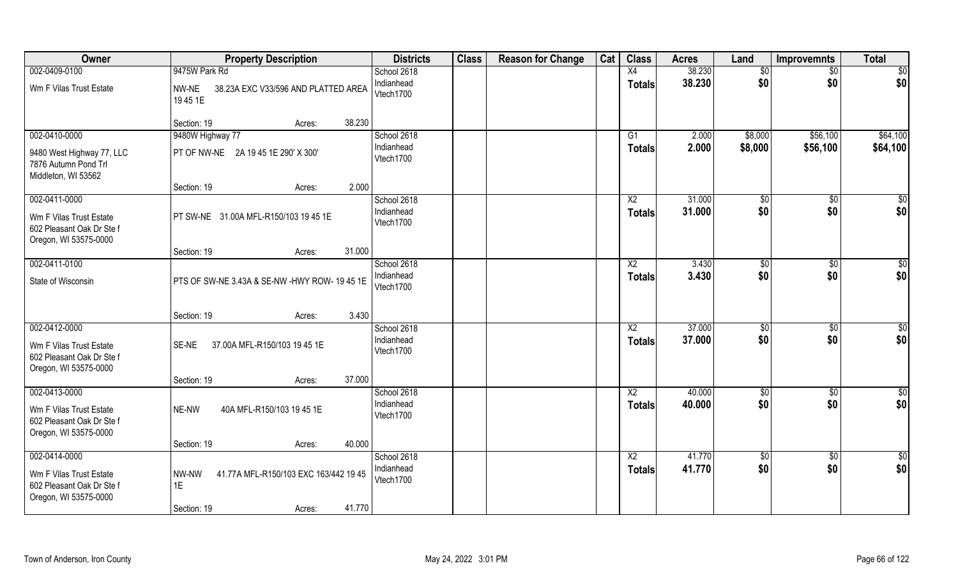| Owner                                                                                          | <b>Property Description</b>                                                             | <b>Districts</b>                       | <b>Class</b> | <b>Reason for Change</b> | Cat | <b>Class</b>                     | <b>Acres</b>     | Land                  | <b>Improvemnts</b>   | <b>Total</b>         |
|------------------------------------------------------------------------------------------------|-----------------------------------------------------------------------------------------|----------------------------------------|--------------|--------------------------|-----|----------------------------------|------------------|-----------------------|----------------------|----------------------|
| 002-0409-0100<br>Wm F Vilas Trust Estate                                                       | 9475W Park Rd<br>NW-NE<br>38.23A EXC V33/596 AND PLATTED AREA<br>19451E                 | School 2618<br>Indianhead<br>Vtech1700 |              |                          |     | X4<br><b>Totals</b>              | 38.230<br>38.230 | \$0<br>\$0            | \$0<br>\$0           | \$0<br>\$0           |
|                                                                                                | 38.230<br>Section: 19<br>Acres:                                                         |                                        |              |                          |     |                                  |                  |                       |                      |                      |
| 002-0410-0000<br>9480 West Highway 77, LLC<br>7876 Autumn Pond Trl<br>Middleton, WI 53562      | 9480W Highway 77<br>PT OF NW-NE 2A 19 45 1E 290' X 300'                                 | School 2618<br>Indianhead<br>Vtech1700 |              |                          |     | G1<br><b>Totals</b>              | 2.000<br>2.000   | \$8,000<br>\$8,000    | \$56,100<br>\$56,100 | \$64,100<br>\$64,100 |
| 002-0411-0000                                                                                  | 2.000<br>Section: 19<br>Acres:                                                          | School 2618                            |              |                          |     | X <sub>2</sub>                   | 31.000           | \$0                   | \$0                  | \$0                  |
| Wm F Vilas Trust Estate<br>602 Pleasant Oak Dr Ste f<br>Oregon, WI 53575-0000                  | PT SW-NE 31.00A MFL-R150/103 19 45 1E                                                   | Indianhead<br>Vtech1700                |              |                          |     | <b>Totals</b>                    | 31.000           | \$0                   | \$0                  | \$0                  |
|                                                                                                | 31.000<br>Section: 19<br>Acres:                                                         |                                        |              |                          |     |                                  |                  |                       |                      |                      |
| 002-0411-0100<br>State of Wisconsin                                                            | PTS OF SW-NE 3.43A & SE-NW -HWY ROW- 19 45 1E                                           | School 2618<br>Indianhead<br>Vtech1700 |              |                          |     | X <sub>2</sub><br><b>Totals</b>  | 3.430<br>3.430   | \$0<br>\$0            | \$0<br>\$0           | \$0<br>\$0           |
|                                                                                                | 3.430<br>Section: 19<br>Acres:                                                          |                                        |              |                          |     |                                  |                  |                       |                      |                      |
| 002-0412-0000<br>Wm F Vilas Trust Estate<br>602 Pleasant Oak Dr Ste f<br>Oregon, WI 53575-0000 | 37.00A MFL-R150/103 19 45 1E<br>SE-NE<br>37.000<br>Section: 19<br>Acres:                | School 2618<br>Indianhead<br>Vtech1700 |              |                          |     | $\overline{X2}$<br><b>Totals</b> | 37.000<br>37.000 | $\sqrt[6]{30}$<br>\$0 | \$0<br>\$0           | \$0<br>\$0           |
| 002-0413-0000                                                                                  |                                                                                         | School 2618                            |              |                          |     | $\overline{\text{X2}}$           | 40.000           | $\frac{6}{5}$         | $\overline{50}$      | \$0                  |
| Wm F Vilas Trust Estate<br>602 Pleasant Oak Dr Ste f<br>Oregon, WI 53575-0000                  | NE-NW<br>40A MFL-R150/103 19 45 1E                                                      | Indianhead<br>Vtech1700                |              |                          |     | <b>Totals</b>                    | 40.000           | \$0                   | \$0                  | \$0                  |
|                                                                                                | 40.000<br>Section: 19<br>Acres:                                                         |                                        |              |                          |     |                                  |                  |                       |                      |                      |
| 002-0414-0000<br>Wm F Vilas Trust Estate<br>602 Pleasant Oak Dr Ste f<br>Oregon, WI 53575-0000 | 41.77A MFL-R150/103 EXC 163/442 19 45<br>NW-NW<br>1E<br>41.770<br>Section: 19<br>Acres: | School 2618<br>Indianhead<br>Vtech1700 |              |                          |     | $\overline{X2}$<br><b>Totals</b> | 41.770<br>41.770 | \$0<br>\$0            | $\sqrt{6}$<br>\$0    | \$0<br>\$0           |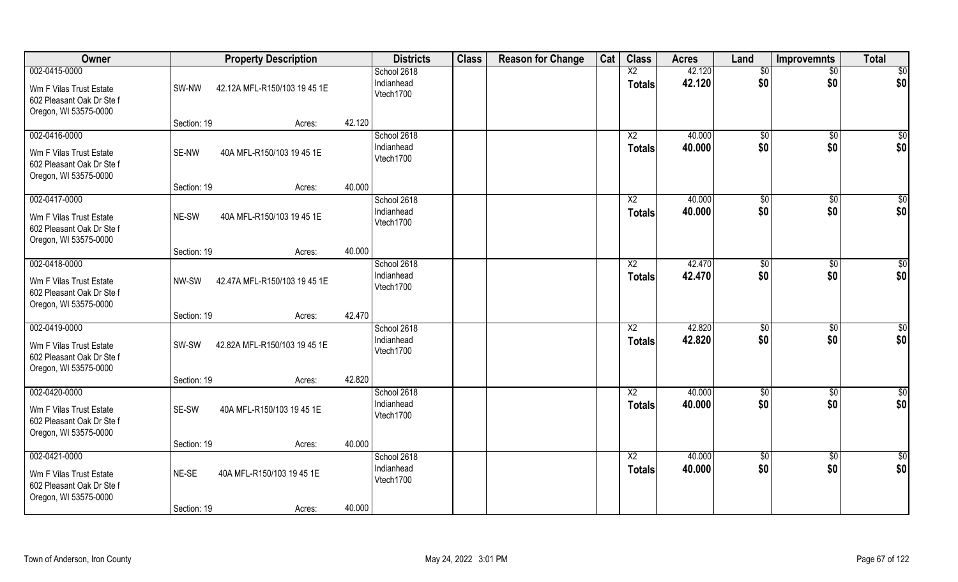| Owner                                                                                          |                      | <b>Property Description</b>         |        | <b>Districts</b>                       | <b>Class</b> | <b>Reason for Change</b> | Cat | <b>Class</b>                     | <b>Acres</b>     | Land                | <b>Improvemnts</b>     | <b>Total</b>           |
|------------------------------------------------------------------------------------------------|----------------------|-------------------------------------|--------|----------------------------------------|--------------|--------------------------|-----|----------------------------------|------------------|---------------------|------------------------|------------------------|
| 002-0415-0000<br>Wm F Vilas Trust Estate<br>602 Pleasant Oak Dr Ste f<br>Oregon, WI 53575-0000 | SW-NW                | 42.12A MFL-R150/103 19 45 1E        |        | School 2618<br>Indianhead<br>Vtech1700 |              |                          |     | X2<br><b>Totals</b>              | 42.120<br>42.120 | \$0<br>\$0          | $\overline{50}$<br>\$0 | $\overline{50}$<br>\$0 |
|                                                                                                | Section: 19          | Acres:                              | 42.120 |                                        |              |                          |     |                                  |                  |                     |                        |                        |
| 002-0416-0000<br>Wm F Vilas Trust Estate<br>602 Pleasant Oak Dr Ste f<br>Oregon, WI 53575-0000 | SE-NW                | 40A MFL-R150/103 19 45 1E           |        | School 2618<br>Indianhead<br>Vtech1700 |              |                          |     | $\overline{X2}$<br><b>Totals</b> | 40.000<br>40.000 | $\sqrt[6]{}$<br>\$0 | $\sqrt{$0}$<br>\$0     | $\sqrt{50}$<br>\$0     |
|                                                                                                | Section: 19          | Acres:                              | 40.000 |                                        |              |                          |     |                                  | 40.000           |                     |                        |                        |
| 002-0417-0000<br>Wm F Vilas Trust Estate<br>602 Pleasant Oak Dr Ste f<br>Oregon, WI 53575-0000 | NE-SW                | 40A MFL-R150/103 19 45 1E           |        | School 2618<br>Indianhead<br>Vtech1700 |              |                          |     | X <sub>2</sub><br><b>Totals</b>  | 40.000           | \$0<br>\$0          | $\sqrt[6]{30}$<br>\$0  | $\sqrt{50}$<br>\$0     |
|                                                                                                | Section: 19          | Acres:                              | 40.000 |                                        |              |                          |     |                                  |                  |                     |                        |                        |
| 002-0418-0000<br>Wm F Vilas Trust Estate<br>602 Pleasant Oak Dr Ste f<br>Oregon, WI 53575-0000 | NW-SW                | 42.47A MFL-R150/103 19 45 1E        |        | School 2618<br>Indianhead<br>Vtech1700 |              |                          |     | X <sub>2</sub><br><b>Totals</b>  | 42.470<br>42.470 | \$0<br>\$0          | $\sqrt[6]{3}$<br>\$0   | \$0<br>\$0             |
|                                                                                                | Section: 19          | Acres:                              | 42.470 |                                        |              |                          |     |                                  |                  |                     |                        |                        |
| 002-0419-0000<br>Wm F Vilas Trust Estate<br>602 Pleasant Oak Dr Ste f<br>Oregon, WI 53575-0000 | SW-SW                | 42.82A MFL-R150/103 19 45 1E        |        | School 2618<br>Indianhead<br>Vtech1700 |              |                          |     | X <sub>2</sub><br><b>Totals</b>  | 42.820<br>42.820 | \$0<br>\$0          | \$0<br>\$0             | \$0<br>\$0             |
|                                                                                                | Section: 19          | Acres:                              | 42.820 |                                        |              |                          |     |                                  |                  |                     |                        |                        |
| 002-0420-0000<br>Wm F Vilas Trust Estate<br>602 Pleasant Oak Dr Ste f<br>Oregon, WI 53575-0000 | SE-SW                | 40A MFL-R150/103 19 45 1E           |        | School 2618<br>Indianhead<br>Vtech1700 |              |                          |     | X2<br><b>Totals</b>              | 40.000<br>40.000 | \$0<br>\$0          | \$0<br>\$0             | \$0<br>\$0             |
|                                                                                                | Section: 19          | Acres:                              | 40.000 |                                        |              |                          |     |                                  |                  |                     |                        |                        |
| 002-0421-0000<br>Wm F Vilas Trust Estate<br>602 Pleasant Oak Dr Ste f<br>Oregon, WI 53575-0000 | NE-SE<br>Section: 19 | 40A MFL-R150/103 19 45 1E<br>Acres: | 40.000 | School 2618<br>Indianhead<br>Vtech1700 |              |                          |     | $\overline{X2}$<br><b>Totals</b> | 40.000<br>40.000 | $\sqrt{6}$<br>\$0   | $\sqrt{$0}$<br>\$0     | $\overline{50}$<br>\$0 |
|                                                                                                |                      |                                     |        |                                        |              |                          |     |                                  |                  |                     |                        |                        |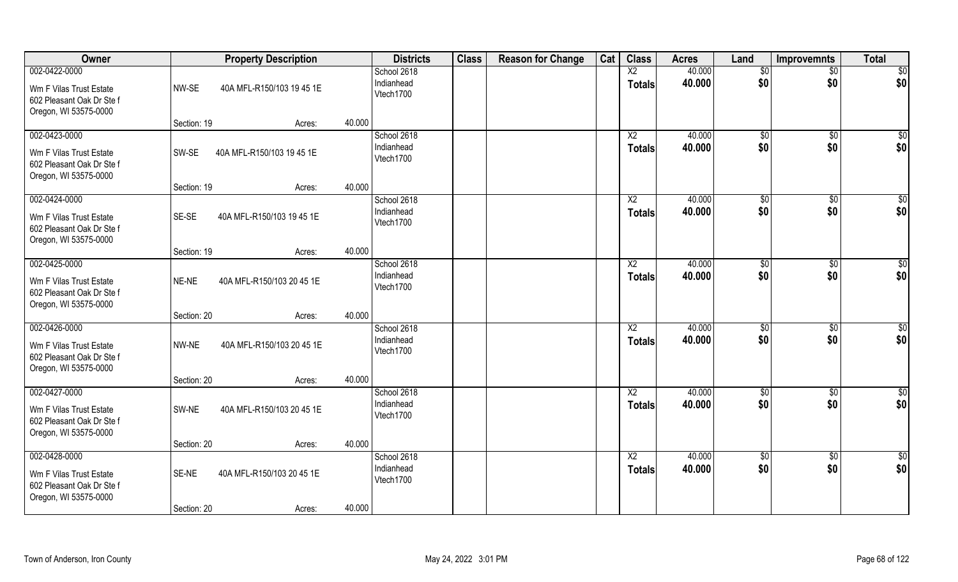| Owner                                                                                          |                      | <b>Property Description</b>         |        | <b>Districts</b>                       | <b>Class</b> | <b>Reason for Change</b> | Cat | <b>Class</b>                    | <b>Acres</b>     | Land                  | <b>Improvemnts</b>     | <b>Total</b>            |
|------------------------------------------------------------------------------------------------|----------------------|-------------------------------------|--------|----------------------------------------|--------------|--------------------------|-----|---------------------------------|------------------|-----------------------|------------------------|-------------------------|
| 002-0422-0000<br>Wm F Vilas Trust Estate<br>602 Pleasant Oak Dr Ste f<br>Oregon, WI 53575-0000 | NW-SE                | 40A MFL-R150/103 19 45 1E           |        | School 2618<br>Indianhead<br>Vtech1700 |              |                          |     | X2<br><b>Totals</b>             | 40.000<br>40.000 | $\sqrt{6}$<br>\$0     | $\overline{50}$<br>\$0 | \$0<br>\$0              |
|                                                                                                | Section: 19          | Acres:                              | 40.000 |                                        |              |                          |     |                                 |                  |                       |                        |                         |
| 002-0423-0000<br>Wm F Vilas Trust Estate<br>602 Pleasant Oak Dr Ste f<br>Oregon, WI 53575-0000 | SW-SE                | 40A MFL-R150/103 19 45 1E           |        | School 2618<br>Indianhead<br>Vtech1700 |              |                          |     | X2<br><b>Totals</b>             | 40.000<br>40.000 | \$0<br>\$0            | \$0<br>\$0             | $\overline{\$0}$<br>\$0 |
|                                                                                                | Section: 19          | Acres:                              | 40.000 |                                        |              |                          |     |                                 |                  |                       |                        |                         |
| 002-0424-0000<br>Wm F Vilas Trust Estate<br>602 Pleasant Oak Dr Ste f<br>Oregon, WI 53575-0000 | SE-SE                | 40A MFL-R150/103 19 45 1E           |        | School 2618<br>Indianhead<br>Vtech1700 |              |                          |     | X <sub>2</sub><br><b>Totals</b> | 40.000<br>40.000 | \$0<br>\$0            | \$0<br>\$0             | $\overline{50}$<br>\$0  |
|                                                                                                | Section: 19          | Acres:                              | 40.000 |                                        |              |                          |     |                                 |                  |                       |                        |                         |
| 002-0425-0000<br>Wm F Vilas Trust Estate<br>602 Pleasant Oak Dr Ste f<br>Oregon, WI 53575-0000 | NE-NE                | 40A MFL-R150/103 20 45 1E           |        | School 2618<br>Indianhead<br>Vtech1700 |              |                          |     | X <sub>2</sub><br><b>Totals</b> | 40.000<br>40.000 | $\frac{1}{20}$<br>\$0 | $\sqrt[6]{30}$<br>\$0  | \$0<br>\$0              |
|                                                                                                | Section: 20          | Acres:                              | 40.000 |                                        |              |                          |     |                                 |                  |                       |                        |                         |
| 002-0426-0000<br>Wm F Vilas Trust Estate<br>602 Pleasant Oak Dr Ste f<br>Oregon, WI 53575-0000 | NW-NE                | 40A MFL-R150/103 20 45 1E           |        | School 2618<br>Indianhead<br>Vtech1700 |              |                          |     | X2<br><b>Totals</b>             | 40.000<br>40.000 | \$0<br>\$0            | $\sqrt[6]{30}$<br>\$0  | $\overline{50}$<br>\$0  |
|                                                                                                | Section: 20          | Acres:                              | 40.000 |                                        |              |                          |     |                                 |                  |                       |                        |                         |
| 002-0427-0000<br>Wm F Vilas Trust Estate<br>602 Pleasant Oak Dr Ste f<br>Oregon, WI 53575-0000 | SW-NE                | 40A MFL-R150/103 20 45 1E           |        | School 2618<br>Indianhead<br>Vtech1700 |              |                          |     | X2<br><b>Totals</b>             | 40.000<br>40.000 | \$0<br>\$0            | \$0<br>\$0             | $\overline{50}$<br>\$0  |
|                                                                                                | Section: 20          | Acres:                              | 40.000 |                                        |              |                          |     |                                 |                  |                       |                        |                         |
| 002-0428-0000<br>Wm F Vilas Trust Estate<br>602 Pleasant Oak Dr Ste f<br>Oregon, WI 53575-0000 | SE-NE<br>Section: 20 | 40A MFL-R150/103 20 45 1E<br>Acres: | 40.000 | School 2618<br>Indianhead<br>Vtech1700 |              |                          |     | X <sub>2</sub><br><b>Totals</b> | 40.000<br>40.000 | \$0<br>\$0            | $\sqrt{6}$<br>\$0      | \$0<br>\$0              |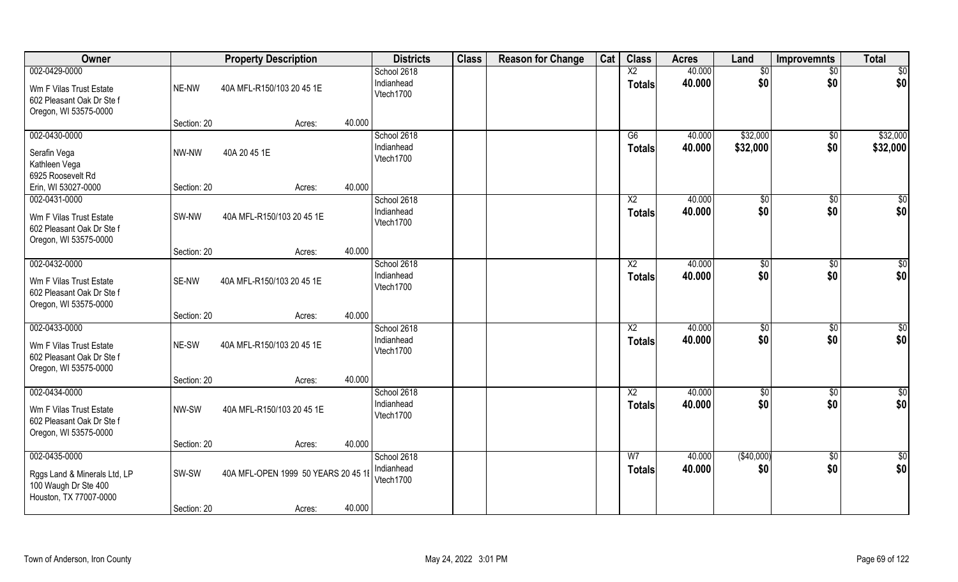| Owner                                                                                           |                      | <b>Property Description</b>                   |        | <b>Districts</b>                       | <b>Class</b> | <b>Reason for Change</b> | Cat | <b>Class</b>                     | <b>Acres</b>     | Land                 | <b>Improvemnts</b>     | <b>Total</b>           |
|-------------------------------------------------------------------------------------------------|----------------------|-----------------------------------------------|--------|----------------------------------------|--------------|--------------------------|-----|----------------------------------|------------------|----------------------|------------------------|------------------------|
| 002-0429-0000<br>Wm F Vilas Trust Estate<br>602 Pleasant Oak Dr Ste f<br>Oregon, WI 53575-0000  | NE-NW                | 40A MFL-R150/103 20 45 1E                     |        | School 2618<br>Indianhead<br>Vtech1700 |              |                          |     | $\overline{X2}$<br><b>Totals</b> | 40.000<br>40.000 | \$0<br>\$0           | $\sqrt{$0}$<br>\$0     | $\sqrt{50}$<br> \$0    |
|                                                                                                 | Section: 20          | Acres:                                        | 40.000 |                                        |              |                          |     |                                  |                  |                      |                        |                        |
| 002-0430-0000<br>Serafin Vega<br>Kathleen Vega<br>6925 Roosevelt Rd                             | NW-NW                | 40A 20 45 1E                                  |        | School 2618<br>Indianhead<br>Vtech1700 |              |                          |     | G6<br>Totals                     | 40.000<br>40.000 | \$32,000<br>\$32,000 | $\overline{60}$<br>\$0 | \$32,000<br>\$32,000   |
| Erin, WI 53027-0000                                                                             | Section: 20          | Acres:                                        | 40.000 |                                        |              |                          |     |                                  |                  |                      |                        |                        |
| 002-0431-0000<br>Wm F Vilas Trust Estate<br>602 Pleasant Oak Dr Ste f<br>Oregon, WI 53575-0000  | SW-NW                | 40A MFL-R150/103 20 45 1E                     |        | School 2618<br>Indianhead<br>Vtech1700 |              |                          |     | X <sub>2</sub><br><b>Totals</b>  | 40.000<br>40.000 | \$0<br>\$0           | \$0<br>\$0             | $\sqrt{50}$<br>\$0     |
|                                                                                                 | Section: 20          | Acres:                                        | 40.000 |                                        |              |                          |     |                                  |                  |                      |                        |                        |
| 002-0432-0000<br>Wm F Vilas Trust Estate<br>602 Pleasant Oak Dr Ste f<br>Oregon, WI 53575-0000  | SE-NW                | 40A MFL-R150/103 20 45 1E                     |        | School 2618<br>Indianhead<br>Vtech1700 |              |                          |     | X <sub>2</sub><br><b>Totals</b>  | 40.000<br>40.000 | \$0<br>\$0           | \$0<br>\$0             | \$0<br>\$0             |
|                                                                                                 | Section: 20          | Acres:                                        | 40.000 |                                        |              |                          |     |                                  |                  |                      |                        |                        |
| 002-0433-0000<br>Wm F Vilas Trust Estate<br>602 Pleasant Oak Dr Ste f<br>Oregon, WI 53575-0000  | NE-SW                | 40A MFL-R150/103 20 45 1E                     |        | School 2618<br>Indianhead<br>Vtech1700 |              |                          |     | $\overline{X2}$<br><b>Totals</b> | 40.000<br>40.000 | \$0<br>\$0           | $\overline{50}$<br>\$0 | $\overline{50}$<br>\$0 |
|                                                                                                 | Section: 20          | Acres:                                        | 40.000 |                                        |              |                          |     |                                  |                  |                      |                        |                        |
| 002-0434-0000<br>Wm F Vilas Trust Estate<br>602 Pleasant Oak Dr Ste f<br>Oregon, WI 53575-0000  | NW-SW                | 40A MFL-R150/103 20 45 1E                     |        | School 2618<br>Indianhead<br>Vtech1700 |              |                          |     | X2<br><b>Totals</b>              | 40.000<br>40.000 | \$0<br>\$0           | $\frac{6}{3}$<br>\$0   | \$0<br>\$0             |
|                                                                                                 | Section: 20          | Acres:                                        | 40.000 |                                        |              |                          |     |                                  |                  |                      |                        |                        |
| 002-0435-0000<br>Rggs Land & Minerals Ltd, LP<br>100 Waugh Dr Ste 400<br>Houston, TX 77007-0000 | SW-SW<br>Section: 20 | 40A MFL-OPEN 1999 50 YEARS 20 45 1E<br>Acres: | 40.000 | School 2618<br>Indianhead<br>Vtech1700 |              |                          |     | W <sub>7</sub><br>Totals         | 40.000<br>40.000 | (\$40,000)<br>\$0    | $\sqrt{$0}$<br>\$0     | \$0<br>\$0             |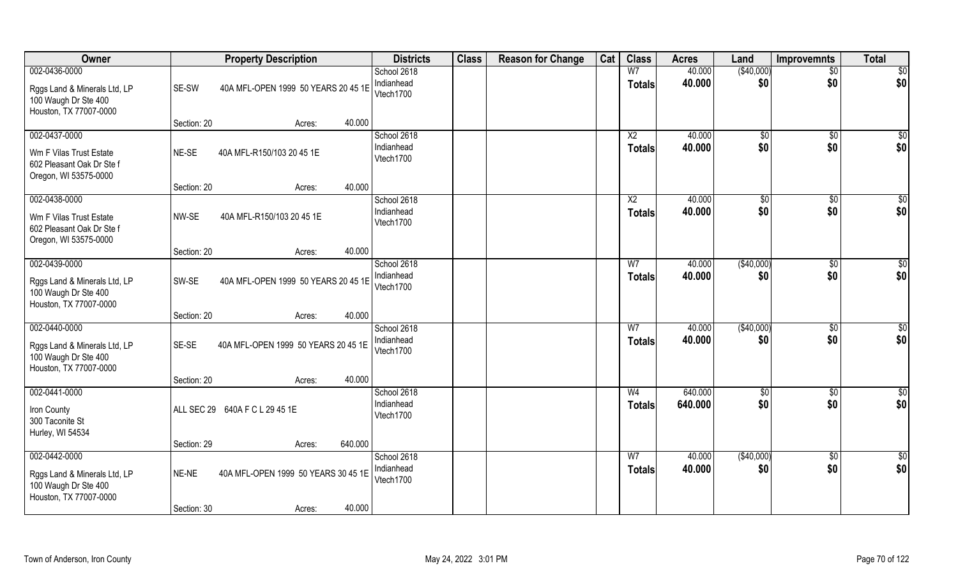| Owner                                                                                           |                      | <b>Property Description</b>                   |         | <b>Districts</b>                       | <b>Class</b> | <b>Reason for Change</b> | Cat | <b>Class</b>                     | <b>Acres</b>     | Land                 | <b>Improvemnts</b>     | <b>Total</b>            |
|-------------------------------------------------------------------------------------------------|----------------------|-----------------------------------------------|---------|----------------------------------------|--------------|--------------------------|-----|----------------------------------|------------------|----------------------|------------------------|-------------------------|
| 002-0436-0000<br>Rggs Land & Minerals Ltd, LP<br>100 Waugh Dr Ste 400<br>Houston, TX 77007-0000 | SE-SW                | 40A MFL-OPEN 1999 50 YEARS 20 45 1E           |         | School 2618<br>Indianhead<br>Vtech1700 |              |                          |     | W <sub>7</sub><br><b>Totals</b>  | 40.000<br>40.000 | (\$40,000)<br>\$0    | $\overline{50}$<br>\$0 | \$0<br>\$0              |
|                                                                                                 | Section: 20          | Acres:                                        | 40.000  |                                        |              |                          |     |                                  |                  |                      |                        |                         |
| 002-0437-0000<br>Wm F Vilas Trust Estate<br>602 Pleasant Oak Dr Ste f<br>Oregon, WI 53575-0000  | NE-SE                | 40A MFL-R150/103 20 45 1E                     |         | School 2618<br>Indianhead<br>Vtech1700 |              |                          |     | $\overline{X2}$<br><b>Totals</b> | 40.000<br>40.000 | \$0<br>\$0           | \$0<br>\$0             | $\overline{\$0}$<br>\$0 |
|                                                                                                 | Section: 20          | Acres:                                        | 40.000  |                                        |              |                          |     |                                  |                  |                      |                        |                         |
| 002-0438-0000<br>Wm F Vilas Trust Estate<br>602 Pleasant Oak Dr Ste f<br>Oregon, WI 53575-0000  | NW-SE                | 40A MFL-R150/103 20 45 1E                     |         | School 2618<br>Indianhead<br>Vtech1700 |              |                          |     | X <sub>2</sub><br><b>Totals</b>  | 40.000<br>40.000 | $\sqrt[6]{3}$<br>\$0 | $\sqrt[6]{3}$<br>\$0   | \$0<br>\$0              |
|                                                                                                 | Section: 20          | Acres:                                        | 40.000  |                                        |              |                          |     |                                  |                  |                      |                        |                         |
| 002-0439-0000<br>Rggs Land & Minerals Ltd, LP<br>100 Waugh Dr Ste 400<br>Houston, TX 77007-0000 | SW-SE                | 40A MFL-OPEN 1999 50 YEARS 20 45 1E           |         | School 2618<br>Indianhead<br>Vtech1700 |              |                          |     | W <sub>7</sub><br><b>Totals</b>  | 40.000<br>40.000 | (\$40,000)<br>\$0    | $\sqrt[6]{3}$<br>\$0   | \$0<br>\$0              |
|                                                                                                 | Section: 20          | Acres:                                        | 40.000  |                                        |              |                          |     |                                  |                  |                      |                        |                         |
| 002-0440-0000<br>Rggs Land & Minerals Ltd, LP<br>100 Waugh Dr Ste 400<br>Houston, TX 77007-0000 | SE-SE                | 40A MFL-OPEN 1999 50 YEARS 20 45 1E           |         | School 2618<br>Indianhead<br>Vtech1700 |              |                          |     | W <sub>7</sub><br><b>Totals</b>  | 40.000<br>40.000 | (\$40,000)<br>\$0    | $\sqrt[6]{30}$<br>\$0  | $\overline{50}$<br>\$0  |
| 002-0441-0000                                                                                   | Section: 20          | Acres:                                        | 40.000  | School 2618                            |              |                          |     | W <sub>4</sub>                   | 640.000          | \$0                  | \$0                    | \$0                     |
| Iron County<br>300 Taconite St<br>Hurley, WI 54534                                              |                      | ALL SEC 29 640A F C L 29 45 1E                |         | Indianhead<br>Vtech1700                |              |                          |     | <b>Totals</b>                    | 640.000          | \$0                  | \$0                    | \$0                     |
|                                                                                                 | Section: 29          | Acres:                                        | 640.000 |                                        |              |                          |     |                                  |                  |                      |                        |                         |
| 002-0442-0000<br>Rggs Land & Minerals Ltd, LP<br>100 Waugh Dr Ste 400<br>Houston, TX 77007-0000 | NE-NE<br>Section: 30 | 40A MFL-OPEN 1999 50 YEARS 30 45 1E<br>Acres: | 40.000  | School 2618<br>Indianhead<br>Vtech1700 |              |                          |     | W <sub>7</sub><br><b>Totals</b>  | 40.000<br>40.000 | (\$40,000)<br>\$0    | $\sqrt{$0}$<br>\$0     | \$0<br>\$0              |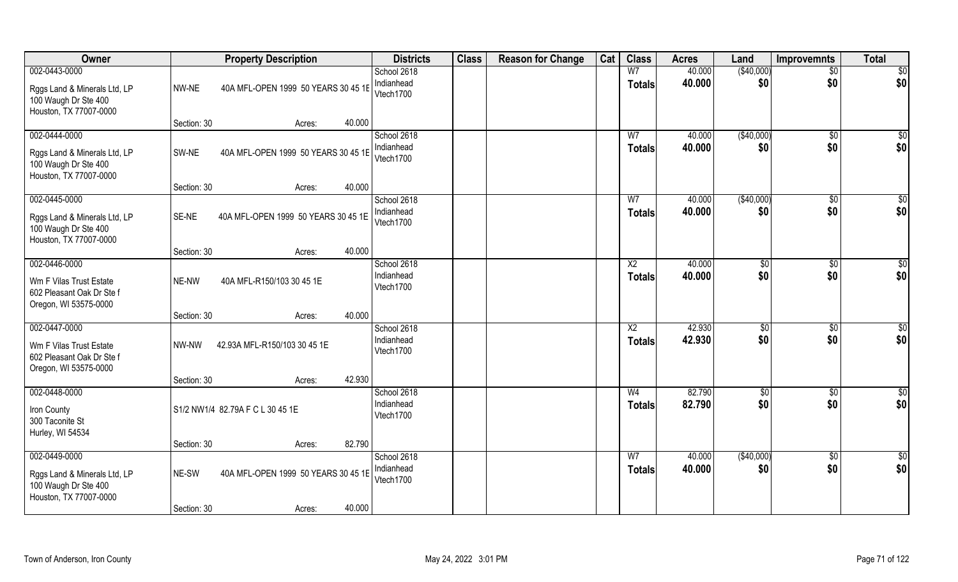| Owner                                                                                           |                      | <b>Property Description</b>                   |        | <b>Districts</b>                       | <b>Class</b> | <b>Reason for Change</b> | Cat | <b>Class</b>                     | <b>Acres</b>     | Land                 | <b>Improvemnts</b>     | <b>Total</b>            |
|-------------------------------------------------------------------------------------------------|----------------------|-----------------------------------------------|--------|----------------------------------------|--------------|--------------------------|-----|----------------------------------|------------------|----------------------|------------------------|-------------------------|
| 002-0443-0000<br>Rggs Land & Minerals Ltd, LP<br>100 Waugh Dr Ste 400<br>Houston, TX 77007-0000 | NW-NE                | 40A MFL-OPEN 1999 50 YEARS 30 45 1E           |        | School 2618<br>Indianhead<br>Vtech1700 |              |                          |     | W7<br><b>Totals</b>              | 40.000<br>40.000 | (\$40,000)<br>\$0    | $\overline{50}$<br>\$0 | $\overline{50}$<br>\$0  |
|                                                                                                 | Section: 30          | Acres:                                        | 40.000 |                                        |              |                          |     |                                  |                  |                      |                        |                         |
| 002-0444-0000<br>Rggs Land & Minerals Ltd, LP<br>100 Waugh Dr Ste 400<br>Houston, TX 77007-0000 | SW-NE                | 40A MFL-OPEN 1999 50 YEARS 30 45 1E           |        | School 2618<br>Indianhead<br>Vtech1700 |              |                          |     | W <sub>7</sub><br><b>Totals</b>  | 40.000<br>40.000 | (\$40,000)<br>\$0    | $\sqrt{50}$<br>\$0     | $\overline{\$0}$<br>\$0 |
|                                                                                                 | Section: 30          | Acres:                                        | 40.000 |                                        |              |                          |     |                                  |                  |                      |                        |                         |
| 002-0445-0000<br>Rggs Land & Minerals Ltd, LP<br>100 Waugh Dr Ste 400<br>Houston, TX 77007-0000 | SE-NE                | 40A MFL-OPEN 1999 50 YEARS 30 45 1E           |        | School 2618<br>Indianhead<br>Vtech1700 |              |                          |     | W7<br><b>Totals</b>              | 40.000<br>40.000 | ( \$40,000)<br>\$0   | \$0<br>\$0             | \$0<br>\$0              |
|                                                                                                 | Section: 30          | Acres:                                        | 40.000 |                                        |              |                          |     |                                  |                  |                      |                        |                         |
| 002-0446-0000<br>Wm F Vilas Trust Estate<br>602 Pleasant Oak Dr Ste f<br>Oregon, WI 53575-0000  | NE-NW                | 40A MFL-R150/103 30 45 1E                     |        | School 2618<br>Indianhead<br>Vtech1700 |              |                          |     | X <sub>2</sub><br><b>Totals</b>  | 40.000<br>40.000 | $\sqrt[6]{3}$<br>\$0 | $\sqrt[6]{30}$<br>\$0  | \$0<br>\$0              |
|                                                                                                 | Section: 30          | Acres:                                        | 40.000 |                                        |              |                          |     |                                  |                  |                      |                        |                         |
| 002-0447-0000<br>Wm F Vilas Trust Estate<br>602 Pleasant Oak Dr Ste f<br>Oregon, WI 53575-0000  | NW-NW                | 42.93A MFL-R150/103 30 45 1E                  |        | School 2618<br>Indianhead<br>Vtech1700 |              |                          |     | $\overline{X2}$<br><b>Totals</b> | 42.930<br>42.930 | \$0<br>\$0           | \$0<br>\$0             | \$0<br>\$0              |
| 002-0448-0000                                                                                   | Section: 30          | Acres:                                        | 42.930 | School 2618                            |              |                          |     | W <sub>4</sub>                   | 82.790           |                      |                        |                         |
| Iron County<br>300 Taconite St<br>Hurley, WI 54534                                              |                      | S1/2 NW1/4 82.79A F C L 30 45 1E              |        | Indianhead<br>Vtech1700                |              |                          |     | <b>Totals</b>                    | 82.790           | \$0<br>\$0           | \$0<br>\$0             | $\frac{6}{3}$<br>\$0    |
|                                                                                                 | Section: 30          | Acres:                                        | 82.790 |                                        |              |                          |     |                                  |                  |                      |                        |                         |
| 002-0449-0000<br>Rggs Land & Minerals Ltd, LP<br>100 Waugh Dr Ste 400<br>Houston, TX 77007-0000 | NE-SW<br>Section: 30 | 40A MFL-OPEN 1999 50 YEARS 30 45 1E<br>Acres: | 40.000 | School 2618<br>Indianhead<br>Vtech1700 |              |                          |     | W <sub>7</sub><br><b>Totals</b>  | 40.000<br>40.000 | (\$40,000)<br>\$0    | $\sqrt{6}$<br>\$0      | $\overline{50}$<br>\$0  |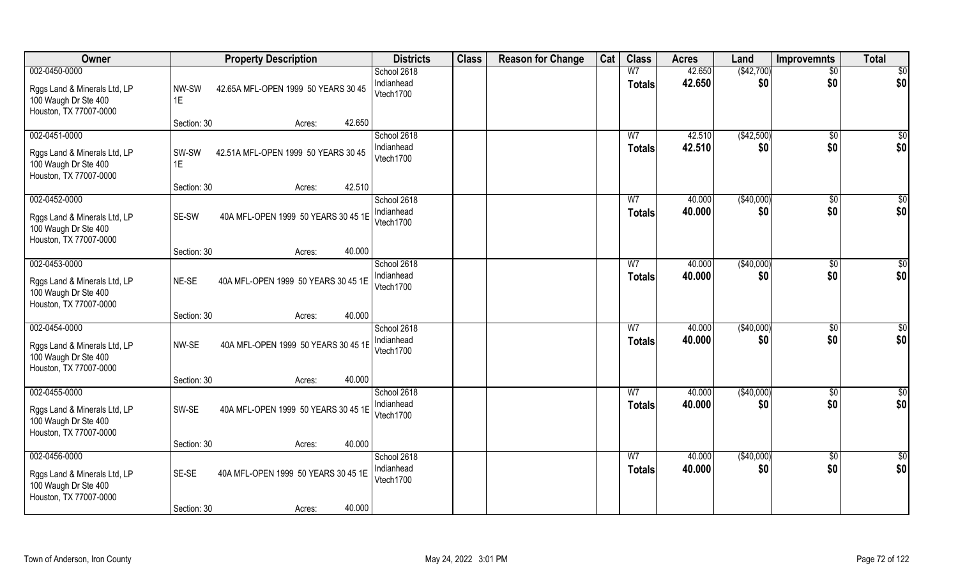| Owner                                                                                           |                      | <b>Property Description</b>                   |        | <b>Districts</b>                       | <b>Class</b> | <b>Reason for Change</b> | Cat | <b>Class</b>                    | <b>Acres</b>     | Land               | <b>Improvemnts</b>     | <b>Total</b>           |
|-------------------------------------------------------------------------------------------------|----------------------|-----------------------------------------------|--------|----------------------------------------|--------------|--------------------------|-----|---------------------------------|------------------|--------------------|------------------------|------------------------|
| 002-0450-0000<br>Rggs Land & Minerals Ltd, LP<br>100 Waugh Dr Ste 400<br>Houston, TX 77007-0000 | NW-SW<br>1E          | 42.65A MFL-OPEN 1999 50 YEARS 30 45           |        | School 2618<br>Indianhead<br>Vtech1700 |              |                          |     | W <sub>7</sub><br>Totals        | 42.650<br>42.650 | (\$42,700)<br>\$0  | $\overline{50}$<br>\$0 | $\overline{50}$<br>\$0 |
|                                                                                                 | Section: 30          | Acres:                                        | 42.650 |                                        |              |                          |     |                                 |                  |                    |                        |                        |
| 002-0451-0000<br>Rggs Land & Minerals Ltd, LP<br>100 Waugh Dr Ste 400<br>Houston, TX 77007-0000 | SW-SW<br>1E          | 42.51A MFL-OPEN 1999 50 YEARS 30 45           |        | School 2618<br>Indianhead<br>Vtech1700 |              |                          |     | W <sub>7</sub><br>Totals        | 42.510<br>42.510 | (\$42,500)<br>\$0  | \$0<br>\$0             | $\sqrt{50}$<br>\$0     |
|                                                                                                 | Section: 30          | Acres:                                        | 42.510 |                                        |              |                          |     |                                 |                  |                    |                        |                        |
| 002-0452-0000<br>Rggs Land & Minerals Ltd, LP<br>100 Waugh Dr Ste 400<br>Houston, TX 77007-0000 | SE-SW                | 40A MFL-OPEN 1999 50 YEARS 30 45 1E           |        | School 2618<br>Indianhead<br>Vtech1700 |              |                          |     | W <sub>7</sub><br><b>Totals</b> | 40.000<br>40.000 | ( \$40,000)<br>\$0 | \$0<br>\$0             | \$0<br>\$0             |
|                                                                                                 | Section: 30          | Acres:                                        | 40.000 |                                        |              |                          |     |                                 |                  |                    |                        |                        |
| 002-0453-0000<br>Rggs Land & Minerals Ltd, LP<br>100 Waugh Dr Ste 400<br>Houston, TX 77007-0000 | NE-SE                | 40A MFL-OPEN 1999 50 YEARS 30 45 1E           |        | School 2618<br>Indianhead<br>Vtech1700 |              |                          |     | W7<br><b>Totals</b>             | 40.000<br>40.000 | (\$40,000)<br>\$0  | \$0<br>\$0             | \$<br>\$0              |
|                                                                                                 | Section: 30          | Acres:                                        | 40.000 |                                        |              |                          |     |                                 |                  |                    |                        |                        |
| 002-0454-0000<br>Rggs Land & Minerals Ltd, LP<br>100 Waugh Dr Ste 400<br>Houston, TX 77007-0000 | NW-SE                | 40A MFL-OPEN 1999 50 YEARS 30 45 1E           |        | School 2618<br>Indianhead<br>Vtech1700 |              |                          |     | W <sub>7</sub><br><b>Totals</b> | 40.000<br>40.000 | (\$40,000)<br>\$0  | \$0<br>\$0             | $\overline{50}$<br>\$0 |
|                                                                                                 | Section: 30          | Acres:                                        | 40.000 |                                        |              |                          |     |                                 |                  |                    |                        |                        |
| 002-0455-0000<br>Rggs Land & Minerals Ltd, LP<br>100 Waugh Dr Ste 400<br>Houston, TX 77007-0000 | SW-SE                | 40A MFL-OPEN 1999 50 YEARS 30 45 1E           |        | School 2618<br>Indianhead<br>Vtech1700 |              |                          |     | W <sub>7</sub><br><b>Totals</b> | 40.000<br>40.000 | (\$40,000)<br>\$0  | \$0<br>\$0             | \$0<br>\$0             |
|                                                                                                 | Section: 30          | Acres:                                        | 40.000 |                                        |              |                          |     |                                 |                  |                    |                        |                        |
| 002-0456-0000<br>Rggs Land & Minerals Ltd, LP<br>100 Waugh Dr Ste 400<br>Houston, TX 77007-0000 | SE-SE<br>Section: 30 | 40A MFL-OPEN 1999 50 YEARS 30 45 1E<br>Acres: | 40.000 | School 2618<br>Indianhead<br>Vtech1700 |              |                          |     | W <sub>7</sub><br>Totals        | 40.000<br>40.000 | (\$40,000)<br>\$0  | \$0<br>\$0             | \$0<br>\$0             |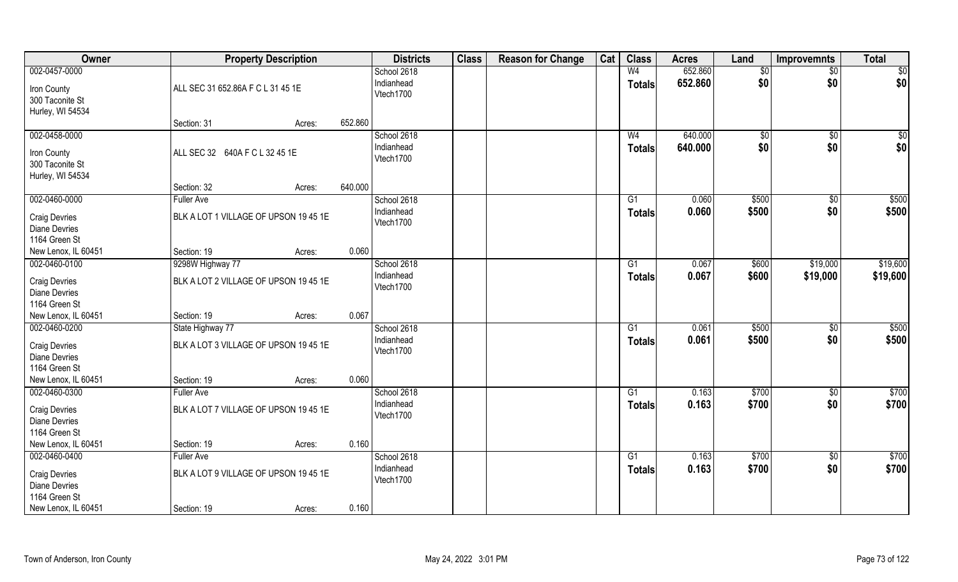| Owner                                 |                   | <b>Property Description</b>           |         | <b>Districts</b> | <b>Class</b> | <b>Reason for Change</b> | Cat | <b>Class</b>    | <b>Acres</b> | Land        | <b>Improvemnts</b> | <b>Total</b> |
|---------------------------------------|-------------------|---------------------------------------|---------|------------------|--------------|--------------------------|-----|-----------------|--------------|-------------|--------------------|--------------|
| 002-0457-0000                         |                   |                                       |         | School 2618      |              |                          |     | W <sub>4</sub>  | 652.860      | \$0         | $\frac{1}{2}$      | \$0          |
| Iron County                           |                   | ALL SEC 31 652.86A F C L 31 45 1E     |         | Indianhead       |              |                          |     | <b>Totals</b>   | 652.860      | \$0         | \$0                | \$0          |
| 300 Taconite St                       |                   |                                       |         | Vtech1700        |              |                          |     |                 |              |             |                    |              |
| Hurley, WI 54534                      |                   |                                       |         |                  |              |                          |     |                 |              |             |                    |              |
|                                       | Section: 31       | Acres:                                | 652.860 |                  |              |                          |     |                 |              |             |                    |              |
| 002-0458-0000                         |                   |                                       |         | School 2618      |              |                          |     | W <sub>4</sub>  | 640.000      | $\sqrt{50}$ | $\overline{50}$    | \$0          |
|                                       |                   |                                       |         | Indianhead       |              |                          |     | Totals          | 640.000      | \$0         | \$0                | \$0          |
| Iron County                           |                   | ALL SEC 32 640A F C L 32 45 1E        |         | Vtech1700        |              |                          |     |                 |              |             |                    |              |
| 300 Taconite St                       |                   |                                       |         |                  |              |                          |     |                 |              |             |                    |              |
| Hurley, WI 54534                      | Section: 32       |                                       | 640.000 |                  |              |                          |     |                 |              |             |                    |              |
| 002-0460-0000                         | <b>Fuller Ave</b> | Acres:                                |         | School 2618      |              |                          |     | $\overline{G1}$ | 0.060        | \$500       | $\overline{50}$    | \$500        |
|                                       |                   |                                       |         | Indianhead       |              |                          |     |                 |              |             |                    |              |
| <b>Craig Devries</b>                  |                   | BLK A LOT 1 VILLAGE OF UPSON 19 45 1E |         | Vtech1700        |              |                          |     | <b>Totals</b>   | 0.060        | \$500       | \$0                | \$500        |
| Diane Devries                         |                   |                                       |         |                  |              |                          |     |                 |              |             |                    |              |
| 1164 Green St                         |                   |                                       |         |                  |              |                          |     |                 |              |             |                    |              |
| New Lenox, IL 60451                   | Section: 19       | Acres:                                | 0.060   |                  |              |                          |     |                 |              |             |                    |              |
| 002-0460-0100                         | 9298W Highway 77  |                                       |         | School 2618      |              |                          |     | G1              | 0.067        | \$600       | \$19,000           | \$19,600     |
| <b>Craig Devries</b>                  |                   | BLK A LOT 2 VILLAGE OF UPSON 19 45 1E |         | Indianhead       |              |                          |     | <b>Totals</b>   | 0.067        | \$600       | \$19,000           | \$19,600     |
| <b>Diane Devries</b>                  |                   |                                       |         | Vtech1700        |              |                          |     |                 |              |             |                    |              |
| 1164 Green St                         |                   |                                       |         |                  |              |                          |     |                 |              |             |                    |              |
| New Lenox, IL 60451                   | Section: 19       | Acres:                                | 0.067   |                  |              |                          |     |                 |              |             |                    |              |
| 002-0460-0200                         | State Highway 77  |                                       |         | School 2618      |              |                          |     | G1              | 0.061        | \$500       | \$0                | \$500        |
|                                       |                   |                                       |         | Indianhead       |              |                          |     | <b>Totals</b>   | 0.061        | \$500       | \$0                | \$500        |
| <b>Craig Devries</b>                  |                   | BLK A LOT 3 VILLAGE OF UPSON 19 45 1E |         | Vtech1700        |              |                          |     |                 |              |             |                    |              |
| <b>Diane Devries</b><br>1164 Green St |                   |                                       |         |                  |              |                          |     |                 |              |             |                    |              |
| New Lenox, IL 60451                   | Section: 19       | Acres:                                | 0.060   |                  |              |                          |     |                 |              |             |                    |              |
| 002-0460-0300                         | <b>Fuller Ave</b> |                                       |         | School 2618      |              |                          |     | G1              | 0.163        | \$700       | $\frac{6}{5}$      | \$700        |
|                                       |                   |                                       |         | Indianhead       |              |                          |     |                 | 0.163        | \$700       | \$0                | \$700        |
| <b>Craig Devries</b>                  |                   | BLK A LOT 7 VILLAGE OF UPSON 19 45 1E |         | Vtech1700        |              |                          |     | <b>Totals</b>   |              |             |                    |              |
| <b>Diane Devries</b>                  |                   |                                       |         |                  |              |                          |     |                 |              |             |                    |              |
| 1164 Green St                         |                   |                                       |         |                  |              |                          |     |                 |              |             |                    |              |
| New Lenox, IL 60451                   | Section: 19       | Acres:                                | 0.160   |                  |              |                          |     |                 |              |             |                    |              |
| 002-0460-0400                         | <b>Fuller Ave</b> |                                       |         | School 2618      |              |                          |     | G1              | 0.163        | \$700       | $\overline{50}$    | \$700        |
| <b>Craig Devries</b>                  |                   | BLK A LOT 9 VILLAGE OF UPSON 19 45 1E |         | Indianhead       |              |                          |     | <b>Totals</b>   | 0.163        | \$700       | \$0                | \$700        |
| <b>Diane Devries</b>                  |                   |                                       |         | Vtech1700        |              |                          |     |                 |              |             |                    |              |
| 1164 Green St                         |                   |                                       |         |                  |              |                          |     |                 |              |             |                    |              |
| New Lenox, IL 60451                   | Section: 19       | Acres:                                | 0.160   |                  |              |                          |     |                 |              |             |                    |              |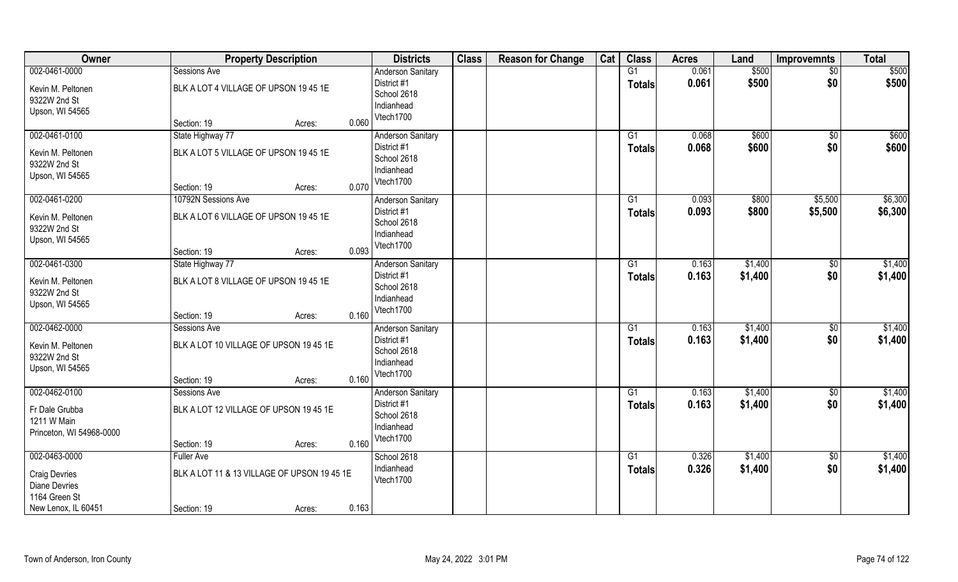| Owner                    | <b>Property Description</b>                 |       | <b>Districts</b>         | <b>Class</b> | <b>Reason for Change</b> | Cat | <b>Class</b>    | <b>Acres</b> | Land    | <b>Improvemnts</b> | <b>Total</b> |
|--------------------------|---------------------------------------------|-------|--------------------------|--------------|--------------------------|-----|-----------------|--------------|---------|--------------------|--------------|
| 002-0461-0000            | Sessions Ave                                |       | <b>Anderson Sanitary</b> |              |                          |     | G1              | 0.061        | \$500   | $\sqrt{$0}$        | \$500        |
| Kevin M. Peltonen        | BLK A LOT 4 VILLAGE OF UPSON 19 45 1E       |       | District #1              |              |                          |     | <b>Totals</b>   | 0.061        | \$500   | \$0                | \$500        |
| 9322W 2nd St             |                                             |       | School 2618              |              |                          |     |                 |              |         |                    |              |
| Upson, WI 54565          |                                             |       | Indianhead               |              |                          |     |                 |              |         |                    |              |
|                          | Section: 19<br>Acres:                       | 0.060 | Vtech1700                |              |                          |     |                 |              |         |                    |              |
| 002-0461-0100            | State Highway 77                            |       | <b>Anderson Sanitary</b> |              |                          |     | G1              | 0.068        | \$600   | $\sqrt{$0}$        | \$600        |
| Kevin M. Peltonen        | BLK A LOT 5 VILLAGE OF UPSON 19 45 1E       |       | District #1              |              |                          |     | <b>Totals</b>   | 0.068        | \$600   | \$0                | \$600        |
| 9322W 2nd St             |                                             |       | School 2618              |              |                          |     |                 |              |         |                    |              |
| Upson, WI 54565          |                                             |       | Indianhead               |              |                          |     |                 |              |         |                    |              |
|                          | Section: 19<br>Acres:                       | 0.070 | Vtech1700                |              |                          |     |                 |              |         |                    |              |
| 002-0461-0200            | 10792N Sessions Ave                         |       | <b>Anderson Sanitary</b> |              |                          |     | G1              | 0.093        | \$800   | \$5,500            | \$6,300      |
| Kevin M. Peltonen        | BLK A LOT 6 VILLAGE OF UPSON 19 45 1E       |       | District #1              |              |                          |     | <b>Totals</b>   | 0.093        | \$800   | \$5,500            | \$6,300      |
| 9322W 2nd St             |                                             |       | School 2618              |              |                          |     |                 |              |         |                    |              |
| Upson, WI 54565          |                                             |       | Indianhead               |              |                          |     |                 |              |         |                    |              |
|                          | Section: 19<br>Acres:                       | 0.093 | Vtech1700                |              |                          |     |                 |              |         |                    |              |
| 002-0461-0300            | State Highway 77                            |       | <b>Anderson Sanitary</b> |              |                          |     | G1              | 0.163        | \$1,400 | $\sqrt[6]{3}$      | \$1,400      |
|                          |                                             |       | District #1              |              |                          |     | <b>Totals</b>   | 0.163        | \$1,400 | \$0                | \$1,400      |
| Kevin M. Peltonen        | BLK A LOT 8 VILLAGE OF UPSON 19 45 1E       |       | School 2618              |              |                          |     |                 |              |         |                    |              |
| 9322W 2nd St             |                                             |       | Indianhead               |              |                          |     |                 |              |         |                    |              |
| Upson, WI 54565          |                                             |       | Vtech1700                |              |                          |     |                 |              |         |                    |              |
|                          | Section: 19<br>Acres:                       | 0.160 |                          |              |                          |     |                 |              |         |                    |              |
| 002-0462-0000            | Sessions Ave                                |       | Anderson Sanitary        |              |                          |     | G1              | 0.163        | \$1,400 | \$0                | \$1,400      |
| Kevin M. Peltonen        | BLK A LOT 10 VILLAGE OF UPSON 19 45 1E      |       | District #1              |              |                          |     | <b>Totals</b>   | 0.163        | \$1,400 | \$0                | \$1,400      |
| 9322W 2nd St             |                                             |       | School 2618              |              |                          |     |                 |              |         |                    |              |
| Upson, WI 54565          |                                             |       | Indianhead               |              |                          |     |                 |              |         |                    |              |
|                          | Section: 19<br>Acres:                       | 0.160 | Vtech1700                |              |                          |     |                 |              |         |                    |              |
| 002-0462-0100            | Sessions Ave                                |       | Anderson Sanitary        |              |                          |     | G1              | 0.163        | \$1,400 | \$0                | \$1,400      |
| Fr Dale Grubba           | BLK A LOT 12 VILLAGE OF UPSON 19 45 1E      |       | District #1              |              |                          |     | <b>Totals</b>   | 0.163        | \$1,400 | \$0                | \$1,400      |
| 1211 W Main              |                                             |       | School 2618              |              |                          |     |                 |              |         |                    |              |
| Princeton, WI 54968-0000 |                                             |       | Indianhead               |              |                          |     |                 |              |         |                    |              |
|                          | Section: 19<br>Acres:                       | 0.160 | Vtech1700                |              |                          |     |                 |              |         |                    |              |
| 002-0463-0000            | <b>Fuller Ave</b>                           |       | School 2618              |              |                          |     | $\overline{G1}$ | 0.326        | \$1,400 | $\overline{50}$    | \$1,400      |
|                          |                                             |       | Indianhead               |              |                          |     | <b>Totals</b>   | 0.326        | \$1,400 | \$0                | \$1,400      |
| <b>Craig Devries</b>     | BLK A LOT 11 & 13 VILLAGE OF UPSON 19 45 1E |       | Vtech1700                |              |                          |     |                 |              |         |                    |              |
| <b>Diane Devries</b>     |                                             |       |                          |              |                          |     |                 |              |         |                    |              |
| 1164 Green St            |                                             |       |                          |              |                          |     |                 |              |         |                    |              |
| New Lenox, IL 60451      | Section: 19<br>Acres:                       | 0.163 |                          |              |                          |     |                 |              |         |                    |              |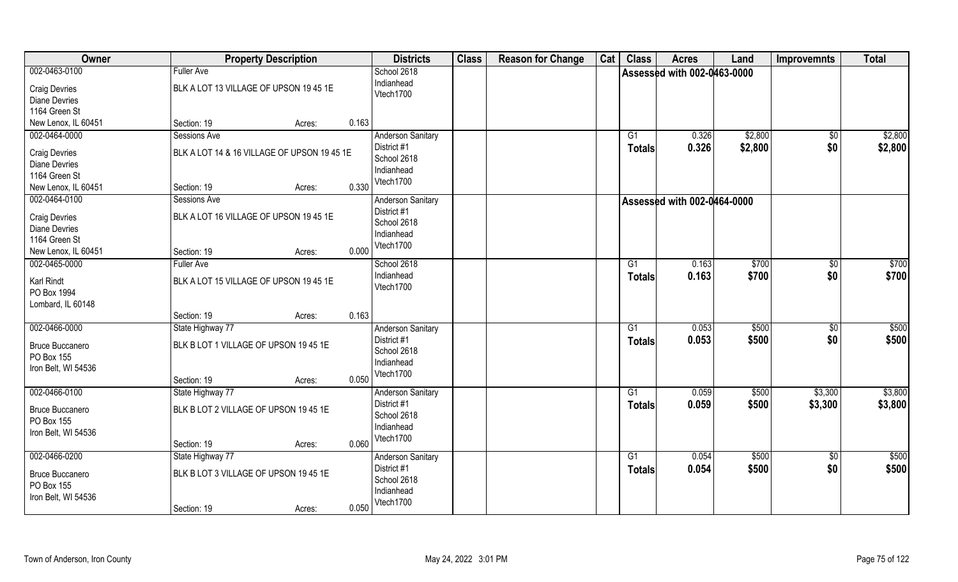| Owner                  |                                             | <b>Property Description</b> |       | <b>Districts</b>         | <b>Class</b> | <b>Reason for Change</b> | Cat | <b>Class</b>    | <b>Acres</b>                | Land    | <b>Improvemnts</b> | <b>Total</b>      |
|------------------------|---------------------------------------------|-----------------------------|-------|--------------------------|--------------|--------------------------|-----|-----------------|-----------------------------|---------|--------------------|-------------------|
| 002-0463-0100          | <b>Fuller Ave</b>                           |                             |       | School 2618              |              |                          |     |                 | Assessed with 002-0463-0000 |         |                    |                   |
| <b>Craig Devries</b>   | BLK A LOT 13 VILLAGE OF UPSON 19 45 1E      |                             |       | Indianhead               |              |                          |     |                 |                             |         |                    |                   |
| <b>Diane Devries</b>   |                                             |                             |       | Vtech1700                |              |                          |     |                 |                             |         |                    |                   |
| 1164 Green St          |                                             |                             |       |                          |              |                          |     |                 |                             |         |                    |                   |
| New Lenox, IL 60451    | Section: 19                                 | Acres:                      | 0.163 |                          |              |                          |     |                 |                             |         |                    |                   |
| 002-0464-0000          | Sessions Ave                                |                             |       | <b>Anderson Sanitary</b> |              |                          |     | G1              | 0.326                       | \$2,800 | $\sqrt{50}$        | \$2,800           |
|                        |                                             |                             |       | District #1              |              |                          |     |                 | 0.326                       | \$2,800 | \$0                | \$2,800           |
| <b>Craig Devries</b>   | BLK A LOT 14 & 16 VILLAGE OF UPSON 19 45 1E |                             |       | School 2618              |              |                          |     | <b>Totals</b>   |                             |         |                    |                   |
| <b>Diane Devries</b>   |                                             |                             |       | Indianhead               |              |                          |     |                 |                             |         |                    |                   |
| 1164 Green St          |                                             |                             |       | Vtech1700                |              |                          |     |                 |                             |         |                    |                   |
| New Lenox, IL 60451    | Section: 19                                 | Acres:                      | 0.330 |                          |              |                          |     |                 |                             |         |                    |                   |
| 002-0464-0100          | Sessions Ave                                |                             |       | <b>Anderson Sanitary</b> |              |                          |     |                 | Assessed with 002-0464-0000 |         |                    |                   |
|                        |                                             |                             |       | District #1              |              |                          |     |                 |                             |         |                    |                   |
| <b>Craig Devries</b>   | BLK A LOT 16 VILLAGE OF UPSON 19 45 1E      |                             |       | School 2618              |              |                          |     |                 |                             |         |                    |                   |
| <b>Diane Devries</b>   |                                             |                             |       | Indianhead               |              |                          |     |                 |                             |         |                    |                   |
| 1164 Green St          |                                             |                             |       | Vtech1700                |              |                          |     |                 |                             |         |                    |                   |
| New Lenox, IL 60451    | Section: 19                                 | Acres:                      | 0.000 |                          |              |                          |     |                 |                             |         |                    |                   |
| 002-0465-0000          | <b>Fuller Ave</b>                           |                             |       | School 2618              |              |                          |     | G1              | 0.163                       | \$700   | \$0                | $\overline{$700}$ |
| Karl Rindt             | BLK A LOT 15 VILLAGE OF UPSON 19 45 1E      |                             |       | Indianhead               |              |                          |     | Totals          | 0.163                       | \$700   | \$0                | \$700             |
| PO Box 1994            |                                             |                             |       | Vtech1700                |              |                          |     |                 |                             |         |                    |                   |
| Lombard, IL 60148      |                                             |                             |       |                          |              |                          |     |                 |                             |         |                    |                   |
|                        |                                             |                             | 0.163 |                          |              |                          |     |                 |                             |         |                    |                   |
|                        | Section: 19                                 | Acres:                      |       |                          |              |                          |     |                 |                             |         |                    |                   |
| 002-0466-0000          | State Highway 77                            |                             |       | <b>Anderson Sanitary</b> |              |                          |     | G1              | 0.053                       | \$500   | $\overline{50}$    | \$500             |
| <b>Bruce Buccanero</b> | BLK B LOT 1 VILLAGE OF UPSON 19 45 1E       |                             |       | District #1              |              |                          |     | <b>Totals</b>   | 0.053                       | \$500   | \$0                | \$500             |
| PO Box 155             |                                             |                             |       | School 2618              |              |                          |     |                 |                             |         |                    |                   |
| Iron Belt, WI 54536    |                                             |                             |       | Indianhead               |              |                          |     |                 |                             |         |                    |                   |
|                        | Section: 19                                 | Acres:                      | 0.050 | Vtech1700                |              |                          |     |                 |                             |         |                    |                   |
| 002-0466-0100          | State Highway 77                            |                             |       | <b>Anderson Sanitary</b> |              |                          |     | G1              | 0.059                       | \$500   | \$3,300            | \$3,800           |
|                        |                                             |                             |       | District #1              |              |                          |     | <b>Totals</b>   | 0.059                       | \$500   | \$3,300            | \$3,800           |
| <b>Bruce Buccanero</b> | BLK B LOT 2 VILLAGE OF UPSON 19 45 1E       |                             |       | School 2618              |              |                          |     |                 |                             |         |                    |                   |
| PO Box 155             |                                             |                             |       | Indianhead               |              |                          |     |                 |                             |         |                    |                   |
| Iron Belt, WI 54536    |                                             |                             |       |                          |              |                          |     |                 |                             |         |                    |                   |
|                        | Section: 19                                 | Acres:                      | 0.060 | Vtech1700                |              |                          |     |                 |                             |         |                    |                   |
| 002-0466-0200          | State Highway 77                            |                             |       | <b>Anderson Sanitary</b> |              |                          |     | $\overline{G1}$ | 0.054                       | \$500   | $\overline{50}$    | \$500             |
|                        |                                             |                             |       | District #1              |              |                          |     | <b>Totals</b>   | 0.054                       | \$500   | \$0                | \$500             |
| <b>Bruce Buccanero</b> | BLK B LOT 3 VILLAGE OF UPSON 19 45 1E       |                             |       | School 2618              |              |                          |     |                 |                             |         |                    |                   |
| PO Box 155             |                                             |                             |       | Indianhead               |              |                          |     |                 |                             |         |                    |                   |
| Iron Belt, WI 54536    |                                             |                             |       | Vtech1700                |              |                          |     |                 |                             |         |                    |                   |
|                        | Section: 19                                 | Acres:                      | 0.050 |                          |              |                          |     |                 |                             |         |                    |                   |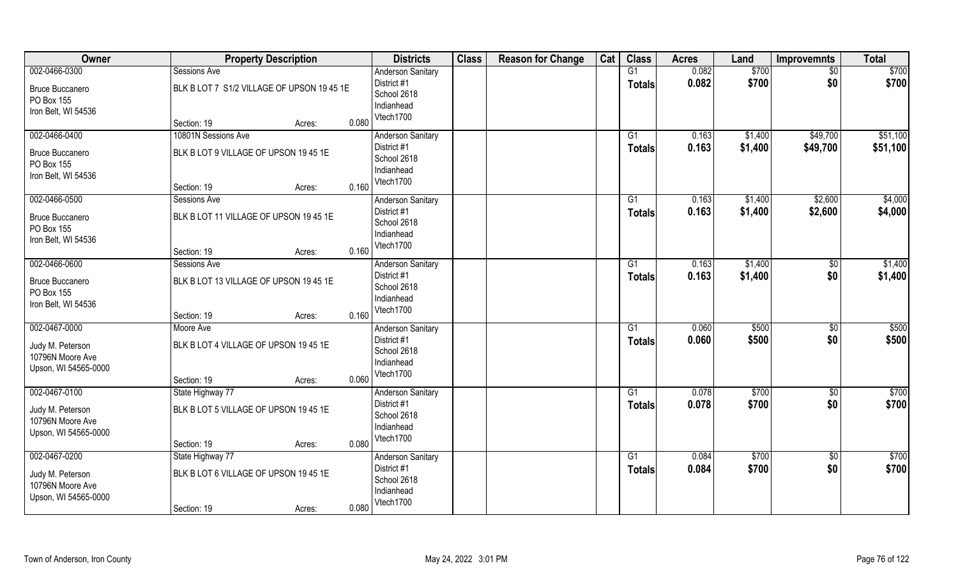| Owner                                                                         | <b>Property Description</b>                                                           |       | <b>Districts</b>                                                                  | <b>Class</b> | <b>Reason for Change</b> | Cat | <b>Class</b>                     | <b>Acres</b>   | Land               | <b>Improvemnts</b>     | <b>Total</b>         |
|-------------------------------------------------------------------------------|---------------------------------------------------------------------------------------|-------|-----------------------------------------------------------------------------------|--------------|--------------------------|-----|----------------------------------|----------------|--------------------|------------------------|----------------------|
| 002-0466-0300<br><b>Bruce Buccanero</b><br>PO Box 155<br>Iron Belt, WI 54536  | Sessions Ave<br>BLK B LOT 7 S1/2 VILLAGE OF UPSON 19 45 1E<br>Section: 19<br>Acres:   | 0.080 | <b>Anderson Sanitary</b><br>District #1<br>School 2618<br>Indianhead<br>Vtech1700 |              |                          |     | G1<br><b>Totals</b>              | 0.082<br>0.082 | \$700<br>\$700     | $\frac{1}{30}$<br>\$0  | \$700<br>\$700       |
| 002-0466-0400<br><b>Bruce Buccanero</b><br>PO Box 155<br>Iron Belt, WI 54536  | 10801N Sessions Ave<br>BLK B LOT 9 VILLAGE OF UPSON 19 45 1E<br>Section: 19<br>Acres: | 0.160 | <b>Anderson Sanitary</b><br>District #1<br>School 2618<br>Indianhead<br>Vtech1700 |              |                          |     | G1<br>Totals                     | 0.163<br>0.163 | \$1,400<br>\$1,400 | \$49,700<br>\$49,700   | \$51,100<br>\$51,100 |
| 002-0466-0500<br><b>Bruce Buccanero</b><br>PO Box 155<br>Iron Belt, WI 54536  | Sessions Ave<br>BLK B LOT 11 VILLAGE OF UPSON 19 45 1E<br>Section: 19<br>Acres:       | 0.160 | <b>Anderson Sanitary</b><br>District #1<br>School 2618<br>Indianhead<br>Vtech1700 |              |                          |     | G1<br><b>Totals</b>              | 0.163<br>0.163 | \$1,400<br>\$1,400 | \$2,600<br>\$2,600     | \$4,000<br>\$4,000   |
| 002-0466-0600<br><b>Bruce Buccanero</b><br>PO Box 155<br>Iron Belt, WI 54536  | Sessions Ave<br>BLK B LOT 13 VILLAGE OF UPSON 19 45 1E<br>Section: 19<br>Acres:       | 0.160 | <b>Anderson Sanitary</b><br>District #1<br>School 2618<br>Indianhead<br>Vtech1700 |              |                          |     | G1<br><b>Totals</b>              | 0.163<br>0.163 | \$1,400<br>\$1,400 | \$<br>\$0              | \$1,400<br>\$1,400   |
| 002-0467-0000<br>Judy M. Peterson<br>10796N Moore Ave<br>Upson, WI 54565-0000 | Moore Ave<br>BLK B LOT 4 VILLAGE OF UPSON 19 45 1E<br>Section: 19<br>Acres:           | 0.060 | Anderson Sanitary<br>District #1<br>School 2618<br>Indianhead<br>Vtech1700        |              |                          |     | $\overline{G1}$<br><b>Totals</b> | 0.060<br>0.060 | \$500<br>\$500     | $\overline{50}$<br>\$0 | \$500<br>\$500       |
| 002-0467-0100<br>Judy M. Peterson<br>10796N Moore Ave<br>Upson, WI 54565-0000 | State Highway 77<br>BLK B LOT 5 VILLAGE OF UPSON 19 45 1E<br>Section: 19<br>Acres:    | 0.080 | <b>Anderson Sanitary</b><br>District #1<br>School 2618<br>Indianhead<br>Vtech1700 |              |                          |     | G1<br><b>Totals</b>              | 0.078<br>0.078 | \$700<br>\$700     | \$0<br>\$0             | \$700<br>\$700       |
| 002-0467-0200<br>Judy M. Peterson<br>10796N Moore Ave<br>Upson, WI 54565-0000 | State Highway 77<br>BLK B LOT 6 VILLAGE OF UPSON 19 45 1E<br>Section: 19<br>Acres:    | 0.080 | <b>Anderson Sanitary</b><br>District #1<br>School 2618<br>Indianhead<br>Vtech1700 |              |                          |     | G1<br><b>Totals</b>              | 0.084<br>0.084 | \$700<br>\$700     | \$0<br>\$0             | \$700<br>\$700       |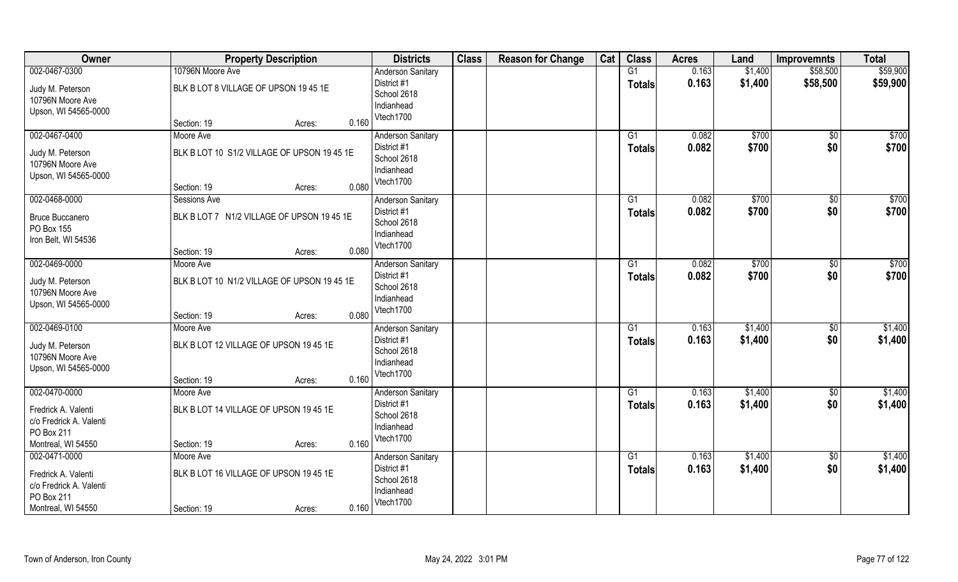| Owner                                                                              | <b>Property Description</b>                                                                | <b>Districts</b>                                                                  | <b>Class</b> | <b>Reason for Change</b> | Cat | <b>Class</b>                    | <b>Acres</b>   | Land               | <b>Improvemnts</b>     | <b>Total</b>       |
|------------------------------------------------------------------------------------|--------------------------------------------------------------------------------------------|-----------------------------------------------------------------------------------|--------------|--------------------------|-----|---------------------------------|----------------|--------------------|------------------------|--------------------|
| 002-0467-0300                                                                      | 10796N Moore Ave                                                                           | <b>Anderson Sanitary</b>                                                          |              |                          |     | G1                              | 0.163          | \$1,400            | \$58,500               | \$59,900           |
| Judy M. Peterson<br>10796N Moore Ave<br>Upson, WI 54565-0000                       | BLK B LOT 8 VILLAGE OF UPSON 19 45 1E                                                      | District #1<br>School 2618<br>Indianhead<br>Vtech1700                             |              |                          |     | <b>Totals</b>                   | 0.163          | \$1,400            | \$58,500               | \$59,900           |
|                                                                                    | 0.160<br>Section: 19<br>Acres:                                                             |                                                                                   |              |                          |     |                                 |                |                    |                        |                    |
| 002-0467-0400<br>Judy M. Peterson<br>10796N Moore Ave<br>Upson, WI 54565-0000      | Moore Ave<br>BLK B LOT 10 S1/2 VILLAGE OF UPSON 19 45 1E<br>0.080<br>Section: 19<br>Acres: | <b>Anderson Sanitary</b><br>District #1<br>School 2618<br>Indianhead<br>Vtech1700 |              |                          |     | G1<br><b>Totals</b>             | 0.082<br>0.082 | \$700<br>\$700     | \$0<br>\$0             | \$700<br>\$700     |
| 002-0468-0000                                                                      | Sessions Ave                                                                               | <b>Anderson Sanitary</b>                                                          |              |                          |     | G1                              | 0.082          | \$700              | $\overline{50}$        | \$700              |
| <b>Bruce Buccanero</b><br>PO Box 155<br>Iron Belt, WI 54536                        | BLK B LOT 7 N1/2 VILLAGE OF UPSON 19 45 1E<br>0.080<br>Section: 19<br>Acres:               | District #1<br>School 2618<br>Indianhead<br>Vtech1700                             |              |                          |     | <b>Totals</b>                   | 0.082          | \$700              | \$0                    | \$700              |
| 002-0469-0000                                                                      | Moore Ave                                                                                  | <b>Anderson Sanitary</b>                                                          |              |                          |     | G1                              | 0.082          | \$700              | $\sqrt[6]{3}$          | $\overline{$700}$  |
| Judy M. Peterson<br>10796N Moore Ave<br>Upson, WI 54565-0000                       | BLK B LOT 10 N1/2 VILLAGE OF UPSON 19 45 1E                                                | District #1<br>School 2618<br>Indianhead<br>Vtech1700                             |              |                          |     | <b>Totals</b>                   | 0.082          | \$700              | \$0                    | \$700              |
|                                                                                    | 0.080<br>Section: 19<br>Acres:                                                             |                                                                                   |              |                          |     |                                 |                |                    |                        |                    |
| 002-0469-0100<br>Judy M. Peterson<br>10796N Moore Ave<br>Upson, WI 54565-0000      | Moore Ave<br>BLK B LOT 12 VILLAGE OF UPSON 19 45 1E<br>0.160<br>Section: 19<br>Acres:      | Anderson Sanitary<br>District #1<br>School 2618<br>Indianhead<br>Vtech1700        |              |                          |     | G <sub>1</sub><br><b>Totals</b> | 0.163<br>0.163 | \$1,400<br>\$1,400 | $\overline{30}$<br>\$0 | \$1,400<br>\$1,400 |
| 002-0470-0000                                                                      | Moore Ave                                                                                  | <b>Anderson Sanitary</b>                                                          |              |                          |     | G1                              | 0.163          | \$1,400            | $\sqrt{6}$             | \$1,400            |
| Fredrick A. Valenti<br>c/o Fredrick A. Valenti<br>PO Box 211<br>Montreal, WI 54550 | BLK B LOT 14 VILLAGE OF UPSON 19 45 1E<br>0.160<br>Section: 19<br>Acres:                   | District #1<br>School 2618<br>Indianhead<br>Vtech1700                             |              |                          |     | <b>Totals</b>                   | 0.163          | \$1,400            | \$0                    | \$1,400            |
| 002-0471-0000                                                                      | Moore Ave                                                                                  | <b>Anderson Sanitary</b>                                                          |              |                          |     | G1                              | 0.163          | \$1,400            | $\sqrt{6}$             | \$1,400            |
| Fredrick A. Valenti<br>c/o Fredrick A. Valenti<br>PO Box 211<br>Montreal, WI 54550 | BLK B LOT 16 VILLAGE OF UPSON 19 45 1E<br>0.160<br>Section: 19<br>Acres:                   | District #1<br>School 2618<br>Indianhead<br>Vtech1700                             |              |                          |     | <b>Totals</b>                   | 0.163          | \$1,400            | \$0                    | \$1,400            |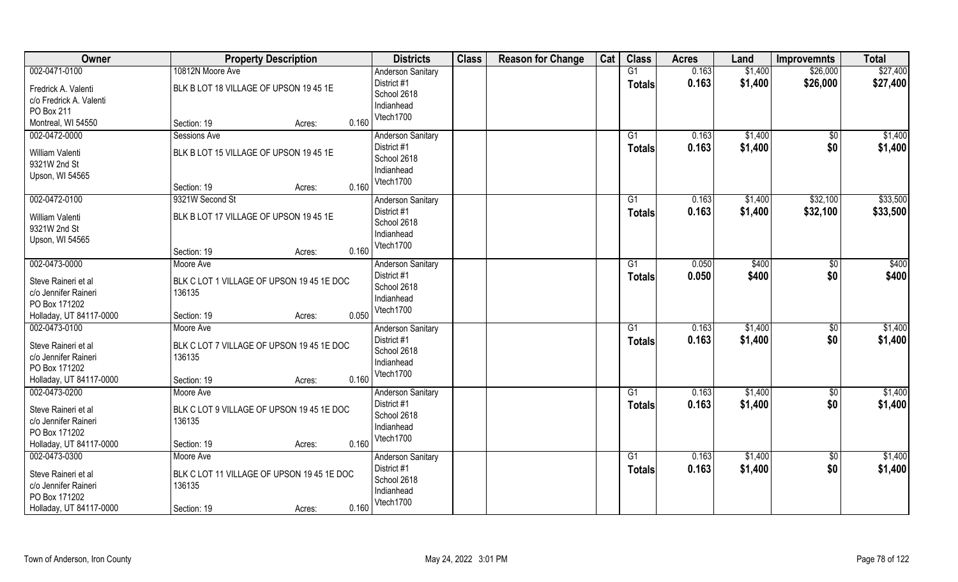| Owner                                    | <b>Property Description</b>                | <b>Districts</b>                 | <b>Class</b> | <b>Reason for Change</b> | Cat | <b>Class</b>    | <b>Acres</b> | Land    | <b>Improvemnts</b> | <b>Total</b> |
|------------------------------------------|--------------------------------------------|----------------------------------|--------------|--------------------------|-----|-----------------|--------------|---------|--------------------|--------------|
| 002-0471-0100                            | 10812N Moore Ave                           | <b>Anderson Sanitary</b>         |              |                          |     | G1              | 0.163        | \$1,400 | \$26,000           | \$27,400     |
| Fredrick A. Valenti                      | BLK B LOT 18 VILLAGE OF UPSON 19 45 1E     | District #1                      |              |                          |     | <b>Totals</b>   | 0.163        | \$1,400 | \$26,000           | \$27,400     |
| c/o Fredrick A. Valenti                  |                                            | School 2618                      |              |                          |     |                 |              |         |                    |              |
| PO Box 211                               |                                            | Indianhead                       |              |                          |     |                 |              |         |                    |              |
| Montreal, WI 54550                       | 0.160<br>Section: 19<br>Acres:             | Vtech1700                        |              |                          |     |                 |              |         |                    |              |
| 002-0472-0000                            | Sessions Ave                               | <b>Anderson Sanitary</b>         |              |                          |     | $\overline{G1}$ | 0.163        | \$1,400 | $\overline{50}$    | \$1,400      |
| William Valenti                          | BLK B LOT 15 VILLAGE OF UPSON 19 45 1E     | District #1                      |              |                          |     | Totals          | 0.163        | \$1,400 | \$0                | \$1,400      |
| 9321W 2nd St                             |                                            | School 2618                      |              |                          |     |                 |              |         |                    |              |
| Upson, WI 54565                          |                                            | Indianhead                       |              |                          |     |                 |              |         |                    |              |
|                                          | 0.160<br>Section: 19<br>Acres:             | Vtech1700                        |              |                          |     |                 |              |         |                    |              |
| 002-0472-0100                            | 9321W Second St                            | <b>Anderson Sanitary</b>         |              |                          |     | G1              | 0.163        | \$1,400 | \$32,100           | \$33,500     |
|                                          |                                            | District #1                      |              |                          |     | <b>Totals</b>   | 0.163        | \$1,400 | \$32,100           | \$33,500     |
| William Valenti                          | BLK B LOT 17 VILLAGE OF UPSON 19 45 1E     | School 2618                      |              |                          |     |                 |              |         |                    |              |
| 9321W 2nd St<br>Upson, WI 54565          |                                            | Indianhead                       |              |                          |     |                 |              |         |                    |              |
|                                          | 0.160<br>Section: 19<br>Acres:             | Vtech1700                        |              |                          |     |                 |              |         |                    |              |
| 002-0473-0000                            | Moore Ave                                  | <b>Anderson Sanitary</b>         |              |                          |     | G1              | 0.050        | \$400   | \$0                | \$400        |
|                                          |                                            | District #1                      |              |                          |     | <b>Totals</b>   | 0.050        | \$400   | \$0                | \$400        |
| Steve Raineri et al                      | BLK C LOT 1 VILLAGE OF UPSON 19 45 1E DOC  | School 2618                      |              |                          |     |                 |              |         |                    |              |
| c/o Jennifer Raineri                     | 136135                                     | Indianhead                       |              |                          |     |                 |              |         |                    |              |
| PO Box 171202                            | 0.050<br>Section: 19                       | Vtech1700                        |              |                          |     |                 |              |         |                    |              |
| Holladay, UT 84117-0000<br>002-0473-0100 | Acres:<br>Moore Ave                        |                                  |              |                          |     | $\overline{G1}$ | 0.163        | \$1,400 | $\overline{50}$    | \$1,400      |
|                                          |                                            | Anderson Sanitary<br>District #1 |              |                          |     |                 | 0.163        | \$1,400 | \$0                | \$1,400      |
| Steve Raineri et al                      | BLK C LOT 7 VILLAGE OF UPSON 19 45 1E DOC  | School 2618                      |              |                          |     | <b>Totals</b>   |              |         |                    |              |
| c/o Jennifer Raineri                     | 136135                                     | Indianhead                       |              |                          |     |                 |              |         |                    |              |
| PO Box 171202                            |                                            | Vtech1700                        |              |                          |     |                 |              |         |                    |              |
| Holladay, UT 84117-0000                  | 0.160<br>Section: 19<br>Acres:             |                                  |              |                          |     |                 |              |         |                    |              |
| 002-0473-0200                            | Moore Ave                                  | <b>Anderson Sanitary</b>         |              |                          |     | G1              | 0.163        | \$1,400 | \$0                | \$1,400      |
| Steve Raineri et al                      | BLK C LOT 9 VILLAGE OF UPSON 1945 1E DOC   | District #1                      |              |                          |     | <b>Totals</b>   | 0.163        | \$1,400 | \$0                | \$1,400      |
| c/o Jennifer Raineri                     | 136135                                     | School 2618                      |              |                          |     |                 |              |         |                    |              |
| PO Box 171202                            |                                            | Indianhead                       |              |                          |     |                 |              |         |                    |              |
| Holladay, UT 84117-0000                  | 0.160<br>Section: 19<br>Acres:             | Vtech1700                        |              |                          |     |                 |              |         |                    |              |
| 002-0473-0300                            | Moore Ave                                  | <b>Anderson Sanitary</b>         |              |                          |     | G1              | 0.163        | \$1,400 | $\overline{50}$    | \$1,400      |
| Steve Raineri et al                      | BLK C LOT 11 VILLAGE OF UPSON 19 45 1E DOC | District #1                      |              |                          |     | <b>Totals</b>   | 0.163        | \$1,400 | \$0                | \$1,400      |
| c/o Jennifer Raineri                     | 136135                                     | School 2618                      |              |                          |     |                 |              |         |                    |              |
| PO Box 171202                            |                                            | Indianhead                       |              |                          |     |                 |              |         |                    |              |
| Holladay, UT 84117-0000                  | 0.160<br>Section: 19<br>Acres:             | Vtech1700                        |              |                          |     |                 |              |         |                    |              |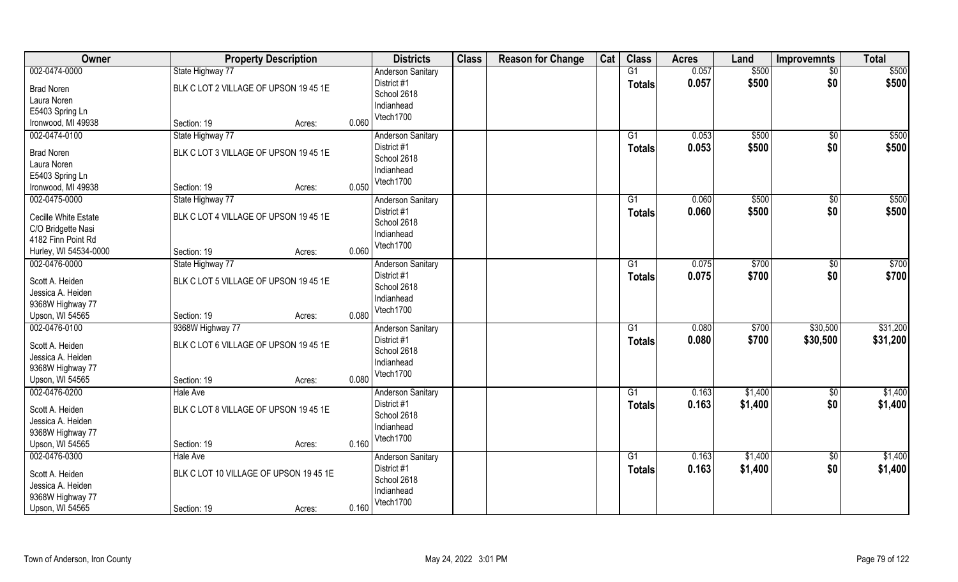| Owner                 | <b>Property Description</b>            |       | <b>Districts</b>         | <b>Class</b> | <b>Reason for Change</b> | Cat | <b>Class</b>    | <b>Acres</b> | Land    | <b>Improvemnts</b> | <b>Total</b> |
|-----------------------|----------------------------------------|-------|--------------------------|--------------|--------------------------|-----|-----------------|--------------|---------|--------------------|--------------|
| 002-0474-0000         | State Highway 77                       |       | <b>Anderson Sanitary</b> |              |                          |     | $\overline{G1}$ | 0.057        | \$500   | $\sqrt{$0}$        | \$500        |
| <b>Brad Noren</b>     | BLK C LOT 2 VILLAGE OF UPSON 19 45 1E  |       | District #1              |              |                          |     | <b>Totals</b>   | 0.057        | \$500   | \$0                | \$500        |
| Laura Noren           |                                        |       | School 2618              |              |                          |     |                 |              |         |                    |              |
| E5403 Spring Ln       |                                        |       | Indianhead               |              |                          |     |                 |              |         |                    |              |
| Ironwood, MI 49938    | Section: 19<br>Acres:                  | 0.060 | Vtech1700                |              |                          |     |                 |              |         |                    |              |
| 002-0474-0100         | State Highway 77                       |       | <b>Anderson Sanitary</b> |              |                          |     | G1              | 0.053        | \$500   | \$0                | \$500        |
|                       |                                        |       | District #1              |              |                          |     |                 | 0.053        | \$500   | \$0                | \$500        |
| <b>Brad Noren</b>     | BLK C LOT 3 VILLAGE OF UPSON 19 45 1E  |       | School 2618              |              |                          |     | <b>Totals</b>   |              |         |                    |              |
| Laura Noren           |                                        |       | Indianhead               |              |                          |     |                 |              |         |                    |              |
| E5403 Spring Ln       |                                        |       | Vtech1700                |              |                          |     |                 |              |         |                    |              |
| Ironwood, MI 49938    | Section: 19<br>Acres:                  | 0.050 |                          |              |                          |     |                 |              |         |                    |              |
| 002-0475-0000         | State Highway 77                       |       | <b>Anderson Sanitary</b> |              |                          |     | G1              | 0.060        | \$500   | \$0                | \$500        |
|                       |                                        |       | District #1              |              |                          |     | <b>Totals</b>   | 0.060        | \$500   | \$0                | \$500        |
| Cecille White Estate  | BLK C LOT 4 VILLAGE OF UPSON 19 45 1E  |       | School 2618              |              |                          |     |                 |              |         |                    |              |
| C/O Bridgette Nasi    |                                        |       | Indianhead               |              |                          |     |                 |              |         |                    |              |
| 4182 Finn Point Rd    |                                        | 0.060 | Vtech1700                |              |                          |     |                 |              |         |                    |              |
| Hurley, WI 54534-0000 | Section: 19<br>Acres:                  |       |                          |              |                          |     |                 |              |         |                    |              |
| 002-0476-0000         | State Highway 77                       |       | <b>Anderson Sanitary</b> |              |                          |     | G1              | 0.075        | \$700   | $\sqrt[6]{3}$      | \$700        |
| Scott A. Heiden       | BLK C LOT 5 VILLAGE OF UPSON 19 45 1E  |       | District #1              |              |                          |     | <b>Totals</b>   | 0.075        | \$700   | \$0                | \$700        |
| Jessica A. Heiden     |                                        |       | School 2618              |              |                          |     |                 |              |         |                    |              |
| 9368W Highway 77      |                                        |       | Indianhead               |              |                          |     |                 |              |         |                    |              |
| Upson, WI 54565       | Section: 19<br>Acres:                  | 0.080 | Vtech1700                |              |                          |     |                 |              |         |                    |              |
| 002-0476-0100         | 9368W Highway 77                       |       | Anderson Sanitary        |              |                          |     | G1              | 0.080        | \$700   | \$30,500           | \$31,200     |
|                       |                                        |       | District #1              |              |                          |     | Totals          | 0.080        | \$700   | \$30,500           | \$31,200     |
| Scott A. Heiden       | BLK C LOT 6 VILLAGE OF UPSON 19 45 1E  |       | School 2618              |              |                          |     |                 |              |         |                    |              |
| Jessica A. Heiden     |                                        |       | Indianhead               |              |                          |     |                 |              |         |                    |              |
| 9368W Highway 77      |                                        |       | Vtech1700                |              |                          |     |                 |              |         |                    |              |
| Upson, WI 54565       | Section: 19<br>Acres:                  | 0.080 |                          |              |                          |     |                 |              |         |                    |              |
| 002-0476-0200         | Hale Ave                               |       | <b>Anderson Sanitary</b> |              |                          |     | G1              | 0.163        | \$1,400 | $\overline{30}$    | \$1,400      |
| Scott A. Heiden       | BLK C LOT 8 VILLAGE OF UPSON 19 45 1E  |       | District #1              |              |                          |     | <b>Totals</b>   | 0.163        | \$1,400 | \$0                | \$1,400      |
| Jessica A. Heiden     |                                        |       | School 2618              |              |                          |     |                 |              |         |                    |              |
| 9368W Highway 77      |                                        |       | Indianhead               |              |                          |     |                 |              |         |                    |              |
| Upson, WI 54565       | Section: 19<br>Acres:                  | 0.160 | Vtech1700                |              |                          |     |                 |              |         |                    |              |
| 002-0476-0300         | <b>Hale Ave</b>                        |       | <b>Anderson Sanitary</b> |              |                          |     | $\overline{G1}$ | 0.163        | \$1,400 | $\sqrt{$0}$        | \$1,400      |
|                       |                                        |       | District #1              |              |                          |     | <b>Totals</b>   | 0.163        | \$1,400 | \$0                | \$1,400      |
| Scott A. Heiden       | BLK C LOT 10 VILLAGE OF UPSON 19 45 1E |       | School 2618              |              |                          |     |                 |              |         |                    |              |
| Jessica A. Heiden     |                                        |       | Indianhead               |              |                          |     |                 |              |         |                    |              |
| 9368W Highway 77      |                                        |       | Vtech1700                |              |                          |     |                 |              |         |                    |              |
| Upson, WI 54565       | Section: 19<br>Acres:                  | 0.160 |                          |              |                          |     |                 |              |         |                    |              |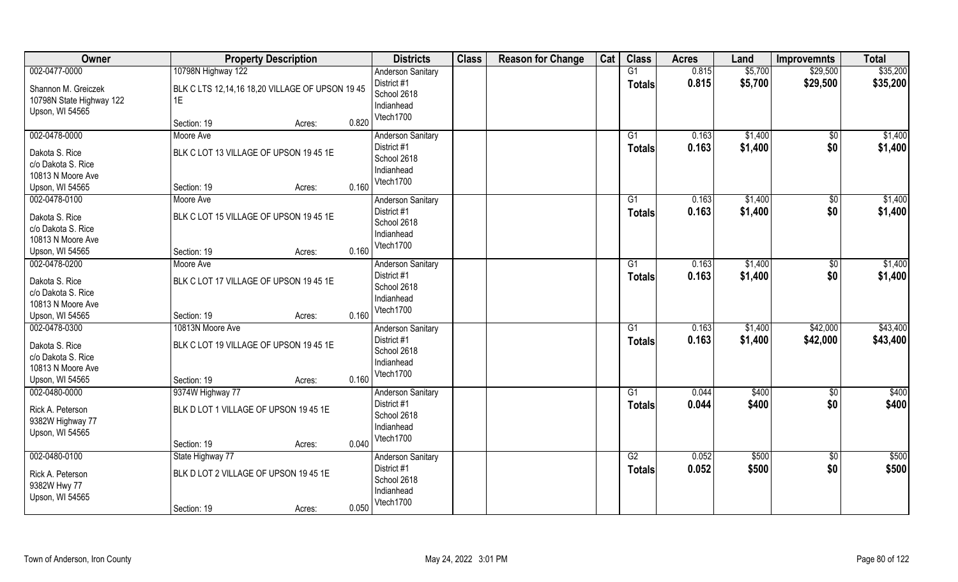| Owner                                                              | <b>Property Description</b>                                |                 | <b>Districts</b>                                      | <b>Class</b> | <b>Reason for Change</b> | Cat | <b>Class</b>        | <b>Acres</b>   | Land               | <b>Improvemnts</b>   | <b>Total</b>         |
|--------------------------------------------------------------------|------------------------------------------------------------|-----------------|-------------------------------------------------------|--------------|--------------------------|-----|---------------------|----------------|--------------------|----------------------|----------------------|
| 002-0477-0000                                                      | 10798N Highway 122                                         |                 | <b>Anderson Sanitary</b>                              |              |                          |     | G1                  | 0.815          | \$5,700            | \$29,500             | \$35,200             |
| Shannon M. Greiczek<br>10798N State Highway 122<br>Upson, WI 54565 | BLK C LTS 12,14,16 18,20 VILLAGE OF UPSON 1945<br>1E       |                 | District #1<br>School 2618<br>Indianhead<br>Vtech1700 |              |                          |     | <b>Totals</b>       | 0.815          | \$5,700            | \$29,500             | \$35,200             |
|                                                                    | Section: 19                                                | 0.820<br>Acres: |                                                       |              |                          |     |                     |                |                    |                      |                      |
| 002-0478-0000                                                      | Moore Ave                                                  |                 | <b>Anderson Sanitary</b><br>District #1               |              |                          |     | G1<br><b>Totals</b> | 0.163<br>0.163 | \$1,400<br>\$1,400 | \$0<br>\$0           | \$1,400<br>\$1,400   |
| Dakota S. Rice<br>c/o Dakota S. Rice                               | BLK C LOT 13 VILLAGE OF UPSON 19 45 1E                     |                 | School 2618                                           |              |                          |     |                     |                |                    |                      |                      |
| 10813 N Moore Ave                                                  |                                                            |                 | Indianhead                                            |              |                          |     |                     |                |                    |                      |                      |
| Upson, WI 54565                                                    | Section: 19                                                | 0.160<br>Acres: | Vtech1700                                             |              |                          |     |                     |                |                    |                      |                      |
| 002-0478-0100                                                      | Moore Ave                                                  |                 | <b>Anderson Sanitary</b>                              |              |                          |     | G1                  | 0.163          | \$1,400            | \$0                  | \$1,400              |
| Dakota S. Rice                                                     | BLK C LOT 15 VILLAGE OF UPSON 19 45 1E                     |                 | District #1<br>School 2618                            |              |                          |     | <b>Totals</b>       | 0.163          | \$1,400            | \$0                  | \$1,400              |
| c/o Dakota S. Rice<br>10813 N Moore Ave                            |                                                            |                 | Indianhead                                            |              |                          |     |                     |                |                    |                      |                      |
| Upson, WI 54565                                                    | Section: 19                                                | 0.160<br>Acres: | Vtech1700                                             |              |                          |     |                     |                |                    |                      |                      |
| 002-0478-0200                                                      | Moore Ave                                                  |                 | <b>Anderson Sanitary</b>                              |              |                          |     | G1                  | 0.163          | \$1,400            | \$0                  | \$1,400              |
| Dakota S. Rice<br>c/o Dakota S. Rice<br>10813 N Moore Ave          | BLK C LOT 17 VILLAGE OF UPSON 19 45 1E                     |                 | District #1<br>School 2618<br>Indianhead              |              |                          |     | Totals              | 0.163          | \$1,400            | \$0                  | \$1,400              |
| Upson, WI 54565                                                    | Section: 19                                                | 0.160<br>Acres: | Vtech1700                                             |              |                          |     |                     |                |                    |                      |                      |
| 002-0478-0300<br>Dakota S. Rice                                    | 10813N Moore Ave<br>BLK C LOT 19 VILLAGE OF UPSON 19 45 1E |                 | Anderson Sanitary<br>District #1<br>School 2618       |              |                          |     | G1<br><b>Totals</b> | 0.163<br>0.163 | \$1,400<br>\$1,400 | \$42,000<br>\$42,000 | \$43,400<br>\$43,400 |
| c/o Dakota S. Rice<br>10813 N Moore Ave<br>Upson, WI 54565         | Section: 19                                                | 0.160<br>Acres: | Indianhead<br>Vtech1700                               |              |                          |     |                     |                |                    |                      |                      |
| 002-0480-0000                                                      | 9374W Highway 77                                           |                 | <b>Anderson Sanitary</b>                              |              |                          |     | G1                  | 0.044          | \$400              | $\overline{30}$      | \$400                |
| Rick A. Peterson<br>9382W Highway 77<br>Upson, WI 54565            | BLK D LOT 1 VILLAGE OF UPSON 19 45 1E                      |                 | District #1<br>School 2618<br>Indianhead<br>Vtech1700 |              |                          |     | <b>Totals</b>       | 0.044          | \$400              | \$0                  | \$400                |
|                                                                    | Section: 19                                                | 0.040<br>Acres: |                                                       |              |                          |     |                     |                |                    |                      |                      |
| 002-0480-0100                                                      | State Highway 77                                           |                 | <b>Anderson Sanitary</b>                              |              |                          |     | G2                  | 0.052          | \$500              | $\sqrt{$0}$          | \$500                |
| Rick A. Peterson<br>9382W Hwy 77<br>Upson, WI 54565                | BLK D LOT 2 VILLAGE OF UPSON 19 45 1E                      |                 | District #1<br>School 2618<br>Indianhead<br>Vtech1700 |              |                          |     | <b>Totals</b>       | 0.052          | \$500              | \$0                  | \$500                |
|                                                                    | Section: 19                                                | 0.050<br>Acres: |                                                       |              |                          |     |                     |                |                    |                      |                      |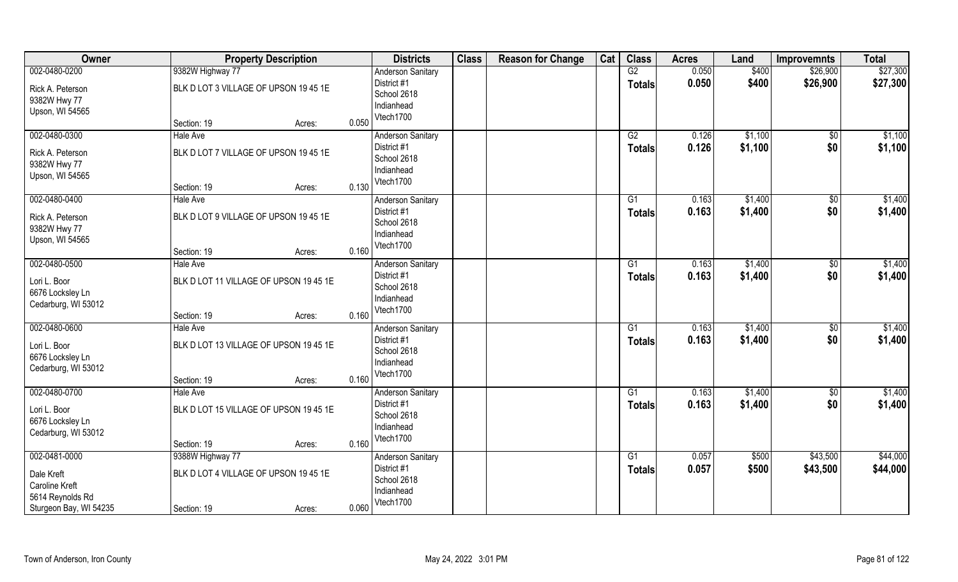| Owner                  |                                        | <b>Property Description</b> |       | <b>Districts</b>         | <b>Class</b> | <b>Reason for Change</b> | Cat | <b>Class</b>    | <b>Acres</b> | Land    | <b>Improvemnts</b> | <b>Total</b> |
|------------------------|----------------------------------------|-----------------------------|-------|--------------------------|--------------|--------------------------|-----|-----------------|--------------|---------|--------------------|--------------|
| 002-0480-0200          | 9382W Highway 77                       |                             |       | <b>Anderson Sanitary</b> |              |                          |     | G2              | 0.050        | \$400   | \$26,900           | \$27,300     |
| Rick A. Peterson       | BLK D LOT 3 VILLAGE OF UPSON 19 45 1E  |                             |       | District #1              |              |                          |     | <b>Totals</b>   | 0.050        | \$400   | \$26,900           | \$27,300     |
| 9382W Hwy 77           |                                        |                             |       | School 2618              |              |                          |     |                 |              |         |                    |              |
| Upson, WI 54565        |                                        |                             |       | Indianhead               |              |                          |     |                 |              |         |                    |              |
|                        | Section: 19                            | Acres:                      | 0.050 | Vtech1700                |              |                          |     |                 |              |         |                    |              |
| 002-0480-0300          | <b>Hale Ave</b>                        |                             |       | <b>Anderson Sanitary</b> |              |                          |     | G2              | 0.126        | \$1,100 | \$0                | \$1,100      |
| Rick A. Peterson       | BLK D LOT 7 VILLAGE OF UPSON 19 45 1E  |                             |       | District #1              |              |                          |     | <b>Totals</b>   | 0.126        | \$1,100 | \$0                | \$1,100      |
| 9382W Hwy 77           |                                        |                             |       | School 2618              |              |                          |     |                 |              |         |                    |              |
| Upson, WI 54565        |                                        |                             |       | Indianhead<br>Vtech1700  |              |                          |     |                 |              |         |                    |              |
|                        | Section: 19                            | Acres:                      | 0.130 |                          |              |                          |     |                 |              |         |                    |              |
| 002-0480-0400          | Hale Ave                               |                             |       | <b>Anderson Sanitary</b> |              |                          |     | G1              | 0.163        | \$1,400 | \$0                | \$1,400      |
| Rick A. Peterson       | BLK D LOT 9 VILLAGE OF UPSON 19 45 1E  |                             |       | District #1              |              |                          |     | <b>Totals</b>   | 0.163        | \$1,400 | \$0                | \$1,400      |
| 9382W Hwy 77           |                                        |                             |       | School 2618              |              |                          |     |                 |              |         |                    |              |
| Upson, WI 54565        |                                        |                             |       | Indianhead<br>Vtech1700  |              |                          |     |                 |              |         |                    |              |
|                        | Section: 19                            | Acres:                      | 0.160 |                          |              |                          |     |                 |              |         |                    |              |
| 002-0480-0500          | <b>Hale Ave</b>                        |                             |       | <b>Anderson Sanitary</b> |              |                          |     | G1              | 0.163        | \$1,400 | \$0                | \$1,400      |
| Lori L. Boor           | BLK D LOT 11 VILLAGE OF UPSON 19 45 1E |                             |       | District #1              |              |                          |     | Totals          | 0.163        | \$1,400 | \$0                | \$1,400      |
| 6676 Locksley Ln       |                                        |                             |       | School 2618              |              |                          |     |                 |              |         |                    |              |
| Cedarburg, WI 53012    |                                        |                             |       | Indianhead               |              |                          |     |                 |              |         |                    |              |
|                        | Section: 19                            | Acres:                      | 0.160 | Vtech1700                |              |                          |     |                 |              |         |                    |              |
| 002-0480-0600          | <b>Hale Ave</b>                        |                             |       | Anderson Sanitary        |              |                          |     | $\overline{G1}$ | 0.163        | \$1,400 | $\overline{30}$    | \$1,400      |
| Lori L. Boor           | BLK D LOT 13 VILLAGE OF UPSON 19 45 1E |                             |       | District #1              |              |                          |     | <b>Totals</b>   | 0.163        | \$1,400 | \$0                | \$1,400      |
| 6676 Locksley Ln       |                                        |                             |       | School 2618              |              |                          |     |                 |              |         |                    |              |
| Cedarburg, WI 53012    |                                        |                             |       | Indianhead               |              |                          |     |                 |              |         |                    |              |
|                        | Section: 19                            | Acres:                      | 0.160 | Vtech1700                |              |                          |     |                 |              |         |                    |              |
| 002-0480-0700          | <b>Hale Ave</b>                        |                             |       | <b>Anderson Sanitary</b> |              |                          |     | G1              | 0.163        | \$1,400 | $\overline{30}$    | \$1,400      |
| Lori L. Boor           | BLK D LOT 15 VILLAGE OF UPSON 19 45 1E |                             |       | District #1              |              |                          |     | <b>Totals</b>   | 0.163        | \$1,400 | \$0                | \$1,400      |
| 6676 Locksley Ln       |                                        |                             |       | School 2618              |              |                          |     |                 |              |         |                    |              |
| Cedarburg, WI 53012    |                                        |                             |       | Indianhead               |              |                          |     |                 |              |         |                    |              |
|                        | Section: 19                            | Acres:                      | 0.160 | Vtech1700                |              |                          |     |                 |              |         |                    |              |
| 002-0481-0000          | 9388W Highway 77                       |                             |       | <b>Anderson Sanitary</b> |              |                          |     | $\overline{G1}$ | 0.057        | \$500   | \$43,500           | \$44,000     |
| Dale Kreft             | BLK D LOT 4 VILLAGE OF UPSON 19 45 1E  |                             |       | District #1              |              |                          |     | <b>Totals</b>   | 0.057        | \$500   | \$43,500           | \$44,000     |
| Caroline Kreft         |                                        |                             |       | School 2618              |              |                          |     |                 |              |         |                    |              |
| 5614 Reynolds Rd       |                                        |                             |       | Indianhead               |              |                          |     |                 |              |         |                    |              |
| Sturgeon Bay, WI 54235 | Section: 19                            | Acres:                      | 0.060 | Vtech1700                |              |                          |     |                 |              |         |                    |              |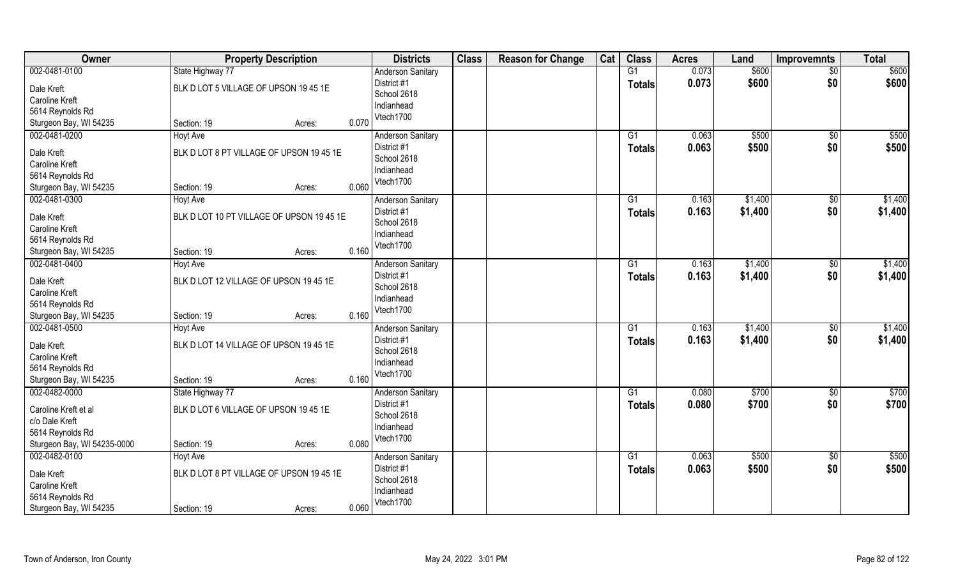| Owner                                      | <b>Property Description</b>               | <b>Districts</b>         | <b>Class</b> | <b>Reason for Change</b> | Cat | <b>Class</b>    | <b>Acres</b> | Land    | <b>Improvemnts</b> | <b>Total</b> |
|--------------------------------------------|-------------------------------------------|--------------------------|--------------|--------------------------|-----|-----------------|--------------|---------|--------------------|--------------|
| 002-0481-0100                              | State Highway 77                          | <b>Anderson Sanitary</b> |              |                          |     | $\overline{G1}$ | 0.073        | \$600   | $\sqrt{$0}$        | \$600        |
| Dale Kreft                                 | BLK D LOT 5 VILLAGE OF UPSON 19 45 1E     | District #1              |              |                          |     | <b>Totals</b>   | 0.073        | \$600   | \$0                | \$600        |
| <b>Caroline Kreft</b>                      |                                           | School 2618              |              |                          |     |                 |              |         |                    |              |
| 5614 Reynolds Rd                           |                                           | Indianhead               |              |                          |     |                 |              |         |                    |              |
| Sturgeon Bay, WI 54235                     | 0.070<br>Section: 19<br>Acres:            | Vtech1700                |              |                          |     |                 |              |         |                    |              |
| 002-0481-0200                              | <b>Hoyt Ave</b>                           | <b>Anderson Sanitary</b> |              |                          |     | G1              | 0.063        | \$500   | \$0                | \$500        |
|                                            |                                           | District #1              |              |                          |     | <b>Totals</b>   | 0.063        | \$500   | \$0                | \$500        |
| Dale Kreft                                 | BLK D LOT 8 PT VILLAGE OF UPSON 19 45 1E  | School 2618              |              |                          |     |                 |              |         |                    |              |
| Caroline Kreft                             |                                           | Indianhead               |              |                          |     |                 |              |         |                    |              |
| 5614 Reynolds Rd<br>Sturgeon Bay, WI 54235 | 0.060<br>Section: 19<br>Acres:            | Vtech1700                |              |                          |     |                 |              |         |                    |              |
| 002-0481-0300                              | <b>Hoyt Ave</b>                           | <b>Anderson Sanitary</b> |              |                          |     | G1              | 0.163        | \$1,400 | $\sqrt[6]{30}$     | \$1,400      |
|                                            |                                           | District #1              |              |                          |     |                 |              |         |                    |              |
| Dale Kreft                                 | BLK D LOT 10 PT VILLAGE OF UPSON 19 45 1E | School 2618              |              |                          |     | <b>Totals</b>   | 0.163        | \$1,400 | \$0                | \$1,400      |
| <b>Caroline Kreft</b>                      |                                           | Indianhead               |              |                          |     |                 |              |         |                    |              |
| 5614 Reynolds Rd                           |                                           | Vtech1700                |              |                          |     |                 |              |         |                    |              |
| Sturgeon Bay, WI 54235                     | 0.160<br>Section: 19<br>Acres:            |                          |              |                          |     |                 |              |         |                    |              |
| 002-0481-0400                              | Hoyt Ave                                  | <b>Anderson Sanitary</b> |              |                          |     | G1              | 0.163        | \$1,400 | $\sqrt[6]{30}$     | \$1,400      |
| Dale Kreft                                 | BLK D LOT 12 VILLAGE OF UPSON 19 45 1E    | District #1              |              |                          |     | <b>Totals</b>   | 0.163        | \$1,400 | \$0                | \$1,400      |
| Caroline Kreft                             |                                           | School 2618              |              |                          |     |                 |              |         |                    |              |
| 5614 Reynolds Rd                           |                                           | Indianhead               |              |                          |     |                 |              |         |                    |              |
| Sturgeon Bay, WI 54235                     | 0.160<br>Section: 19<br>Acres:            | Vtech1700                |              |                          |     |                 |              |         |                    |              |
| 002-0481-0500                              | <b>Hoyt Ave</b>                           | <b>Anderson Sanitary</b> |              |                          |     | $\overline{G1}$ | 0.163        | \$1,400 | \$0                | \$1,400      |
|                                            |                                           | District #1              |              |                          |     | <b>Totals</b>   | 0.163        | \$1,400 | \$0                | \$1,400      |
| Dale Kreft                                 | BLK D LOT 14 VILLAGE OF UPSON 19 45 1E    | School 2618              |              |                          |     |                 |              |         |                    |              |
| <b>Caroline Kreft</b>                      |                                           | Indianhead               |              |                          |     |                 |              |         |                    |              |
| 5614 Reynolds Rd                           |                                           | Vtech1700                |              |                          |     |                 |              |         |                    |              |
| Sturgeon Bay, WI 54235                     | 0.160<br>Section: 19<br>Acres:            |                          |              |                          |     |                 |              |         |                    |              |
| 002-0482-0000                              | State Highway 77                          | <b>Anderson Sanitary</b> |              |                          |     | G1              | 0.080        | \$700   | $\overline{30}$    | \$700        |
| Caroline Kreft et al                       | BLK D LOT 6 VILLAGE OF UPSON 19 45 1E     | District #1              |              |                          |     | <b>Totals</b>   | 0.080        | \$700   | \$0                | \$700        |
| c/o Dale Kreft                             |                                           | School 2618              |              |                          |     |                 |              |         |                    |              |
| 5614 Reynolds Rd                           |                                           | Indianhead               |              |                          |     |                 |              |         |                    |              |
| Sturgeon Bay, WI 54235-0000                | 0.080<br>Section: 19<br>Acres:            | Vtech1700                |              |                          |     |                 |              |         |                    |              |
| 002-0482-0100                              | <b>Hoyt Ave</b>                           | <b>Anderson Sanitary</b> |              |                          |     | G1              | 0.063        | \$500   | $\sqrt{$0}$        | \$500        |
| Dale Kreft                                 | BLK D LOT 8 PT VILLAGE OF UPSON 19 45 1E  | District #1              |              |                          |     | <b>Totals</b>   | 0.063        | \$500   | \$0                | \$500        |
| <b>Caroline Kreft</b>                      |                                           | School 2618              |              |                          |     |                 |              |         |                    |              |
|                                            |                                           | Indianhead               |              |                          |     |                 |              |         |                    |              |
|                                            |                                           | Vtech1700                |              |                          |     |                 |              |         |                    |              |
| 5614 Reynolds Rd<br>Sturgeon Bay, WI 54235 | 0.060<br>Section: 19<br>Acres:            |                          |              |                          |     |                 |              |         |                    |              |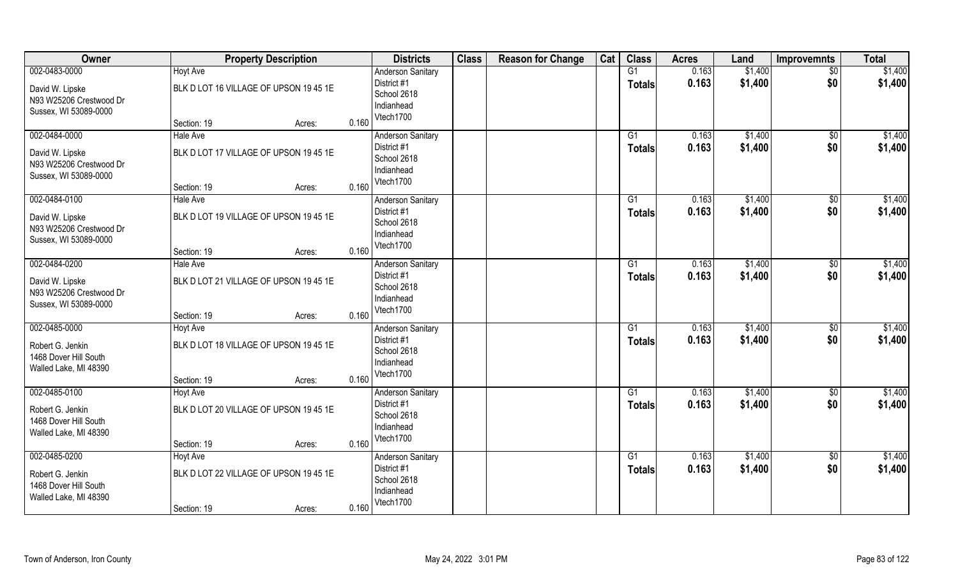| Owner                                                                                | <b>Property Description</b>                                                        | <b>Districts</b>                                                                           | <b>Class</b> | <b>Reason for Change</b> | Cat | <b>Class</b>                     | <b>Acres</b>   | Land               | <b>Improvemnts</b>    | <b>Total</b>       |
|--------------------------------------------------------------------------------------|------------------------------------------------------------------------------------|--------------------------------------------------------------------------------------------|--------------|--------------------------|-----|----------------------------------|----------------|--------------------|-----------------------|--------------------|
| 002-0483-0000<br>David W. Lipske<br>N93 W25206 Crestwood Dr<br>Sussex, WI 53089-0000 | <b>Hoyt Ave</b><br>BLK D LOT 16 VILLAGE OF UPSON 19 45 1E<br>Section: 19<br>Acres: | <b>Anderson Sanitary</b><br>District #1<br>School 2618<br>Indianhead<br>Vtech1700<br>0.160 |              |                          |     | G1<br><b>Totals</b>              | 0.163<br>0.163 | \$1,400<br>\$1,400 | $\sqrt{$0}$<br>\$0    | \$1,400<br>\$1,400 |
| 002-0484-0000<br>David W. Lipske<br>N93 W25206 Crestwood Dr<br>Sussex, WI 53089-0000 | <b>Hale Ave</b><br>BLK D LOT 17 VILLAGE OF UPSON 19 45 1E<br>Section: 19<br>Acres: | <b>Anderson Sanitary</b><br>District #1<br>School 2618<br>Indianhead<br>Vtech1700<br>0.160 |              |                          |     | G1<br><b>Totals</b>              | 0.163<br>0.163 | \$1,400<br>\$1,400 | $\sqrt[6]{}$<br>\$0   | \$1,400<br>\$1,400 |
| 002-0484-0100<br>David W. Lipske<br>N93 W25206 Crestwood Dr<br>Sussex, WI 53089-0000 | <b>Hale Ave</b><br>BLK D LOT 19 VILLAGE OF UPSON 19 45 1E<br>Section: 19<br>Acres: | <b>Anderson Sanitary</b><br>District #1<br>School 2618<br>Indianhead<br>Vtech1700<br>0.160 |              |                          |     | G1<br><b>Totals</b>              | 0.163<br>0.163 | \$1,400<br>\$1,400 | $\sqrt[6]{30}$<br>\$0 | \$1,400<br>\$1,400 |
| 002-0484-0200<br>David W. Lipske<br>N93 W25206 Crestwood Dr<br>Sussex, WI 53089-0000 | Hale Ave<br>BLK D LOT 21 VILLAGE OF UPSON 19 45 1E<br>Section: 19<br>Acres:        | <b>Anderson Sanitary</b><br>District #1<br>School 2618<br>Indianhead<br>Vtech1700<br>0.160 |              |                          |     | G1<br>Totals                     | 0.163<br>0.163 | \$1,400<br>\$1,400 | \$0<br>\$0            | \$1,400<br>\$1,400 |
| 002-0485-0000<br>Robert G. Jenkin<br>1468 Dover Hill South<br>Walled Lake, MI 48390  | <b>Hoyt Ave</b><br>BLK D LOT 18 VILLAGE OF UPSON 19 45 1E<br>Section: 19<br>Acres: | <b>Anderson Sanitary</b><br>District #1<br>School 2618<br>Indianhead<br>Vtech1700<br>0.160 |              |                          |     | $\overline{G1}$<br><b>Totals</b> | 0.163<br>0.163 | \$1,400<br>\$1,400 | \$0<br>\$0            | \$1,400<br>\$1,400 |
| 002-0485-0100<br>Robert G. Jenkin<br>1468 Dover Hill South<br>Walled Lake, MI 48390  | Hoyt Ave<br>BLK D LOT 20 VILLAGE OF UPSON 19 45 1E<br>Section: 19<br>Acres:        | <b>Anderson Sanitary</b><br>District #1<br>School 2618<br>Indianhead<br>Vtech1700<br>0.160 |              |                          |     | G1<br><b>Totals</b>              | 0.163<br>0.163 | \$1,400<br>\$1,400 | $\sqrt{6}$<br>\$0     | \$1,400<br>\$1,400 |
| 002-0485-0200<br>Robert G. Jenkin<br>1468 Dover Hill South<br>Walled Lake, MI 48390  | <b>Hoyt Ave</b><br>BLK D LOT 22 VILLAGE OF UPSON 19 45 1E<br>Section: 19<br>Acres: | <b>Anderson Sanitary</b><br>District #1<br>School 2618<br>Indianhead<br>Vtech1700<br>0.160 |              |                          |     | G1<br><b>Totals</b>              | 0.163<br>0.163 | \$1,400<br>\$1,400 | $\sqrt{$0}$<br>\$0    | \$1,400<br>\$1,400 |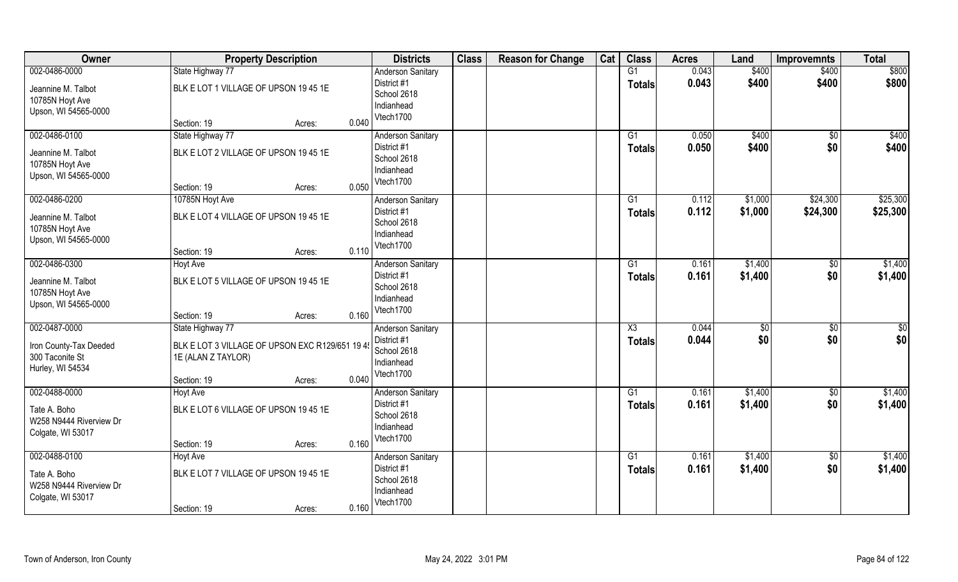| Owner                                                         | <b>Property Description</b>                                          |        |       | <b>Districts</b>                                      | <b>Class</b> | <b>Reason for Change</b> | Cat | <b>Class</b>        | <b>Acres</b>   | Land           | <b>Improvemnts</b>     | <b>Total</b>   |
|---------------------------------------------------------------|----------------------------------------------------------------------|--------|-------|-------------------------------------------------------|--------------|--------------------------|-----|---------------------|----------------|----------------|------------------------|----------------|
| 002-0486-0000<br>Jeannine M. Talbot                           | State Highway 77<br>BLK E LOT 1 VILLAGE OF UPSON 19 45 1E            |        |       | <b>Anderson Sanitary</b><br>District #1               |              |                          |     | G1<br><b>Totals</b> | 0.043<br>0.043 | \$400<br>\$400 | \$400<br>\$400         | \$800<br>\$800 |
| 10785N Hoyt Ave<br>Upson, WI 54565-0000                       |                                                                      |        |       | School 2618<br>Indianhead<br>Vtech1700                |              |                          |     |                     |                |                |                        |                |
|                                                               | Section: 19                                                          | Acres: | 0.040 |                                                       |              |                          |     |                     |                |                |                        |                |
| 002-0486-0100<br>Jeannine M. Talbot                           | State Highway 77<br>BLK E LOT 2 VILLAGE OF UPSON 19 45 1E            |        |       | <b>Anderson Sanitary</b><br>District #1               |              |                          |     | G1<br>Totals        | 0.050<br>0.050 | \$400<br>\$400 | $\overline{50}$<br>\$0 | \$400<br>\$400 |
| 10785N Hoyt Ave<br>Upson, WI 54565-0000                       |                                                                      |        |       | School 2618<br>Indianhead                             |              |                          |     |                     |                |                |                        |                |
|                                                               | Section: 19                                                          | Acres: | 0.050 | Vtech1700                                             |              |                          |     |                     |                |                |                        |                |
| 002-0486-0200                                                 | 10785N Hoyt Ave                                                      |        |       | <b>Anderson Sanitary</b>                              |              |                          |     | G1                  | 0.112          | \$1,000        | \$24,300               | \$25,300       |
| Jeannine M. Talbot<br>10785N Hoyt Ave                         | BLK E LOT 4 VILLAGE OF UPSON 19 45 1E                                |        |       | District #1<br>School 2618                            |              |                          |     | <b>Totals</b>       | 0.112          | \$1,000        | \$24,300               | \$25,300       |
| Upson, WI 54565-0000                                          |                                                                      |        |       | Indianhead<br>Vtech1700                               |              |                          |     |                     |                |                |                        |                |
|                                                               | Section: 19                                                          | Acres: | 0.110 |                                                       |              |                          |     |                     |                |                |                        |                |
| 002-0486-0300                                                 | <b>Hoyt Ave</b>                                                      |        |       | <b>Anderson Sanitary</b>                              |              |                          |     | G1                  | 0.161          | \$1,400        | $\sqrt[6]{}$           | \$1,400        |
| Jeannine M. Talbot<br>10785N Hoyt Ave<br>Upson, WI 54565-0000 | BLK E LOT 5 VILLAGE OF UPSON 19 45 1E                                |        |       | District #1<br>School 2618<br>Indianhead              |              |                          |     | <b>Totals</b>       | 0.161          | \$1,400        | \$0                    | \$1,400        |
|                                                               | Section: 19                                                          | Acres: | 0.160 | Vtech1700                                             |              |                          |     |                     |                |                |                        |                |
| 002-0487-0000                                                 | State Highway 77                                                     |        |       | <b>Anderson Sanitary</b>                              |              |                          |     | X3                  | 0.044          | \$0            | \$0                    | \$0            |
| Iron County-Tax Deeded<br>300 Taconite St<br>Hurley, WI 54534 | BLK E LOT 3 VILLAGE OF UPSON EXC R129/651 19 4<br>1E (ALAN Z TAYLOR) |        |       | District #1<br>School 2618<br>Indianhead              |              |                          |     | <b>Totals</b>       | 0.044          | \$0            | \$0                    | \$0            |
|                                                               | Section: 19                                                          | Acres: | 0.040 | Vtech1700                                             |              |                          |     |                     |                |                |                        |                |
| 002-0488-0000                                                 | Hoyt Ave                                                             |        |       | <b>Anderson Sanitary</b>                              |              |                          |     | G1                  | 0.161          | \$1,400        | \$0                    | \$1,400        |
| Tate A. Boho<br>W258 N9444 Riverview Dr<br>Colgate, WI 53017  | BLK E LOT 6 VILLAGE OF UPSON 19 45 1E                                |        |       | District #1<br>School 2618<br>Indianhead              |              |                          |     | <b>Totals</b>       | 0.161          | \$1,400        | \$0                    | \$1,400        |
|                                                               | Section: 19                                                          | Acres: | 0.160 | Vtech1700                                             |              |                          |     |                     |                |                |                        |                |
| 002-0488-0100                                                 | <b>Hoyt Ave</b>                                                      |        |       | <b>Anderson Sanitary</b>                              |              |                          |     | $\overline{G1}$     | 0.161          | \$1,400        | $\overline{50}$        | \$1,400        |
| Tate A. Boho<br>W258 N9444 Riverview Dr<br>Colgate, WI 53017  | BLK E LOT 7 VILLAGE OF UPSON 19 45 1E                                |        |       | District #1<br>School 2618<br>Indianhead<br>Vtech1700 |              |                          |     | Totals              | 0.161          | \$1,400        | \$0                    | \$1,400        |
|                                                               | Section: 19                                                          | Acres: | 0.160 |                                                       |              |                          |     |                     |                |                |                        |                |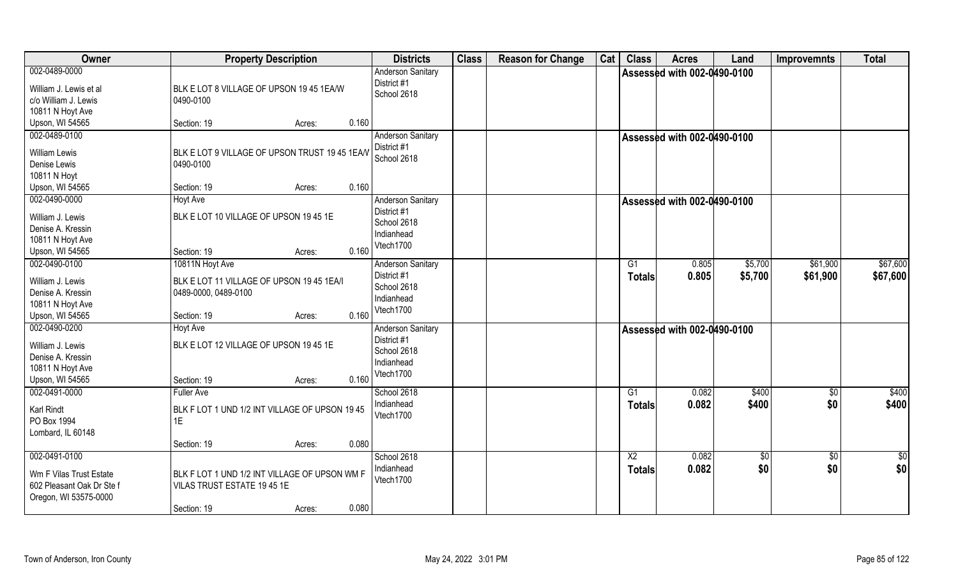| Owner                                                                                          | <b>Property Description</b>                                                                                   |       | <b>Districts</b>                                                                  | <b>Class</b> | <b>Reason for Change</b> | Cat | <b>Class</b>        | <b>Acres</b>                       | Land               | <b>Improvemnts</b>   | <b>Total</b>         |
|------------------------------------------------------------------------------------------------|---------------------------------------------------------------------------------------------------------------|-------|-----------------------------------------------------------------------------------|--------------|--------------------------|-----|---------------------|------------------------------------|--------------------|----------------------|----------------------|
| 002-0489-0000<br>William J. Lewis et al<br>c/o William J. Lewis<br>10811 N Hoyt Ave            | BLK E LOT 8 VILLAGE OF UPSON 19 45 1EA/W<br>0490-0100                                                         |       | <b>Anderson Sanitary</b><br>District #1<br>School 2618                            |              |                          |     |                     | <b>Assessed with 002-0490-0100</b> |                    |                      |                      |
| Upson, WI 54565                                                                                | Section: 19<br>Acres:                                                                                         | 0.160 |                                                                                   |              |                          |     |                     |                                    |                    |                      |                      |
| 002-0489-0100<br><b>William Lewis</b><br>Denise Lewis<br>10811 N Hoyt                          | BLK E LOT 9 VILLAGE OF UPSON TRUST 19 45 1EA/V<br>0490-0100                                                   |       | <b>Anderson Sanitary</b><br>District #1<br>School 2618                            |              |                          |     |                     | Assessed with 002-0490-0100        |                    |                      |                      |
| Upson, WI 54565                                                                                | Section: 19<br>Acres:                                                                                         | 0.160 |                                                                                   |              |                          |     |                     |                                    |                    |                      |                      |
| 002-0490-0000<br>William J. Lewis<br>Denise A. Kressin<br>10811 N Hoyt Ave<br>Upson, WI 54565  | Hoyt Ave<br>BLK E LOT 10 VILLAGE OF UPSON 19 45 1E<br>Section: 19<br>Acres:                                   | 0.160 | <b>Anderson Sanitary</b><br>District #1<br>School 2618<br>Indianhead<br>Vtech1700 |              |                          |     |                     | <b>Assessed with 002-0490-0100</b> |                    |                      |                      |
| 002-0490-0100<br>William J. Lewis<br>Denise A. Kressin<br>10811 N Hoyt Ave<br>Upson, WI 54565  | 10811N Hoyt Ave<br>BLK E LOT 11 VILLAGE OF UPSON 19 45 1EA/I<br>0489-0000, 0489-0100<br>Section: 19<br>Acres: | 0.160 | <b>Anderson Sanitary</b><br>District #1<br>School 2618<br>Indianhead<br>Vtech1700 |              |                          |     | G1<br>Totals        | 0.805<br>0.805                     | \$5,700<br>\$5,700 | \$61,900<br>\$61,900 | \$67,600<br>\$67,600 |
| 002-0490-0200<br>William J. Lewis<br>Denise A. Kressin<br>10811 N Hoyt Ave<br>Upson, WI 54565  | Hoyt Ave<br>BLK E LOT 12 VILLAGE OF UPSON 19 45 1E<br>Section: 19<br>Acres:                                   | 0.160 | Anderson Sanitary<br>District #1<br>School 2618<br>Indianhead<br>Vtech1700        |              |                          |     |                     | <b>Assessed with 002-0490-0100</b> |                    |                      |                      |
| 002-0491-0000<br>Karl Rindt<br>PO Box 1994<br>Lombard, IL 60148                                | <b>Fuller Ave</b><br>BLK F LOT 1 UND 1/2 INT VILLAGE OF UPSON 1945<br>1E<br>Section: 19<br>Acres:             | 0.080 | School 2618<br>Indianhead<br>Vtech1700                                            |              |                          |     | G1<br><b>Totals</b> | 0.082<br>0.082                     | \$400<br>\$400     | $\sqrt{$0}$<br>\$0   | \$400<br>\$400       |
| 002-0491-0100<br>Wm F Vilas Trust Estate<br>602 Pleasant Oak Dr Ste f<br>Oregon, WI 53575-0000 | BLK F LOT 1 UND 1/2 INT VILLAGE OF UPSON WM F<br>VILAS TRUST ESTATE 19 45 1E<br>Section: 19<br>Acres:         | 0.080 | School 2618<br>Indianhead<br>Vtech1700                                            |              |                          |     | X2<br><b>Totals</b> | 0.082<br>0.082                     | \$0<br>\$0         | \$0<br>\$0           | $\frac{1}{2}$<br>\$0 |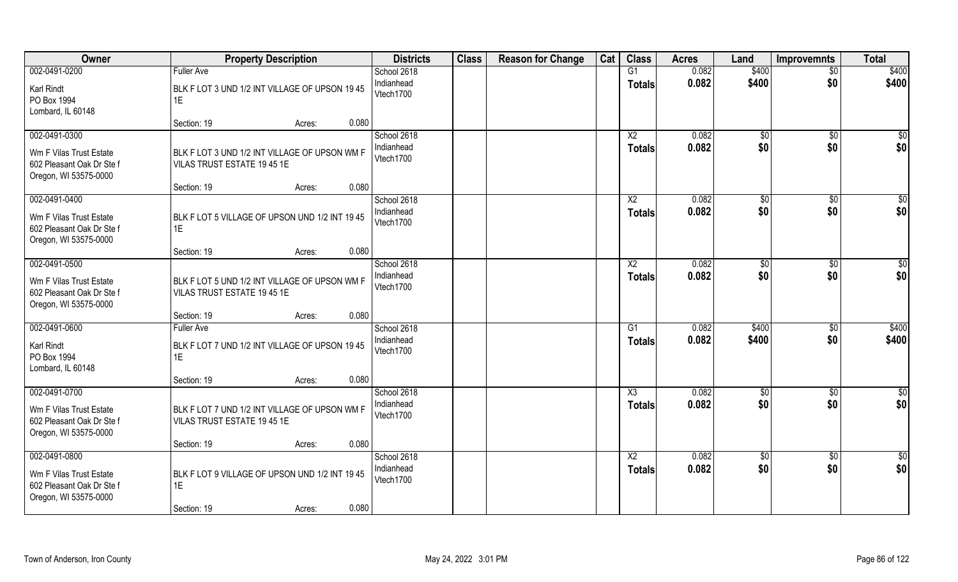| Owner                                                                                          | <b>Property Description</b>                                                            | <b>Districts</b>                       | <b>Class</b> | <b>Reason for Change</b> | Cat | <b>Class</b>                            | <b>Acres</b>   | Land                   | <b>Improvemnts</b>     | <b>Total</b>            |
|------------------------------------------------------------------------------------------------|----------------------------------------------------------------------------------------|----------------------------------------|--------------|--------------------------|-----|-----------------------------------------|----------------|------------------------|------------------------|-------------------------|
| 002-0491-0200                                                                                  | <b>Fuller Ave</b>                                                                      | School 2618                            |              |                          |     | G1                                      | 0.082          | \$400                  | $\overline{50}$        | \$400                   |
| Karl Rindt<br>PO Box 1994<br>Lombard, IL 60148                                                 | BLK F LOT 3 UND 1/2 INT VILLAGE OF UPSON 19 45<br>1E                                   | Indianhead<br>Vtech1700                |              |                          |     | <b>Totals</b>                           | 0.082          | \$400                  | \$0                    | \$400                   |
|                                                                                                | 0.080<br>Section: 19<br>Acres:                                                         |                                        |              |                          |     |                                         |                |                        |                        |                         |
| 002-0491-0300<br>Wm F Vilas Trust Estate<br>602 Pleasant Oak Dr Ste f<br>Oregon, WI 53575-0000 | BLK F LOT 3 UND 1/2 INT VILLAGE OF UPSON WM F<br>VILAS TRUST ESTATE 19 45 1E           | School 2618<br>Indianhead<br>Vtech1700 |              |                          |     | $\overline{\text{X2}}$<br><b>Totals</b> | 0.082<br>0.082 | \$0<br>\$0             | $\overline{50}$<br>\$0 | $\overline{\$0}$<br>\$0 |
|                                                                                                | 0.080<br>Section: 19<br>Acres:                                                         |                                        |              |                          |     |                                         |                |                        |                        |                         |
| 002-0491-0400<br>Wm F Vilas Trust Estate<br>602 Pleasant Oak Dr Ste f<br>Oregon, WI 53575-0000 | BLK F LOT 5 VILLAGE OF UPSON UND 1/2 INT 19 45<br>1E                                   | School 2618<br>Indianhead<br>Vtech1700 |              |                          |     | X <sub>2</sub><br><b>Totals</b>         | 0.082<br>0.082 | $\sqrt[6]{3}$<br>\$0   | \$0<br>\$0             | \$0<br>\$0              |
|                                                                                                | 0.080<br>Section: 19<br>Acres:                                                         |                                        |              |                          |     |                                         |                |                        |                        |                         |
| 002-0491-0500<br>Wm F Vilas Trust Estate<br>602 Pleasant Oak Dr Ste f<br>Oregon, WI 53575-0000 | BLK F LOT 5 UND 1/2 INT VILLAGE OF UPSON WM F<br>VILAS TRUST ESTATE 19 45 1E           | School 2618<br>Indianhead<br>Vtech1700 |              |                          |     | X <sub>2</sub><br><b>Totals</b>         | 0.082<br>0.082 | $\frac{1}{20}$<br>\$0  | \$0<br>\$0             | \$0<br>\$0              |
|                                                                                                | 0.080<br>Section: 19<br>Acres:                                                         |                                        |              |                          |     |                                         |                |                        |                        |                         |
| 002-0491-0600<br>Karl Rindt<br>PO Box 1994<br>Lombard, IL 60148                                | <b>Fuller Ave</b><br>BLK F LOT 7 UND 1/2 INT VILLAGE OF UPSON 19 45<br>1E              | School 2618<br>Indianhead<br>Vtech1700 |              |                          |     | G1<br><b>Totals</b>                     | 0.082<br>0.082 | \$400<br>\$400         | \$0<br>\$0             | \$400<br>\$400          |
| 002-0491-0700                                                                                  | 0.080<br>Section: 19<br>Acres:                                                         | School 2618                            |              |                          |     | X3                                      | 0.082          |                        |                        | \$0                     |
| Wm F Vilas Trust Estate<br>602 Pleasant Oak Dr Ste f<br>Oregon, WI 53575-0000                  | BLK F LOT 7 UND 1/2 INT VILLAGE OF UPSON WM F<br>VILAS TRUST ESTATE 19 45 1E           | Indianhead<br>Vtech1700                |              |                          |     | <b>Totals</b>                           | 0.082          | $\overline{50}$<br>\$0 | \$0<br>\$0             | \$0                     |
|                                                                                                | 0.080<br>Section: 19<br>Acres:                                                         |                                        |              |                          |     |                                         |                |                        |                        |                         |
| 002-0491-0800<br>Wm F Vilas Trust Estate<br>602 Pleasant Oak Dr Ste f<br>Oregon, WI 53575-0000 | BLK F LOT 9 VILLAGE OF UPSON UND 1/2 INT 19 45<br>1E<br>0.080<br>Section: 19<br>Acres: | School 2618<br>Indianhead<br>Vtech1700 |              |                          |     | $\overline{X2}$<br><b>Totals</b>        | 0.082<br>0.082 | $\overline{50}$<br>\$0 | $\sqrt{$0}$<br>\$0     | $\overline{50}$<br>\$0  |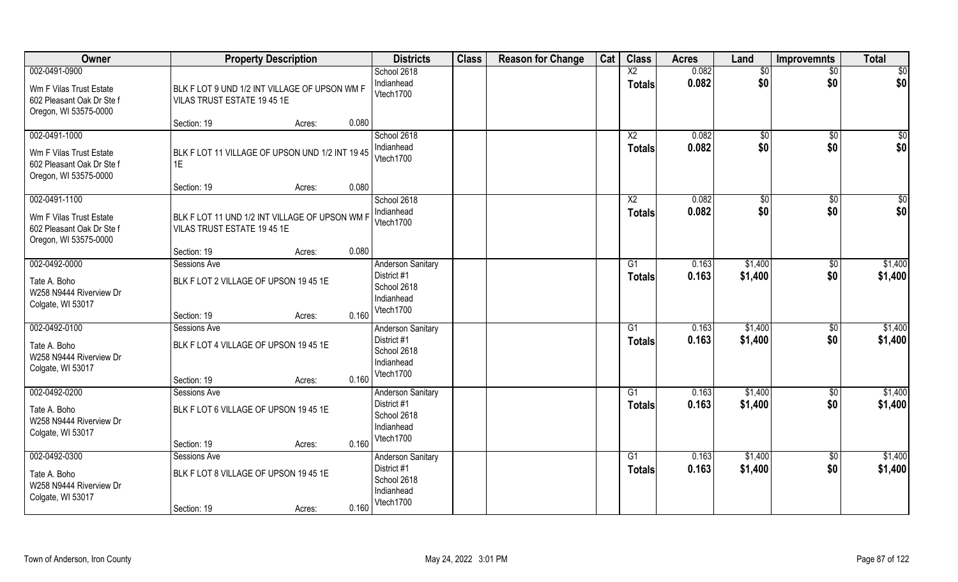| Owner                                                                                          | <b>Property Description</b>                                                                                               | <b>Districts</b>                                                                  | <b>Class</b> | <b>Reason for Change</b> | Cat | <b>Class</b>                     | <b>Acres</b>   | Land                 | <b>Improvemnts</b>     | <b>Total</b>            |
|------------------------------------------------------------------------------------------------|---------------------------------------------------------------------------------------------------------------------------|-----------------------------------------------------------------------------------|--------------|--------------------------|-----|----------------------------------|----------------|----------------------|------------------------|-------------------------|
| 002-0491-0900<br>Wm F Vilas Trust Estate<br>602 Pleasant Oak Dr Ste f<br>Oregon, WI 53575-0000 | BLK F LOT 9 UND 1/2 INT VILLAGE OF UPSON WM F<br>VILAS TRUST ESTATE 19 45 1E<br>0.080<br>Section: 19<br>Acres:            | School 2618<br>Indianhead<br>Vtech1700                                            |              |                          |     | $\overline{X2}$<br><b>Totals</b> | 0.082<br>0.082 | $\sqrt{$0}$<br>\$0   | $\overline{30}$<br>\$0 | \$0<br>\$0              |
| 002-0491-1000<br>Wm F Vilas Trust Estate<br>602 Pleasant Oak Dr Ste f<br>Oregon, WI 53575-0000 | BLK F LOT 11 VILLAGE OF UPSON UND 1/2 INT 19 45<br>1E<br>0.080<br>Section: 19                                             | School 2618<br>Indianhead<br>Vtech1700                                            |              |                          |     | X2<br><b>Totals</b>              | 0.082<br>0.082 | \$0<br>\$0           | \$0<br>\$0             | $\overline{\$0}$<br>\$0 |
| 002-0491-1100<br>Wm F Vilas Trust Estate<br>602 Pleasant Oak Dr Ste f<br>Oregon, WI 53575-0000 | Acres:<br>BLK F LOT 11 UND 1/2 INT VILLAGE OF UPSON WM F<br>VILAS TRUST ESTATE 19 45 1E<br>0.080<br>Section: 19<br>Acres: | School 2618<br>Indianhead<br>Vtech1700                                            |              |                          |     | X <sub>2</sub><br><b>Totals</b>  | 0.082<br>0.082 | $\sqrt[6]{3}$<br>\$0 | $\sqrt[6]{30}$<br>\$0  | \$0<br>\$0              |
| 002-0492-0000<br>Tate A. Boho<br>W258 N9444 Riverview Dr<br>Colgate, WI 53017                  | Sessions Ave<br>BLK F LOT 2 VILLAGE OF UPSON 19 45 1E<br>0.160<br>Section: 19<br>Acres:                                   | <b>Anderson Sanitary</b><br>District #1<br>School 2618<br>Indianhead<br>Vtech1700 |              |                          |     | G <sub>1</sub><br><b>Totals</b>  | 0.163<br>0.163 | \$1,400<br>\$1,400   | \$0<br>\$0             | \$1,400<br>\$1,400      |
| 002-0492-0100<br>Tate A. Boho<br>W258 N9444 Riverview Dr<br>Colgate, WI 53017                  | Sessions Ave<br>BLK F LOT 4 VILLAGE OF UPSON 19 45 1E<br>0.160<br>Section: 19<br>Acres:                                   | Anderson Sanitary<br>District #1<br>School 2618<br>Indianhead<br>Vtech1700        |              |                          |     | G1<br><b>Totals</b>              | 0.163<br>0.163 | \$1,400<br>\$1,400   | $\sqrt[6]{30}$<br>\$0  | \$1,400<br>\$1,400      |
| 002-0492-0200<br>Tate A. Boho<br>W258 N9444 Riverview Dr<br>Colgate, WI 53017                  | Sessions Ave<br>BLK F LOT 6 VILLAGE OF UPSON 19 45 1E<br>0.160<br>Section: 19<br>Acres:                                   | <b>Anderson Sanitary</b><br>District #1<br>School 2618<br>Indianhead<br>Vtech1700 |              |                          |     | G1<br><b>Totals</b>              | 0.163<br>0.163 | \$1,400<br>\$1,400   | \$0<br>\$0             | \$1,400<br>\$1,400      |
| 002-0492-0300<br>Tate A. Boho<br>W258 N9444 Riverview Dr<br>Colgate, WI 53017                  | <b>Sessions Ave</b><br>BLK F LOT 8 VILLAGE OF UPSON 19 45 1E<br>0.160<br>Section: 19<br>Acres:                            | <b>Anderson Sanitary</b><br>District #1<br>School 2618<br>Indianhead<br>Vtech1700 |              |                          |     | G1<br><b>Totals</b>              | 0.163<br>0.163 | \$1,400<br>\$1,400   | $\sqrt{$0}$<br>\$0     | \$1,400<br>\$1,400      |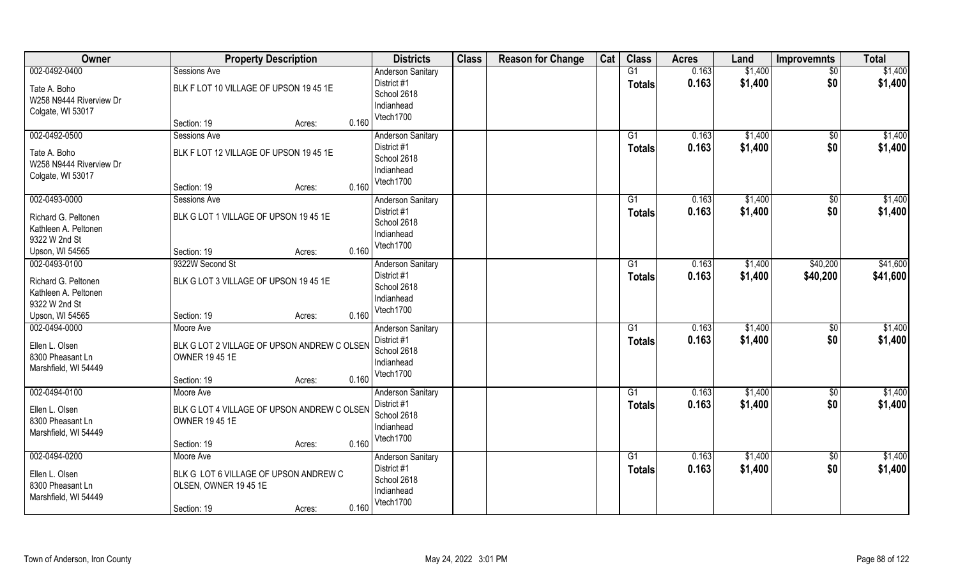| Owner                   | <b>Property Description</b>                 | <b>Districts</b>                        | <b>Class</b> | <b>Reason for Change</b> | Cat | <b>Class</b>  | <b>Acres</b>   | Land    | <b>Improvemnts</b> | <b>Total</b> |
|-------------------------|---------------------------------------------|-----------------------------------------|--------------|--------------------------|-----|---------------|----------------|---------|--------------------|--------------|
| 002-0492-0400           | Sessions Ave                                | <b>Anderson Sanitary</b>                |              |                          |     | G1            | 0.163          | \$1,400 | \$0                | \$1,400      |
| Tate A. Boho            | BLK F LOT 10 VILLAGE OF UPSON 19 45 1E      | District #1                             |              |                          |     | <b>Totals</b> | 0.163          | \$1,400 | \$0                | \$1,400      |
| W258 N9444 Riverview Dr |                                             | School 2618                             |              |                          |     |               |                |         |                    |              |
| Colgate, WI 53017       |                                             | Indianhead                              |              |                          |     |               |                |         |                    |              |
|                         | 0.160<br>Section: 19<br>Acres:              | Vtech1700                               |              |                          |     |               |                |         |                    |              |
| 002-0492-0500           | Sessions Ave                                | <b>Anderson Sanitary</b>                |              |                          |     | G1            | 0.163          | \$1,400 | $\sqrt{$0}$        | \$1,400      |
| Tate A. Boho            | BLK F LOT 12 VILLAGE OF UPSON 19 45 1E      | District #1                             |              |                          |     | <b>Totals</b> | 0.163          | \$1,400 | \$0                | \$1,400      |
| W258 N9444 Riverview Dr |                                             | School 2618                             |              |                          |     |               |                |         |                    |              |
| Colgate, WI 53017       |                                             | Indianhead                              |              |                          |     |               |                |         |                    |              |
|                         | Section: 19<br>0.160<br>Acres:              | Vtech1700                               |              |                          |     |               |                |         |                    |              |
| 002-0493-0000           | Sessions Ave                                | <b>Anderson Sanitary</b>                |              |                          |     | G1            | 0.163          | \$1,400 | $\sqrt[6]{30}$     | \$1,400      |
| Richard G. Peltonen     | BLK G LOT 1 VILLAGE OF UPSON 1945 1E        | District #1                             |              |                          |     | <b>Totals</b> | 0.163          | \$1,400 | \$0                | \$1,400      |
| Kathleen A. Peltonen    |                                             | School 2618                             |              |                          |     |               |                |         |                    |              |
| 9322 W 2nd St           |                                             | Indianhead                              |              |                          |     |               |                |         |                    |              |
| Upson, WI 54565         | 0.160<br>Section: 19<br>Acres:              | Vtech1700                               |              |                          |     |               |                |         |                    |              |
| 002-0493-0100           | 9322W Second St                             | <b>Anderson Sanitary</b>                |              |                          |     | G1            | 0.163          | \$1,400 | \$40,200           | \$41,600     |
| Richard G. Peltonen     | BLK G LOT 3 VILLAGE OF UPSON 19 45 1E       | District #1                             |              |                          |     | <b>Totals</b> | 0.163          | \$1,400 | \$40,200           | \$41,600     |
| Kathleen A. Peltonen    |                                             | School 2618                             |              |                          |     |               |                |         |                    |              |
| 9322 W 2nd St           |                                             | Indianhead                              |              |                          |     |               |                |         |                    |              |
| Upson, WI 54565         | 0.160<br>Section: 19<br>Acres:              | Vtech1700                               |              |                          |     |               |                |         |                    |              |
| 002-0494-0000           | Moore Ave                                   | <b>Anderson Sanitary</b>                |              |                          |     | G1            | 0.163          | \$1,400 | $\sqrt[6]{30}$     | \$1,400      |
|                         |                                             | District #1                             |              |                          |     | Totals        | 0.163          | \$1,400 | \$0                | \$1,400      |
| Ellen L. Olsen          | BLK G LOT 2 VILLAGE OF UPSON ANDREW C OLSEN | School 2618                             |              |                          |     |               |                |         |                    |              |
| 8300 Pheasant Ln        | <b>OWNER 19 45 1E</b>                       | Indianhead                              |              |                          |     |               |                |         |                    |              |
| Marshfield, WI 54449    | 0.160                                       | Vtech1700                               |              |                          |     |               |                |         |                    |              |
| 002-0494-0100           | Section: 19<br>Acres:                       |                                         |              |                          |     |               |                | \$1,400 |                    | \$1,400      |
|                         | Moore Ave                                   | <b>Anderson Sanitary</b><br>District #1 |              |                          |     | G1            | 0.163<br>0.163 |         | $\sqrt{6}$<br>\$0  |              |
| Ellen L. Olsen          | BLK G LOT 4 VILLAGE OF UPSON ANDREW C OLSEN | School 2618                             |              |                          |     | <b>Totals</b> |                | \$1,400 |                    | \$1,400      |
| 8300 Pheasant Ln        | <b>OWNER 19 45 1E</b>                       | Indianhead                              |              |                          |     |               |                |         |                    |              |
| Marshfield, WI 54449    |                                             | Vtech1700                               |              |                          |     |               |                |         |                    |              |
|                         | 0.160<br>Section: 19<br>Acres:              |                                         |              |                          |     |               |                |         |                    |              |
| 002-0494-0200           | Moore Ave                                   | <b>Anderson Sanitary</b>                |              |                          |     | G1            | 0.163          | \$1,400 | $\sqrt{$0}$        | \$1,400      |
| Ellen L. Olsen          | BLK G LOT 6 VILLAGE OF UPSON ANDREW C       | District #1                             |              |                          |     | <b>Totals</b> | 0.163          | \$1,400 | \$0                | \$1,400      |
| 8300 Pheasant Ln        | OLSEN, OWNER 19 45 1E                       | School 2618<br>Indianhead               |              |                          |     |               |                |         |                    |              |
| Marshfield, WI 54449    |                                             | Vtech1700                               |              |                          |     |               |                |         |                    |              |
|                         | 0.160<br>Section: 19<br>Acres:              |                                         |              |                          |     |               |                |         |                    |              |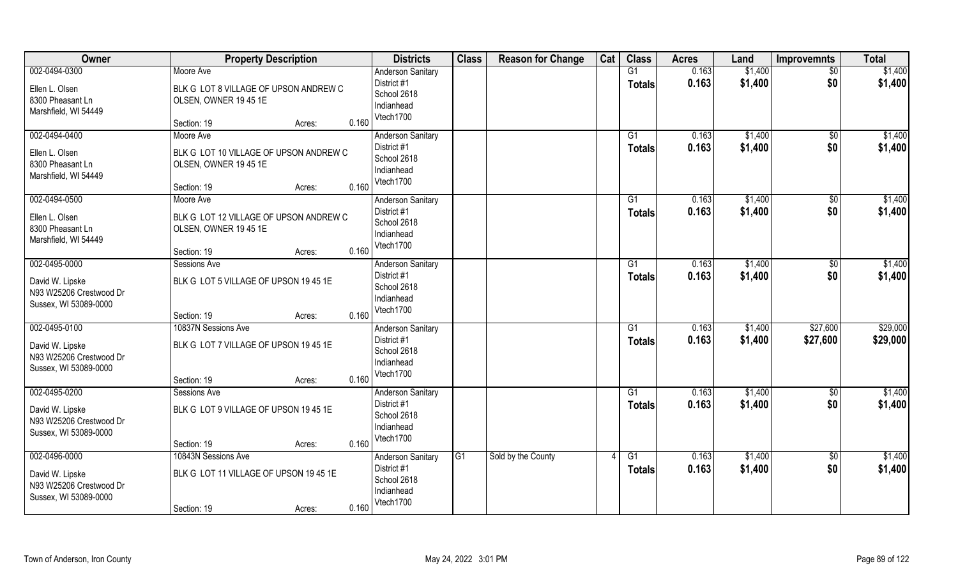| Owner                                                                                | <b>Property Description</b>                                                                           | <b>Districts</b>                                                                           | <b>Class</b>    | <b>Reason for Change</b> | Cat | <b>Class</b>              | <b>Acres</b>   | Land               | <b>Improvemnts</b>   | <b>Total</b>         |
|--------------------------------------------------------------------------------------|-------------------------------------------------------------------------------------------------------|--------------------------------------------------------------------------------------------|-----------------|--------------------------|-----|---------------------------|----------------|--------------------|----------------------|----------------------|
| 002-0494-0300<br>Ellen L. Olsen<br>8300 Pheasant Ln<br>Marshfield, WI 54449          | Moore Ave<br>BLK G LOT 8 VILLAGE OF UPSON ANDREW C<br>OLSEN, OWNER 19 45 1E<br>Section: 19<br>Acres:  | <b>Anderson Sanitary</b><br>District #1<br>School 2618<br>Indianhead<br>Vtech1700<br>0.160 |                 |                          |     | G1<br><b>Totals</b>       | 0.163<br>0.163 | \$1,400<br>\$1,400 | $\sqrt{$0}$<br>\$0   | \$1,400<br>\$1,400   |
| 002-0494-0400<br>Ellen L. Olsen<br>8300 Pheasant Ln<br>Marshfield, WI 54449          | Moore Ave<br>BLK G LOT 10 VILLAGE OF UPSON ANDREW C<br>OLSEN, OWNER 19 45 1E<br>Section: 19<br>Acres: | <b>Anderson Sanitary</b><br>District #1<br>School 2618<br>Indianhead<br>Vtech1700<br>0.160 |                 |                          |     | $\overline{G1}$<br>Totals | 0.163<br>0.163 | \$1,400<br>\$1,400 | \$0<br>\$0           | \$1,400<br>\$1,400   |
| 002-0494-0500<br>Ellen L. Olsen<br>8300 Pheasant Ln<br>Marshfield, WI 54449          | Moore Ave<br>BLK G LOT 12 VILLAGE OF UPSON ANDREW C<br>OLSEN, OWNER 19 45 1E<br>Section: 19<br>Acres: | Anderson Sanitary<br>District #1<br>School 2618<br>Indianhead<br>Vtech1700<br>0.160        |                 |                          |     | G1<br><b>Totals</b>       | 0.163<br>0.163 | \$1,400<br>\$1,400 | \$0<br>\$0           | \$1,400<br>\$1,400   |
| 002-0495-0000<br>David W. Lipske<br>N93 W25206 Crestwood Dr<br>Sussex, WI 53089-0000 | Sessions Ave<br>BLK G LOT 5 VILLAGE OF UPSON 19 45 1E<br>Section: 19<br>Acres:                        | Anderson Sanitary<br>District #1<br>School 2618<br>Indianhead<br>Vtech1700<br>0.160        |                 |                          |     | G1<br><b>Totals</b>       | 0.163<br>0.163 | \$1,400<br>\$1,400 | \$0<br>\$0           | \$1,400<br>\$1,400   |
| 002-0495-0100<br>David W. Lipske<br>N93 W25206 Crestwood Dr<br>Sussex, WI 53089-0000 | 10837N Sessions Ave<br>BLK G LOT 7 VILLAGE OF UPSON 19 45 1E<br>Section: 19<br>Acres:                 | <b>Anderson Sanitary</b><br>District #1<br>School 2618<br>Indianhead<br>Vtech1700<br>0.160 |                 |                          |     | $\overline{G1}$<br>Totals | 0.163<br>0.163 | \$1,400<br>\$1,400 | \$27,600<br>\$27,600 | \$29,000<br>\$29,000 |
| 002-0495-0200<br>David W. Lipske<br>N93 W25206 Crestwood Dr<br>Sussex, WI 53089-0000 | Sessions Ave<br>BLK G LOT 9 VILLAGE OF UPSON 19 45 1E<br>Section: 19<br>Acres:                        | <b>Anderson Sanitary</b><br>District #1<br>School 2618<br>Indianhead<br>Vtech1700<br>0.160 |                 |                          |     | G1<br><b>Totals</b>       | 0.163<br>0.163 | \$1,400<br>\$1,400 | \$0<br>\$0           | \$1,400<br>\$1,400   |
| 002-0496-0000<br>David W. Lipske<br>N93 W25206 Crestwood Dr<br>Sussex, WI 53089-0000 | 10843N Sessions Ave<br>BLK G LOT 11 VILLAGE OF UPSON 19 45 1E<br>Section: 19<br>Acres:                | <b>Anderson Sanitary</b><br>District #1<br>School 2618<br>Indianhead<br>Vtech1700<br>0.160 | $\overline{G1}$ | Sold by the County       |     | $\overline{G1}$<br>Totals | 0.163<br>0.163 | \$1,400<br>\$1,400 | $\sqrt{$0}$<br>\$0   | \$1,400<br>\$1,400   |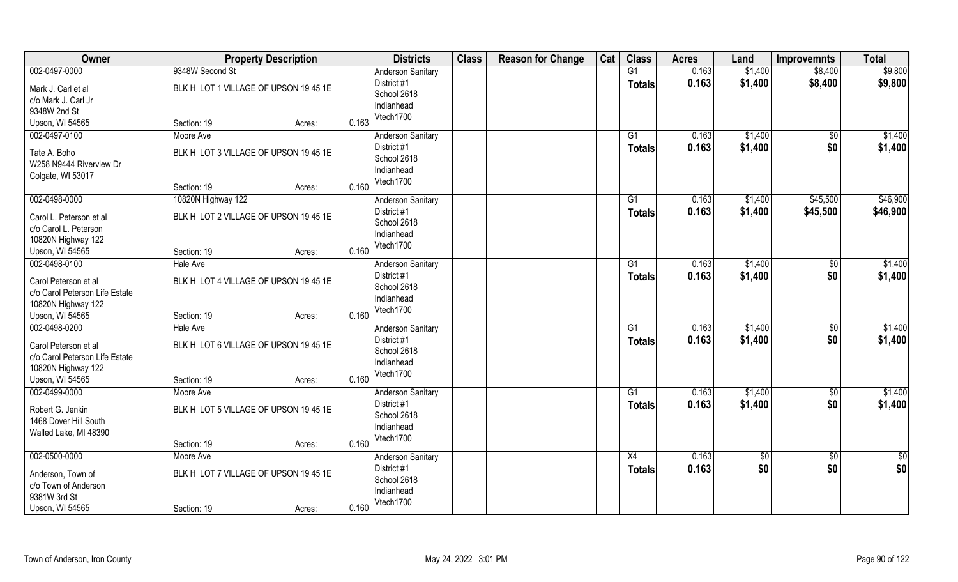| Owner                          | <b>Property Description</b>           |       | <b>Districts</b>           | <b>Class</b> | <b>Reason for Change</b> | Cat | <b>Class</b>    | <b>Acres</b> | Land        | <b>Improvemnts</b> | <b>Total</b>  |
|--------------------------------|---------------------------------------|-------|----------------------------|--------------|--------------------------|-----|-----------------|--------------|-------------|--------------------|---------------|
| 002-0497-0000                  | 9348W Second St                       |       | <b>Anderson Sanitary</b>   |              |                          |     | G1              | 0.163        | \$1,400     | \$8,400            | \$9,800       |
| Mark J. Carl et al             | BLK H LOT 1 VILLAGE OF UPSON 19 45 1E |       | District #1                |              |                          |     | <b>Totals</b>   | 0.163        | \$1,400     | \$8,400            | \$9,800       |
| c/o Mark J. Carl Jr            |                                       |       | School 2618                |              |                          |     |                 |              |             |                    |               |
| 9348W 2nd St                   |                                       |       | Indianhead                 |              |                          |     |                 |              |             |                    |               |
| Upson, WI 54565                | Section: 19<br>Acres:                 | 0.163 | Vtech1700                  |              |                          |     |                 |              |             |                    |               |
| 002-0497-0100                  | Moore Ave                             |       | <b>Anderson Sanitary</b>   |              |                          |     | G1              | 0.163        | \$1,400     | $\frac{1}{2}$      | \$1,400       |
|                                |                                       |       | District #1                |              |                          |     | <b>Totals</b>   | 0.163        | \$1,400     | \$0                | \$1,400       |
| Tate A. Boho                   | BLK H LOT 3 VILLAGE OF UPSON 19 45 1E |       | School 2618                |              |                          |     |                 |              |             |                    |               |
| W258 N9444 Riverview Dr        |                                       |       | Indianhead                 |              |                          |     |                 |              |             |                    |               |
| Colgate, WI 53017              | Section: 19<br>Acres:                 | 0.160 | Vtech1700                  |              |                          |     |                 |              |             |                    |               |
| 002-0498-0000                  | 10820N Highway 122                    |       | <b>Anderson Sanitary</b>   |              |                          |     | G1              | 0.163        | \$1,400     | \$45,500           | \$46,900      |
|                                |                                       |       | District #1                |              |                          |     |                 | 0.163        | \$1,400     | \$45,500           | \$46,900      |
| Carol L. Peterson et al        | BLK H LOT 2 VILLAGE OF UPSON 19 45 1E |       | School 2618                |              |                          |     | <b>Totals</b>   |              |             |                    |               |
| c/o Carol L. Peterson          |                                       |       | Indianhead                 |              |                          |     |                 |              |             |                    |               |
| 10820N Highway 122             |                                       |       | Vtech1700                  |              |                          |     |                 |              |             |                    |               |
| Upson, WI 54565                | Section: 19<br>Acres:                 | 0.160 |                            |              |                          |     |                 |              |             |                    |               |
| 002-0498-0100                  | Hale Ave                              |       | <b>Anderson Sanitary</b>   |              |                          |     | G1              | 0.163        | \$1,400     | \$                 | \$1,400       |
| Carol Peterson et al           | BLK H LOT 4 VILLAGE OF UPSON 19 45 1E |       | District #1                |              |                          |     | <b>Totals</b>   | 0.163        | \$1,400     | \$0                | \$1,400       |
| c/o Carol Peterson Life Estate |                                       |       | School 2618                |              |                          |     |                 |              |             |                    |               |
| 10820N Highway 122             |                                       |       | Indianhead                 |              |                          |     |                 |              |             |                    |               |
| Upson, WI 54565                | Section: 19<br>Acres:                 | 0.160 | Vtech1700                  |              |                          |     |                 |              |             |                    |               |
| 002-0498-0200                  | <b>Hale Ave</b>                       |       | <b>Anderson Sanitary</b>   |              |                          |     | $\overline{G1}$ | 0.163        | \$1,400     | $\overline{50}$    | \$1,400       |
| Carol Peterson et al           | BLK H LOT 6 VILLAGE OF UPSON 19 45 1E |       | District #1                |              |                          |     | <b>Totals</b>   | 0.163        | \$1,400     | \$0                | \$1,400       |
| c/o Carol Peterson Life Estate |                                       |       | School 2618                |              |                          |     |                 |              |             |                    |               |
| 10820N Highway 122             |                                       |       | Indianhead                 |              |                          |     |                 |              |             |                    |               |
| Upson, WI 54565                | Section: 19<br>Acres:                 | 0.160 | Vtech1700                  |              |                          |     |                 |              |             |                    |               |
| 002-0499-0000                  | Moore Ave                             |       | <b>Anderson Sanitary</b>   |              |                          |     | G1              | 0.163        | \$1,400     | \$0                | \$1,400       |
|                                |                                       |       | District #1                |              |                          |     | <b>Totals</b>   | 0.163        | \$1,400     | \$0                | \$1,400       |
| Robert G. Jenkin               | BLK H LOT 5 VILLAGE OF UPSON 19 45 1E |       | School 2618                |              |                          |     |                 |              |             |                    |               |
| 1468 Dover Hill South          |                                       |       | Indianhead                 |              |                          |     |                 |              |             |                    |               |
| Walled Lake, MI 48390          |                                       |       | Vtech1700                  |              |                          |     |                 |              |             |                    |               |
|                                | Section: 19<br>Acres:                 | 0.160 |                            |              |                          |     |                 |              |             |                    |               |
| 002-0500-0000                  | Moore Ave                             |       | <b>Anderson Sanitary</b>   |              |                          |     | X4              | 0.163        | $\sqrt{50}$ | \$0                | $\frac{1}{2}$ |
| Anderson, Town of              | BLK H LOT 7 VILLAGE OF UPSON 19 45 1E |       | District #1<br>School 2618 |              |                          |     | <b>Totals</b>   | 0.163        | \$0         | \$0                | \$0           |
| c/o Town of Anderson           |                                       |       | Indianhead                 |              |                          |     |                 |              |             |                    |               |
| 9381W 3rd St                   |                                       |       | Vtech1700                  |              |                          |     |                 |              |             |                    |               |
| Upson, WI 54565                | Section: 19<br>Acres:                 | 0.160 |                            |              |                          |     |                 |              |             |                    |               |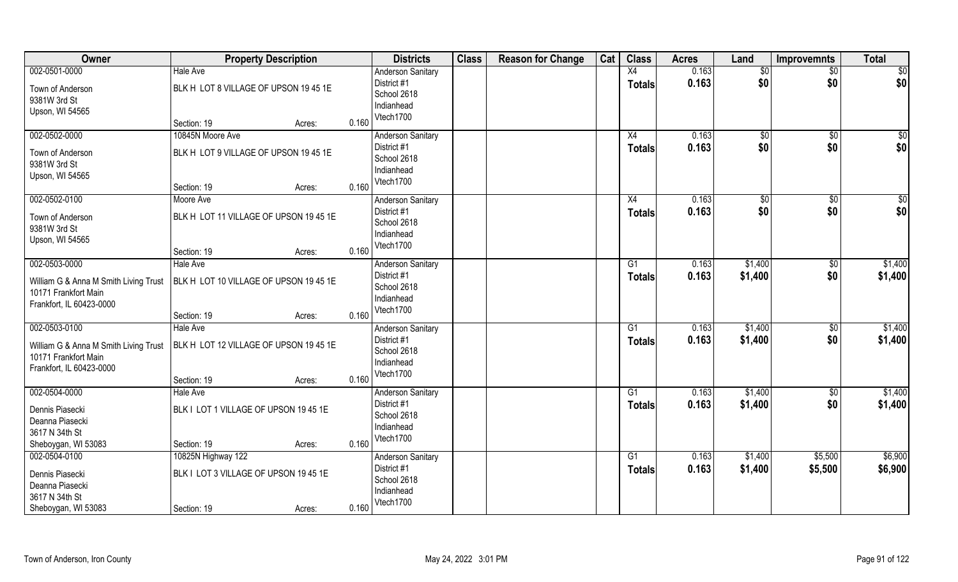| Owner                                                                                                      | <b>Property Description</b>                                                          |       | <b>Districts</b>                                                                  | <b>Class</b> | <b>Reason for Change</b> | Cat | <b>Class</b>                     | <b>Acres</b>   | Land                | <b>Improvemnts</b>     | <b>Total</b>            |
|------------------------------------------------------------------------------------------------------------|--------------------------------------------------------------------------------------|-------|-----------------------------------------------------------------------------------|--------------|--------------------------|-----|----------------------------------|----------------|---------------------|------------------------|-------------------------|
| 002-0501-0000<br>Town of Anderson<br>9381W 3rd St<br>Upson, WI 54565                                       | <b>Hale Ave</b><br>BLK H LOT 8 VILLAGE OF UPSON 19 45 1E<br>Section: 19<br>Acres:    | 0.160 | <b>Anderson Sanitary</b><br>District #1<br>School 2618<br>Indianhead<br>Vtech1700 |              |                          |     | X4<br>Totals                     | 0.163<br>0.163 | \$0<br>\$0          | $\sqrt{$0}$<br>\$0     | $\overline{50}$<br> \$0 |
| 002-0502-0000<br>Town of Anderson<br>9381W 3rd St<br>Upson, WI 54565                                       | 10845N Moore Ave<br>BLK H LOT 9 VILLAGE OF UPSON 19 45 1E<br>Section: 19<br>Acres:   | 0.160 | <b>Anderson Sanitary</b><br>District #1<br>School 2618<br>Indianhead<br>Vtech1700 |              |                          |     | X4<br>Totals                     | 0.163<br>0.163 | $\sqrt[6]{}$<br>\$0 | \$0<br>\$0             | \$0<br>\$0              |
| 002-0502-0100<br>Town of Anderson<br>9381W 3rd St<br>Upson, WI 54565                                       | Moore Ave<br>BLK H LOT 11 VILLAGE OF UPSON 19 45 1E<br>Section: 19<br>Acres:         | 0.160 | Anderson Sanitary<br>District #1<br>School 2618<br>Indianhead<br>Vtech1700        |              |                          |     | X4<br><b>Totals</b>              | 0.163<br>0.163 | \$0<br>\$0          | \$0<br>\$0             | \$0<br>\$0              |
| 002-0503-0000<br>William G & Anna M Smith Living Trust<br>10171 Frankfort Main<br>Frankfort, IL 60423-0000 | <b>Hale Ave</b><br>BLK H LOT 10 VILLAGE OF UPSON 19 45 1E<br>Section: 19<br>Acres:   | 0.160 | <b>Anderson Sanitary</b><br>District #1<br>School 2618<br>Indianhead<br>Vtech1700 |              |                          |     | G1<br><b>Totals</b>              | 0.163<br>0.163 | \$1,400<br>\$1,400  | \$0<br>\$0             | \$1,400<br>\$1,400      |
| 002-0503-0100<br>William G & Anna M Smith Living Trust<br>10171 Frankfort Main<br>Frankfort, IL 60423-0000 | <b>Hale Ave</b><br>BLK H LOT 12 VILLAGE OF UPSON 19 45 1E<br>Section: 19<br>Acres:   | 0.160 | <b>Anderson Sanitary</b><br>District #1<br>School 2618<br>Indianhead<br>Vtech1700 |              |                          |     | G1<br><b>Totals</b>              | 0.163<br>0.163 | \$1,400<br>\$1,400  | $\overline{50}$<br>\$0 | \$1,400<br>\$1,400      |
| 002-0504-0000<br>Dennis Piasecki<br>Deanna Piasecki<br>3617 N 34th St<br>Sheboygan, WI 53083               | <b>Hale Ave</b><br>BLK I LOT 1 VILLAGE OF UPSON 19 45 1E<br>Section: 19<br>Acres:    | 0.160 | <b>Anderson Sanitary</b><br>District #1<br>School 2618<br>Indianhead<br>Vtech1700 |              |                          |     | G1<br><b>Totals</b>              | 0.163<br>0.163 | \$1,400<br>\$1,400  | \$0<br>\$0             | \$1,400<br>\$1,400      |
| 002-0504-0100<br>Dennis Piasecki<br>Deanna Piasecki<br>3617 N 34th St<br>Sheboygan, WI 53083               | 10825N Highway 122<br>BLK I LOT 3 VILLAGE OF UPSON 19 45 1E<br>Section: 19<br>Acres: | 0.160 | <b>Anderson Sanitary</b><br>District #1<br>School 2618<br>Indianhead<br>Vtech1700 |              |                          |     | $\overline{G1}$<br><b>Totals</b> | 0.163<br>0.163 | \$1,400<br>\$1,400  | \$5,500<br>\$5,500     | \$6,900<br>\$6,900      |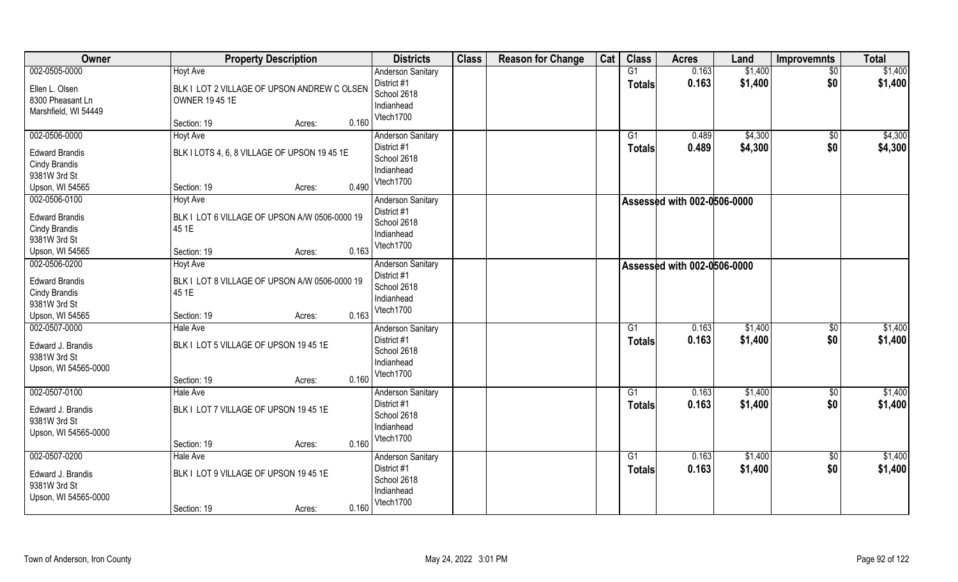| Owner                                                                                             | <b>Property Description</b>                                                                                               | <b>Districts</b>                                                                  | <b>Class</b> | <b>Reason for Change</b> | Cat | <b>Class</b>        | <b>Acres</b>                | Land               | <b>Improvemnts</b>    | <b>Total</b>       |
|---------------------------------------------------------------------------------------------------|---------------------------------------------------------------------------------------------------------------------------|-----------------------------------------------------------------------------------|--------------|--------------------------|-----|---------------------|-----------------------------|--------------------|-----------------------|--------------------|
| 002-0505-0000<br>Ellen L. Olsen<br>8300 Pheasant Ln<br>Marshfield, WI 54449                       | <b>Hoyt Ave</b><br>BLK I LOT 2 VILLAGE OF UPSON ANDREW C OLSEN<br><b>OWNER 19 45 1E</b><br>0.160<br>Section: 19<br>Acres: | <b>Anderson Sanitary</b><br>District #1<br>School 2618<br>Indianhead<br>Vtech1700 |              |                          |     | G1<br><b>Totals</b> | 0.163<br>0.163              | \$1,400<br>\$1,400 | \$0<br>\$0            | \$1,400<br>\$1,400 |
| 002-0506-0000<br><b>Edward Brandis</b><br><b>Cindy Brandis</b><br>9381W 3rd St<br>Upson, WI 54565 | <b>Hoyt Ave</b><br>BLK I LOTS 4, 6, 8 VILLAGE OF UPSON 19 45 1E<br>0.490<br>Section: 19<br>Acres:                         | <b>Anderson Sanitary</b><br>District #1<br>School 2618<br>Indianhead<br>Vtech1700 |              |                          |     | G1<br><b>Totals</b> | 0.489<br>0.489              | \$4,300<br>\$4,300 | \$0<br>\$0            | \$4,300<br>\$4,300 |
| 002-0506-0100<br><b>Edward Brandis</b><br>Cindy Brandis<br>9381W 3rd St<br>Upson, WI 54565        | Hoyt Ave<br>BLK I LOT 6 VILLAGE OF UPSON A/W 0506-0000 19<br>45 1E<br>0.163<br>Section: 19<br>Acres:                      | <b>Anderson Sanitary</b><br>District #1<br>School 2618<br>Indianhead<br>Vtech1700 |              |                          |     |                     | Assessed with 002-0506-0000 |                    |                       |                    |
| 002-0506-0200<br><b>Edward Brandis</b><br>Cindy Brandis<br>9381W 3rd St<br>Upson, WI 54565        | <b>Hoyt Ave</b><br>BLK I LOT 8 VILLAGE OF UPSON A/W 0506-0000 19<br>45 1E<br>0.163<br>Section: 19<br>Acres:               | <b>Anderson Sanitary</b><br>District #1<br>School 2618<br>Indianhead<br>Vtech1700 |              |                          |     |                     | Assessed with 002-0506-0000 |                    |                       |                    |
| 002-0507-0000<br>Edward J. Brandis<br>9381W 3rd St<br>Upson, WI 54565-0000                        | <b>Hale Ave</b><br>BLK I LOT 5 VILLAGE OF UPSON 19 45 1E<br>0.160<br>Section: 19<br>Acres:                                | <b>Anderson Sanitary</b><br>District #1<br>School 2618<br>Indianhead<br>Vtech1700 |              |                          |     | G1<br><b>Totals</b> | 0.163<br>0.163              | \$1,400<br>\$1,400 | $\sqrt[6]{30}$<br>\$0 | \$1,400<br>\$1,400 |
| 002-0507-0100<br>Edward J. Brandis<br>9381W 3rd St<br>Upson, WI 54565-0000                        | <b>Hale Ave</b><br>BLK I LOT 7 VILLAGE OF UPSON 19 45 1E<br>0.160<br>Section: 19<br>Acres:                                | <b>Anderson Sanitary</b><br>District #1<br>School 2618<br>Indianhead<br>Vtech1700 |              |                          |     | G1<br><b>Totals</b> | 0.163<br>0.163              | \$1,400<br>\$1,400 | \$0<br>\$0            | \$1,400<br>\$1,400 |
| 002-0507-0200<br>Edward J. Brandis<br>9381W 3rd St<br>Upson, WI 54565-0000                        | <b>Hale Ave</b><br>BLK I LOT 9 VILLAGE OF UPSON 19 45 1E<br>0.160<br>Section: 19<br>Acres:                                | <b>Anderson Sanitary</b><br>District #1<br>School 2618<br>Indianhead<br>Vtech1700 |              |                          |     | G1<br><b>Totals</b> | 0.163<br>0.163              | \$1,400<br>\$1,400 | $\sqrt{$0}$<br>\$0    | \$1,400<br>\$1,400 |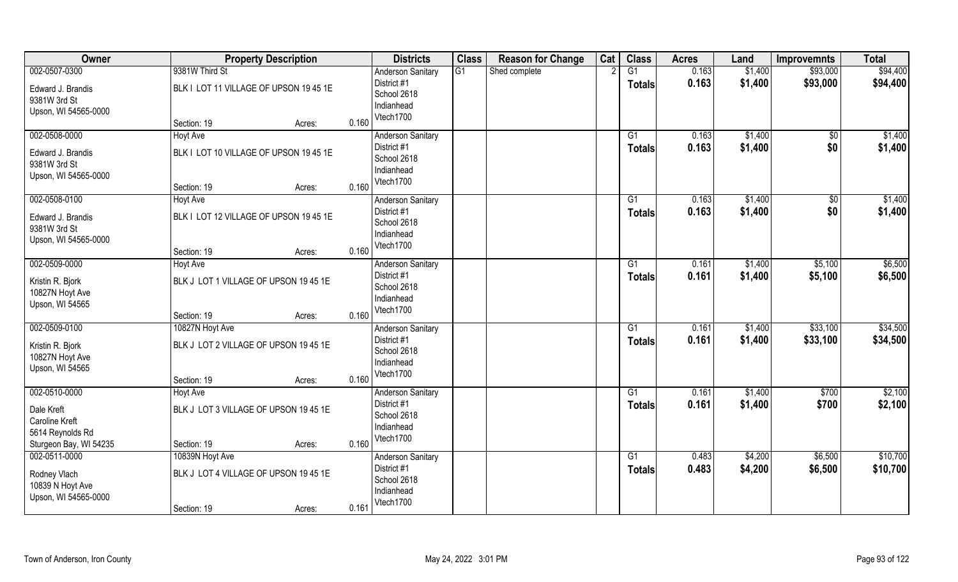| Owner                                                     |                                                           | <b>Property Description</b> |       | <b>Districts</b>                                      | <b>Class</b> | <b>Reason for Change</b> | Cat | <b>Class</b>    | <b>Acres</b>   | Land               | <b>Improvemnts</b>     | <b>Total</b>       |
|-----------------------------------------------------------|-----------------------------------------------------------|-----------------------------|-------|-------------------------------------------------------|--------------|--------------------------|-----|-----------------|----------------|--------------------|------------------------|--------------------|
| 002-0507-0300                                             | 9381W Third St                                            |                             |       | <b>Anderson Sanitary</b>                              | G1           | Shed complete            |     | $\overline{G1}$ | 0.163          | \$1,400            | \$93,000               | \$94,400           |
| Edward J. Brandis<br>9381W 3rd St<br>Upson, WI 54565-0000 | BLK I LOT 11 VILLAGE OF UPSON 19 45 1E                    |                             |       | District #1<br>School 2618<br>Indianhead              |              |                          |     | <b>Totals</b>   | 0.163          | \$1,400            | \$93,000               | \$94,400           |
|                                                           | Section: 19                                               | Acres:                      | 0.160 | Vtech1700                                             |              |                          |     |                 |                |                    |                        |                    |
| 002-0508-0000<br>Edward J. Brandis                        | <b>Hoyt Ave</b><br>BLK I LOT 10 VILLAGE OF UPSON 19 45 1E |                             |       | <b>Anderson Sanitary</b><br>District #1               |              |                          |     | G1<br>Totals    | 0.163<br>0.163 | \$1,400<br>\$1,400 | $\overline{50}$<br>\$0 | \$1,400<br>\$1,400 |
| 9381W 3rd St<br>Upson, WI 54565-0000                      | Section: 19                                               | Acres:                      | 0.160 | School 2618<br>Indianhead<br>Vtech1700                |              |                          |     |                 |                |                    |                        |                    |
| 002-0508-0100                                             | Hoyt Ave                                                  |                             |       | <b>Anderson Sanitary</b>                              |              |                          |     | G1              | 0.163          | \$1,400            | \$0                    | \$1,400            |
| Edward J. Brandis<br>9381W 3rd St<br>Upson, WI 54565-0000 | BLK I LOT 12 VILLAGE OF UPSON 19 45 1E                    |                             |       | District #1<br>School 2618<br>Indianhead              |              |                          |     | <b>Totals</b>   | 0.163          | \$1,400            | \$0                    | \$1,400            |
|                                                           | Section: 19                                               | Acres:                      | 0.160 | Vtech1700                                             |              |                          |     |                 |                |                    |                        |                    |
| 002-0509-0000                                             | Hoyt Ave                                                  |                             |       | <b>Anderson Sanitary</b>                              |              |                          |     | G1              | 0.161          | \$1,400            | \$5,100                | \$6,500            |
| Kristin R. Bjork<br>10827N Hoyt Ave<br>Upson, WI 54565    | BLK J LOT 1 VILLAGE OF UPSON 19 45 1E                     |                             |       | District #1<br>School 2618<br>Indianhead              |              |                          |     | Totals          | 0.161          | \$1,400            | \$5,100                | \$6,500            |
|                                                           | Section: 19                                               | Acres:                      | 0.160 | Vtech1700                                             |              |                          |     |                 |                |                    |                        |                    |
| 002-0509-0100                                             | 10827N Hoyt Ave                                           |                             |       | Anderson Sanitary                                     |              |                          |     | $\overline{G1}$ | 0.161          | \$1,400            | \$33,100               | \$34,500           |
| Kristin R. Bjork<br>10827N Hoyt Ave<br>Upson, WI 54565    | BLK J LOT 2 VILLAGE OF UPSON 19 45 1E                     |                             |       | District #1<br>School 2618<br>Indianhead              |              |                          |     | <b>Totals</b>   | 0.161          | \$1,400            | \$33,100               | \$34,500           |
|                                                           | Section: 19                                               | Acres:                      | 0.160 | Vtech1700                                             |              |                          |     |                 |                |                    |                        |                    |
| 002-0510-0000                                             | <b>Hoyt Ave</b>                                           |                             |       | <b>Anderson Sanitary</b>                              |              |                          |     | G1              | 0.161          | \$1,400            | \$700                  | \$2,100            |
| Dale Kreft<br><b>Caroline Kreft</b>                       | BLK J LOT 3 VILLAGE OF UPSON 19 45 1E                     |                             |       | District #1<br>School 2618<br>Indianhead              |              |                          |     | <b>Totals</b>   | 0.161          | \$1,400            | \$700                  | \$2,100            |
| 5614 Reynolds Rd<br>Sturgeon Bay, WI 54235                | Section: 19                                               |                             | 0.160 | Vtech1700                                             |              |                          |     |                 |                |                    |                        |                    |
| 002-0511-0000                                             | 10839N Hoyt Ave                                           | Acres:                      |       | <b>Anderson Sanitary</b>                              |              |                          |     | $\overline{G1}$ | 0.483          | \$4,200            | \$6,500                | \$10,700           |
| Rodney Vlach<br>10839 N Hoyt Ave<br>Upson, WI 54565-0000  | BLK J LOT 4 VILLAGE OF UPSON 19 45 1E<br>Section: 19      | Acres:                      | 0.161 | District #1<br>School 2618<br>Indianhead<br>Vtech1700 |              |                          |     | Totals          | 0.483          | \$4,200            | \$6,500                | \$10,700           |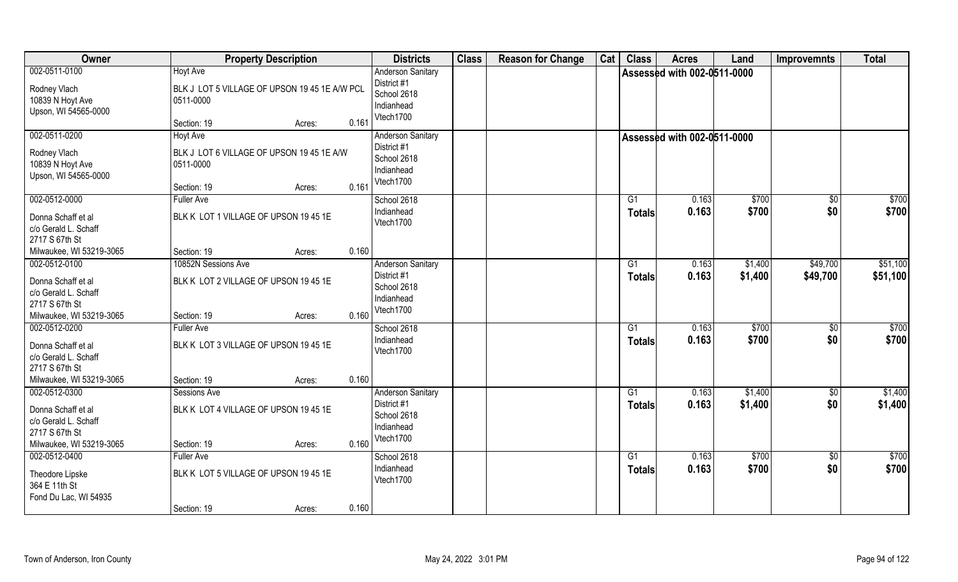| Owner                                                                                    | <b>Property Description</b>                                                   |       | <b>Districts</b>                                                     | <b>Class</b> | <b>Reason for Change</b> | Cat | <b>Class</b>        | <b>Acres</b>                       | Land               | <b>Improvemnts</b>   | <b>Total</b>         |
|------------------------------------------------------------------------------------------|-------------------------------------------------------------------------------|-------|----------------------------------------------------------------------|--------------|--------------------------|-----|---------------------|------------------------------------|--------------------|----------------------|----------------------|
| 002-0511-0100<br>Rodney Vlach<br>10839 N Hoyt Ave                                        | <b>Hoyt Ave</b><br>BLK J LOT 5 VILLAGE OF UPSON 19 45 1E A/W PCL<br>0511-0000 |       | <b>Anderson Sanitary</b><br>District #1<br>School 2618               |              |                          |     |                     | <b>Assessed with 002-0511-0000</b> |                    |                      |                      |
| Upson, WI 54565-0000                                                                     | Section: 19<br>Acres:                                                         | 0.161 | Indianhead<br>Vtech1700                                              |              |                          |     |                     |                                    |                    |                      |                      |
| 002-0511-0200<br>Rodney Vlach                                                            | <b>Hoyt Ave</b><br>BLK J LOT 6 VILLAGE OF UPSON 19 45 1E A/W                  |       | <b>Anderson Sanitary</b><br>District #1<br>School 2618               |              |                          |     |                     | <b>Assessed with 002-0511-0000</b> |                    |                      |                      |
| 10839 N Hoyt Ave<br>Upson, WI 54565-0000                                                 | 0511-0000<br>Section: 19                                                      | 0.161 | Indianhead<br>Vtech1700                                              |              |                          |     |                     |                                    |                    |                      |                      |
| 002-0512-0000                                                                            | Acres:<br><b>Fuller Ave</b>                                                   |       | School 2618                                                          |              |                          |     | G1                  | 0.163                              | \$700              | $\overline{50}$      | \$700                |
| Donna Schaff et al<br>c/o Gerald L. Schaff<br>2717 S 67th St                             | BLK K LOT 1 VILLAGE OF UPSON 19 45 1E                                         |       | Indianhead<br>Vtech1700                                              |              |                          |     | <b>Totals</b>       | 0.163                              | \$700              | \$0                  | \$700                |
| Milwaukee, WI 53219-3065                                                                 | Section: 19<br>Acres:                                                         | 0.160 |                                                                      |              |                          |     |                     |                                    |                    |                      |                      |
| 002-0512-0100<br>Donna Schaff et al<br>c/o Gerald L. Schaff<br>2717 S 67th St            | 10852N Sessions Ave<br>BLK K LOT 2 VILLAGE OF UPSON 19 45 1E                  |       | <b>Anderson Sanitary</b><br>District #1<br>School 2618<br>Indianhead |              |                          |     | G1<br><b>Totals</b> | 0.163<br>0.163                     | \$1,400<br>\$1,400 | \$49,700<br>\$49,700 | \$51,100<br>\$51,100 |
| Milwaukee, WI 53219-3065                                                                 | Section: 19<br>Acres:                                                         | 0.160 | Vtech1700                                                            |              |                          |     |                     |                                    |                    |                      |                      |
| 002-0512-0200<br>Donna Schaff et al<br>c/o Gerald L. Schaff<br>2717 S 67th St            | <b>Fuller Ave</b><br>BLK K LOT 3 VILLAGE OF UPSON 19 45 1E                    |       | School 2618<br>Indianhead<br>Vtech1700                               |              |                          |     | G1<br>Totals        | 0.163<br>0.163                     | \$700<br>\$700     | \$0<br>\$0           | \$700<br>\$700       |
| Milwaukee, WI 53219-3065                                                                 | Section: 19<br>Acres:                                                         | 0.160 |                                                                      |              |                          |     |                     |                                    |                    |                      |                      |
| 002-0512-0300                                                                            | Sessions Ave                                                                  |       | <b>Anderson Sanitary</b>                                             |              |                          |     | G1                  | 0.163                              | \$1,400            | \$0                  | \$1,400              |
| Donna Schaff et al<br>c/o Gerald L. Schaff<br>2717 S 67th St<br>Milwaukee, WI 53219-3065 | BLK K LOT 4 VILLAGE OF UPSON 19 45 1E<br>Section: 19<br>Acres:                | 0.160 | District #1<br>School 2618<br>Indianhead<br>Vtech1700                |              |                          |     | <b>Totals</b>       | 0.163                              | \$1,400            | \$0                  | \$1,400              |
| 002-0512-0400<br>Theodore Lipske<br>364 E 11th St<br>Fond Du Lac, WI 54935               | <b>Fuller Ave</b><br>BLK K LOT 5 VILLAGE OF UPSON 19 45 1E                    |       | School 2618<br>Indianhead<br>Vtech1700                               |              |                          |     | G1<br><b>Totals</b> | 0.163<br>0.163                     | \$700<br>\$700     | \$0<br>\$0           | \$700<br>\$700       |
|                                                                                          | Section: 19<br>Acres:                                                         | 0.160 |                                                                      |              |                          |     |                     |                                    |                    |                      |                      |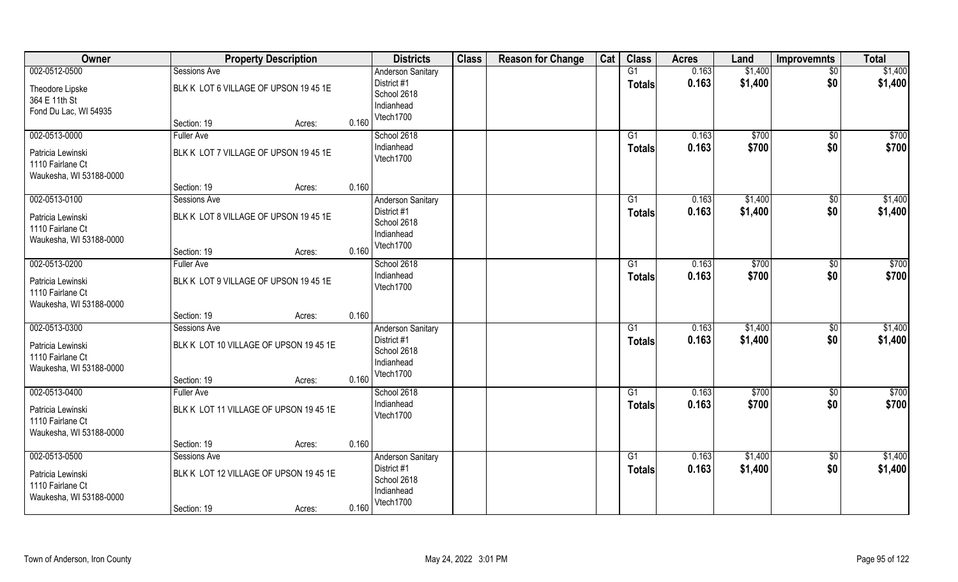| Owner                   | <b>Property Description</b>            |       | <b>Districts</b>         | <b>Class</b> | <b>Reason for Change</b> | Cat | <b>Class</b>   | <b>Acres</b> | Land    | <b>Improvemnts</b> | <b>Total</b> |
|-------------------------|----------------------------------------|-------|--------------------------|--------------|--------------------------|-----|----------------|--------------|---------|--------------------|--------------|
| 002-0512-0500           | Sessions Ave                           |       | <b>Anderson Sanitary</b> |              |                          |     | G1             | 0.163        | \$1,400 | $\overline{50}$    | \$1,400      |
| Theodore Lipske         | BLK K LOT 6 VILLAGE OF UPSON 19 45 1E  |       | District #1              |              |                          |     | <b>Totals</b>  | 0.163        | \$1,400 | \$0                | \$1,400      |
| 364 E 11th St           |                                        |       | School 2618              |              |                          |     |                |              |         |                    |              |
| Fond Du Lac, WI 54935   |                                        |       | Indianhead               |              |                          |     |                |              |         |                    |              |
|                         | Section: 19<br>Acres:                  | 0.160 | Vtech1700                |              |                          |     |                |              |         |                    |              |
| 002-0513-0000           | <b>Fuller Ave</b>                      |       | School 2618              |              |                          |     | G1             | 0.163        | \$700   | \$0                | \$700        |
| Patricia Lewinski       | BLK K LOT 7 VILLAGE OF UPSON 19 45 1E  |       | Indianhead               |              |                          |     | <b>Totals</b>  | 0.163        | \$700   | \$0                | \$700        |
| 1110 Fairlane Ct        |                                        |       | Vtech1700                |              |                          |     |                |              |         |                    |              |
| Waukesha, WI 53188-0000 |                                        |       |                          |              |                          |     |                |              |         |                    |              |
|                         | Section: 19<br>Acres:                  | 0.160 |                          |              |                          |     |                |              |         |                    |              |
| 002-0513-0100           | <b>Sessions Ave</b>                    |       | <b>Anderson Sanitary</b> |              |                          |     | G1             | 0.163        | \$1,400 | $\sqrt[6]{3}$      | \$1,400      |
| Patricia Lewinski       | BLK K LOT 8 VILLAGE OF UPSON 1945 1E   |       | District #1              |              |                          |     | <b>Totals</b>  | 0.163        | \$1,400 | \$0                | \$1,400      |
| 1110 Fairlane Ct        |                                        |       | School 2618              |              |                          |     |                |              |         |                    |              |
| Waukesha, WI 53188-0000 |                                        |       | Indianhead               |              |                          |     |                |              |         |                    |              |
|                         | Section: 19<br>Acres:                  | 0.160 | Vtech1700                |              |                          |     |                |              |         |                    |              |
| 002-0513-0200           | <b>Fuller Ave</b>                      |       | School 2618              |              |                          |     | G <sub>1</sub> | 0.163        | \$700   | \$0                | \$700        |
| Patricia Lewinski       | BLK K LOT 9 VILLAGE OF UPSON 19 45 1E  |       | Indianhead               |              |                          |     | <b>Totals</b>  | 0.163        | \$700   | \$0                | \$700        |
| 1110 Fairlane Ct        |                                        |       | Vtech1700                |              |                          |     |                |              |         |                    |              |
| Waukesha, WI 53188-0000 |                                        |       |                          |              |                          |     |                |              |         |                    |              |
|                         | Section: 19<br>Acres:                  | 0.160 |                          |              |                          |     |                |              |         |                    |              |
| 002-0513-0300           | Sessions Ave                           |       | <b>Anderson Sanitary</b> |              |                          |     | G1             | 0.163        | \$1,400 | $\sqrt[6]{30}$     | \$1,400      |
| Patricia Lewinski       | BLK K LOT 10 VILLAGE OF UPSON 19 45 1E |       | District #1              |              |                          |     | <b>Totals</b>  | 0.163        | \$1,400 | \$0                | \$1,400      |
| 1110 Fairlane Ct        |                                        |       | School 2618              |              |                          |     |                |              |         |                    |              |
| Waukesha, WI 53188-0000 |                                        |       | Indianhead               |              |                          |     |                |              |         |                    |              |
|                         | Section: 19<br>Acres:                  | 0.160 | Vtech1700                |              |                          |     |                |              |         |                    |              |
| 002-0513-0400           | <b>Fuller Ave</b>                      |       | School 2618              |              |                          |     | G1             | 0.163        | \$700   | \$0                | \$700        |
| Patricia Lewinski       | BLK K LOT 11 VILLAGE OF UPSON 19 45 1E |       | Indianhead               |              |                          |     | <b>Totals</b>  | 0.163        | \$700   | \$0                | \$700        |
| 1110 Fairlane Ct        |                                        |       | Vtech1700                |              |                          |     |                |              |         |                    |              |
| Waukesha, WI 53188-0000 |                                        |       |                          |              |                          |     |                |              |         |                    |              |
|                         | Section: 19<br>Acres:                  | 0.160 |                          |              |                          |     |                |              |         |                    |              |
| 002-0513-0500           | <b>Sessions Ave</b>                    |       | <b>Anderson Sanitary</b> |              |                          |     | G1             | 0.163        | \$1,400 | $\sqrt{$0}$        | \$1,400      |
| Patricia Lewinski       | BLK K LOT 12 VILLAGE OF UPSON 19 45 1E |       | District #1              |              |                          |     | <b>Totals</b>  | 0.163        | \$1,400 | \$0                | \$1,400      |
| 1110 Fairlane Ct        |                                        |       | School 2618              |              |                          |     |                |              |         |                    |              |
| Waukesha, WI 53188-0000 |                                        |       | Indianhead               |              |                          |     |                |              |         |                    |              |
|                         | Section: 19<br>Acres:                  | 0.160 | Vtech1700                |              |                          |     |                |              |         |                    |              |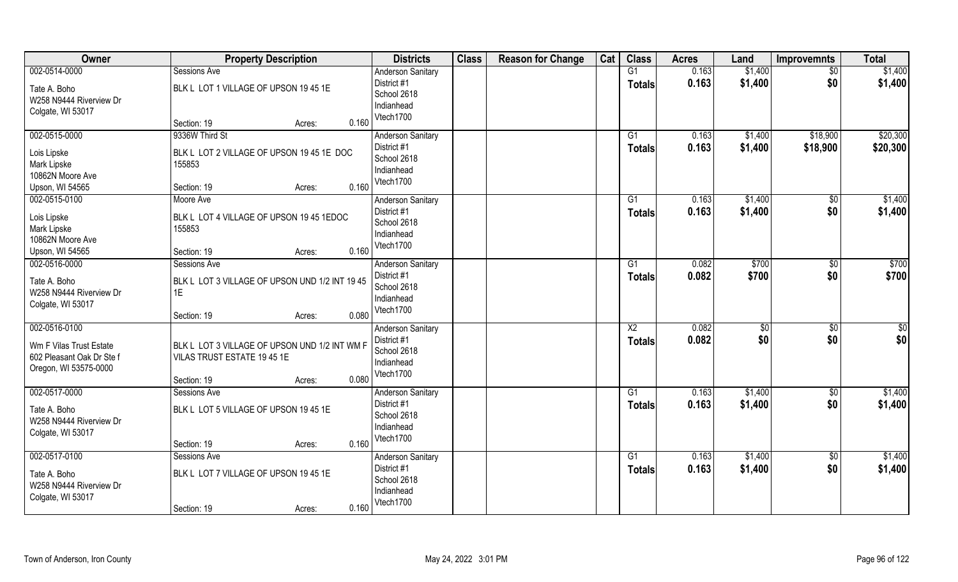| Owner                     | <b>Property Description</b>                    | <b>Districts</b>          | <b>Class</b> | <b>Reason for Change</b> | Cat | <b>Class</b>    | <b>Acres</b> | Land    | <b>Improvemnts</b> | <b>Total</b> |
|---------------------------|------------------------------------------------|---------------------------|--------------|--------------------------|-----|-----------------|--------------|---------|--------------------|--------------|
| 002-0514-0000             | Sessions Ave                                   | Anderson Sanitary         |              |                          |     | G1              | 0.163        | \$1,400 | $\sqrt{50}$        | \$1,400      |
| Tate A. Boho              | BLK L LOT 1 VILLAGE OF UPSON 19 45 1E          | District #1               |              |                          |     | <b>Totals</b>   | 0.163        | \$1,400 | \$0                | \$1,400      |
| W258 N9444 Riverview Dr   |                                                | School 2618               |              |                          |     |                 |              |         |                    |              |
| Colgate, WI 53017         |                                                | Indianhead                |              |                          |     |                 |              |         |                    |              |
|                           | 0.160<br>Section: 19<br>Acres:                 | Vtech1700                 |              |                          |     |                 |              |         |                    |              |
| 002-0515-0000             | 9336W Third St                                 | <b>Anderson Sanitary</b>  |              |                          |     | G1              | 0.163        | \$1,400 | \$18,900           | \$20,300     |
| Lois Lipske               | BLK L LOT 2 VILLAGE OF UPSON 19 45 1E DOC      | District #1               |              |                          |     | <b>Totals</b>   | 0.163        | \$1,400 | \$18,900           | \$20,300     |
| Mark Lipske               | 155853                                         | School 2618               |              |                          |     |                 |              |         |                    |              |
| 10862N Moore Ave          |                                                | Indianhead                |              |                          |     |                 |              |         |                    |              |
| Upson, WI 54565           | 0.160<br>Section: 19<br>Acres:                 | Vtech1700                 |              |                          |     |                 |              |         |                    |              |
| 002-0515-0100             | Moore Ave                                      | <b>Anderson Sanitary</b>  |              |                          |     | G1              | 0.163        | \$1,400 | \$0                | \$1,400      |
| Lois Lipske               | BLK L LOT 4 VILLAGE OF UPSON 19 45 1EDOC       | District #1               |              |                          |     | Totals          | 0.163        | \$1,400 | \$0                | \$1,400      |
| Mark Lipske               | 155853                                         | School 2618               |              |                          |     |                 |              |         |                    |              |
| 10862N Moore Ave          |                                                | Indianhead                |              |                          |     |                 |              |         |                    |              |
| Upson, WI 54565           | 0.160<br>Section: 19<br>Acres:                 | Vtech1700                 |              |                          |     |                 |              |         |                    |              |
| 002-0516-0000             | Sessions Ave                                   | <b>Anderson Sanitary</b>  |              |                          |     | G1              | 0.082        | \$700   | \$                 | \$700        |
|                           |                                                | District #1               |              |                          |     | <b>Totals</b>   | 0.082        | \$700   | \$0                | \$700        |
| Tate A. Boho              | BLK L LOT 3 VILLAGE OF UPSON UND 1/2 INT 19 45 | School 2618               |              |                          |     |                 |              |         |                    |              |
| W258 N9444 Riverview Dr   | 1E                                             | Indianhead                |              |                          |     |                 |              |         |                    |              |
| Colgate, WI 53017         |                                                | Vtech1700                 |              |                          |     |                 |              |         |                    |              |
|                           | 0.080<br>Section: 19<br>Acres:                 |                           |              |                          |     |                 |              |         |                    |              |
| 002-0516-0100             |                                                | <b>Anderson Sanitary</b>  |              |                          |     | $\overline{X2}$ | 0.082        | \$0     | $\overline{50}$    | \$0          |
| Wm F Vilas Trust Estate   | BLK L LOT 3 VILLAGE OF UPSON UND 1/2 INT WM F  | District #1               |              |                          |     | <b>Totals</b>   | 0.082        | \$0     | \$0                | \$0          |
| 602 Pleasant Oak Dr Ste f | VILAS TRUST ESTATE 19 45 1E                    | School 2618<br>Indianhead |              |                          |     |                 |              |         |                    |              |
| Oregon, WI 53575-0000     |                                                | Vtech1700                 |              |                          |     |                 |              |         |                    |              |
|                           | 0.080<br>Section: 19<br>Acres:                 |                           |              |                          |     |                 |              |         |                    |              |
| 002-0517-0000             | Sessions Ave                                   | <b>Anderson Sanitary</b>  |              |                          |     | G1              | 0.163        | \$1,400 | \$0                | \$1,400      |
| Tate A. Boho              | BLK L LOT 5 VILLAGE OF UPSON 19 45 1E          | District #1               |              |                          |     | <b>Totals</b>   | 0.163        | \$1,400 | \$0                | \$1,400      |
| W258 N9444 Riverview Dr   |                                                | School 2618               |              |                          |     |                 |              |         |                    |              |
| Colgate, WI 53017         |                                                | Indianhead                |              |                          |     |                 |              |         |                    |              |
|                           | 0.160<br>Section: 19<br>Acres:                 | Vtech1700                 |              |                          |     |                 |              |         |                    |              |
| 002-0517-0100             | <b>Sessions Ave</b>                            | <b>Anderson Sanitary</b>  |              |                          |     | G1              | 0.163        | \$1,400 | \$0                | \$1,400      |
| Tate A. Boho              | BLK L LOT 7 VILLAGE OF UPSON 19 45 1E          | District #1               |              |                          |     | <b>Totals</b>   | 0.163        | \$1,400 | \$0                | \$1,400      |
| W258 N9444 Riverview Dr   |                                                | School 2618               |              |                          |     |                 |              |         |                    |              |
| Colgate, WI 53017         |                                                | Indianhead                |              |                          |     |                 |              |         |                    |              |
|                           | 0.160<br>Section: 19<br>Acres:                 | Vtech1700                 |              |                          |     |                 |              |         |                    |              |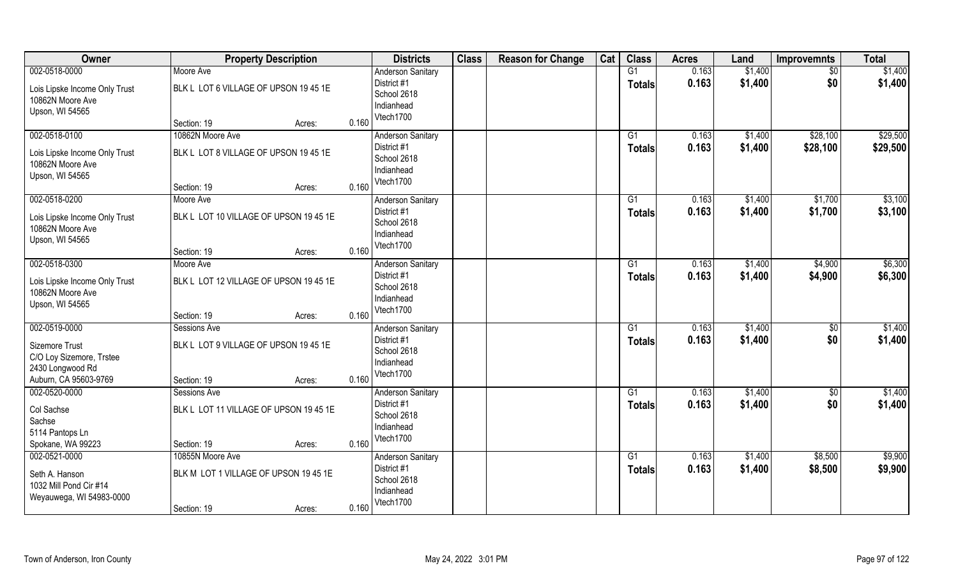| Owner                                                                                                    | <b>Property Description</b>                                                        |       | <b>Districts</b>                                                                  | <b>Class</b> | <b>Reason for Change</b> | Cat | <b>Class</b>                     | <b>Acres</b>   | Land               | <b>Improvemnts</b>     | <b>Total</b>         |
|----------------------------------------------------------------------------------------------------------|------------------------------------------------------------------------------------|-------|-----------------------------------------------------------------------------------|--------------|--------------------------|-----|----------------------------------|----------------|--------------------|------------------------|----------------------|
| 002-0518-0000<br>Lois Lipske Income Only Trust<br>10862N Moore Ave<br>Upson, WI 54565                    | Moore Ave<br>BLK L LOT 6 VILLAGE OF UPSON 19 45 1E                                 |       | <b>Anderson Sanitary</b><br>District #1<br>School 2618<br>Indianhead              |              |                          |     | G1<br><b>Totals</b>              | 0.163<br>0.163 | \$1,400<br>\$1,400 | $\sqrt{6}$<br>\$0      | \$1,400<br>\$1,400   |
|                                                                                                          | Section: 19<br>Acres:                                                              | 0.160 | Vtech1700                                                                         |              |                          |     |                                  |                |                    |                        |                      |
| 002-0518-0100<br>Lois Lipske Income Only Trust<br>10862N Moore Ave<br>Upson, WI 54565                    | 10862N Moore Ave<br>BLK L LOT 8 VILLAGE OF UPSON 19 45 1E<br>Section: 19<br>Acres: | 0.160 | <b>Anderson Sanitary</b><br>District #1<br>School 2618<br>Indianhead<br>Vtech1700 |              |                          |     | G1<br>Totals                     | 0.163<br>0.163 | \$1,400<br>\$1,400 | \$28,100<br>\$28,100   | \$29,500<br>\$29,500 |
| 002-0518-0200<br>Lois Lipske Income Only Trust<br>10862N Moore Ave<br>Upson, WI 54565                    | Moore Ave<br>BLK L LOT 10 VILLAGE OF UPSON 19 45 1E<br>Section: 19<br>Acres:       | 0.160 | Anderson Sanitary<br>District #1<br>School 2618<br>Indianhead<br>Vtech1700        |              |                          |     | G1<br><b>Totals</b>              | 0.163<br>0.163 | \$1,400<br>\$1,400 | \$1,700<br>\$1,700     | \$3,100<br>\$3,100   |
| 002-0518-0300<br>Lois Lipske Income Only Trust<br>10862N Moore Ave<br>Upson, WI 54565                    | Moore Ave<br>BLK L LOT 12 VILLAGE OF UPSON 19 45 1E<br>Section: 19<br>Acres:       | 0.160 | Anderson Sanitary<br>District #1<br>School 2618<br>Indianhead<br>Vtech1700        |              |                          |     | G1<br><b>Totals</b>              | 0.163<br>0.163 | \$1,400<br>\$1,400 | \$4,900<br>\$4,900     | \$6,300<br>\$6,300   |
| 002-0519-0000<br>Sizemore Trust<br>C/O Loy Sizemore, Trstee<br>2430 Longwood Rd<br>Auburn, CA 95603-9769 | Sessions Ave<br>BLK L LOT 9 VILLAGE OF UPSON 19 45 1E<br>Section: 19<br>Acres:     | 0.160 | Anderson Sanitary<br>District #1<br>School 2618<br>Indianhead<br>Vtech1700        |              |                          |     | $\overline{G1}$<br><b>Totals</b> | 0.163<br>0.163 | \$1,400<br>\$1,400 | $\overline{50}$<br>\$0 | \$1,400<br>\$1,400   |
| 002-0520-0000<br>Col Sachse<br>Sachse<br>5114 Pantops Ln<br>Spokane, WA 99223                            | Sessions Ave<br>BLK L LOT 11 VILLAGE OF UPSON 19 45 1E<br>Section: 19<br>Acres:    | 0.160 | <b>Anderson Sanitary</b><br>District #1<br>School 2618<br>Indianhead<br>Vtech1700 |              |                          |     | G1<br><b>Totals</b>              | 0.163<br>0.163 | \$1,400<br>\$1,400 | $\sqrt{6}$<br>\$0      | \$1,400<br>\$1,400   |
| 002-0521-0000<br>Seth A. Hanson<br>1032 Mill Pond Cir #14<br>Weyauwega, WI 54983-0000                    | 10855N Moore Ave<br>BLK M LOT 1 VILLAGE OF UPSON 19 45 1E<br>Section: 19<br>Acres: | 0.160 | <b>Anderson Sanitary</b><br>District #1<br>School 2618<br>Indianhead<br>Vtech1700 |              |                          |     | $\overline{G1}$<br><b>Totals</b> | 0.163<br>0.163 | \$1,400<br>\$1,400 | \$8,500<br>\$8,500     | \$9,900<br>\$9,900   |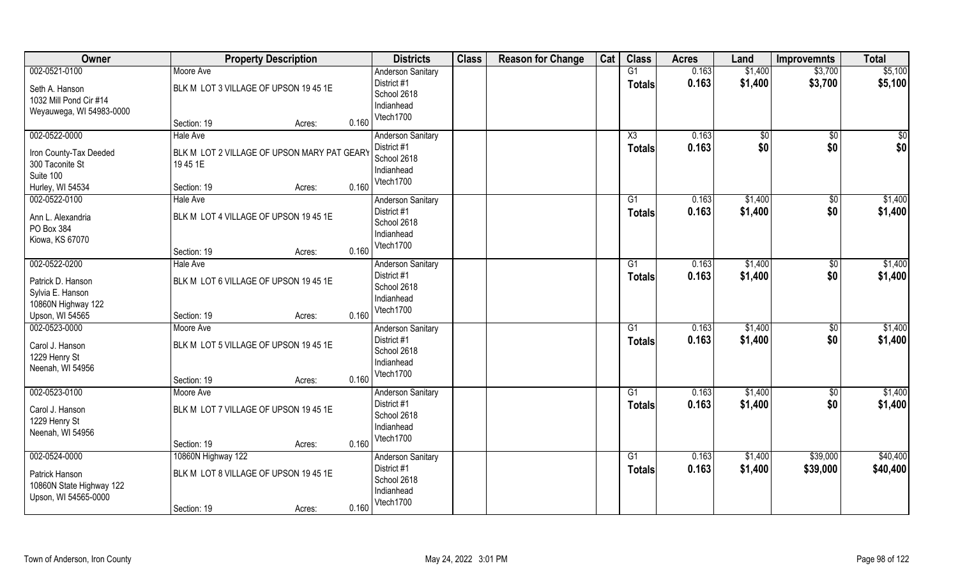| Owner                                      | <b>Property Description</b>                 |       | <b>Districts</b>         | <b>Class</b> | <b>Reason for Change</b> | Cat | <b>Class</b>           | <b>Acres</b> | Land         | <b>Improvemnts</b> | <b>Total</b> |
|--------------------------------------------|---------------------------------------------|-------|--------------------------|--------------|--------------------------|-----|------------------------|--------------|--------------|--------------------|--------------|
| 002-0521-0100                              | Moore Ave                                   |       | <b>Anderson Sanitary</b> |              |                          |     | G1                     | 0.163        | \$1,400      | \$3,700            | \$5,100      |
| Seth A. Hanson                             | BLK M LOT 3 VILLAGE OF UPSON 19 45 1E       |       | District #1              |              |                          |     | <b>Totals</b>          | 0.163        | \$1,400      | \$3,700            | \$5,100      |
| 1032 Mill Pond Cir #14                     |                                             |       | School 2618              |              |                          |     |                        |              |              |                    |              |
| Weyauwega, WI 54983-0000                   |                                             |       | Indianhead               |              |                          |     |                        |              |              |                    |              |
|                                            | Section: 19<br>Acres:                       | 0.160 | Vtech1700                |              |                          |     |                        |              |              |                    |              |
| 002-0522-0000                              | <b>Hale Ave</b>                             |       | <b>Anderson Sanitary</b> |              |                          |     | $\overline{\text{X3}}$ | 0.163        | $\sqrt[6]{}$ | \$0                | $\sqrt{50}$  |
| Iron County-Tax Deeded                     | BLK M LOT 2 VILLAGE OF UPSON MARY PAT GEARY |       | District #1              |              |                          |     | <b>Totals</b>          | 0.163        | \$0          | \$0                | \$0          |
| 300 Taconite St                            | 19451E                                      |       | School 2618              |              |                          |     |                        |              |              |                    |              |
| Suite 100                                  |                                             |       | Indianhead               |              |                          |     |                        |              |              |                    |              |
| Hurley, WI 54534                           | Section: 19<br>Acres:                       | 0.160 | Vtech1700                |              |                          |     |                        |              |              |                    |              |
| 002-0522-0100                              | Hale Ave                                    |       | <b>Anderson Sanitary</b> |              |                          |     | G1                     | 0.163        | \$1,400      | $\sqrt[6]{3}$      | \$1,400      |
| Ann L. Alexandria                          | BLK M LOT 4 VILLAGE OF UPSON 19 45 1E       |       | District #1              |              |                          |     | <b>Totals</b>          | 0.163        | \$1,400      | \$0                | \$1,400      |
| PO Box 384                                 |                                             |       | School 2618              |              |                          |     |                        |              |              |                    |              |
| Kiowa, KS 67070                            |                                             |       | Indianhead               |              |                          |     |                        |              |              |                    |              |
|                                            | Section: 19<br>Acres:                       | 0.160 | Vtech1700                |              |                          |     |                        |              |              |                    |              |
| 002-0522-0200                              | <b>Hale Ave</b>                             |       | <b>Anderson Sanitary</b> |              |                          |     | G <sub>1</sub>         | 0.163        | \$1,400      | \$0                | \$1,400      |
| Patrick D. Hanson                          | BLK M LOT 6 VILLAGE OF UPSON 19 45 1E       |       | District #1              |              |                          |     | <b>Totals</b>          | 0.163        | \$1,400      | \$0                | \$1,400      |
| Sylvia E. Hanson                           |                                             |       | School 2618              |              |                          |     |                        |              |              |                    |              |
| 10860N Highway 122                         |                                             |       | Indianhead               |              |                          |     |                        |              |              |                    |              |
| Upson, WI 54565                            | Section: 19<br>Acres:                       | 0.160 | Vtech1700                |              |                          |     |                        |              |              |                    |              |
| 002-0523-0000                              | Moore Ave                                   |       | Anderson Sanitary        |              |                          |     | G1                     | 0.163        | \$1,400      | \$0                | \$1,400      |
| Carol J. Hanson                            | BLK M LOT 5 VILLAGE OF UPSON 19 45 1E       |       | District #1              |              |                          |     | <b>Totals</b>          | 0.163        | \$1,400      | \$0                | \$1,400      |
| 1229 Henry St                              |                                             |       | School 2618              |              |                          |     |                        |              |              |                    |              |
| Neenah, WI 54956                           |                                             |       | Indianhead               |              |                          |     |                        |              |              |                    |              |
|                                            | Section: 19<br>Acres:                       | 0.160 | Vtech1700                |              |                          |     |                        |              |              |                    |              |
| 002-0523-0100                              | Moore Ave                                   |       | <b>Anderson Sanitary</b> |              |                          |     | G1                     | 0.163        | \$1,400      | \$0                | \$1,400      |
| Carol J. Hanson                            | BLK M LOT 7 VILLAGE OF UPSON 19 45 1E       |       | District #1              |              |                          |     | <b>Totals</b>          | 0.163        | \$1,400      | \$0                | \$1,400      |
| 1229 Henry St                              |                                             |       | School 2618              |              |                          |     |                        |              |              |                    |              |
| Neenah, WI 54956                           |                                             |       | Indianhead               |              |                          |     |                        |              |              |                    |              |
|                                            | Section: 19<br>Acres:                       | 0.160 | Vtech1700                |              |                          |     |                        |              |              |                    |              |
| 002-0524-0000                              | 10860N Highway 122                          |       | <b>Anderson Sanitary</b> |              |                          |     | G1                     | 0.163        | \$1,400      | \$39,000           | \$40,400     |
|                                            | BLK M LOT 8 VILLAGE OF UPSON 19 45 1E       |       | District #1              |              |                          |     | <b>Totals</b>          | 0.163        | \$1,400      | \$39,000           | \$40,400     |
| Patrick Hanson<br>10860N State Highway 122 |                                             |       | School 2618              |              |                          |     |                        |              |              |                    |              |
| Upson, WI 54565-0000                       |                                             |       | Indianhead               |              |                          |     |                        |              |              |                    |              |
|                                            | Section: 19<br>Acres:                       | 0.160 | Vtech1700                |              |                          |     |                        |              |              |                    |              |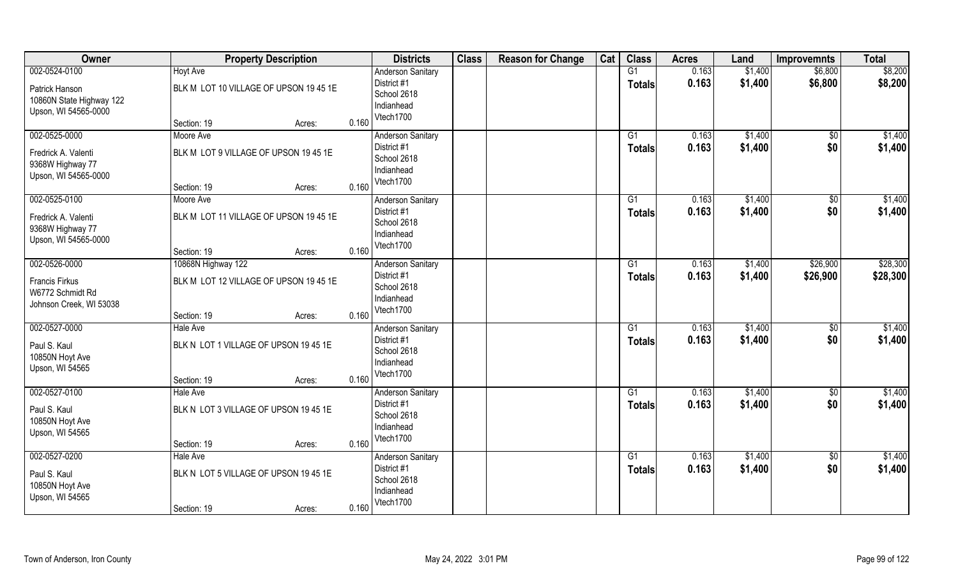| Owner                                                                                 | <b>Property Description</b>                                                           | <b>Districts</b>                                                                           | <b>Class</b> | <b>Reason for Change</b> | Cat | <b>Class</b>                     | <b>Acres</b>   | Land               | <b>Improvemnts</b>    | <b>Total</b>         |
|---------------------------------------------------------------------------------------|---------------------------------------------------------------------------------------|--------------------------------------------------------------------------------------------|--------------|--------------------------|-----|----------------------------------|----------------|--------------------|-----------------------|----------------------|
| 002-0524-0100<br>Patrick Hanson<br>10860N State Highway 122<br>Upson, WI 54565-0000   | <b>Hoyt Ave</b><br>BLK M LOT 10 VILLAGE OF UPSON 19 45 1E<br>Section: 19<br>Acres:    | <b>Anderson Sanitary</b><br>District #1<br>School 2618<br>Indianhead<br>Vtech1700<br>0.160 |              |                          |     | G1<br><b>Totals</b>              | 0.163<br>0.163 | \$1,400<br>\$1,400 | \$6,800<br>\$6,800    | \$8,200<br>\$8,200   |
| 002-0525-0000<br>Fredrick A. Valenti<br>9368W Highway 77<br>Upson, WI 54565-0000      | Moore Ave<br>BLK M LOT 9 VILLAGE OF UPSON 19 45 1E<br>Section: 19<br>Acres:           | <b>Anderson Sanitary</b><br>District #1<br>School 2618<br>Indianhead<br>Vtech1700<br>0.160 |              |                          |     | $\overline{G1}$<br><b>Totals</b> | 0.163<br>0.163 | \$1,400<br>\$1,400 | \$0<br>\$0            | \$1,400<br>\$1,400   |
| 002-0525-0100<br>Fredrick A. Valenti<br>9368W Highway 77<br>Upson, WI 54565-0000      | Moore Ave<br>BLK M LOT 11 VILLAGE OF UPSON 19 45 1E<br>Section: 19<br>Acres:          | <b>Anderson Sanitary</b><br>District #1<br>School 2618<br>Indianhead<br>Vtech1700<br>0.160 |              |                          |     | G1<br><b>Totals</b>              | 0.163<br>0.163 | \$1,400<br>\$1,400 | \$0<br>\$0            | \$1,400<br>\$1,400   |
| 002-0526-0000<br><b>Francis Firkus</b><br>W6772 Schmidt Rd<br>Johnson Creek, WI 53038 | 10868N Highway 122<br>BLK M LOT 12 VILLAGE OF UPSON 19 45 1E<br>Section: 19<br>Acres: | <b>Anderson Sanitary</b><br>District #1<br>School 2618<br>Indianhead<br>Vtech1700<br>0.160 |              |                          |     | G1<br>Totals                     | 0.163<br>0.163 | \$1,400<br>\$1,400 | \$26,900<br>\$26,900  | \$28,300<br>\$28,300 |
| 002-0527-0000<br>Paul S. Kaul<br>10850N Hoyt Ave<br>Upson, WI 54565                   | Hale Ave<br>BLK N LOT 1 VILLAGE OF UPSON 19 45 1E<br>Section: 19<br>Acres:            | Anderson Sanitary<br>District #1<br>School 2618<br>Indianhead<br>Vtech1700<br>0.160        |              |                          |     | $\overline{G1}$<br><b>Totals</b> | 0.163<br>0.163 | \$1,400<br>\$1,400 | $\sqrt[6]{30}$<br>\$0 | \$1,400<br>\$1,400   |
| 002-0527-0100<br>Paul S. Kaul<br>10850N Hoyt Ave<br>Upson, WI 54565                   | Hale Ave<br>BLK N LOT 3 VILLAGE OF UPSON 19 45 1E<br>Section: 19<br>Acres:            | <b>Anderson Sanitary</b><br>District #1<br>School 2618<br>Indianhead<br>Vtech1700<br>0.160 |              |                          |     | G1<br><b>Totals</b>              | 0.163<br>0.163 | \$1,400<br>\$1,400 | $\sqrt{6}$<br>\$0     | \$1,400<br>\$1,400   |
| 002-0527-0200<br>Paul S. Kaul<br>10850N Hoyt Ave<br>Upson, WI 54565                   | Hale Ave<br>BLK N LOT 5 VILLAGE OF UPSON 19 45 1E<br>Section: 19<br>Acres:            | <b>Anderson Sanitary</b><br>District #1<br>School 2618<br>Indianhead<br>Vtech1700<br>0.160 |              |                          |     | G1<br>Totals                     | 0.163<br>0.163 | \$1,400<br>\$1,400 | $\sqrt{$0}$<br>\$0    | \$1,400<br>\$1,400   |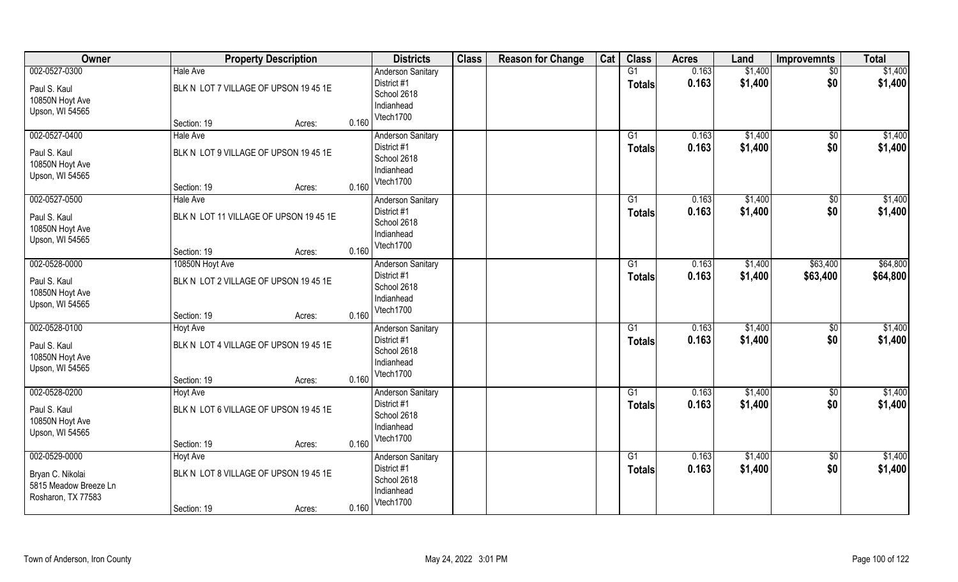| Owner                 | <b>Property Description</b>            |       | <b>Districts</b>         | <b>Class</b> | <b>Reason for Change</b> | Cat | <b>Class</b>  | <b>Acres</b> | Land    | <b>Improvemnts</b> | <b>Total</b> |
|-----------------------|----------------------------------------|-------|--------------------------|--------------|--------------------------|-----|---------------|--------------|---------|--------------------|--------------|
| 002-0527-0300         | <b>Hale Ave</b>                        |       | <b>Anderson Sanitary</b> |              |                          |     | G1            | 0.163        | \$1,400 | $\overline{50}$    | \$1,400      |
| Paul S. Kaul          | BLK N LOT 7 VILLAGE OF UPSON 19 45 1E  |       | District #1              |              |                          |     | <b>Totals</b> | 0.163        | \$1,400 | \$0                | \$1,400      |
| 10850N Hoyt Ave       |                                        |       | School 2618              |              |                          |     |               |              |         |                    |              |
| Upson, WI 54565       |                                        |       | Indianhead               |              |                          |     |               |              |         |                    |              |
|                       | Section: 19<br>Acres:                  | 0.160 | Vtech1700                |              |                          |     |               |              |         |                    |              |
| 002-0527-0400         | <b>Hale Ave</b>                        |       | <b>Anderson Sanitary</b> |              |                          |     | G1            | 0.163        | \$1,400 | $\overline{50}$    | \$1,400      |
| Paul S. Kaul          | BLK N LOT 9 VILLAGE OF UPSON 19 45 1E  |       | District #1              |              |                          |     | <b>Totals</b> | 0.163        | \$1,400 | \$0                | \$1,400      |
| 10850N Hoyt Ave       |                                        |       | School 2618              |              |                          |     |               |              |         |                    |              |
| Upson, WI 54565       |                                        |       | Indianhead               |              |                          |     |               |              |         |                    |              |
|                       | Section: 19<br>Acres:                  | 0.160 | Vtech1700                |              |                          |     |               |              |         |                    |              |
| 002-0527-0500         | <b>Hale Ave</b>                        |       | <b>Anderson Sanitary</b> |              |                          |     | G1            | 0.163        | \$1,400 | \$0                | \$1,400      |
| Paul S. Kaul          | BLK N LOT 11 VILLAGE OF UPSON 19 45 1E |       | District #1              |              |                          |     | <b>Totals</b> | 0.163        | \$1,400 | \$0                | \$1,400      |
| 10850N Hoyt Ave       |                                        |       | School 2618              |              |                          |     |               |              |         |                    |              |
| Upson, WI 54565       |                                        |       | Indianhead               |              |                          |     |               |              |         |                    |              |
|                       | Section: 19<br>Acres:                  | 0.160 | Vtech1700                |              |                          |     |               |              |         |                    |              |
| 002-0528-0000         | 10850N Hoyt Ave                        |       | <b>Anderson Sanitary</b> |              |                          |     | G1            | 0.163        | \$1,400 | \$63,400           | \$64,800     |
| Paul S. Kaul          | BLK N LOT 2 VILLAGE OF UPSON 19 45 1E  |       | District #1              |              |                          |     | <b>Totals</b> | 0.163        | \$1,400 | \$63,400           | \$64,800     |
| 10850N Hoyt Ave       |                                        |       | School 2618              |              |                          |     |               |              |         |                    |              |
| Upson, WI 54565       |                                        |       | Indianhead               |              |                          |     |               |              |         |                    |              |
|                       | Section: 19<br>Acres:                  | 0.160 | Vtech1700                |              |                          |     |               |              |         |                    |              |
| 002-0528-0100         | <b>Hoyt Ave</b>                        |       | <b>Anderson Sanitary</b> |              |                          |     | G1            | 0.163        | \$1,400 | \$0                | \$1,400      |
| Paul S. Kaul          | BLK N LOT 4 VILLAGE OF UPSON 19 45 1E  |       | District #1              |              |                          |     | <b>Totals</b> | 0.163        | \$1,400 | \$0                | \$1,400      |
| 10850N Hoyt Ave       |                                        |       | School 2618              |              |                          |     |               |              |         |                    |              |
| Upson, WI 54565       |                                        |       | Indianhead               |              |                          |     |               |              |         |                    |              |
|                       | Section: 19<br>Acres:                  | 0.160 | Vtech1700                |              |                          |     |               |              |         |                    |              |
| 002-0528-0200         | <b>Hoyt Ave</b>                        |       | <b>Anderson Sanitary</b> |              |                          |     | G1            | 0.163        | \$1,400 | $\sqrt{50}$        | \$1,400      |
| Paul S. Kaul          | BLK N LOT 6 VILLAGE OF UPSON 19 45 1E  |       | District #1              |              |                          |     | <b>Totals</b> | 0.163        | \$1,400 | \$0                | \$1,400      |
| 10850N Hoyt Ave       |                                        |       | School 2618              |              |                          |     |               |              |         |                    |              |
| Upson, WI 54565       |                                        |       | Indianhead               |              |                          |     |               |              |         |                    |              |
|                       | Section: 19<br>Acres:                  | 0.160 | Vtech1700                |              |                          |     |               |              |         |                    |              |
| 002-0529-0000         | <b>Hoyt Ave</b>                        |       | <b>Anderson Sanitary</b> |              |                          |     | G1            | 0.163        | \$1,400 | $\sqrt{$0}$        | \$1,400      |
| Bryan C. Nikolai      | BLK N LOT 8 VILLAGE OF UPSON 19 45 1E  |       | District #1              |              |                          |     | <b>Totals</b> | 0.163        | \$1,400 | \$0                | \$1,400      |
| 5815 Meadow Breeze Ln |                                        |       | School 2618              |              |                          |     |               |              |         |                    |              |
| Rosharon, TX 77583    |                                        |       | Indianhead               |              |                          |     |               |              |         |                    |              |
|                       | Section: 19<br>Acres:                  | 0.160 | Vtech1700                |              |                          |     |               |              |         |                    |              |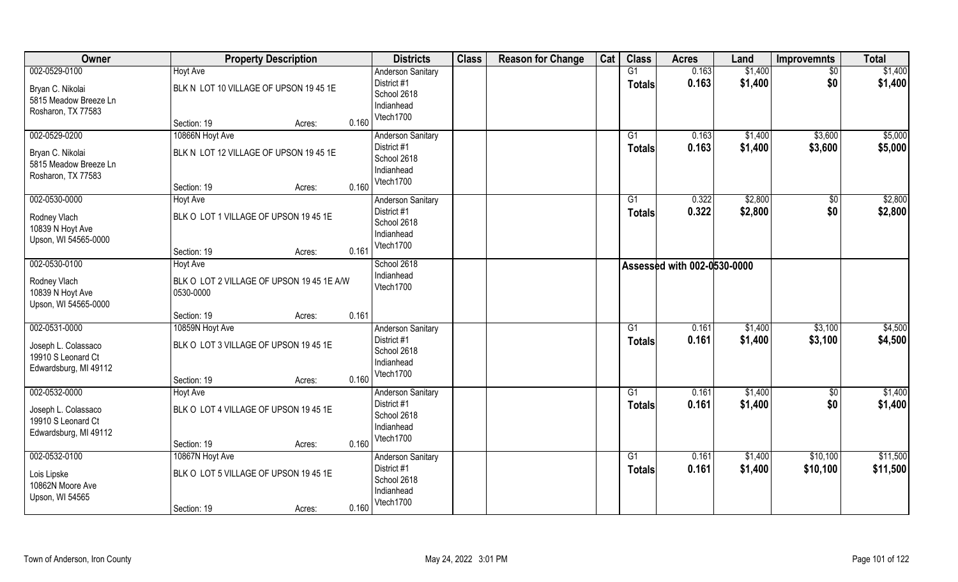| Owner                                       | <b>Property Description</b>               |       | <b>Districts</b>                        | <b>Class</b> | <b>Reason for Change</b> | Cat | <b>Class</b>    | <b>Acres</b>                       | Land               | <b>Improvemnts</b>     | <b>Total</b> |
|---------------------------------------------|-------------------------------------------|-------|-----------------------------------------|--------------|--------------------------|-----|-----------------|------------------------------------|--------------------|------------------------|--------------|
| 002-0529-0100                               | <b>Hoyt Ave</b>                           |       | <b>Anderson Sanitary</b><br>District #1 |              |                          |     | G1              | 0.163<br>0.163                     | \$1,400<br>\$1,400 | $\overline{50}$<br>\$0 | \$1,400      |
| Bryan C. Nikolai                            | BLK N LOT 10 VILLAGE OF UPSON 19 45 1E    |       | School 2618                             |              |                          |     | <b>Totals</b>   |                                    |                    |                        | \$1,400      |
| 5815 Meadow Breeze Ln                       |                                           |       | Indianhead                              |              |                          |     |                 |                                    |                    |                        |              |
| Rosharon, TX 77583                          | Section: 19<br>Acres:                     | 0.160 | Vtech1700                               |              |                          |     |                 |                                    |                    |                        |              |
| 002-0529-0200                               | 10866N Hoyt Ave                           |       | <b>Anderson Sanitary</b>                |              |                          |     | G1              | 0.163                              | \$1,400            | \$3,600                | \$5,000      |
| Bryan C. Nikolai                            | BLK N LOT 12 VILLAGE OF UPSON 19 45 1E    |       | District #1                             |              |                          |     | <b>Totals</b>   | 0.163                              | \$1,400            | \$3,600                | \$5,000      |
| 5815 Meadow Breeze Ln                       |                                           |       | School 2618                             |              |                          |     |                 |                                    |                    |                        |              |
| Rosharon, TX 77583                          |                                           |       | Indianhead<br>Vtech1700                 |              |                          |     |                 |                                    |                    |                        |              |
|                                             | Section: 19<br>Acres:                     | 0.160 |                                         |              |                          |     |                 |                                    |                    |                        |              |
| 002-0530-0000                               | Hoyt Ave                                  |       | <b>Anderson Sanitary</b>                |              |                          |     | G1              | 0.322                              | \$2,800            | \$0                    | \$2,800      |
| Rodney Vlach                                | BLK O LOT 1 VILLAGE OF UPSON 19 45 1E     |       | District #1                             |              |                          |     | Totals          | 0.322                              | \$2,800            | \$0                    | \$2,800      |
| 10839 N Hoyt Ave                            |                                           |       | School 2618<br>Indianhead               |              |                          |     |                 |                                    |                    |                        |              |
| Upson, WI 54565-0000                        |                                           |       | Vtech1700                               |              |                          |     |                 |                                    |                    |                        |              |
|                                             | Section: 19<br>Acres:                     | 0.161 |                                         |              |                          |     |                 |                                    |                    |                        |              |
| 002-0530-0100                               | Hoyt Ave                                  |       | School 2618                             |              |                          |     |                 | <b>Assessed with 002-0530-0000</b> |                    |                        |              |
| Rodney Vlach                                | BLK O LOT 2 VILLAGE OF UPSON 19 45 1E A/W |       | Indianhead<br>Vtech1700                 |              |                          |     |                 |                                    |                    |                        |              |
| 10839 N Hoyt Ave                            | 0530-0000                                 |       |                                         |              |                          |     |                 |                                    |                    |                        |              |
| Upson, WI 54565-0000                        |                                           |       |                                         |              |                          |     |                 |                                    |                    |                        |              |
| 002-0531-0000                               | Section: 19<br>Acres:<br>10859N Hoyt Ave  | 0.161 |                                         |              |                          |     | $\overline{G1}$ | 0.161                              |                    |                        | \$4,500      |
|                                             |                                           |       | Anderson Sanitary<br>District #1        |              |                          |     |                 | 0.161                              | \$1,400<br>\$1,400 | \$3,100<br>\$3,100     | \$4,500      |
| Joseph L. Colassaco                         | BLK O LOT 3 VILLAGE OF UPSON 19 45 1E     |       | School 2618                             |              |                          |     | <b>Totals</b>   |                                    |                    |                        |              |
| 19910 S Leonard Ct                          |                                           |       | Indianhead                              |              |                          |     |                 |                                    |                    |                        |              |
| Edwardsburg, MI 49112                       | Section: 19<br>Acres:                     | 0.160 | Vtech1700                               |              |                          |     |                 |                                    |                    |                        |              |
| 002-0532-0000                               | <b>Hoyt Ave</b>                           |       | <b>Anderson Sanitary</b>                |              |                          |     | G1              | 0.161                              | \$1,400            | \$0                    | \$1,400      |
|                                             |                                           |       | District #1                             |              |                          |     | <b>Totals</b>   | 0.161                              | \$1,400            | \$0                    | \$1,400      |
| Joseph L. Colassaco                         | BLK O LOT 4 VILLAGE OF UPSON 19 45 1E     |       | School 2618                             |              |                          |     |                 |                                    |                    |                        |              |
| 19910 S Leonard Ct<br>Edwardsburg, MI 49112 |                                           |       | Indianhead                              |              |                          |     |                 |                                    |                    |                        |              |
|                                             | Section: 19<br>Acres:                     | 0.160 | Vtech1700                               |              |                          |     |                 |                                    |                    |                        |              |
| 002-0532-0100                               | 10867N Hoyt Ave                           |       | <b>Anderson Sanitary</b>                |              |                          |     | $\overline{G1}$ | 0.161                              | \$1,400            | \$10,100               | \$11,500     |
|                                             | BLK O LOT 5 VILLAGE OF UPSON 19 45 1E     |       | District #1                             |              |                          |     | <b>Totals</b>   | 0.161                              | \$1,400            | \$10,100               | \$11,500     |
| Lois Lipske<br>10862N Moore Ave             |                                           |       | School 2618                             |              |                          |     |                 |                                    |                    |                        |              |
| Upson, WI 54565                             |                                           |       | Indianhead                              |              |                          |     |                 |                                    |                    |                        |              |
|                                             | Section: 19<br>Acres:                     | 0.160 | Vtech1700                               |              |                          |     |                 |                                    |                    |                        |              |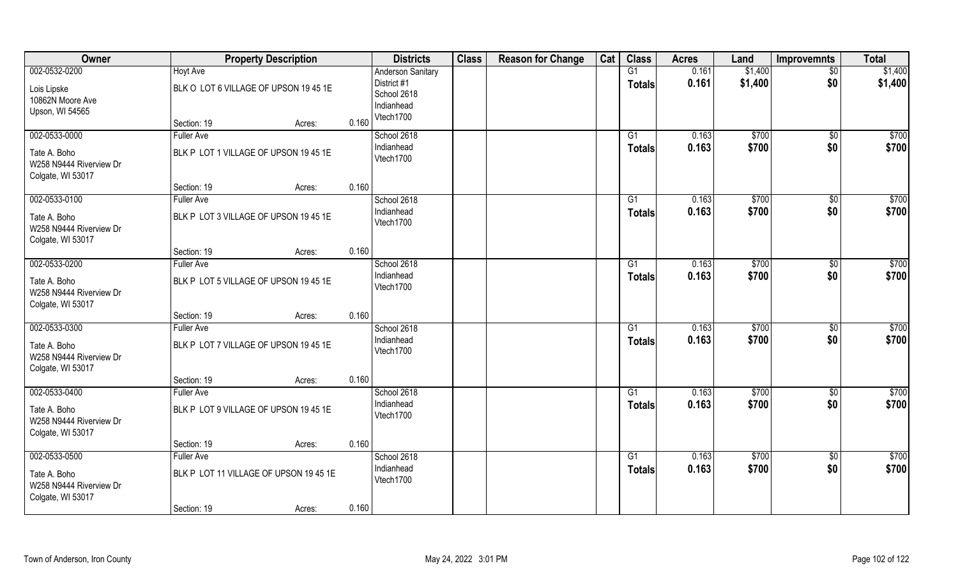| Owner                   |                                        | <b>Property Description</b> |       | <b>Districts</b>          | <b>Class</b> | <b>Reason for Change</b> | Cat | <b>Class</b>    | <b>Acres</b>   | Land           | <b>Improvemnts</b> | <b>Total</b>      |
|-------------------------|----------------------------------------|-----------------------------|-------|---------------------------|--------------|--------------------------|-----|-----------------|----------------|----------------|--------------------|-------------------|
| 002-0532-0200           | <b>Hoyt Ave</b>                        |                             |       | <b>Anderson Sanitary</b>  |              |                          |     | G1              | 0.161          | \$1,400        | $\sqrt{$0}$        | \$1,400           |
| Lois Lipske             | BLK O LOT 6 VILLAGE OF UPSON 19 45 1E  |                             |       | District #1               |              |                          |     | Totals          | 0.161          | \$1,400        | \$0                | \$1,400           |
| 10862N Moore Ave        |                                        |                             |       | School 2618               |              |                          |     |                 |                |                |                    |                   |
| Upson, WI 54565         |                                        |                             |       | Indianhead                |              |                          |     |                 |                |                |                    |                   |
|                         | Section: 19                            | Acres:                      | 0.160 | Vtech1700                 |              |                          |     |                 |                |                |                    |                   |
| 002-0533-0000           | <b>Fuller Ave</b>                      |                             |       | School 2618               |              |                          |     | G1              | 0.163          | \$700          | \$0                | \$700             |
| Tate A. Boho            | BLK P LOT 1 VILLAGE OF UPSON 19 45 1E  |                             |       | Indianhead                |              |                          |     | <b>Totals</b>   | 0.163          | \$700          | \$0                | \$700             |
| W258 N9444 Riverview Dr |                                        |                             |       | Vtech1700                 |              |                          |     |                 |                |                |                    |                   |
| Colgate, WI 53017       |                                        |                             |       |                           |              |                          |     |                 |                |                |                    |                   |
|                         | Section: 19                            | Acres:                      | 0.160 |                           |              |                          |     |                 |                |                |                    |                   |
| 002-0533-0100           | <b>Fuller Ave</b>                      |                             |       | School 2618               |              |                          |     | G1              | 0.163          | \$700          | $\sqrt[6]{30}$     | \$700             |
| Tate A. Boho            | BLK P LOT 3 VILLAGE OF UPSON 19 45 1E  |                             |       | Indianhead                |              |                          |     | <b>Totals</b>   | 0.163          | \$700          | \$0                | \$700             |
| W258 N9444 Riverview Dr |                                        |                             |       | Vtech1700                 |              |                          |     |                 |                |                |                    |                   |
| Colgate, WI 53017       |                                        |                             |       |                           |              |                          |     |                 |                |                |                    |                   |
|                         | Section: 19                            | Acres:                      | 0.160 |                           |              |                          |     |                 |                |                |                    |                   |
| 002-0533-0200           | <b>Fuller Ave</b>                      |                             |       | School 2618               |              |                          |     | G1              | 0.163          | \$700          | $\sqrt[6]{3}$      | $\overline{$700}$ |
| Tate A. Boho            | BLK P LOT 5 VILLAGE OF UPSON 19 45 1E  |                             |       | Indianhead<br>Vtech1700   |              |                          |     | <b>Totals</b>   | 0.163          | \$700          | \$0                | \$700             |
| W258 N9444 Riverview Dr |                                        |                             |       |                           |              |                          |     |                 |                |                |                    |                   |
| Colgate, WI 53017       |                                        |                             |       |                           |              |                          |     |                 |                |                |                    |                   |
|                         | Section: 19                            | Acres:                      | 0.160 |                           |              |                          |     |                 |                |                |                    |                   |
| 002-0533-0300           | <b>Fuller Ave</b>                      |                             |       | School 2618<br>Indianhead |              |                          |     | $\overline{G1}$ | 0.163          | \$700          | \$0                | $\overline{$700}$ |
| Tate A. Boho            | BLK P LOT 7 VILLAGE OF UPSON 19 45 1E  |                             |       | Vtech1700                 |              |                          |     | <b>Totals</b>   | 0.163          | \$700          | \$0                | \$700             |
| W258 N9444 Riverview Dr |                                        |                             |       |                           |              |                          |     |                 |                |                |                    |                   |
| Colgate, WI 53017       |                                        |                             |       |                           |              |                          |     |                 |                |                |                    |                   |
|                         | Section: 19                            | Acres:                      | 0.160 |                           |              |                          |     |                 |                |                |                    |                   |
| 002-0533-0400           | <b>Fuller Ave</b>                      |                             |       | School 2618<br>Indianhead |              |                          |     | G1              | 0.163<br>0.163 | \$700<br>\$700 | $\sqrt{6}$<br>\$0  | \$700<br>\$700    |
| Tate A. Boho            | BLK P LOT 9 VILLAGE OF UPSON 19 45 1E  |                             |       | Vtech1700                 |              |                          |     | <b>Totals</b>   |                |                |                    |                   |
| W258 N9444 Riverview Dr |                                        |                             |       |                           |              |                          |     |                 |                |                |                    |                   |
| Colgate, WI 53017       | Section: 19                            |                             | 0.160 |                           |              |                          |     |                 |                |                |                    |                   |
| 002-0533-0500           | <b>Fuller Ave</b>                      | Acres:                      |       | School 2618               |              |                          |     | G1              | 0.163          | \$700          | $\sqrt{$0}$        | \$700             |
|                         |                                        |                             |       | Indianhead                |              |                          |     | <b>Totals</b>   | 0.163          | \$700          | \$0                | \$700             |
| Tate A. Boho            | BLK P LOT 11 VILLAGE OF UPSON 19 45 1E |                             |       | Vtech1700                 |              |                          |     |                 |                |                |                    |                   |
| W258 N9444 Riverview Dr |                                        |                             |       |                           |              |                          |     |                 |                |                |                    |                   |
| Colgate, WI 53017       | Section: 19                            | Acres:                      | 0.160 |                           |              |                          |     |                 |                |                |                    |                   |
|                         |                                        |                             |       |                           |              |                          |     |                 |                |                |                    |                   |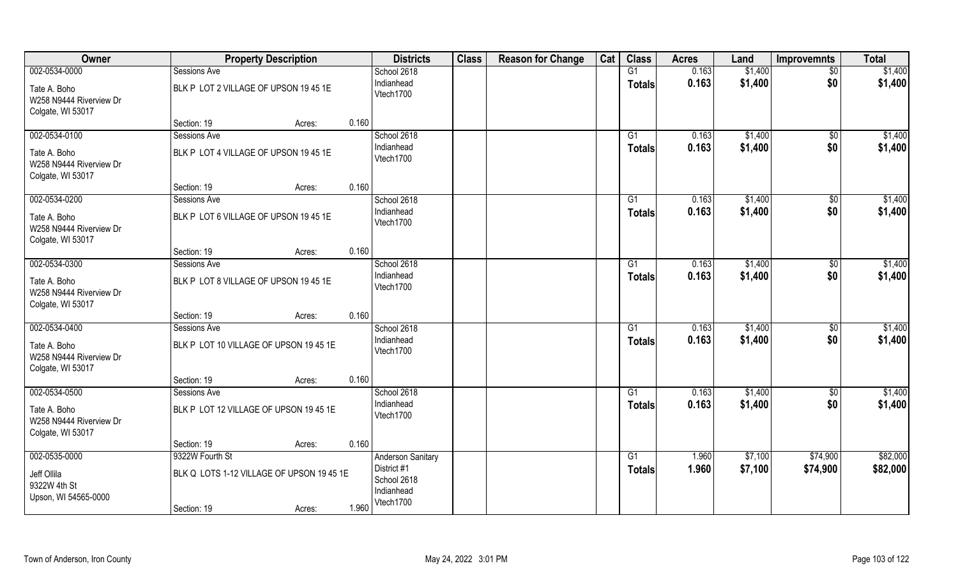| Owner                                                                | <b>Property Description</b>                                  |       | <b>Districts</b>                                                                  | <b>Class</b> | <b>Reason for Change</b> | Cat | <b>Class</b>        | <b>Acres</b>   | Land               | <b>Improvemnts</b>    | <b>Total</b>         |
|----------------------------------------------------------------------|--------------------------------------------------------------|-------|-----------------------------------------------------------------------------------|--------------|--------------------------|-----|---------------------|----------------|--------------------|-----------------------|----------------------|
| 002-0534-0000                                                        | Sessions Ave                                                 |       | School 2618                                                                       |              |                          |     | G1                  | 0.163          | \$1,400            | \$0                   | \$1,400              |
| Tate A. Boho<br>W258 N9444 Riverview Dr<br>Colgate, WI 53017         | BLK P LOT 2 VILLAGE OF UPSON 19 45 1E                        |       | Indianhead<br>Vtech1700                                                           |              |                          |     | <b>Totals</b>       | 0.163          | \$1,400            | \$0                   | \$1,400              |
|                                                                      | Section: 19<br>Acres:                                        | 0.160 |                                                                                   |              |                          |     |                     |                |                    |                       |                      |
| 002-0534-0100                                                        | Sessions Ave                                                 |       | School 2618                                                                       |              |                          |     | G1                  | 0.163          | \$1,400            | $\sqrt{$0}$           | \$1,400              |
| Tate A. Boho<br>W258 N9444 Riverview Dr<br>Colgate, WI 53017         | BLK P LOT 4 VILLAGE OF UPSON 19 45 1E                        |       | Indianhead<br>Vtech1700                                                           |              |                          |     | <b>Totals</b>       | 0.163          | \$1,400            | \$0                   | \$1,400              |
|                                                                      | Section: 19<br>Acres:                                        | 0.160 |                                                                                   |              |                          |     |                     |                |                    |                       |                      |
| 002-0534-0200                                                        | Sessions Ave                                                 |       | School 2618                                                                       |              |                          |     | G1                  | 0.163          | \$1,400            | $\sqrt[6]{30}$        | \$1,400              |
| Tate A. Boho<br>W258 N9444 Riverview Dr<br>Colgate, WI 53017         | BLK P LOT 6 VILLAGE OF UPSON 19 45 1E                        |       | Indianhead<br>Vtech1700                                                           |              |                          |     | <b>Totals</b>       | 0.163          | \$1,400            | \$0                   | \$1,400              |
|                                                                      | Section: 19<br>Acres:                                        | 0.160 |                                                                                   |              |                          |     |                     |                |                    |                       |                      |
| 002-0534-0300                                                        | Sessions Ave                                                 |       | School 2618                                                                       |              |                          |     | G <sub>1</sub>      | 0.163          | \$1,400            | \$0                   | \$1,400              |
| Tate A. Boho<br>W258 N9444 Riverview Dr<br>Colgate, WI 53017         | BLK P LOT 8 VILLAGE OF UPSON 19 45 1E                        |       | Indianhead<br>Vtech1700                                                           |              |                          |     | <b>Totals</b>       | 0.163          | \$1,400            | \$0                   | \$1,400              |
|                                                                      | Section: 19<br>Acres:                                        | 0.160 |                                                                                   |              |                          |     |                     |                |                    |                       |                      |
| 002-0534-0400<br>Tate A. Boho<br>W258 N9444 Riverview Dr             | Sessions Ave<br>BLK P LOT 10 VILLAGE OF UPSON 19 45 1E       |       | School 2618<br>Indianhead<br>Vtech1700                                            |              |                          |     | G1<br><b>Totals</b> | 0.163<br>0.163 | \$1,400<br>\$1,400 | $\sqrt[6]{30}$<br>\$0 | \$1,400<br>\$1,400   |
| Colgate, WI 53017                                                    |                                                              |       |                                                                                   |              |                          |     |                     |                |                    |                       |                      |
|                                                                      | Section: 19<br>Acres:                                        | 0.160 |                                                                                   |              |                          |     |                     |                |                    |                       |                      |
| 002-0534-0500                                                        | Sessions Ave                                                 |       | School 2618                                                                       |              |                          |     | G1                  | 0.163          | \$1,400            | \$0                   | \$1,400              |
| Tate A. Boho<br>W258 N9444 Riverview Dr<br>Colgate, WI 53017         | BLK P LOT 12 VILLAGE OF UPSON 19 45 1E                       |       | Indianhead<br>Vtech1700                                                           |              |                          |     | <b>Totals</b>       | 0.163          | \$1,400            | \$0                   | \$1,400              |
|                                                                      | Section: 19<br>Acres:                                        | 0.160 |                                                                                   |              |                          |     |                     |                |                    |                       |                      |
| 002-0535-0000<br>Jeff Ollila<br>9322W 4th St<br>Upson, WI 54565-0000 | 9322W Fourth St<br>BLK Q LOTS 1-12 VILLAGE OF UPSON 19 45 1E |       | <b>Anderson Sanitary</b><br>District #1<br>School 2618<br>Indianhead<br>Vtech1700 |              |                          |     | G1<br><b>Totals</b> | 1.960<br>1.960 | \$7,100<br>\$7,100 | \$74,900<br>\$74,900  | \$82,000<br>\$82,000 |
|                                                                      | Section: 19<br>Acres:                                        | 1.960 |                                                                                   |              |                          |     |                     |                |                    |                       |                      |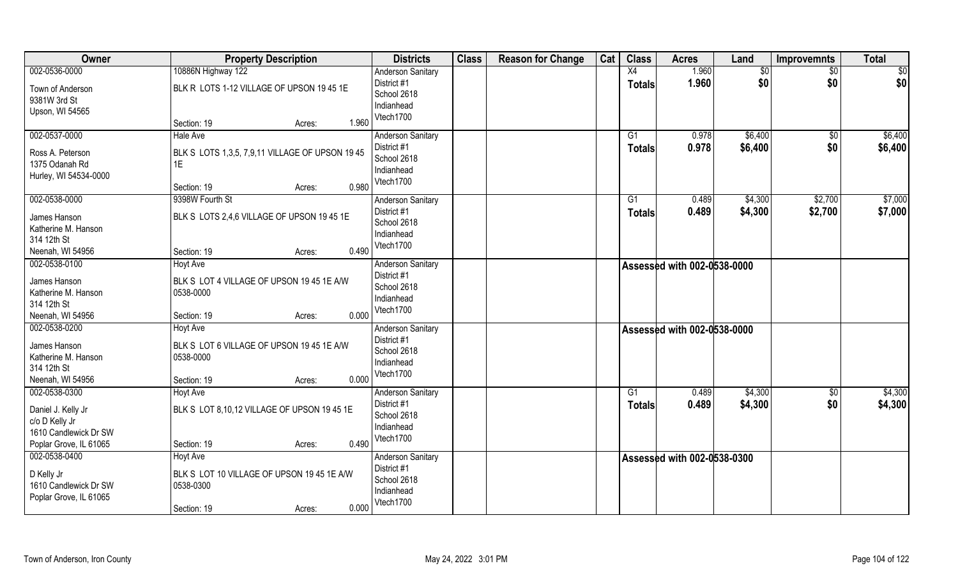| Owner                                                                                   | <b>Property Description</b>                                                                                | <b>Districts</b>                                                                  | <b>Class</b> | <b>Reason for Change</b> | Cat | <b>Class</b>  | <b>Acres</b>                | Land               | <b>Improvemnts</b>     | <b>Total</b>       |
|-----------------------------------------------------------------------------------------|------------------------------------------------------------------------------------------------------------|-----------------------------------------------------------------------------------|--------------|--------------------------|-----|---------------|-----------------------------|--------------------|------------------------|--------------------|
| 002-0536-0000                                                                           | 10886N Highway 122                                                                                         | <b>Anderson Sanitary</b>                                                          |              |                          |     | X4            | 1.960                       | $\overline{50}$    | $\sqrt{6}$             | \$0                |
| Town of Anderson<br>9381W 3rd St<br>Upson, WI 54565                                     | BLK R LOTS 1-12 VILLAGE OF UPSON 19 45 1E                                                                  | District #1<br>School 2618<br>Indianhead<br>Vtech1700                             |              |                          |     | <b>Totals</b> | 1.960                       | \$0                | \$0                    | \$0                |
|                                                                                         | 1.960<br>Section: 19<br>Acres:                                                                             |                                                                                   |              |                          |     |               |                             |                    |                        |                    |
| 002-0537-0000<br>Ross A. Peterson<br>1375 Odanah Rd<br>Hurley, WI 54534-0000            | <b>Hale Ave</b><br>BLK S LOTS 1,3,5, 7,9,11 VILLAGE OF UPSON 19 45<br>1E<br>0.980<br>Section: 19<br>Acres: | <b>Anderson Sanitary</b><br>District #1<br>School 2618<br>Indianhead<br>Vtech1700 |              |                          |     | G1<br>Totals  | 0.978<br>0.978              | \$6,400<br>\$6,400 | $\overline{50}$<br>\$0 | \$6,400<br>\$6,400 |
| 002-0538-0000                                                                           | 9398W Fourth St                                                                                            | <b>Anderson Sanitary</b>                                                          |              |                          |     | G1            | 0.489                       | \$4,300            | \$2,700                | \$7,000            |
| James Hanson<br>Katherine M. Hanson<br>314 12th St<br>Neenah, WI 54956                  | BLK S LOTS 2,4,6 VILLAGE OF UPSON 19 45 1E<br>0.490<br>Section: 19<br>Acres:                               | District #1<br>School 2618<br>Indianhead<br>Vtech1700                             |              |                          |     | <b>Totals</b> | 0.489                       | \$4,300            | \$2,700                | \$7,000            |
| 002-0538-0100                                                                           | Hoyt Ave                                                                                                   | <b>Anderson Sanitary</b>                                                          |              |                          |     |               | Assessed with 002-0538-0000 |                    |                        |                    |
| James Hanson<br>Katherine M. Hanson<br>314 12th St<br>Neenah, WI 54956                  | BLK S LOT 4 VILLAGE OF UPSON 19 45 1E A/W<br>0538-0000<br>0.000<br>Section: 19<br>Acres:                   | District #1<br>School 2618<br>Indianhead<br>Vtech1700                             |              |                          |     |               |                             |                    |                        |                    |
| 002-0538-0200                                                                           | <b>Hoyt Ave</b>                                                                                            | <b>Anderson Sanitary</b>                                                          |              |                          |     |               | Assessed with 002-0538-0000 |                    |                        |                    |
| James Hanson<br>Katherine M. Hanson<br>314 12th St<br>Neenah, WI 54956                  | BLK S LOT 6 VILLAGE OF UPSON 19 45 1E A/W<br>0538-0000<br>0.000<br>Section: 19<br>Acres:                   | District #1<br>School 2618<br>Indianhead<br>Vtech1700                             |              |                          |     |               |                             |                    |                        |                    |
| 002-0538-0300                                                                           | <b>Hoyt Ave</b>                                                                                            | <b>Anderson Sanitary</b>                                                          |              |                          |     | G1            | 0.489                       | \$4,300            | \$0                    | \$4,300            |
| Daniel J. Kelly Jr<br>c/o D Kelly Jr<br>1610 Candlewick Dr SW<br>Poplar Grove, IL 61065 | BLK S LOT 8,10,12 VILLAGE OF UPSON 19 45 1E<br>0.490<br>Section: 19<br>Acres:                              | District #1<br>School 2618<br>Indianhead<br>Vtech1700                             |              |                          |     | <b>Totals</b> | 0.489                       | \$4,300            | \$0                    | \$4,300            |
| 002-0538-0400                                                                           | <b>Hoyt Ave</b>                                                                                            | <b>Anderson Sanitary</b>                                                          |              |                          |     |               | Assessed with 002-0538-0300 |                    |                        |                    |
| D Kelly Jr<br>1610 Candlewick Dr SW<br>Poplar Grove, IL 61065                           | BLK S LOT 10 VILLAGE OF UPSON 19 45 1E A/W<br>0538-0300<br>0.000<br>Section: 19                            | District #1<br>School 2618<br>Indianhead<br>Vtech1700                             |              |                          |     |               |                             |                    |                        |                    |
|                                                                                         | Acres:                                                                                                     |                                                                                   |              |                          |     |               |                             |                    |                        |                    |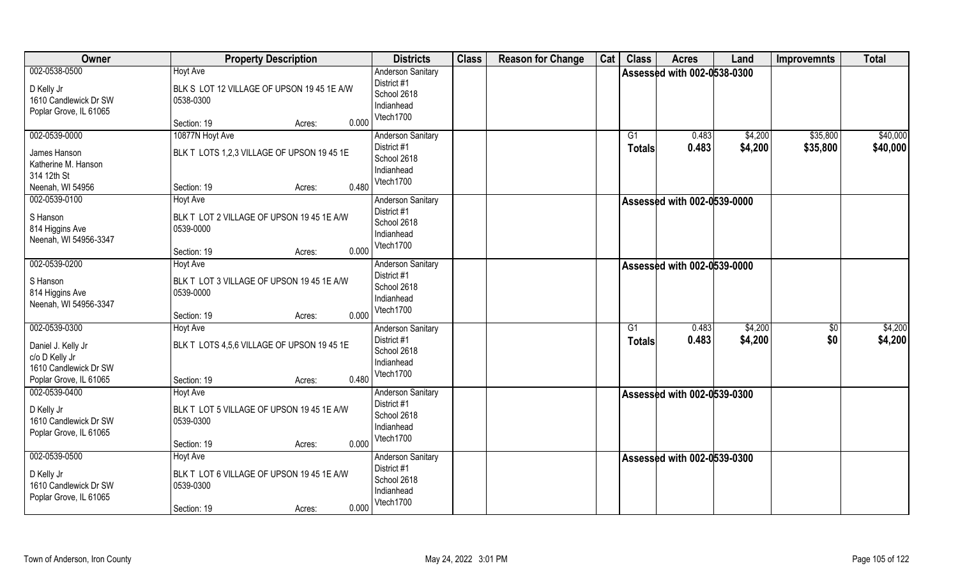| Owner                                                                                                    | <b>Property Description</b>                                                                                  | <b>Districts</b>                                                                  | <b>Class</b> | <b>Reason for Change</b> | Cat | <b>Class</b> | <b>Acres</b>                       | Land               | <b>Improvemnts</b>    | <b>Total</b>         |
|----------------------------------------------------------------------------------------------------------|--------------------------------------------------------------------------------------------------------------|-----------------------------------------------------------------------------------|--------------|--------------------------|-----|--------------|------------------------------------|--------------------|-----------------------|----------------------|
| 002-0538-0500<br>D Kelly Jr<br>1610 Candlewick Dr SW<br>Poplar Grove, IL 61065                           | <b>Hoyt Ave</b><br>BLK S LOT 12 VILLAGE OF UPSON 19 45 1E A/W<br>0538-0300<br>0.000<br>Section: 19<br>Acres: | <b>Anderson Sanitary</b><br>District #1<br>School 2618<br>Indianhead<br>Vtech1700 |              |                          |     |              | <b>Assessed with 002-0538-0300</b> |                    |                       |                      |
| 002-0539-0000<br>James Hanson<br>Katherine M. Hanson<br>314 12th St<br>Neenah, WI 54956                  | 10877N Hoyt Ave<br>BLK T LOTS 1,2,3 VILLAGE OF UPSON 19 45 1E<br>0.480<br>Section: 19<br>Acres:              | <b>Anderson Sanitary</b><br>District #1<br>School 2618<br>Indianhead<br>Vtech1700 |              |                          |     | G1<br>Totals | 0.483<br>0.483                     | \$4,200<br>\$4,200 | \$35,800<br>\$35,800  | \$40,000<br>\$40,000 |
| 002-0539-0100<br>S Hanson<br>814 Higgins Ave<br>Neenah, WI 54956-3347                                    | <b>Hoyt Ave</b><br>BLK T LOT 2 VILLAGE OF UPSON 19 45 1E A/W<br>0539-0000<br>0.000<br>Section: 19<br>Acres:  | <b>Anderson Sanitary</b><br>District #1<br>School 2618<br>Indianhead<br>Vtech1700 |              |                          |     |              | <b>Assessed with 002-0539-0000</b> |                    |                       |                      |
| 002-0539-0200<br>S Hanson<br>814 Higgins Ave<br>Neenah, WI 54956-3347                                    | <b>Hoyt Ave</b><br>BLK T LOT 3 VILLAGE OF UPSON 19 45 1E A/W<br>0539-0000<br>0.000<br>Section: 19<br>Acres:  | <b>Anderson Sanitary</b><br>District #1<br>School 2618<br>Indianhead<br>Vtech1700 |              |                          |     |              | Assessed with 002-0539-0000 N      |                    |                       |                      |
| 002-0539-0300<br>Daniel J. Kelly Jr<br>c/o D Kelly Jr<br>1610 Candlewick Dr SW<br>Poplar Grove, IL 61065 | <b>Hoyt Ave</b><br>BLK T LOTS 4,5,6 VILLAGE OF UPSON 19 45 1E<br>0.480<br>Section: 19<br>Acres:              | Anderson Sanitary<br>District #1<br>School 2618<br>Indianhead<br>Vtech1700        |              |                          |     | G1<br>Totals | 0.483<br>0.483                     | \$4,200<br>\$4,200 | $\sqrt[6]{30}$<br>\$0 | \$4,200<br>\$4,200   |
| 002-0539-0400<br>D Kelly Jr<br>1610 Candlewick Dr SW<br>Poplar Grove, IL 61065                           | Hoyt Ave<br>BLK T LOT 5 VILLAGE OF UPSON 19 45 1E A/W<br>0539-0300<br>0.000<br>Section: 19<br>Acres:         | <b>Anderson Sanitary</b><br>District #1<br>School 2618<br>Indianhead<br>Vtech1700 |              |                          |     |              | Assessed with 002-0539-0300        |                    |                       |                      |
| 002-0539-0500<br>D Kelly Jr<br>1610 Candlewick Dr SW<br>Poplar Grove, IL 61065                           | <b>Hoyt Ave</b><br>BLK T LOT 6 VILLAGE OF UPSON 19 45 1E A/W<br>0539-0300<br>0.000<br>Section: 19<br>Acres:  | <b>Anderson Sanitary</b><br>District #1<br>School 2618<br>Indianhead<br>Vtech1700 |              |                          |     |              | Assessed with 002-0539-0300        |                    |                       |                      |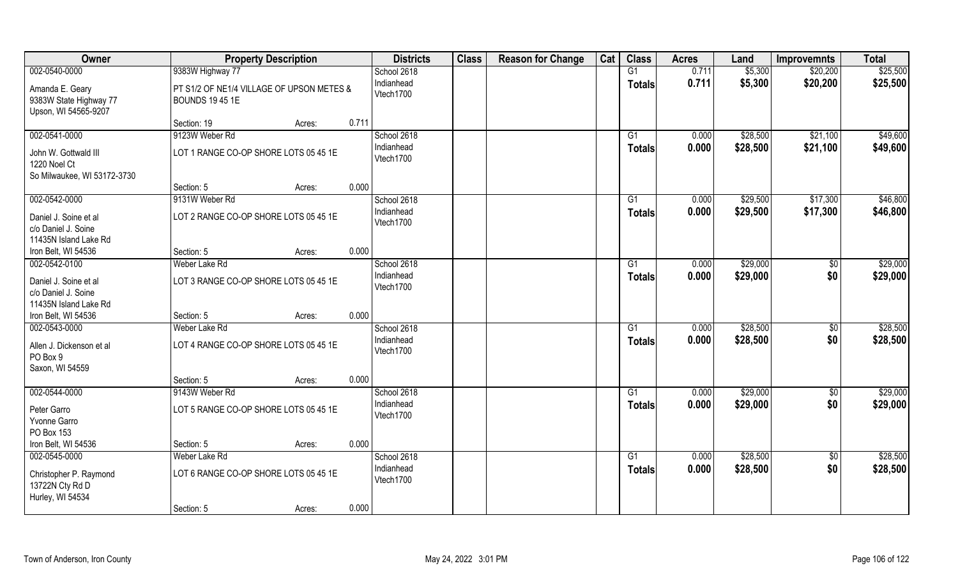| Owner                                                                 | <b>Property Description</b>                                         |        |       | <b>Districts</b>        | <b>Class</b> | <b>Reason for Change</b> | Cat | <b>Class</b>    | <b>Acres</b> | Land     | <b>Improvemnts</b> | <b>Total</b> |
|-----------------------------------------------------------------------|---------------------------------------------------------------------|--------|-------|-------------------------|--------------|--------------------------|-----|-----------------|--------------|----------|--------------------|--------------|
| 002-0540-0000                                                         | 9383W Highway 77                                                    |        |       | School 2618             |              |                          |     | G1              | 0.711        | \$5,300  | \$20,200           | \$25,500     |
| Amanda E. Geary<br>9383W State Highway 77<br>Upson, WI 54565-9207     | PT S1/2 OF NE1/4 VILLAGE OF UPSON METES &<br><b>BOUNDS 19 45 1E</b> |        |       | Indianhead<br>Vtech1700 |              |                          |     | <b>Totals</b>   | 0.711        | \$5,300  | \$20,200           | \$25,500     |
|                                                                       | Section: 19                                                         | Acres: | 0.711 |                         |              |                          |     |                 |              |          |                    |              |
| 002-0541-0000                                                         | 9123W Weber Rd                                                      |        |       | School 2618             |              |                          |     | G1              | 0.000        | \$28,500 | \$21,100           | \$49,600     |
| John W. Gottwald III<br>1220 Noel Ct<br>So Milwaukee, WI 53172-3730   | LOT 1 RANGE CO-OP SHORE LOTS 05 45 1E                               |        |       | Indianhead<br>Vtech1700 |              |                          |     | Totals          | 0.000        | \$28,500 | \$21,100           | \$49,600     |
|                                                                       | Section: 5                                                          | Acres: | 0.000 |                         |              |                          |     |                 |              |          |                    |              |
| 002-0542-0000                                                         | 9131W Weber Rd                                                      |        |       | School 2618             |              |                          |     | G1              | 0.000        | \$29,500 | \$17,300           | \$46,800     |
| Daniel J. Soine et al<br>c/o Daniel J. Soine<br>11435N Island Lake Rd | LOT 2 RANGE CO-OP SHORE LOTS 05 45 1E                               |        |       | Indianhead<br>Vtech1700 |              |                          |     | <b>Totals</b>   | 0.000        | \$29,500 | \$17,300           | \$46,800     |
| Iron Belt, WI 54536                                                   | Section: 5                                                          | Acres: | 0.000 |                         |              |                          |     |                 |              |          |                    |              |
| 002-0542-0100                                                         | Weber Lake Rd                                                       |        |       | School 2618             |              |                          |     | G1              | 0.000        | \$29,000 | $\sqrt{50}$        | \$29,000     |
| Daniel J. Soine et al<br>c/o Daniel J. Soine<br>11435N Island Lake Rd | LOT 3 RANGE CO-OP SHORE LOTS 05 45 1E                               |        |       | Indianhead<br>Vtech1700 |              |                          |     | Totals          | 0.000        | \$29,000 | \$0                | \$29,000     |
| Iron Belt, WI 54536                                                   | Section: 5                                                          | Acres: | 0.000 |                         |              |                          |     |                 |              |          |                    |              |
| 002-0543-0000                                                         | Weber Lake Rd                                                       |        |       | School 2618             |              |                          |     | $\overline{G1}$ | 0.000        | \$28,500 | $\overline{50}$    | \$28,500     |
| Allen J. Dickenson et al<br>PO Box 9<br>Saxon, WI 54559               | LOT 4 RANGE CO-OP SHORE LOTS 05 45 1E                               |        |       | Indianhead<br>Vtech1700 |              |                          |     | <b>Totals</b>   | 0.000        | \$28,500 | \$0                | \$28,500     |
|                                                                       | Section: 5                                                          | Acres: | 0.000 |                         |              |                          |     |                 |              |          |                    |              |
| 002-0544-0000                                                         | 9143W Weber Rd                                                      |        |       | School 2618             |              |                          |     | G1              | 0.000        | \$29,000 | $\overline{50}$    | \$29,000     |
| Peter Garro<br>Yvonne Garro<br>PO Box 153                             | LOT 5 RANGE CO-OP SHORE LOTS 05 45 1E                               |        |       | Indianhead<br>Vtech1700 |              |                          |     | <b>Totals</b>   | 0.000        | \$29,000 | \$0                | \$29,000     |
| Iron Belt, WI 54536                                                   | Section: 5                                                          | Acres: | 0.000 |                         |              |                          |     |                 |              |          |                    |              |
| 002-0545-0000                                                         | Weber Lake Rd                                                       |        |       | School 2618             |              |                          |     | $\overline{G1}$ | 0.000        | \$28,500 | $\overline{50}$    | \$28,500     |
| Christopher P. Raymond<br>13722N Cty Rd D<br>Hurley, WI 54534         | LOT 6 RANGE CO-OP SHORE LOTS 05 45 1E                               |        |       | Indianhead<br>Vtech1700 |              |                          |     | <b>Totals</b>   | 0.000        | \$28,500 | \$0                | \$28,500     |
|                                                                       | Section: 5                                                          | Acres: | 0.000 |                         |              |                          |     |                 |              |          |                    |              |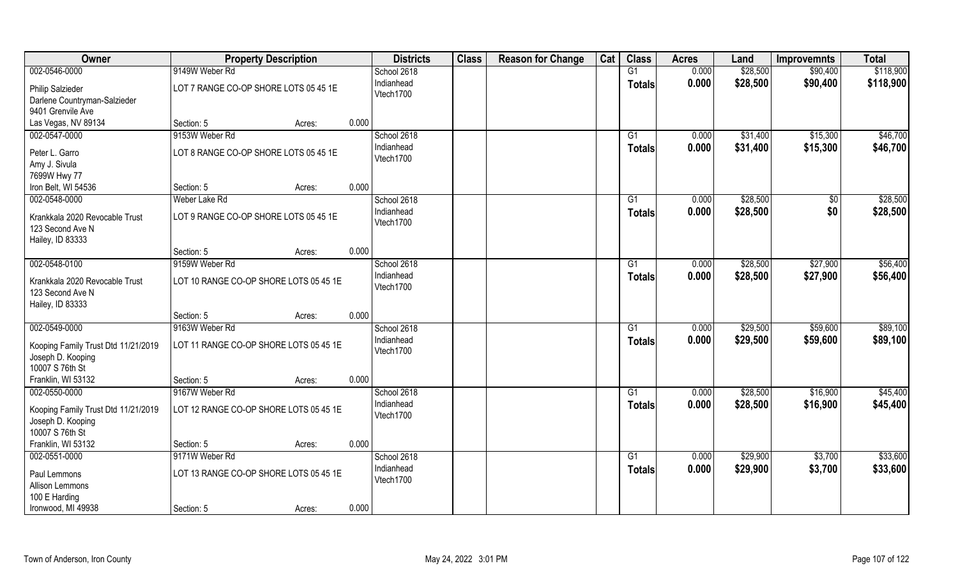| \$28,500<br>002-0546-0000<br>9149W Weber Rd<br>G1<br>0.000<br>\$90,400<br>School 2618<br>Indianhead<br>0.000<br>\$28,500<br>\$90,400<br><b>Totals</b><br>LOT 7 RANGE CO-OP SHORE LOTS 05 45 1E<br><b>Philip Salzieder</b><br>Vtech1700 | \$118,900<br>\$118,900 |
|----------------------------------------------------------------------------------------------------------------------------------------------------------------------------------------------------------------------------------------|------------------------|
|                                                                                                                                                                                                                                        |                        |
|                                                                                                                                                                                                                                        |                        |
| Darlene Countryman-Salzieder                                                                                                                                                                                                           |                        |
| 9401 Grenvile Ave                                                                                                                                                                                                                      |                        |
| Las Vegas, NV 89134<br>0.000<br>Section: 5<br>Acres:                                                                                                                                                                                   |                        |
| 002-0547-0000<br>9153W Weber Rd<br>School 2618<br>0.000<br>\$31,400<br>\$15,300<br>G1                                                                                                                                                  | \$46,700               |
| Indianhead<br>0.000<br>\$31,400<br>\$15,300<br>Totals                                                                                                                                                                                  | \$46,700               |
| LOT 8 RANGE CO-OP SHORE LOTS 05 45 1E<br>Peter L. Garro<br>Vtech1700                                                                                                                                                                   |                        |
| Amy J. Sivula                                                                                                                                                                                                                          |                        |
| 7699W Hwy 77                                                                                                                                                                                                                           |                        |
| 0.000<br>Iron Belt, WI 54536<br>Section: 5<br>Acres:                                                                                                                                                                                   |                        |
| 002-0548-0000<br>School 2618<br>0.000<br>\$28,500<br>\$0<br>Weber Lake Rd<br>G1                                                                                                                                                        | \$28,500               |
| \$0<br>Indianhead<br>\$28,500<br>0.000<br><b>Totals</b><br>LOT 9 RANGE CO-OP SHORE LOTS 05 45 1E<br>Krankkala 2020 Revocable Trust                                                                                                     | \$28,500               |
| Vtech1700<br>123 Second Ave N                                                                                                                                                                                                          |                        |
| Hailey, ID 83333                                                                                                                                                                                                                       |                        |
| 0.000<br>Section: 5<br>Acres:                                                                                                                                                                                                          |                        |
| 002-0548-0100<br>9159W Weber Rd<br>School 2618<br>\$28,500<br>\$27,900<br>G1<br>0.000                                                                                                                                                  | \$56,400               |
| Indianhead<br>0.000<br>\$28,500<br>\$27,900<br><b>Totals</b><br>LOT 10 RANGE CO-OP SHORE LOTS 05 45 1E<br>Krankkala 2020 Revocable Trust                                                                                               | \$56,400               |
| Vtech1700<br>123 Second Ave N                                                                                                                                                                                                          |                        |
| Hailey, ID 83333                                                                                                                                                                                                                       |                        |
| 0.000<br>Section: 5<br>Acres:                                                                                                                                                                                                          |                        |
| 002-0549-0000<br>9163W Weber Rd<br>$\overline{G1}$<br>0.000<br>\$29,500<br>\$59,600<br>School 2618                                                                                                                                     | \$89,100               |
| Indianhead<br>\$29,500<br>0.000<br>\$59,600<br><b>Totals</b>                                                                                                                                                                           | \$89,100               |
| LOT 11 RANGE CO-OP SHORE LOTS 05 45 1E<br>Kooping Family Trust Dtd 11/21/2019<br>Vtech1700                                                                                                                                             |                        |
| Joseph D. Kooping                                                                                                                                                                                                                      |                        |
| 10007 S 76th St                                                                                                                                                                                                                        |                        |
| Franklin, WI 53132<br>0.000<br>Section: 5<br>Acres:                                                                                                                                                                                    |                        |
| \$28,500<br>002-0550-0000<br>9167W Weber Rd<br>School 2618<br>0.000<br>\$16,900<br>G1                                                                                                                                                  | \$45,400               |
| Indianhead<br>0.000<br>\$28,500<br>\$16,900<br><b>Totals</b><br>LOT 12 RANGE CO-OP SHORE LOTS 05 45 1E<br>Kooping Family Trust Dtd 11/21/2019                                                                                          | \$45,400               |
| Vtech1700<br>Joseph D. Kooping                                                                                                                                                                                                         |                        |
| 10007 S 76th St                                                                                                                                                                                                                        |                        |
| Franklin, WI 53132<br>0.000<br>Section: 5<br>Acres:                                                                                                                                                                                    |                        |
| \$29,900<br>002-0551-0000<br>9171W Weber Rd<br>School 2618<br>$\overline{G1}$<br>0.000<br>\$3,700                                                                                                                                      | \$33,600               |
| Indianhead<br>0.000<br>\$29,900<br>\$3,700<br><b>Totals</b><br>LOT 13 RANGE CO-OP SHORE LOTS 05 45 1E                                                                                                                                  | \$33,600               |
| Paul Lemmons<br>Vtech1700<br>Allison Lemmons                                                                                                                                                                                           |                        |
| 100 E Harding                                                                                                                                                                                                                          |                        |
| 0.000<br>Ironwood, MI 49938<br>Section: 5<br>Acres:                                                                                                                                                                                    |                        |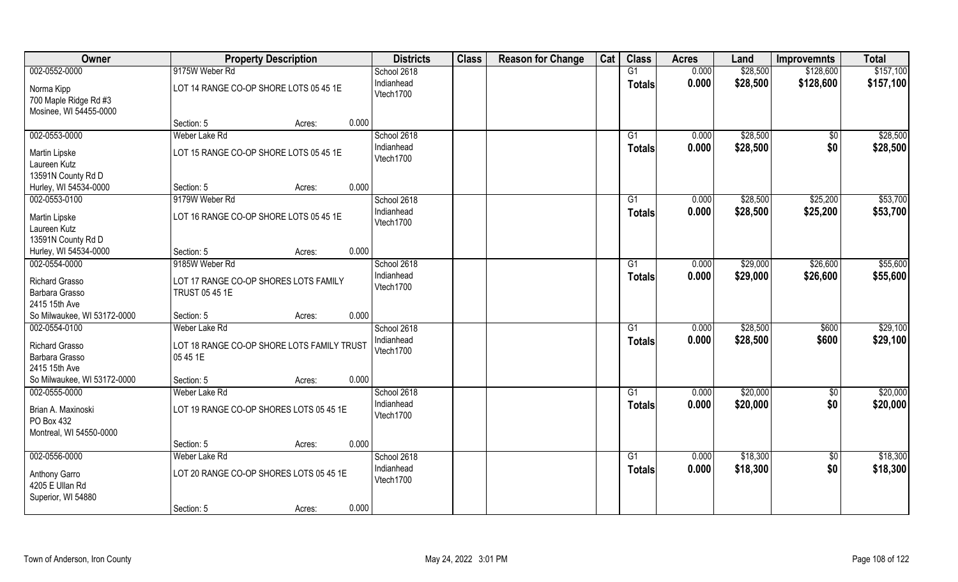| 002-0552-0000<br>9175W Weber Rd<br>\$28,500<br>G1<br>0.000<br>\$128,600<br>School 2618                                         | \$157,100 |
|--------------------------------------------------------------------------------------------------------------------------------|-----------|
| Indianhead<br>0.000<br>\$28,500<br>\$128,600<br><b>Totals</b><br>LOT 14 RANGE CO-OP SHORE LOTS 05 45 1E<br>Norma Kipp          | \$157,100 |
| Vtech1700<br>700 Maple Ridge Rd #3                                                                                             |           |
| Mosinee, WI 54455-0000                                                                                                         |           |
| 0.000<br>Section: 5<br>Acres:                                                                                                  |           |
| 002-0553-0000<br>Weber Lake Rd<br>\$28,500<br>School 2618<br>G1<br>0.000<br>$\frac{1}{30}$                                     | \$28,500  |
| Indianhead<br>0.000<br>\$28,500<br>\$0<br>Totals<br>LOT 15 RANGE CO-OP SHORE LOTS 05 45 1E<br><b>Martin Lipske</b>             | \$28,500  |
| Vtech1700<br>Laureen Kutz                                                                                                      |           |
| 13591N County Rd D                                                                                                             |           |
| 0.000<br>Hurley, WI 54534-0000<br>Section: 5<br>Acres:                                                                         |           |
| 002-0553-0100<br>9179W Weber Rd<br>School 2618<br>0.000<br>\$28,500<br>\$25,200<br>G1                                          | \$53,700  |
| Indianhead<br>0.000<br>\$28,500<br>\$25,200<br><b>Totals</b><br>LOT 16 RANGE CO-OP SHORE LOTS 05 45 1E<br>Martin Lipske        | \$53,700  |
| Vtech1700<br>Laureen Kutz                                                                                                      |           |
| 13591N County Rd D                                                                                                             |           |
| 0.000<br>Hurley, WI 54534-0000<br>Section: 5<br>Acres:                                                                         |           |
| 002-0554-0000<br>\$29,000<br>\$26,600<br>9185W Weber Rd<br>School 2618<br>0.000<br>G1                                          | \$55,600  |
| Indianhead<br>0.000<br>\$29,000<br>\$26,600<br><b>Totals</b><br><b>Richard Grasso</b><br>LOT 17 RANGE CO-OP SHORES LOTS FAMILY | \$55,600  |
| Vtech1700<br>Barbara Grasso<br>TRUST 05 45 1E                                                                                  |           |
| 2415 15th Ave                                                                                                                  |           |
| So Milwaukee, WI 53172-0000<br>0.000<br>Section: 5<br>Acres:                                                                   |           |
| 002-0554-0100<br>0.000<br>\$28,500<br>Weber Lake Rd<br>G1<br>\$600<br>School 2618                                              | \$29,100  |
| \$28,500<br>Indianhead<br>0.000<br>\$600<br>Totals<br><b>Richard Grasso</b><br>LOT 18 RANGE CO-OP SHORE LOTS FAMILY TRUST      | \$29,100  |
| Vtech1700<br>Barbara Grasso<br>05 45 1E                                                                                        |           |
| 2415 15th Ave                                                                                                                  |           |
| So Milwaukee, WI 53172-0000<br>0.000<br>Section: 5<br>Acres:                                                                   |           |
| \$20,000<br>002-0555-0000<br>Weber Lake Rd<br>School 2618<br>G1<br>0.000<br>$\frac{6}{5}$                                      | \$20,000  |
| \$0<br>Indianhead<br>0.000<br>\$20,000<br><b>Totals</b><br>Brian A. Maxinoski<br>LOT 19 RANGE CO-OP SHORES LOTS 05 45 1E       | \$20,000  |
| Vtech1700<br>PO Box 432                                                                                                        |           |
| Montreal, WI 54550-0000                                                                                                        |           |
| 0.000<br>Section: 5<br>Acres:                                                                                                  |           |
| 002-0556-0000<br>\$18,300<br>Weber Lake Rd<br>School 2618<br>$\overline{G1}$<br>0.000<br>\$0                                   | \$18,300  |
| \$0<br>Indianhead<br>0.000<br>\$18,300<br><b>Totals</b>                                                                        | \$18,300  |
| LOT 20 RANGE CO-OP SHORES LOTS 05 45 1E<br>Anthony Garro<br>Vtech1700<br>4205 E Ullan Rd                                       |           |
| Superior, WI 54880                                                                                                             |           |
| 0.000<br>Section: 5<br>Acres:                                                                                                  |           |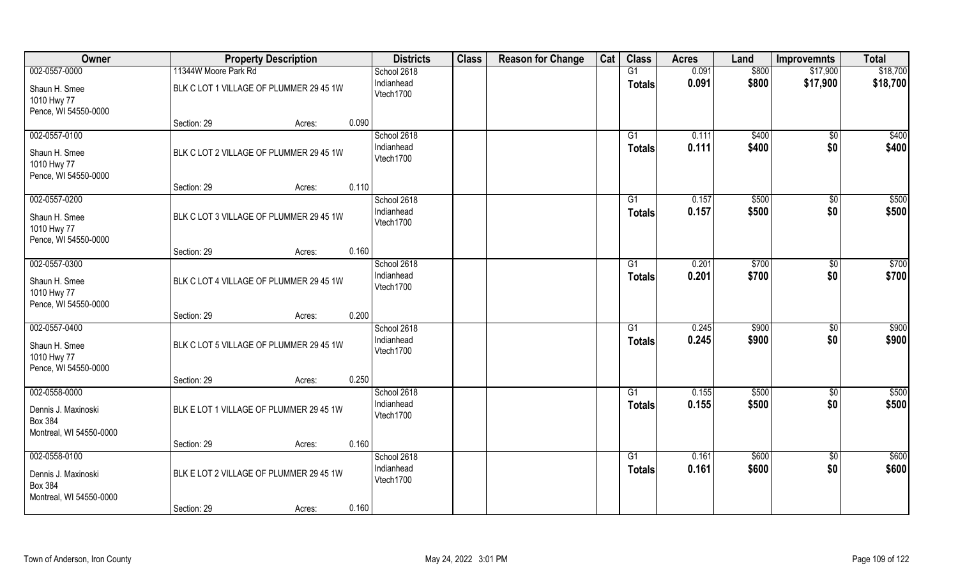| Owner                                                                             | <b>Property Description</b>             | <b>Districts</b>                       | <b>Class</b> | <b>Reason for Change</b> | Cat | <b>Class</b>                     | <b>Acres</b>   | Land           | <b>Improvemnts</b>     | <b>Total</b>   |
|-----------------------------------------------------------------------------------|-----------------------------------------|----------------------------------------|--------------|--------------------------|-----|----------------------------------|----------------|----------------|------------------------|----------------|
| 002-0557-0000                                                                     | 11344W Moore Park Rd                    | School 2618                            |              |                          |     | G1                               | 0.091          | \$800          | \$17,900               | \$18,700       |
| Shaun H. Smee<br>1010 Hwy 77<br>Pence, WI 54550-0000                              | BLK C LOT 1 VILLAGE OF PLUMMER 29 45 1W | Indianhead<br>Vtech1700                |              |                          |     | <b>Totals</b>                    | 0.091          | \$800          | \$17,900               | \$18,700       |
|                                                                                   | Section: 29<br>Acres:                   | 0.090                                  |              |                          |     |                                  |                |                |                        |                |
| 002-0557-0100<br>Shaun H. Smee<br>1010 Hwy 77<br>Pence, WI 54550-0000             | BLK C LOT 2 VILLAGE OF PLUMMER 29 45 1W | School 2618<br>Indianhead<br>Vtech1700 |              |                          |     | G1<br>Totals                     | 0.111<br>0.111 | \$400<br>\$400 | $\overline{50}$<br>\$0 | \$400<br>\$400 |
|                                                                                   | Section: 29<br>Acres:                   | 0.110                                  |              |                          |     |                                  |                |                |                        |                |
| 002-0557-0200<br>Shaun H. Smee<br>1010 Hwy 77<br>Pence, WI 54550-0000             | BLK C LOT 3 VILLAGE OF PLUMMER 29 45 1W | School 2618<br>Indianhead<br>Vtech1700 |              |                          |     | G1<br><b>Totals</b>              | 0.157<br>0.157 | \$500<br>\$500 | \$0<br>\$0             | \$500<br>\$500 |
|                                                                                   | Section: 29<br>Acres:                   | 0.160                                  |              |                          |     |                                  |                |                |                        |                |
| 002-0557-0300<br>Shaun H. Smee<br>1010 Hwy 77<br>Pence, WI 54550-0000             | BLK C LOT 4 VILLAGE OF PLUMMER 29 45 1W | School 2618<br>Indianhead<br>Vtech1700 |              |                          |     | G1<br><b>Totals</b>              | 0.201<br>0.201 | \$700<br>\$700 | \$0<br>\$0             | \$700<br>\$700 |
|                                                                                   | Section: 29<br>Acres:                   | 0.200                                  |              |                          |     |                                  |                |                |                        |                |
| 002-0557-0400<br>Shaun H. Smee<br>1010 Hwy 77<br>Pence, WI 54550-0000             | BLK C LOT 5 VILLAGE OF PLUMMER 29 45 1W | School 2618<br>Indianhead<br>Vtech1700 |              |                          |     | $\overline{G1}$<br><b>Totals</b> | 0.245<br>0.245 | \$900<br>\$900 | $\overline{50}$<br>\$0 | \$900<br>\$900 |
|                                                                                   | Section: 29<br>Acres:                   | 0.250                                  |              |                          |     |                                  |                |                |                        |                |
| 002-0558-0000<br>Dennis J. Maxinoski<br><b>Box 384</b><br>Montreal, WI 54550-0000 | BLK E LOT 1 VILLAGE OF PLUMMER 29 45 1W | School 2618<br>Indianhead<br>Vtech1700 |              |                          |     | G1<br><b>Totals</b>              | 0.155<br>0.155 | \$500<br>\$500 | \$0<br>\$0             | \$500<br>\$500 |
|                                                                                   | Section: 29<br>Acres:                   | 0.160                                  |              |                          |     |                                  |                |                |                        |                |
| 002-0558-0100<br>Dennis J. Maxinoski<br><b>Box 384</b><br>Montreal, WI 54550-0000 | BLK E LOT 2 VILLAGE OF PLUMMER 29 45 1W | School 2618<br>Indianhead<br>Vtech1700 |              |                          |     | $\overline{G1}$<br><b>Totals</b> | 0.161<br>0.161 | \$600<br>\$600 | \$0<br>\$0             | \$600<br>\$600 |
|                                                                                   | Section: 29<br>Acres:                   | 0.160                                  |              |                          |     |                                  |                |                |                        |                |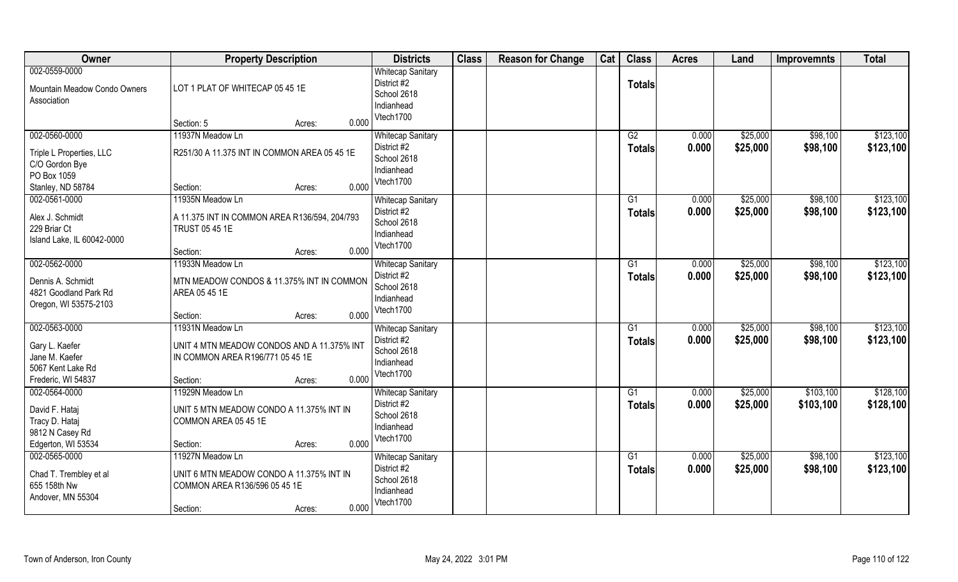| <b>Owner</b>                                                                                 | <b>Property Description</b>                                                                                                       | <b>Districts</b>                                                                  | <b>Class</b> | <b>Reason for Change</b> | Cat | <b>Class</b>                     | <b>Acres</b>   | Land                 | <b>Improvemnts</b>   | <b>Total</b>           |
|----------------------------------------------------------------------------------------------|-----------------------------------------------------------------------------------------------------------------------------------|-----------------------------------------------------------------------------------|--------------|--------------------------|-----|----------------------------------|----------------|----------------------|----------------------|------------------------|
| 002-0559-0000<br>Mountain Meadow Condo Owners<br>Association                                 | LOT 1 PLAT OF WHITECAP 05 45 1E                                                                                                   | <b>Whitecap Sanitary</b><br>District #2<br>School 2618<br>Indianhead<br>Vtech1700 |              |                          |     | <b>Totals</b>                    |                |                      |                      |                        |
|                                                                                              | 0.000<br>Section: 5<br>Acres:                                                                                                     |                                                                                   |              |                          |     |                                  |                |                      |                      |                        |
| 002-0560-0000<br>Triple L Properties, LLC<br>C/O Gordon Bye<br>PO Box 1059                   | 11937N Meadow Ln<br>R251/30 A 11.375 INT IN COMMON AREA 05 45 1E                                                                  | <b>Whitecap Sanitary</b><br>District #2<br>School 2618<br>Indianhead<br>Vtech1700 |              |                          |     | G2<br>Totals                     | 0.000<br>0.000 | \$25,000<br>\$25,000 | \$98,100<br>\$98,100 | \$123,100<br>\$123,100 |
| Stanley, ND 58784                                                                            | 0.000<br>Section:<br>Acres:                                                                                                       |                                                                                   |              |                          |     |                                  |                |                      |                      |                        |
| 002-0561-0000<br>Alex J. Schmidt<br>229 Briar Ct<br>Island Lake, IL 60042-0000               | 11935N Meadow Ln<br>A 11.375 INT IN COMMON AREA R136/594, 204/793<br>TRUST 05 45 1E                                               | <b>Whitecap Sanitary</b><br>District #2<br>School 2618<br>Indianhead<br>Vtech1700 |              |                          |     | G1<br><b>Totals</b>              | 0.000<br>0.000 | \$25,000<br>\$25,000 | \$98,100<br>\$98,100 | \$123,100<br>\$123,100 |
|                                                                                              | 0.000<br>Section:<br>Acres:                                                                                                       |                                                                                   |              |                          |     |                                  |                |                      |                      |                        |
| 002-0562-0000<br>Dennis A. Schmidt<br>4821 Goodland Park Rd<br>Oregon, WI 53575-2103         | 11933N Meadow Ln<br>MTN MEADOW CONDOS & 11.375% INT IN COMMON<br>AREA 05 45 1E                                                    | <b>Whitecap Sanitary</b><br>District #2<br>School 2618<br>Indianhead<br>Vtech1700 |              |                          |     | G1<br><b>Totals</b>              | 0.000<br>0.000 | \$25,000<br>\$25,000 | \$98,100<br>\$98,100 | \$123,100<br>\$123,100 |
|                                                                                              | 0.000<br>Section:<br>Acres:                                                                                                       |                                                                                   |              |                          |     |                                  |                |                      |                      |                        |
| 002-0563-0000<br>Gary L. Kaefer<br>Jane M. Kaefer<br>5067 Kent Lake Rd<br>Frederic, WI 54837 | 11931N Meadow Ln<br>UNIT 4 MTN MEADOW CONDOS AND A 11.375% INT<br>IN COMMON AREA R196/771 05 45 1E<br>0.000<br>Section:<br>Acres: | <b>Whitecap Sanitary</b><br>District #2<br>School 2618<br>Indianhead<br>Vtech1700 |              |                          |     | $\overline{G1}$<br><b>Totals</b> | 0.000<br>0.000 | \$25,000<br>\$25,000 | \$98,100<br>\$98,100 | \$123,100<br>\$123,100 |
| 002-0564-0000                                                                                | 11929N Meadow Ln                                                                                                                  | <b>Whitecap Sanitary</b>                                                          |              |                          |     | G1                               | 0.000          | \$25,000             | \$103,100            | \$128,100              |
| David F. Hataj<br>Tracy D. Hataj<br>9812 N Casey Rd<br>Edgerton, WI 53534                    | UNIT 5 MTN MEADOW CONDO A 11.375% INT IN<br>COMMON AREA 05 45 1E<br>0.000<br>Section:<br>Acres:                                   | District #2<br>School 2618<br>Indianhead<br>Vtech1700                             |              |                          |     | <b>Totals</b>                    | 0.000          | \$25,000             | \$103,100            | \$128,100              |
| 002-0565-0000                                                                                | 11927N Meadow Ln                                                                                                                  | <b>Whitecap Sanitary</b>                                                          |              |                          |     | G1                               | 0.000          | \$25,000             | \$98,100             | \$123,100              |
| Chad T. Trembley et al<br>655 158th Nw<br>Andover, MN 55304                                  | UNIT 6 MTN MEADOW CONDO A 11.375% INT IN<br>COMMON AREA R136/596 05 45 1E<br>0.000<br>Section:<br>Acres:                          | District #2<br>School 2618<br>Indianhead<br>Vtech1700                             |              |                          |     | Totals                           | 0.000          | \$25,000             | \$98,100             | \$123,100              |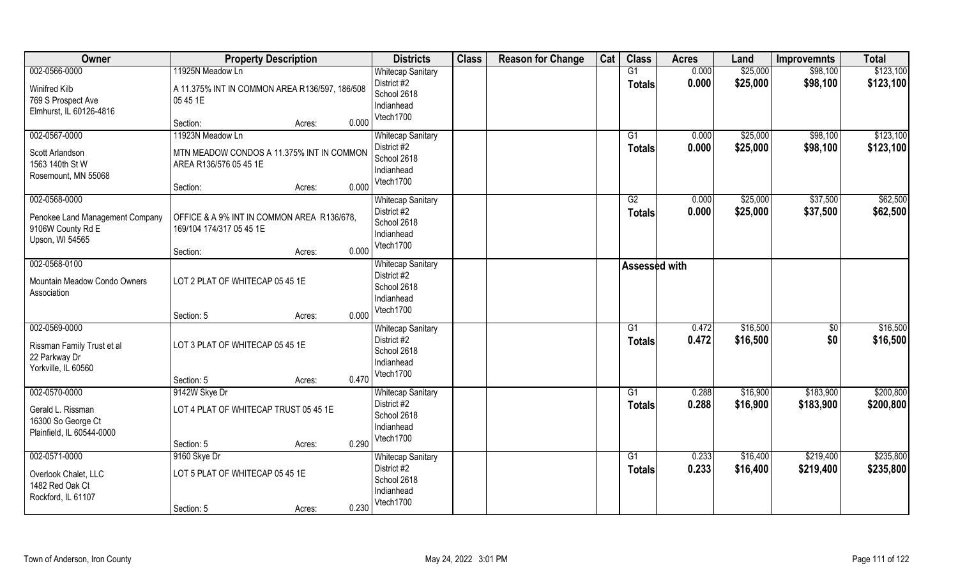| Owner                                                                               | <b>Property Description</b>                                                                                            | <b>Districts</b>                                                                  | <b>Class</b> | <b>Reason for Change</b> | Cat | <b>Class</b>                     | <b>Acres</b>   | Land                 | <b>Improvemnts</b>     | <b>Total</b>           |
|-------------------------------------------------------------------------------------|------------------------------------------------------------------------------------------------------------------------|-----------------------------------------------------------------------------------|--------------|--------------------------|-----|----------------------------------|----------------|----------------------|------------------------|------------------------|
| 002-0566-0000<br>Winifred Kilb<br>769 S Prospect Ave<br>Elmhurst, IL 60126-4816     | 11925N Meadow Ln<br>A 11.375% INT IN COMMON AREA R136/597, 186/508<br>05 45 1E                                         | <b>Whitecap Sanitary</b><br>District #2<br>School 2618<br>Indianhead<br>Vtech1700 |              |                          |     | G1<br><b>Totals</b>              | 0.000<br>0.000 | \$25,000<br>\$25,000 | \$98,100<br>\$98,100   | \$123,100<br>\$123,100 |
|                                                                                     | 0.000<br>Section:<br>Acres:                                                                                            |                                                                                   |              |                          |     |                                  |                |                      |                        |                        |
| 002-0567-0000<br>Scott Arlandson<br>1563 140th St W<br>Rosemount, MN 55068          | 11923N Meadow Ln<br>MTN MEADOW CONDOS A 11.375% INT IN COMMON<br>AREA R136/576 05 45 1E<br>0.000<br>Section:<br>Acres: | <b>Whitecap Sanitary</b><br>District #2<br>School 2618<br>Indianhead<br>Vtech1700 |              |                          |     | G1<br>Totals                     | 0.000<br>0.000 | \$25,000<br>\$25,000 | \$98,100<br>\$98,100   | \$123,100<br>\$123,100 |
| 002-0568-0000                                                                       |                                                                                                                        | <b>Whitecap Sanitary</b>                                                          |              |                          |     | G2                               | 0.000          | \$25,000             | \$37,500               | \$62,500               |
| Penokee Land Management Company<br>9106W County Rd E<br>Upson, WI 54565             | OFFICE & A 9% INT IN COMMON AREA R136/678,<br>169/104 174/317 05 45 1E                                                 | District #2<br>School 2618<br>Indianhead<br>Vtech1700                             |              |                          |     | <b>Totals</b>                    | 0.000          | \$25,000             | \$37,500               | \$62,500               |
|                                                                                     | 0.000<br>Section:<br>Acres:                                                                                            |                                                                                   |              |                          |     |                                  |                |                      |                        |                        |
| 002-0568-0100<br>Mountain Meadow Condo Owners<br>Association                        | LOT 2 PLAT OF WHITECAP 05 45 1E                                                                                        | <b>Whitecap Sanitary</b><br>District #2<br>School 2618<br>Indianhead              |              |                          |     | Assessed with                    |                |                      |                        |                        |
|                                                                                     | 0.000<br>Section: 5<br>Acres:                                                                                          | Vtech1700                                                                         |              |                          |     |                                  |                |                      |                        |                        |
| 002-0569-0000<br>Rissman Family Trust et al<br>22 Parkway Dr<br>Yorkville, IL 60560 | LOT 3 PLAT OF WHITECAP 05 45 1E<br>0.470<br>Section: 5<br>Acres:                                                       | <b>Whitecap Sanitary</b><br>District #2<br>School 2618<br>Indianhead<br>Vtech1700 |              |                          |     | $\overline{G1}$<br><b>Totals</b> | 0.472<br>0.472 | \$16,500<br>\$16,500 | $\overline{50}$<br>\$0 | \$16,500<br>\$16,500   |
| 002-0570-0000                                                                       | 9142W Skye Dr                                                                                                          | <b>Whitecap Sanitary</b>                                                          |              |                          |     | G1                               | 0.288          | \$16,900             | \$183,900              | \$200,800              |
| Gerald L. Rissman<br>16300 So George Ct<br>Plainfield, IL 60544-0000                | LOT 4 PLAT OF WHITECAP TRUST 05 45 1E<br>0.290<br>Section: 5<br>Acres:                                                 | District #2<br>School 2618<br>Indianhead<br>Vtech1700                             |              |                          |     | <b>Totals</b>                    | 0.288          | \$16,900             | \$183,900              | \$200,800              |
| 002-0571-0000                                                                       | 9160 Skye Dr                                                                                                           | <b>Whitecap Sanitary</b>                                                          |              |                          |     | $\overline{G1}$                  | 0.233          | \$16,400             | \$219,400              | \$235,800              |
| Overlook Chalet, LLC<br>1482 Red Oak Ct<br>Rockford, IL 61107                       | LOT 5 PLAT OF WHITECAP 05 45 1E<br>0.230<br>Section: 5<br>Acres:                                                       | District #2<br>School 2618<br>Indianhead<br>Vtech1700                             |              |                          |     | <b>Totals</b>                    | 0.233          | \$16,400             | \$219,400              | \$235,800              |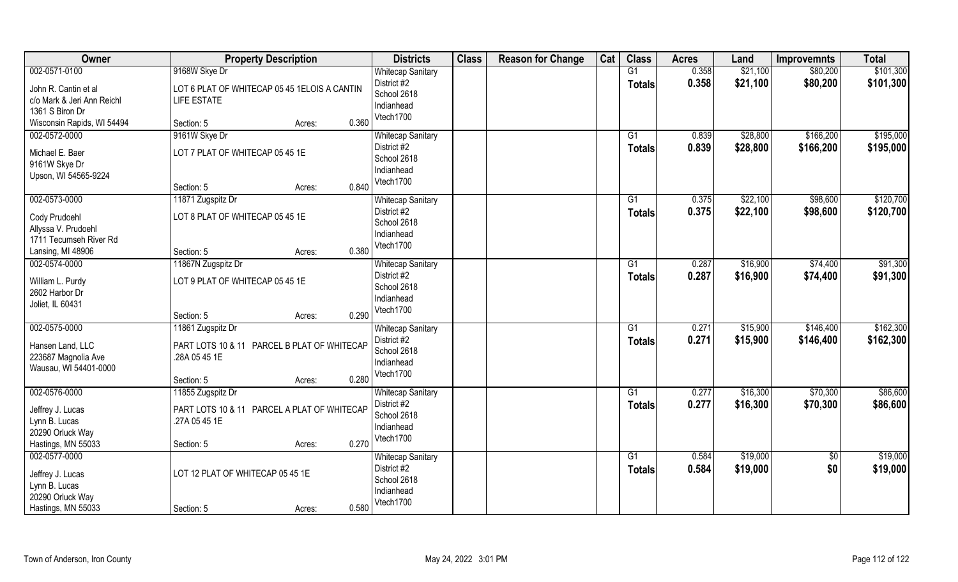| Owner                                                                  | <b>Property Description</b>                                   |        |       | <b>Districts</b>                                                                  | <b>Class</b> | <b>Reason for Change</b> | Cat | <b>Class</b>                     | <b>Acres</b>   | Land                 | <b>Improvemnts</b>     | <b>Total</b>           |
|------------------------------------------------------------------------|---------------------------------------------------------------|--------|-------|-----------------------------------------------------------------------------------|--------------|--------------------------|-----|----------------------------------|----------------|----------------------|------------------------|------------------------|
| 002-0571-0100<br>John R. Cantin et al                                  | 9168W Skye Dr<br>LOT 6 PLAT OF WHITECAP 05 45 1ELOIS A CANTIN |        |       | <b>Whitecap Sanitary</b><br>District #2<br>School 2618                            |              |                          |     | G1<br><b>Totals</b>              | 0.358<br>0.358 | \$21,100<br>\$21,100 | \$80,200<br>\$80,200   | \$101,300<br>\$101,300 |
| c/o Mark & Jeri Ann Reichl                                             | <b>LIFE ESTATE</b>                                            |        |       | Indianhead                                                                        |              |                          |     |                                  |                |                      |                        |                        |
| 1361 S Biron Dr<br>Wisconsin Rapids, WI 54494                          | Section: 5                                                    | Acres: | 0.360 | Vtech1700                                                                         |              |                          |     |                                  |                |                      |                        |                        |
| 002-0572-0000                                                          | 9161W Skye Dr                                                 |        |       | <b>Whitecap Sanitary</b>                                                          |              |                          |     | G1                               | 0.839          | \$28,800             | \$166,200              | \$195,000              |
| Michael E. Baer<br>9161W Skye Dr                                       | LOT 7 PLAT OF WHITECAP 05 45 1E                               |        |       | District #2<br>School 2618<br>Indianhead                                          |              |                          |     | Totals                           | 0.839          | \$28,800             | \$166,200              | \$195,000              |
| Upson, WI 54565-9224                                                   | Section: 5                                                    | Acres: | 0.840 | Vtech1700                                                                         |              |                          |     |                                  |                |                      |                        |                        |
| 002-0573-0000                                                          | 11871 Zugspitz Dr                                             |        |       | <b>Whitecap Sanitary</b>                                                          |              |                          |     | G1                               | 0.375          | \$22,100             | \$98,600               | \$120,700              |
| Cody Prudoehl<br>Allyssa V. Prudoehl<br>1711 Tecumseh River Rd         | LOT 8 PLAT OF WHITECAP 05 45 1E                               |        |       | District #2<br>School 2618<br>Indianhead                                          |              |                          |     | <b>Totals</b>                    | 0.375          | \$22,100             | \$98,600               | \$120,700              |
| Lansing, MI 48906                                                      | Section: 5                                                    | Acres: | 0.380 | Vtech1700                                                                         |              |                          |     |                                  |                |                      |                        |                        |
| 002-0574-0000                                                          | 11867N Zugspitz Dr                                            |        |       | <b>Whitecap Sanitary</b>                                                          |              |                          |     | G1                               | 0.287          | \$16,900             | \$74,400               | \$91,300               |
| William L. Purdy<br>2602 Harbor Dr<br>Joliet, IL 60431                 | LOT 9 PLAT OF WHITECAP 05 45 1E                               |        |       | District #2<br>School 2618<br>Indianhead                                          |              |                          |     | <b>Totals</b>                    | 0.287          | \$16,900             | \$74,400               | \$91,300               |
|                                                                        | Section: 5                                                    | Acres: | 0.290 | Vtech1700                                                                         |              |                          |     |                                  |                |                      |                        |                        |
| 002-0575-0000                                                          | 11861 Zugspitz Dr                                             |        |       | <b>Whitecap Sanitary</b>                                                          |              |                          |     | $\overline{G1}$                  | 0.271          | \$15,900             | \$146,400              | \$162,300              |
| Hansen Land, LLC<br>223687 Magnolia Ave<br>Wausau, WI 54401-0000       | PART LOTS 10 & 11 PARCEL B PLAT OF WHITECAP<br>.28A 05 45 1E  |        |       | District #2<br>School 2618<br>Indianhead<br>Vtech1700                             |              |                          |     | <b>Totals</b>                    | 0.271          | \$15,900             | \$146,400              | \$162,300              |
| 002-0576-0000                                                          | Section: 5<br>11855 Zugspitz Dr                               | Acres: | 0.280 | <b>Whitecap Sanitary</b>                                                          |              |                          |     | G1                               | 0.277          | \$16,300             | \$70,300               | \$86,600               |
| Jeffrey J. Lucas<br>Lynn B. Lucas<br>20290 Orluck Way                  | PART LOTS 10 & 11 PARCEL A PLAT OF WHITECAP<br>.27A 05 45 1E  |        |       | District #2<br>School 2618<br>Indianhead                                          |              |                          |     | <b>Totals</b>                    | 0.277          | \$16,300             | \$70,300               | \$86,600               |
| Hastings, MN 55033                                                     | Section: 5                                                    | Acres: | 0.270 | Vtech1700                                                                         |              |                          |     |                                  |                |                      |                        |                        |
| 002-0577-0000<br>Jeffrey J. Lucas<br>Lynn B. Lucas<br>20290 Orluck Way | LOT 12 PLAT OF WHITECAP 05 45 1E                              |        |       | <b>Whitecap Sanitary</b><br>District #2<br>School 2618<br>Indianhead<br>Vtech1700 |              |                          |     | $\overline{G1}$<br><b>Totals</b> | 0.584<br>0.584 | \$19,000<br>\$19,000 | $\overline{50}$<br>\$0 | \$19,000<br>\$19,000   |
| Hastings, MN 55033                                                     | Section: 5                                                    | Acres: | 0.580 |                                                                                   |              |                          |     |                                  |                |                      |                        |                        |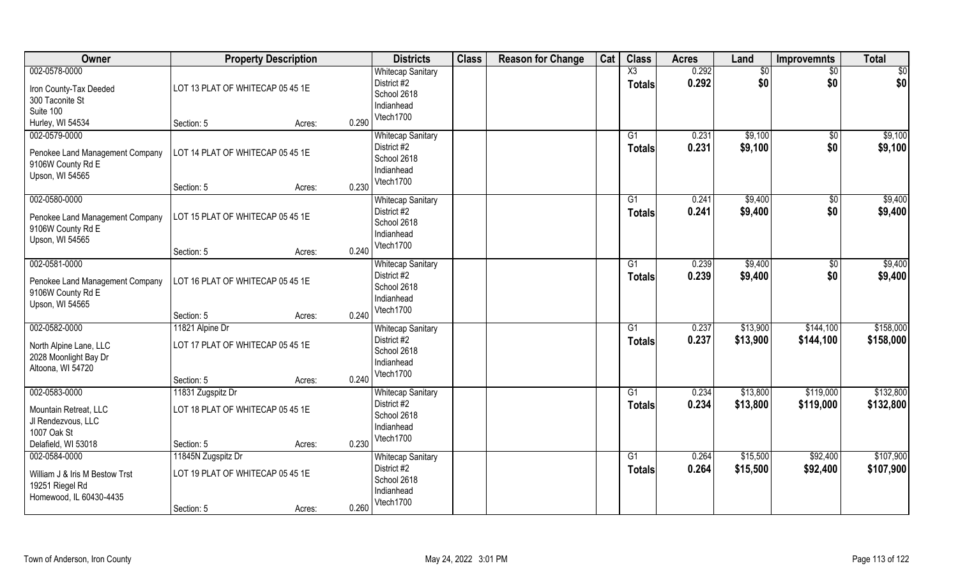| Owner                                                                                         | <b>Property Description</b>                                       |                 | <b>Districts</b>                                                                  | <b>Class</b> | <b>Reason for Change</b> | Cat | <b>Class</b>        | <b>Acres</b>   | Land                 | <b>Improvemnts</b>     | <b>Total</b>           |
|-----------------------------------------------------------------------------------------------|-------------------------------------------------------------------|-----------------|-----------------------------------------------------------------------------------|--------------|--------------------------|-----|---------------------|----------------|----------------------|------------------------|------------------------|
| 002-0578-0000<br>Iron County-Tax Deeded<br>300 Taconite St<br>Suite 100                       | LOT 13 PLAT OF WHITECAP 05 45 1E                                  |                 | <b>Whitecap Sanitary</b><br>District #2<br>School 2618<br>Indianhead              |              |                          |     | X3<br><b>Totals</b> | 0.292<br>0.292 | \$0<br>\$0           | $\sqrt{6}$<br>\$0      | \$0<br>\$0             |
| Hurley, WI 54534                                                                              | Section: 5                                                        | 0.290<br>Acres: | Vtech1700                                                                         |              |                          |     |                     |                |                      |                        |                        |
| 002-0579-0000<br>Penokee Land Management Company<br>9106W County Rd E<br>Upson, WI 54565      | LOT 14 PLAT OF WHITECAP 05 45 1E<br>Section: 5                    | 0.230<br>Acres: | <b>Whitecap Sanitary</b><br>District #2<br>School 2618<br>Indianhead<br>Vtech1700 |              |                          |     | G1<br><b>Totals</b> | 0.231<br>0.231 | \$9,100<br>\$9,100   | \$0<br>\$0             | \$9,100<br>\$9,100     |
| 002-0580-0000                                                                                 |                                                                   |                 | <b>Whitecap Sanitary</b>                                                          |              |                          |     | G1                  | 0.241          | \$9,400              | \$0                    | \$9,400                |
| Penokee Land Management Company<br>9106W County Rd E<br>Upson, WI 54565                       | LOT 15 PLAT OF WHITECAP 05 45 1E                                  |                 | District #2<br>School 2618<br>Indianhead                                          |              |                          |     | <b>Totals</b>       | 0.241          | \$9,400              | \$0                    | \$9,400                |
|                                                                                               | Section: 5                                                        | 0.240<br>Acres: | Vtech1700                                                                         |              |                          |     |                     |                |                      |                        |                        |
| 002-0581-0000<br>Penokee Land Management Company<br>9106W County Rd E<br>Upson, WI 54565      | LOT 16 PLAT OF WHITECAP 05 45 1E                                  |                 | <b>Whitecap Sanitary</b><br>District #2<br>School 2618<br>Indianhead              |              |                          |     | G1<br><b>Totals</b> | 0.239<br>0.239 | \$9,400<br>\$9,400   | $\sqrt[6]{}$<br>\$0    | \$9,400<br>\$9,400     |
|                                                                                               | Section: 5                                                        | 0.240<br>Acres: | Vtech1700                                                                         |              |                          |     |                     |                |                      |                        |                        |
| 002-0582-0000<br>North Alpine Lane, LLC<br>2028 Moonlight Bay Dr<br>Altoona, WI 54720         | 11821 Alpine Dr<br>LOT 17 PLAT OF WHITECAP 05 45 1E<br>Section: 5 | 0.240<br>Acres: | <b>Whitecap Sanitary</b><br>District #2<br>School 2618<br>Indianhead<br>Vtech1700 |              |                          |     | G1<br><b>Totals</b> | 0.237<br>0.237 | \$13,900<br>\$13,900 | \$144,100<br>\$144,100 | \$158,000<br>\$158,000 |
| 002-0583-0000                                                                                 | 11831 Zugspitz Dr                                                 |                 | <b>Whitecap Sanitary</b>                                                          |              |                          |     | G1                  | 0.234          | \$13,800             | \$119,000              | \$132,800              |
| Mountain Retreat, LLC<br>JI Rendezvous, LLC<br>1007 Oak St<br>Delafield, WI 53018             | LOT 18 PLAT OF WHITECAP 05 45 1E<br>Section: 5                    | 0.230<br>Acres: | District #2<br>School 2618<br>Indianhead<br>Vtech1700                             |              |                          |     | <b>Totals</b>       | 0.234          | \$13,800             | \$119,000              | \$132,800              |
| 002-0584-0000<br>William J & Iris M Bestow Trst<br>19251 Riegel Rd<br>Homewood, IL 60430-4435 | 11845N Zugspitz Dr<br>LOT 19 PLAT OF WHITECAP 05 45 1E            |                 | <b>Whitecap Sanitary</b><br>District #2<br>School 2618<br>Indianhead<br>Vtech1700 |              |                          |     | G1<br><b>Totals</b> | 0.264<br>0.264 | \$15,500<br>\$15,500 | \$92,400<br>\$92,400   | \$107,900<br>\$107,900 |
|                                                                                               | Section: 5                                                        | 0.260<br>Acres: |                                                                                   |              |                          |     |                     |                |                      |                        |                        |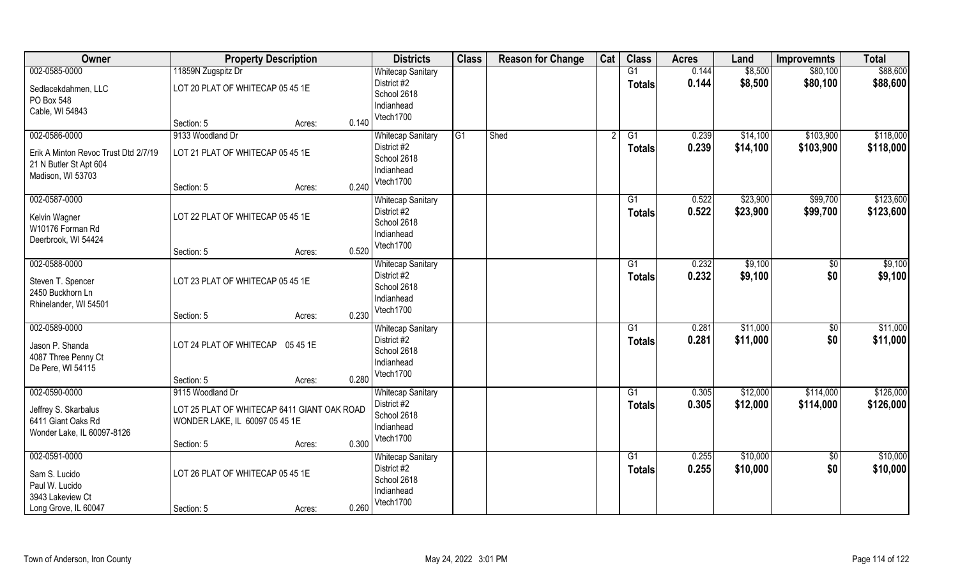| Owner                                | <b>Property Description</b>                 |        |       | <b>Districts</b>          | <b>Class</b> | <b>Reason for Change</b> | Cat | <b>Class</b>    | <b>Acres</b> | Land     | <b>Improvemnts</b> | <b>Total</b> |
|--------------------------------------|---------------------------------------------|--------|-------|---------------------------|--------------|--------------------------|-----|-----------------|--------------|----------|--------------------|--------------|
| 002-0585-0000                        | 11859N Zugspitz Dr                          |        |       | <b>Whitecap Sanitary</b>  |              |                          |     | G1              | 0.144        | \$8,500  | \$80,100           | \$88,600     |
| Sedlacekdahmen, LLC                  | LOT 20 PLAT OF WHITECAP 05 45 1E            |        |       | District #2               |              |                          |     | <b>Totals</b>   | 0.144        | \$8,500  | \$80,100           | \$88,600     |
| PO Box 548                           |                                             |        |       | School 2618               |              |                          |     |                 |              |          |                    |              |
| Cable, WI 54843                      |                                             |        |       | Indianhead<br>Vtech1700   |              |                          |     |                 |              |          |                    |              |
|                                      | Section: 5                                  | Acres: | 0.140 |                           |              |                          |     |                 |              |          |                    |              |
| 002-0586-0000                        | 9133 Woodland Dr                            |        |       | <b>Whitecap Sanitary</b>  | G1           | Shed                     |     | G1              | 0.239        | \$14,100 | \$103,900          | \$118,000    |
| Erik A Minton Revoc Trust Dtd 2/7/19 | LOT 21 PLAT OF WHITECAP 05 45 1E            |        |       | District #2               |              |                          |     | Totals          | 0.239        | \$14,100 | \$103,900          | \$118,000    |
| 21 N Butler St Apt 604               |                                             |        |       | School 2618<br>Indianhead |              |                          |     |                 |              |          |                    |              |
| Madison, WI 53703                    |                                             |        |       | Vtech1700                 |              |                          |     |                 |              |          |                    |              |
|                                      | Section: 5                                  | Acres: | 0.240 |                           |              |                          |     |                 |              |          |                    |              |
| 002-0587-0000                        |                                             |        |       | <b>Whitecap Sanitary</b>  |              |                          |     | G1              | 0.522        | \$23,900 | \$99,700           | \$123,600    |
| Kelvin Wagner                        | LOT 22 PLAT OF WHITECAP 05 45 1E            |        |       | District #2               |              |                          |     | <b>Totals</b>   | 0.522        | \$23,900 | \$99,700           | \$123,600    |
| W10176 Forman Rd                     |                                             |        |       | School 2618<br>Indianhead |              |                          |     |                 |              |          |                    |              |
| Deerbrook, WI 54424                  |                                             |        |       | Vtech1700                 |              |                          |     |                 |              |          |                    |              |
|                                      | Section: 5                                  | Acres: | 0.520 |                           |              |                          |     |                 |              |          |                    |              |
| 002-0588-0000                        |                                             |        |       | <b>Whitecap Sanitary</b>  |              |                          |     | G1              | 0.232        | \$9,100  | \$0                | \$9,100      |
| Steven T. Spencer                    | LOT 23 PLAT OF WHITECAP 05 45 1E            |        |       | District #2               |              |                          |     | <b>Totals</b>   | 0.232        | \$9,100  | \$0                | \$9,100      |
| 2450 Buckhorn Ln                     |                                             |        |       | School 2618<br>Indianhead |              |                          |     |                 |              |          |                    |              |
| Rhinelander, WI 54501                |                                             |        |       | Vtech1700                 |              |                          |     |                 |              |          |                    |              |
|                                      | Section: 5                                  | Acres: | 0.230 |                           |              |                          |     |                 |              |          |                    |              |
| 002-0589-0000                        |                                             |        |       | <b>Whitecap Sanitary</b>  |              |                          |     | $\overline{G1}$ | 0.281        | \$11,000 | $\overline{50}$    | \$11,000     |
| Jason P. Shanda                      | LOT 24 PLAT OF WHITECAP 05 45 1E            |        |       | District #2               |              |                          |     | <b>Totals</b>   | 0.281        | \$11,000 | \$0                | \$11,000     |
| 4087 Three Penny Ct                  |                                             |        |       | School 2618<br>Indianhead |              |                          |     |                 |              |          |                    |              |
| De Pere, WI 54115                    |                                             |        |       | Vtech1700                 |              |                          |     |                 |              |          |                    |              |
|                                      | Section: 5                                  | Acres: | 0.280 |                           |              |                          |     |                 |              |          |                    |              |
| 002-0590-0000                        | 9115 Woodland Dr                            |        |       | <b>Whitecap Sanitary</b>  |              |                          |     | G1              | 0.305        | \$12,000 | \$114,000          | \$126,000    |
| Jeffrey S. Skarbalus                 | LOT 25 PLAT OF WHITECAP 6411 GIANT OAK ROAD |        |       | District #2               |              |                          |     | <b>Totals</b>   | 0.305        | \$12,000 | \$114,000          | \$126,000    |
| 6411 Giant Oaks Rd                   | WONDER LAKE, IL 60097 05 45 1E              |        |       | School 2618<br>Indianhead |              |                          |     |                 |              |          |                    |              |
| Wonder Lake, IL 60097-8126           |                                             |        |       | Vtech1700                 |              |                          |     |                 |              |          |                    |              |
|                                      | Section: 5                                  | Acres: | 0.300 |                           |              |                          |     |                 |              |          |                    |              |
| 002-0591-0000                        |                                             |        |       | <b>Whitecap Sanitary</b>  |              |                          |     | G1              | 0.255        | \$10,000 | $\overline{50}$    | \$10,000     |
| Sam S. Lucido                        | LOT 26 PLAT OF WHITECAP 05 45 1E            |        |       | District #2               |              |                          |     | <b>Totals</b>   | 0.255        | \$10,000 | \$0                | \$10,000     |
| Paul W. Lucido                       |                                             |        |       | School 2618<br>Indianhead |              |                          |     |                 |              |          |                    |              |
| 3943 Lakeview Ct                     |                                             |        |       | Vtech1700                 |              |                          |     |                 |              |          |                    |              |
| Long Grove, IL 60047                 | Section: 5                                  | Acres: | 0.260 |                           |              |                          |     |                 |              |          |                    |              |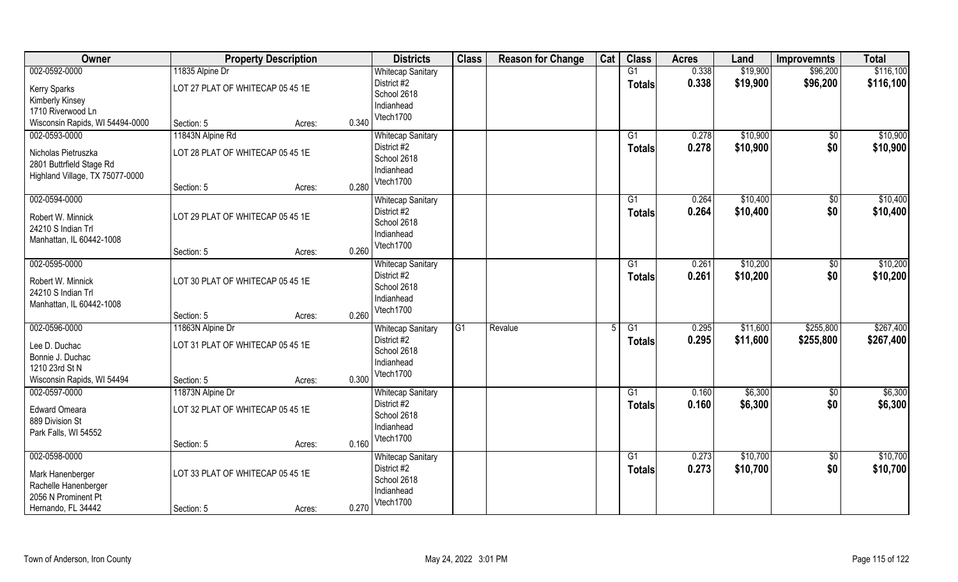| Owner                           | <b>Property Description</b>      |        |       | <b>Districts</b>                        | <b>Class</b>    | <b>Reason for Change</b> | Cat | <b>Class</b>    | <b>Acres</b> | Land     | <b>Improvemnts</b> | <b>Total</b> |
|---------------------------------|----------------------------------|--------|-------|-----------------------------------------|-----------------|--------------------------|-----|-----------------|--------------|----------|--------------------|--------------|
| 002-0592-0000                   | 11835 Alpine Dr                  |        |       | <b>Whitecap Sanitary</b>                |                 |                          |     | G1              | 0.338        | \$19,900 | \$96,200           | \$116,100    |
| <b>Kerry Sparks</b>             | LOT 27 PLAT OF WHITECAP 05 45 1E |        |       | District #2                             |                 |                          |     | <b>Totals</b>   | 0.338        | \$19,900 | \$96,200           | \$116,100    |
| Kimberly Kinsey                 |                                  |        |       | School 2618                             |                 |                          |     |                 |              |          |                    |              |
| 1710 Riverwood Ln               |                                  |        |       | Indianhead                              |                 |                          |     |                 |              |          |                    |              |
| Wisconsin Rapids, WI 54494-0000 | Section: 5                       | Acres: | 0.340 | Vtech1700                               |                 |                          |     |                 |              |          |                    |              |
| 002-0593-0000                   | 11843N Alpine Rd                 |        |       | <b>Whitecap Sanitary</b>                |                 |                          |     | G1              | 0.278        | \$10,900 | $\overline{50}$    | \$10,900     |
| Nicholas Pietruszka             | LOT 28 PLAT OF WHITECAP 05 45 1E |        |       | District #2                             |                 |                          |     | <b>Totals</b>   | 0.278        | \$10,900 | \$0                | \$10,900     |
| 2801 Buttrfield Stage Rd        |                                  |        |       | School 2618                             |                 |                          |     |                 |              |          |                    |              |
| Highland Village, TX 75077-0000 |                                  |        |       | Indianhead                              |                 |                          |     |                 |              |          |                    |              |
|                                 | Section: 5                       | Acres: | 0.280 | Vtech1700                               |                 |                          |     |                 |              |          |                    |              |
| 002-0594-0000                   |                                  |        |       | <b>Whitecap Sanitary</b>                |                 |                          |     | G1              | 0.264        | \$10,400 | \$0                | \$10,400     |
| Robert W. Minnick               | LOT 29 PLAT OF WHITECAP 05 45 1E |        |       | District #2                             |                 |                          |     | <b>Totals</b>   | 0.264        | \$10,400 | \$0                | \$10,400     |
| 24210 S Indian Trl              |                                  |        |       | School 2618                             |                 |                          |     |                 |              |          |                    |              |
| Manhattan, IL 60442-1008        |                                  |        |       | Indianhead                              |                 |                          |     |                 |              |          |                    |              |
|                                 | Section: 5                       | Acres: | 0.260 | Vtech1700                               |                 |                          |     |                 |              |          |                    |              |
| 002-0595-0000                   |                                  |        |       | <b>Whitecap Sanitary</b>                |                 |                          |     | G1              | 0.261        | \$10,200 | \$0                | \$10,200     |
| Robert W. Minnick               | LOT 30 PLAT OF WHITECAP 05 45 1E |        |       | District #2                             |                 |                          |     | <b>Totals</b>   | 0.261        | \$10,200 | \$0                | \$10,200     |
| 24210 S Indian Trl              |                                  |        |       | School 2618                             |                 |                          |     |                 |              |          |                    |              |
| Manhattan, IL 60442-1008        |                                  |        |       | Indianhead                              |                 |                          |     |                 |              |          |                    |              |
|                                 | Section: 5                       | Acres: | 0.260 | Vtech1700                               |                 |                          |     |                 |              |          |                    |              |
| 002-0596-0000                   | 11863N Alpine Dr                 |        |       | <b>Whitecap Sanitary</b>                | $\overline{G1}$ | Revalue                  |     | $\overline{G1}$ | 0.295        | \$11,600 | \$255,800          | \$267,400    |
|                                 |                                  |        |       | District #2                             |                 |                          |     | <b>Totals</b>   | 0.295        | \$11,600 | \$255,800          | \$267,400    |
| Lee D. Duchac                   | LOT 31 PLAT OF WHITECAP 05 45 1E |        |       | School 2618                             |                 |                          |     |                 |              |          |                    |              |
| Bonnie J. Duchac                |                                  |        |       | Indianhead                              |                 |                          |     |                 |              |          |                    |              |
| 1210 23rd St N                  |                                  |        | 0.300 | Vtech1700                               |                 |                          |     |                 |              |          |                    |              |
| Wisconsin Rapids, WI 54494      | Section: 5                       | Acres: |       |                                         |                 |                          |     |                 |              |          |                    |              |
| 002-0597-0000                   | 11873N Alpine Dr                 |        |       | <b>Whitecap Sanitary</b><br>District #2 |                 |                          |     | G1              | 0.160        | \$6,300  | $\overline{50}$    | \$6,300      |
| <b>Edward Omeara</b>            | LOT 32 PLAT OF WHITECAP 05 45 1E |        |       | School 2618                             |                 |                          |     | <b>Totals</b>   | 0.160        | \$6,300  | \$0                | \$6,300      |
| 889 Division St                 |                                  |        |       | Indianhead                              |                 |                          |     |                 |              |          |                    |              |
| Park Falls, WI 54552            |                                  |        |       | Vtech1700                               |                 |                          |     |                 |              |          |                    |              |
|                                 | Section: 5                       | Acres: | 0.160 |                                         |                 |                          |     |                 |              |          |                    |              |
| 002-0598-0000                   |                                  |        |       | <b>Whitecap Sanitary</b>                |                 |                          |     | G1              | 0.273        | \$10,700 | $\overline{50}$    | \$10,700     |
| Mark Hanenberger                | LOT 33 PLAT OF WHITECAP 05 45 1E |        |       | District #2                             |                 |                          |     | <b>Totals</b>   | 0.273        | \$10,700 | \$0                | \$10,700     |
| Rachelle Hanenberger            |                                  |        |       | School 2618                             |                 |                          |     |                 |              |          |                    |              |
| 2056 N Prominent Pt             |                                  |        |       | Indianhead                              |                 |                          |     |                 |              |          |                    |              |
| Hernando, FL 34442              | Section: 5                       | Acres: | 0.270 | Vtech1700                               |                 |                          |     |                 |              |          |                    |              |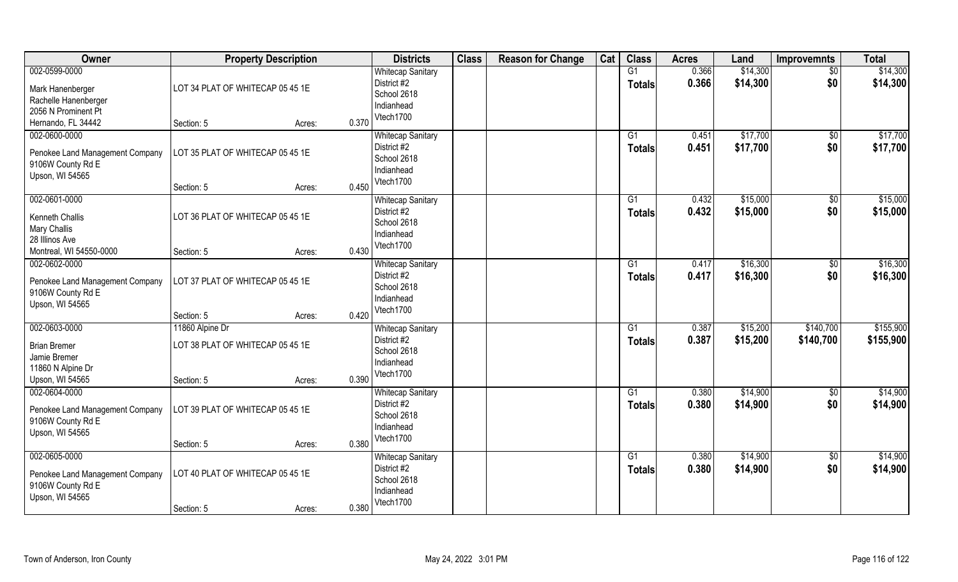| Owner                                                                                        | <b>Property Description</b>                                                 |       | <b>Districts</b>                                                                  | <b>Class</b> | <b>Reason for Change</b> | Cat | <b>Class</b>        | <b>Acres</b>   | Land                 | <b>Improvemnts</b>     | <b>Total</b>           |
|----------------------------------------------------------------------------------------------|-----------------------------------------------------------------------------|-------|-----------------------------------------------------------------------------------|--------------|--------------------------|-----|---------------------|----------------|----------------------|------------------------|------------------------|
| 002-0599-0000<br>Mark Hanenberger<br>Rachelle Hanenberger<br>2056 N Prominent Pt             | LOT 34 PLAT OF WHITECAP 05 45 1E                                            |       | <b>Whitecap Sanitary</b><br>District #2<br>School 2618<br>Indianhead              |              |                          |     | G1<br><b>Totals</b> | 0.366<br>0.366 | \$14,300<br>\$14,300 | $\sqrt{50}$<br>\$0     | \$14,300<br>\$14,300   |
| Hernando, FL 34442                                                                           | Section: 5<br>Acres:                                                        | 0.370 | Vtech1700                                                                         |              |                          |     |                     |                |                      |                        |                        |
| 002-0600-0000<br>Penokee Land Management Company<br>9106W County Rd E<br>Upson, WI 54565     | LOT 35 PLAT OF WHITECAP 05 45 1E<br>Section: 5<br>Acres:                    | 0.450 | <b>Whitecap Sanitary</b><br>District #2<br>School 2618<br>Indianhead<br>Vtech1700 |              |                          |     | G1<br>Totals        | 0.451<br>0.451 | \$17,700<br>\$17,700 | $\overline{50}$<br>\$0 | \$17,700<br>\$17,700   |
| 002-0601-0000                                                                                |                                                                             |       | <b>Whitecap Sanitary</b>                                                          |              |                          |     | G1                  | 0.432          | \$15,000             | \$0                    | \$15,000               |
| Kenneth Challis<br><b>Mary Challis</b><br>28 Illinos Ave                                     | LOT 36 PLAT OF WHITECAP 05 45 1E                                            |       | District #2<br>School 2618<br>Indianhead                                          |              |                          |     | <b>Totals</b>       | 0.432          | \$15,000             | \$0                    | \$15,000               |
| Montreal, WI 54550-0000                                                                      | Section: 5<br>Acres:                                                        | 0.430 | Vtech1700                                                                         |              |                          |     |                     |                |                      |                        |                        |
| 002-0602-0000<br>Penokee Land Management Company<br>9106W County Rd E<br>Upson, WI 54565     | LOT 37 PLAT OF WHITECAP 05 45 1E                                            |       | <b>Whitecap Sanitary</b><br>District #2<br>School 2618<br>Indianhead<br>Vtech1700 |              |                          |     | G1<br><b>Totals</b> | 0.417<br>0.417 | \$16,300<br>\$16,300 | \$0<br>\$0             | \$16,300<br>\$16,300   |
|                                                                                              | Section: 5<br>Acres:                                                        | 0.420 |                                                                                   |              |                          |     |                     |                |                      |                        |                        |
| 002-0603-0000<br><b>Brian Bremer</b><br>Jamie Bremer<br>11860 N Alpine Dr<br>Upson, WI 54565 | 11860 Alpine Dr<br>LOT 38 PLAT OF WHITECAP 05 45 1E<br>Section: 5<br>Acres: | 0.390 | <b>Whitecap Sanitary</b><br>District #2<br>School 2618<br>Indianhead<br>Vtech1700 |              |                          |     | G1<br><b>Totals</b> | 0.387<br>0.387 | \$15,200<br>\$15,200 | \$140,700<br>\$140,700 | \$155,900<br>\$155,900 |
| 002-0604-0000<br>Penokee Land Management Company<br>9106W County Rd E<br>Upson, WI 54565     | LOT 39 PLAT OF WHITECAP 05 45 1E<br>Section: 5<br>Acres:                    | 0.380 | <b>Whitecap Sanitary</b><br>District #2<br>School 2618<br>Indianhead<br>Vtech1700 |              |                          |     | G1<br><b>Totals</b> | 0.380<br>0.380 | \$14,900<br>\$14,900 | $\sqrt{50}$<br>\$0     | \$14,900<br>\$14,900   |
| 002-0605-0000                                                                                |                                                                             |       | <b>Whitecap Sanitary</b>                                                          |              |                          |     | G1                  | 0.380          | \$14,900             | $\overline{50}$        | \$14,900               |
| Penokee Land Management Company<br>9106W County Rd E<br>Upson, WI 54565                      | LOT 40 PLAT OF WHITECAP 05 45 1E<br>Section: 5<br>Acres:                    | 0.380 | District #2<br>School 2618<br>Indianhead<br>Vtech1700                             |              |                          |     | <b>Totals</b>       | 0.380          | \$14,900             | \$0                    | \$14,900               |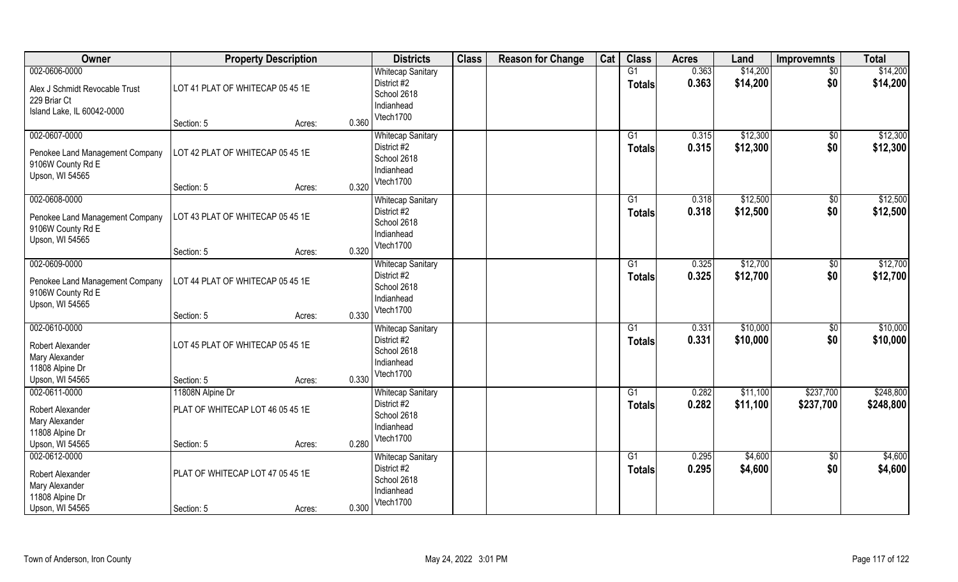| Owner                                          | <b>Property Description</b>      |        |       | <b>Districts</b>                        | <b>Class</b> | <b>Reason for Change</b> | Cat | <b>Class</b>        | <b>Acres</b>   | Land                 | <b>Improvemnts</b> | <b>Total</b>         |
|------------------------------------------------|----------------------------------|--------|-------|-----------------------------------------|--------------|--------------------------|-----|---------------------|----------------|----------------------|--------------------|----------------------|
| 002-0606-0000                                  |                                  |        |       | <b>Whitecap Sanitary</b><br>District #2 |              |                          |     | G1<br><b>Totals</b> | 0.363<br>0.363 | \$14,200<br>\$14,200 | $\sqrt{6}$<br>\$0  | \$14,200<br>\$14,200 |
| Alex J Schmidt Revocable Trust<br>229 Briar Ct | LOT 41 PLAT OF WHITECAP 05 45 1E |        |       | School 2618                             |              |                          |     |                     |                |                      |                    |                      |
| Island Lake, IL 60042-0000                     |                                  |        |       | Indianhead                              |              |                          |     |                     |                |                      |                    |                      |
|                                                | Section: 5                       | Acres: | 0.360 | Vtech1700                               |              |                          |     |                     |                |                      |                    |                      |
| 002-0607-0000                                  |                                  |        |       | <b>Whitecap Sanitary</b><br>District #2 |              |                          |     | $\overline{G1}$     | 0.315          | \$12,300             | \$0                | \$12,300             |
| Penokee Land Management Company                | LOT 42 PLAT OF WHITECAP 05 45 1E |        |       | School 2618                             |              |                          |     | <b>Totals</b>       | 0.315          | \$12,300             | \$0                | \$12,300             |
| 9106W County Rd E<br>Upson, WI 54565           |                                  |        |       | Indianhead                              |              |                          |     |                     |                |                      |                    |                      |
|                                                | Section: 5                       | Acres: | 0.320 | Vtech1700                               |              |                          |     |                     |                |                      |                    |                      |
| 002-0608-0000                                  |                                  |        |       | <b>Whitecap Sanitary</b>                |              |                          |     | G1                  | 0.318          | \$12,500             | \$0                | \$12,500             |
| Penokee Land Management Company                | LOT 43 PLAT OF WHITECAP 05 45 1E |        |       | District #2<br>School 2618              |              |                          |     | <b>Totals</b>       | 0.318          | \$12,500             | \$0                | \$12,500             |
| 9106W County Rd E                              |                                  |        |       | Indianhead                              |              |                          |     |                     |                |                      |                    |                      |
| Upson, WI 54565                                | Section: 5                       | Acres: | 0.320 | Vtech1700                               |              |                          |     |                     |                |                      |                    |                      |
| 002-0609-0000                                  |                                  |        |       | <b>Whitecap Sanitary</b>                |              |                          |     | G1                  | 0.325          | \$12,700             | \$0                | \$12,700             |
| Penokee Land Management Company                | LOT 44 PLAT OF WHITECAP 05 45 1E |        |       | District #2                             |              |                          |     | <b>Totals</b>       | 0.325          | \$12,700             | \$0                | \$12,700             |
| 9106W County Rd E                              |                                  |        |       | School 2618                             |              |                          |     |                     |                |                      |                    |                      |
| Upson, WI 54565                                |                                  |        |       | Indianhead<br>Vtech1700                 |              |                          |     |                     |                |                      |                    |                      |
|                                                | Section: 5                       | Acres: | 0.330 |                                         |              |                          |     |                     |                |                      |                    |                      |
| 002-0610-0000                                  |                                  |        |       | <b>Whitecap Sanitary</b><br>District #2 |              |                          |     | G1<br><b>Totals</b> | 0.331<br>0.331 | \$10,000<br>\$10,000 | \$0<br>\$0         | \$10,000<br>\$10,000 |
| Robert Alexander                               | LOT 45 PLAT OF WHITECAP 05 45 1E |        |       | School 2618                             |              |                          |     |                     |                |                      |                    |                      |
| Mary Alexander<br>11808 Alpine Dr              |                                  |        |       | Indianhead                              |              |                          |     |                     |                |                      |                    |                      |
| Upson, WI 54565                                | Section: 5                       | Acres: | 0.330 | Vtech1700                               |              |                          |     |                     |                |                      |                    |                      |
| 002-0611-0000                                  | 11808N Alpine Dr                 |        |       | <b>Whitecap Sanitary</b>                |              |                          |     | G1                  | 0.282          | \$11,100             | \$237,700          | \$248,800            |
| Robert Alexander                               | PLAT OF WHITECAP LOT 46 05 45 1E |        |       | District #2<br>School 2618              |              |                          |     | <b>Totals</b>       | 0.282          | \$11,100             | \$237,700          | \$248,800            |
| Mary Alexander                                 |                                  |        |       | Indianhead                              |              |                          |     |                     |                |                      |                    |                      |
| 11808 Alpine Dr<br>Upson, WI 54565             | Section: 5                       | Acres: | 0.280 | Vtech1700                               |              |                          |     |                     |                |                      |                    |                      |
| 002-0612-0000                                  |                                  |        |       | <b>Whitecap Sanitary</b>                |              |                          |     | G1                  | 0.295          | \$4,600              | $\sqrt{6}$         | \$4,600              |
| Robert Alexander                               | PLAT OF WHITECAP LOT 47 05 45 1E |        |       | District #2                             |              |                          |     | <b>Totals</b>       | 0.295          | \$4,600              | \$0                | \$4,600              |
| Mary Alexander                                 |                                  |        |       | School 2618                             |              |                          |     |                     |                |                      |                    |                      |
| 11808 Alpine Dr                                |                                  |        |       | Indianhead<br>Vtech1700                 |              |                          |     |                     |                |                      |                    |                      |
| Upson, WI 54565                                | Section: 5                       | Acres: | 0.300 |                                         |              |                          |     |                     |                |                      |                    |                      |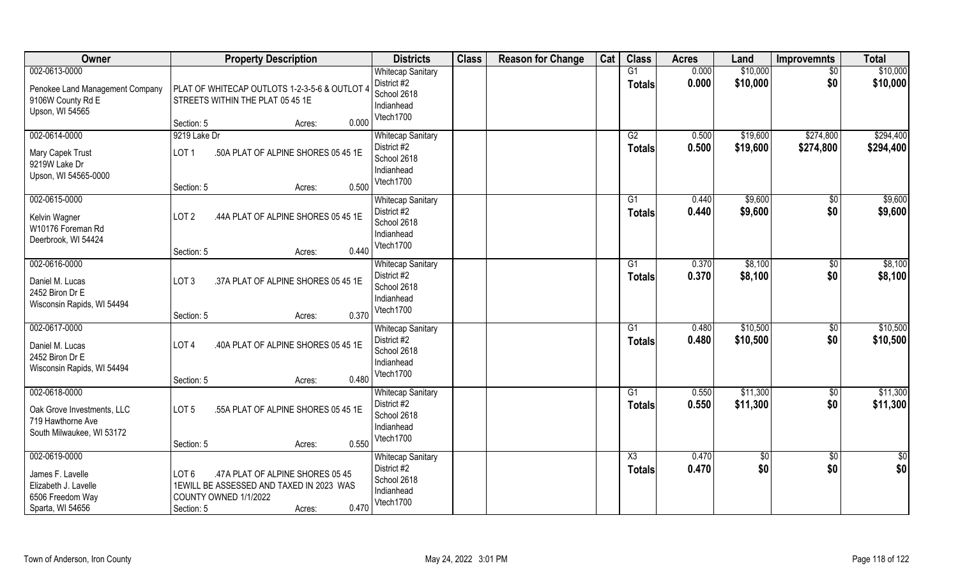| Owner                                                                                             | <b>Property Description</b>                                                                                                                                | <b>Districts</b>                                                                  | <b>Class</b> | <b>Reason for Change</b> | Cat | <b>Class</b>                            | <b>Acres</b>   | Land                 | <b>Improvemnts</b>     | <b>Total</b>           |
|---------------------------------------------------------------------------------------------------|------------------------------------------------------------------------------------------------------------------------------------------------------------|-----------------------------------------------------------------------------------|--------------|--------------------------|-----|-----------------------------------------|----------------|----------------------|------------------------|------------------------|
| 002-0613-0000<br>Penokee Land Management Company<br>9106W County Rd E<br>Upson, WI 54565          | PLAT OF WHITECAP OUTLOTS 1-2-3-5-6 & OUTLOT 4<br>STREETS WITHIN THE PLAT 05 45 1E<br>0.000<br>Section: 5<br>Acres:                                         | <b>Whitecap Sanitary</b><br>District #2<br>School 2618<br>Indianhead<br>Vtech1700 |              |                          |     | G1<br><b>Totals</b>                     | 0.000<br>0.000 | \$10,000<br>\$10,000 | $\sqrt{50}$<br>\$0     | \$10,000<br>\$10,000   |
| 002-0614-0000<br>Mary Capek Trust<br>9219W Lake Dr<br>Upson, WI 54565-0000                        | 9219 Lake Dr<br>LOT <sub>1</sub><br>.50A PLAT OF ALPINE SHORES 05 45 1E<br>0.500<br>Section: 5<br>Acres:                                                   | <b>Whitecap Sanitary</b><br>District #2<br>School 2618<br>Indianhead<br>Vtech1700 |              |                          |     | G2<br>Totals                            | 0.500<br>0.500 | \$19,600<br>\$19,600 | \$274,800<br>\$274,800 | \$294,400<br>\$294,400 |
| 002-0615-0000<br>Kelvin Wagner<br>W10176 Foreman Rd<br>Deerbrook, WI 54424                        | LOT <sub>2</sub><br>.44A PLAT OF ALPINE SHORES 05 45 1E<br>0.440<br>Section: 5<br>Acres:                                                                   | <b>Whitecap Sanitary</b><br>District #2<br>School 2618<br>Indianhead<br>Vtech1700 |              |                          |     | G1<br><b>Totals</b>                     | 0.440<br>0.440 | \$9,600<br>\$9,600   | \$0<br>\$0             | \$9,600<br>\$9,600     |
| 002-0616-0000<br>Daniel M. Lucas<br>2452 Biron Dr E<br>Wisconsin Rapids, WI 54494                 | LOT <sub>3</sub><br>.37A PLAT OF ALPINE SHORES 05 45 1E<br>0.370<br>Section: 5<br>Acres:                                                                   | <b>Whitecap Sanitary</b><br>District #2<br>School 2618<br>Indianhead<br>Vtech1700 |              |                          |     | G1<br><b>Totals</b>                     | 0.370<br>0.370 | \$8,100<br>\$8,100   | $\sqrt[6]{3}$<br>\$0   | \$8,100<br>\$8,100     |
| 002-0617-0000<br>Daniel M. Lucas<br>2452 Biron Dr E<br>Wisconsin Rapids, WI 54494                 | .40A PLAT OF ALPINE SHORES 05 45 1E<br>LOT <sub>4</sub><br>0.480<br>Section: 5<br>Acres:                                                                   | <b>Whitecap Sanitary</b><br>District #2<br>School 2618<br>Indianhead<br>Vtech1700 |              |                          |     | G1<br>Totals                            | 0.480<br>0.480 | \$10,500<br>\$10,500 | \$0<br>\$0             | \$10,500<br>\$10,500   |
| 002-0618-0000<br>Oak Grove Investments, LLC<br>719 Hawthorne Ave<br>South Milwaukee, WI 53172     | .55A PLAT OF ALPINE SHORES 05 45 1E<br>LOT <sub>5</sub><br>0.550<br>Section: 5<br>Acres:                                                                   | <b>Whitecap Sanitary</b><br>District #2<br>School 2618<br>Indianhead<br>Vtech1700 |              |                          |     | G1<br><b>Totals</b>                     | 0.550<br>0.550 | \$11,300<br>\$11,300 | $\sqrt{50}$<br>\$0     | \$11,300<br>\$11,300   |
| 002-0619-0000<br>James F. Lavelle<br>Elizabeth J. Lavelle<br>6506 Freedom Way<br>Sparta, WI 54656 | LOT <sub>6</sub><br>.47A PLAT OF ALPINE SHORES 05 45<br>1EWILL BE ASSESSED AND TAXED IN 2023 WAS<br>COUNTY OWNED 1/1/2022<br>0.470<br>Section: 5<br>Acres: | <b>Whitecap Sanitary</b><br>District #2<br>School 2618<br>Indianhead<br>Vtech1700 |              |                          |     | $\overline{\text{X3}}$<br><b>Totals</b> | 0.470<br>0.470 | $\frac{6}{3}$<br>\$0 | $\overline{50}$<br>\$0 | $\frac{1}{2}$<br>\$0   |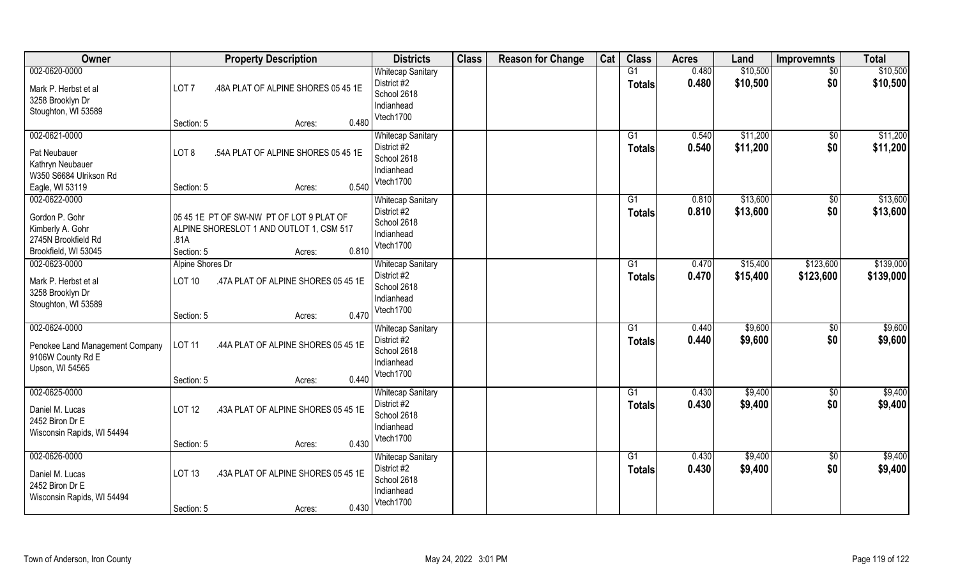| Owner                                                                                              | <b>Property Description</b>                                                                                                   | <b>Districts</b>                                                                  | <b>Class</b> | <b>Reason for Change</b> | Cat | <b>Class</b>        | <b>Acres</b>   | Land                 | <b>Improvemnts</b>     | <b>Total</b>           |
|----------------------------------------------------------------------------------------------------|-------------------------------------------------------------------------------------------------------------------------------|-----------------------------------------------------------------------------------|--------------|--------------------------|-----|---------------------|----------------|----------------------|------------------------|------------------------|
| 002-0620-0000<br>Mark P. Herbst et al<br>3258 Brooklyn Dr<br>Stoughton, WI 53589                   | LOT <sub>7</sub><br>.48A PLAT OF ALPINE SHORES 05 45 1E<br>0.480<br>Section: 5<br>Acres:                                      | <b>Whitecap Sanitary</b><br>District #2<br>School 2618<br>Indianhead<br>Vtech1700 |              |                          |     | G1<br><b>Totals</b> | 0.480<br>0.480 | \$10,500<br>\$10,500 | $\overline{50}$<br>\$0 | \$10,500<br>\$10,500   |
| 002-0621-0000<br>Pat Neubauer<br>Kathryn Neubauer<br>W350 S6684 Ulrikson Rd<br>Eagle, WI 53119     | LOT <sub>8</sub><br>.54A PLAT OF ALPINE SHORES 05 45 1E<br>0.540<br>Section: 5<br>Acres:                                      | <b>Whitecap Sanitary</b><br>District #2<br>School 2618<br>Indianhead<br>Vtech1700 |              |                          |     | G1<br>Totals        | 0.540<br>0.540 | \$11,200<br>\$11,200 | \$0<br>\$0             | \$11,200<br>\$11,200   |
| 002-0622-0000<br>Gordon P. Gohr<br>Kimberly A. Gohr<br>2745N Brookfield Rd<br>Brookfield, WI 53045 | 05 45 1E PT OF SW-NW PT OF LOT 9 PLAT OF<br>ALPINE SHORESLOT 1 AND OUTLOT 1, CSM 517<br>.81A<br>0.810<br>Section: 5<br>Acres: | <b>Whitecap Sanitary</b><br>District #2<br>School 2618<br>Indianhead<br>Vtech1700 |              |                          |     | G1<br><b>Totals</b> | 0.810<br>0.810 | \$13,600<br>\$13,600 | $\sqrt[6]{30}$<br>\$0  | \$13,600<br>\$13,600   |
| 002-0623-0000<br>Mark P. Herbst et al<br>3258 Brooklyn Dr<br>Stoughton, WI 53589                   | Alpine Shores Dr<br><b>LOT 10</b><br>.47A PLAT OF ALPINE SHORES 05 45 1E<br>0.470<br>Section: 5<br>Acres:                     | <b>Whitecap Sanitary</b><br>District #2<br>School 2618<br>Indianhead<br>Vtech1700 |              |                          |     | G1<br><b>Totals</b> | 0.470<br>0.470 | \$15,400<br>\$15,400 | \$123,600<br>\$123,600 | \$139,000<br>\$139,000 |
| 002-0624-0000<br>Penokee Land Management Company<br>9106W County Rd E<br>Upson, WI 54565           | <b>LOT 11</b><br>.44A PLAT OF ALPINE SHORES 05 45 1E<br>0.440<br>Section: 5<br>Acres:                                         | <b>Whitecap Sanitary</b><br>District #2<br>School 2618<br>Indianhead<br>Vtech1700 |              |                          |     | G1<br><b>Totals</b> | 0.440<br>0.440 | \$9,600<br>\$9,600   | \$0<br>\$0             | \$9,600<br>\$9,600     |
| 002-0625-0000<br>Daniel M. Lucas<br>2452 Biron Dr E<br>Wisconsin Rapids, WI 54494                  | .43A PLAT OF ALPINE SHORES 05 45 1E<br><b>LOT 12</b><br>0.430<br>Section: 5<br>Acres:                                         | <b>Whitecap Sanitary</b><br>District #2<br>School 2618<br>Indianhead<br>Vtech1700 |              |                          |     | G1<br><b>Totals</b> | 0.430<br>0.430 | \$9,400<br>\$9,400   | \$0<br>\$0             | \$9,400<br>\$9,400     |
| 002-0626-0000<br>Daniel M. Lucas<br>2452 Biron Dr E<br>Wisconsin Rapids, WI 54494                  | <b>LOT 13</b><br>.43A PLAT OF ALPINE SHORES 05 45 1E<br>0.430<br>Section: 5<br>Acres:                                         | <b>Whitecap Sanitary</b><br>District #2<br>School 2618<br>Indianhead<br>Vtech1700 |              |                          |     | G1<br><b>Totals</b> | 0.430<br>0.430 | \$9,400<br>\$9,400   | $\sqrt{$0}$<br>\$0     | \$9,400<br>\$9,400     |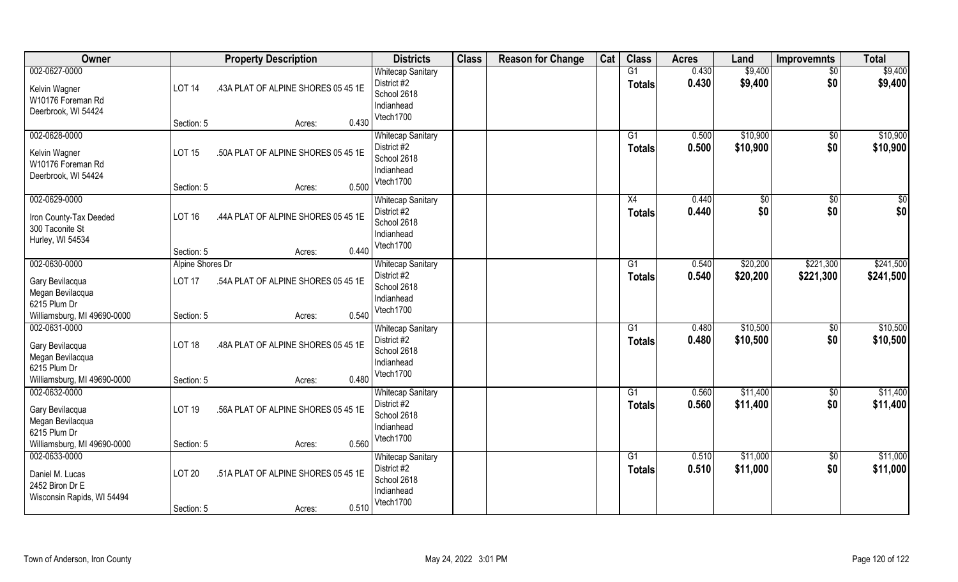| Owner                                                                                               | <b>Property Description</b>                                                                               | <b>Districts</b>                                                                  | <b>Class</b> | <b>Reason for Change</b> | Cat | <b>Class</b>                     | <b>Acres</b>   | Land                 | <b>Improvemnts</b>     | <b>Total</b>           |
|-----------------------------------------------------------------------------------------------------|-----------------------------------------------------------------------------------------------------------|-----------------------------------------------------------------------------------|--------------|--------------------------|-----|----------------------------------|----------------|----------------------|------------------------|------------------------|
| 002-0627-0000<br>Kelvin Wagner<br>W10176 Foreman Rd<br>Deerbrook, WI 54424                          | <b>LOT 14</b><br>.43A PLAT OF ALPINE SHORES 05 45 1E<br>0.430<br>Section: 5<br>Acres:                     | <b>Whitecap Sanitary</b><br>District #2<br>School 2618<br>Indianhead<br>Vtech1700 |              |                          |     | $\overline{G1}$<br><b>Totals</b> | 0.430<br>0.430 | \$9,400<br>\$9,400   | $\sqrt{$0}$<br>\$0     | \$9,400<br>\$9,400     |
| 002-0628-0000<br>Kelvin Wagner<br>W10176 Foreman Rd<br>Deerbrook, WI 54424                          | <b>LOT 15</b><br>.50A PLAT OF ALPINE SHORES 05 45 1E<br>0.500<br>Section: 5<br>Acres:                     | <b>Whitecap Sanitary</b><br>District #2<br>School 2618<br>Indianhead<br>Vtech1700 |              |                          |     | G1<br><b>Totals</b>              | 0.500<br>0.500 | \$10,900<br>\$10,900 | $\sqrt{$0}$<br>\$0     | \$10,900<br>\$10,900   |
| 002-0629-0000<br>Iron County-Tax Deeded<br>300 Taconite St<br>Hurley, WI 54534                      | <b>LOT 16</b><br>.44A PLAT OF ALPINE SHORES 05 45 1E<br>0.440<br>Section: 5<br>Acres:                     | <b>Whitecap Sanitary</b><br>District #2<br>School 2618<br>Indianhead<br>Vtech1700 |              |                          |     | X4<br><b>Totals</b>              | 0.440<br>0.440 | \$<br>\$0            | $\sqrt[6]{30}$<br>\$0  | \$0<br>\$0             |
| 002-0630-0000<br>Gary Bevilacqua<br>Megan Bevilacqua<br>6215 Plum Dr<br>Williamsburg, MI 49690-0000 | Alpine Shores Dr<br>.54A PLAT OF ALPINE SHORES 05 45 1E<br><b>LOT 17</b><br>0.540<br>Section: 5<br>Acres: | <b>Whitecap Sanitary</b><br>District #2<br>School 2618<br>Indianhead<br>Vtech1700 |              |                          |     | G1<br><b>Totals</b>              | 0.540<br>0.540 | \$20,200<br>\$20,200 | \$221,300<br>\$221,300 | \$241,500<br>\$241,500 |
| 002-0631-0000<br>Gary Bevilacqua<br>Megan Bevilacqua<br>6215 Plum Dr<br>Williamsburg, MI 49690-0000 | .48A PLAT OF ALPINE SHORES 05 45 1E<br><b>LOT 18</b><br>0.480<br>Section: 5<br>Acres:                     | <b>Whitecap Sanitary</b><br>District #2<br>School 2618<br>Indianhead<br>Vtech1700 |              |                          |     | G1<br>Totals                     | 0.480<br>0.480 | \$10,500<br>\$10,500 | \$0<br>\$0             | \$10,500<br>\$10,500   |
| 002-0632-0000<br>Gary Bevilacqua<br>Megan Bevilacqua<br>6215 Plum Dr<br>Williamsburg, MI 49690-0000 | .56A PLAT OF ALPINE SHORES 05 45 1E<br><b>LOT 19</b><br>0.560<br>Section: 5<br>Acres:                     | <b>Whitecap Sanitary</b><br>District #2<br>School 2618<br>Indianhead<br>Vtech1700 |              |                          |     | G1<br><b>Totals</b>              | 0.560<br>0.560 | \$11,400<br>\$11,400 | $\overline{30}$<br>\$0 | \$11,400<br>\$11,400   |
| 002-0633-0000<br>Daniel M. Lucas<br>2452 Biron Dr E<br>Wisconsin Rapids, WI 54494                   | <b>LOT 20</b><br>.51A PLAT OF ALPINE SHORES 05 45 1E<br>0.510<br>Section: 5<br>Acres:                     | <b>Whitecap Sanitary</b><br>District #2<br>School 2618<br>Indianhead<br>Vtech1700 |              |                          |     | G1<br>Totals                     | 0.510<br>0.510 | \$11,000<br>\$11,000 | $\sqrt{$0}$<br>\$0     | \$11,000<br>\$11,000   |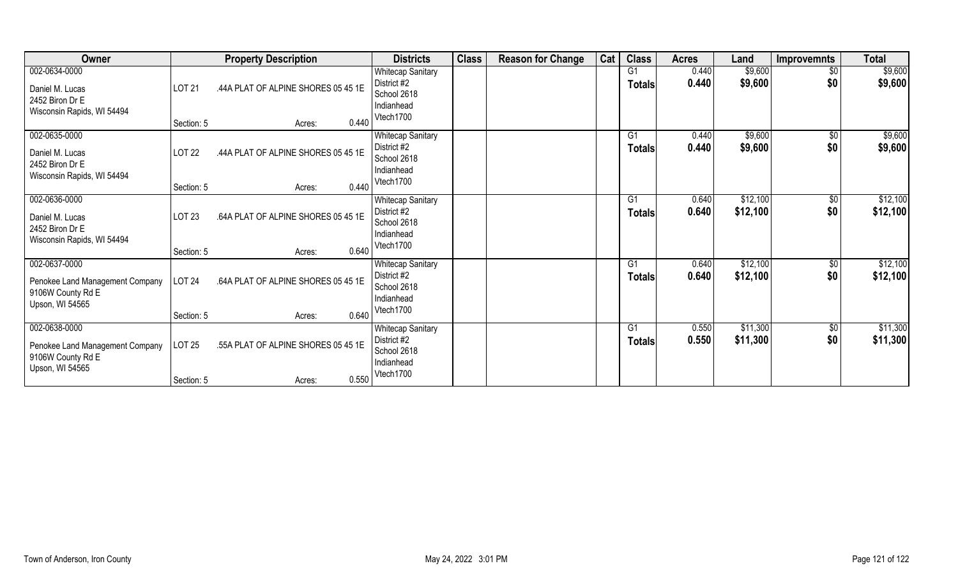| Owner                                                                                    |               | <b>Property Description</b>         | <b>Districts</b>                                                                  | <b>Class</b> | <b>Reason for Change</b> | Cat | <b>Class</b>                    | <b>Acres</b>   | Land                 | <b>Improvemnts</b>   | <b>Total</b>         |
|------------------------------------------------------------------------------------------|---------------|-------------------------------------|-----------------------------------------------------------------------------------|--------------|--------------------------|-----|---------------------------------|----------------|----------------------|----------------------|----------------------|
| 002-0634-0000<br>Daniel M. Lucas<br>2452 Biron Dr E<br>Wisconsin Rapids, WI 54494        | LOT 21        | .44A PLAT OF ALPINE SHORES 05 45 1E | <b>Whitecap Sanitary</b><br>District #2<br>School 2618<br>Indianhead<br>Vtech1700 |              |                          |     | G1<br><b>Totals</b>             | 0.440<br>0.440 | \$9,600<br>\$9,600   | \$0<br>\$0           | \$9,600<br>\$9,600   |
|                                                                                          | Section: 5    | 0.440<br>Acres:                     |                                                                                   |              |                          |     |                                 |                |                      |                      |                      |
| 002-0635-0000<br>Daniel M. Lucas<br>2452 Biron Dr E<br>Wisconsin Rapids, WI 54494        | <b>LOT 22</b> | .44A PLAT OF ALPINE SHORES 05 45 1E | <b>Whitecap Sanitary</b><br>District #2<br>School 2618<br>Indianhead              |              |                          |     | G <sub>1</sub><br><b>Totals</b> | 0.440<br>0.440 | \$9,600<br>\$9,600   | \$0<br>\$0           | \$9,600<br>\$9,600   |
|                                                                                          | Section: 5    | 0.440<br>Acres:                     | Vtech1700                                                                         |              |                          |     |                                 |                |                      |                      |                      |
| 002-0636-0000<br>Daniel M. Lucas<br>2452 Biron Dr E<br>Wisconsin Rapids, WI 54494        | LOT 23        | .64A PLAT OF ALPINE SHORES 05 45 1E | <b>Whitecap Sanitary</b><br>District #2<br>School 2618<br>Indianhead              |              |                          |     | G1<br><b>Totals</b>             | 0.640<br>0.640 | \$12,100<br>\$12,100 | \$0<br>\$0           | \$12,100<br>\$12,100 |
|                                                                                          | Section: 5    | 0.640<br>Acres:                     | Vtech1700                                                                         |              |                          |     |                                 |                |                      |                      |                      |
| 002-0637-0000<br>Penokee Land Management Company<br>9106W County Rd E<br>Upson, WI 54565 | <b>LOT 24</b> | .64A PLAT OF ALPINE SHORES 05 45 1E | <b>Whitecap Sanitary</b><br>District #2<br>School 2618<br>Indianhead              |              |                          |     | G1<br><b>Totals</b>             | 0.640<br>0.640 | \$12,100<br>\$12,100 | \$0<br>\$0           | \$12,100<br>\$12,100 |
|                                                                                          | Section: 5    | 0.640<br>Acres:                     | Vtech1700                                                                         |              |                          |     |                                 |                |                      |                      |                      |
| 002-0638-0000<br>Penokee Land Management Company<br>9106W County Rd E<br>Upson, WI 54565 | <b>LOT 25</b> | .55A PLAT OF ALPINE SHORES 05 45 1E | <b>Whitecap Sanitary</b><br>District #2<br>School 2618<br>Indianhead              |              |                          |     | G1<br><b>Totals</b>             | 0.550<br>0.550 | \$11,300<br>\$11,300 | $\sqrt[6]{3}$<br>\$0 | \$11,300<br>\$11,300 |
|                                                                                          | Section: 5    | 0.550<br>Acres:                     | Vtech1700                                                                         |              |                          |     |                                 |                |                      |                      |                      |